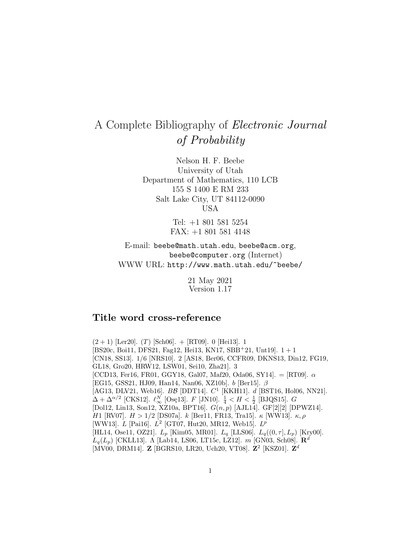## A Complete Bibliography of Electronic Journal of Probability

Nelson H. F. Beebe University of Utah Department of Mathematics, 110 LCB 155 S 1400 E RM 233 Salt Lake City, UT 84112-0090 USA

> Tel: +1 801 581 5254 FAX: +1 801 581 4148

E-mail: beebe@math.utah.edu, beebe@acm.org, beebe@computer.org (Internet) WWW URL: http://www.math.utah.edu/~beebe/

> 21 May 2021 Version 1.17

## **Title word cross-reference**

 $(2+1)$  [Ler20].  $(T)$  [Sch06]. + [RT09]. 0 [Hei13]. 1  $[BS20c, Boi11, DFS21, Faq12, Hei13, KN17, SBB<sup>+</sup>21, Unt19].$  1 + 1 [CN18, SS13]. 1/6 [NRS10]. 2 [AS18, Ber06, CCFR09, DKNS13, Din12, FG19, GL18, Gro20, HRW12, LSW01, Sei10, Zha21]. 3  $[CCD13, Fer16, FR01, GGY18, Gal07, Mat20, Oda06, SY14] = [RT09]$ .  $\alpha$ [EG15, GSS21, HJ09, Han14, Nan06, XZ10b]. b [Ber15]. β [AG13, DLV21, Web16].  $B\mathcal{B}$  [DDT14].  $C^1$  [KKH11].  $d$  [BST16, Hol06, NN21].  $\Delta + \Delta^{\alpha/2}$  [CKS12].  $\ell_{\infty}^N$  [Ose13]. F [JN10].  $\frac{1}{4} < H < \frac{1}{2}$  [BJQS15]. G [Dol12, Lin13, Son12, XZ10a, BPT16].  $G(n, p)$  [AJL14]. GF[2][2] [DPWZ14]. H1 [RV07].  $H > 1/2$  [DS07a]. k [Ber11, FR13, Tra15]. κ [WW13]. κ, ρ [WW13].  $L$  [Pai16].  $L^2$  [GT07, Hut20, MR12, Web15].  $L^p$ [HL14, Ose11, OZ21].  $L_p$  [Kim05, MR01].  $L_q$  [LLS06].  $L_q((0, \tau], L_p)$  [Kry00].  $L_q(L_p)$  [CKLL13]. Λ [Lab14, LS06, LT15c, LZ12]. *m* [GN03, Sch08]. **R**<sup>d</sup> [MV00, DRM14]. **Z** [BGRS10, LR20, Uch20, VT08]. **Z**<sup>2</sup> [KSZ01]. **Z**<sup>d</sup>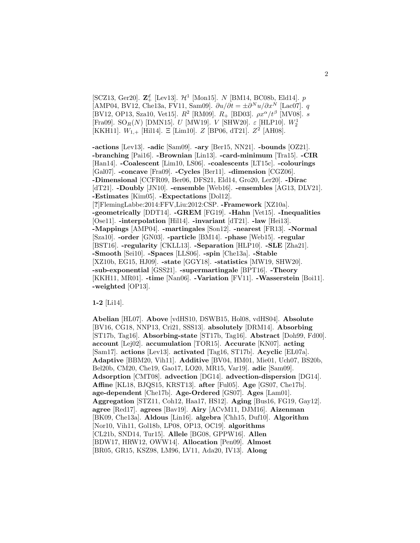[SCZ13, Ger20].  $\mathbb{Z}_{+}^{d}$  [Lev13].  $\mathcal{H}^{1}$  [Mon15]. N [BM14, BC08b, Eld14]. p [AMP04, BV12, Che13a, FV11, Sam09].  $\partial u/\partial t = \pm \partial^N u/\partial x^N$  [Lac07]. q [BV12, OP13, Sza10, Vet15].  $R^2$  [RM09].  $R_+$  [BD03].  $\rho x^{\alpha}/t^{\beta}$  [MV08]. s [Fra09]. SO $_R(N)$  [DMN15].  $U$  [MW19].  $V$  [SHW20].  $\varepsilon$  [HLP10].  $W_2^1$ [KKH11].  $W_{1,+}$  [Hil14]. Ξ [Lim10]. Z [BP06, dT21].  $Z^2$  [AH08].

**-actions** [Lev13]. **-adic** [Sam09]. **-ary** [Ber15, NN21]. **-bounds** [OZ21]. **-branching** [Pai16]. **-Brownian** [Lin13]. **-card-minimum** [Tra15]. **-CIR** [Han14]. **-Coalescent** [Lim10, LS06]. **-coalescents** [LT15c]. **-colourings** [Gal07]. **-concave** [Fra09]. **-Cycles** [Ber11]. **-dimension** [CGZ06]. **-Dimensional** [CCFR09, Ber06, DFS21, Eld14, Gro20, Ler20]. **-Dirac** [dT21]. **-Doubly** [JN10]. **-ensemble** [Web16]. **-ensembles** [AG13, DLV21]. **-Estimates** [Kim05]. **-Expectations** [Dol12]. [**?**]FlemingLabbe:2014:FFV,Liu:2012:CSP. **-Framework** [XZ10a]. **-geometrically** [DDT14]. **-GREM** [FG19]. **-Hahn** [Vet15]. **-Inequalities** [Ose11]. **-interpolation** [Hil14]. **-invariant** [dT21]. **-law** [Hei13]. **-Mappings** [AMP04]. **-martingales** [Son12]. **-nearest** [FR13]. **-Normal** [Sza10]. **-order** [GN03]. **-particle** [BM14]. **-phase** [Web15]. **-regular** [BST16]. **-regularity** [CKLL13]. **-Separation** [HLP10]. **-SLE** [Zha21]. **-Smooth** [Sei10]. **-Spaces** [LLS06]. **-spin** [Che13a]. **-Stable** [XZ10b, EG15, HJ09]. **-state** [GGY18]. **-statistics** [MW19, SHW20]. **-sub-exponential** [GSS21]. **-supermartingale** [BPT16]. **-Theory** [KKH11, MR01]. **-time** [Nan06]. **-Variation** [FV11]. **-Wasserstein** [Boi11]. **-weighted** [OP13].

**1-2** [Li14].

**Abelian** [HL07]. **Above** [vdHS10, DSWB15, Hol08, vdHS04]. **Absolute** [BV16, CG18, NNP13, Cri21, SSS13]. **absolutely** [DRM14]. **Absorbing** [ST17b, Tag16]. **Absorbing-state** [ST17b, Tag16]. **Abstract** [Doh99, Fd00]. **account** [Lej02]. **accumulation** [TOR15]. **Accurate** [KN07]. **acting** [Sam17]. **actions** [Lev13]. **activated** [Tag16, ST17b]. **Acyclic** [EL07a]. **Adaptive** [BBM20, Vih11]. **Additive** [BV04, HM01, Mie01, Uch07, BS20b, Bel20b, CM20, Che19, Gao17, LO20, MR15, Var19]. **adic** [Sam09]. **Adsorption** [CMT08]. **advection** [DG14]. **advection-dispersion** [DG14]. **Affine** [KL18, BJQS15, KRST13]. **after** [Ful05]. **Age** [GS07, Che17b]. **age-dependent** [Che17b]. **Age-Ordered** [GS07]. **Ages** [Lam01]. **Aggregation** [STZ11, Coh12, Haa17, HS12]. **Aging** [Bus16, FG19, Gay12]. **agree** [Red17]. **agrees** [Bav19]. **Airy** [ACvM11, DJM16]. **Aizenman** [BK09, Che13a]. **Aldous** [Lin16]. **algebra** [Chh15, Duf10]. **Algorithm** [Nor10, Vih11, Gol18b, LP08, OP13, OC19]. **algorithms** [CL21b, SND14, Tur15]. **Allele** [BG08, GPPW16]. **Allen** [BDW17, HRW12, OWW14]. **Allocation** [Pen09]. **Almost** [BR05, GR15, KSZ98, LM96, LV11, Ada20, IV13]. **Along**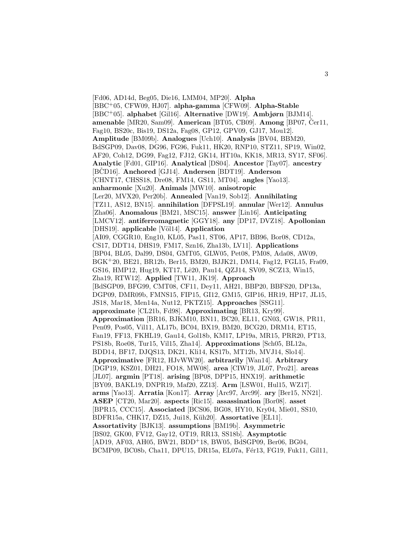[Fd06, AD14d, Beg05, Die16, LMM04, MP20]. **Alpha** [BBC<sup>+</sup>05, CFW09, HJ07]. **alpha-gamma** [CFW09]. **Alpha-Stable** [BBC<sup>+</sup>05]. **alphabet** [Gil16]. **Alternative** [DW19]. **Ambjørn** [BJM14]. **amenable** [MR20, Sam09]. **American** [BT05, CB09]. **Among** [BP07, Čer11, Fag10, BS20c, Bis19, DS12a, Fag08, GP12, GPV09, GJ17, Mou12]. **Amplitude** [BM09b]. **Analogues** [Uch10]. **Analysis** [BV04, BBM20, BdSGP09, Dav08, DG96, FG96, Fuk11, HK20, RNP10, STZ11, SP19, Win02, AF20, Coh12, DG99, Fag12, FJ12, GK14, HT10a, KK18, MR13, SY17, SF06]. **Analytic** [Fd01, GIP16]. **Analytical** [DS04]. **Ancestor** [Tay07]. **ancestry** [BCD16]. **Anchored** [GJ14]. **Andersen** [BDT19]. **Anderson** [CHNT17, CHSS18, Dre08, FM14, GS11, MT04]. **angles** [Yao13]. **anharmonic** [Xu20]. **Animals** [MW10]. **anisotropic** [Ler20, MVX20, Per20b]. **Annealed** [Van19, Sob12]. **Annihilating** [TZ11, AS12, BN15]. **annihilation** [DFPSL19]. **annular** [Wer12]. **Annulus** [Zha06]. **Anomalous** [BM21, MSC15]. **answer** [Lin16]. **Anticipating** [LMCV12]. **antiferromagnetic** [GGY18]. **any** [DP17, DVZ18]. **Apollonian** [DHS19]. **applicable** [Völ14]. **Application** [AI09, CGGR10, Eng10, KL05, Pas11, ST06, AP17, BB96, Bor08, CD12a, CS17, DDT14, DHS19, FM17, Szn16, Zha13b, LV11]. **Applications** [BP04, BL05, Dal99, DS04, GMT05, GLW05, Pet08, PM08, Ada08, AW09, BGK<sup>+</sup>20, BE21, BR12b, Ber15, BM20, BJJK21, DM14, Fag12, FGL15, Fra09, GS16, HMP12, Hug19, KT17, Lê20, Pau14, QZJ14, SV09, SCZ13, Win15, Zha19, RTW12]. **Applied** [TW11, JK19]. **Approach** [BdSGP09, BFG99, CMT08, CF11, Dey11, AH21, BBP20, BBFS20, DP13a, DGP09, DMR09b, FMNS15, FIP15, GI12, GM15, GIP16, HR19, HP17, JL15, JS18, Mar18, Men14a, Nut12, PKTZ15]. **Approaches** [SSG11]. **approximate** [CL21b, Fd98]. **Approximating** [BR13, Kry99]. **Approximation** [BR16, BJKM10, BN11, BC20, EL11, GN03, GW18, PR11, Pen09, Pos05, Vil11, AL17b, BC04, BX19, BM20, BCG20, DRM14, ET15, Fan19, FF13, FKHL19, Gau14, Gol18b, KM17, LP19a, MR15, PRR20, PT13, PS18b, Roe08, Tur15, Vil15, Zha14]. **Approximations** [Sch05, BL12a, BDD14, BF17, DJQS13, DK21, Kli14, KS17b, MT12b, MVJ14, Slo14]. **Approximative** [FR12, HJvWW20]. **arbitrarily** [Wan14]. **Arbitrary** [DGP19, KSZ01, DH21, FO18, MW08]. **area** [CIW19, JL07, Pro21]. **areas** [JL07]. **argmin** [PT18]. **arising** [BP08, DPP15, HNX19]. **arithmetic** [BY09, BAKL19, DNPR19, Maf20, ZZ13]. **Arm** [LSW01, Hul15, WZ17]. **arms** [Yao13]. **Arratia** [Kon17]. **Array** [Arc97, Arc99]. **ary** [Ber15, NN21]. **ASEP** [CT20, Mar20]. **aspects** [Ric15]. **assassination** [Bor08]. **asset** [BPR15, CCC15]. **Associated** [BCS06, BG08, HY10, Kry04, Mie01, SS10, BDFR15a, CHK17, DZ15, Jui18, Küh20]. Assortative [EL11]. **Assortativity** [BJK13]. **assumptions** [BM19b]. **Asymmetric** [BS02, GK00, FV12, Gay12, OT19, RR13, SS18b]. **Asymptotic** [AD19, AF03, AH05, BW21, BDD<sup>+</sup>18, BW05, BdSGP09, Ber06, BG04, BCMP09, BC08b, Cha11, DPU15, DR15a, EL07a, Fér13, FG19, Fuk11, Gil11,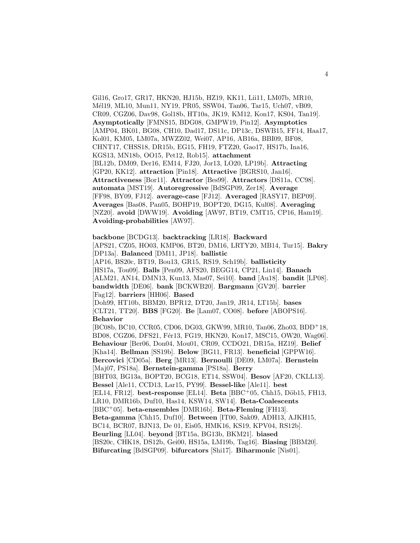Gil16, Gro17, GR17, HKN20, HJ15b, HZ19, KK11, Lii11, LM07b, MR10, Mél19, ML10, Mun11, NY19, PR05, SSW04, Tan06, Tar15, Uch07, vB09, CR09, CGZ06, Dav98, Gol18b, HT10a, JK19, KM12, Kon17, KS04, Tan19]. **Asymptotically** [FMNS15, BDG08, GMPW19, Pin12]. **Asymptotics** [AMP04, BK01, BG08, CH10, Dad17, DS11c, DP13c, DSWB15, FF14, Haa17, Kol01, KM05, LM07a, MWZZ02, Wei07, AP16, AB16a, BBI09, BF08, CHNT17, CHSS18, DR15b, EG15, FH19, FTZ20, Gao17, HS17b, Ina16, KGS13, MN18b, OO15, Pet12, Rob15]. **attachment** [BL12b, DM09, Der16, EM14, FJ20, Jor13, LO20, LP19b]. **Attracting** [GP20, KK12]. **attraction** [Pin18]. **Attractive** [BGRS10, Jan16]. **Attractiveness** [Bor11]. **Attractor** [Bes99]. **Attractors** [DS11a, CC98]. **automata** [MST19]. **Autoregressive** [BdSGP09, Zer18]. **Average** [FF98, BY09, FJ12]. **average-case** [FJ12]. **Averaged** [RASY17, BEP09]. **Averages** [Bas08, Pan05, BOHP19, BOPT20, DG15, Kul08]. **Averaging** [NZ20]. **avoid** [DWW19]. **Avoiding** [AW97, BT19, CMT15, CP16, Ham19]. **Avoiding-probabilities** [AW97].

**backbone** [BCDG13]. **backtracking** [LR18]. **Backward** [APS21, CZ05, HO03, KMP06, BT20, DM16, LRTY20, MB14, Tur15]. **Bakry** [DP13a]. **Balanced** [DM11, JP18]. **ballistic** [AP16, BS20c, BT19, Bou13, GR15, RS19, Sch19b]. **ballisticity** [HS17a, Tou09]. **Balls** [Pen09, AFS20, BEGG14, CP21, Lin14]. **Banach** [ALM21, AN14, DMN13, Kun13, Mas07, Sei10]. **band** [Au18]. **bandit** [LP08]. **bandwidth** [DE06]. **bank** [BCKWB20]. **Bargmann** [GV20]. **barrier** [Fag12]. **barriers** [HH06]. **Based** [Doh99, HT10b, BBM20, BPR12, DT20, Jan19, JR14, LT15b]. **bases** [CLT21, TT20]. **BBS** [FG20]. **Be** [Lam07, CO08]. **before** [ABOPS16]. **Behavior** [BC08b, BC10, CCR05, CD06, DG03, GKW99, MR10, Tan06, Zho03, BDD<sup>+</sup>18, BD08, CGZ06, DFS21, Fér13, FG19, HKN20, Kon17, MSC15, OW20, Wag06]. **Behaviour** [Ber06, Don04, Mou01, CR09, CCDO21, DR15a, HZ19]. **Belief** [Kha14]. **Bellman** [SS19b]. **Below** [BG11, FR13]. **beneficial** [GPPW16]. **Bercovici** [CD05a]. **Berg** [MR13]. **Bernoulli** [DE09, LM07a]. **Bernstein** [Maj07, PS18a]. **Bernstein-gamma** [PS18a]. **Berry** [BHT03, BG13a, BOPT20, BCG18, ET14, SSW04]. **Besov** [AF20, CKLL13]. **Bessel** [Ale11, CCD13, Lar15, PY99]. **Bessel-like** [Ale11]. **best** [EL14, FR12]. **best-response** [EL14]. **Beta** [BBC<sup>+</sup>05, Chh15, D¨ob15, FH13, LR10, DMR16b, Duf10, Has14, KSW14, SW14]. **Beta-Coalescents** [BBC<sup>+</sup>05]. **beta-ensembles** [DMR16b]. **Beta-Fleming** [FH13]. **Beta-gamma** [Chh15, Duf10]. **Between** [IT00, Sak09, ADH13, AJKH15, BC14, BCR07, BJN13, De 01, Eis05, HMK16, KS19, KPV04, RS12b]. **Beurling** [LL04]. **beyond** [BT15a, BG13b, BKM21]. **biased** [BS20c, CHK18, DS12b, Gei00, HS15a, LM19b, Tag16]. **Biasing** [BBM20]. **Bifurcating** [BdSGP09]. **bifurcators** [Shi17]. **Biharmonic** [Nis01].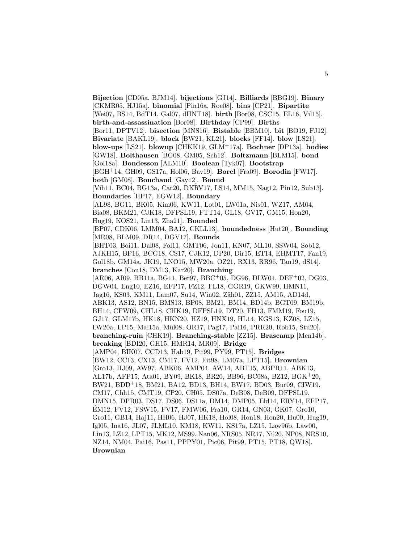**Bijection** [CD05a, BJM14]. **bijections** [GJ14]. **Billiards** [BBG19]. **Binary** [CKMR05, HJ15a]. **binomial** [Pin16a, Roe08]. **bins** [CP21]. **Bipartite** [Wei07, BS14, BdT14, Gal07, dHNT18]. **birth** [Bor08, CSC15, EL16, Vil15]. **birth-and-assassination** [Bor08]. **Birthday** [CP99]. **Births** [Bor11, DPTV12]. **bisection** [MNS16]. **Bistable** [BBM10]. **bit** [BO19, FJ12]. **Bivariate** [BAKL19]. **block** [BW21, KL21]. **blocks** [FF14]. **blow** [LS21]. **blow-ups** [LS21]. **blowup** [CHKK19, GLM<sup>+</sup>17a]. **Bochner** [DP13a]. **bodies** [GW18]. **Bolthausen** [BG08, GM05, Sch12]. **Boltzmann** [BLM15]. **bond** [Gol18a]. **Bondesson** [ALM10]. **Boolean** [Tyk07]. **Bootstrap** [BGH<sup>+</sup>14, GH09, GS17a, Hol06, Bav19]. **Borel** [Fra09]. **Borodin** [FW17]. **both** [GM08]. **Bouchaud** [Gay12]. **Bound** [Vih11, BC04, BG13a, Car20, DKRV17, LS14, MM15, Nag12, Pin12, Sub13]. **Boundaries** [HP17, EGW12]. **Boundary** [AL98, BG11, BK05, Kim06, KW11, Lot01, LW01a, Nis01, WZ17, AM04, Bia08, BKM21, CJK18, DFPSL19, FTT14, GL18, GV17, GM15, Hon20, Hug19, KOS21, Lin13, Zha21]. **Bounded** [BP07, CDK06, LMM04, BA12, CKLL13]. **boundedness** [Hut20]. **Bounding** [MR08, BLM09, DR14, DGV17]. **Bounds** [BHT03, Boi11, Dal08, Fol11, GMT06, Jon11, KN07, ML10, SSW04, Sob12, AJKH15, BP16, BCG18, CS17, CJK12, DP20, Dir15, ET14, EHMT17, Fan19, Gol18b, GM14a, JK19, LNO15, MW20a, OZ21, RX13, RR96, Tan19, dS14]. **branches** [Cou18, DM13, Kar20]. **Branching** [AR06, AI09, BB11a, BG11, Ber97, BBC<sup>+</sup>05, DG96, DLW01, DEF<sup>+</sup>02, DG03, DGW04, Eng10, EZ16, EFP17, FZ12, FL18, GGR19, GKW99, HMN11, Jag16, KS03, KM11, Lam07, Su14, Win02, Zäh01, ZZ15, AM15, AD14d, ABK13, AS12, BN15, BMS13, BP08, BM21, BM14, BD14b, BGT09, BM19b, BH14, CFW09, CHL18, CHK19, DFPSL19, DT20, FH13, FMM19, Fou19, GJ17, GLM17b, HK18, HKN20, HZ19, HNX19, HL14, KGS13, KZ08, LZ15, LW20a, LP15, Mal15a, M¨ul08, OR17, Pag17, Pai16, PRR20, Rob15, Stu20]. **branching-ruin** [CHK19]. **Branching-stable** [ZZ15]. **Brascamp** [Men14b]. **breaking** [BDI20, GH15, HMR14, MR09]. **Bridge** [AMP04, BIK07, CCD13, Hab19, Pit99, PY99, PT15]. **Bridges** [BW12, CC13, CX13, CM17, FV12, Fit98, LM07a, LPT15]. **Brownian** [Gro13, HJ09, AW97, ABK06, AMP04, AW14, ABT15, ABPR11, ABK13, AL17b, AFP15, Ata01, BY09, BK18, BR20, BB96, BC08a, BZ12, BGK<sup>+</sup>20, BW21, BDD<sup>+</sup>18, BM21, BA12, BD13, BH14, BW17, BD03, Bur09, CIW19, CM17, Chh15, CMT19, CP20, CH05, DS07a, DeB08, DeB09, DFPSL19, DMN15, DPR03, DS17, DS06, DS11a, DM14, DMP05, Eld14, ERY14, EFP17, EM12, FV12, FSW15, FV17, FMW06, Fra10, GR14, GN03, GK07, Gro10, ´ Gro11, GB14, Haj11, HH06, HJ07, HK18, Hol08, Hon18, Hon20, Hu00, Hug19, Igl05, Ina16, JL07, JLML10, KM18, KW11, KS17a, LZ15, Law96b, Law00, Lin13, LZ12, LPT15, MK12, MS99, Nan06, NRS05, NR17, Nil20, NP08, NRS10, NZ14, NM04, Pai16, Pas11, PPPY01, Pic06, Pit99, PT15, PT18, QW18]. **Brownian**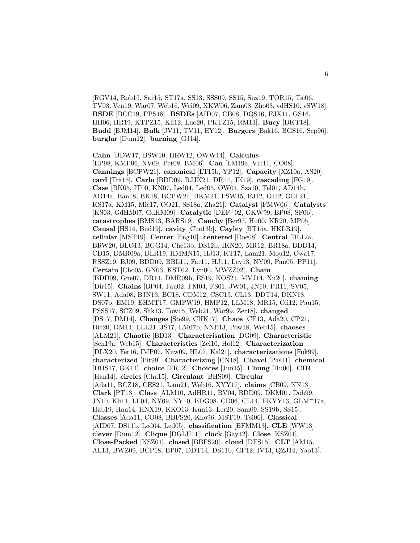[RGV14, Rob15, Sar15, ST17a, SS13, SSS09, SS15, Suz19, TOR15, Tsi06, TV03, Ven19, War07, Web16, Wei09, XKW06, Zam08, Zho03, vdHS10, vSW18]. **BSDE** [BCC19, PPS18]. **BSDEs** [AID07, CB08, DQS16, FJX11, GS16, HH06, HR19, KTPZ15, Kli12, Luo20, PKTZ15, RM13]. **Bucy** [DKT18]. **Budd** [BJM14]. **Bulk** [JV11, TV11, EY12]. **Burgers** [Bak16, BGS16, Sep96]. **burglar** [Dum12]. **burning** [GJ14].

**Cahn** [BDW17, BSW10, HRW12, OWW14]. **Calculus** [EP98, KMP06, NV09, Pet08, BM06]. **Can** [LM19a, Vih11, CO08]. **Cannings** [BCPW21]. **canonical** [LT15b, YP12]. **Capacity** [XZ10a, AS20]. **card** [Tra15]. **Carlo** [BDD09, BJJK21, DR14, JK19]. **cascading** [FG19]. **Case** [BK05, IT00, KN07, Led04, Led05, OW04, Sza10, Tel01, AD14b, AD14a, Ban18, BK18, BCPW21, BKM21, FSW15, FJ12, GI12, GLT21, KS17a, KM15, Mic17, OO21, SS18a, Zha21]. **Catalyst** [FMW06]. **Catalysts** [KS03, GdHM07, GdHM09]. **Catalytic** [DEF<sup>+</sup>02, GKW99, BP08, SF06]. **catastrophes** [BMS13, BARS19]. **Cauchy** [Ber97, Hu00, KR20, MP05]. **Causal** [HS14, Bud19]. **cavity** [Che13b]. **Cayley** [BT15a, HKLR19]. **cellular** [MST19]. **Center** [Eng10]. **centered** [Roe08]. **Central** [BL12a, BRW20, BLO13, BGG14, Che13b, DS12b, IKN20, MR12, BR18a, BDD14, CD15, DMR09a, DLR19, HMMN15, HJ13, KT17, Lam21, Mou12, Owa17, RSSZ19, BJ09, BDD09, BBL11, Far11, HJ11, Lev13, NY09, Pan05, PP11]. **Certain** [Cho05, GN03, KST02, Lyn00, MWZZ02]. **Chain** [BDD09, Gne07, DR14, DMR09b, ES19, KOS21, MVJ14, Xu20]. **chaining** [Dir15]. **Chains** [BP04, Fau02, FM04, FS01, JW01, JN10, PR11, SV05, SW11, Ada08, BJN13, BC18, CDM12, CSC15, CL13, DDT14, DKN18, DS07b, EM19, EHMT17, GMPW19, HMP12, LLM18, MR15, Oli12, Pau15, PSSS17, SCZ09, Shk13, Tow15, Web21, Wor99, Zer18]. **changed** [DS17, DM14]. **Changes** [Ste99, CHK17]. **Chaos** [CE13, Ada20, CP21, Die20, DM14, ELL21, JS17, LM07b, NNP13, Pow18, Web15]. **chaoses** [ALM21]. **Chaotic** [BD13]. **Characterisation** [DG09]. **Characteristic** [Sch19a, Web15]. **Characteristics** [Zei10, Hol12]. **Characterization** [DLX20, Fer16, IMP07, Kuw09, HL07, Kal21]. **characterizations** [Fuk99]. **characterized** [Pit99]. **Characterizing** [CN18]. **Chavel** [Pas11]. **chemical** [DHS17, GK14]. **choice** [FR12]. **Choices** [Jun15]. **Chung** [Hu00]. **CIR** [Han14]. **circles** [Cha15]. **Circulant** [BHS09]. **Circular** [Ada11, BCZ18, CES21, Lam21, Web16, XYY17]. **claims** [CB09, NN13]. **Clark** [PT13]. **Class** [ALM10, AdHR11, BV04, BDD09, DKM01, Doh99, JN10, Kli11, LL04, NY09, NY10, BDG08, CD06, CL14, EKYY13, GLM<sup>+</sup>17a, Hab19, Han14, HNX19, KKO13, Kun13, Ler20, Sam09, SS19b, SS15]. **Classes** [Ada11, CO08, BBFS20, Kho96, MST19, Tsi06]. **Classical** [AID07, DS11b, Led04, Led05]. **classification** [BFMM13]. **CLE** [WW13]. **clever** [Dum12]. **Clique** [DGLU11]. **clock** [Gay12]. **Close** [KSZ01]. **Close-Packed** [KSZ01]. **closed** [BBFS20]. **cloud** [DFS15]. **CLT** [AM15, AL13, BWZ09, BCP18, BP07, DDT14, DS11b, GP12, IV13, QZJ14, Yao13].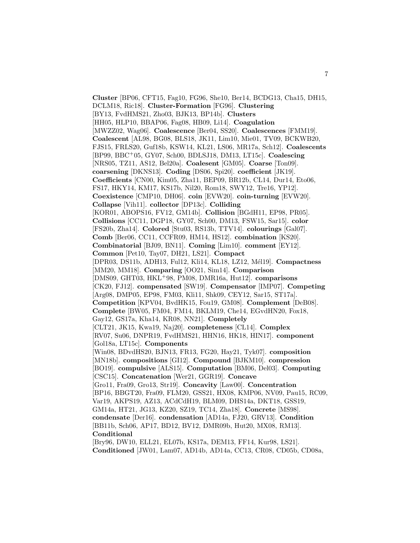**Cluster** [BP06, CFT15, Fag10, FG96, She10, Ber14, BCDG13, Cha15, DH15, DCLM18, Ric18]. **Cluster-Formation** [FG96]. **Clustering** [BY13, FvdHMS21, Zho03, BJK13, BP14b]. **Clusters** [HH05, HLP10, BBAP06, Fag08, HB09, Li14]. **Coagulation** [MWZZ02, Wag06]. **Coalescence** [Ber04, SS20]. **Coalescences** [FMM19]. **Coalescent** [AL98, BG08, BLS18, JK11, Lim10, Mie01, TV09, BCKWB20, FJS15, FRLS20, Guf18b, KSW14, KL21, LS06, MR17a, Sch12]. **Coalescents** [BP99, BBC<sup>+</sup>05, GY07, Sch00, BDLSJ18, DM13, LT15c]. **Coalescing** [NRS05, TZ11, AS12, Bel20a]. **Coalesent** [GM05]. **Coarse** [Ton09]. **coarsening** [DKNS13]. **Coding** [DS06, Spi20]. **coefficient** [JK19]. **Coefficients** [CN00, Kim05, Zha11, BEP09, BR12b, CL14, Dur14, Eto06, FS17, HKY14, KM17, KS17b, Nil20, Rom18, SWY12, Tre16, YP12]. **Coexistence** [CMP10, DH06]. **coin** [EVW20]. **coin-turning** [EVW20]. **Collapse** [Vih11]. **collector** [DP13c]. **Colliding** [KOR01, ABOPS16, FV12, GM14b]. **Collision** [BGdH11, EP98, PR05]. **Collisions** [CC11, DGP18, GY07, Sch00, DM13, FSW15, Sar15]. **color** [FS20b, Zha14]. **Colored** [Stu03, RS13b, TTV14]. **colourings** [Gal07]. **Comb** [Ber06, CC11, CCFR09, HM14, HS12]. **combination** [KS20]. **Combinatorial** [BJ09, BN11]. **Coming** [Lim10]. **comment** [EY12]. **Common** [Pet10, Tay07, DH21, LS21]. **Compact** [DPR03, DS11b, ADH13, Ful12, Kli14, KL18, LZ12, M´el19]. **Compactness** [MM20, MM18]. **Comparing** [OO21, Sim14]. **Comparison** [DMS09, GHT03, HKL<sup>+</sup>98, PM08, DMR16a, Hut12]. **comparisons** [CK20, FJ12]. **compensated** [SW19]. **Compensator** [IMP07]. **Competing** [Arg08, DMP05, EP98, FM03, Kli11, Shk09, CEY12, Sar15, ST17a]. **Competition** [KPV04, BvdHK15, Fou19, GM08]. **Complement** [DeB08]. **Complete** [BW05, FM04, FM14, BKLM19, Che14, EGvdHN20, Fox18, Gay12, GS17a, Kha14, KR08, NN21]. **Completely** [CLT21, JK15, Kwa19, Naj20]. **completeness** [CL14]. **Complex** [RV07, Su06, DNPR19, FvdHMS21, HHN16, HK18, HIN17]. **component** [Gol18a, LT15c]. **Components** [Win08, BDvdHS20, BJN13, FR13, FG20, Hay21, Tyk07]. **composition** [MN18b]. **compositions** [GI12]. **Compound** [BJKM10]. **compression** [BO19]. **compulsive** [ALS15]. **Computation** [BM06, Del03]. **Computing** [CSC15]. **Concatenation** [Wer21, GGR19]. **Concave** [Gro11, Fra09, Gro13, Str19]. **Concavity** [Law00]. **Concentration** [BP16, BBGT20, Fra09, FLM20, GSS21, HX08, KMP06, NV09, Pau15, RC09, Var19, AKPS19, AZ13, ACdCdH19, BLM09, DHS14a, DKT18, GSS19, GM14a, HT21, JG13, KZ20, SZ19, TC14, Zha18]. **Concrete** [MS98]. **condensate** [Der16]. **condensation** [AD14a, FJ20, GRV13]. **Condition** [BB11b, Sch06, AP17, BD12, BV12, DMR09b, Hut20, MX08, RM13]. **Conditional**

[Bry96, DW10, ELL21, EL07b, KS17a, DEM13, FF14, Kur98, LS21]. **Conditioned** [JW01, Lam07, AD14b, AD14a, CC13, CR08, CD05b, CD08a,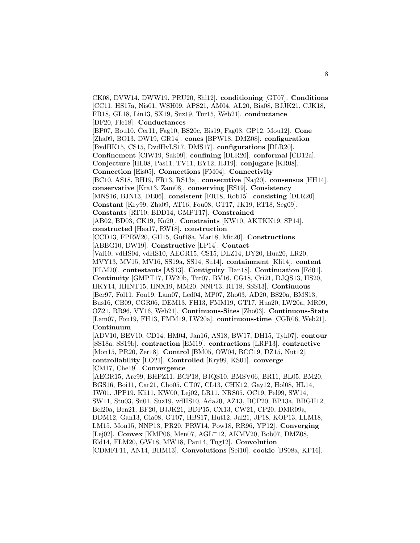CK08, DVW14, DWW19, PRU20, Shi12]. **conditioning** [GT07]. **Conditions** [CC11, HS17a, Nis01, WSH09, APS21, AM04, AL20, Bia08, BJJK21, CJK18, FR18, GL18, Lin13, SX19, Suz19, Tur15, Web21]. **conductance** [DF20, Fle18]. **Conductances** [BP07, Bou10, Cer11, Fag10, BS20c, Bis19, Fag08, GP12, Mou12]. **Cone** [Zha09, BO13, DW19, GR14]. **cones** [BPW18, DMZ08]. **configuration** [BvdHK15, CS15, DvdHvLS17, DMS17]. **configurations** [DLR20]. **Confinement** [CIW19, Sak09]. **confining** [DLR20]. **conformal** [CD12a]. **Conjecture** [HL08, Pas11, TV11, EY12, HJ19]. **conjugate** [KR08]. **Connection** [Eis05]. **Connections** [FM04]. **Connectivity** [BC10, AS18, BH19, FR13, RS13a]. **consecutive** [Naj20]. **consensus** [HH14]. **conservative** [Kra13, Zam08]. **conserving** [ES19]. **Consistency** [MNS16, BJN13, DE06]. **consistent** [FR18, Rob15]. **consisting** [DLR20]. **Constant** [Kry99, Zha09, AT16, Fou08, GT17, JK19, RT18, Seg09]. **Constants** [RT10, BDD14, GMPT17]. **Constrained** [AB02, BD03, CK19, Ko20]. **Constraints** [KW10, AKTKK19, SP14]. **constructed** [Haa17, RW18]. **construction** [CCD13, FPRW20, GH15, Guf18a, Mar18, Mic20]. **Constructions** [ABBG10, DW19]. **Constructive** [LP14]. **Contact** [Val10, vdHS04, vdHS10, AEGR15, CS15, DLZ14, DY20, Hua20, LR20, MVY13, MV15, MV16, SS19a, SS14, Su14]. **containment** [Kli14]. **content** [FLM20]. **contestants** [AS13]. **Contiguity** [Ban18]. **Continuation** [Fd01]. **Continuity** [GMPT17, LW20b, Tur07, BV16, CG18, Cri21, DJQS13, HS20, HKY14, HHNT15, HNX19, MM20, NNP13, RT18, SSS13]. **Continuous** [Ber97, Fol11, Fou19, Lam07, Led04, MP07, Zho03, AD20, BS20a, BMS13, Bus16, CB09, CGR06, DEM13, FH13, FMM19, GT17, Hua20, LW20a, MR09, OZ21, RR96, VY16, Web21]. **Continuous-Sites** [Zho03]. **Continuous-State** [Lam07, Fou19, FH13, FMM19, LW20a]. **continuous-time** [CGR06, Web21]. **Continuum** [ADV10, BEV10, CD14, HM04, Jan16, AS18, BW17, DH15, Tyk07]. **contour** [SS18a, SS19b]. **contraction** [EM19]. **contractions** [LRP13]. **contractive** [Mon15, PR20, Zer18]. **Control** [BM05, OW04, BCC19, DZ15, Nut12]. **controllability** [LO21]. **Controlled** [Kry99, KS01]. **converge** [CM17, Che19]. **Convergence** [AEGR15, Arc99, BHPZ11, BCP18, BJQS10, BMSV06, BR11, BL05, BM20, BGS16, Boi11, Car21, Cho05, CT07, CL13, CHK12, Gay12, Hol08, HL14, JW01, JPP19, Kli11, KW00, Lej02, LR11, NRS05, OC19, Pel99, SW14, SW11, Stu03, Su01, Suz19, vdHS10, Ada20, AZ13, BCP20, BP13a, BBGH12, Bel20a, Ben21, BF20, BJJK21, BDP15, CX13, CW21, CP20, DMR09a, DDM12, Gan13, Gia08, GT07, HBS17, Hut12, Jal21, JP18, KOP13, LLM18, LM15, Mon15, NNP13, PR20, PRW14, Pow18, RR96, YP12]. **Converging** [Lej02]. **Convex** [KMP06, Men07, AGL<sup>+</sup>12, AKMV20, Bob07, DMZ08, Eld14, FLM20, GW18, MW18, Pau14, Tug12]. **Convolution** [CDMFF11, AN14, BHM13]. **Convolutions** [Sei10]. **cookie** [BS08a, KP16].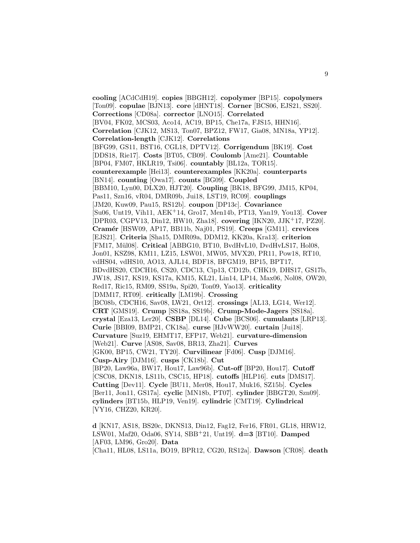**cooling** [ACdCdH19]. **copies** [BBGH12]. **copolymer** [BP15]. **copolymers** [Ton09]. **copulae** [BJN13]. **core** [dHNT18]. **Corner** [BCS06, EJS21, SS20]. **Corrections** [CD08a]. **corrector** [LNO15]. **Correlated** [BV04, FK02, MCS03, Aco14, AC19, BP15, Che17a, FJS15, HHN16]. **Correlation** [CJK12, MS13, Ton07, BPZ12, FW17, Gia08, MN18a, YP12]. **Correlation-length** [CJK12]. **Correlations** [BFG99, GS11, BST16, CGL18, DPTV12]. **Corrigendum** [BK19]. **Cost** [DDS18, Rie17]. **Costs** [BT05, CB09]. **Coulomb** [Ame21]. **Countable** [BP04, FM07, HKLR19, Tsi06]. **countably** [BL12a, TOR15]. **counterexample** [Hei13]. **counterexamples** [KK20a]. **counterparts** [BN14]. **counting** [Owa17]. **counts** [BG09]. **Coupled** [BBM10, Lyn00, DLX20, HJT20]. **Coupling** [BK18, BFG99, JM15, KP04, Pas11, Szn16, vR04, DMR09b, Jui18, LST19, RC09]. **couplings** [JM20, Kuw09, Pau15, RS12b]. **coupon** [DP13c]. **Covariance** [Su06, Unt19, Vih11, AEK<sup>+</sup>14, Gro17, Men14b, PT13, Yan19, You13]. **Cover** [DPR03, CGPV13, Din12, HW10, Zha18]. **covering** [IKN20, JJK<sup>+</sup>17, PZ20]. **Cram´er** [HSW09, AP17, BB11b, Naj01, PS19]. **Creeps** [GM11]. **crevices** [EJS21]. **Criteria** [Sha15, DMR09a, DDM12, KK20a, Kra13]. **criterion** [FM17, Mül08]. **Critical** [ABBG10, BT10, BvdHvL10, DvdHvLS17, Hol08, Jon01, KSZ98, KM11, LZ15, LSW01, MW05, MVX20, PR11, Pow18, RT10, vdHS04, vdHS10, AO13, AJL14, BDF18, BFGM19, BP15, BPT17, BDvdHS20, CDCH16, CS20, CDC13, Cip13, CD12b, CHK19, DHS17, GS17b, JW18, JS17, KS19, KS17a, KM15, KL21, Lin14, LP14, Max06, Nol08, OW20, Red17, Ric15, RM09, SS19a, Spi20, Ton09, Yao13]. **criticality** [DMM17, RT09]. **critically** [LM19b]. **Crossing** [BC08b, CDCH16, Sav08, LW21, Ort12]. **crossings** [AL13, LG14, Wer12]. **CRT** [GMS19]. **Crump** [SS18a, SS19b]. **Crump-Mode-Jagers** [SS18a]. **crystal** [Eza13, Ler20]. **CSBP** [DL14]. **Cube** [BCS06]. **cumulants** [LRP13]. **Curie** [BBI09, BMP21, CK18a]. **curse** [HJvWW20]. **curtain** [Jui18]. **Curvature** [Suz19, EHMT17, EFP17, Web21]. **curvature-dimension** [Web21]. **Curve** [AS08, Sav08, BR13, Zha21]. **Curves** [GK00, BP15, CW21, TY20]. **Curvilinear** [Fd06]. **Cusp** [DJM16]. **Cusp-Airy** [DJM16]. **cusps** [CK18b]. **Cut** [BP20, Law96a, BW17, Hou17, Law96b]. **Cut-off** [BP20, Hou17]. **Cutoff** [CSC08, DKN18, LS11b, CSC15, HP18]. **cutoffs** [HLP16]. **cuts** [DMS17]. **Cutting** [Dev11]. **Cycle** [BU11, Mer08, Hou17, Muk16, SZ15b]. **Cycles** [Ber11, Jon11, GS17a]. **cyclic** [MN18b, PT07]. **cylinder** [BBGT20, Szn09]. **cylinders** [BT15b, HLP19, Ven19]. **cylindric** [CMT19]. **Cylindrical** [VY16, CHZ20, KR20].

**d** [KN17, AS18, BS20c, DKNS13, Din12, Fag12, Fer16, FR01, GL18, HRW12, LSW01, Maf20, Oda06, SY14, SBB<sup>+</sup>21, Unt19]. **d=3** [BT10]. **Damped** [AF03, LM96, Gro20]. **Data** [Cha11, HL08, LS11a, BO19, BPR12, CG20, RS12a]. **Dawson** [CR08]. **death**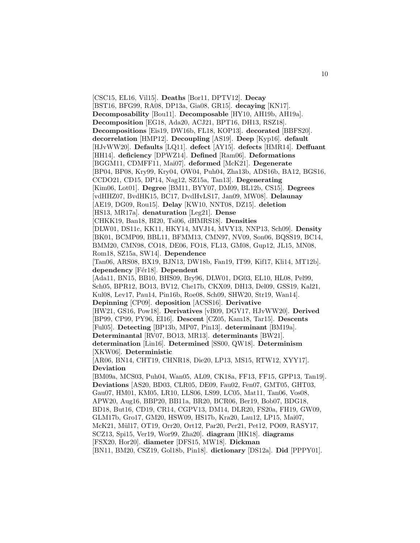[CSC15, EL16, Vil15]. **Deaths** [Bor11, DPTV12]. **Decay** [BST16, BFG99, RA08, DP13a, Gia08, GR15]. **decaying** [KN17]. **Decomposability** [Bou11]. **Decomposable** [HY10, AH19b, AH19a]. **Decomposition** [EG18, Ada20, ACJ21, BPT16, DH13, RSZ18]. **Decompositions** [Eis19, DW16b, FL18, KOP13]. **decorated** [BBFS20]. **decorrelation** [HMP12]. **Decoupling** [AS19]. **Deep** [Kyp16]. **default** [HJvWW20]. **Defaults** [LQ11]. **defect** [AY15]. **defects** [HMR14]. **Deffuant** [HH14]. **deficiency** [DPWZ14]. **Defined** [Ram06]. **Deformations** [BGGM11, CDMFF11, Mai07]. **deformed** [McK21]. **Degenerate** [BP04, BP08, Kry99, Kry04, OW04, Puh04, Zha13b, ADS16b, BA12, BGS16, CCDO21, CD15, DP14, Nag12, SZ15a, Tan13]. **Degenerating** [Kim06, Lot01]. **Degree** [BM11, BYY07, DM09, BL12b, CS15]. **Degrees** [vdHHZ07, BvdHK15, BC17, DvdHvLS17, Jan09, MW08]. **Delaunay** [AE19, DG09, Rou15]. **Delay** [KW10, NNT08, DZ15]. **deletion** [HS13, MR17a]. **denaturation** [Leg21]. **Dense** [CHKK19, Ban18, BI20, Tsi06, dHMRS18]. **Densities** [DLW01, DS11c, KK11, HKY14, MVJ14, MVY13, NNP13, Sch09]. **Density** [BK01, BCMP09, BBL11, BFMM13, CMN97, NV09, Son06, BQSS19, BC14, BMM20, CMN98, CO18, DE06, FO18, FL13, GM08, Gup12, JL15, MN08, Rom18, SZ15a, SW14]. **Dependence** [Tan06, ARS08, BX19, BJN13, DW18b, Fan19, IT99, Kif17, Kli14, MT12b]. dependency [Fér18]. **Dependent** [Ada11, BN15, BB10, BHS09, Bry96, DLW01, DG03, EL10, HL08, Pel99, Sch05, BPR12, BO13, BV12, Che17b, CKX09, DH13, Del09, GSS19, Kal21, Kul08, Lev17, Pau14, Pin16b, Roe08, Sch09, SHW20, Str19, Wan14]. **Depinning** [CP09]. **deposition** [ACSS16]. **Derivative** [HW21, GS16, Pow18]. **Derivatives** [vB09, DGV17, HJvWW20]. **Derived** [BP99, CP99, PY96, EI16]. **Descent** [CZ05, Kam18, Tar15]. **Descents** [Ful05]. **Detecting** [BP13b, MP07, Pin13]. **determinant** [BM19a]. **Determinantal** [RV07, BO13, MR13]. **determinants** [BW21]. **determination** [Lin16]. **Determined** [SS00, QW18]. **Determinism** [XKW06]. **Deterministic** [AR06, BN14, CHT19, CHNR18, Die20, LP13, MS15, RTW12, XYY17]. **Deviation** [BM09a, MCS03, Puh04, Wan05, AL09, CK18a, FF13, FF15, GPP13, Tan19]. **Deviations** [AS20, BD03, CLR05, DE09, Fau02, Fen07, GMT05, GHT03, Gau07, HM01, KM05, LR10, LLS06, LS99, LC05, Mat11, Tan06, Vos08, APW20, Aug16, BBP20, BB11a, BR20, BCR06, Ber19, Bob07, BDG18, BD18, But16, CD19, CR14, CGPV13, DM14, DLR20, FS20a, FH19, GW09, GLM17b, Gro17, GM20, HSW09, HS17b, Kra20, Lau12, LP15, Mai07, McK21, Mül17, OT19, Orr20, Ort12, Par20, Per21, Pet12, PO09, RASY17, SCZ13, Spi15, Ver19, Wor99, Zha20]. **diagram** [HK18]. **diagrams** [FSX20, Hor20]. **diameter** [DFS15, MW18]. **Dickman** [BN11, BM20, CSZ19, Gol18b, Pin18]. **dictionary** [DS12a]. **Did** [PPPY01].

10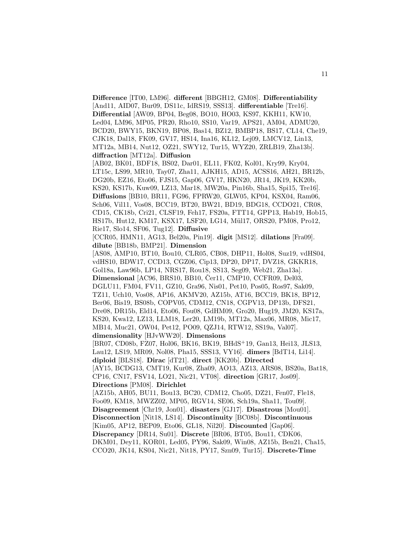**Difference** [IT00, LM96]. **different** [BBGH12, GM08]. **Differentiability** [And11, AID07, Bur09, DS11c, IdRS19, SSS13]. **differentiable** [Tre16]. **Differential** [AW09, BP04, Beg08, BO10, HO03, KS97, KKH11, KW10, Led04, LM96, MP05, PR20, Rho10, SS10, Var19, APS21, AM04, ADMU20, BCD20, BWY15, BKN19, BP08, Bas14, BZ12, BMBP18, BS17, CL14, Che19, CJK18, Dal18, FK09, GV17, HS14, Ina16, KL12, Lej09, LMCV12, Lin13, MT12a, MB14, Nut12, OZ21, SWY12, Tur15, WYZ20, ZRLB19, Zha13b]. **diffraction** [MT12a]. **Diffusion** [AB02, BK01, BDF18, BS02, Dar01, EL11, FK02, Kol01, Kry99, Kry04, LT15c, LS99, MR10, Tay07, Zha11, AJKH15, AD15, ACSS16, AH21, BR12b, DG20b, EZ16, Eto06, FJS15, Gap06, GV17, HKN20, JR14, JK19, KK20b, KS20, KS17b, Kuw09, LZ13, Mar18, MW20a, Pin16b, Sha15, Spi15, Tre16]. **Diffusions** [BB10, BR11, FG96, FPRW20, GLW05, KP04, KSX04, Ram06, Sch06, Vil11, Vos08, BCC19, BT20, BW21, BD19, BDG18, CCDO21, CR08, CD15, CK18b, Cri21, CLSF19, Feh17, FS20a, FTT14, GPP13, Hab19, Hob15, HS17b, Hut12, KM17, KSX17, LSF20, LG14, M¨ul17, ORS20, PM08, Pro12, Rie17, Slo14, SF06, Tug12]. **Diffusive** [CCR05, HMN11, AG13, Bel20a, Pin19]. **digit** [MS12]. **dilations** [Fra09]. **dilute** [BB18b, BMP21]. **Dimension** [AS08, AMP10, BT10, Bou10, CLR05, CB08, DHP11, Hol08, Suz19, vdHS04, vdHS10, BDW17, CCD13, CGZ06, Cip13, DP20, DP17, DVZ18, GKKR18, Gol18a, Law96b, LP14, NRS17, Rou18, SS13, Seg09, Web21, Zha13a]. **Dimensional** [AC96, BRS10, BB10, Cer11, CMP10, CCFR09, Del03, DGLU11, FM04, FV11, GZ10, Gra96, Nis01, Pet10, Pos05, Ros97, Sak09, TZ11, Uch10, Vos08, AP16, AKMV20, AZ15b, AT16, BCC19, BK18, BP12, Ber06, Bis19, BS08b, COPV05, CDM12, CN18, CGPV13, DP13b, DFS21, Dre08, DR15b, Eld14, Eto06, Fou08, GdHM09, Gro20, Hug19, JM20, KS17a, KS20, Kwa12, LZ13, LLM18, Ler20, LM19b, MT12a, Max06, MR08, Mic17, MB14, Muc21, OW04, Pet12, PO09, QZJ14, RTW12, SS19a, Val07]. **dimensionality** [HJvWW20]. **Dimensions** [BR07, CD08b, FZ07, Hol06, BK16, BK19, BHdS<sup>+</sup>19, Gan13, Hei13, JLS13, Lau12, LS19, MR09, Nol08, Pha15, SSS13, VY16]. **dimers** [BdT14, Li14]. **diploid** [BLS18]. **Dirac** [dT21]. **direct** [KK20b]. **Directed** [AY15, BCDG13, CMT19, Kur08, Zha09, AO13, AZ13, ARS08, BS20a, Bat18, CP16, CN17, FSV14, LO21, Nic21, VT08]. **direction** [GR17, Jos09]. **Directions** [PM08]. **Dirichlet** [AZ15b, AH05, BU11, Bou13, BC20, CDM12, Cho05, DZ21, Fen07, Fle18, Foo09, KM18, MWZZ02, MP05, RGV14, SE06, Sch19a, Sha11, Tou09]. **Disagreement** [Chr19, Jon01]. **disasters** [GJ17]. **Disastrous** [Mou01]. **Disconnection** [Nit18, LS14]. **Discontinuity** [BC08b]. **Discontinuous** [Kim05, AP12, BEP09, Eto06, GL18, Nil20]. **Discounted** [Gap06]. **Discrepancy** [DR14, Su01]. **Discrete** [BR06, BT05, Bou11, CDK06, DKM01, Dey11, KOR01, Led05, PY96, Sak09, Win08, AZ15b, Ben21, Cha15, CCO20, JK14, KS04, Nic21, Nit18, PY17, Szn09, Tur15]. **Discrete-Time**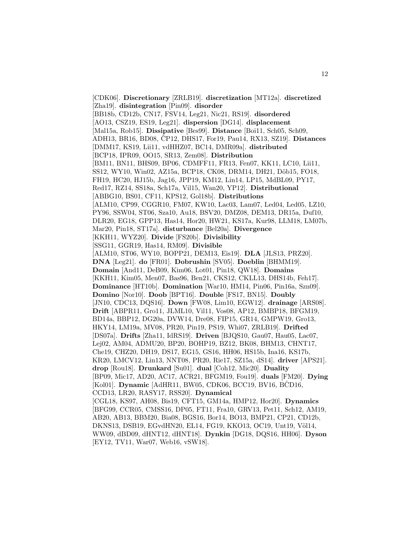[CDK06]. **Discretionary** [ZRLB19]. **discretization** [MT12a]. **discretized** [Zha19]. **disintegration** [Pin09]. **disorder** [BB18b, CD12b, CN17, FSV14, Leg21, Nic21, RS19]. **disordered** [AO13, CSZ19, ES19, Leg21]. **dispersion** [DG14]. **displacement** [Mal15a, Rob15]. **Dissipative** [Bes99]. **Distance** [Boi11, Sch05, Sch09, ADH13, BR16, BD08, ČP12, DHS17, For19, Pau14, RX13, SZ19. Distances [DMM17, KS19, Lii11, vdHHZ07, BC14, DMR09a]. **distributed** [BCP18, IPR09, OO15, SR13, Zem08]. **Distribution** [BM11, BN11, BHS09, BP06, CDMFF11, FR13, Fen07, KK11, LC10, Lii11, SS12, WY10, Win02, AZ15a, BCP18, CK08, DRM14, DH21, Döb15, FO18, FH19, HC20, HJ15b, Jag16, JPP19, KM12, Lin14, LP15, MdBL09, PY17, Red17, RZ14, SS18a, Sch17a, Vil15, Wan20, YP12]. **Distributional** [ABBG10, BS01, CF11, KPS12, Gol18b]. **Distributions** [ALM10, CP99, CGGR10, FM07, KW10, Lac03, Lam07, Led04, Led05, LZ10, PY96, SSW04, ST06, Sza10, Au18, BSV20, DMZ08, DEM13, DR15a, Duf10, DLR20, EG18, GPP13, Has14, Hor20, HW21, KS17a, Kur98, LLM18, LM07b, Mar20, Pin18, ST17a]. **disturbance** [Bel20a]. **Divergence** [KKH11, WYZ20]. **Divide** [FS20b]. **Divisibility** [SSG11, GGR19, Has14, RM09]. **Divisible** [ALM10, ST06, WY10, BOPP21, DEM13, Eis19]. **DLA** [JLS13, PRZ20]. **DNA** [Leg21]. **do** [FR01]. **Dobrushin** [SV05]. **Doeblin** [BHMM19]. **Domain** [And11, DeB09, Kim06, Lot01, Pin18, QW18]. **Domains** [KKH11, Kim05, Men07, Bas96, Ben21, CKS12, CKLL13, DHS14b, Feh17]. **Dominance** [HT10b]. **Domination** [War10, HM14, Pin06, Pin16a, Szn09]. **Domino** [Nor10]. **Doob** [BPT16]. **Double** [FS17, BN15]. **Doubly** [JN10, CDC13, DQS16]. **Down** [FW08, Lim10, EGW12]. **drainage** [ARS08]. **Drift** [ABPR11, Gro11, JLML10, Vil11, Vos08, AP12, BMBP18, BFGM19, BD14a, BBP12, DG20a, DVW14, Dre08, FIP15, GR14, GMPW19, Gro13, HKY14, LM19a, MV08, PR20, Pin19, PS19, Whi07, ZRLB19]. **Drifted** [DS07a]. **Drifts** [Zha11, IdRS19]. **Driven** [BJQS10, Gau07, Hau05, Lac07, Lej02, AM04, ADMU20, BP20, BOHP19, BZ12, BK08, BHM13, CHNT17, Che19, CHZ20, DH19, DS17, EG15, GS16, HH06, HS15b, Ina16, KS17b, KR20, LMCV12, Lin13, NNT08, PR20, Rie17, SZ15a, dS14]. **driver** [APS21]. **drop** [Rou18]. **Drunkard** [Su01]. **dual** [Coh12, Mic20]. **Duality** [BP09, Mic17, AD20, AC17, ACR21, BFGM19, Fou19]. **duals** [FM20]. **Dying** [Kol01]. **Dynamic** [AdHR11, BW05, CDK06, BCC19, BV16, BČD16, CCD13, LR20, RASY17, RSS20]. **Dynamical** [CGL18, KS97, AH08, Bis19, CFT15, GM14a, HMP12, Hor20]. **Dynamics** [BFG99, CCR05, CMSS16, DP05, FT11, Fra10, GRV13, Pet11, Sch12, AM19, AB20, AB13, BBM20, Bia08, BGS16, Bor14, BO13, BMP21, CP21, CD12b, DKNS13, DSB19, EGvdHN20, EL14, FG19, KKO13, OC19, Unt19, Völ14, WW09, dBD09, dHNT12, dHNT18]. **Dynkin** [DG18, DQS16, HH06]. **Dyson** [EY12, TV11, War07, Web16, vSW18].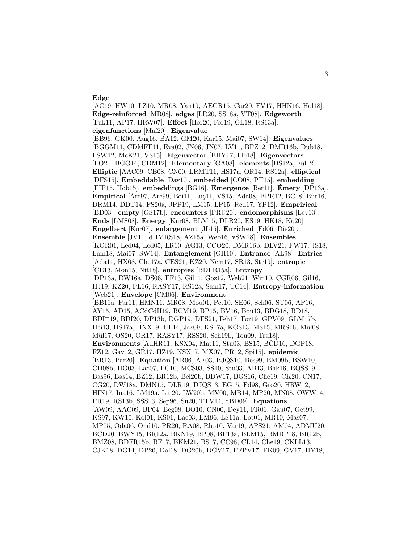## **Edge**

[AC19, HW10, LZ10, MR08, Yan19, AEGR15, Car20, FV17, HHN16, Hol18]. **Edge-reinforced** [MR08]. **edges** [LR20, SS18a, VT08]. **Edgeworth** [Fuk11, AP17, HRW07]. **Effect** [Hor20, For19, GL18, RS13a]. **eigenfunctions** [Maf20]. **Eigenvalue** [BB96, GK00, Aug16, BA12, GM20, Kar15, Mai07, SW14]. **Eigenvalues** [BGGM11, CDMFF11, Eva02, JN06, JN07, LV11, BPZ12, DMR16b, Dub18, LSW12, McK21, VS15]. **Eigenvector** [BHY17, Fle18]. **Eigenvectors** [LO21, BGG14, CDM12]. **Elementary** [GA08]. **elements** [DS12a, Ful12]. **Elliptic** [AAC09, CB08, CN00, LRMT11, HS17a, OR14, RS12a]. **elliptical** [DFS15]. **Embeddable** [Dav10]. **embedded** [CO08, PT15]. **embedding** [FIP15, Hob15]. **embeddings** [BG16]. **Emergence** [Ber11]. **Emery ´** [DP13a]. Empirical [Arc97, Arc99, Boi11, Luç11, VS15, Ada08, BPR12, BC18, But16, DRM14, DDT14, FS20a, JPP19, LM15, LP15, Red17, YP12]. **Emprirical** [BD03]. **empty** [GS17b]. **encounters** [PRU20]. **endomorphisms** [Lev13]. **Ends** [LMS08]. **Energy** [Kur08, BLM15, DLR20, ES19, HK18, Ko20]. **Engelbert** [Kur07]. **enlargement** [JL15]. **Enriched** [Fd06, Die20]. **Ensemble** [JV11, dHMRS18, AZ15a, Web16, vSW18]. **Ensembles** [KOR01, Led04, Led05, LR10, AG13, CCO20, DMR16b, DLV21, FW17, JS18, Lam18, Mai07, SW14]. **Entanglement** [GH10]. **Entrance** [AL98]. **Entries** [Ada11, HX08, Che17a, CES21, KZ20, Nem17, SR13, Str19]. **entropic** [CE13, Mon15, Nit18]. **entropies** [BDFR15a]. **Entropy** [DP13a, DW16a, DS06, FF13, Gil11, Goz12, Web21, Win10, CGR06, Gil16, HJ19, KZ20, PL16, RASY17, RS12a, Sam17, TC14]. **Entropy-information** [Web21]. **Envelope** [CM06]. **Environment** [BB11a, Far11, HMN11, MR08, Mou01, Pet10, SE06, Sch06, ST06, AP16, AY15, AD15, ACdCdH19, BCM19, BP15, BV16, Bou13, BDG18, BD18, BDI<sup>+</sup>19, BDI20, DP13b, DGP19, DFS21, Feh17, For19, GPV09, GLM17b, Hei13, HS17a, HNX19, HL14, Jos09, KS17a, KGS13, MS15, MRS16, Mül08, Mül17, OS20, OR17, RASY17, RSS20, Sch19b, Tou09, Tra18]. **Environments** [AdHR11, KSX04, Mat11, Stu03, BS15, BCD16, DGP18, FZ12, Gay12, GR17, HZ19, KSX17, MX07, PR12, Spi15]. **epidemic** [BR13, Par20]. **Equation** [AR06, AF03, BJQS10, Bes99, BM09b, BSW10, CD08b, HO03, Lac07, LC10, MCS03, SS10, Stu03, AB13, Bak16, BQSS19, Bas96, Bas14, BZ12, BR12b, Bel20b, BDW17, BGS16, Che19, CK20, CN17, CG20, DW18a, DMN15, DLR19, DJQS13, EG15, Fd98, Gro20, HRW12, HIN17, Ina16, LM19a, Lin20, LW20b, MV00, MB14, MP20, MN08, OWW14, PR19, RS13b, SSS13, Sep96, Su20, TTV14, dBD09]. **Equations** [AW09, AAC09, BP04, Beg08, BO10, CN00, Dey11, FR01, Gau07, Get99, KS97, KW10, Kol01, KS01, Lac03, LM96, LS11a, Lot01, MR10, Mas07, MP05, Oda06, Ond10, PR20, RA08, Rho10, Var19, APS21, AM04, ADMU20, BCD20, BWY15, BR12a, BKN19, BP08, BP13a, BLM15, BMBP18, BR12b, BMZ08, BDFR15b, BF17, BKM21, BS17, CC98, CL14, Che19, CKLL13, CJK18, DG14, DP20, Dal18, DG20b, DGV17, FFPV17, FK09, GV17, HY18,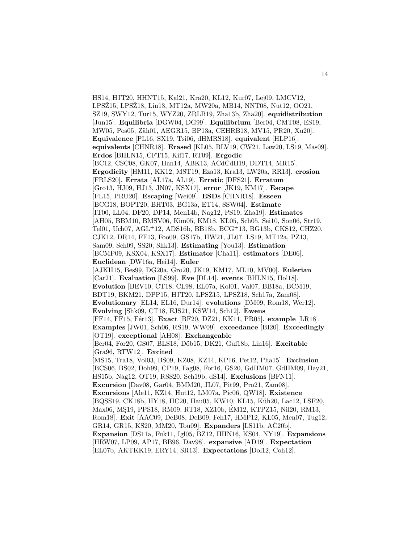HS14, HJT20, HHNT15, Kal21, Kra20, KL12, Kur07, Lej09, LMCV12, LPSŽ15, LPSŽ18, Lin13, MT12a, MW20a, MB14, NNT08, Nut12, OO21, SZ19, SWY12, Tur15, WYZ20, ZRLB19, Zha13b, Zha20]. **equidistribution** [Jun15]. **Equilibria** [DGW04, DG99]. **Equilibrium** [Ber04, CMT08, ES19, MW05, Pos05, Zäh01, AEGR15, BP13a, CEHRB18, MV15, PR20, Xu20]. **Equivalence** [PL16, SX19, Tsi06, dHMRS18]. **equivalent** [HLP16]. **equivalents** [CHNR18]. **Erased** [KL05, BLV19, CW21, Law20, LS19, Mas09]. **Erdos** [BHLN15, CFT15, Kif17, RT09]. **Ergodic** [BC12, CSC08, GK07, Han14, ABK13, ACdCdH19, DDT14, MR15]. **Ergodicity** [HM11, KK12, MST19, Eza13, Kra13, LW20a, RR13]. **erosion** [FRLS20]. **Errata** [AL17a, AL19]. **Erratic** [DFS21]. **Erratum** [Gro13, HJ09, HJ13, JN07, KSX17]. **error** [JK19, KM17]. **Escape** [FL15, PRU20]. **Escaping** [Wei09]. **ESDs** [CHNR18]. **Esseen** [BCG18, BOPT20, BHT03, BG13a, ET14, SSW04]. **Estimate** [IT00, LL04, DF20, DP14, Men14b, Nag12, PS19, Zha19]. **Estimates** [AH05, BBM10, BMSV06, Kim05, KM18, KL05, Sch05, Sei10, Son06, Str19, Tel01, Uch07, AGL<sup>+</sup>12, ADS16b, BB18b, BCG<sup>+</sup>13, BG13b, CKS12, CHZ20, CJK12, DR14, FF13, Foo09, GS17b, HW21, JL07, LS19, MT12a, PZ13, Sam09, Sch09, SS20, Shk13]. **Estimating** [You13]. **Estimation** [BCMP09, KSX04, KSX17]. **Estimator** [Cha11]. **estimators** [DE06]. **Euclidean** [DW16a, Hei14]. **Euler** [AJKH15, Bes99, DG20a, Gro20, JK19, KM17, ML10, MV00]. **Eulerian** [Car21]. **Evaluation** [LS99]. **Eve** [DL14]. **events** [BHLN15, Hol18]. **Evolution** [BEV10, CT18, CL98, EL07a, Kol01, Val07, BB18a, BCM19, BDT19, BKM21, DPP15, HJT20, LPSŽ15, LPSŽ18, Sch17a, Zam08]. **Evolutionary** [EL14, EL16, Dur14]. **evolutions** [DM09, Rom18, Wer12]. **Evolving** [Shk09, CT18, EJS21, KSW14, Sch12]. **Ewens** [FF14, FF15, F´er13]. **Exact** [BF20, DZ21, KK11, PR05]. **example** [LR18]. **Examples** [JW01, Sch06, RS19, WW09]. **exceedance** [BI20]. **Exceedingly** [OT19]. **exceptional** [AH08]. **Exchangeable** [Ber04, For20, GS07, BLS18, Döb15, DK21, Guf18b, Lin16]. **Excitable** [Gra96, RTW12]. **Excited** [MS15, Tra18, Vol03, BS09, KZ08, KZ14, KP16, Pet12, Pha15]. **Exclusion** [BCS06, BS02, Doh99, CP19, Fag08, For16, GS20, GdHM07, GdHM09, Hay21, HS15b, Nag12, OT19, RSS20, Sch19b, dS14]. **Exclusions** [BFN11]. **Excursion** [Dav08, Gar04, BMM20, JL07, Pit99, Pro21, Zam08]. **Excursions** [Ale11, KZ14, Hut12, LM07a, Pic06, QW18]. **Existence** [BQSS19, CK18b, HY18, HC20, Hau05, KW10, KL15, Küh20, Lac12, LSF20, Max06, MŞ19, PPS18, RM09, RT18, XZ10b, ÉM12, KTPZ15, Nil20, RM13, Rom18]. **Exit** [AAC09, DeB08, DeB09, Feh17, HMP12, KL05, Men07, Tug12, GR14, GR15, KS20, MM20, Tou09]. **Expanders** [LS11b, AČ20b]. **Expansion** [DS11a, Fuk11, Igl05, BZ12, HHN16, KS04, NY19]. **Expansions** [HRW07, LP09, AP17, BB96, Dav98]. **expansive** [AD19]. **Expectation** [EL07b, AKTKK19, ERY14, SR13]. **Expectations** [Dol12, Coh12].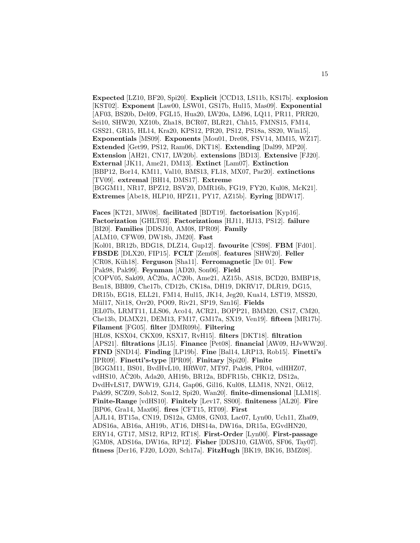**Expected** [LZ10, BF20, Spi20]. **Explicit** [CCD13, LS11b, KS17b]. **explosion** [KST02]. **Exponent** [Law00, LSW01, GS17b, Hul15, Mas09]. **Exponential** [AF03, BS20b, Del09, FGL15, Hua20, LW20a, LM96, LQ11, PR11, PRR20, Sei10, SHW20, XZ10b, Zha18, BCR07, BLR21, Chh15, FMNS15, FM14, GSS21, GR15, HL14, Kra20, KPS12, PR20, PS12, PS18a, SS20, Win15]. **Exponentials** [MS09]. **Exponents** [Mou01, Dre08, FSV14, MM15, WZ17]. **Extended** [Get99, PS12, Ram06, DKT18]. **Extending** [Dal99, MP20]. **Extension** [AH21, CN17, LW20b]. **extensions** [BD13]. **Extensive** [FJ20]. **External** [JK11, Ame21, DM13]. **Extinct** [Lam07]. **Extinction** [BBP12, Bor14, KM11, Val10, BMS13, FL18, MX07, Par20]. **extinctions** [TV09]. **extremal** [BH14, DMS17]. **Extreme** [BGGM11, NR17, BPZ12, BSV20, DMR16b, FG19, FY20, Kul08, McK21]. **Extremes** [Abe18, HLP10, HPZ11, PY17, AZ15b]. **Eyring** [BDW17].

**Faces** [KT21, MW08]. **facilitated** [BDT19]. **factorisation** [Kyp16]. **Factorization** [GHLT03]. **Factorizations** [HJ11, HJ13, PS12]. **failure** [BI20]. **Families** [DDSJ10, AM08, IPR09]. **Family** [ALM10, CFW09, DW18b, JM20]. **Fast** [Kol01, BR12b, BDG18, DLZ14, Gup12]. **favourite** [CS98]. **FBM** [Fd01]. **FBSDE** [DLX20, FIP15]. **FCLT** [Zem08]. **features** [SHW20]. **Feller** [CR08, K¨uh18]. **Ferguson** [Sha11]. **Ferromagnetic** [De 01]. **Few** [Pak98, Pak99]. **Feynman** [AD20, Son06]. **Field** [COPV05, Sak09, AC20a, AC20b, Ame21, AZ15b, AS18, BCD20, BMBP18, Ben18, BBI09, Che17b, CD12b, CK18a, DH19, DKRV17, DLR19, DG15, DR15b, EG18, ELL21, FM14, Hul15, JK14, Jeg20, Kua14, LST19, MSS20, M¨ul17, Nit18, Orr20, PO09, Riv21, SP19, Szn16]. **Fields** [EL07b, LRMT11, LLS06, Aco14, ACR21, BOPP21, BMM20, CS17, CM20, Che13b, DLMX21, DEM13, FM17, GM17a, SX19, Ven19]. **fifteen** [MR17b]. **Filament** [FG05]. **filter** [DMR09b]. **Filtering** [HL08, KSX04, CKX09, KSX17, RvH15]. **filters** [DKT18]. **filtration** [APS21]. **filtrations** [JL15]. **Finance** [Pet08]. **financial** [AW09, HJvWW20]. **FIND** [SND14]. **Finding** [LP19b]. **Fine** [Bal14, LRP13, Rob15]. **Finetti's** [IPR09]. **Finetti's-type** [IPR09]. **Finitary** [Spi20]. **Finite** [BGGM11, BS01, BvdHvL10, HRW07, MT97, Pak98, PR04, vdHHZ07, vdHS10, AČ20b, Ada20, AH19b, BR12a, BDFR15b, CHK12, DS12a, DvdHvLS17, DWW19, GJ14, Gap06, Gil16, Kul08, LLM18, NN21, Oli12, Pak99, SCZ09, Sob12, Son12, Spi20, Wan20]. **finite-dimensional** [LLM18]. **Finite-Range** [vdHS10]. **Finitely** [Lev17, SS00]. **finiteness** [AL20]. **Fire** [BP06, Gra14, Max06]. **fires** [CFT15, RT09]. **First** [AJL14, BT15a, CN19, DS12a, GM08, GN03, Lac07, Lyn00, Uch11, Zha09, ADS16a, AB16a, AH19b, AT16, DHS14a, DW16a, DR15a, EGvdHN20, ERY14, GT17, MS12, RP12, RT18]. **First-Order** [Lyn00]. **First-passage** [GM08, ADS16a, DW16a, RP12]. **Fisher** [DDSJ10, GLW05, SF06, Tay07].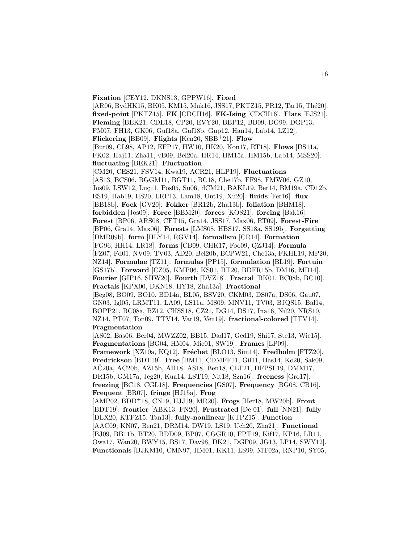**Fixation** [CEY12, DKNS13, GPPW16]. **Fixed** [AR06, BvdHK15, BK05, KM15, Muk16, JSS17, PKTZ15, PR12, Tar15, Thé20]. **fixed-point** [PKTZ15]. **FK** [CDCH16]. **FK-Ising** [CDCH16]. **Flats** [EJS21]. **Fleming** [BEK21, CDE18, CP20, EVY20, BBP12, BB09, DG99, DGP13, FM07, FH13, GK06, Guf18a, Guf18b, Gup12, Han14, Lab14, LZ12]. **Flickering** [BB09]. **Flights** [Ken20, SBB<sup>+</sup>21]. **Flow** [Bur09, CL98, AP12, EFP17, HW10, HK20, Kon17, RT18]. **Flows** [DS11a, FK02, Haj11, Zha11, vB09, Bel20a, HR14, HM15a, HM15b, Lab14, MSS20]. **fluctuating** [BEK21]. **Fluctuation** [CM20, CES21, FSV14, Kwa19, ACR21, HLP19]. **Fluctuations** [AS13, BCS06, BGGM11, BGT11, BC18, Che17b, FF98, FMW06, GZ10, Jos09, LSW12, Luç11, Pos05, Su06, dCM21, BAKL19, Ber14, BM19a, CD12b, ES19, Hab19, HS20, LRP13, Lam18, Unt19, Xu20]. **fluids** [Fer16]. **flux** [BB18b]. **Fock** [GV20]. **Fokker** [BR12b, Zha13b]. **foliation** [BHM18]. **forbidden** [Jos09]. **Force** [BBM20]. **forces** [KOS21]. **forcing** [Bak16]. **Forest** [BP06, ARS08, CFT15, Gra14, JSS17, Max06, RT09]. **Forest-Fire** [BP06, Gra14, Max06]. **Forests** [LMS08, HBS17, SS18a, SS19b]. **Forgetting** [DMR09b]. **form** [HLY14, RGV14]. **formalism** [CR14]. **Formation** [FG96, HH14, LR18]. **forms** [CB09, CHK17, Foo09, QZJ14]. **Formula** [FZ07, Fd01, NV09, TV03, AD20, Bel20b, BCPW21, Che13a, FKHL19, MP20, NZ14]. **Formulae** [TZ11]. **formulas** [PP15]. **formulation** [BL19]. **Fortuin** [GS17b]. **Forward** [CZ05, KMP06, KS01, BT20, BDFR15b, DM16, MB14]. **Fourier** [GIP16, SHW20]. **Fourth** [DVZ18]. **Fractal** [BK01, BC08b, BC10]. **Fractals** [KPX00, DKN18, HY18, Zha13a]. **Fractional** [Beg08, BO09, BO10, BD14a, BL05, BSV20, CKM03, DS07a, DS06, Gau07, GN03, Igl05, LRMT11, LA09, LS11a, MS09, MNV11, TV03, BJQS15, Bal14, BOPP21, BC08a, BZ12, CHSS18, CZ21, DG14, DS17, Ina16, Nil20, NRS10, NZ14, PT07, Ton09, TTV14, Var19, Ven19]. **fractional-colored** [TTV14]. **Fragmentation** [AS02, Bas06, Ber04, MWZZ02, BB15, Dad17, Ged19, Shi17, Ste13, Wie15]. **Fragmentations** [BG04, HM04, Mie01, SW19]. **Frames** [LP09]. **Framework** [XZ10a, KQ12]. **Fréchet** [BLO13, Sim14]. **Fredholm** [FTZ20]. **Fredrickson** [BDT19]. **Free** [BM11, CDMFF11, Gil11, Has14, Ko20, Sak09, AC20a, AC20b, AZ15b, AH18, AS18, Ben18, CLT21, DFPSL19, DMM17, DR15b, GM17a, Jeg20, Kua14, LST19, Nit18, Szn16]. **freeness** [Gro17]. **freezing** [BC18, CGL18]. **Frequencies** [GS07]. **Frequency** [BG08, CB16]. **Frequent** [BR07]. **fringe** [HJ15a]. **Frog** [AMP02, BDD<sup>+</sup>18, CN19, HJJ19, MR20]. **Frogs** [Her18, MW20b]. **Front** [BDT19]. **frontier** [ABK13, FN20]. **Frustrated** [De 01]. **full** [NN21]. **fully** [DLX20, KTPZ15, Tan13]. **fully-nonlinear** [KTPZ15]. **Function** [AAC09, KN07, Ben21, DRM14, DW19, LS19, Uch20, Zha21]. **Functional** [BJ09, BB11b, BT20, BDD09, BP07, CGGR10, FPT19, Kif17, KP16, LR11, Owa17, Wan20, BWY15, BS17, Dav98, DK21, DGP09, JG13, LP14, SWY12]. **Functionals** [BJKM10, CMN97, HM01, KK11, LS99, MT02a, RNP10, SY05,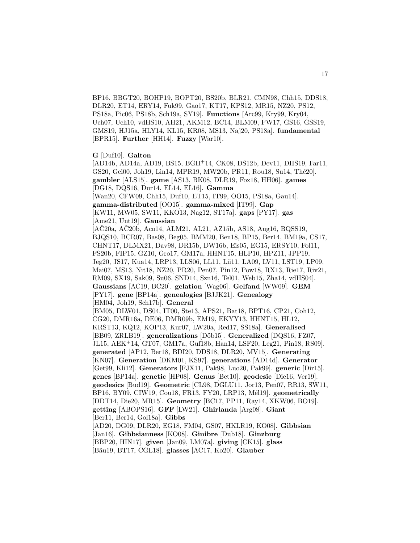BP16, BBGT20, BOHP19, BOPT20, BS20b, BLR21, CMN98, Chh15, DDS18, DLR20, ET14, ERY14, Fuk99, Gao17, KT17, KPS12, MR15, NZ20, PS12, PS18a, Pic06, PS18b, Sch19a, SY19]. **Functions** [Arc99, Kry99, Kry04, Uch07, Uch10, vdHS10, AH21, AKM12, BC14, BLM09, FW17, GS16, GSS19, GMS19, HJ15a, HLY14, KL15, KR08, MS13, Naj20, PS18a]. **fundamental** [BPR15]. **Further** [HH14]. **Fuzzy** [War10].

**G** [Duf10]. **Galton**

[AD14b, AD14a, AD19, BS15, BGH<sup>+</sup>14, CK08, DS12b, Dev11, DHS19, Far11, GS20, Gei00, Joh19, Lin14, MPR19, MW20b, PR11, Rou18, Su14, Thé20. **gambler** [ALS15]. **game** [AS13, BK08, DLR19, Fox18, HH06]. **games** [DG18, DQS16, Dur14, EL14, EL16]. **Gamma** [Wan20, CFW09, Chh15, Duf10, ET15, IT99, OO15, PS18a, Gau14]. **gamma-distributed** [OO15]. **gamma-mixed** [IT99]. **Gap** [KW11, MW05, SW11, KKO13, Nag12, ST17a]. **gaps** [PY17]. **gas** [Ame21, Unt19]. **Gaussian**  $[AC20a, AC20b, Aco14, ALM21, AL21, AZ15b, AS18, Aug16, BQSS19,$ BJQS10, BCR07, Bas08, Beg05, BMM20, Ben18, BP15, Ber14, BM19a, CS17, CHNT17, DLMX21, Dav98, DR15b, DW16b, Eis05, EG15, ERSY10, Fol11, FS20b, FIP15, GZ10, Gro17, GM17a, HHNT15, HLP10, HPZ11, JPP19, Jeg20, JS17, Kua14, LRP13, LLS06, LL11, Lii11, LA09, LV11, LST19, LP09, Mai07, MS13, Nit18, NZ20, PR20, Pen07, Pin12, Pow18, RX13, Rie17, Riv21, RM09, SX19, Sak09, Su06, SND14, Szn16, Tel01, Web15, Zha14, vdHS04]. **Gaussians** [AC19, BC20]. **gelation** [Wag06]. **Gelfand** [WW09]. **GEM** [PY17]. **gene** [BP14a]. **genealogies** [BJJK21]. **Genealogy** [HM04, Joh19, Sch17b]. **General** [BM05, DLW01, DS04, IT00, Ste13, APS21, Bat18, BPT16, CP21, Coh12, CG20, DMR16a, DE06, DMR09b, EM19, EKYY13, HHNT15, HL12, KRST13, KQ12, KOP13, Kur07, LW20a, Red17, SS18a]. **Generalised** [BB09, ZRLB19]. generalizations [Döb15]. Generalized [DQS16, FZ07, JL15, AEK<sup>+</sup>14, GT07, GM17a, Guf18b, Han14, LSF20, Leg21, Pin18, RS09]. **generated** [AP12, Ber18, BDI20, DDS18, DLR20, MV15]. **Generating** [KN07]. **Generation** [DKM01, KS97]. **generations** [AD14d]. **Generator** [Get99, Kli12]. **Generators** [FJX11, Pak98, Luo20, Pak99]. **generic** [Dir15]. **genes** [BP14a]. **genetic** [HP08]. **Genus** [Bet10]. **geodesic** [Die16, Ver19]. **geodesics** [Bud19]. **Geometric** [CL98, DGLU11, Jor13, Pen07, RR13, SW11, BP16, BY09, CIW19, Cou18, FR13, FY20, LRP13, M´el19]. **geometrically** [DDT14, Die20, MR15]. **Geometry** [BC17, PP11, Ray14, XKW06, BO19]. **getting** [ABOPS16]. **GFF** [LW21]. **Ghirlanda** [Arg08]. **Giant** [Ber11, Ber14, Gol18a]. **Gibbs** [AD20, DG09, DLR20, EG18, FM04, GS07, HKLR19, KO08]. **Gibbsian** [Jan16]. **Gibbsianness** [KO08]. **Ginibre** [Dub18]. **Ginzburg** [BBP20, HIN17]. **given** [Jan09, LM07a]. **giving** [CK15]. **glass** [B¨au19, BT17, CGL18]. **glasses** [AC17, Ko20]. **Glauber**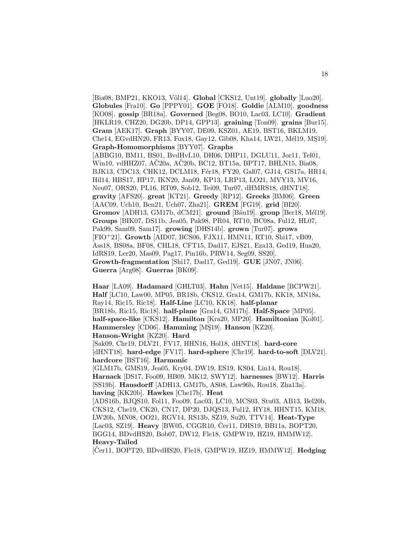[Bia08, BMP21, KKO13, Völ14]. **Global** [CKS12, Unt19]. **globally** [Luo20]. **Globules** [Fra10]. **Go** [PPPY01]. **GOE** [FO18]. **Goldie** [ALM10]. **goodness** [KO08]. **gossip** [BR18a]. **Governed** [Beg08, BO10, Lac03, LC10]. **Gradient** [HKLR19, CHZ20, DG20b, DP14, GPP13]. **graining** [Ton09]. **grains** [Bur15]. **Gram** [AEK17]. **Graph** [BYY07, DE09, KSZ01, AE19, BST16, BKLM19, Che14, EGvdHN20, FR13, Fox18, Gay12, Gib08, Kha14, LW21, Mél19, MŞ19]. **Graph-Homomorphisms** [BYY07]. **Graphs** [ABBG10, BM11, BS01, BvdHvL10, DH06, DHP11, DGLU11, Jor11, Tel01, Win10, vdHHZ07, AČ20a, AČ20b, BC12, BT15a, BPT17, BHLN15, Bia08, BJK13, CDC13, CHK12, DCLM18, Fér18, FY20, Gal07, GJ14, GS17a, HR14, Hil14, HBS17, HP17, IKN20, Jan09, KP13, LRP13, LO21, MVY13, MV16, Neu07, ORS20, PL16, RT09, Sob12, Tei09, Tur07, dHMRS18, dHNT18]. **gravity** [AFS20]. **great** [KT21]. **Greedy** [RP12]. **Greeks** [BM06]. **Green** [AAC09, Uch10, Ben21, Uch07, Zha21]. **GREM** [FG19]. **grid** [BI20]. **Gromov** [ADH13, GM17b, dCM21]. **ground** [Bäu19]. **group** [Ber18, Mél19]. **Groups** [BIK07, DS11b, Jea05, Pak98, PR04, RT10, BC08a, Ful12, HL07, Pak99, Sam09, Sam17]. **growing** [DHS14b]. **grown** [Tur07]. **grows** [FIO<sup>+</sup>21]. **Growth** [AID07, BCS06, FJX11, HMN11, RT10, Shi17, vB09, Ass18, BS08a, BF08, CHL18, CFT15, Dad17, EJS21, Eza13, Ged19, Hua20, IdRS19, Ler20, Mas09, Pag17, Pin16b, PRW14, Seg09, SS20]. **Growth-fragmentation** [Shi17, Dad17, Ged19]. **GUE** [JN07, JN06]. **Guerra** [Arg08]. **Guerras** [BK09].

**Haar** [LA09]. **Hadamard** [GHLT03]. **Hahn** [Vet15]. **Haldane** [BCPW21]. **Half** [LC10, Law00, MP05, BR18b, CKS12, Gra14, GM17b, KK18, MN18a, Ray14, Ric15, Ric18]. **Half-Line** [LC10, KK18]. **half-planar** [BR18b, Ric15, Ric18]. **half-plane** [Gra14, GM17b]. **Half-Space** [MP05]. **half-space-like** [CKS12]. **Hamilton** [Kra20, MP20]. **Hamiltonian** [Kol01]. **Hammersley** [CD06]. **Hamming** [M¸S19]. **Hanson** [KZ20]. **Hanson-Wright** [KZ20]. **Hard** [Sak09, Chr19, DLV21, FV17, HHN16, Hol18, dHNT18]. **hard-core** [dHNT18]. **hard-edge** [FV17]. **hard-sphere** [Chr19]. **hard-to-soft** [DLV21]. **hardcore** [BST16]. **Harmonic** [GLM17b, GMS19, Jea05, Kry04, DW19, ES19, KS04, Lin14, Rou18]. **Harnack** [DS17, Foo09, HB09, MK12, SWY12]. **harnesses** [BW12]. **Harris** [SS19b]. **Hausdorff** [ADH13, GM17b, AS08, Law96b, Rou18, Zha13a]. **having** [KK20b]. **Hawkes** [Che17b]. **Heat**

[ADS16b, BJQS10, Fol11, Foo09, Lac03, LC10, MCS03, Stu03, AB13, Bel20b, CKS12, Che19, CK20, CN17, DP20, DJQS13, Ful12, HY18, HHNT15, KM18, LW20b, MN08, OO21, RGV14, RS13b, SZ19, Su20, TTV14]. **Heat-Type** [Lac03, SZ19]. **Heavy** [BW05, CGGR10, Čer11, DHS19, BB11a, BOPT20, BGG14, BDvdHS20, Bob07, DW12, Fle18, GMPW19, HZ19, HMMW12]. **Heavy-Tailed**

 $[\text{Čer11}, BOPT20, BDvdHS20, File18, GMPW19, HZ19, HMMW12].$  **Hedging**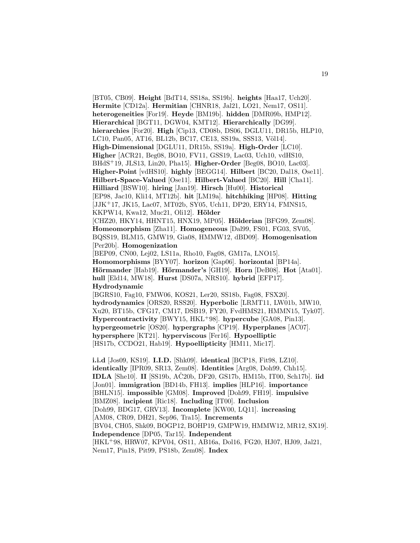[BT05, CB09]. **Height** [BdT14, SS18a, SS19b]. **heights** [Haa17, Uch20]. **Hermite** [CD12a]. **Hermitian** [CHNR18, Jal21, LO21, Nem17, OS11]. **heterogeneities** [For19]. **Heyde** [BM19b]. **hidden** [DMR09b, HMP12]. **Hierarchical** [BGT11, DGW04, KMT12]. **Hierarchically** [DG99]. **hierarchies** [For20]. **High** [Cip13, CD08b, DS06, DGLU11, DR15b, HLP10, LC10, Pan05, AT16, BL12b, BC17, CE13, SS19a, SSS13, Völ14]. **High-Dimensional** [DGLU11, DR15b, SS19a]. **High-Order** [LC10]. **Higher** [ACR21, Beg08, BO10, FV11, GSS19, Lac03, Uch10, vdHS10, BHdS<sup>+</sup>19, JLS13, Lin20, Pha15]. **Higher-Order** [Beg08, BO10, Lac03]. **Higher-Point** [vdHS10]. **highly** [BEGG14]. **Hilbert** [BC20, Dal18, Ose11]. **Hilbert-Space-Valued** [Ose11]. **Hilbert-Valued** [BC20]. **Hill** [Cha11]. **Hilliard** [BSW10]. **hiring** [Jan19]. **Hirsch** [Hu00]. **Historical** [EP98, Jac10, Kli14, MT12b]. **hit** [LM19a]. **hitchhiking** [HP08]. **Hitting** [JJK<sup>+</sup>17, JK15, Lac07, MT02b, SY05, Uch11, DP20, ERY14, FMNS15, KKPW14, Kwa12, Muc21, Oli12]. **Hölder** [CHZ20, HKY14, HHNT15, HNX19, MP05]. **Hölderian** [BFG99, Zem08]. **Homeomorphism** [Zha11]. **Homogeneous** [Dal99, FS01, FG03, SV05, BQSS19, BLM15, GMW19, Gia08, HMMW12, dBD09]. **Homogenisation** [Per20b]. **Homogenization** [BEP09, CN00, Lej02, LS11a, Rho10, Fag08, GM17a, LNO15]. **Homomorphisms** [BYY07]. **horizon** [Gap06]. **horizontal** [BP14a]. **Hörmander** [Hab19]. **Hörmander's** [GH19]. **Horn** [DeB08]. **Hot** [Ata01]. **hull** [Eld14, MW18]. **Hurst** [DS07a, NRS10]. **hybrid** [EFP17]. **Hydrodynamic** [BGRS10, Fag10, FMW06, KOS21, Ler20, SS18b, Fag08, FSX20]. **hydrodynamics** [ORS20, RSS20]. **Hyperbolic** [LRMT11, LW01b, MW10, Xu20, BT15b, CFG17, CM17, DSB19, FY20, FvdHMS21, HMMN15, Tyk07]. **Hypercontractivity** [BWY15, HKL<sup>+</sup>98]. **hypercube** [GA08, Pin13]. **hypergeometric** [OS20]. **hypergraphs** [CP19]. **Hyperplanes** [AC07]. **hypersphere** [KT21]. **hyperviscous** [Fer16]. **Hypoelliptic** [HS17b, CCDO21, Hab19]. **Hypoellipticity** [HM11, Mic17]. **i.i.d** [Jos09, KS19]. **I.I.D.** [Shk09]. **identical** [BCP18, Fit98, LZ10]. **identically** [IPR09, SR13, Zem08]. **Identities** [Arg08, Doh99, Chh15]. **IDLA** [She10]. **II** [SS19b,  $A\check{C}20b$ , DF20, GS17b, HM15b, IT00, Sch17b]. **iid** [Jon01]. **immigration** [BD14b, FH13]. **implies** [HLP16]. **importance** [BHLN15]. **impossible** [GM08]. **Improved** [Doh99, FH19]. **impulsive** [BMZ08]. **incipient** [Ric18]. **Including** [IT00]. **Inclusion** [Doh99, BDG17, GRV13]. **Incomplete** [KW00, LQ11]. **increasing** [AM08, CR09, DH21, Sep96, Tra15]. **Increments**

[BV04, CH05, Shk09, BOGP12, BOHP19, GMPW19, HMMW12, MR12, SX19]. **Independence** [DP05, Tar15]. **Independent** [HKL<sup>+</sup>98, HRW07, KPV04, OS11, AB16a, Dol16, FG20, HJ07, HJ09, Jal21,

Nem17, Pin18, Pit99, PS18b, Zem08]. **Index**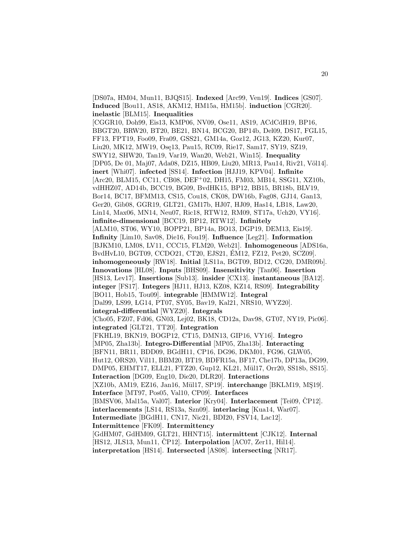[DS07a, HM04, Mun11, BJQS15]. **Indexed** [Arc99, Ven19]. **Indices** [GS07]. **Induced** [Bou11, AS18, AKM12, HM15a, HM15b]. **induction** [CGR20]. **inelastic** [BLM15]. **Inequalities** [CGGR10, Doh99, Eis13, KMP06, NV09, Ose11, AS19, ACdCdH19, BP16, BBGT20, BRW20, BT20, BE21, BN14, BCG20, BP14b, Del09, DS17, FGL15, FF13, FPT19, Foo09, Fra09, GSS21, GM14a, Goz12, JG13, KZ20, Kur07, Liu20, MK12, MW19, Osę13, Pau15, RC09, Rie17, Sam17, SY19, SZ19, SWY12, SHW20, Tan19, Var19, Wan20, Web21, Win15]. **Inequality** [DP05, De 01, Maj07, Ada08, DZ15, HB09, Liu20, MR13, Pau14, Riv21, Völ14]. **inert** [Whi07]. **infected** [SS14]. **Infection** [HJJ19, KPV04]. **Infinite** [Arc20, BLM15, CC11, CB08, DEF<sup>+</sup>02, DH15, FM03, MB14, SSG11, XZ10b, vdHHZ07, AD14b, BCC19, BG09, BvdHK15, BP12, BB15, BR18b, BLV19, Bor14, BC17, BFMM13, CS15, Cou18, CK08, DW16b, Fag08, GJ14, Gan13, Ger20, Gib08, GGR19, GLT21, GM17b, HJ07, HJ09, Has14, LB18, Law20, Lin14, Max06, MN14, Neu07, Ric18, RTW12, RM09, ST17a, Uch20, VY16]. **infinite-dimensional** [BCC19, BP12, RTW12]. **Infinitely** [ALM10, ST06, WY10, BOPP21, BP14a, BO13, DGP19, DEM13, Eis19]. **Infinity** [Lim10, Sav08, Die16, Fou19]. **Influence** [Leg21]. **Information** [BJKM10, LM08, LV11, CCC15, FLM20, Web21]. **Inhomogeneous** [ADS16a, BvdHvL10, BGT09, CCDO21, CT20, EJS21, EM12, FZ12, Pet20, SCZ09]. ´ **inhomogeneously** [RW18]. **Initial** [LS11a, BGT09, BD12, CG20, DMR09b]. **Innovations** [HL08]. **Inputs** [BHS09]. **Insensitivity** [Tan06]. **Insertion** [HS13, Lev17]. **Insertions** [Sub13]. **insider** [CX13]. **instantaneous** [BA12]. **integer** [FS17]. **Integers** [HJ11, HJ13, KZ08, KZ14, RS09]. **Integrability** [BO11, Hob15, Tou09]. **integrable** [HMMW12]. **Integral** [Dal99, LS99, LG14, PT07, SY05, Bav19, Kal21, NRS10, WYZ20]. **integral-differential** [WYZ20]. **Integrals** [Cho05, FZ07, Fd06, GN03, Lej02, BK18, CD12a, Dav98, GT07, NY19, Pic06]. **integrated** [GLT21, TT20]. **Integration** [FKHL19, BKN19, BOGP12, CT15, DMN13, GIP16, VY16]. **Integro** [MP05, Zha13b]. **Integro-Differential** [MP05, Zha13b]. **Interacting** [BFN11, BR11, BDD09, BGdH11, CP16, DG96, DKM01, FG96, GLW05, Hut12, ORS20, Vil11, BBM20, BT19, BDFR15a, BF17, Che17b, DP13a, DG99, DMP05, EHMT17, ELL21, FTZ20, Gup12, KL21, Mül17, Orr20, SS18b, SS15]. **Interaction** [DG09, Eng10, Die20, DLR20]. **Interactions** [XZ10b, AM19, EZ16, Jan16, Mül17, SP19]. **interchange** [BKLM19, MŞ19]. **Interface** [MT97, Pos05, Val10, CP09]. **Interfaces** [BMSV06, Mal15a, Val07]. **Interior** [Kry04]. **Interlacement** [Tei09, ČP12]. **interlacements** [LS14, RS13a, Szn09]. **interlacing** [Kua14, War07]. **Intermediate** [BGdH11, CN17, Nic21, BDI20, FSV14, Lac12]. **Intermittence** [FK09]. **Intermittency** [GdHM07, GdHM09, GLT21, HHNT15]. **intermittent** [CJK12]. **Internal** [HS12, JLS13, Mun11, CP12]. **Interpolation** [AC07, Zer11, Hil14]. **interpretation** [HS14]. **Intersected** [AS08]. **intersecting** [NR17].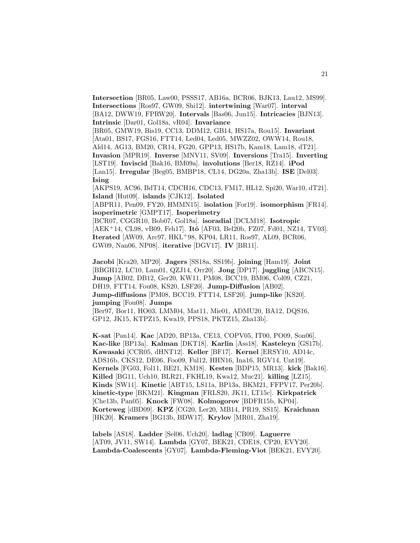**Intersection** [BR05, Law00, PSSS17, AB16a, BCR06, BJK13, Lau12, MS99]. **Intersections** [Ros97, GW09, Shi12]. **intertwining** [War07]. **interval** [BA12, DWW19, FPRW20]. **Intervals** [Bas06, Jun15]. **Intricacies** [BJN13]. **Intrinsic** [Dar01, Gol18a, vR04]. **Invariance**

[BR05, GMW19, Bis19, CC13, DDM12, GB14, HS17a, Rou15]. **Invariant** [Ata01, BS17, FGS16, FTT14, Led04, Led05, MWZZ02, OWW14, Rou18, Ald14, AG13, BM20, CR14, FG20, GPP13, HS17b, Kam18, Lam18, dT21]. **Invasion** [MPR19]. **Inverse** [MNV11, SV09]. **Inversions** [Tra15]. **Inverting** [LST19]. **Inviscid** [Bak16, BM09a]. **involutions** [Ber18, RZ14]. **iPod** [Lan15]. **Irregular** [Beg05, BMBP18, CL14, DG20a, Zha13b]. **ISE** [Del03]. **Ising**

[AKPS19, AC96, BdT14, CDCH16, CDC13, FM17, HL12, Spi20, War10, dT21]. **Island** [Hut09]. **islands** [CJK12]. **Isolated**

[ABPR11, Pen09, FY20, HMMN15]. **isolation** [For19]. **isomorphism** [FR14]. **isoperimetric** [GMPT17]. **Isoperimetry**

[BCR07, CGGR10, Bob07, Gol18a]. **isoradial** [DCLM18]. **Isotropic** [AEK<sup>+</sup>14, CL98, vB09, Feh17]. **Itô** [AF03, Bel20b, FZ07, Fd01, NZ14, TV03]. **Iterated** [AW09, Arc97, HKL<sup>+</sup>98, KP04, LR11, Ros97, AL09, BCR06, GW09, Nan06, NP08]. **iterative** [DGV17]. **IV** [BR11].

**Jacobi** [Kra20, MP20]. **Jagers** [SS18a, SS19b]. **joining** [Ham19]. **Joint** [BBGH12, LC10, Lam01, QZJ14, Orr20]. **Jong** [DP17]. **juggling** [ABCN15]. **Jump** [AB02, DB12, Ger20, KW11, PM08, BCC19, BM06, Col09, CZ21, DH19, FTT14, Fou08, KS20, LSF20]. **Jump-Diffusion** [AB02]. **Jump-diffusions** [PM08, BCC19, FTT14, LSF20]. **jump-like** [KS20]. **jumping** [Fou08]. **Jumps**

[Ber97, Bor11, HO03, LMM04, Mat11, Mie01, ADMU20, BA12, DQS16, GP12, JK15, KTPZ15, Kwa19, PPS18, PKTZ15, Zha13b].

**K-sat** [Pan14]. **Kac** [AD20, BP13a, CE13, COPV05, IT00, PO09, Son06]. **Kac-like** [BP13a]. **Kalman** [DKT18]. **Karlin** [Ass18]. **Kasteleyn** [GS17b]. **Kawasaki** [CCR05, dHNT12]. **Keller** [BF17]. **Kernel** [ERSY10, AD14c, ADS16b, CKS12, DE06, Foo09, Ful12, HHN16, Ina16, RGV14, Unt19]. **Kernels** [FG03, Fol11, BE21, KM18]. **Kesten** [BDP15, MR13]. **kick** [Bak16]. **Killed** [BG11, Uch10, BLR21, FKHL19, Kwa12, Muc21]. **killing** [LZ15]. **Kinds** [SW11]. **Kinetic** [ABT15, LS11a, BP13a, BKM21, FFPV17, Per20b]. **kinetic-type** [BKM21]. **Kingman** [FRLS20, JK11, LT15c]. **Kirkpatrick** [Che13b, Pan05]. **Knock** [FW08]. **Kolmogorov** [BDFR15b, KP04]. **Korteweg** [dBD09]. **KPZ** [CG20, Ler20, MB14, PR19, SS15]. **Kraichnan** [HK20]. **Kramers** [BG13b, BDW17]. **Krylov** [MR01, Zha19].

**labels** [AS18]. **Ladder** [Sel06, Uch20]. **ladlag** [CB09]. **Laguerre** [AT09, JV11, SW14]. **Lambda** [GY07, BEK21, CDE18, CP20, EVY20]. **Lambda-Coalescents** [GY07]. **Lambda-Fleming-Viot** [BEK21, EVY20].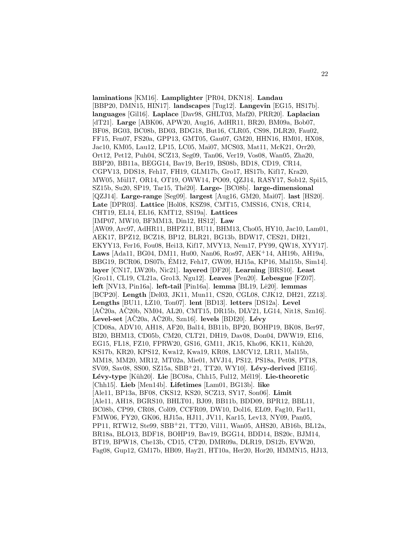**laminations** [KM16]. **Lamplighter** [PR04, DKN18]. **Landau** [BBP20, DMN15, HIN17]. **landscapes** [Tug12]. **Langevin** [EG15, HS17b]. **languages** [Gil16]. **Laplace** [Dav98, GHLT03, Maf20, PRR20]. **Laplacian** [dT21]. **Large** [ABK06, APW20, Aug16, AdHR11, BR20, BM09a, Bob07, BF08, BG03, BC08b, BD03, BDG18, But16, CLR05, CS98, DLR20, Fau02, FF15, Fen07, FS20a, GPP13, GMT05, Gau07, GM20, HHN16, HM01, HX08, Jac10, KM05, Lau12, LP15, LC05, Mai07, MCS03, Mat11, McK21, Orr20, Ort12, Pet12, Puh04, SCZ13, Seg09, Tan06, Ver19, Vos08, Wan05, Zha20, BBP20, BB11a, BEGG14, Bav19, Ber19, BS08b, BD18, CD19, CR14, CGPV13, DDS18, Feh17, FH19, GLM17b, Gro17, HS17b, Kif17, Kra20, MW05, Mül17, OR14, OT19, OWW14, PO09, QZJ14, RASY17, Sob12, Spi15, SZ15b, Su20, SP19, Tar15, Thé20]. Large-<sup>[BC08b]</sup>. large-dimensional [QZJ14]. **Large-range** [Seg09]. **largest** [Aug16, GM20, Mai07]. **last** [HS20]. **Late** [DPR03]. **Lattice** [Hol08, KSZ98, CMT15, CMSS16, CN18, CR14, CHT19, EL14, EL16, KMT12, SS19a]. **Lattices** [IMP07, MW10, BFMM13, Din12, HS12]. **Law** [AW09, Arc97, AdHR11, BHPZ11, BU11, BHM13, Cho05, HY10, Jac10, Lam01, AEK17, BPZ12, BCZ18, BP12, BLR21, BG13b, BDW17, CES21, DH21, EKYY13, Fer16, Fou08, Hei13, Kif17, MVY13, Nem17, PY99, QW18, XYY17]. **Laws** [Ada11, BG04, DM11, Hu00, Nan06, Ros97, AEK<sup>+</sup>14, AH19b, AH19a, BBG19, BCR06, DS07b, EM12, Feh17, GW09, HJ15a, KP16, Mal15b, Sim14]. ´ **layer** [CN17, LW20b, Nic21]. **layered** [DF20]. **Learning** [BRS10]. **Least** [Gro11, CL19, CL21a, Gro13, Ngu12]. **Leaves** [Pen20]. **Lebesgue** [FZ07]. **left** [NV13, Pin16a]. **left-tail** [Pin16a]. **lemma** [BL19, Lê20]. **lemmas** [BCP20]. **Length** [Del03, JK11, Mun11, CS20, CGL08, CJK12, DH21, ZZ13]. **Lengths** [BU11, LZ10, Ton07]. **lent** [BD13]. **letters** [DS12a]. **Level**  $[AC20a, AC20b, NM04, AL20, CMT15, DR15b, DLV21, LG14, Nit18, Szn16].$ **Level-set** [AČ20a, AČ20b, Szn16]. **levels** [BDI20]. **Lévy** [CD08a, ADV10, AH18, AF20, Bal14, BB11b, BP20, BOHP19, BK08, Ber97, BI20, BHM13, CD05b, CM20, CLT21, DH19, Dav08, Don04, DWW19, EI16, EG15, FL18, FZ10, FPRW20, GS16, GM11, JK15, Kho96, KK11, Küh20, KS17b, KR20, KPS12, Kwa12, Kwa19, KR08, LMCV12, LR11, Mal15b, MM18, MM20, MR12, MT02a, Mie01, MVJ14, PS12, PS18a, Pet08, PT18, SV09, Sav08, SS00, SZ15a, SBB<sup>+</sup>21, TT20, WY10]. **Lévy-derived** [EI16]. Lévy-type [Küh20]. Lie [BC08a, Chh15, Ful12, Mél19]. Lie-theoretic [Chh15]. **Lieb** [Men14b]. **Lifetimes** [Lam01, BG13b]. **like** [Ale11, BP13a, BF08, CKS12, KS20, SCZ13, SY17, Son06]. **Limit** [Ale11, AH18, BGRS10, BHLT01, BJ09, BB11b, BDD09, BPR12, BBL11, BC08b, CP99, CR08, Col09, CCFR09, DW10, Dol16, EL09, Fag10, Far11, FMW06, FY20, GK06, HJ15a, HJ11, JV11, Kar15, Lev13, NY09, Pan05, PP11, RTW12, Ste99, SBB<sup>+</sup>21, TT20, Vil11, Wan05, AHS20, AB16b, BL12a, BR18a, BLO13, BDF18, BOHP19, Bav19, BGG14, BDD14, BS20c, BJM14, BT19, BPW18, Che13b, CD15, CT20, DMR09a, DLR19, DS12b, EVW20, Fag08, Gup12, GM17b, HB09, Hay21, HT10a, Her20, Hor20, HMMN15, HJ13,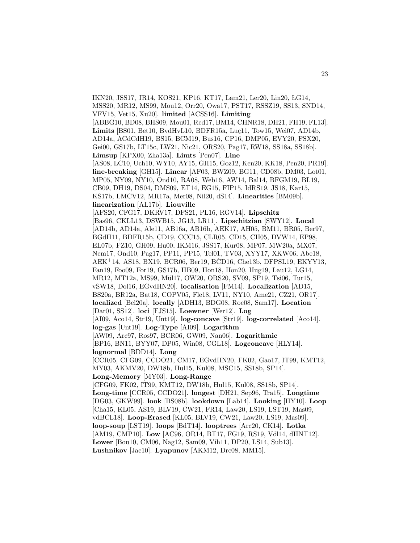IKN20, JSS17, JR14, KOS21, KP16, KT17, Lam21, Ler20, Lin20, LG14, MSS20, MR12, MS99, Mou12, Orr20, Owa17, PST17, RSSZ19, SS13, SND14, VFV15, Vet15, Xu20]. **limited** [ACSS16]. **Limiting** [ABBG10, BD08, BHS09, Mou01, Red17, BM14, CHNR18, DH21, FH19, FL13]. **Limits** [BS01, Bet10, BvdHvL10, BDFR15a, Luc11, Tow15, Wei07, AD14b, AD14a, ACdCdH19, BS15, BCM19, Bus16, CP16, DMP05, EVY20, FSX20, Gei00, GS17b, LT15c, LW21, Nic21, ORS20, Pag17, RW18, SS18a, SS18b]. **Limsup** [KPX00, Zha13a]. **Limts** [Pen07]. **Line** [AS08, LC10, Uch10, WY10, AY15, GH15, Goz12, Ken20, KK18, Pen20, PR19]. **line-breaking** [GH15]. **Linear** [AF03, BWZ09, BG11, CD08b, DM03, Lot01, MP05, NY09, NY10, Ond10, RA08, Web16, AW14, Bal14, BFGM19, BL19, CB09, DH19, DS04, DMS09, ET14, EG15, FIP15, IdRS19, JS18, Kar15, KS17b, LMCV12, MR17a, Mer08, Nil20, dS14]. **Linearities** [BM09b]. **linearization** [AL17b]. **Liouville** [AFS20, CFG17, DKRV17, DFS21, PL16, RGV14]. **Lipschitz** [Bas96, CKLL13, DSWB15, JG13, LR11]. **Lipschitzian** [SWY12]. **Local** [AD14b, AD14a, Ale11, AB16a, AB16b, AEK17, AH05, BM11, BR05, Ber97, BGdH11, BDFR15b, CD19, CCC15, CLR05, CD15, CH05, DVW14, EP98, EL07b, FZ10, GH09, Hu00, IKM16, JSS17, Kur08, MP07, MW20a, MX07, Nem17, Ond10, Pag17, PP11, PP15, Tel01, TV03, XYY17, XKW06, Abe18,  $AEK+14, AS18, BX19, BCR06, Ber19, BCD16, Che13b, DFPSL19, EKYY13,$ Fan19, Foo09, For19, GS17b, HB09, Hon18, Hon20, Hug19, Lau12, LG14, MR12, MT12a, MS99, Mül17, OW20, ORS20, SV09, SP19, Tsi06, Tur15, vSW18, Dol16, EGvdHN20]. **localisation** [FM14]. **Localization** [AD15, BS20a, BR12a, Bat18, COPV05, Fle18, LV11, NY10, Ame21, CZ21, OR17]. **localized** [Bel20a]. **locally** [ADH13, BDG08, Roe08, Sam17]. **Location** [Dar01, SS12]. **loci** [FJS15]. **Loewner** [Wer12]. **Log** [AI09, Aco14, Str19, Unt19]. **log-concave** [Str19]. **log-correlated** [Aco14]. **log-gas** [Unt19]. **Log-Type** [AI09]. **Logarithm** [AW09, Arc97, Ros97, BCR06, GW09, Nan06]. **Logarithmic** [BP16, BN11, BYY07, DP05, Win08, CGL18]. **Logconcave** [HLY14]. **lognormal** [BDD14]. **Long** [CCR05, CFG09, CCDO21, CM17, EGvdHN20, FK02, Gao17, IT99, KMT12, MY03, AKMV20, DW18b, Hul15, Kul08, MSC15, SS18b, SP14]. **Long-Memory** [MY03]. **Long-Range** [CFG09, FK02, IT99, KMT12, DW18b, Hul15, Kul08, SS18b, SP14]. **Long-time** [CCR05, CCDO21]. **longest** [DH21, Sep96, Tra15]. **Longtime** [DG03, GKW99]. **look** [BS08b]. **lookdown** [Lab14]. **Looking** [HY10]. **Loop** [Cha15, KL05, AS19, BLV19, CW21, FR14, Law20, LS19, LST19, Mas09, vdBCL18]. **Loop-Erased** [KL05, BLV19, CW21, Law20, LS19, Mas09]. **loop-soup** [LST19]. **loops** [BdT14]. **looptrees** [Arc20, CK14]. **Lotka** [AM19, CMP10]. Low [AC96, OR14, BT17, FG19, RS19, Völ14, dHNT12]. **Lower** [Bou10, CM06, Nag12, Sam09, Vih11, DP20, LS14, Sub13]. **Lushnikov** [Jac10]. **Lyapunov** [AKM12, Dre08, MM15].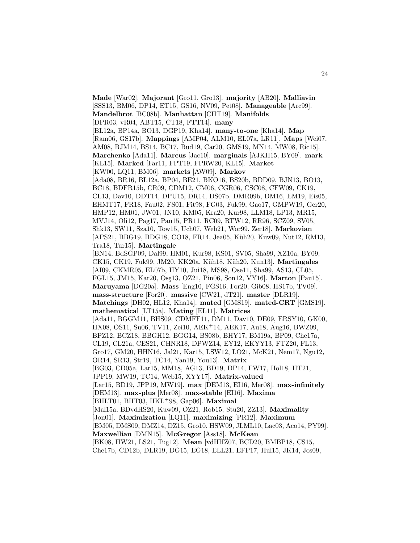**Made** [War02]. **Majorant** [Gro11, Gro13]. **majority** [AB20]. **Malliavin** [SSS13, BM06, DP14, ET15, GS16, NV09, Pet08]. **Manageable** [Arc99]. **Mandelbrot** [BC08b]. **Manhattan** [CHT19]. **Manifolds** [DPR03, vR04, ABT15, CT18, FTT14]. **many** [BL12a, BP14a, BO13, DGP19, Kha14]. **many-to-one** [Kha14]. **Map** [Ram06, GS17b]. **Mappings** [AMP04, ALM10, EL07a, LR11]. **Maps** [Wei07, AM08, BJM14, BS14, BC17, Bud19, Car20, GMS19, MN14, MW08, Ric15]. **Marchenko** [Ada11]. **Marcus** [Jac10]. **marginals** [AJKH15, BY09]. **mark** [KL15]. **Marked** [Far11, FPT19, FPRW20, KL15]. **Market** [KW00, LQ11, BM06]. **markets** [AW09]. **Markov** [Ada08, BR16, BL12a, BP04, BE21, BKO16, BS20b, BDD09, BJN13, BO13, BC18, BDFR15b, CR09, CDM12, CM06, CGR06, CSC08, CFW09, CK19, CL13, Dav10, DDT14, DPU15, DR14, DS07b, DMR09b, DM16, EM19, Eis05, EHMT17, FR18, Fau02, FS01, Fit98, FG03, Fuk99, Gao17, GMPW19, Ger20, HMP12, HM01, JW01, JN10, KM05, Kra20, Kur98, LLM18, LP13, MR15, MVJ14, Oli12, Pag17, Pau15, PR11, RC09, RTW12, RR96, SCZ09, SV05, Shk13, SW11, Sza10, Tow15, Uch07, Web21, Wor99, Zer18]. **Markovian** [APS21, BBG19, BDG18, CO18, FR14, Jea05, Küh20, Kuw09, Nut12, RM13, Tra18, Tur15]. **Martingale** [BN14, BdSGP09, Dal99, HM01, Kur98, KS01, SV05, Sha99, XZ10a, BY09, CK15, CK19, Fuk99, JM20, KK20a, K¨uh18, K¨uh20, Kun13]. **Martingales** [AI09, CKMR05, EL07b, HY10, Jui18, MS98, Ose11, Sha99, AS13, CL05, FGL15, JM15, Kar20, Osę13, OZ21, Pin06, Son12, VY16]. Marton [Pau15]. **Maruyama** [DG20a]. **Mass** [Eng10, FGS16, For20, Gib08, HS17b, TV09]. **mass-structure** [For20]. **massive** [CW21, dT21]. **master** [DLR19]. **Matchings** [DH02, HL12, Kha14]. **mated** [GMS19]. **mated-CRT** [GMS19]. **mathematical** [LT15a]. **Mating** [EL11]. **Matrices** [Ada11, BGGM11, BHS09, CDMFF11, DM11, Dav10, DE09, ERSY10, GK00, HX08, OS11, Su06, TV11, Zei10, AEK<sup>+</sup>14, AEK17, Au18, Aug16, BWZ09, BPZ12, BCZ18, BBGH12, BGG14, BS08b, BHY17, BM19a, BP09, Che17a, CL19, CL21a, CES21, CHNR18, DPWZ14, EY12, EKYY13, FTZ20, FL13, Gro17, GM20, HHN16, Jal21, Kar15, LSW12, LO21, McK21, Nem17, Ngu12, OR14, SR13, Str19, TC14, Yan19, You13]. **Matrix** [BG03, CD05a, Lar15, MM18, AG13, BD19, DP14, FW17, Hol18, HT21, JPP19, MW19, TC14, Web15, XYY17]. **Matrix-valued** [Lar15, BD19, JPP19, MW19]. **max** [DEM13, EI16, Mer08]. **max-infinitely** [DEM13]. **max-plus** [Mer08]. **max-stable** [EI16]. **Maxima** [BHLT01, BHT03, HKL<sup>+</sup>98, Gap06]. **Maximal** [Mal15a, BDvdHS20, Kuw09, OZ21, Rob15, Stu20, ZZ13]. **Maximality** [Jon01]. **Maximization** [LQ11]. **maximizing** [PR12]. **Maximum** [BM05, DMS09, DMZ14, DZ15, Gro10, HSW09, JLML10, Lac03, Aco14, PY99]. **Maxwellian** [DMN15]. **McGregor** [Ass18]. **McKean** [BK08, HW21, LS21, Tug12]. **Mean** [vdHHZ07, BCD20, BMBP18, CS15, Che17b, CD12b, DLR19, DG15, EG18, ELL21, EFP17, Hul15, JK14, Jos09,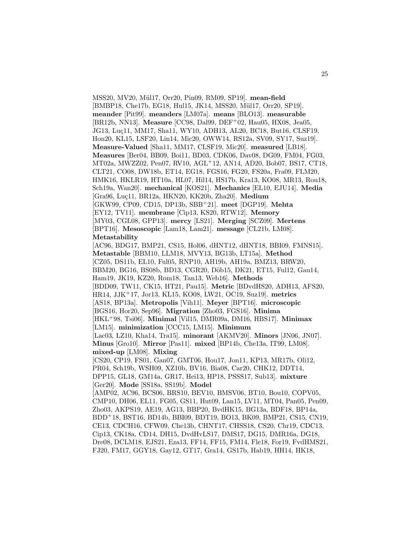MSS20, MV20, M¨ul17, Orr20, Pin09, RM09, SP19]. **mean-field** [BMBP18, Che17b, EG18, Hul15, JK14, MSS20, Mül17, Orr20, SP19]. **meander** [Pit99]. **meanders** [LM07a]. **means** [BLO13]. **measurable** [BR12b, NN13]. **Measure** [CC98, Dal99, DEF<sup>+</sup>02, Hau05, HX08, Jea05, JG13, Luç11, MM17, Sha11, WY10, ADH13, AL20, BC18, But16, CLSF19, Hon20, KL15, LSF20, Lin14, Mic20, OWW14, RS12a, SV09, SY17, Suz19]. **Measure-Valued** [Sha11, MM17, CLSF19, Mic20]. **measured** [LB18]. **Measures** [Ber04, BB09, Boi11, BD03, CDK06, Dav08, DG09, FM04, FG03, MT02a, MWZZ02, Pen07, RV10, AGL<sup>+</sup>12, AN14, AD20, Bob07, BS17, CT18, CLT21, CO08, DW18b, ET14, EG18, FGS16, FG20, FS20a, Fra09, FLM20, HMK16, HKLR19, HT10a, HL07, Hil14, HS17b, Kra13, KO08, MR13, Rou18, Sch19a, Wan20]. **mechanical** [KOS21]. **Mechanics** [EL10, EJU14]. **Media** [Gra96, Lu¸c11, BR12a, HKN20, KK20b, Zha20]. **Medium** [GKW99, CP09, CD15, DP13b, SBB<sup>+</sup>21]. **meet** [DGP19]. **Mehta** [EY12, TV11]. **membrane** [Cip13, KS20, RTW12]. **Memory** [MY03, CGL08, GPP13]. **mercy** [LS21]. **Merging** [SCZ09]. **Mertens** [BPT16]. **Mesoscopic** [Lam18, Lam21]. **message** [CL21b, LM08]. **Metastability** [AC96, BDG17, BMP21, CS15, Hol06, dHNT12, dHNT18, BBI09, FMNS15]. **Metastable** [BBM10, LLM18, MVY13, BG13b, LT15a]. **Method** [CZ05, DS11b, EL10, Ful05, RNP10, AH19b, AH19a, BMZ13, BRW20, BBM20, BG16, BS08b, BD13, CGR20, Döb15, DK21, ET15, Ful12, Gau14, Ham19, JK19, KZ20, Rom18, Tan13, Web16]. **Methods** [BDD09, TW11, CK15, HT21, Pau15]. **Metric** [BDvdHS20, ADH13, AFS20, HR14, JJK<sup>+</sup>17, Jor13, KL15, KO08, LW21, OC19, Suz19]. **metrics** [AS18, BP13a]. **Metropolis** [Vih11]. **Meyer** [BPT16]. **microscopic** [BGS16, Hor20, Sep96]. **Migration** [Zho03, FGS16]. **Minima** [HKL<sup>+</sup>98, Tsi06]. **Minimal** [Vil15, DMR09a, DM16, HBS17]. **Minimax** [LM15]. **minimization** [CCC15, LM15]. **Minimum** [Lac03, LZ10, Kha14, Tra15]. **minorant** [AKMV20]. **Minors** [JN06, JN07]. **Minus** [Gro10]. **Mirror** [Pas11]. **mixed** [BP14b, Che13a, IT99, LM08]. **mixed-up** [LM08]. **Mixing** [CS20, CP19, FS01, Gan07, GMT06, Hou17, Jon11, KP13, MR17b, Oli12, PR04, Sch19b, WSH09, XZ10b, BV16, Bia08, Car20, CHK12, DDT14, DPP15, GL18, GM14a, GR17, Hei13, HP18, PSSS17, Sub13]. **mixture** [Ger20]. **Mode** [SS18a, SS19b]. **Model** [AMP02, AC96, BCS06, BRS10, BEV10, BMSV06, BT10, Bou10, COPV05, CMP10, DH06, EL11, FG05, GS11, Hut09, Lan15, LV11, MT04, Pan05, Pen09, Zho03, AKPS19, AE19, AG13, BBP20, BvdHK15, BG13a, BDF18, BP14a, BDD<sup>+</sup>18, BST16, BD14b, BBI09, BDT19, BO13, BK09, BMP21, CS15, CN19, CE13, CDCH16, CFW09, Che13b, CHNT17, CHSS18, CS20, Chr19, CDC13, Cip13, CK18a, CD14, DH15, DvdHvLS17, DMS17, DG15, DMR16a, DG18, Dre08, DCLM18, EJS21, Eza13, FF14, FF15, FM14, Fle18, For19, FvdHMS21, FJ20, FM17, GGY18, Gay12, GT17, Gra14, GS17b, Hab19, HH14, HK18,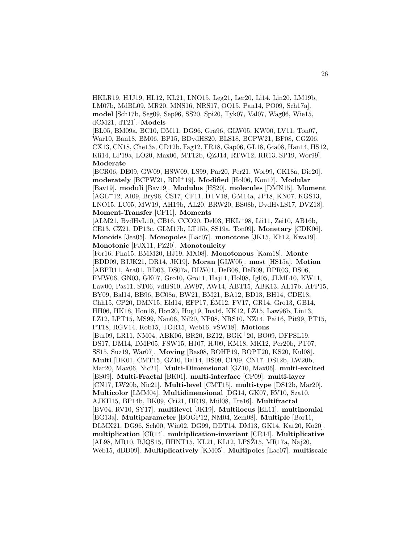HKLR19, HJJ19, HL12, KL21, LNO15, Leg21, Ler20, Li14, Lin20, LM19b, LM07b, MdBL09, MR20, MNS16, NRS17, OO15, Pan14, PO09, Sch17a]. **model** [Sch17b, Seg09, Sep96, SS20, Spi20, Tyk07, Val07, Wag06, Wie15, dCM21, dT21]. **Models**

[BL05, BM09a, BC10, DM11, DG96, Gra96, GLW05, KW00, LV11, Ton07, War10, Ban18, BM06, BP15, BDvdHS20, BLS18, BCPW21, BF08, CGZ06, CX13, CN18, Che13a, CD12b, Fag12, FR18, Gap06, GL18, Gia08, Han14, HS12, Kli14, LP19a, LO20, Max06, MT12b, QZJ14, RTW12, RR13, SP19, Wor99]. **Moderate**

[BCR06, DE09, GW09, HSW09, LS99, Par20, Per21, Wor99, CK18a, Die20]. **moderately** [BCPW21, BDI<sup>+</sup>19]. **Modified** [Hol06, Kon17]. **Modular** [Bav19]. **moduli** [Bav19]. **Modulus** [HS20]. **molecules** [DMN15]. **Moment** [AGL<sup>+</sup>12, AI09, Bry96, CS17, CF11, DTV18, GM14a, JP18, KN07, KGS13, LNO15, LC05, MW19, AH19b, AL20, BRW20, BS08b, DvdHvLS17, DVZ18]. **Moment-Transfer** [CF11]. **Moments**

[ALM21, BvdHvL10, CB16, CCO20, Del03, HKL<sup>+</sup>98, Lii11, Zei10, AB16b, CE13, CZ21, DP13c, GLM17b, LT15b, SS19a, Ton09]. **Monetary** [CDK06]. **Monoids** [Jea05]. **Monopoles** [Lac07]. **monotone** [JK15, Kli12, Kwa19]. **Monotonic** [FJX11, PZ20]. **Monotonicity**

[For16, Pha15, BMM20, HJ19, MX08]. **Monotonous** [Kam18]. **Monte** [BDD09, BJJK21, DR14, JK19]. **Moran** [GLW05]. **most** [HS15a]. **Motion** [ABPR11, Ata01, BD03, DS07a, DLW01, DeB08, DeB09, DPR03, DS06, FMW06, GN03, GK07, Gro10, Gro11, Haj11, Hol08, Igl05, JLML10, KW11, Law00, Pas11, ST06, vdHS10, AW97, AW14, ABT15, ABK13, AL17b, AFP15, BY09, Bal14, BB96, BC08a, BW21, BM21, BA12, BD13, BH14, CDE18, Chh15, CP20, DMN15, Eld14, EFP17, EM12, FV17, GR14, Gro13, GB14, ´ HH06, HK18, Hon18, Hon20, Hug19, Ina16, KK12, LZ15, Law96b, Lin13, LZ12, LPT15, MS99, Nan06, Nil20, NP08, NRS10, NZ14, Pai16, Pit99, PT15, PT18, RGV14, Rob15, TOR15, Web16, vSW18]. **Motions** [Bur09, LR11, NM04, ABK06, BR20, BZ12, BGK<sup>+</sup>20, BO09, DFPSL19, DS17, DM14, DMP05, FSW15, HJ07, HJ09, KM18, MK12, Per20b, PT07, SS15, Suz19, War07]. **Moving** [Bas08, BOHP19, BOPT20, KS20, Kul08]. **Multi** [BK01, CMT15, GZ10, Bal14, BS09, CP09, CN17, DS12b, LW20b, Mar20, Max06, Nic21]. **Multi-Dimensional** [GZ10, Max06]. **multi-excited** [BS09]. **Multi-Fractal** [BK01]. **multi-interface** [CP09]. **multi-layer** [CN17, LW20b, Nic21]. **Multi-level** [CMT15]. **multi-type** [DS12b, Mar20]. **Multicolor** [LMM04]. **Multidimensional** [DG14, GK07, RV10, Sza10, AJKH15, BP14b, BK09, Cri21, HR19, M¨ul08, Tre16]. **Multifractal** [BV04, RV10, SY17]. **multilevel** [JK19]. **Multilocus** [EL11]. **multinomial** [BG13a]. **Multiparameter** [BOGP12, NM04, Zem08]. **Multiple** [Bor11, DLMX21, DG96, Sch00, Win02, DG99, DDT14, DM13, GK14, Kar20, Ko20]. **multiplication** [CR14]. **multiplication-invariant** [CR14]. **Multiplicative** [AL98, MR10, BJQS15, HHNT15, KL21, KL12, LPSŽ15, MR17a, Naj20, Web15, dBD09]. **Multiplicatively** [KM05]. **Multipoles** [Lac07]. **multiscale**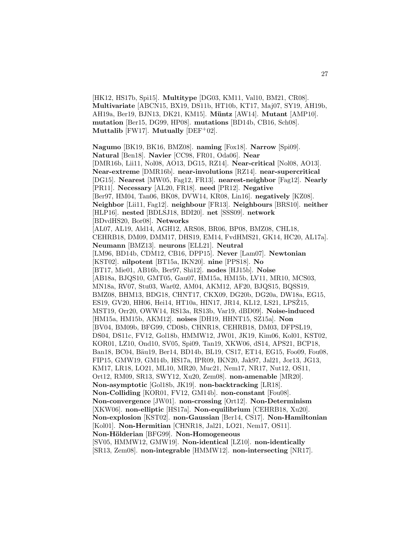[HK12, HS17b, Spi15]. **Multitype** [DG03, KM11, Val10, BM21, CR08]. **Multivariate** [ABCN15, BX19, DS11b, HT10b, KT17, Maj07, SY19, AH19b, AH19a, Ber19, BJN13, DK21, KM15]. **M¨untz** [AW14]. **Mutant** [AMP10]. **mutation** [Ber15, DG99, HP08]. **mutations** [BD14b, CB16, Sch08]. **Muttalib** [FW17]. **Mutually** [DEF<sup>+</sup>02].

**Nagumo** [BK19, BK16, BMZ08]. **naming** [Fox18]. **Narrow** [Spi09]. **Natural** [Ben18]. **Navier** [CC98, FR01, Oda06]. **Near** [DMR16b, Lii11, Nol08, AO13, DG15, RZ14]. **Near-critical** [Nol08, AO13]. **Near-extreme** [DMR16b]. **near-involutions** [RZ14]. **near-supercritical** [DG15]. **Nearest** [MW05, Fag12, FR13]. **nearest-neighbor** [Fag12]. **Nearly** [PR11]. **Necessary** [AL20, FR18]. **need** [PR12]. **Negative** [Ber97, HM04, Tan06, BK08, DVW14, KR08, Lin16]. **negatively** [KZ08]. **Neighbor** [Lii11, Fag12]. **neighbour** [FR13]. **Neighbours** [BRS10]. **neither** [HLP16]. **nested** [BDLSJ18, BDI20]. **net** [SSS09]. **network** [BDvdHS20, Bor08]. **Networks** [AL07, AL19, Ald14, AGH12, ARS08, BR06, BP08, BMZ08, CHL18, CEHRB18, DM09, DMM17, DHS19, EM14, FvdHMS21, GK14, HC20, AL17a]. **Neumann** [BMZ13]. **neurons** [ELL21]. **Neutral** [LM96, BD14b, CDM12, CB16, DPP15]. **Never** [Lam07]. **Newtonian** [KST02]. **nilpotent** [BT15a, IKN20]. **nine** [PPS18]. **No** [BT17, Mie01, AB16b, Ber97, Shi12]. **nodes** [HJ15b]. **Noise** [AB18a, BJQS10, GMT05, Gau07, HM15a, HM15b, LV11, MR10, MCS03, MN18a, RV07, Stu03, War02, AM04, AKM12, AF20, BJQS15, BQSS19, BMZ08, BHM13, BDG18, CHNT17, CKX09, DG20b, DG20a, DW18a, EG15, ES19, GV20, HH06, Hei14, HT10a, HIN17, JR14, KL12, LS21, LPSŽ15, MST19, Orr20, OWW14, RS13a, RS13b, Var19, dBD09]. **Noise-induced** [HM15a, HM15b, AKM12]. **noises** [DH19, HHNT15, SZ15a]. **Non** [BV04, BM09b, BFG99, CD08b, CHNR18, CEHRB18, DM03, DFPSL19, DS04, DS11c, FV12, Gol18b, HMMW12, JW01, JK19, Kim06, Kol01, KST02, KOR01, LZ10, Ond10, SV05, Spi09, Tan19, XKW06, dS14, APS21, BCP18, Ban18, BC04, Bäu19, Ber14, BD14b, BL19, CS17, ET14, EG15, Foo09, Fou08, FIP15, GMW19, GM14b, HS17a, IPR09, IKN20, Jak97, Jal21, Jor13, JG13, KM17, LR18, LO21, ML10, MR20, Muc21, Nem17, NR17, Nut12, OS11, Ort12, RM09, SR13, SWY12, Xu20, Zem08]. **non-amenable** [MR20]. **Non-asymptotic** [Gol18b, JK19]. **non-backtracking** [LR18]. **Non-Colliding** [KOR01, FV12, GM14b]. **non-constant** [Fou08]. **Non-convergence** [JW01]. **non-crossing** [Ort12]. **Non-Determinism** [XKW06]. **non-elliptic** [HS17a]. **Non-equilibrium** [CEHRB18, Xu20]. **Non-explosion** [KST02]. **non-Gaussian** [Ber14, CS17]. **Non-Hamiltonian** [Kol01]. **Non-Hermitian** [CHNR18, Jal21, LO21, Nem17, OS11]. **Non-H¨olderian** [BFG99]. **Non-Homogeneous** [SV05, HMMW12, GMW19]. **Non-identical** [LZ10]. **non-identically** [SR13, Zem08]. **non-integrable** [HMMW12]. **non-intersecting** [NR17].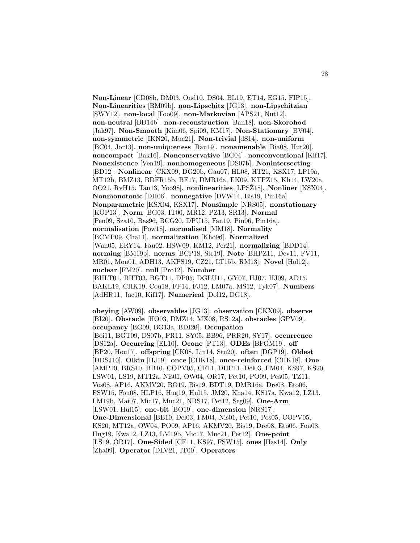**Non-Linear** [CD08b, DM03, Ond10, DS04, BL19, ET14, EG15, FIP15]. **Non-Linearities** [BM09b]. **non-Lipschitz** [JG13]. **non-Lipschitzian** [SWY12]. **non-local** [Foo09]. **non-Markovian** [APS21, Nut12]. **non-neutral** [BD14b]. **non-reconstruction** [Ban18]. **non-Skorohod** [Jak97]. **Non-Smooth** [Kim06, Spi09, KM17]. **Non-Stationary** [BV04]. **non-symmetric** [IKN20, Muc21]. **Non-trivial** [dS14]. **non-uniform** [BC04, Jor13]. **non-uniqueness** [Bäu19]. **nonamenable** [Bia08, Hut20]. **noncompact** [Bak16]. **Nonconservative** [BG04]. **nonconventional** [Kif17]. **Nonexistence** [Ven19]. **nonhomogeneous** [DS07b]. **Nonintersecting** [BD12]. **Nonlinear** [CKX09, DG20b, Gau07, HL08, HT21, KSX17, LP19a, MT12b, BMZ13, BDFR15b, BF17, DMR16a, FK09, KTPZ15, Kli14, LW20a, OO21, RvH15, Tan13, Yoo98]. **nonlinearities** [LPSZ18]. **Nonliner** [KSX04]. **Nonmonotonic** [DH06]. **nonnegative** [DVW14, Eis19, Pin16a]. **Nonparametric** [KSX04, KSX17]. **Nonsimple** [NRS05]. **nonstationary** [KOP13]. **Norm** [BG03, IT00, MR12, PZ13, SR13]. **Normal** [Pen09, Sza10, Bas96, BCG20, DPU15, Fan19, Pin06, Pin16a]. **normalisation** [Pow18]. **normalised** [MM18]. **Normality** [BCMP09, Cha11]. **normalization** [Kho96]. **Normalized** [Wan05, ERY14, Fau02, HSW09, KM12, Per21]. **normalizing** [BDD14]. **norming** [BM19b]. **norms** [BCP18, Str19]. **Note** [BHPZ11, Dev11, FV11, MR01, Mou01, ADH13, AKPS19, CZ21, LT15b, RM13]. **Novel** [Hol12]. **nuclear** [FM20]. **null** [Pro12]. **Number** [BHLT01, BHT03, BGT11, DP05, DGLU11, GY07, HJ07, HJ09, AD15, BAKL19, CHK19, Cou18, FF14, FJ12, LM07a, MS12, Tyk07]. **Numbers** [AdHR11, Jac10, Kif17]. **Numerical** [Dol12, DG18].

**obeying** [AW09]. **observables** [JG13]. **observation** [CKX09]. **observe** [BI20]. **Obstacle** [HO03, DMZ14, MX08, RS12a]. **obstacles** [GPV09]. **occupancy** [BG09, BG13a, BDI20]. **Occupation** [Boi11, BGT09, DS07b, PR11, SY05, BB96, PRR20, SY17]. **occurrence** [DS12a]. **Occurring** [EL10]. **Ocone** [PT13]. **ODEs** [BFGM19]. **off** [BP20, Hou17]. **offspring** [CK08, Lin14, Stu20]. **often** [DGP19]. **Oldest** [DDSJ10]. **Olkin** [HJ19]. **once** [CHK18]. **once-reinforced** [CHK18]. **One** [AMP10, BRS10, BB10, COPV05, CF11, DHP11, Del03, FM04, KS97, KS20, LSW01, LS19, MT12a, Nis01, OW04, OR17, Pet10, PO09, Pos05, TZ11, Vos08, AP16, AKMV20, BO19, Bis19, BDT19, DMR16a, Dre08, Eto06, FSW15, Fou08, HLP16, Hug19, Hul15, JM20, Kha14, KS17a, Kwa12, LZ13, LM19b, Mai07, Mic17, Muc21, NRS17, Pet12, Seg09]. **One-Arm** [LSW01, Hul15]. **one-bit** [BO19]. **one-dimension** [NRS17]. **One-Dimensional** [BB10, Del03, FM04, Nis01, Pet10, Pos05, COPV05, KS20, MT12a, OW04, PO09, AP16, AKMV20, Bis19, Dre08, Eto06, Fou08, Hug19, Kwa12, LZ13, LM19b, Mic17, Muc21, Pet12]. **One-point** [LS19, OR17]. **One-Sided** [CF11, KS97, FSW15]. **ones** [Has14]. **Only** [Zha09]. **Operator** [DLV21, IT00]. **Operators**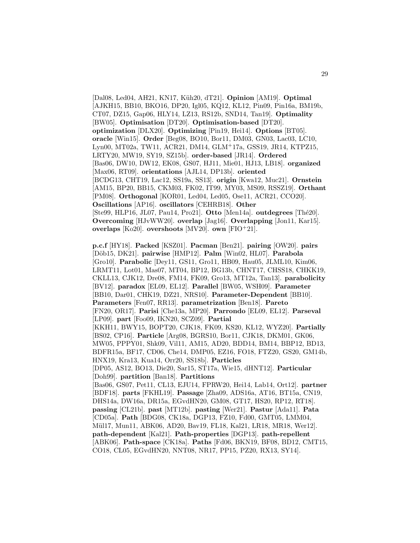[Dal08, Led04, AH21, KN17, K¨uh20, dT21]. **Opinion** [AM19]. **Optimal** [AJKH15, BB10, BKO16, DP20, Igl05, KQ12, KL12, Pin09, Pin16a, BM19b, CT07, DZ15, Gap06, HLY14, LZ13, RS12b, SND14, Tan19]. **Optimality** [BW05]. **Optimisation** [DT20]. **Optimisation-based** [DT20]. **optimization** [DLX20]. **Optimizing** [Pin19, Hei14]. **Options** [BT05]. **oracle** [Win15]. **Order** [Beg08, BO10, Bor11, DM03, GN03, Lac03, LC10, Lyn00, MT02a, TW11, ACR21, DM14, GLM<sup>+</sup>17a, GSS19, JR14, KTPZ15, LRTY20, MW19, SY19, SZ15b]. **order-based** [JR14]. **Ordered** [Bas06, DW10, DW12, EK08, GS07, HJ11, Mie01, HJ13, LB18]. **organized** [Max06, RT09]. **orientations** [AJL14, DP13b]. **oriented** [BCDG13, CHT19, Lac12, SS19a, SS13]. **origin** [Kwa12, Muc21]. **Ornstein** [AM15, BP20, BB15, CKM03, FK02, IT99, MY03, MS09, RSSZ19]. **Orthant** [PM08]. **Orthogonal** [KOR01, Led04, Led05, Ose11, ACR21, CCO20]. **Oscillations** [AP16]. **oscillators** [CEHRB18]. **Other** [Ste99, HLP16, JL07, Pau14, Pro21]. Otto [Men14a]. outdegrees [Thé20]. **Overcoming** [HJvWW20]. **overlap** [Jag16]. **Overlapping** [Jon11, Kar15]. **overlaps** [Ko20]. **overshoots** [MV20]. **own** [FIO<sup>+</sup>21].

**p.c.f** [HY18]. **Packed** [KSZ01]. **Pacman** [Ben21]. **pairing** [OW20]. **pairs** [D¨ob15, DK21]. **pairwise** [HMP12]. **Palm** [Win02, HL07]. **Parabola** [Gro10]. **Parabolic** [Dey11, GS11, Gro11, HB09, Hau05, JLML10, Kim06, LRMT11, Lot01, Mas07, MT04, BP12, BG13b, CHNT17, CHSS18, CHKK19, CKLL13, CJK12, Dre08, FM14, FK09, Gro13, MT12a, Tan13]. **parabolicity** [BV12]. **paradox** [EL09, EL12]. **Parallel** [BW05, WSH09]. **Parameter** [BB10, Dar01, CHK19, DZ21, NRS10]. **Parameter-Dependent** [BB10]. **Parameters** [Fen07, RR13]. **parametrization** [Ben18]. **Pareto** [FN20, OR17]. **Parisi** [Che13a, MP20]. **Parrondo** [EL09, EL12]. **Parseval** [LP09]. **part** [Foo09, IKN20, SCZ09]. **Partial** [KKH11, BWY15, BOPT20, CJK18, FK09, KS20, KL12, WYZ20]. **Partially** [BS02, CP16]. **Particle** [Arg08, BGRS10, Bor11, CJK18, DKM01, GK06, MW05, PPPY01, Shk09, Vil11, AM15, AD20, BDD14, BM14, BBP12, BD13, BDFR15a, BF17, CD06, Che14, DMP05, EZ16, FO18, FTZ20, GS20, GM14b, HNX19, Kra13, Kua14, Orr20, SS18b]. **Particles** [DP05, AS12, BO13, Die20, Sar15, ST17a, Wie15, dHNT12]. **Particular** [Doh99]. **partition** [Ban18]. **Partitions** [Bas06, GS07, Pet11, CL13, EJU14, FPRW20, Hei14, Lab14, Ort12]. **partner** [BDF18]. **parts** [FKHL19]. **Passage** [Zha09, ADS16a, AT16, BT15a, CN19, DHS14a, DW16a, DR15a, EGvdHN20, GM08, GT17, HS20, RP12, RT18]. **passing** [CL21b]. **past** [MT12b]. **pasting** [Wer21]. **Pastur** [Ada11]. **Pata** [CD05a]. **Path** [BDG08, CK18a, DGP13, FZ10, Fd00, GMT05, LMM04, Mül17, Mun11, ABK06, AD20, Bav19, FL18, Kal21, LR18, MR18, Wer12. **path-dependent** [Kal21]. **Path-properties** [DGP13]. **path-repellent** [ABK06]. **Path-space** [CK18a]. **Paths** [Fd06, BKN19, BF08, BD12, CMT15, CO18, CL05, EGvdHN20, NNT08, NR17, PP15, PZ20, RX13, SY14].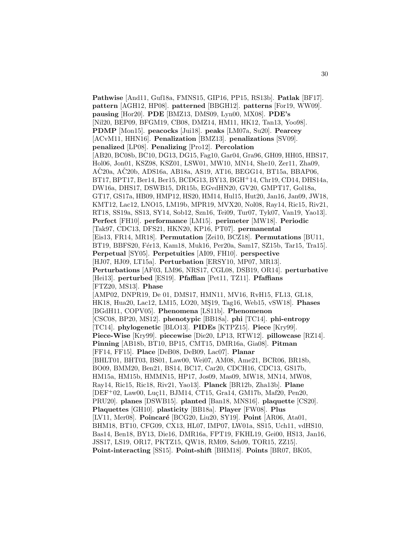**Pathwise** [And11, Guf18a, FMNS15, GIP16, PP15, RS13b]. **Patlak** [BF17]. **pattern** [AGH12, HP08]. **patterned** [BBGH12]. **patterns** [For19, WW09]. **pausing** [Hor20]. **PDE** [BMZ13, DMS09, Lyn00, MX08]. **PDE's** [Nil20, BEP09, BFGM19, CB08, DMZ14, HM11, HK12, Tan13, Yoo98]. **PDMP** [Mon15]. **peacocks** [Jui18]. **peaks** [LM07a, Su20]. **Pearcey** [ACvM11, HHN16]. **Penalization** [BMZ13]. **penalizations** [SV09]. **penalized** [LP08]. **Penalizing** [Pro12]. **Percolation** [AB20, BC08b, BC10, DG13, DG15, Fag10, Gar04, Gra96, GH09, HH05, HBS17, Hol06, Jon01, KSZ98, KSZ01, LSW01, MW10, MN14, She10, Zer11, Zha09,  $A\check{C}20a$ ,  $A\check{C}20b$ ,  $ADS16a$ ,  $AB18a$ ,  $AS19$ ,  $AT16$ ,  $BEGG14$ ,  $BT15a$ ,  $BBAP06$ , BT17, BPT17, Ber14, Ber15, BCDG13, BY13, BGH<sup>+</sup>14, Chr19, CD14, DHS14a, DW16a, DHS17, DSWB15, DR15b, EGvdHN20, GV20, GMPT17, Gol18a, GT17, GS17a, HB09, HMP12, HS20, HM14, Hul15, Hut20, Jan16, Jan09, JW18, KMT12, Lac12, LNO15, LM19b, MPR19, MVX20, Nol08, Ray14, Ric15, Riv21, RT18, SS19a, SS13, SY14, Sob12, Szn16, Tei09, Tur07, Tyk07, Van19, Yao13]. **Perfect** [FH10]. **performance** [LM15]. **perimeter** [MW18]. **Periodic** [Tak97, CDC13, DFS21, HKN20, KP16, PT07]. **permanental** [Eis13, FR14, MR18]. **Permutation** [Zei10, BCZ18]. **Permutations** [BU11, BT19, BBFS20, Fér13, Kam18, Muk16, Per20a, Sam17, SZ15b, Tar15, Tra15]. **Perpetual** [SY05]. **Perpetuities** [AI09, FH10]. **perspective** [HJ07, HJ09, LT15a]. **Perturbation** [ERSY10, MP07, MR13]. **Perturbations** [AF03, LM96, NRS17, CGL08, DSB19, OR14]. **perturbative** [Hei13]. **perturbed** [ES19]. **Pfaffian** [Pet11, TZ11]. **Pfaffians** [FTZ20, MS13]. **Phase** [AMP02, DNPR19, De 01, DMS17, HMN11, MV16, RvH15, FL13, GL18, HK18, Hua20, Lac12, LM15, LO20, MS19, Tag16, Web15, vSW18]. **Phases** [BGdH11, COPV05]. **Phenomena** [LS11b]. **Phenomenon** [CSC08, BP20, MS12]. **phenotypic** [BB18a]. **phi** [TC14]. **phi-entropy** [TC14]. **phylogenetic** [BLO13]. **PIDEs** [KTPZ15]. **Piece** [Kry99]. **Piece-Wise** [Kry99]. **piecewise** [Die20, LP13, RTW12]. **pillowcase** [RZ14]. **Pinning** [AB18b, BT10, BP15, CMT15, DMR16a, Gia08]. **Pitman** [FF14, FF15]. **Place** [DeB08, DeB09, Lac07]. **Planar** [BHLT01, BHT03, BS01, Law00, Wei07, AM08, Ame21, BCR06, BR18b, BO09, BMM20, Ben21, BS14, BC17, Car20, CDCH16, CDC13, GS17b, HM15a, HM15b, HMMN15, HP17, Jos09, Mas09, MW18, MN14, MW08, Ray14, Ric15, Ric18, Riv21, Yao13]. **Planck** [BR12b, Zha13b]. **Plane** [DEF+02, Law00, Luç11, BJM14, CT15, Gra14, GM17b, Maf20, Pen20, PRU20]. **planes** [DSWB15]. **planted** [Ban18, MNS16]. **plaquette** [CS20]. **Plaquettes** [GH10]. **plasticity** [BB18a]. **Player** [FW08]. **Plus** [LV11, Mer08]. **Poincaré** [BCG20, Liu20, SY19]. **Point** [AR06, Ata01, BHM18, BT10, CFG09, CX13, HL07, IMP07, LW01a, SS15, Uch11, vdHS10, Bas14, Ben18, BY13, Die16, DMR16a, FPT19, FKHL19, Gei00, HS13, Jan16, JSS17, LS19, OR17, PKTZ15, QW18, RM09, Sch09, TOR15, ZZ15]. **Point-interacting** [SS15]. **Point-shift** [BHM18]. **Points** [BR07, BK05,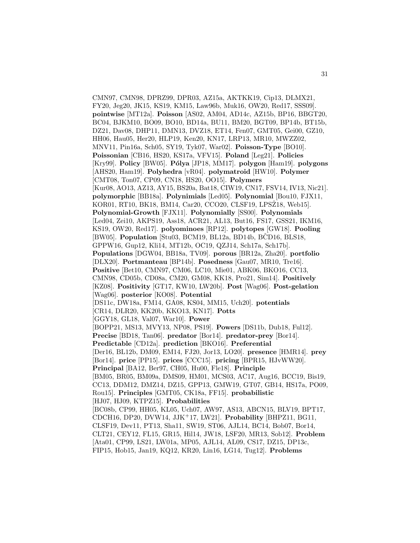CMN97, CMN98, DPRZ99, DPR03, AZ15a, AKTKK19, Cip13, DLMX21, FY20, Jeg20, JK15, KS19, KM15, Law96b, Muk16, OW20, Red17, SSS09]. **pointwise** [MT12a]. **Poisson** [AS02, AM04, AD14c, AZ15b, BP16, BBGT20, BC04, BJKM10, BO09, BO10, BD14a, BU11, BM20, BGT09, BP14b, BT15b, DZ21, Dav08, DHP11, DMN13, DVZ18, ET14, Fen07, GMT05, Gei00, GZ10, HH06, Hau05, Her20, HLP19, Ken20, KN17, LRP13, MR10, MWZZ02, MNV11, Pin16a, Sch05, SY19, Tyk07, War02]. **Poisson-Type** [BO10]. **Poissonian** [CB16, HS20, KS17a, VFV15]. **Poland** [Leg21]. **Policies** [Kry99]. **Policy** [BW05]. **P´olya** [JP18, MM17]. **polygon** [Ham19]. **polygons** [AHS20, Ham19]. **Polyhedra** [vR04]. **polymatroid** [HW10]. **Polymer** [CMT08, Ton07, CP09, CN18, HS20, OO15]. **Polymers** [Kur08, AO13, AZ13, AY15, BS20a, Bat18, CIW19, CN17, FSV14, IV13, Nic21]. **polymorphic** [BB18a]. **Polynimials** [Led05]. **Polynomial** [Bou10, FJX11, KOR01, RT10, BK18, BM14, Car20, CCO20, CLSF19, LPSZ18, Web15. **Polynomial-Growth** [FJX11]. **Polynomially** [SS00]. **Polynomials** [Led04, Zei10, AKPS19, Ass18, ACR21, AL13, But16, FS17, GSS21, IKM16, KS19, OW20, Red17]. **polyominoes** [RP12]. **polytopes** [GW18]. **Pooling** [BW05]. **Population** [Stu03, BCM19, BL12a, BD14b, BCD16, BLS18, GPPW16, Gup12, Kli14, MT12b, OC19, QZJ14, Sch17a, Sch17b]. **Populations** [DGW04, BB18a, TV09]. **porous** [BR12a, Zha20]. **portfolio** [DLX20]. **Portmanteau** [BP14b]. **Posedness** [Gau07, MR10, Tre16]. **Positive** [Bet10, CMN97, CM06, LC10, Mie01, ABK06, BKO16, CC13, CMN98, CD05b, CD08a, CM20, GM08, KK18, Pro21, Sim14]. **Positively** [KZ08]. **Positivity** [GT17, KW10, LW20b]. **Post** [Wag06]. **Post-gelation** [Wag06]. **posterior** [KO08]. **Potential** [DS11c, DW18a, FM14, GA08, KS04, MM15, Uch20]. **potentials** [CR14, DLR20, KK20b, KKO13, KN17]. **Potts** [GGY18, GL18, Val07, War10]. **Power** [BOPP21, MS13, MVY13, NP08, PS19]. **Powers** [DS11b, Dub18, Ful12]. **Precise** [BD18, Tan06]. **predator** [Bor14]. **predator-prey** [Bor14]. **Predictable** [CD12a]. **prediction** [BKO16]. **Preferential** [Der16, BL12b, DM09, EM14, FJ20, Jor13, LO20]. **presence** [HMR14]. **prey** [Bor14]. **price** [PP15]. **prices** [CCC15]. **pricing** [BPR15, HJvWW20]. **Principal** [BA12, Ber97, CH05, Hu00, Fle18]. **Principle** [BM05, BR05, BM09a, DMS09, HM01, MCS03, AC17, Aug16, BCC19, Bis19, CC13, DDM12, DMZ14, DZ15, GPP13, GMW19, GT07, GB14, HS17a, PO09, Rou15]. **Principles** [GMT05, CK18a, FF15]. **probabilistic** [HJ07, HJ09, KTPZ15]. **Probabilities** [BC08b, CP99, HH05, KL05, Uch07, AW97, AS13, ABCN15, BLV19, BPT17, CDCH16, DP20, DVW14, JJK<sup>+</sup>17, LW21]. **Probability** [BHPZ11, BG11, CLSF19, Dev11, PT13, Sha11, SW19, ST06, AJL14, BC14, Bob07, Bor14, CLT21, CEY12, FL15, GR15, Hil14, JW18, LSF20, MR13, Sob12]. **Problem** [Ata01, CP99, LS21, LW01a, MP05, AJL14, AL09, CS17, DZ15, DP13c, FIP15, Hob15, Jan19, KQ12, KR20, Lin16, LG14, Tug12]. **Problems**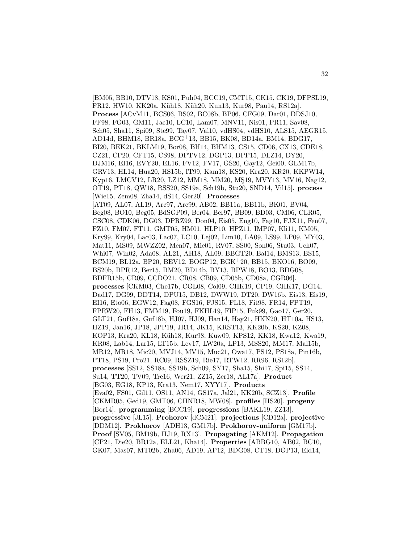[BM05, BB10, DTV18, KS01, Puh04, BCC19, CMT15, CK15, CK19, DFPSL19, FR12, HW10, KK20a, Küh18, Küh20, Kun13, Kur98, Pau14, RS12a]. **Process** [ACvM11, BCS06, BS02, BC08b, BP06, CFG09, Dar01, DDSJ10, FF98, FG03, GM11, Jac10, LC10, Lam07, MNV11, Nis01, PR11, Sav08, Sch05, Sha11, Spi09, Ste99, Tay07, Val10, vdHS04, vdHS10, ALS15, AEGR15, AD14d, BHM18, BR18a, BCG<sup>+</sup>13, BB15, BK08, BD14a, BM14, BDG17, BI20, BEK21, BKLM19, Bor08, BH14, BHM13, CS15, CD06, CX13, CDE18, CZ21, CP20, CFT15, CS98, DPTV12, DGP13, DPP15, DLZ14, DY20, DJM16, EI16, EVY20, EL16, FV12, FV17, GS20, Gay12, Gei00, GLM17b, GRV13, HL14, Hua20, HS15b, IT99, Kam18, KS20, Kra20, KR20, KKPW14, Kyp16, LMCV12, LR20, LZ12, MM18, MM20, MŞ19, MVY13, MV16, Nag12, OT19, PT18, QW18, RSS20, SS19a, Sch19b, Stu20, SND14, Vil15]. **process** [Wie15, Zem08, Zha14, dS14, Ger20]. **Processes** [AT09, AL07, AL19, Arc97, Arc99, AB02, BB11a, BB11b, BK01, BV04, Beg08, BO10, Beg05, BdSGP09, Ber04, Ber97, BB09, BD03, CM06, CLR05, CSC08, CDK06, DG03, DPRZ99, Don04, Eis05, Eng10, Fag10, FJX11, Fen07, FZ10, FM07, FT11, GMT05, HM01, HLP10, HPZ11, IMP07, Kli11, KM05, Kry99, Kry04, Lac03, Lac07, LC10, Lej02, Lim10, LA09, LS99, LP09, MY03, Mat11, MS09, MWZZ02, Men07, Mie01, RV07, SS00, Son06, Stu03, Uch07, Whi07, Win02, Ada08, AL21, AH18, AL09, BBGT20, Bal14, BMS13, BS15, BCM19, BL12a, BP20, BEV12, BOGP12, BGK<sup>+</sup>20, BB15, BKO16, BO09, BS20b, BPR12, Ber15, BM20, BD14b, BY13, BPW18, BO13, BDG08, BDFR15b, CR09, CCDO21, CR08, CB09, CD05b, CD08a, CGR06]. **processes** [CKM03, Che17b, CGL08, Col09, CHK19, CP19, CHK17, DG14, Dad17, DG99, DDT14, DPU15, DB12, DWW19, DT20, DW16b, Eis13, Eis19, EI16, Eto06, EGW12, Fag08, FGS16, FJS15, FL18, Fit98, FR14, FPT19, FPRW20, FH13, FMM19, Fou19, FKHL19, FIP15, Fuk99, Gao17, Ger20, GLT21, Guf18a, Guf18b, HJ07, HJ09, Han14, Hay21, HKN20, HT10a, HS13, HZ19, Jan16, JP18, JPP19, JR14, JK15, KRST13, KK20b, KS20, KZ08, KOP13, Kra20, KL18, Küh18, Kur98, Kuw09, KPS12, KK18, Kwa12, Kwa19, KR08, Lab14, Lar15, LT15b, Lev17, LW20a, LP13, MSS20, MM17, Mal15b, MR12, MR18, Mic20, MVJ14, MV15, Muc21, Owa17, PS12, PS18a, Pin16b, PT18, PS19, Pro21, RC09, RSSZ19, Rie17, RTW12, RR96, RS12b]. **processes** [SS12, SS18a, SS19b, Sch09, SY17, Sha15, Shi17, Spi15, SS14, Su14, TT20, TV09, Tre16, Wer21, ZZ15, Zer18, AL17a]. **Product** [BG03, EG18, KP13, Kra13, Nem17, XYY17]. **Products** [Eva02, FS01, Gil11, OS11, AN14, GS17a, Jal21, KK20b, SCZ13]. **Profile** [CKMR05, Ged19, GMT06, CHNR18, MW08]. **profiles** [HS20]. **progeny** [Bor14]. **programming** [BCC19]. **progressions** [BAKL19, ZZ13]. **progressive** [JL15]. **Prohorov** [dCM21]. **projections** [CD12a]. **projective** [DDM12]. **Prokhorov** [ADH13, GM17b]. **Prokhorov-uniform** [GM17b]. **Proof** [SV05, BM19b, HJ19, RX13]. **Propagating** [AKM12]. **Propagation** [CP21, Die20, BR12a, ELL21, Kha14]. **Properties** [ABBG10, AB02, BC10, GK07, Mas07, MT02b, Zha06, AD19, AP12, BDG08, CT18, DGP13, Eld14,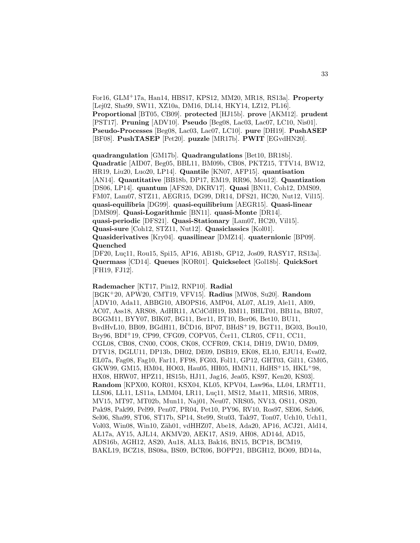For16, GLM<sup>+</sup>17a, Han14, HBS17, KPS12, MM20, MR18, RS13a]. **Property** [Lej02, Sha99, SW11, XZ10a, DM16, DL14, HKY14, LZ12, PL16]. **Proportional** [BT05, CB09]. **protected** [HJ15b]. **prove** [AKM12]. **prudent** [PST17]. **Pruning** [ADV10]. **Pseudo** [Beg08, Lac03, Lac07, LC10, Nis01]. **Pseudo-Processes** [Beg08, Lac03, Lac07, LC10]. **pure** [DH19]. **PushASEP** [BF08]. **PushTASEP** [Pet20]. **puzzle** [MR17b]. **PWIT** [EGvdHN20].

**quadrangulation** [GM17b]. **Quadrangulations** [Bet10, BR18b]. **Quadratic** [AID07, Beg05, BBL11, BM09b, CB08, PKTZ15, TTV14, BW12, HR19, Liu20, Luo20, LP14]. **Quantile** [KN07, AFP15]. **quantisation** [AN14]. **Quantitative** [BB18b, DP17, EM19, RR96, Mou12]. **Quantization** [DS06, LP14]. **quantum** [AFS20, DKRV17]. **Quasi** [BN11, Coh12, DMS09, FM07, Lam07, STZ11, AEGR15, DG99, DR14, DFS21, HC20, Nut12, Vil15]. **quasi-equilibria** [DG99]. **quasi-equilibrium** [AEGR15]. **Quasi-linear** [DMS09]. **Quasi-Logarithmic** [BN11]. **quasi-Monte** [DR14]. **quasi-periodic** [DFS21]. **Quasi-Stationary** [Lam07, HC20, Vil15]. **Quasi-sure** [Coh12, STZ11, Nut12]. **Quasiclassics** [Kol01]. **Quasiderivatives** [Kry04]. **quasilinear** [DMZ14]. **quaternionic** [BP09]. **Quenched**

[DF20, Luç11, Rou15, Spi15, AP16, AB18b, GP12, Jos09, RASY17, RS13a]. **Quermass** [CD14]. **Queues** [KOR01]. **Quickselect** [Gol18b]. **QuickSort** [FH19, FJ12].

## **Rademacher** [KT17, Pin12, RNP10]. **Radial**

[BGK<sup>+</sup>20, APW20, CMT19, VFV15]. **Radius** [MW08, Su20]. **Random** [ADV10, Ada11, ABBG10, ABOPS16, AMP04, AL07, AL19, Ale11, AI09, AC07, Ass18, ARS08, AdHR11, ACdCdH19, BM11, BHLT01, BB11a, BR07, BGGM11, BYY07, BIK07, BG11, Ber11, BT10, Ber06, Bet10, BU11, BvdHvL10, BB09, BGdH11, BČD16, BP07, BHdS<sup>+</sup>19, BGT11, BG03, Bou10, Bry96, BDI<sup>+</sup>19, CP99, CFG09, COPV05, Čer11, CLR05, CF11, CC11, CGL08, CB08, CN00, CO08, CK08, CCFR09, CK14, DH19, DW10, DM09, DTV18, DGLU11, DP13b, DH02, DE09, DSB19, EK08, EL10, EJU14, Eva02, EL07a, Fag08, Fag10, Far11, FF98, FG03, Fol11, GP12, GHT03, Gil11, GM05, GKW99, GM15, HM04, HO03, Hau05, HH05, HMN11, HdHS<sup>+</sup>15, HKL<sup>+</sup>98, HX08, HRW07, HPZ11, HS15b, HJ11, Jag16, Jea05, KS97, Ken20, KS03]. **Random** [KPX00, KOR01, KSX04, KL05, KPV04, Law96a, LL04, LRMT11, LLS06, LL11, LS11a, LMM04, LR11, Luç11, MS12, Mat11, MRS16, MR08, MV15, MT97, MT02b, Mun11, Naj01, Neu07, NRS05, NV13, OS11, OS20, Pak98, Pak99, Pel99, Pen07, PR04, Pet10, PY96, RV10, Ros97, SE06, Sch06, Sel06, Sha99, ST06, ST17b, SP14, Ste99, Stu03, Tak97, Ton07, Uch10, Uch11, Vol03, Win08, Win10, Zäh01, vdHHZ07, Abe18, Ada20, AP16, ACJ21, Ald14, AL17a, AY15, AJL14, AKMV20, AEK17, AS19, AH08, AD14d, AD15, ADS16b, AGH12, AS20, Au18, AL13, Bak16, BN15, BCP18, BCM19, BAKL19, BCZ18, BS08a, BS09, BCR06, BOPP21, BBGH12, BO09, BD14a,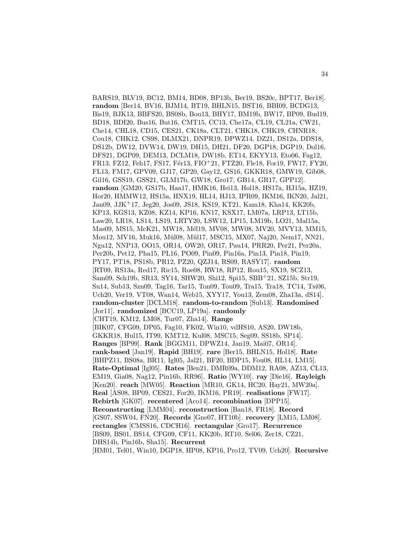BARS19, BLV19, BC12, BM14, BD08, BP13b, Ber19, BS20c, BPT17, Ber18]. **random** [Ber14, BV16, BJM14, BT19, BHLN15, BST16, BBI09, BCDG13, Bis19, BJK13, BBFS20, BS08b, Bou13, BHY17, BM19b, BW17, BP09, Bud19, BD18, BDI20, Bus16, But16, CMT15, CC13, Che17a, CL19, CL21a, CW21, Che14, CHL18, CD15, CES21, CK18a, CLT21, CHK18, CHK19, CHNR18, Cou18, CHK12, CS98, DLMX21, DNPR19, DPWZ14, DZ21, DS12a, DDS18, DS12b, DW12, DVW14, DW19, DH15, DH21, DF20, DGP18, DGP19, Dol16, DFS21, DGP09, DEM13, DCLM18, DW18b, ET14, EKYY13, Eto06, Fag12, FR13, FZ12, Feh17, FS17, Fér13, FIO+21, FTZ20, Fle18, For19, FW17, FY20, FL13, FM17, GPV09, GJ17, GP20, Gay12, GS16, GKKR18, GMW19, Gib08, Gil16, GSS19, GSS21, GLM17b, GW18, Gro17, GB14, GR17, GPP12]. **random** [GM20, GS17b, Haa17, HMK16, Hei13, Hol18, HS17a, HJ15a, HZ19, Hor20, HMMW12, HS15a, HNX19, HL14, HJ13, IPR09, IKM16, IKN20, Jal21, Jan09, JJK<sup>+</sup>17, Jeg20, Jos09, JS18, KS19, KT21, Kam18, Kha14, KK20b, KP13, KGS13, KZ08, KZ14, KP16, KN17, KSX17, LM07a, LRP13, LT15b, Law20, LR18, LS14, LS19, LRTY20, LSW12, LP15, LM19b, LO21, Mal15a, Mas09, MS15, McK21, MW18, Mél19, MV08, MW08, MV20, MVY13, MM15, Mou12, MV16, Muk16, Mül08, Mül17, MSC15, MX07, Naj20, Nem17, NN21, Ngu12, NNP13, OO15, OR14, OW20, OR17, Pau14, PRR20, Per21, Per20a, Per20b, Pet12, Pha15, PL16, PO09, Pin09, Pin16a, Pin13, Pin18, Pin19, PY17, PT18, PS18b, PR12, PZ20, QZJ14, RS09, RASY17]. **random** [RT09, RS13a, Red17, Ric15, Roe08, RW18, RP12, Rou15, SX19, SCZ13, Sam09, Sch19b, SR13, SY14, SHW20, Shi12, Spi15, SBB<sup>+</sup>21, SZ15b, Str19, Su14, Sub13, Szn09, Tag16, Tar15, Ton09, Tou09, Tra15, Tra18, TC14, Tsi06, Uch20, Ver19, VT08, Wan14, Web15, XYY17, You13, Zem08, Zha13a, dS14]. **random-cluster** [DCLM18]. **random-to-random** [Sub13]. **Randomised** [Jor11]. **randomized** [BCC19, LP19a]. **randomly** [CHT19, KM12, LM08, Tur07, Zha14]. **Range** [BIK07, CFG09, DP05, Fag10, FK02, Win10, vdHS10, AS20, DW18b, GKKR18, Hul15, IT99, KMT12, Kul08, MSC15, Seg09, SS18b, SP14]. **Ranges** [BP99]. **Rank** [BGGM11, DPWZ14, Jan19, Mai07, OR14]. **rank-based** [Jan19]. **Rapid** [BH19]. **rare** [Ber15, BHLN15, Hol18]. **Rate** [BHPZ11, BS08a, BR11, Igl05, Jal21, BF20, BDP15, Fou08, HL14, LM15]. **Rate-Optimal** [Igl05]. **Rates** [Ben21, DMR09a, DDM12, RA08, AZ13, CL13, EM19, Gia08, Nag12, Pin16b, RR96]. **Ratio** [WY10]. **ray** [Die16]. **Rayleigh** [Ken20]. **reach** [MW05]. **Reaction** [MR10, GK14, HC20, Hay21, MW20a]. **Real** [AS08, BP09, CES21, For20, IKM16, PR19]. **realisations** [FW17]. **Rebirth** [GK07]. **recentered** [Aco14]. **recombination** [DPP15]. **Reconstructing** [LMM04]. **reconstruction** [Ban18, FR18]. **Record** [GS07, SSW04, FN20]. **Records** [Gne07, HT10b]. **recovery** [LM15, LM08]. **rectangles** [CMSS16, CDCH16]. **rectangular** [Gro17]. **Recurrence** [BS09, BS01, BS14, CFG09, CF11, KK20b, RT10, Sel06, Zer18, CZ21, DHS14b, Pin16b, Sha15]. **Recurrent** [HM01, Tel01, Win10, DGP18, HP08, KP16, Pro12, TV09, Uch20]. **Recursive**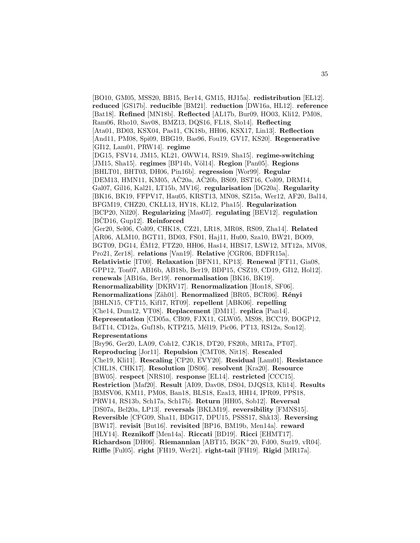[BO10, GM05, MSS20, BB15, Ber14, GM15, HJ15a]. **redistribution** [EL12]. **reduced** [GS17b]. **reducible** [BM21]. **reduction** [DW16a, HL12]. **reference** [Bat18]. **Refined** [MN18b]. **Reflected** [AL17b, Bur09, HO03, Kli12, PM08, Ram06, Rho10, Sav08, BMZ13, DQS16, FL18, Slo14]. **Reflecting** [Ata01, BD03, KSX04, Pas11, CK18b, HH06, KSX17, Lin13]. **Reflection** [And11, PM08, Spi09, BBG19, Bas96, Fou19, GV17, KS20]. **Regenerative** [GI12, Lam01, PRW14]. **regime** [DG15, FSV14, JM15, KL21, OWW14, RS19, Sha15]. **regime-switching** [JM15, Sha15]. **regimes** [BP14b, V¨ol14]. **Region** [Pan05]. **Regions** [BHLT01, BHT03, DH06, Pin16b]. **regression** [Wor99]. **Regular** [DEM13, HMN11, KM05, AČ20a, AČ20b, BS09, BST16, Col09, DRM14, Gal07, Gil16, Kal21, LT15b, MV16]. **regularisation** [DG20a]. **Regularity** [BK16, BK19, FFPV17, Hau05, KRST13, MN08, SZ15a, Wer12, AF20, Bal14, BFGM19, CHZ20, CKLL13, HY18, KL12, Pha15]. **Regularization** [BCP20, Nil20]. **Regularizing** [Mas07]. **regulating** [BEV12]. **regulation** [BCD16, Gup12]. **Reinforced** [Ger20, Sel06, Col09, CHK18, CZ21, LR18, MR08, RS09, Zha14]. **Related** [AR06, ALM10, BGT11, BD03, FS01, Haj11, Hu00, Sza10, BW21, BO09, BGT09, DG14, EM12, FTZ20, HH06, Has14, HBS17, LSW12, MT12a, MV08, ´ Pro21, Zer18]. **relations** [Van19]. **Relative** [CGR06, BDFR15a]. **Relativistic** [IT00]. **Relaxation** [BFN11, KP13]. **Renewal** [FT11, Gia08, GPP12, Ton07, AB16b, AB18b, Ber19, BDP15, CSZ19, CD19, GI12, Hol12]. **renewals** [AB16a, Ber19]. **renormalisation** [BK16, BK19]. **Renormalizability** [DKRV17]. **Renormalization** [Hon18, SF06]. **Renormalizations** [Zäh01]. **Renormalized** [BR05, BCR06]. **Rényi** [BHLN15, CFT15, Kif17, RT09]. **repellent** [ABK06]. **repelling** [Che14, Dum12, VT08]. **Replacement** [DM11]. **replica** [Pan14]. **Representation** [CD05a, CB09, FJX11, GLW05, MS98, BCC19, BOGP12, BdT14, CD12a, Guf18b, KTPZ15, Mél19, Pic06, PT13, RS12a, Son12]. **Representations** [Bry96, Ger20, LA09, Coh12, CJK18, DT20, FS20b, MR17a, PT07]. **Reproducing** [Jor11]. **Repulsion** [CMT08, Nit18]. **Rescaled** [Che19, Kli11]. **Rescaling** [CP20, EVY20]. **Residual** [Lam01]. **Resistance** [CHL18, CHK17]. **Resolution** [DS06]. **resolvent** [Kra20]. **Resource** [BW05]. **respect** [NRS10]. **response** [EL14]. **restricted** [CCC15]. **Restriction** [Maf20]. **Result** [AI09, Dav08, DS04, DJQS13, Kli14]. **Results** [BMSV06, KM11, PM08, Ban18, BLS18, Eza13, HH14, IPR09, PPS18, PRW14, RS13b, Sch17a, Sch17b]. **Return** [HH05, Sob12]. **Reversal** [DS07a, Bel20a, LP13]. **reversals** [BKLM19]. **reversibility** [FMNS15]. **Reversible** [CFG09, Sha11, BDG17, DPU15, PSSS17, Shk13]. **Reversing** [BW17]. **revisit** [But16]. **revisited** [BP16, BM19b, Men14a]. **reward** [HLY14]. **Reznikoff** [Men14a]. **Riccati** [BD19]. **Ricci** [EHMT17]. **Richardson** [DH06]. **Riemannian** [ABT15, BGK<sup>+</sup>20, Fd00, Suz19, vR04]. **Riffle** [Ful05]. **right** [FH19, Wer21]. **right-tail** [FH19]. **Rigid** [MR17a].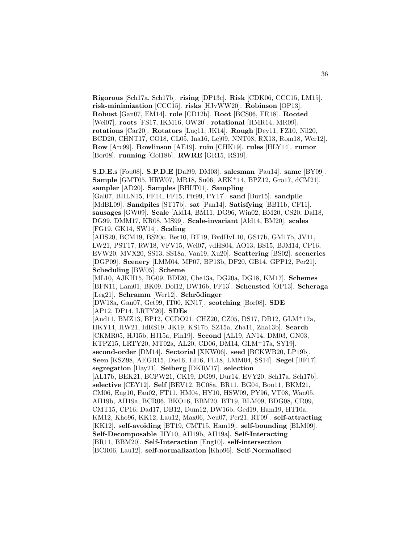**Rigorous** [Sch17a, Sch17b]. **rising** [DP13c]. **Risk** [CDK06, CCC15, LM15]. **risk-minimization** [CCC15]. **risks** [HJvWW20]. **Robinson** [OP13]. **Robust** [Gan07, EM14]. **role** [CD12b]. **Root** [BCS06, FR18]. **Rooted** [Wei07]. **roots** [FS17, IKM16, OW20]. **rotational** [HMR14, MR09]. **rotations** [Car20]. **Rotators** [Luc11, JK14]. **Rough** [Dey11, FZ10, Nil20, BCD20, CHNT17, CO18, CL05, Ina16, Lej09, NNT08, RX13, Rom18, Wer12]. **Row** [Arc99]. **Rowlinson** [AE19]. **ruin** [CHK19]. **rules** [HLY14]. **rumor** [Bor08]. **running** [Gol18b]. **RWRE** [GR15, RS19].

**S.D.E.s** [Fou08]. **S.P.D.E** [Dal99, DM03]. **salesman** [Pau14]. **same** [BY09]. **Sample** [GMT05, HRW07, MR18, Su06, AEK<sup>+</sup>14, BPZ12, Gro17, dCM21]. **sampler** [AD20]. **Samples** [BHLT01]. **Sampling** [Gal07, BHLN15, FF14, FF15, Pit99, PY17]. **sand** [Bur15]. **sandpile**

[MdBL09]. **Sandpiles** [ST17b]. **sat** [Pan14]. **Satisfying** [BB11b, CF11]. **sausages** [GW09]. **Scale** [Ald14, BM11, DG96, Win02, BM20, CS20, Dal18, DG99, DMM17, KR08, MS99]. **Scale-invariant** [Ald14, BM20]. **scales** [FG19, GK14, SW14]. **Scaling**

[AHS20, BCM19, BS20c, Bet10, BT19, BvdHvL10, GS17b, GM17b, JV11, LW21, PST17, RW18, VFV15, Wei07, vdHS04, AO13, BS15, BJM14, CP16, EVW20, MVX20, SS13, SS18a, Van19, Xu20]. **Scattering** [BS02]. **sceneries** [DGP09]. **Scenery** [LMM04, MP07, BP13b, DF20, GB14, GPP12, Per21]. **Scheduling** [BW05]. **Scheme**

[ML10, AJKH15, BG09, BDI20, Che13a, DG20a, DG18, KM17]. **Schemes** [BFN11, Lam01, BK09, Dol12, DW16b, FF13]. **Schensted** [OP13]. **Scheraga** [Leg21]. **Schramm** [Wer12]. **Schrödinger** 

[DW18a, Gau07, Get99, IT00, KN17]. **scotching** [Bor08]. **SDE** [AP12, DP14, LRTY20]. **SDEs**

[And11, BMZ13, BP12, CCDO21, CHZ20, CZ05, DS17, DB12, GLM<sup>+</sup>17a, HKY14, HW21, IdRS19, JK19, KS17b, SZ15a, Zha11, Zha13b]. **Search** [CKMR05, HJ15b, HJ15a, Pin19]. **Second** [AL19, AN14, DM03, GN03, KTPZ15, LRTY20, MT02a, AL20, CD06, DM14, GLM<sup>+</sup>17a, SY19]. **second-order** [DM14]. **Sectorial** [XKW06]. **seed** [BCKWB20, LP19b]. **Seen** [KSZ98, AEGR15, Die16, EI16, FL18, LMM04, SS14]. **Segel** [BF17]. **segregation** [Hay21]. **Seiberg** [DKRV17]. **selection** [AL17b, BEK21, BCPW21, CK19, DG99, Dur14, EVY20, Sch17a, Sch17b]. **selective** [CEY12]. **Self** [BEV12, BC08a, BR11, BG04, Bou11, BKM21, CM06, Eng10, Fau02, FT11, HM04, HY10, HSW09, PY96, VT08, Wan05, AH19b, AH19a, BCR06, BKO16, BBM20, BT19, BLM09, BDG08, CR09, CMT15, CP16, Dad17, DB12, Dum12, DW16b, Ged19, Ham19, HT10a, KM12, Kho96, KK12, Lau12, Max06, Neu07, Per21, RT09]. **self-attracting** [KK12]. **self-avoiding** [BT19, CMT15, Ham19]. **self-bounding** [BLM09]. **Self-Decomposable** [HY10, AH19b, AH19a]. **Self-Interacting** [BR11, BBM20]. **Self-Interaction** [Eng10]. **self-intersection** [BCR06, Lau12]. **self-normalization** [Kho96]. **Self-Normalized**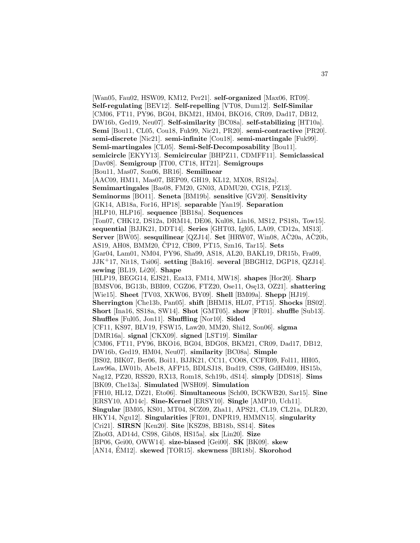[Wan05, Fau02, HSW09, KM12, Per21]. **self-organized** [Max06, RT09]. **Self-regulating** [BEV12]. **Self-repelling** [VT08, Dum12]. **Self-Similar** [CM06, FT11, PY96, BG04, BKM21, HM04, BKO16, CR09, Dad17, DB12, DW16b, Ged19, Neu07]. **Self-similarity** [BC08a]. **self-stabilizing** [HT10a]. **Semi** [Bou11, CL05, Cou18, Fuk99, Nic21, PR20]. **semi-contractive** [PR20]. **semi-discrete** [Nic21]. **semi-infinite** [Cou18]. **semi-martingale** [Fuk99]. **Semi-martingales** [CL05]. **Semi-Self-Decomposability** [Bou11]. **semicircle** [EKYY13]. **Semicircular** [BHPZ11, CDMFF11]. **Semiclassical** [Dav08]. **Semigroup** [IT00, CT18, HT21]. **Semigroups** [Bou11, Mas07, Son06, BR16]. **Semilinear** [AAC09, HM11, Mas07, BEP09, GH19, KL12, MX08, RS12a]. **Semimartingales** [Bas08, FM20, GN03, ADMU20, CG18, PZ13]. **Seminorms** [BO11]. **Seneta** [BM19b]. **sensitive** [GV20]. **Sensitivity** [GK14, AB18a, For16, HP18]. **separable** [Yan19]. **Separation** [HLP10, HLP16]. **sequence** [BB18a]. **Sequences** [Ton07, CHK12, DS12a, DRM14, DE06, Kul08, Lin16, MS12, PS18b, Tow15]. **sequential** [BJJK21, DDT14]. **Series** [GHT03, Igl05, LA09, CD12a, MS13]. **Server** [BW05]. **sesquilinear** [QZJ14]. **Set** [HRW07, Win08,  $\angle$ A $\angle$ 20a,  $\angle$ A $\angle$ 20b, AS19, AH08, BMM20, ČP12, CB09, PT15, Szn16, Tar15]. Sets [Gar04, Lam01, NM04, PY96, Sha99, AS18, AL20, BAKL19, DR15b, Fra09, JJK<sup>+</sup>17, Nit18, Tsi06]. **setting** [Bak16]. **several** [BBGH12, DGP18, QZJ14]. **sewing** [BL19, Lê20]. **Shape** [HLP19, BEGG14, EJS21, Eza13, FM14, MW18]. **shapes** [Hor20]. **Sharp** [BMSV06, BG13b, BBI09, CGZ06, FTZ20, Ose11, Ose13, OZ21]. **shattering** [Wie15]. **Sheet** [TV03, XKW06, BY09]. **Shell** [BM09a]. **Shepp** [HJ19]. **Sherrington** [Che13b, Pan05]. **shift** [BHM18, HL07, PT15]. **Shocks** [BS02]. **Short** [Ina16, SS18a, SW14]. **Shot** [GMT05]. **show** [FR01]. **shuffle** [Sub13]. **Shuffles** [Ful05, Jon11]. **Shuffling** [Nor10]. **Sided** [CF11, KS97, BLV19, FSW15, Law20, MM20, Shi12, Son06]. **sigma** [DMR16a]. **signal** [CKX09]. **signed** [LST19]. **Similar** [CM06, FT11, PY96, BKO16, BG04, BDG08, BKM21, CR09, Dad17, DB12, DW16b, Ged19, HM04, Neu07]. **similarity** [BC08a]. **Simple** [BS02, BIK07, Ber06, Boi11, BJJK21, CC11, CO08, CCFR09, Fol11, HH05, Law96a, LW01b, Abe18, AFP15, BDLSJ18, Bud19, CS98, GdHM09, HS15b, Nag12, PZ20, RSS20, RX13, Rom18, Sch19b, dS14]. **simply** [DDS18]. **Sims** [BK09, Che13a]. **Simulated** [WSH09]. **Simulation** [FH10, HL12, DZ21, Eto06]. **Simultaneous** [Sch00, BCKWB20, Sar15]. **Sine** [ERSY10, AD14c]. **Sine-Kernel** [ERSY10]. **Single** [AMP10, Uch11]. **Singular** [BM05, KS01, MT04, SCZ09, Zha11, APS21, CL19, CL21a, DLR20, HKY14, Ngu12]. **Singularities** [FR01, DNPR19, HMMN15]. **singularity** [Cri21]. **SIRSN** [Ken20]. **Site** [KSZ98, BB18b, SS14]. **Sites** [Zho03, AD14d, CS98, Gib08, HS15a]. **six** [Lin20]. **Size** [BP06, Gei00, OWW14]. **size-biased** [Gei00]. **SK** [BK09]. **skew** [AN14, EM12]. **skewed** [TOR15]. **skewness** [BR18b]. **Skorohod**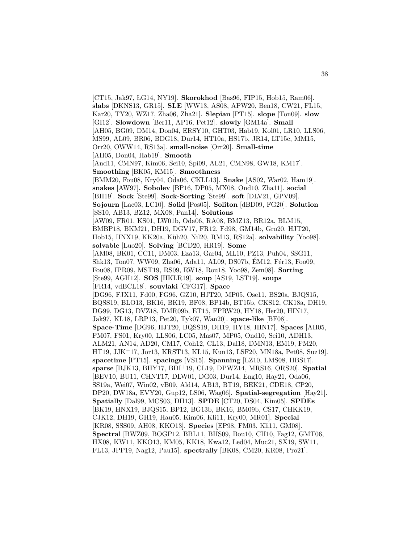[CT15, Jak97, LG14, NY19]. **Skorokhod** [Bas96, FIP15, Hob15, Ram06]. **slabs** [DKNS13, GR15]. **SLE** [WW13, AS08, APW20, Ben18, CW21, FL15, Kar20, TY20, WZ17, Zha06, Zha21]. **Slepian** [PT15]. **slope** [Ton09]. **slow** [GI12]. **Slowdown** [Ber11, AP16, Pet12]. **slowly** [GM14a]. **Small** [AH05, BG09, DM14, Don04, ERSY10, GHT03, Hab19, Kol01, LR10, LLS06, MS99, AL09, BR06, BDG18, Dur14, HT10a, HS17b, JR14, LT15c, MM15, Orr20, OWW14, RS13a]. **small-noise** [Orr20]. **Small-time** [AH05, Don04, Hab19]. **Smooth** [And11, CMN97, Kim06, Sei10, Spi09, AL21, CMN98, GW18, KM17]. **Smoothing** [BK05, KM15]. **Smoothness** [BMM20, Fou08, Kry04, Oda06, CKLL13]. **Snake** [AS02, War02, Ham19]. **snakes** [AW97]. **Sobolev** [BP16, DP05, MX08, Ond10, Zha11]. **social** [BH19]. **Sock** [Ste99]. **Sock-Sorting** [Ste99]. **soft** [DLV21, GPV09]. **Sojourn** [Lac03, LC10]. **Solid** [Pos05]. **Soliton** [dBD09, FG20]. **Solution** [SS10, AB13, BZ12, MX08, Pan14]. **Solutions** [AW09, FR01, KS01, LW01b, Oda06, RA08, BMZ13, BR12a, BLM15, BMBP18, BKM21, DH19, DGV17, FR12, Fd98, GM14b, Gro20, HJT20, Hob15, HNX19, KK20a, Küh20, Nil20, RM13, RS12a]. **solvability** [Yoo98]. **solvable** [Luo20]. **Solving** [BCD20, HR19]. **Some** [AM08, BK01, CC11, DM03, Eza13, Gar04, ML10, PZ13, Puh04, SSG11, Shk13, Ton07, WW09, Zha06, Ada11, AL09, DS07b, ÉM12, Fér13, Foo09, Fou08, IPR09, MST19, RS09, RW18, Rou18, Yoo98, Zem08]. **Sorting** [Ste99, AGH12]. **SOS** [HKLR19]. **soup** [AS19, LST19]. **soups** [FR14, vdBCL18]. **souvlaki** [CFG17]. **Space** [DG96, FJX11, Fd00, FG96, GZ10, HJT20, MP05, Ose11, BS20a, BJQS15, BQSS19, BLO13, BK16, BK19, BF08, BP14b, BT15b, CKS12, CK18a, DH19, DG99, DG13, DVZ18, DMR09b, ET15, FPRW20, HY18, Her20, HIN17, Jak97, KL18, LRP13, Pet20, Tyk07, Wan20]. **space-like** [BF08]. **Space-Time** [DG96, HJT20, BQSS19, DH19, HY18, HIN17]. **Spaces** [AH05, FM07, FS01, Kry00, LLS06, LC05, Mas07, MP05, Ond10, Sei10, ADH13, ALM21, AN14, AD20, CM17, Coh12, CL13, Dal18, DMN13, EM19, FM20, HT19, JJK<sup>+</sup>17, Jor13, KRST13, KL15, Kun13, LSF20, MN18a, Pet08, Suz19]. **spacetime** [PT15]. **spacings** [VS15]. **Spanning** [LZ10, LMS08, HBS17]. **sparse** [BJK13, BHY17, BDI<sup>+</sup>19, CL19, DPWZ14, MRS16, ORS20]. **Spatial** [BEV10, BU11, CHNT17, DLW01, DG03, Dur14, Eng10, Hay21, Oda06, SS19a, Wei07, Win02, vB09, Ald14, AB13, BT19, BEK21, CDE18, CP20, DP20, DW18a, EVY20, Gup12, LS06, Wag06]. **Spatial-segregation** [Hay21]. **Spatially** [Dal99, MCS03, DH13]. **SPDE** [CT20, DS04, Kim05]. **SPDEs** [BK19, HNX19, BJQS15, BP12, BG13b, BK16, BM09b, CS17, CHKK19, CJK12, DH19, GH19, Hau05, Kim06, Kli11, Kry00, MR01]. **Special** [KR08, SSS09, AH08, KKO13]. **Species** [EP98, FM03, Kli11, GM08]. **Spectral** [BWZ09, BOGP12, BBL11, BHS09, Bou10, CH10, Fag12, GMT06, HX08, KW11, KKO13, KM05, KK18, Kwa12, Led04, Muc21, SX19, SW11, FL13, JPP19, Nag12, Pau15]. **spectrally** [BK08, CM20, KR08, Pro21].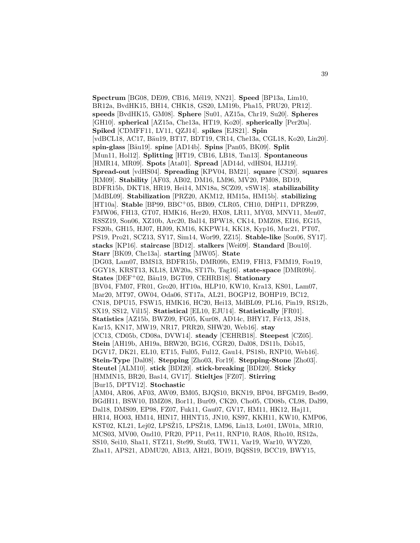**Spectrum** [BG08, DE09, CB16, Mél19, NN21]. **Speed** [BP13a, Lim10, BR12a, BvdHK15, BH14, CHK18, GS20, LM19b, Pha15, PRU20, PR12]. **speeds** [BvdHK15, GM08]. **Sphere** [Su01, AZ15a, Chr19, Su20]. **Spheres** [GH10]. **spherical** [AZ15a, Che13a, HT19, Ko20]. **spherically** [Per20a]. **Spiked** [CDMFF11, LV11, QZJ14]. **spikes** [EJS21]. **Spin** [vdBCL18, AC17, Bäu19, BT17, BDT19, CR14, Che13a, CGL18, Ko20, Lin20]. **spin-glass** [B¨au19]. **spine** [AD14b]. **Spins** [Pan05, BK09]. **Split** [Mun11, Hol12]. **Splitting** [HT19, CB16, LB18, Tan13]. **Spontaneous** [HMR14, MR09]. **Spots** [Ata01]. **Spread** [AD14d, vdHS04, HJJ19]. **Spread-out** [vdHS04]. **Spreading** [KPV04, BM21]. **square** [CS20]. **squares** [RM09]. **Stability** [AF03, AB02, DM16, LM96, MV20, PM08, BD19, BDFR15b, DKT18, HR19, Hei14, MN18a, SCZ09, vSW18]. **stabilizability** [MdBL09]. **Stabilization** [PRZ20, AKM12, HM15a, HM15b]. **stabilizing** [HT10a]. **Stable** [BP99, BBC<sup>+</sup>05, BB09, CLR05, CH10, DHP11, DPRZ99, FMW06, FH13, GT07, HMK16, Her20, HX08, LR11, MY03, MNV11, Men07, RSSZ19, Son06, XZ10b, Arc20, Bal14, BPW18, CK14, DMZ08, EI16, EG15, FS20b, GH15, HJ07, HJ09, KM16, KKPW14, KK18, Kyp16, Muc21, PT07, PS19, Pro21, SCZ13, SY17, Sim14, Wor99, ZZ15]. **Stable-like** [Son06, SY17]. **stacks** [KP16]. **staircase** [BD12]. **stalkers** [Wei09]. **Standard** [Bou10]. **Starr** [BK09, Che13a]. **starting** [MW05]. **State** [DG03, Lam07, BMS13, BDFR15b, DMR09b, EM19, FH13, FMM19, Fou19, GGY18, KRST13, KL18, LW20a, ST17b, Tag16]. **state-space** [DMR09b]. **States** [DEF<sup>+</sup>02, Bäu19, BGT09, CEHRB18]. **Stationary** [BV04, FM07, FR01, Gro20, HT10a, HLP10, KW10, Kra13, KS01, Lam07, Mar20, MT97, OW04, Oda06, ST17a, AL21, BOGP12, BOHP19, BC12, CN18, DPU15, FSW15, HMK16, HC20, Hei13, MdBL09, PL16, Pin19, RS12b, SX19, SS12, Vil15]. **Statistical** [EL10, EJU14]. **Statistically** [FR01]. **Statistics** [AZ15b, BWZ09, FG05, Kur08, AD14c, BHY17, Fér13, JS18, Kar15, KN17, MW19, NR17, PRR20, SHW20, Web16]. **stay** [CC13, CD05b, CD08a, DVW14]. **steady** [CEHRB18]. **Steepest** [CZ05]. **Stein** [AH19b, AH19a, BRW20, BG16, CGR20, Dal08, DS11b, Döb15, DGV17, DK21, EL10, ET15, Ful05, Ful12, Gau14, PS18b, RNP10, Web16]. **Stein-Type** [Dal08]. **Stepping** [Zho03, For19]. **Stepping-Stone** [Zho03]. **Steutel** [ALM10]. **stick** [BDI20]. **stick-breaking** [BDI20]. **Sticky** [HMMN15, BR20, Bas14, GV17]. **Stieltjes** [FZ07]. **Stirring** [Bur15, DPTV12]. **Stochastic** [AM04, AR06, AF03, AW09, BM05, BJQS10, BKN19, BP04, BFGM19, Bes99, BGdH11, BSW10, BMZ08, Bor11, Bur09, CK20, Cho05, CD08b, CL98, Dal99, Dal18, DMS09, EP98, FZ07, Fuk11, Gau07, GV17, HM11, HK12, Haj11, HR14, HO03, HM14, HIN17, HHNT15, JN10, KS97, KKH11, KW10, KMP06, KST02, KL21, Lej02, LPSŽ15, LPSŽ18, LM96, Lin13, Lot01, LW01a, MR10, MCS03, MV00, Ond10, PR20, PP11, Pet11, RNP10, RA08, Rho10, RS12a, SS10, Sei10, Sha11, STZ11, Ste99, Stu03, TW11, Var19, War10, WYZ20, Zha11, APS21, ADMU20, AB13, AH21, BO19, BQSS19, BCC19, BWY15,

39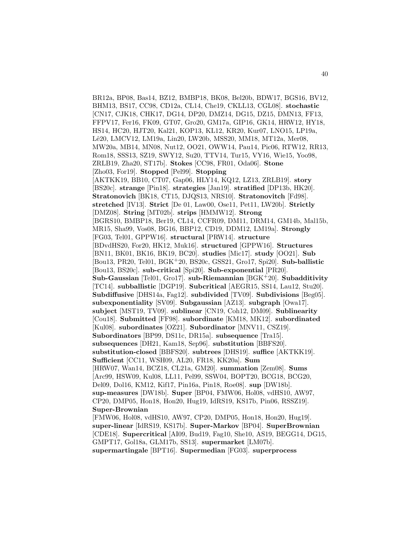BR12a, BP08, Bas14, BZ12, BMBP18, BK08, Bel20b, BDW17, BGS16, BV12, BHM13, BS17, CC98, CD12a, CL14, Che19, CKLL13, CGL08]. **stochastic** [CN17, CJK18, CHK17, DG14, DP20, DMZ14, DG15, DZ15, DMN13, FF13, FFPV17, Fer16, FK09, GT07, Gro20, GM17a, GIP16, GK14, HRW12, HY18, HS14, HC20, HJT20, Kal21, KOP13, KL12, KR20, Kur07, LNO15, LP19a, Lê20, LMCV12, LM19a, Lin20, LW20b, MSS20, MM18, MT12a, Mer08, MW20a, MB14, MN08, Nut12, OO21, OWW14, Pau14, Pic06, RTW12, RR13, Rom18, SSS13, SZ19, SWY12, Su20, TTV14, Tur15, VY16, Wie15, Yoo98, ZRLB19, Zha20, ST17b]. **Stokes** [CC98, FR01, Oda06]. **Stone** [Zho03, For19]. **Stopped** [Pel99]. **Stopping** [AKTKK19, BB10, CT07, Gap06, HLY14, KQ12, LZ13, ZRLB19]. **story** [BS20c]. **strange** [Pin18]. **strategies** [Jan19]. **stratified** [DP13b, HK20]. **Stratonovich** [BK18, CT15, DJQS13, NRS10]. **Stratonovitch** [Fd98]. **stretched** [IV13]. **Strict** [De 01, Law00, Ose11, Pet11, LW20b]. **Strictly** [DMZ08]. **String** [MT02b]. **strips** [HMMW12]. **Strong** [BGRS10, BMBP18, Ber19, CL14, CCFR09, DM11, DRM14, GM14b, Mal15b, MR15, Sha99, Vos08, BG16, BBP12, CD19, DDM12, LM19a]. **Strongly** [FG03, Tel01, GPPW16]. **structural** [PRW14]. **structure** [BDvdHS20, For20, HK12, Muk16]. **structured** [GPPW16]. **Structures** [BN11, BK01, BK16, BK19, BC20]. **studies** [Mic17]. **study** [OO21]. **Sub** [Bou13, PR20, Tel01, BGK<sup>+</sup>20, BS20c, GSS21, Gro17, Spi20]. **Sub-ballistic** [Bou13, BS20c]. **sub-critical** [Spi20]. **Sub-exponential** [PR20]. **Sub-Gaussian** [Tel01, Gro17]. **sub-Riemannian** [BGK<sup>+</sup>20]. **Subadditivity** [TC14]. **subballistic** [DGP19]. **Subcritical** [AEGR15, SS14, Lau12, Stu20]. **Subdiffusive** [DHS14a, Fag12]. **subdivided** [TV09]. **Subdivisions** [Beg05]. **subexponentiality** [SV09]. **Subgaussian** [AZ13]. **subgraph** [Owa17]. **subject** [MST19, TV09]. **sublinear** [CN19, Coh12, DM09]. **Sublinearity** [Cou18]. **Submitted** [FF98]. **subordinate** [KM18, MK12]. **subordinated** [Kul08]. **subordinates** [OZ21]. **Subordinator** [MNV11, CSZ19]. **Subordinators** [BP99, DS11c, DR15a]. **subsequence** [Tra15]. **subsequences** [DH21, Kam18, Sep96]. **substitution** [BBFS20]. **substitution-closed** [BBFS20]. **subtrees** [DHS19]. **suffice** [AKTKK19]. **Sufficient** [CC11, WSH09, AL20, FR18, KK20a]. **Sum** [HRW07, Wan14, BCZ18, CL21a, GM20]. **summation** [Zem08]. **Sums** [Arc99, HSW09, Kul08, LL11, Pel99, SSW04, BOPT20, BCG18, BCG20, Del09, Dol16, KM12, Kif17, Pin16a, Pin18, Roe08]. **sup** [DW18b]. **sup-measures** [DW18b]. **Super** [BP04, FMW06, Hol08, vdHS10, AW97, CP20, DMP05, Hon18, Hon20, Hug19, IdRS19, KS17b, Pin06, RSSZ19]. **Super-Brownian** [FMW06, Hol08, vdHS10, AW97, CP20, DMP05, Hon18, Hon20, Hug19]. **super-linear** [IdRS19, KS17b]. **Super-Markov** [BP04]. **SuperBrownian** [CDE18]. **Supercritical** [AI09, Bud19, Fag10, She10, AS19, BEGG14, DG15, GMPT17, Gol18a, GLM17b, SS13]. **supermarket** [LM07b].

**supermartingale** [BPT16]. **Supermedian** [FG03]. **superprocess**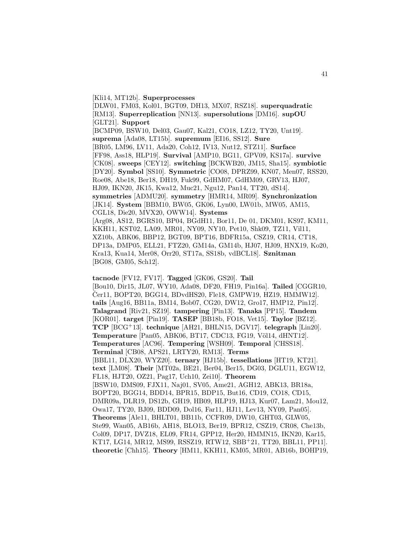## [Kli14, MT12b]. **Superprocesses**

[DLW01, FM03, Kol01, BGT09, DH13, MX07, RSZ18]. **superquadratic** [RM13]. **Superreplication** [NN13]. **supersolutions** [DM16]. **supOU** [GLT21]. **Support** [BCMP09, BSW10, Del03, Gau07, Kal21, CO18, LZ12, TY20, Unt19]. **suprema** [Ada08, LT15b]. **supremum** [EI16, SS12]. **Sure** [BR05, LM96, LV11, Ada20, Coh12, IV13, Nut12, STZ11]. **Surface** [FF98, Ass18, HLP19]. **Survival** [AMP10, BG11, GPV09, KS17a]. **survive** [CK08]. **sweeps** [CEY12]. **switching** [BCKWB20, JM15, Sha15]. **symbiotic** [DY20]. **Symbol** [SS10]. **Symmetric** [CO08, DPRZ99, KN07, Men07, RSS20, Roe08, Abe18, Ber18, DH19, Fuk99, GdHM07, GdHM09, GRV13, HJ07, HJ09, IKN20, JK15, Kwa12, Muc21, Ngu12, Pan14, TT20, dS14]. **symmetries** [ADMU20]. **symmetry** [HMR14, MR09]. **Synchronization** [JK14]. **System** [BBM10, BW05, GK06, Lyn00, LW01b, MW05, AM15, CGL18, Die20, MVX20, OWW14]. **Systems** [Arg08, AS12, BGRS10, BP04, BGdH11, Bor11, De 01, DKM01, KS97, KM11, KKH11, KST02, LA09, MR01, NY09, NY10, Pet10, Shk09, TZ11, Vil11, XZ10b, ABK06, BBP12, BGT09, BPT16, BDFR15a, CSZ19, CR14, CT18, DP13a, DMP05, ELL21, FTZ20, GM14a, GM14b, HJ07, HJ09, HNX19, Ko20, Kra13, Kua14, Mer08, Orr20, ST17a, SS18b, vdBCL18]. **Sznitman** [BG08, GM05, Sch12].

**tacnode** [FV12, FV17]. **Tagged** [GK06, GS20]. **Tail** [Bou10, Dir15, JL07, WY10, Ada08, DF20, FH19, Pin16a]. **Tailed** [CGGR10, Čer11, BOPT20, BGG14, BDvdHS20, Fle18, GMPW19, HZ19, HMMW12. **tails** [Aug16, BB11a, BM14, Bob07, CG20, DW12, Gro17, HMP12, Pin12]. **Talagrand** [Riv21, SZ19]. **tampering** [Pin13]. **Tanaka** [PP15]. **Tandem** [KOR01]. **target** [Pin19]. **TASEP** [BB18b, FO18, Vet15]. **Taylor** [BZ12]. **TCP** [BCG<sup>+</sup>13]. **technique** [AH21, BHLN15, DGV17]. **telegraph** [Lin20]. **Temperature** [Pan05, ABK06, BT17, CDC13, FG19, Völ14, dHNT12]. **Temperatures** [AC96]. **Tempering** [WSH09]. **Temporal** [CHSS18]. **Terminal** [CB08, APS21, LRTY20, RM13]. **Terms** [BBL11, DLX20, WYZ20]. **ternary** [HJ15b]. **tessellations** [HT19, KT21]. **text** [LM08]. **Their** [MT02a, BE21, Ber04, Ber15, DG03, DGLU11, EGW12, FL18, HJT20, OZ21, Pag17, Uch10, Zei10]. **Theorem** [BSW10, DMS09, FJX11, Naj01, SV05, Ame21, AGH12, ABK13, BR18a, BOPT20, BGG14, BDD14, BPR15, BDP15, But16, CD19, CO18, CD15, DMR09a, DLR19, DS12b, GH19, HB09, HLP19, HJ13, Kur07, Lam21, Mou12, Owa17, TY20, BJ09, BDD09, Dol16, Far11, HJ11, Lev13, NY09, Pan05]. **Theorems** [Ale11, BHLT01, BB11b, CCFR09, DW10, GHT03, GLW05, Ste99, Wan05, AB16b, AH18, BLO13, Ber19, BPR12, CSZ19, CR08, Che13b, Col09, DP17, DVZ18, EL09, FR14, GPP12, Her20, HMMN15, IKN20, Kar15, KT17, LG14, MR12, MS99, RSSZ19, RTW12, SBB<sup>+</sup>21, TT20, BBL11, PP11]. **theoretic** [Chh15]. **Theory** [HM11, KKH11, KM05, MR01, AB16b, BOHP19,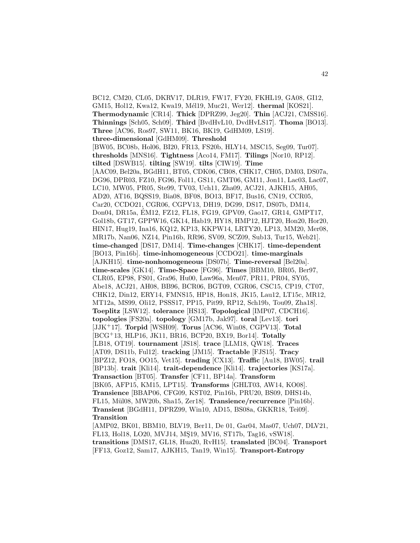BC12, CM20, CL05, DKRV17, DLR19, FW17, FY20, FKHL19, GA08, GI12, GM15, Hol12, Kwa12, Kwa19, Mél19, Muc21, Wer12<sup>]</sup>. **thermal** [KOS21]. **Thermodynamic** [CR14]. **Thick** [DPRZ99, Jeg20]. **Thin** [ACJ21, CMSS16]. **Thinnings** [Sch05, Sch09]. **Third** [BvdHvL10, DvdHvLS17]. **Thoma** [BO13]. **Three** [AC96, Ros97, SW11, BK16, BK19, GdHM09, LS19]. **three-dimensional** [GdHM09]. **Threshold** [BW05, BC08b, Hol06, BI20, FR13, FS20b, HLY14, MSC15, Seg09, Tur07]. **thresholds** [MNS16]. **Tightness** [Aco14, FM17]. **Tilings** [Nor10, RP12]. **tilted** [DSWB15]. **tilting** [SW19]. **tilts** [CIW19]. **Time** [AAC09, Bel20a, BGdH11, BT05, CDK06, CB08, CHK17, CH05, DM03, DS07a, DG96, DPR03, FZ10, FG96, Fol11, GS11, GMT06, GM11, Jon11, Lac03, Lac07, LC10, MW05, PR05, Ste99, TV03, Uch11, Zha09, ACJ21, AJKH15, AH05, AD20, AT16, BQSS19, Bia08, BF08, BO13, BF17, Bus16, CN19, CCR05, Car20, CCDO21, CGR06, CGPV13, DH19, DG99, DS17, DS07b, DM14, Don04, DR15a, EM12, FZ12, FL18, FG19, GPV09, Gao17, GR14, GMPT17, ´ Gol18b, GT17, GPPW16, GK14, Hab19, HY18, HMP12, HJT20, Hon20, Hor20, HIN17, Hug19, Ina16, KQ12, KP13, KKPW14, LRTY20, LP13, MM20, Mer08, MR17b, Nan06, NZ14, Pin16b, RR96, SV09, SCZ09, Sub13, Tur15, Web21]. **time-changed** [DS17, DM14]. **Time-changes** [CHK17]. **time-dependent** [BO13, Pin16b]. **time-inhomogeneous** [CCDO21]. **time-marginals** [AJKH15]. **time-nonhomogeneous** [DS07b]. **Time-reversal** [Bel20a]. **time-scales** [GK14]. **Time-Space** [FG96]. **Times** [BBM10, BR05, Ber97, CLR05, EP98, FS01, Gra96, Hu00, Law96a, Men07, PR11, PR04, SY05, Abe18, ACJ21, AH08, BB96, BCR06, BGT09, CGR06, CSC15, CP19, CT07, CHK12, Din12, ERY14, FMNS15, HP18, Hon18, JK15, Lau12, LT15c, MR12, MT12a, MS99, Oli12, PSSS17, PP15, Pit99, RP12, Sch19b, Tou09, Zha18]. **Toeplitz** [LSW12]. **tolerance** [HS13]. **Topological** [IMP07, CDCH16]. **topologies** [FS20a]. **topology** [GM17b, Jak97]. **toral** [Lev13]. **tori** [JJK<sup>+</sup>17]. **Torpid** [WSH09]. **Torus** [AC96, Win08, CGPV13]. **Total** [BCG<sup>+</sup>13, HLP16, JK11, BR16, BCP20, BX19, Bor14]. **Totally** [LB18, OT19]. **tournament** [JS18]. **trace** [LLM18, QW18]. **Traces** [AT09, DS11b, Ful12]. **tracking** [JM15]. **Tractable** [FJS15]. **Tracy** [BPZ12, FO18, OO15, Vet15]. **trading** [CX13]. **Traffic** [Au18, BW05]. **trail** [BP13b]. **trait** [Kli14]. **trait-dependence** [Kli14]. **trajectories** [KS17a]. **Transaction** [BT05]. **Transfer** [CF11, BP14a]. **Transform** [BK05, AFP15, KM15, LPT15]. **Transforms** [GHLT03, AW14, KO08]. **Transience** [BBAP06, CFG09, KST02, Pin16b, PRU20, BS09, DHS14b, FL15, M¨ul08, MW20b, Sha15, Zer18]. **Transience/recurrence** [Pin16b]. **Transient** [BGdH11, DPRZ99, Win10, AD15, BS08a, GKKR18, Tei09]. **Transition** [AMP02, BK01, BBM10, BLV19, Ber11, De 01, Gar04, Mas07, Uch07, DLV21, FL13, Hol18, LO20, MVJ14, MŞ19, MV16, ST17b, Tag16, vSW18].

**transitions** [DMS17, GL18, Hua20, RvH15]. **translated** [BC04]. **Transport** [FF13, Goz12, Sam17, AJKH15, Tan19, Win15]. **Transport-Entropy**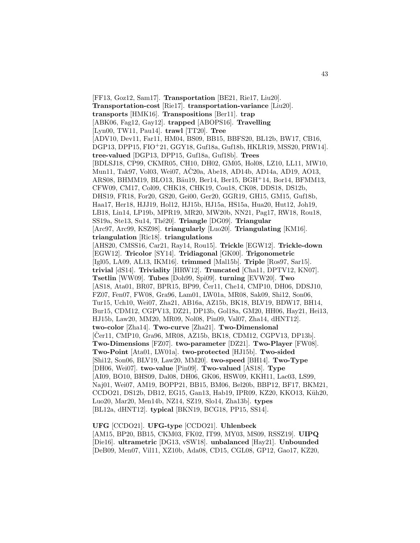[FF13, Goz12, Sam17]. **Transportation** [BE21, Rie17, Liu20]. **Transportation-cost** [Rie17]. **transportation-variance** [Liu20]. **transports** [HMK16]. **Transpositions** [Ber11]. **trap** [ABK06, Fag12, Gay12]. **trapped** [ABOPS16]. **Travelling** [Lyn00, TW11, Pau14]. **trawl** [TT20]. **Tree** [ADV10, Dev11, Far11, HM04, BS09, BB15, BBFS20, BL12b, BW17, CB16, DGP13, DPP15, FIO<sup>+</sup>21, GGY18, Guf18a, Guf18b, HKLR19, MSS20, PRW14]. **tree-valued** [DGP13, DPP15, Guf18a, Guf18b]. **Trees** [BDLSJ18, CP99, CKMR05, CH10, DH02, GM05, Hol08, LZ10, LL11, MW10, Mun11, Tak97, Vol03, Wei07, AC20a, Abe18, AD14b, AD14a, AD19, AO13, ARS08, BHMM19, BLO13, Bäu19, Ber14, Ber15, BGH+14, Bor14, BFMM13, CFW09, CM17, Col09, CHK18, CHK19, Cou18, CK08, DDS18, DS12b, DHS19, FR18, For20, GS20, Gei00, Ger20, GGR19, GH15, GM15, Guf18b, Haa17, Her18, HJJ19, Hol12, HJ15b, HJ15a, HS15a, Hua20, Hut12, Joh19, LB18, Lin14, LP19b, MPR19, MR20, MW20b, NN21, Pag17, RW18, Rou18, SS19a, Ste13, Su14, Th´e20]. **Triangle** [DG09]. **Triangular** [Arc97, Arc99, KSZ98]. **triangularly** [Luo20]. **Triangulating** [KM16]. **triangulation** [Ric18]. **triangulations** [AHS20, CMSS16, Car21, Ray14, Rou15]. **Trickle** [EGW12]. **Trickle-down** [EGW12]. **Tricolor** [SY14]. **Tridiagonal** [GK00]. **Trigonometric** [Igl05, LA09, AL13, IKM16]. **trimmed** [Mal15b]. **Triple** [Ros97, Sar15]. **trivial** [dS14]. **Triviality** [HRW12]. **Truncated** [Cha11, DPTV12, KN07]. **Tsetlin** [WW09]. **Tubes** [Doh99, Spi09]. **turning** [EVW20]. **Two** [AS18, Ata01, BR07, BPR15, BP99, Cer11, Che14, CMP10, DH06, DDSJ10, FZ07, Fen07, FW08, Gra96, Lam01, LW01a, MR08, Sak09, Shi12, Son06, Tur15, Uch10, Wei07, Zha21, AB16a, AZ15b, BK18, BLV19, BDW17, BH14, Bur15, CDM12, CGPV13, DZ21, DP13b, Gol18a, GM20, HH06, Hay21, Hei13, HJ15b, Law20, MM20, MR09, Nol08, Pin09, Val07, Zha14, dHNT12]. **two-color** [Zha14]. **Two-curve** [Zha21]. **Two-Dimensional** [Čer11, CMP10, Gra96, MR08, AZ15b, BK18, CDM12, CGPV13, DP13b]. **Two-Dimensions** [FZ07]. **two-parameter** [DZ21]. **Two-Player** [FW08]. **Two-Point** [Ata01, LW01a]. **two-protected** [HJ15b]. **Two-sided** [Shi12, Son06, BLV19, Law20, MM20]. **two-speed** [BH14]. **Two-Type** [DH06, Wei07]. **two-value** [Pin09]. **Two-valued** [AS18]. **Type** [AI09, BO10, BHS09, Dal08, DH06, GK06, HSW09, KKH11, Lac03, LS99, Naj01, Wei07, AM19, BOPP21, BB15, BM06, Bel20b, BBP12, BF17, BKM21, CCDO21, DS12b, DB12, EG15, Gan13, Hab19, IPR09, KZ20, KKO13, Küh20, Luo20, Mar20, Men14b, NZ14, SZ19, Slo14, Zha13b]. **types** [BL12a, dHNT12]. **typical** [BKN19, BCG18, PP15, SS14].

**UFG** [CCDO21]. **UFG-type** [CCDO21]. **Uhlenbeck** [AM15, BP20, BB15, CKM03, FK02, IT99, MY03, MS09, RSSZ19]. **UIPQ** [Die16]. **ultrametric** [DG13, vSW18]. **unbalanced** [Hay21]. **Unbounded** [DeB09, Men07, Vil11, XZ10b, Ada08, CD15, CGL08, GP12, Gao17, KZ20,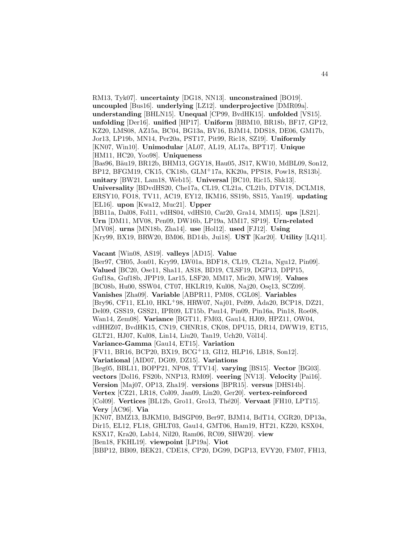RM13, Tyk07]. **uncertainty** [DG18, NN13]. **unconstrained** [BO19]. **uncoupled** [Bus16]. **underlying** [LZ12]. **underprojective** [DMR09a]. **understanding** [BHLN15]. **Unequal** [CP99, BvdHK15]. **unfolded** [VS15]. **unfolding** [Der16]. **unified** [HP17]. **Uniform** [BBM10, BR18b, BF17, GP12, KZ20, LMS08, AZ15a, BC04, BG13a, BV16, BJM14, DDS18, DE06, GM17b, Jor13, LP19b, MN14, Per20a, PST17, Pit99, Ric18, SZ19]. **Uniformly** [KN07, Win10]. **Unimodular** [AL07, AL19, AL17a, BPT17]. **Unique** [HM11, HC20, Yoo98]. **Uniqueness** [Bas96, Bäu19, BR12b, BHM13, GGY18, Hau05, JS17, KW10, MdBL09, Son12, BP12, BFGM19, CK15, CK18b, GLM<sup>+</sup>17a, KK20a, PPS18, Pow18, RS13b]. **unitary** [BW21, Lam18, Web15]. **Universal** [BC10, Ric15, Shk13]. **Universality** [BDvdHS20, Che17a, CL19, CL21a, CL21b, DTV18, DCLM18, ERSY10, FO18, TV11, AC19, EY12, IKM16, SS19b, SS15, Yan19]. **updating** [EL16]. **upon** [Kwa12, Muc21]. **Upper** [BB11a, Dal08, Fol11, vdHS04, vdHS10, Car20, Gra14, MM15]. **ups** [LS21]. **Urn** [DM11, MV08, Pen09, DW16b, LP19a, MM17, SP19]. **Urn-related** [MV08]. **urns** [MN18b, Zha14]. **use** [Hol12]. **used** [FJ12]. **Using** [Kry99, BX19, BRW20, BM06, BD14b, Jui18]. **UST** [Kar20]. **Utility** [LQ11].

**Vacant** [Win08, AS19]. **valleys** [AD15]. **Value**

[Ber97, CH05, Jon01, Kry99, LW01a, BDF18, CL19, CL21a, Ngu12, Pin09]. **Valued** [BC20, Ose11, Sha11, AS18, BD19, CLSF19, DGP13, DPP15, Guf18a, Guf18b, JPP19, Lar15, LSF20, MM17, Mic20, MW19]. **Values** [BC08b, Hu00, SSW04, CT07, HKLR19, Kul08, Naj20, Osę13, SCZ09]. **Vanishes** [Zha09]. **Variable** [ABPR11, PM08, CGL08]. **Variables** [Bry96, CF11, EL10, HKL<sup>+</sup>98, HRW07, Naj01, Pel99, Ada20, BCP18, DZ21, Del09, GSS19, GSS21, IPR09, LT15b, Pau14, Pin09, Pin16a, Pin18, Roe08, Wan14, Zem08]. **Variance** [BGT11, FM03, Gau14, HJ09, HPZ11, OW04, vdHHZ07, BvdHK15, CN19, CHNR18, CK08, DPU15, DR14, DWW19, ET15, GLT21, HJ07, Kul08, Lin14, Liu20, Tan19, Uch20, Völ14]. **Variance-Gamma** [Gau14, ET15]. **Variation** [FV11, BR16, BCP20, BX19, BCG<sup>+</sup>13, GI12, HLP16, LB18, Son12]. **Variational** [AID07, DG09, DZ15]. **Variations** [Beg05, BBL11, BOPP21, NP08, TTV14]. **varying** [BS15]. **Vector** [BG03]. **vectors** [Dol16, FS20b, NNP13, RM09]. **veering** [NV13]. **Velocity** [Pai16]. **Version** [Maj07, OP13, Zha19]. **versions** [BPR15]. **versus** [DHS14b]. **Vertex** [CZ21, LR18, Col09, Jan09, Lin20, Ger20]. **vertex-reinforced** [Col09]. **Vertices** [BL12b, Gro11, Gro13, Thé20]. **Vervaat** [FH10, LPT15]. **Very** [AC96]. **Via** [KN07, BMZ13, BJKM10, BdSGP09, Ber97, BJM14, BdT14, CGR20, DP13a, Dir15, EL12, FL18, GHLT03, Gau14, GMT06, Ham19, HT21, KZ20, KSX04, KSX17, Kra20, Lab14, Nil20, Ram06, RC09, SHW20]. **view** [Ben18, FKHL19]. **viewpoint** [LP19a]. **Viot**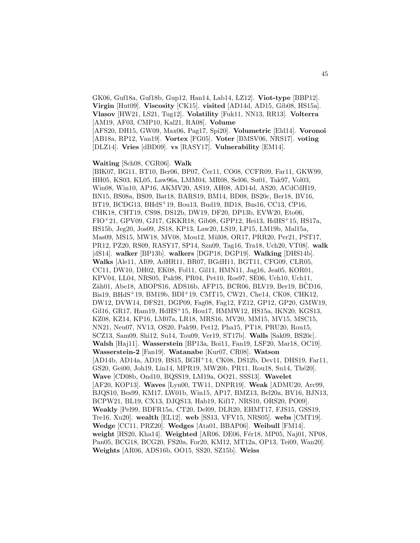GK06, Guf18a, Guf18b, Gup12, Han14, Lab14, LZ12]. **Viot-type** [BBP12]. **Virgin** [Hut09]. **Viscosity** [CK15]. **visited** [AD14d, AD15, Gib08, HS15a]. **Vlasov** [HW21, LS21, Tug12]. **Volatility** [Fuk11, NN13, RR13]. **Volterra** [AM19, AF03, CMP10, Kal21, RA08]. **Volume** [AFS20, DH15, GW09, Max06, Pag17, Spi20]. **Volumetric** [Eld14]. **Voronoi** [AB18a, RP12, Van19]. **Vortex** [FG05]. **Voter** [BMSV06, NRS17]. **voting** [DLZ14]. **Vries** [dBD09]. **vs** [RASY17]. **Vulnerability** [EM14].

#### **Waiting** [Sch08, CGR06]. **Walk**

 $[BIK07, BG11, BT10, Ber06, BP07, Čer11, CO08, CCFR09, Far11, GKW99,$ HH05, KS03, KL05, Law96a, LMM04, MR08, Sel06, Su01, Tak97, Vol03, Win08, Win10, AP16, AKMV20, AS19, AH08, AD14d, AS20, ACdCdH19, BN15, BS08a, BS09, Bat18, BARS19, BM14, BD08, BS20c, Ber18, BV16, BT19, BCDG13, BHdS<sup>+</sup>19, Bou13, Bud19, BD18, Bus16, CC13, CP16, CHK18, CHT19, CS98, DS12b, DW19, DF20, DP13b, EVW20, Eto06,  $FIO+21$ , GPV09, GJ17, GKKR18, Gib08, GPP12, Hei13, HdHS<sup>+</sup>15, HS17a, HS15b, Jeg20, Jos09, JS18, KP13, Law20, LS19, LP15, LM19b, Mal15a, Mas09, MS15, MW18, MV08, Mou12, Mül08, OR17, PRR20, Per21, PST17, PR12, PZ20, RS09, RASY17, SP14, Szn09, Tag16, Tra18, Uch20, VT08]. **walk** [dS14]. **walker** [BP13b]. **walkers** [DGP18, DGP19]. **Walking** [DHS14b]. **Walks** [Ale11, AI09, AdHR11, BR07, BGdH11, BGT11, CFG09, CLR05, CC11, DW10, DH02, EK08, Fol11, Gil11, HMN11, Jag16, Jea05, KOR01, KPV04, LL04, NRS05, Pak98, PR04, Pet10, Ros97, SE06, Uch10, Uch11, Zäh01, Abe18, ABOPS16, ADS16b, AFP15, BCR06, BLV19, Ber19, BCD16, Bis19, BHdS<sup>+</sup>19, BM19b, BDI<sup>+</sup>19, CMT15, CW21, Che14, CK08, CHK12, DW12, DVW14, DFS21, DGP09, Fag08, Fag12, FZ12, GP12, GP20, GMW19, Gil16, GR17, Ham19, HdHS<sup>+</sup>15, Hou17, HMMW12, HS15a, IKN20, KGS13, KZ08, KZ14, KP16, LM07a, LR18, MRS16, MV20, MM15, MV15, MSC15, NN21, Neu07, NV13, OS20, Pak99, Pet12, Pha15, PT18, PRU20, Rou15, SCZ13, Sam09, Shi12, Su14, Tou09, Ver19, ST17b]. **Walls** [Sak09, BS20c]. **Walsh** [Haj11]. **Wasserstein** [BP13a, Boi11, Fan19, LSF20, Mar18, OC19]. **Wasserstein-2** [Fan19]. **Watanabe** [Kur07, CR08]. **Watson** [AD14b, AD14a, AD19, BS15, BGH<sup>+</sup>14, CK08, DS12b, Dev11, DHS19, Far11, GS20, Gei00, Joh19, Lin14, MPR19, MW20b, PR11, Rou18, Su14, Thé20. **Wave** [CD08b, Ond10, BQSS19, LM19a, OO21, SSS13]. **Wavelet** [AF20, KOP13]. **Waves** [Lyn00, TW11, DNPR19]. **Weak** [ADMU20, Arc99, BJQS10, Bes99, KM17, LW01b, Win15, AP17, BMZ13, Bel20a, BV16, BJN13, BCPW21, BL19, CX13, DJQS13, Hab19, Kif17, NRS10, ORS20, PO09]. **Weakly** [Pel99, BDFR15a, CT20, Del09, DLR20, EHMT17, FJS15, GSS19, Tre16, Xu20]. **wealth** [EL12]. **web** [SS13, VFV15, NRS05]. **webs** [CMT19]. **Wedge** [CC11, PRZ20]. **Wedges** [Ata01, BBAP06]. **Weibull** [FM14]. weight [HS20, Kha14]. Weighted [AR06, DE06, Fér18, MP05, Naj01, NP08, Pan05, BCG18, BCG20, FS20a, For20, KM12, MT12a, OP13, Tei09, Wan20]. **Weights** [AR06, ADS16b, OO15, SS20, SZ15b]. **Weiss**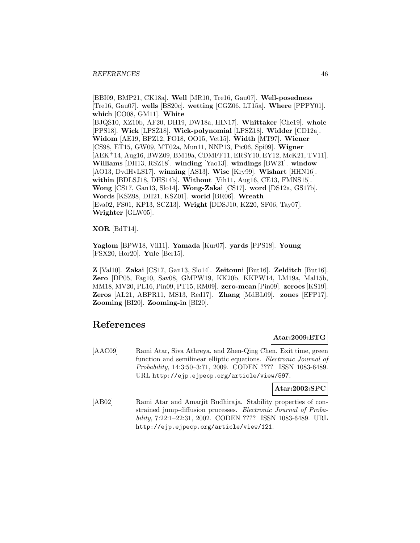[BBI09, BMP21, CK18a]. **Well** [MR10, Tre16, Gau07]. **Well-posedness** [Tre16, Gau07]. **wells** [BS20c]. **wetting** [CGZ06, LT15a]. **Where** [PPPY01]. **which** [CO08, GM11]. **White** [BJQS10, XZ10b, AF20, DH19, DW18a, HIN17]. **Whittaker** [Che19]. **whole** [PPS18]. Wick [LPSZ18]. Wick-polynomial [LPSZ18]. Widder [CD12a]. **Widom** [AE19, BPZ12, FO18, OO15, Vet15]. **Width** [MT97]. **Wiener** [CS98, ET15, GW09, MT02a, Mun11, NNP13, Pic06, Spi09]. **Wigner** [AEK<sup>+</sup>14, Aug16, BWZ09, BM19a, CDMFF11, ERSY10, EY12, McK21, TV11]. **Williams** [DH13, RSZ18]. **winding** [Yao13]. **windings** [BW21]. **window** [AO13, DvdHvLS17]. **winning** [AS13]. **Wise** [Kry99]. **Wishart** [HHN16]. **within** [BDLSJ18, DHS14b]. **Without** [Vih11, Aug16, CE13, FMNS15]. **Wong** [CS17, Gan13, Slo14]. **Wong-Zakai** [CS17]. **word** [DS12a, GS17b]. **Words** [KSZ98, DH21, KSZ01]. **world** [BR06]. **Wreath** [Eva02, FS01, KP13, SCZ13]. **Wright** [DDSJ10, KZ20, SF06, Tay07]. **Wrighter** [GLW05].

**XOR** [BdT14].

**Yaglom** [BPW18, Vil11]. **Yamada** [Kur07]. **yards** [PPS18]. **Young** [FSX20, Hor20]. **Yule** [Ber15].

**Z** [Val10]. **Zakai** [CS17, Gan13, Slo14]. **Zeitouni** [But16]. **Zelditch** [But16]. **Zero** [DP05, Fag10, Sav08, GMPW19, KK20b, KKPW14, LM19a, Mal15b, MM18, MV20, PL16, Pin09, PT15, RM09]. **zero-mean** [Pin09]. **zeroes** [KS19]. **Zeros** [AL21, ABPR11, MS13, Red17]. **Zhang** [MdBL09]. **zones** [EFP17]. **Zooming** [BI20]. **Zooming-in** [BI20].

# **References**

## **Atar:2009:ETG**

[AAC09] Rami Atar, Siva Athreya, and Zhen-Qing Chen. Exit time, green function and semilinear elliptic equations. Electronic Journal of Probability, 14:3:50–3:71, 2009. CODEN ???? ISSN 1083-6489. URL http://ejp.ejpecp.org/article/view/597.

#### **Atar:2002:SPC**

[AB02] Rami Atar and Amarjit Budhiraja. Stability properties of constrained jump-diffusion processes. Electronic Journal of Probability, 7:22:1–22:31, 2002. CODEN ???? ISSN 1083-6489. URL http://ejp.ejpecp.org/article/view/121.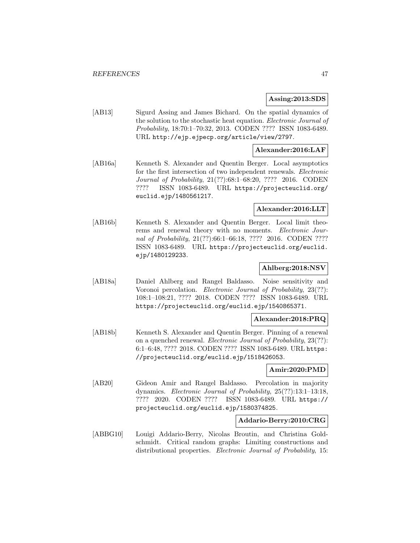#### **Assing:2013:SDS**

[AB13] Sigurd Assing and James Bichard. On the spatial dynamics of the solution to the stochastic heat equation. Electronic Journal of Probability, 18:70:1–70:32, 2013. CODEN ???? ISSN 1083-6489. URL http://ejp.ejpecp.org/article/view/2797.

## **Alexander:2016:LAF**

[AB16a] Kenneth S. Alexander and Quentin Berger. Local asymptotics for the first intersection of two independent renewals. Electronic Journal of Probability, 21(??):68:1–68:20, ???? 2016. CODEN ???? ISSN 1083-6489. URL https://projecteuclid.org/ euclid.ejp/1480561217.

## **Alexander:2016:LLT**

[AB16b] Kenneth S. Alexander and Quentin Berger. Local limit theorems and renewal theory with no moments. Electronic Journal of Probability, 21(??):66:1-66:18, ???? 2016. CODEN ???? ISSN 1083-6489. URL https://projecteuclid.org/euclid. ejp/1480129233.

## **Ahlberg:2018:NSV**

[AB18a] Daniel Ahlberg and Rangel Baldasso. Noise sensitivity and Voronoi percolation. Electronic Journal of Probability, 23(??): 108:1–108:21, ???? 2018. CODEN ???? ISSN 1083-6489. URL https://projecteuclid.org/euclid.ejp/1540865371.

## **Alexander:2018:PRQ**

[AB18b] Kenneth S. Alexander and Quentin Berger. Pinning of a renewal on a quenched renewal. Electronic Journal of Probability, 23(??): 6:1–6:48, ???? 2018. CODEN ???? ISSN 1083-6489. URL https: //projecteuclid.org/euclid.ejp/1518426053.

## **Amir:2020:PMD**

[AB20] Gideon Amir and Rangel Baldasso. Percolation in majority dynamics. Electronic Journal of Probability, 25(??):13:1–13:18, ???? 2020. CODEN ???? ISSN 1083-6489. URL https:// projecteuclid.org/euclid.ejp/1580374825.

#### **Addario-Berry:2010:CRG**

[ABBG10] Louigi Addario-Berry, Nicolas Broutin, and Christina Goldschmidt. Critical random graphs: Limiting constructions and distributional properties. Electronic Journal of Probability, 15: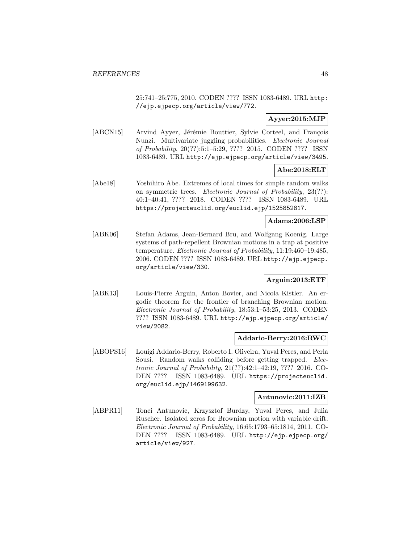25:741–25:775, 2010. CODEN ???? ISSN 1083-6489. URL http: //ejp.ejpecp.org/article/view/772.

# **Ayyer:2015:MJP**

[ABCN15] Arvind Ayyer, Jérémie Bouttier, Sylvie Corteel, and François Nunzi. Multivariate juggling probabilities. *Electronic Journal* of Probability, 20(??):5:1–5:29, ???? 2015. CODEN ???? ISSN 1083-6489. URL http://ejp.ejpecp.org/article/view/3495.

## **Abe:2018:ELT**

[Abe18] Yoshihiro Abe. Extremes of local times for simple random walks on symmetric trees. Electronic Journal of Probability, 23(??): 40:1–40:41, ???? 2018. CODEN ???? ISSN 1083-6489. URL https://projecteuclid.org/euclid.ejp/1525852817.

#### **Adams:2006:LSP**

[ABK06] Stefan Adams, Jean-Bernard Bru, and Wolfgang Koenig. Large systems of path-repellent Brownian motions in a trap at positive temperature. Electronic Journal of Probability, 11:19:460–19:485, 2006. CODEN ???? ISSN 1083-6489. URL http://ejp.ejpecp. org/article/view/330.

## **Arguin:2013:ETF**

[ABK13] Louis-Pierre Arguin, Anton Bovier, and Nicola Kistler. An ergodic theorem for the frontier of branching Brownian motion. Electronic Journal of Probability, 18:53:1–53:25, 2013. CODEN ???? ISSN 1083-6489. URL http://ejp.ejpecp.org/article/ view/2082.

## **Addario-Berry:2016:RWC**

[ABOPS16] Louigi Addario-Berry, Roberto I. Oliveira, Yuval Peres, and Perla Sousi. Random walks colliding before getting trapped. Electronic Journal of Probability, 21(??):42:1–42:19, ???? 2016. CO-DEN ???? ISSN 1083-6489. URL https://projecteuclid. org/euclid.ejp/1469199632.

#### **Antunovic:2011:IZB**

[ABPR11] Tonci Antunovic, Krzysztof Burdzy, Yuval Peres, and Julia Ruscher. Isolated zeros for Brownian motion with variable drift. Electronic Journal of Probability, 16:65:1793–65:1814, 2011. CO-DEN ???? ISSN 1083-6489. URL http://ejp.ejpecp.org/ article/view/927.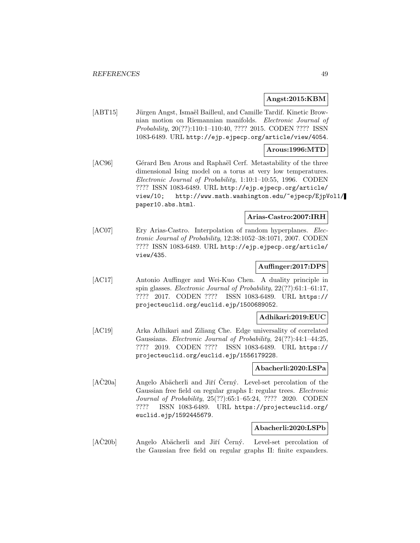## **Angst:2015:KBM**

[ABT15] Jürgen Angst, Ismaël Bailleul, and Camille Tardif. Kinetic Brownian motion on Riemannian manifolds. Electronic Journal of Probability, 20(??):110:1–110:40, ???? 2015. CODEN ???? ISSN 1083-6489. URL http://ejp.ejpecp.org/article/view/4054.

### **Arous:1996:MTD**

[AC96] Gérard Ben Arous and Raphaël Cerf. Metastability of the three dimensional Ising model on a torus at very low temperatures. Electronic Journal of Probability, 1:10:1–10:55, 1996. CODEN ???? ISSN 1083-6489. URL http://ejp.ejpecp.org/article/ view/10; http://www.math.washington.edu/~ejpecp/EjpVol1/ paper10.abs.html.

#### **Arias-Castro:2007:IRH**

[AC07] Ery Arias-Castro. Interpolation of random hyperplanes. *Elec*tronic Journal of Probability, 12:38:1052–38:1071, 2007. CODEN ???? ISSN 1083-6489. URL http://ejp.ejpecp.org/article/ view/435.

## **Auffinger:2017:DPS**

[AC17] Antonio Auffinger and Wei-Kuo Chen. A duality principle in spin glasses. Electronic Journal of Probability, 22(??):61:1–61:17, ???? 2017. CODEN ???? ISSN 1083-6489. URL https:// projecteuclid.org/euclid.ejp/1500689052.

#### **Adhikari:2019:EUC**

[AC19] Arka Adhikari and Ziliang Che. Edge universality of correlated Gaussians. Electronic Journal of Probability, 24(??):44:1–44:25, ???? 2019. CODEN ???? ISSN 1083-6489. URL https:// projecteuclid.org/euclid.ejp/1556179228.

#### **Abacherli:2020:LSPa**

[AC20a] Angelo Abächerli and Jiří Cerný. Level-set percolation of the Gaussian free field on regular graphs I: regular trees. Electronic Journal of Probability, 25(??):65:1–65:24, ???? 2020. CODEN ???? ISSN 1083-6489. URL https://projecteuclid.org/ euclid.ejp/1592445679.

#### **Abacherli:2020:LSPb**

[AC20b] Angelo Abächerli and Jiří Černý. Level-set percolation of the Gaussian free field on regular graphs II: finite expanders.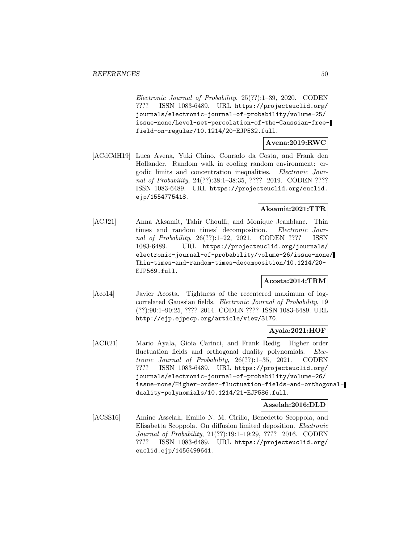Electronic Journal of Probability, 25(??):1–39, 2020. CODEN ???? ISSN 1083-6489. URL https://projecteuclid.org/ journals/electronic-journal-of-probability/volume-25/ issue-none/Level-set-percolation-of-the-Gaussian-freefield-on-regular/10.1214/20-EJP532.full.

## **Avena:2019:RWC**

[ACdCdH19] Luca Avena, Yuki Chino, Conrado da Costa, and Frank den Hollander. Random walk in cooling random environment: ergodic limits and concentration inequalities. Electronic Journal of Probability, 24(??):38:1–38:35, ???? 2019. CODEN ???? ISSN 1083-6489. URL https://projecteuclid.org/euclid. ejp/1554775418.

## **Aksamit:2021:TTR**

[ACJ21] Anna Aksamit, Tahir Choulli, and Monique Jeanblanc. Thin times and random times' decomposition. Electronic Journal of Probability, 26(??):1–22, 2021. CODEN ???? ISSN 1083-6489. URL https://projecteuclid.org/journals/ electronic-journal-of-probability/volume-26/issue-none/ Thin-times-and-random-times-decomposition/10.1214/20- EJP569.full.

## **Acosta:2014:TRM**

[Aco14] Javier Acosta. Tightness of the recentered maximum of logcorrelated Gaussian fields. Electronic Journal of Probability, 19 (??):90:1–90:25, ???? 2014. CODEN ???? ISSN 1083-6489. URL http://ejp.ejpecp.org/article/view/3170.

## **Ayala:2021:HOF**

[ACR21] Mario Ayala, Gioia Carinci, and Frank Redig. Higher order fluctuation fields and orthogonal duality polynomials. Electronic Journal of Probability, 26(??):1–35, 2021. CODEN ???? ISSN 1083-6489. URL https://projecteuclid.org/ journals/electronic-journal-of-probability/volume-26/ issue-none/Higher-order-fluctuation-fields-and-orthogonalduality-polynomials/10.1214/21-EJP586.full.

## **Asselah:2016:DLD**

[ACSS16] Amine Asselah, Emilio N. M. Cirillo, Benedetto Scoppola, and Elisabetta Scoppola. On diffusion limited deposition. Electronic Journal of Probability, 21(??):19:1–19:29, ???? 2016. CODEN ???? ISSN 1083-6489. URL https://projecteuclid.org/ euclid.ejp/1456499641.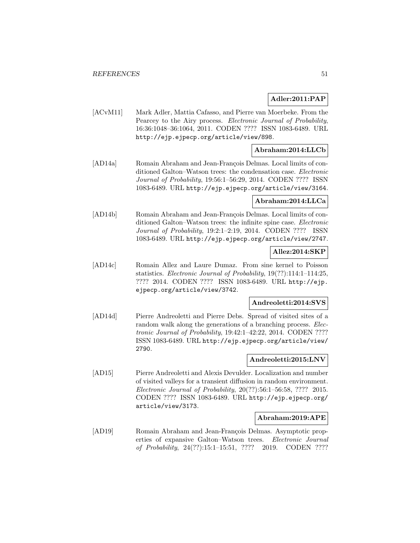## **Adler:2011:PAP**

[ACvM11] Mark Adler, Mattia Cafasso, and Pierre van Moerbeke. From the Pearcey to the Airy process. Electronic Journal of Probability, 16:36:1048–36:1064, 2011. CODEN ???? ISSN 1083-6489. URL http://ejp.ejpecp.org/article/view/898.

## **Abraham:2014:LLCb**

[AD14a] Romain Abraham and Jean-François Delmas. Local limits of conditioned Galton–Watson trees: the condensation case. Electronic Journal of Probability, 19:56:1–56:29, 2014. CODEN ???? ISSN 1083-6489. URL http://ejp.ejpecp.org/article/view/3164.

## **Abraham:2014:LLCa**

[AD14b] Romain Abraham and Jean-François Delmas. Local limits of conditioned Galton–Watson trees: the infinite spine case. Electronic Journal of Probability, 19:2:1–2:19, 2014. CODEN ???? ISSN 1083-6489. URL http://ejp.ejpecp.org/article/view/2747.

#### **Allez:2014:SKP**

[AD14c] Romain Allez and Laure Dumaz. From sine kernel to Poisson statistics. Electronic Journal of Probability, 19(??):114:1–114:25, ???? 2014. CODEN ???? ISSN 1083-6489. URL http://ejp. ejpecp.org/article/view/3742.

## **Andreoletti:2014:SVS**

[AD14d] Pierre Andreoletti and Pierre Debs. Spread of visited sites of a random walk along the generations of a branching process. *Elec*tronic Journal of Probability, 19:42:1–42:22, 2014. CODEN ???? ISSN 1083-6489. URL http://ejp.ejpecp.org/article/view/ 2790.

## **Andreoletti:2015:LNV**

[AD15] Pierre Andreoletti and Alexis Devulder. Localization and number of visited valleys for a transient diffusion in random environment. Electronic Journal of Probability, 20(??):56:1–56:58, ???? 2015. CODEN ???? ISSN 1083-6489. URL http://ejp.ejpecp.org/ article/view/3173.

## **Abraham:2019:APE**

[AD19] Romain Abraham and Jean-François Delmas. Asymptotic properties of expansive Galton–Watson trees. Electronic Journal of Probability, 24(??):15:1–15:51, ???? 2019. CODEN ????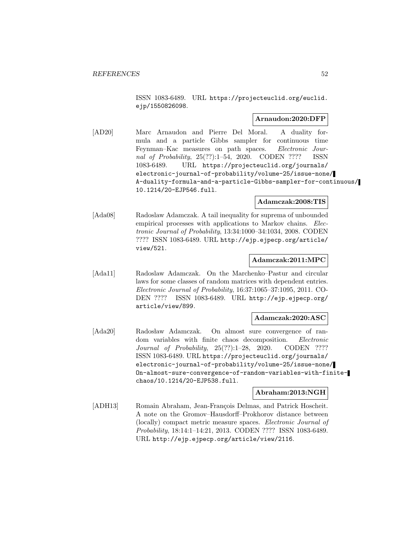ISSN 1083-6489. URL https://projecteuclid.org/euclid. ejp/1550826098.

## **Arnaudon:2020:DFP**

[AD20] Marc Arnaudon and Pierre Del Moral. A duality formula and a particle Gibbs sampler for continuous time Feynman–Kac measures on path spaces. Electronic Journal of Probability, 25(??):1–54, 2020. CODEN ???? ISSN 1083-6489. URL https://projecteuclid.org/journals/ electronic-journal-of-probability/volume-25/issue-none/ A-duality-formula-and-a-particle-Gibbs-sampler-for-continuous/ 10.1214/20-EJP546.full.

## **Adamczak:2008:TIS**

[Ada08] Radoslaw Adamczak. A tail inequality for suprema of unbounded empirical processes with applications to Markov chains. Electronic Journal of Probability, 13:34:1000–34:1034, 2008. CODEN ???? ISSN 1083-6489. URL http://ejp.ejpecp.org/article/ view/521.

## **Adamczak:2011:MPC**

[Ada11] Radoslaw Adamczak. On the Marchenko–Pastur and circular laws for some classes of random matrices with dependent entries. Electronic Journal of Probability, 16:37:1065–37:1095, 2011. CO-DEN ???? ISSN 1083-6489. URL http://ejp.ejpecp.org/ article/view/899.

## **Adamczak:2020:ASC**

[Ada20] Radosław Adamczak. On almost sure convergence of random variables with finite chaos decomposition. Electronic Journal of Probability, 25(??):1–28, 2020. CODEN ???? ISSN 1083-6489. URL https://projecteuclid.org/journals/ electronic-journal-of-probability/volume-25/issue-none/ On-almost-sure-convergence-of-random-variables-with-finitechaos/10.1214/20-EJP538.full.

## **Abraham:2013:NGH**

[ADH13] Romain Abraham, Jean-François Delmas, and Patrick Hoscheit. A note on the Gromov–Hausdorff–Prokhorov distance between (locally) compact metric measure spaces. Electronic Journal of Probability, 18:14:1–14:21, 2013. CODEN ???? ISSN 1083-6489. URL http://ejp.ejpecp.org/article/view/2116.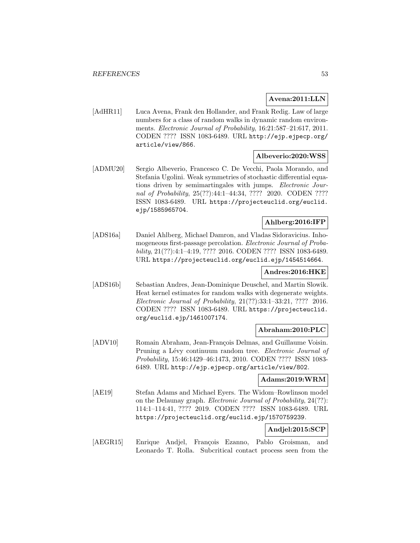## **Avena:2011:LLN**

[AdHR11] Luca Avena, Frank den Hollander, and Frank Redig. Law of large numbers for a class of random walks in dynamic random environments. Electronic Journal of Probability, 16:21:587–21:617, 2011. CODEN ???? ISSN 1083-6489. URL http://ejp.ejpecp.org/ article/view/866.

## **Albeverio:2020:WSS**

[ADMU20] Sergio Albeverio, Francesco C. De Vecchi, Paola Morando, and Stefania Ugolini. Weak symmetries of stochastic differential equations driven by semimartingales with jumps. *Electronic Jour*nal of Probability, 25(??):44:1–44:34, ???? 2020. CODEN ???? ISSN 1083-6489. URL https://projecteuclid.org/euclid. ejp/1585965704.

## **Ahlberg:2016:IFP**

[ADS16a] Daniel Ahlberg, Michael Damron, and Vladas Sidoravicius. Inhomogeneous first-passage percolation. Electronic Journal of Probability, 21(??):4:1–4:19, ???? 2016. CODEN ???? ISSN 1083-6489. URL https://projecteuclid.org/euclid.ejp/1454514664.

## **Andres:2016:HKE**

[ADS16b] Sebastian Andres, Jean-Dominique Deuschel, and Martin Slowik. Heat kernel estimates for random walks with degenerate weights. Electronic Journal of Probability, 21(??):33:1–33:21, ???? 2016. CODEN ???? ISSN 1083-6489. URL https://projecteuclid. org/euclid.ejp/1461007174.

## **Abraham:2010:PLC**

[ADV10] Romain Abraham, Jean-François Delmas, and Guillaume Voisin. Pruning a Lévy continuum random tree. Electronic Journal of Probability, 15:46:1429–46:1473, 2010. CODEN ???? ISSN 1083- 6489. URL http://ejp.ejpecp.org/article/view/802.

## **Adams:2019:WRM**

[AE19] Stefan Adams and Michael Eyers. The Widom–Rowlinson model on the Delaunay graph. Electronic Journal of Probability, 24(??): 114:1–114:41, ???? 2019. CODEN ???? ISSN 1083-6489. URL https://projecteuclid.org/euclid.ejp/1570759239.

## **Andjel:2015:SCP**

[AEGR15] Enrique Andjel, François Ezanno, Pablo Groisman, and Leonardo T. Rolla. Subcritical contact process seen from the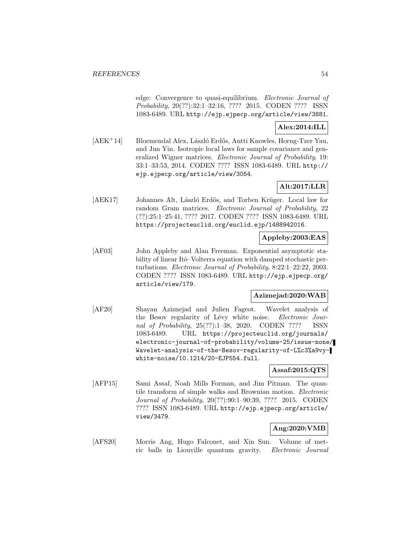edge: Convergence to quasi-equilibrium. Electronic Journal of Probability, 20(??):32:1–32:16, ???? 2015. CODEN ???? ISSN 1083-6489. URL http://ejp.ejpecp.org/article/view/3881.

## **Alex:2014:ILL**

 $[AEK^+14]$  Bloemendal Alex, László Erdős, Antti Knowles, Horng-Tzer Yau, and Jun Yin. Isotropic local laws for sample covariance and generalized Wigner matrices. Electronic Journal of Probability, 19: 33:1–33:53, 2014. CODEN ???? ISSN 1083-6489. URL http:// ejp.ejpecp.org/article/view/3054.

# **Alt:2017:LLR**

[AEK17] Johannes Alt, László Erdős, and Torben Krüger. Local law for random Gram matrices. Electronic Journal of Probability, 22 (??):25:1–25:41, ???? 2017. CODEN ???? ISSN 1083-6489. URL https://projecteuclid.org/euclid.ejp/1488942016.

# **Appleby:2003:EAS**

[AF03] John Appleby and Alan Freeman. Exponential asymptotic stability of linear Itô–Volterra equation with damped stochastic perturbations. Electronic Journal of Probability, 8:22:1–22:22, 2003. CODEN ???? ISSN 1083-6489. URL http://ejp.ejpecp.org/ article/view/179.

## **Aziznejad:2020:WAB**

[AF20] Shayan Aziznejad and Julien Fageot. Wavelet analysis of the Besov regularity of Lévy white noise. Electronic Journal of Probability, 25(??):1–38, 2020. CODEN ???? ISSN 1083-6489. URL https://projecteuclid.org/journals/ electronic-journal-of-probability/volume-25/issue-none/ Wavelet-analysis-of-the-Besov-regularity-of-L%c3%a9vywhite-noise/10.1214/20-EJP554.full.

## **Assaf:2015:QTS**

[AFP15] Sami Assaf, Noah Mills Forman, and Jim Pitman. The quantile transform of simple walks and Brownian motion. Electronic Journal of Probability, 20(??):90:1–90:39, ???? 2015. CODEN ???? ISSN 1083-6489. URL http://ejp.ejpecp.org/article/ view/3479.

## **Ang:2020:VMB**

[AFS20] Morris Ang, Hugo Falconet, and Xin Sun. Volume of metric balls in Liouville quantum gravity. Electronic Journal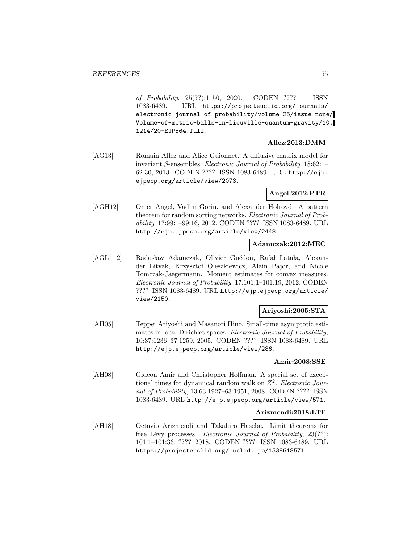of Probability, 25(??):1–50, 2020. CODEN ???? ISSN 1083-6489. URL https://projecteuclid.org/journals/ electronic-journal-of-probability/volume-25/issue-none/ Volume-of-metric-balls-in-Liouville-quantum-gravity/10. 1214/20-EJP564.full.

## **Allez:2013:DMM**

[AG13] Romain Allez and Alice Guionnet. A diffusive matrix model for invariant β-ensembles. Electronic Journal of Probability,  $18:62:1-$ 62:30, 2013. CODEN ???? ISSN 1083-6489. URL http://ejp. ejpecp.org/article/view/2073.

## **Angel:2012:PTR**

[AGH12] Omer Angel, Vadim Gorin, and Alexander Holroyd. A pattern theorem for random sorting networks. Electronic Journal of Probability, 17:99:1–99:16, 2012. CODEN ???? ISSN 1083-6489. URL http://ejp.ejpecp.org/article/view/2448.

## **Adamczak:2012:MEC**

[AGL<sup>+</sup>12] Radosław Adamczak, Olivier Guédon, Rafał Latała, Alexander Litvak, Krzysztof Oleszkiewicz, Alain Pajor, and Nicole Tomczak-Jaegermann. Moment estimates for convex measures. Electronic Journal of Probability, 17:101:1–101:19, 2012. CODEN ???? ISSN 1083-6489. URL http://ejp.ejpecp.org/article/ view/2150.

## **Ariyoshi:2005:STA**

[AH05] Teppei Ariyoshi and Masanori Hino. Small-time asymptotic estimates in local Dirichlet spaces. Electronic Journal of Probability, 10:37:1236–37:1259, 2005. CODEN ???? ISSN 1083-6489. URL http://ejp.ejpecp.org/article/view/286.

## **Amir:2008:SSE**

[AH08] Gideon Amir and Christopher Hoffman. A special set of exceptional times for dynamical random walk on  $Z^2$ . Electronic Journal of Probability, 13:63:1927–63:1951, 2008. CODEN ???? ISSN 1083-6489. URL http://ejp.ejpecp.org/article/view/571.

#### **Arizmendi:2018:LTF**

[AH18] Octavio Arizmendi and Takahiro Hasebe. Limit theorems for free Lévy processes. Electronic Journal of Probability, 23(??): 101:1–101:36, ???? 2018. CODEN ???? ISSN 1083-6489. URL https://projecteuclid.org/euclid.ejp/1538618571.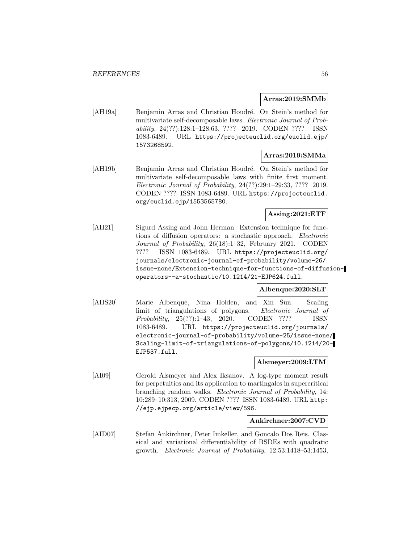#### **Arras:2019:SMMb**

[AH19a] Benjamin Arras and Christian Houdré. On Stein's method for multivariate self-decomposable laws. Electronic Journal of Probability, 24(??):128:1–128:63, ???? 2019. CODEN ???? ISSN 1083-6489. URL https://projecteuclid.org/euclid.ejp/ 1573268592.

## **Arras:2019:SMMa**

[AH19b] Benjamin Arras and Christian Houdré. On Stein's method for multivariate self-decomposable laws with finite first moment. Electronic Journal of Probability, 24(??):29:1–29:33, ???? 2019. CODEN ???? ISSN 1083-6489. URL https://projecteuclid. org/euclid.ejp/1553565780.

# **Assing:2021:ETF**

[AH21] Sigurd Assing and John Herman. Extension technique for functions of diffusion operators: a stochastic approach. Electronic Journal of Probability, 26(18):1–32, February 2021. CODEN ???? ISSN 1083-6489. URL https://projecteuclid.org/ journals/electronic-journal-of-probability/volume-26/ issue-none/Extension-technique-for-functions-of-diffusionoperators--a-stochastic/10.1214/21-EJP624.full.

## **Albenque:2020:SLT**

[AHS20] Marie Albenque, Nina Holden, and Xin Sun. Scaling limit of triangulations of polygons. Electronic Journal of Probability, 25(??):1–43, 2020. CODEN ???? ISSN 1083-6489. URL https://projecteuclid.org/journals/ electronic-journal-of-probability/volume-25/issue-none/ Scaling-limit-of-triangulations-of-polygons/10.1214/20- EJP537.full.

## **Alsmeyer:2009:LTM**

[AI09] Gerold Alsmeyer and Alex Iksanov. A log-type moment result for perpetuities and its application to martingales in supercritical branching random walks. Electronic Journal of Probability, 14: 10:289–10:313, 2009. CODEN ???? ISSN 1083-6489. URL http: //ejp.ejpecp.org/article/view/596.

## **Ankirchner:2007:CVD**

[AID07] Stefan Ankirchner, Peter Imkeller, and Goncalo Dos Reis. Classical and variational differentiability of BSDEs with quadratic growth. Electronic Journal of Probability, 12:53:1418–53:1453,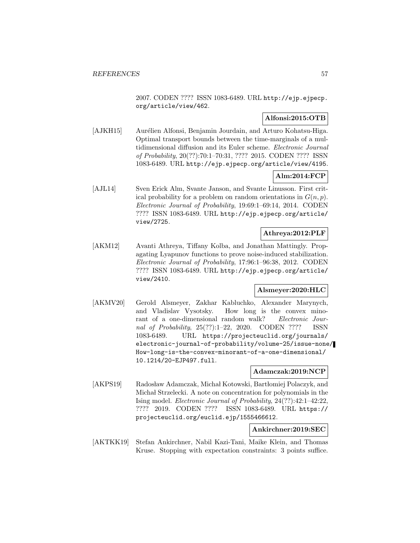2007. CODEN ???? ISSN 1083-6489. URL http://ejp.ejpecp. org/article/view/462.

## **Alfonsi:2015:OTB**

[AJKH15] Aurélien Alfonsi, Benjamin Jourdain, and Arturo Kohatsu-Higa. Optimal transport bounds between the time-marginals of a multidimensional diffusion and its Euler scheme. Electronic Journal of Probability, 20(??):70:1–70:31, ???? 2015. CODEN ???? ISSN 1083-6489. URL http://ejp.ejpecp.org/article/view/4195.

# **Alm:2014:FCP**

[AJL14] Sven Erick Alm, Svante Janson, and Svante Linusson. First critical probability for a problem on random orientations in  $G(n, p)$ . Electronic Journal of Probability, 19:69:1–69:14, 2014. CODEN ???? ISSN 1083-6489. URL http://ejp.ejpecp.org/article/ view/2725.

#### **Athreya:2012:PLF**

[AKM12] Avanti Athreya, Tiffany Kolba, and Jonathan Mattingly. Propagating Lyapunov functions to prove noise-induced stabilization. Electronic Journal of Probability, 17:96:1–96:38, 2012. CODEN ???? ISSN 1083-6489. URL http://ejp.ejpecp.org/article/ view/2410.

## **Alsmeyer:2020:HLC**

[AKMV20] Gerold Alsmeyer, Zakhar Kabluchko, Alexander Marynych, and Vladislav Vysotsky. How long is the convex minorant of a one-dimensional random walk? Electronic Journal of Probability, 25(??):1–22, 2020. CODEN ???? ISSN 1083-6489. URL https://projecteuclid.org/journals/ electronic-journal-of-probability/volume-25/issue-none/ How-long-is-the-convex-minorant-of-a-one-dimensional/ 10.1214/20-EJP497.full.

## **Adamczak:2019:NCP**

[AKPS19] Radosław Adamczak, Michał Kotowski, Bartłomiej Polaczyk, and Michał Strzelecki. A note on concentration for polynomials in the Ising model. Electronic Journal of Probability, 24(??):42:1–42:22, ???? 2019. CODEN ???? ISSN 1083-6489. URL https:// projecteuclid.org/euclid.ejp/1555466612.

## **Ankirchner:2019:SEC**

[AKTKK19] Stefan Ankirchner, Nabil Kazi-Tani, Maike Klein, and Thomas Kruse. Stopping with expectation constraints: 3 points suffice.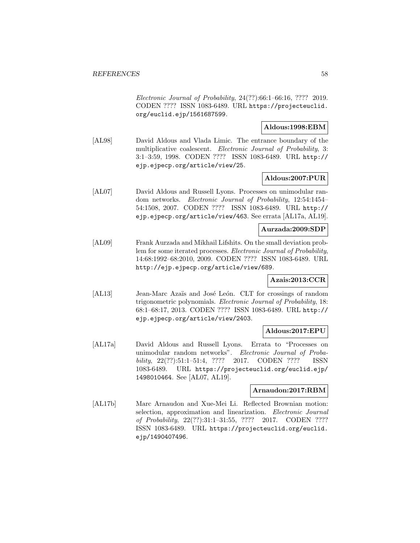Electronic Journal of Probability, 24(??):66:1–66:16, ???? 2019. CODEN ???? ISSN 1083-6489. URL https://projecteuclid. org/euclid.ejp/1561687599.

## **Aldous:1998:EBM**

[AL98] David Aldous and Vlada Limic. The entrance boundary of the multiplicative coalescent. Electronic Journal of Probability, 3: 3:1–3:59, 1998. CODEN ???? ISSN 1083-6489. URL http:// ejp.ejpecp.org/article/view/25.

## **Aldous:2007:PUR**

[AL07] David Aldous and Russell Lyons. Processes on unimodular random networks. Electronic Journal of Probability, 12:54:1454– 54:1508, 2007. CODEN ???? ISSN 1083-6489. URL http:// ejp.ejpecp.org/article/view/463. See errata [AL17a, AL19].

## **Aurzada:2009:SDP**

[AL09] Frank Aurzada and Mikhail Lifshits. On the small deviation problem for some iterated processes. Electronic Journal of Probability, 14:68:1992–68:2010, 2009. CODEN ???? ISSN 1083-6489. URL http://ejp.ejpecp.org/article/view/689.

## **Azais:2013:CCR**

[AL13] Jean-Marc Azaïs and José León. CLT for crossings of random trigonometric polynomials. Electronic Journal of Probability, 18: 68:1–68:17, 2013. CODEN ???? ISSN 1083-6489. URL http:// ejp.ejpecp.org/article/view/2403.

## **Aldous:2017:EPU**

[AL17a] David Aldous and Russell Lyons. Errata to "Processes on unimodular random networks". Electronic Journal of Probability, 22(??):51:1–51:4, ???? 2017. CODEN ???? ISSN 1083-6489. URL https://projecteuclid.org/euclid.ejp/ 1498010464. See [AL07, AL19].

## **Arnaudon:2017:RBM**

[AL17b] Marc Arnaudon and Xue-Mei Li. Reflected Brownian motion: selection, approximation and linearization. Electronic Journal of Probability, 22(??):31:1–31:55, ???? 2017. CODEN ???? ISSN 1083-6489. URL https://projecteuclid.org/euclid. ejp/1490407496.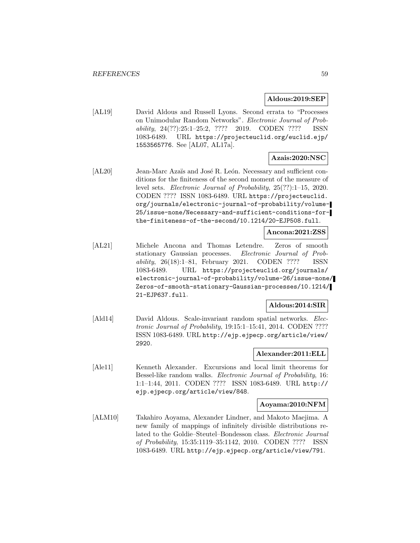#### **Aldous:2019:SEP**

[AL19] David Aldous and Russell Lyons. Second errata to "Processes on Unimodular Random Networks". Electronic Journal of Probability, 24(??):25:1–25:2, ???? 2019. CODEN ???? ISSN 1083-6489. URL https://projecteuclid.org/euclid.ejp/ 1553565776. See [AL07, AL17a].

# **Azais:2020:NSC**

[AL20] Jean-Marc Azaïs and José R. León. Necessary and sufficient conditions for the finiteness of the second moment of the measure of level sets. Electronic Journal of Probability, 25(??):1–15, 2020. CODEN ???? ISSN 1083-6489. URL https://projecteuclid. org/journals/electronic-journal-of-probability/volume-25/issue-none/Necessary-and-sufficient-conditions-forthe-finiteness-of-the-second/10.1214/20-EJP508.full.

#### **Ancona:2021:ZSS**

[AL21] Michele Ancona and Thomas Letendre. Zeros of smooth stationary Gaussian processes. Electronic Journal of Probability, 26(18):1–81, February 2021. CODEN ???? ISSN 1083-6489. URL https://projecteuclid.org/journals/ electronic-journal-of-probability/volume-26/issue-none/ Zeros-of-smooth-stationary-Gaussian-processes/10.1214/ 21-EJP637.full.

## **Aldous:2014:SIR**

[Ald14] David Aldous. Scale-invariant random spatial networks. Electronic Journal of Probability, 19:15:1–15:41, 2014. CODEN ???? ISSN 1083-6489. URL http://ejp.ejpecp.org/article/view/ 2920.

## **Alexander:2011:ELL**

[Ale11] Kenneth Alexander. Excursions and local limit theorems for Bessel-like random walks. Electronic Journal of Probability, 16: 1:1–1:44, 2011. CODEN ???? ISSN 1083-6489. URL http:// ejp.ejpecp.org/article/view/848.

#### **Aoyama:2010:NFM**

[ALM10] Takahiro Aoyama, Alexander Lindner, and Makoto Maejima. A new family of mappings of infinitely divisible distributions related to the Goldie–Steutel–Bondesson class. Electronic Journal of Probability, 15:35:1119–35:1142, 2010. CODEN ???? ISSN 1083-6489. URL http://ejp.ejpecp.org/article/view/791.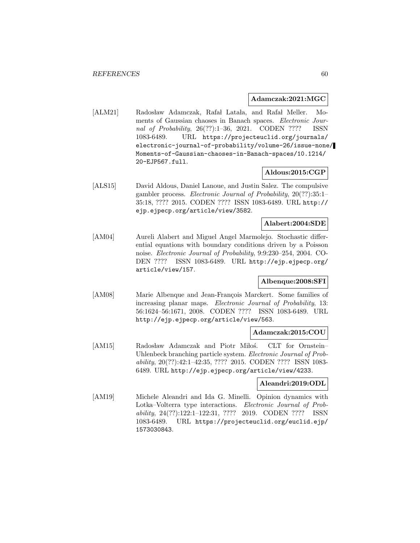#### **Adamczak:2021:MGC**

[ALM21] Radosław Adamczak, Rafał Latała, and Rafał Meller. Moments of Gaussian chaoses in Banach spaces. Electronic Journal of Probability, 26(??):1–36, 2021. CODEN ???? ISSN 1083-6489. URL https://projecteuclid.org/journals/ electronic-journal-of-probability/volume-26/issue-none/ Moments-of-Gaussian-chaoses-in-Banach-spaces/10.1214/ 20-EJP567.full.

## **Aldous:2015:CGP**

[ALS15] David Aldous, Daniel Lanoue, and Justin Salez. The compulsive gambler process. Electronic Journal of Probability, 20(??):35:1– 35:18, ???? 2015. CODEN ???? ISSN 1083-6489. URL http:// ejp.ejpecp.org/article/view/3582.

#### **Alabert:2004:SDE**

[AM04] Aureli Alabert and Miguel Angel Marmolejo. Stochastic differential equations with boundary conditions driven by a Poisson noise. Electronic Journal of Probability, 9:9:230–254, 2004. CO-DEN ???? ISSN 1083-6489. URL http://ejp.ejpecp.org/ article/view/157.

## **Albenque:2008:SFI**

[AM08] Marie Albenque and Jean-François Marckert. Some families of increasing planar maps. Electronic Journal of Probability, 13: 56:1624–56:1671, 2008. CODEN ???? ISSN 1083-6489. URL http://ejp.ejpecp.org/article/view/563.

#### **Adamczak:2015:COU**

[AM15] Radosław Adamczak and Piotr Miłoś. CLT for Ornstein– Uhlenbeck branching particle system. Electronic Journal of Probability, 20(??):42:1–42:35, ???? 2015. CODEN ???? ISSN 1083- 6489. URL http://ejp.ejpecp.org/article/view/4233.

### **Aleandri:2019:ODL**

[AM19] Michele Aleandri and Ida G. Minelli. Opinion dynamics with Lotka–Volterra type interactions. Electronic Journal of Probability, 24(??):122:1–122:31, ???? 2019. CODEN ???? ISSN 1083-6489. URL https://projecteuclid.org/euclid.ejp/ 1573030843.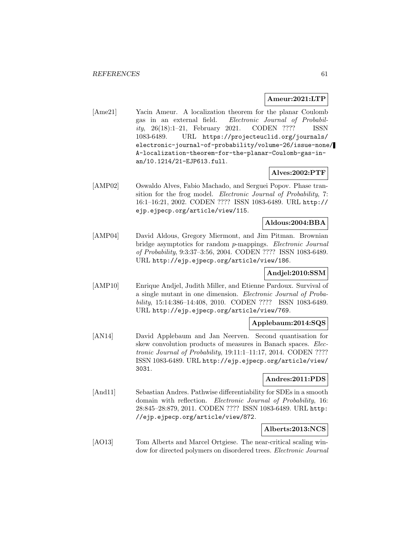#### **Ameur:2021:LTP**

[Ame21] Yacin Ameur. A localization theorem for the planar Coulomb gas in an external field. Electronic Journal of Probability, 26(18):1–21, February 2021. CODEN ???? ISSN 1083-6489. URL https://projecteuclid.org/journals/ electronic-journal-of-probability/volume-26/issue-none/ A-localization-theorem-for-the-planar-Coulomb-gas-inan/10.1214/21-EJP613.full.

## **Alves:2002:PTF**

[AMP02] Oswaldo Alves, Fabio Machado, and Serguei Popov. Phase transition for the frog model. Electronic Journal of Probability, 7: 16:1–16:21, 2002. CODEN ???? ISSN 1083-6489. URL http:// ejp.ejpecp.org/article/view/115.

## **Aldous:2004:BBA**

[AMP04] David Aldous, Gregory Miermont, and Jim Pitman. Brownian bridge asymptotics for random p-mappings. Electronic Journal of Probability, 9:3:37–3:56, 2004. CODEN ???? ISSN 1083-6489. URL http://ejp.ejpecp.org/article/view/186.

## **Andjel:2010:SSM**

[AMP10] Enrique Andjel, Judith Miller, and Etienne Pardoux. Survival of a single mutant in one dimension. Electronic Journal of Probability, 15:14:386–14:408, 2010. CODEN ???? ISSN 1083-6489. URL http://ejp.ejpecp.org/article/view/769.

## **Applebaum:2014:SQS**

[AN14] David Applebaum and Jan Neerven. Second quantisation for skew convolution products of measures in Banach spaces. *Elec*tronic Journal of Probability, 19:11:1–11:17, 2014. CODEN ???? ISSN 1083-6489. URL http://ejp.ejpecp.org/article/view/ 3031.

## **Andres:2011:PDS**

[And11] Sebastian Andres. Pathwise differentiability for SDEs in a smooth domain with reflection. Electronic Journal of Probability, 16: 28:845–28:879, 2011. CODEN ???? ISSN 1083-6489. URL http: //ejp.ejpecp.org/article/view/872.

#### **Alberts:2013:NCS**

[AO13] Tom Alberts and Marcel Ortgiese. The near-critical scaling window for directed polymers on disordered trees. Electronic Journal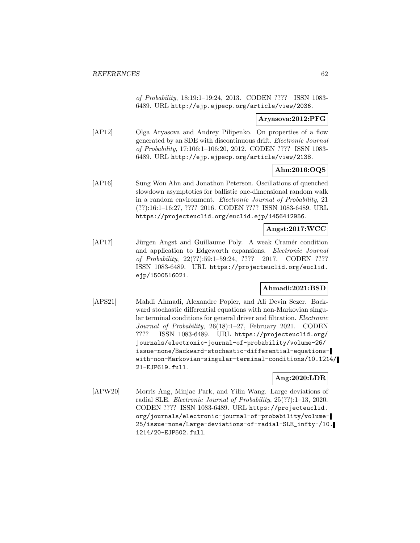of Probability, 18:19:1–19:24, 2013. CODEN ???? ISSN 1083- 6489. URL http://ejp.ejpecp.org/article/view/2036.

## **Aryasova:2012:PFG**

[AP12] Olga Aryasova and Andrey Pilipenko. On properties of a flow generated by an SDE with discontinuous drift. Electronic Journal of Probability, 17:106:1–106:20, 2012. CODEN ???? ISSN 1083- 6489. URL http://ejp.ejpecp.org/article/view/2138.

## **Ahn:2016:OQS**

[AP16] Sung Won Ahn and Jonathon Peterson. Oscillations of quenched slowdown asymptotics for ballistic one-dimensional random walk in a random environment. Electronic Journal of Probability, 21 (??):16:1–16:27, ???? 2016. CODEN ???? ISSN 1083-6489. URL https://projecteuclid.org/euclid.ejp/1456412956.

#### **Angst:2017:WCC**

[AP17] Jürgen Angst and Guillaume Poly. A weak Cramér condition and application to Edgeworth expansions. Electronic Journal of Probability, 22(??):59:1–59:24, ???? 2017. CODEN ???? ISSN 1083-6489. URL https://projecteuclid.org/euclid. ejp/1500516021.

## **Ahmadi:2021:BSD**

[APS21] Mahdi Ahmadi, Alexandre Popier, and Ali Devin Sezer. Backward stochastic differential equations with non-Markovian singular terminal conditions for general driver and filtration. Electronic Journal of Probability, 26(18):1–27, February 2021. CODEN ???? ISSN 1083-6489. URL https://projecteuclid.org/ journals/electronic-journal-of-probability/volume-26/ issue-none/Backward-stochastic-differential-equationswith-non-Markovian-singular-terminal-conditions/10.1214/ 21-EJP619.full.

## **Ang:2020:LDR**

[APW20] Morris Ang, Minjae Park, and Yilin Wang. Large deviations of radial SLE. Electronic Journal of Probability, 25(??):1–13, 2020. CODEN ???? ISSN 1083-6489. URL https://projecteuclid. org/journals/electronic-journal-of-probability/volume-25/issue-none/Large-deviations-of-radial-SLE\_infty-/10. 1214/20-EJP502.full.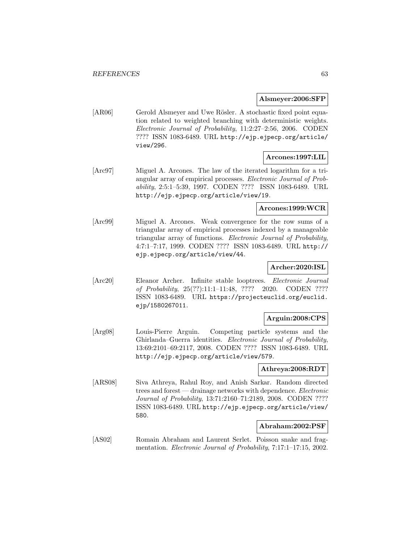#### **Alsmeyer:2006:SFP**

[AR06] Gerold Alsmeyer and Uwe Rösler. A stochastic fixed point equation related to weighted branching with deterministic weights. Electronic Journal of Probability, 11:2:27–2:56, 2006. CODEN ???? ISSN 1083-6489. URL http://ejp.ejpecp.org/article/ view/296.

## **Arcones:1997:LIL**

[Arc97] Miguel A. Arcones. The law of the iterated logarithm for a triangular array of empirical processes. Electronic Journal of Probability, 2:5:1–5:39, 1997. CODEN ???? ISSN 1083-6489. URL http://ejp.ejpecp.org/article/view/19.

## **Arcones:1999:WCR**

[Arc99] Miguel A. Arcones. Weak convergence for the row sums of a triangular array of empirical processes indexed by a manageable triangular array of functions. Electronic Journal of Probability, 4:7:1–7:17, 1999. CODEN ???? ISSN 1083-6489. URL http:// ejp.ejpecp.org/article/view/44.

#### **Archer:2020:ISL**

[Arc20] Eleanor Archer. Infinite stable looptrees. Electronic Journal of Probability, 25(??):11:1–11:48, ???? 2020. CODEN ???? ISSN 1083-6489. URL https://projecteuclid.org/euclid. ejp/1580267011.

## **Arguin:2008:CPS**

[Arg08] Louis-Pierre Arguin. Competing particle systems and the Ghirlanda–Guerra identities. Electronic Journal of Probability, 13:69:2101–69:2117, 2008. CODEN ???? ISSN 1083-6489. URL http://ejp.ejpecp.org/article/view/579.

#### **Athreya:2008:RDT**

[ARS08] Siva Athreya, Rahul Roy, and Anish Sarkar. Random directed trees and forest — drainage networks with dependence. Electronic Journal of Probability, 13:71:2160–71:2189, 2008. CODEN ???? ISSN 1083-6489. URL http://ejp.ejpecp.org/article/view/ 580.

### **Abraham:2002:PSF**

[AS02] Romain Abraham and Laurent Serlet. Poisson snake and fragmentation. Electronic Journal of Probability, 7:17:1–17:15, 2002.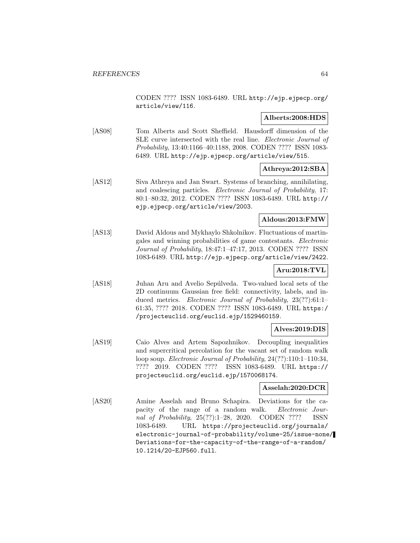CODEN ???? ISSN 1083-6489. URL http://ejp.ejpecp.org/ article/view/116.

## **Alberts:2008:HDS**

[AS08] Tom Alberts and Scott Sheffield. Hausdorff dimension of the SLE curve intersected with the real line. Electronic Journal of Probability, 13:40:1166–40:1188, 2008. CODEN ???? ISSN 1083- 6489. URL http://ejp.ejpecp.org/article/view/515.

# **Athreya:2012:SBA**

[AS12] Siva Athreya and Jan Swart. Systems of branching, annihilating, and coalescing particles. Electronic Journal of Probability, 17: 80:1–80:32, 2012. CODEN ???? ISSN 1083-6489. URL http:// ejp.ejpecp.org/article/view/2003.

## **Aldous:2013:FMW**

[AS13] David Aldous and Mykhaylo Shkolnikov. Fluctuations of martingales and winning probabilities of game contestants. Electronic Journal of Probability, 18:47:1–47:17, 2013. CODEN ???? ISSN 1083-6489. URL http://ejp.ejpecp.org/article/view/2422.

# **Aru:2018:TVL**

[AS18] Juhan Aru and Avelio Sepúlveda. Two-valued local sets of the 2D continuum Gaussian free field: connectivity, labels, and induced metrics. Electronic Journal of Probability, 23(??):61:1– 61:35, ???? 2018. CODEN ???? ISSN 1083-6489. URL https:/ /projecteuclid.org/euclid.ejp/1529460159.

## **Alves:2019:DIS**

[AS19] Caio Alves and Artem Sapozhnikov. Decoupling inequalities and supercritical percolation for the vacant set of random walk loop soup. Electronic Journal of Probability, 24(??):110:1–110:34, ???? 2019. CODEN ???? ISSN 1083-6489. URL https:// projecteuclid.org/euclid.ejp/1570068174.

## **Asselah:2020:DCR**

[AS20] Amine Asselah and Bruno Schapira. Deviations for the capacity of the range of a random walk. Electronic Journal of Probability, 25(??):1–28, 2020. CODEN ???? ISSN 1083-6489. URL https://projecteuclid.org/journals/ electronic-journal-of-probability/volume-25/issue-none/ Deviations-for-the-capacity-of-the-range-of-a-random/ 10.1214/20-EJP560.full.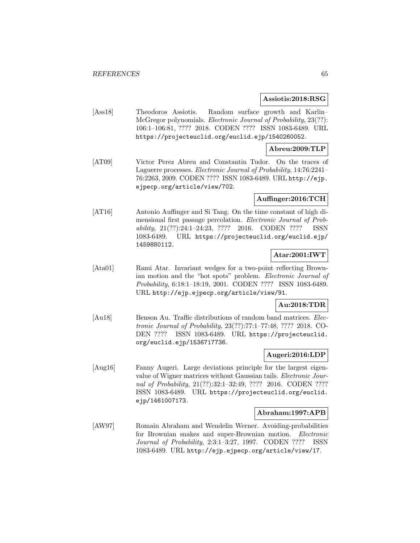#### **Assiotis:2018:RSG**

[Ass18] Theodoros Assiotis. Random surface growth and Karlin– McGregor polynomials. Electronic Journal of Probability, 23(??): 106:1–106:81, ???? 2018. CODEN ???? ISSN 1083-6489. URL https://projecteuclid.org/euclid.ejp/1540260052.

## **Abreu:2009:TLP**

[AT09] Victor Perez Abreu and Constantin Tudor. On the traces of Laguerre processes. Electronic Journal of Probability, 14:76:2241– 76:2263, 2009. CODEN ???? ISSN 1083-6489. URL http://ejp. ejpecp.org/article/view/702.

## **Auffinger:2016:TCH**

[AT16] Antonio Auffinger and Si Tang. On the time constant of high dimensional first passage percolation. Electronic Journal of Probability, 21(??):24:1–24:23, ???? 2016. CODEN ???? ISSN 1083-6489. URL https://projecteuclid.org/euclid.ejp/ 1459880112.

## **Atar:2001:IWT**

[Ata01] Rami Atar. Invariant wedges for a two-point reflecting Brownian motion and the "hot spots" problem. Electronic Journal of Probability, 6:18:1–18:19, 2001. CODEN ???? ISSN 1083-6489. URL http://ejp.ejpecp.org/article/view/91.

# **Au:2018:TDR**

[Au18] Benson Au. Traffic distributions of random band matrices. Electronic Journal of Probability, 23(??):77:1–77:48, ???? 2018. CO-DEN ???? ISSN 1083-6489. URL https://projecteuclid. org/euclid.ejp/1536717736.

## **Augeri:2016:LDP**

[Aug16] Fanny Augeri. Large deviations principle for the largest eigenvalue of Wigner matrices without Gaussian tails. Electronic Journal of Probability, 21(??):32:1–32:49, ???? 2016. CODEN ???? ISSN 1083-6489. URL https://projecteuclid.org/euclid. ejp/1461007173.

## **Abraham:1997:APB**

[AW97] Romain Abraham and Wendelin Werner. Avoiding-probabilities for Brownian snakes and super-Brownian motion. Electronic Journal of Probability, 2:3:1–3:27, 1997. CODEN ???? ISSN 1083-6489. URL http://ejp.ejpecp.org/article/view/17.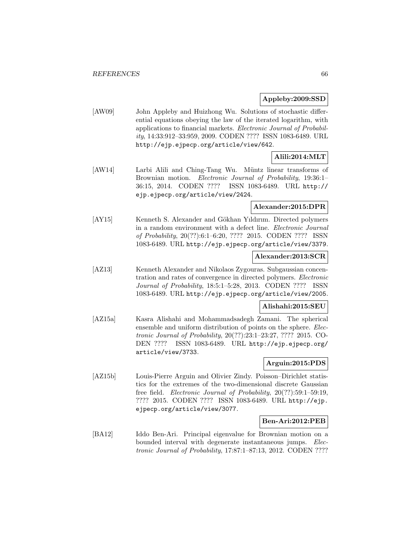## **Appleby:2009:SSD**

[AW09] John Appleby and Huizhong Wu. Solutions of stochastic differential equations obeying the law of the iterated logarithm, with applications to financial markets. Electronic Journal of Probability, 14:33:912–33:959, 2009. CODEN ???? ISSN 1083-6489. URL http://ejp.ejpecp.org/article/view/642.

# **Alili:2014:MLT**

[AW14] Larbi Alili and Ching-Tang Wu. Müntz linear transforms of Brownian motion. *Electronic Journal of Probability*, 19:36:1– 36:15, 2014. CODEN ???? ISSN 1083-6489. URL http:// ejp.ejpecp.org/article/view/2424.

## **Alexander:2015:DPR**

[AY15] Kenneth S. Alexander and Gökhan Yıldırım. Directed polymers in a random environment with a defect line. Electronic Journal of Probability, 20(??):6:1–6:20, ???? 2015. CODEN ???? ISSN 1083-6489. URL http://ejp.ejpecp.org/article/view/3379.

## **Alexander:2013:SCR**

[AZ13] Kenneth Alexander and Nikolaos Zygouras. Subgaussian concentration and rates of convergence in directed polymers. Electronic Journal of Probability, 18:5:1–5:28, 2013. CODEN ???? ISSN 1083-6489. URL http://ejp.ejpecp.org/article/view/2005.

## **Alishahi:2015:SEU**

[AZ15a] Kasra Alishahi and Mohammadsadegh Zamani. The spherical ensemble and uniform distribution of points on the sphere. Electronic Journal of Probability, 20(??):23:1–23:27, ???? 2015. CO-DEN ???? ISSN 1083-6489. URL http://ejp.ejpecp.org/ article/view/3733.

## **Arguin:2015:PDS**

[AZ15b] Louis-Pierre Arguin and Olivier Zindy. Poisson–Dirichlet statistics for the extremes of the two-dimensional discrete Gaussian free field. Electronic Journal of Probability, 20(??):59:1–59:19, ???? 2015. CODEN ???? ISSN 1083-6489. URL http://ejp. ejpecp.org/article/view/3077.

## **Ben-Ari:2012:PEB**

[BA12] Iddo Ben-Ari. Principal eigenvalue for Brownian motion on a bounded interval with degenerate instantaneous jumps. Electronic Journal of Probability, 17:87:1–87:13, 2012. CODEN ????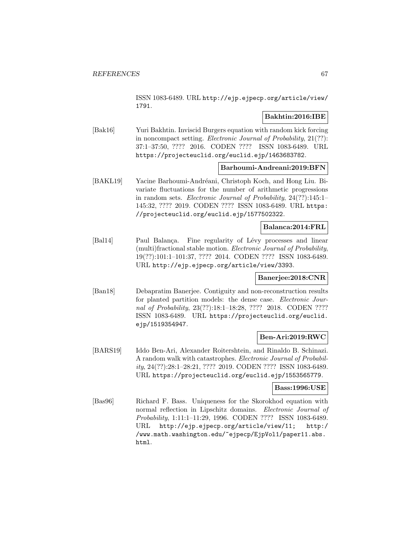ISSN 1083-6489. URL http://ejp.ejpecp.org/article/view/ 1791.

## **Bakhtin:2016:IBE**

[Bak16] Yuri Bakhtin. Inviscid Burgers equation with random kick forcing in noncompact setting. Electronic Journal of Probability, 21(??): 37:1–37:50, ???? 2016. CODEN ???? ISSN 1083-6489. URL https://projecteuclid.org/euclid.ejp/1463683782.

## **Barhoumi-Andreani:2019:BFN**

[BAKL19] Yacine Barhoumi-Andréani, Christoph Koch, and Hong Liu. Bivariate fluctuations for the number of arithmetic progressions in random sets. Electronic Journal of Probability, 24(??):145:1– 145:32, ???? 2019. CODEN ???? ISSN 1083-6489. URL https: //projecteuclid.org/euclid.ejp/1577502322.

## **Balanca:2014:FRL**

[Bal14] Paul Balança. Fine regularity of Lévy processes and linear (multi)fractional stable motion. Electronic Journal of Probability, 19(??):101:1–101:37, ???? 2014. CODEN ???? ISSN 1083-6489. URL http://ejp.ejpecp.org/article/view/3393.

## **Banerjee:2018:CNR**

[Ban18] Debapratim Banerjee. Contiguity and non-reconstruction results for planted partition models: the dense case. *Electronic Jour*nal of Probability, 23(??):18:1-18:28, ???? 2018. CODEN ???? ISSN 1083-6489. URL https://projecteuclid.org/euclid. ejp/1519354947.

## **Ben-Ari:2019:RWC**

[BARS19] Iddo Ben-Ari, Alexander Roitershtein, and Rinaldo B. Schinazi. A random walk with catastrophes. Electronic Journal of Probability, 24(??):28:1–28:21, ???? 2019. CODEN ???? ISSN 1083-6489. URL https://projecteuclid.org/euclid.ejp/1553565779.

#### **Bass:1996:USE**

[Bas96] Richard F. Bass. Uniqueness for the Skorokhod equation with normal reflection in Lipschitz domains. Electronic Journal of Probability, 1:11:1–11:29, 1996. CODEN ???? ISSN 1083-6489. URL http://ejp.ejpecp.org/article/view/11; http:/ /www.math.washington.edu/~ejpecp/EjpVol1/paper11.abs. html.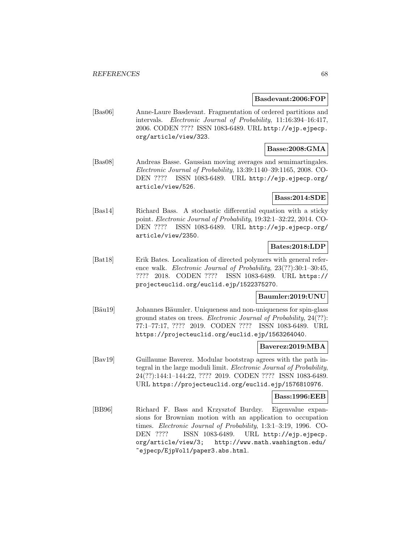#### **Basdevant:2006:FOP**

[Bas06] Anne-Laure Basdevant. Fragmentation of ordered partitions and intervals. Electronic Journal of Probability, 11:16:394–16:417, 2006. CODEN ???? ISSN 1083-6489. URL http://ejp.ejpecp. org/article/view/323.

## **Basse:2008:GMA**

[Bas08] Andreas Basse. Gaussian moving averages and semimartingales. Electronic Journal of Probability, 13:39:1140–39:1165, 2008. CO-DEN ???? ISSN 1083-6489. URL http://ejp.ejpecp.org/ article/view/526.

## **Bass:2014:SDE**

[Bas14] Richard Bass. A stochastic differential equation with a sticky point. Electronic Journal of Probability, 19:32:1–32:22, 2014. CO-DEN ???? ISSN 1083-6489. URL http://ejp.ejpecp.org/ article/view/2350.

## **Bates:2018:LDP**

[Bat18] Erik Bates. Localization of directed polymers with general reference walk. Electronic Journal of Probability, 23(??):30:1–30:45, ???? 2018. CODEN ???? ISSN 1083-6489. URL https:// projecteuclid.org/euclid.ejp/1522375270.

## **Baumler:2019:UNU**

[Bäu19] Johannes Bäumler. Uniqueness and non-uniqueness for spin-glass ground states on trees. Electronic Journal of Probability, 24(??): 77:1–77:17, ???? 2019. CODEN ???? ISSN 1083-6489. URL https://projecteuclid.org/euclid.ejp/1563264040.

### **Baverez:2019:MBA**

[Bav19] Guillaume Baverez. Modular bootstrap agrees with the path integral in the large moduli limit. Electronic Journal of Probability, 24(??):144:1–144:22, ???? 2019. CODEN ???? ISSN 1083-6489. URL https://projecteuclid.org/euclid.ejp/1576810976.

#### **Bass:1996:EEB**

[BB96] Richard F. Bass and Krzysztof Burdzy. Eigenvalue expansions for Brownian motion with an application to occupation times. Electronic Journal of Probability, 1:3:1–3:19, 1996. CO-DEN ???? ISSN 1083-6489. URL http://ejp.ejpecp. org/article/view/3; http://www.math.washington.edu/ ~ejpecp/EjpVol1/paper3.abs.html.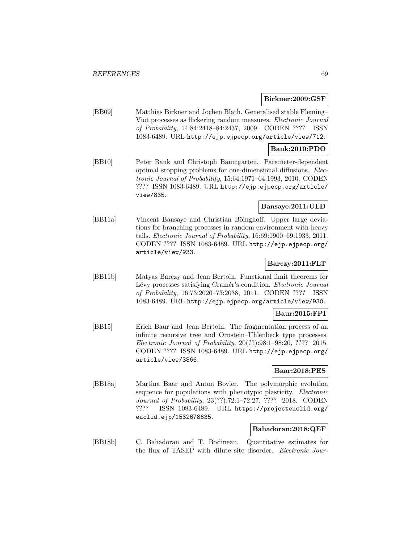### **Birkner:2009:GSF**

[BB09] Matthias Birkner and Jochen Blath. Generalised stable Fleming– Viot processes as flickering random measures. Electronic Journal of Probability, 14:84:2418–84:2437, 2009. CODEN ???? ISSN 1083-6489. URL http://ejp.ejpecp.org/article/view/712.

## **Bank:2010:PDO**

[BB10] Peter Bank and Christoph Baumgarten. Parameter-dependent optimal stopping problems for one-dimensional diffusions. Electronic Journal of Probability, 15:64:1971–64:1993, 2010. CODEN ???? ISSN 1083-6489. URL http://ejp.ejpecp.org/article/ view/835.

## **Bansaye:2011:ULD**

[BB11a] Vincent Bansaye and Christian Böinghoff. Upper large deviations for branching processes in random environment with heavy tails. Electronic Journal of Probability, 16:69:1900–69:1933, 2011. CODEN ???? ISSN 1083-6489. URL http://ejp.ejpecp.org/ article/view/933.

## **Barczy:2011:FLT**

[BB11b] Matyas Barczy and Jean Bertoin. Functional limit theorems for Lévy processes satisfying Cramér's condition. Electronic Journal of Probability, 16:73:2020–73:2038, 2011. CODEN ???? ISSN 1083-6489. URL http://ejp.ejpecp.org/article/view/930.

## **Baur:2015:FPI**

[BB15] Erich Baur and Jean Bertoin. The fragmentation process of an infinite recursive tree and Ornstein–Uhlenbeck type processes. Electronic Journal of Probability, 20(??):98:1–98:20, ???? 2015. CODEN ???? ISSN 1083-6489. URL http://ejp.ejpecp.org/ article/view/3866.

## **Baar:2018:PES**

[BB18a] Martina Baar and Anton Bovier. The polymorphic evolution sequence for populations with phenotypic plasticity. *Electronic* Journal of Probability, 23(??):72:1–72:27, ???? 2018. CODEN ???? ISSN 1083-6489. URL https://projecteuclid.org/ euclid.ejp/1532678635.

## **Bahadoran:2018:QEF**

[BB18b] C. Bahadoran and T. Bodineau. Quantitative estimates for the flux of TASEP with dilute site disorder. Electronic Jour-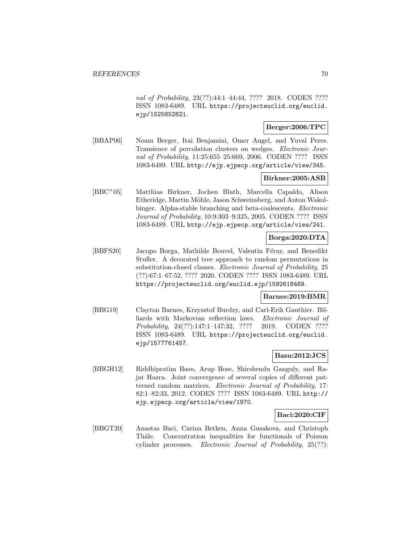nal of Probability, 23(??):44:1–44:44, ???? 2018. CODEN ???? ISSN 1083-6489. URL https://projecteuclid.org/euclid. ejp/1525852821.

## **Berger:2006:TPC**

[BBAP06] Noam Berger, Itai Benjamini, Omer Angel, and Yuval Peres. Transience of percolation clusters on wedges. Electronic Journal of Probability, 11:25:655-25:669, 2006. CODEN ???? ISSN 1083-6489. URL http://ejp.ejpecp.org/article/view/345.

## **Birkner:2005:ASB**

[BBC<sup>+</sup>05] Matthias Birkner, Jochen Blath, Marcella Capaldo, Alison Etheridge, Martin Möhle, Jason Schweinsberg, and Anton Wakolbinger. Alpha-stable branching and beta-coalescents. Electronic Journal of Probability, 10:9:303–9:325, 2005. CODEN ???? ISSN 1083-6489. URL http://ejp.ejpecp.org/article/view/241.

# **Borga:2020:DTA**

[BBFS20] Jacopo Borga, Mathilde Bouvel, Valentin Féray, and Benedikt Stufler. A decorated tree approach to random permutations in substitution-closed classes. Electronic Journal of Probability, 25 (??):67:1–67:52, ???? 2020. CODEN ???? ISSN 1083-6489. URL https://projecteuclid.org/euclid.ejp/1592618469.

## **Barnes:2019:BMR**

[BBG19] Clayton Barnes, Krzysztof Burdzy, and Carl-Erik Gauthier. Billiards with Markovian reflection laws. Electronic Journal of Probability, 24(??):147:1–147:32, ???? 2019. CODEN ???? ISSN 1083-6489. URL https://projecteuclid.org/euclid. ejp/1577761457.

## **Basu:2012:JCS**

[BBGH12] Riddhipratim Basu, Arup Bose, Shirshendu Ganguly, and Rajat Hazra. Joint convergence of several copies of different patterned random matrices. Electronic Journal of Probability, 17: 82:1–82:33, 2012. CODEN ???? ISSN 1083-6489. URL http:// ejp.ejpecp.org/article/view/1970.

## **Baci:2020:CIF**

[BBGT20] Anastas Baci, Carina Betken, Anna Gusakova, and Christoph Thäle. Concentration inequalities for functionals of Poisson cylinder processes. Electronic Journal of Probability, 25(??):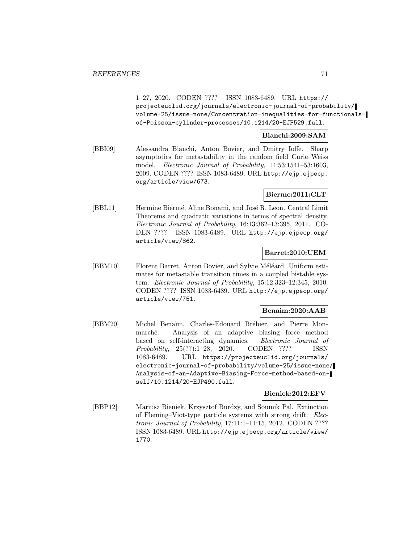1–27, 2020. CODEN ???? ISSN 1083-6489. URL https:// projecteuclid.org/journals/electronic-journal-of-probability/ volume-25/issue-none/Concentration-inequalities-for-functionalsof-Poisson-cylinder-processes/10.1214/20-EJP529.full.

## **Bianchi:2009:SAM**

[BBI09] Alessandra Bianchi, Anton Bovier, and Dmitry Ioffe. Sharp asymptotics for metastability in the random field Curie–Weiss model. Electronic Journal of Probability, 14:53:1541–53:1603, 2009. CODEN ???? ISSN 1083-6489. URL http://ejp.ejpecp. org/article/view/673.

## **Bierme:2011:CLT**

[BBL11] Hermine Biermé, Aline Bonami, and José R. Leon. Central Limit Theorems and quadratic variations in terms of spectral density. Electronic Journal of Probability, 16:13:362–13:395, 2011. CO-DEN ???? ISSN 1083-6489. URL http://ejp.ejpecp.org/ article/view/862.

## **Barret:2010:UEM**

[BBM10] Florent Barret, Anton Bovier, and Sylvie Méléard. Uniform estimates for metastable transition times in a coupled bistable system. Electronic Journal of Probability, 15:12:323–12:345, 2010. CODEN ???? ISSN 1083-6489. URL http://ejp.ejpecp.org/ article/view/751.

#### **Benaim:2020:AAB**

[BBM20] Michel Benaïm, Charles-Edouard Bréhier, and Pierre Monmarché. Analysis of an adaptive biasing force method based on self-interacting dynamics. Electronic Journal of Probability, 25(??):1–28, 2020. CODEN ???? ISSN 1083-6489. URL https://projecteuclid.org/journals/ electronic-journal-of-probability/volume-25/issue-none/ Analysis-of-an-Adaptive-Biasing-Force-method-based-onself/10.1214/20-EJP490.full.

#### **Bieniek:2012:EFV**

[BBP12] Mariusz Bieniek, Krzysztof Burdzy, and Soumik Pal. Extinction of Fleming–Viot-type particle systems with strong drift. Electronic Journal of Probability, 17:11:1–11:15, 2012. CODEN ???? ISSN 1083-6489. URL http://ejp.ejpecp.org/article/view/ 1770.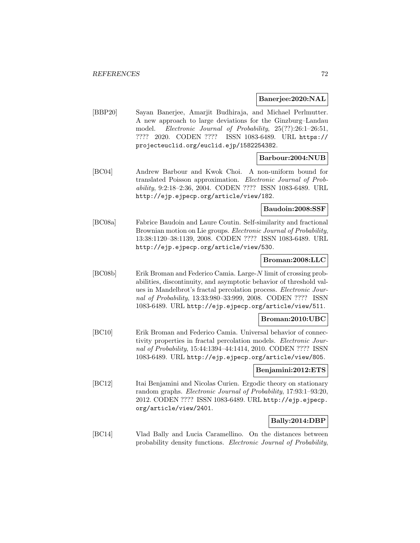## **Banerjee:2020:NAL**

[BBP20] Sayan Banerjee, Amarjit Budhiraja, and Michael Perlmutter. A new approach to large deviations for the Ginzburg–Landau model. Electronic Journal of Probability, 25(??):26:1–26:51, ???? 2020. CODEN ???? ISSN 1083-6489. URL https:// projecteuclid.org/euclid.ejp/1582254382.

## **Barbour:2004:NUB**

[BC04] Andrew Barbour and Kwok Choi. A non-uniform bound for translated Poisson approximation. Electronic Journal of Probability, 9:2:18–2:36, 2004. CODEN ???? ISSN 1083-6489. URL http://ejp.ejpecp.org/article/view/182.

#### **Baudoin:2008:SSF**

[BC08a] Fabrice Baudoin and Laure Coutin. Self-similarity and fractional Brownian motion on Lie groups. Electronic Journal of Probability, 13:38:1120–38:1139, 2008. CODEN ???? ISSN 1083-6489. URL http://ejp.ejpecp.org/article/view/530.

#### **Broman:2008:LLC**

[BC08b] Erik Broman and Federico Camia. Large-N limit of crossing probabilities, discontinuity, and asymptotic behavior of threshold values in Mandelbrot's fractal percolation process. Electronic Journal of Probability, 13:33:980–33:999, 2008. CODEN ???? ISSN 1083-6489. URL http://ejp.ejpecp.org/article/view/511.

## **Broman:2010:UBC**

[BC10] Erik Broman and Federico Camia. Universal behavior of connectivity properties in fractal percolation models. Electronic Journal of Probability, 15:44:1394–44:1414, 2010. CODEN ???? ISSN 1083-6489. URL http://ejp.ejpecp.org/article/view/805.

## **Benjamini:2012:ETS**

[BC12] Itai Benjamini and Nicolas Curien. Ergodic theory on stationary random graphs. Electronic Journal of Probability, 17:93:1–93:20, 2012. CODEN ???? ISSN 1083-6489. URL http://ejp.ejpecp. org/article/view/2401.

## **Bally:2014:DBP**

[BC14] Vlad Bally and Lucia Caramellino. On the distances between probability density functions. Electronic Journal of Probability,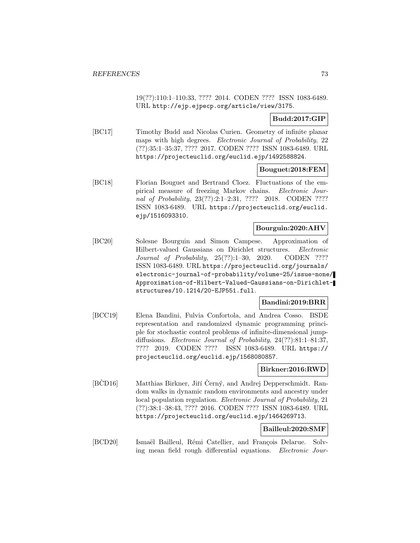19(??):110:1–110:33, ???? 2014. CODEN ???? ISSN 1083-6489. URL http://ejp.ejpecp.org/article/view/3175.

# **Budd:2017:GIP**

[BC17] Timothy Budd and Nicolas Curien. Geometry of infinite planar maps with high degrees. Electronic Journal of Probability, 22 (??):35:1–35:37, ???? 2017. CODEN ???? ISSN 1083-6489. URL https://projecteuclid.org/euclid.ejp/1492588824.

## **Bouguet:2018:FEM**

[BC18] Florian Bouguet and Bertrand Cloez. Fluctuations of the empirical measure of freezing Markov chains. Electronic Journal of Probability, 23(??):2:1-2:31, ???? 2018. CODEN ???? ISSN 1083-6489. URL https://projecteuclid.org/euclid. ejp/1516093310.

## **Bourguin:2020:AHV**

[BC20] Solesne Bourguin and Simon Campese. Approximation of Hilbert-valued Gaussians on Dirichlet structures. Electronic Journal of Probability, 25(??):1–30, 2020. CODEN ???? ISSN 1083-6489. URL https://projecteuclid.org/journals/ electronic-journal-of-probability/volume-25/issue-none/ Approximation-of-Hilbert-Valued-Gaussians-on-Dirichletstructures/10.1214/20-EJP551.full.

## **Bandini:2019:BRR**

[BCC19] Elena Bandini, Fulvia Confortola, and Andrea Cosso. BSDE representation and randomized dynamic programming principle for stochastic control problems of infinite-dimensional jumpdiffusions. *Electronic Journal of Probability*, 24(??):81:1-81:37, ???? 2019. CODEN ???? ISSN 1083-6489. URL https:// projecteuclid.org/euclid.ejp/1568080857.

## **Birkner:2016:RWD**

[BCD16] Matthias Birkner, Jiří Černý, and Andrej Depperschmidt. Random walks in dynamic random environments and ancestry under local population regulation. *Electronic Journal of Probability*, 21 (??):38:1–38:43, ???? 2016. CODEN ???? ISSN 1083-6489. URL https://projecteuclid.org/euclid.ejp/1464269713.

# **Bailleul:2020:SMF**

[BCD20] Ismaël Bailleul, Rémi Catellier, and François Delarue. Solving mean field rough differential equations. Electronic Jour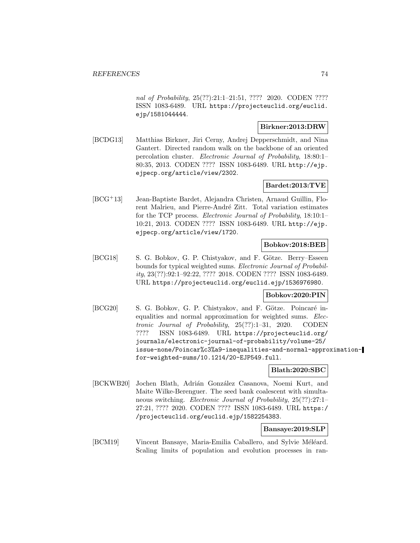nal of Probability, 25(??):21:1-21:51, ???? 2020. CODEN ???? ISSN 1083-6489. URL https://projecteuclid.org/euclid. ejp/1581044444.

## **Birkner:2013:DRW**

[BCDG13] Matthias Birkner, Jiri Cerny, Andrej Depperschmidt, and Nina Gantert. Directed random walk on the backbone of an oriented percolation cluster. Electronic Journal of Probability, 18:80:1– 80:35, 2013. CODEN ???? ISSN 1083-6489. URL http://ejp. ejpecp.org/article/view/2302.

# **Bardet:2013:TVE**

[BCG<sup>+</sup>13] Jean-Baptiste Bardet, Alejandra Christen, Arnaud Guillin, Florent Malrieu, and Pierre-André Zitt. Total variation estimates for the TCP process. Electronic Journal of Probability, 18:10:1– 10:21, 2013. CODEN ???? ISSN 1083-6489. URL http://ejp. ejpecp.org/article/view/1720.

## **Bobkov:2018:BEB**

[BCG18] S. G. Bobkov, G. P. Chistyakov, and F. Götze. Berry–Esseen bounds for typical weighted sums. Electronic Journal of Probability, 23(??):92:1–92:22, ???? 2018. CODEN ???? ISSN 1083-6489. URL https://projecteuclid.org/euclid.ejp/1536976980.

## **Bobkov:2020:PIN**

[BCG20] S. G. Bobkov, G. P. Chistyakov, and F. Götze. Poincaré inequalities and normal approximation for weighted sums. Electronic Journal of Probability, 25(??):1–31, 2020. CODEN ???? ISSN 1083-6489. URL https://projecteuclid.org/ journals/electronic-journal-of-probability/volume-25/ issue-none/Poincar%c3%a9-inequalities-and-normal-approximationfor-weighted-sums/10.1214/20-EJP549.full.

## **Blath:2020:SBC**

[BCKWB20] Jochen Blath, Adrián González Casanova, Noemi Kurt, and Maite Wilke-Berenguer. The seed bank coalescent with simultaneous switching. Electronic Journal of Probability, 25(??):27:1– 27:21, ???? 2020. CODEN ???? ISSN 1083-6489. URL https:/ /projecteuclid.org/euclid.ejp/1582254383.

## **Bansaye:2019:SLP**

[BCM19] Vincent Bansaye, Maria-Emilia Caballero, and Sylvie Méléard. Scaling limits of population and evolution processes in ran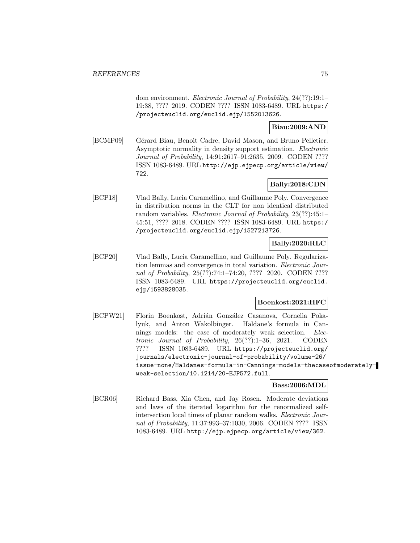dom environment. Electronic Journal of Probability, 24(??):19:1– 19:38, ???? 2019. CODEN ???? ISSN 1083-6489. URL https:/ /projecteuclid.org/euclid.ejp/1552013626.

## **Biau:2009:AND**

[BCMP09] Gérard Biau, Benoit Cadre, David Mason, and Bruno Pelletier. Asymptotic normality in density support estimation. Electronic Journal of Probability, 14:91:2617–91:2635, 2009. CODEN ???? ISSN 1083-6489. URL http://ejp.ejpecp.org/article/view/ 722.

# **Bally:2018:CDN**

[BCP18] Vlad Bally, Lucia Caramellino, and Guillaume Poly. Convergence in distribution norms in the CLT for non identical distributed random variables. Electronic Journal of Probability, 23(??):45:1-45:51, ???? 2018. CODEN ???? ISSN 1083-6489. URL https:/ /projecteuclid.org/euclid.ejp/1527213726.

# **Bally:2020:RLC**

[BCP20] Vlad Bally, Lucia Caramellino, and Guillaume Poly. Regularization lemmas and convergence in total variation. Electronic Journal of Probability, 25(??):74:1-74:20, ???? 2020. CODEN ???? ISSN 1083-6489. URL https://projecteuclid.org/euclid. ejp/1593828035.

## **Boenkost:2021:HFC**

[BCPW21] Florin Boenkost, Adrián González Casanova, Cornelia Pokalyuk, and Anton Wakolbinger. Haldane's formula in Cannings models: the case of moderately weak selection. Electronic Journal of Probability, 26(??):1–36, 2021. CODEN ???? ISSN 1083-6489. URL https://projecteuclid.org/ journals/electronic-journal-of-probability/volume-26/ issue-none/Haldanes-formula-in-Cannings-models-thecaseofmoderatelyweak-selection/10.1214/20-EJP572.full.

**Bass:2006:MDL**

[BCR06] Richard Bass, Xia Chen, and Jay Rosen. Moderate deviations and laws of the iterated logarithm for the renormalized selfintersection local times of planar random walks. Electronic Journal of Probability, 11:37:993–37:1030, 2006. CODEN ???? ISSN 1083-6489. URL http://ejp.ejpecp.org/article/view/362.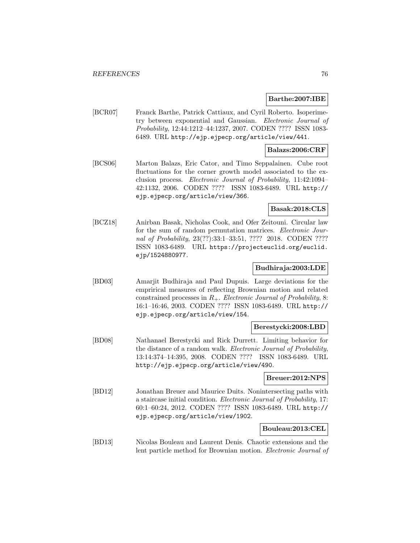#### **Barthe:2007:IBE**

[BCR07] Franck Barthe, Patrick Cattiaux, and Cyril Roberto. Isoperimetry between exponential and Gaussian. Electronic Journal of Probability, 12:44:1212–44:1237, 2007. CODEN ???? ISSN 1083- 6489. URL http://ejp.ejpecp.org/article/view/441.

### **Balazs:2006:CRF**

[BCS06] Marton Balazs, Eric Cator, and Timo Seppalainen. Cube root fluctuations for the corner growth model associated to the exclusion process. Electronic Journal of Probability, 11:42:1094– 42:1132, 2006. CODEN ???? ISSN 1083-6489. URL http:// ejp.ejpecp.org/article/view/366.

## **Basak:2018:CLS**

[BCZ18] Anirban Basak, Nicholas Cook, and Ofer Zeitouni. Circular law for the sum of random permutation matrices. Electronic Journal of Probability, 23(??):33:1-33:51, ???? 2018. CODEN ???? ISSN 1083-6489. URL https://projecteuclid.org/euclid. ejp/1524880977.

### **Budhiraja:2003:LDE**

[BD03] Amarjit Budhiraja and Paul Dupuis. Large deviations for the emprirical measures of reflecting Brownian motion and related constrained processes in  $R_+$ . Electronic Journal of Probability, 8: 16:1–16:46, 2003. CODEN ???? ISSN 1083-6489. URL http:// ejp.ejpecp.org/article/view/154.

## **Berestycki:2008:LBD**

[BD08] Nathanael Berestycki and Rick Durrett. Limiting behavior for the distance of a random walk. Electronic Journal of Probability, 13:14:374–14:395, 2008. CODEN ???? ISSN 1083-6489. URL http://ejp.ejpecp.org/article/view/490.

#### **Breuer:2012:NPS**

[BD12] Jonathan Breuer and Maurice Duits. Nonintersecting paths with a staircase initial condition. Electronic Journal of Probability, 17: 60:1–60:24, 2012. CODEN ???? ISSN 1083-6489. URL http:// ejp.ejpecp.org/article/view/1902.

#### **Bouleau:2013:CEL**

[BD13] Nicolas Bouleau and Laurent Denis. Chaotic extensions and the lent particle method for Brownian motion. Electronic Journal of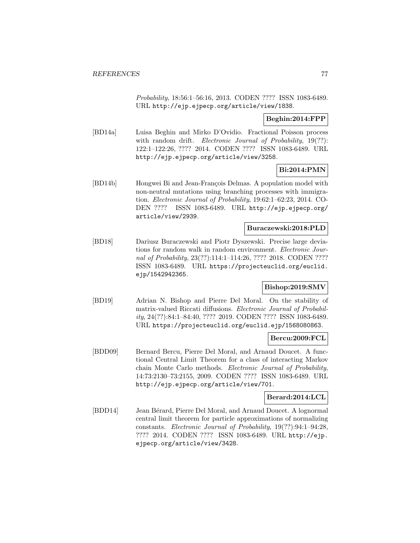Probability, 18:56:1–56:16, 2013. CODEN ???? ISSN 1083-6489. URL http://ejp.ejpecp.org/article/view/1838.

## **Beghin:2014:FPP**

[BD14a] Luisa Beghin and Mirko D'Ovidio. Fractional Poisson process with random drift. *Electronic Journal of Probability*, 19(??): 122:1–122:26, ???? 2014. CODEN ???? ISSN 1083-6489. URL http://ejp.ejpecp.org/article/view/3258.

## **Bi:2014:PMN**

[BD14b] Hongwei Bi and Jean-François Delmas. A population model with non-neutral mutations using branching processes with immigration. Electronic Journal of Probability, 19:62:1–62:23, 2014. CO-DEN ???? ISSN 1083-6489. URL http://ejp.ejpecp.org/ article/view/2939.

## **Buraczewski:2018:PLD**

[BD18] Dariusz Buraczewski and Piotr Dyszewski. Precise large deviations for random walk in random environment. Electronic Journal of Probability, 23(??):114:1-114:26, ???? 2018. CODEN ???? ISSN 1083-6489. URL https://projecteuclid.org/euclid. ejp/1542942365.

## **Bishop:2019:SMV**

[BD19] Adrian N. Bishop and Pierre Del Moral. On the stability of matrix-valued Riccati diffusions. Electronic Journal of Probability, 24(??):84:1–84:40, ???? 2019. CODEN ???? ISSN 1083-6489. URL https://projecteuclid.org/euclid.ejp/1568080863.

## **Bercu:2009:FCL**

[BDD09] Bernard Bercu, Pierre Del Moral, and Arnaud Doucet. A functional Central Limit Theorem for a class of interacting Markov chain Monte Carlo methods. Electronic Journal of Probability, 14:73:2130–73:2155, 2009. CODEN ???? ISSN 1083-6489. URL http://ejp.ejpecp.org/article/view/701.

#### **Berard:2014:LCL**

[BDD14] Jean Bérard, Pierre Del Moral, and Arnaud Doucet. A lognormal central limit theorem for particle approximations of normalizing constants. Electronic Journal of Probability, 19(??):94:1–94:28, ???? 2014. CODEN ???? ISSN 1083-6489. URL http://ejp. ejpecp.org/article/view/3428.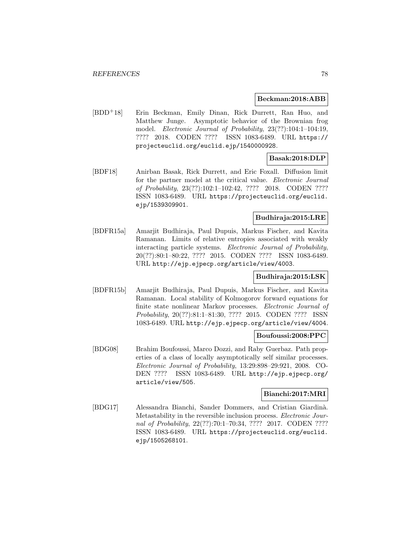#### **Beckman:2018:ABB**

[BDD<sup>+</sup>18] Erin Beckman, Emily Dinan, Rick Durrett, Ran Huo, and Matthew Junge. Asymptotic behavior of the Brownian frog model. Electronic Journal of Probability, 23(??):104:1–104:19, ???? 2018. CODEN ???? ISSN 1083-6489. URL https:// projecteuclid.org/euclid.ejp/1540000928.

# **Basak:2018:DLP**

[BDF18] Anirban Basak, Rick Durrett, and Eric Foxall. Diffusion limit for the partner model at the critical value. Electronic Journal of Probability, 23(??):102:1–102:42, ???? 2018. CODEN ???? ISSN 1083-6489. URL https://projecteuclid.org/euclid. ejp/1539309901.

## **Budhiraja:2015:LRE**

[BDFR15a] Amarjit Budhiraja, Paul Dupuis, Markus Fischer, and Kavita Ramanan. Limits of relative entropies associated with weakly interacting particle systems. Electronic Journal of Probability, 20(??):80:1–80:22, ???? 2015. CODEN ???? ISSN 1083-6489. URL http://ejp.ejpecp.org/article/view/4003.

## **Budhiraja:2015:LSK**

[BDFR15b] Amarjit Budhiraja, Paul Dupuis, Markus Fischer, and Kavita Ramanan. Local stability of Kolmogorov forward equations for finite state nonlinear Markov processes. Electronic Journal of Probability, 20(??):81:1–81:30, ???? 2015. CODEN ???? ISSN 1083-6489. URL http://ejp.ejpecp.org/article/view/4004.

## **Boufoussi:2008:PPC**

[BDG08] Brahim Boufoussi, Marco Dozzi, and Raby Guerbaz. Path properties of a class of locally asymptotically self similar processes. Electronic Journal of Probability, 13:29:898–29:921, 2008. CO-DEN ???? ISSN 1083-6489. URL http://ejp.ejpecp.org/ article/view/505.

## **Bianchi:2017:MRI**

[BDG17] Alessandra Bianchi, Sander Dommers, and Cristian Giardinà. Metastability in the reversible inclusion process. Electronic Journal of Probability, 22(??):70:1–70:34, ???? 2017. CODEN ???? ISSN 1083-6489. URL https://projecteuclid.org/euclid. ejp/1505268101.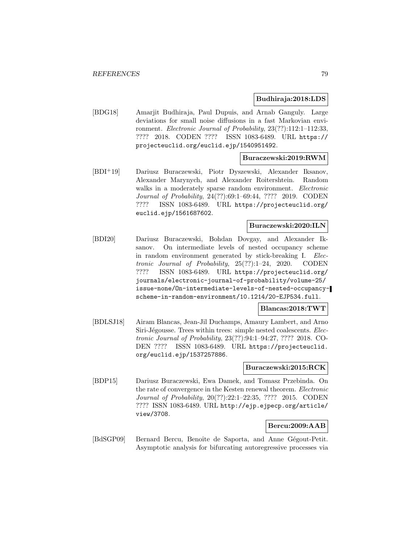#### **Budhiraja:2018:LDS**

[BDG18] Amarjit Budhiraja, Paul Dupuis, and Arnab Ganguly. Large deviations for small noise diffusions in a fast Markovian environment. Electronic Journal of Probability, 23(??):112:1–112:33, ???? 2018. CODEN ???? ISSN 1083-6489. URL https:// projecteuclid.org/euclid.ejp/1540951492.

## **Buraczewski:2019:RWM**

[BDI<sup>+</sup>19] Dariusz Buraczewski, Piotr Dyszewski, Alexander Iksanov, Alexander Marynych, and Alexander Roitershtein. Random walks in a moderately sparse random environment. *Electronic* Journal of Probability, 24(??):69:1–69:44, ???? 2019. CODEN ???? ISSN 1083-6489. URL https://projecteuclid.org/ euclid.ejp/1561687602.

## **Buraczewski:2020:ILN**

[BDI20] Dariusz Buraczewski, Bohdan Dovgay, and Alexander Iksanov. On intermediate levels of nested occupancy scheme in random environment generated by stick-breaking I. Electronic Journal of Probability, 25(??):1–24, 2020. CODEN ???? ISSN 1083-6489. URL https://projecteuclid.org/ journals/electronic-journal-of-probability/volume-25/ issue-none/On-intermediate-levels-of-nested-occupancyscheme-in-random-environment/10.1214/20-EJP534.full.

#### **Blancas:2018:TWT**

[BDLSJ18] Airam Blancas, Jean-Jil Duchamps, Amaury Lambert, and Arno Siri-Jégousse. Trees within trees: simple nested coalescents. Electronic Journal of Probability, 23(??):94:1–94:27, ???? 2018. CO-DEN ???? ISSN 1083-6489. URL https://projecteuclid. org/euclid.ejp/1537257886.

## **Buraczewski:2015:RCK**

[BDP15] Dariusz Buraczewski, Ewa Damek, and Tomasz Przebinda. On the rate of convergence in the Kesten renewal theorem. Electronic Journal of Probability, 20(??):22:1–22:35, ???? 2015. CODEN ???? ISSN 1083-6489. URL http://ejp.ejpecp.org/article/ view/3708.

## **Bercu:2009:AAB**

[BdSGP09] Bernard Bercu, Benoîte de Saporta, and Anne Gégout-Petit. Asymptotic analysis for bifurcating autoregressive processes via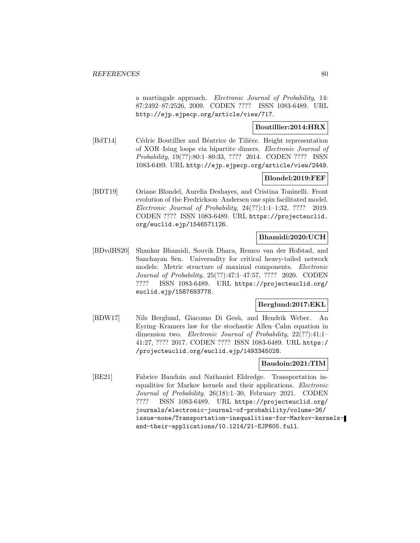a martingale approach. Electronic Journal of Probability, 14: 87:2492–87:2526, 2009. CODEN ???? ISSN 1083-6489. URL http://ejp.ejpecp.org/article/view/717.

## **Boutillier:2014:HRX**

[BdT14] Cédric Boutillier and Béatrice de Tilière. Height representation of XOR–Ising loops via bipartite dimers. Electronic Journal of Probability, 19(??):80:1–80:33, ???? 2014. CODEN ???? ISSN 1083-6489. URL http://ejp.ejpecp.org/article/view/2449.

## **Blondel:2019:FEF**

[BDT19] Oriane Blondel, Aurelia Deshayes, and Cristina Toninelli. Front evolution of the Fredrickson–Andersen one spin facilitated model. Electronic Journal of Probability, 24(??):1:1–1:32, ???? 2019. CODEN ???? ISSN 1083-6489. URL https://projecteuclid. org/euclid.ejp/1546571126.

## **Bhamidi:2020:UCH**

[BDvdHS20] Shankar Bhamidi, Souvik Dhara, Remco van der Hofstad, and Sanchayan Sen. Universality for critical heavy-tailed network models: Metric structure of maximal components. Electronic Journal of Probability, 25(??):47:1–47:57, ???? 2020. CODEN ???? ISSN 1083-6489. URL https://projecteuclid.org/ euclid.ejp/1587693778.

# **Berglund:2017:EKL**

[BDW17] Nils Berglund, Giacomo Di Gesù, and Hendrik Weber. An Eyring–Kramers law for the stochastic Allen–Cahn equation in dimension two. Electronic Journal of Probability, 22(??):41:1– 41:27, ???? 2017. CODEN ???? ISSN 1083-6489. URL https:/ /projecteuclid.org/euclid.ejp/1493345028.

## **Baudoin:2021:TIM**

[BE21] Fabrice Baudoin and Nathaniel Eldredge. Transportation inequalities for Markov kernels and their applications. Electronic Journal of Probability, 26(18):1–30, February 2021. CODEN ???? ISSN 1083-6489. URL https://projecteuclid.org/ journals/electronic-journal-of-probability/volume-26/ issue-none/Transportation-inequalities-for-Markov-kernelsand-their-applications/10.1214/21-EJP605.full.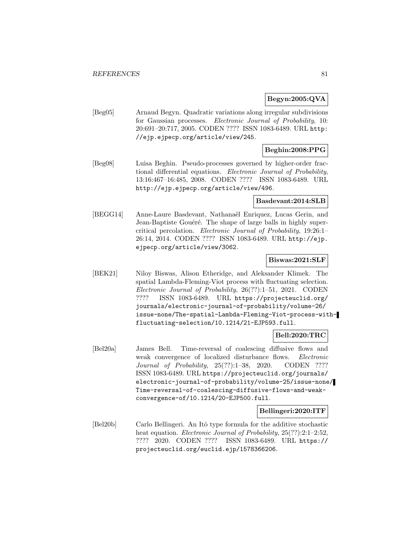## **Begyn:2005:QVA**

[Beg05] Arnaud Begyn. Quadratic variations along irregular subdivisions for Gaussian processes. Electronic Journal of Probability, 10: 20:691–20:717, 2005. CODEN ???? ISSN 1083-6489. URL http: //ejp.ejpecp.org/article/view/245.

## **Beghin:2008:PPG**

[Beg08] Luisa Beghin. Pseudo-processes governed by higher-order fractional differential equations. Electronic Journal of Probability, 13:16:467–16:485, 2008. CODEN ???? ISSN 1083-6489. URL http://ejp.ejpecp.org/article/view/496.

### **Basdevant:2014:SLB**

[BEGG14] Anne-Laure Basdevant, Nathanaël Enriquez, Lucas Gerin, and Jean-Baptiste Gouéré. The shape of large balls in highly supercritical percolation. Electronic Journal of Probability, 19:26:1– 26:14, 2014. CODEN ???? ISSN 1083-6489. URL http://ejp. ejpecp.org/article/view/3062.

## **Biswas:2021:SLF**

[BEK21] Niloy Biswas, Alison Etheridge, and Aleksander Klimek. The spatial Lambda-Fleming-Viot process with fluctuating selection. Electronic Journal of Probability, 26(??):1–51, 2021. CODEN ???? ISSN 1083-6489. URL https://projecteuclid.org/ journals/electronic-journal-of-probability/volume-26/ issue-none/The-spatial-Lambda-Fleming-Viot-process-withfluctuating-selection/10.1214/21-EJP593.full.

## **Bell:2020:TRC**

[Bel20a] James Bell. Time-reversal of coalescing diffusive flows and weak convergence of localized disturbance flows. Electronic Journal of Probability, 25(??):1–38, 2020. CODEN ???? ISSN 1083-6489. URL https://projecteuclid.org/journals/ electronic-journal-of-probability/volume-25/issue-none/ Time-reversal-of-coalescing-diffusive-flows-and-weakconvergence-of/10.1214/20-EJP500.full.

## **Bellingeri:2020:ITF**

[Bel20b] Carlo Bellingeri. An Itˆo type formula for the additive stochastic heat equation. *Electronic Journal of Probability*,  $25(??):2:1-2:52$ , ???? 2020. CODEN ???? ISSN 1083-6489. URL https:// projecteuclid.org/euclid.ejp/1578366206.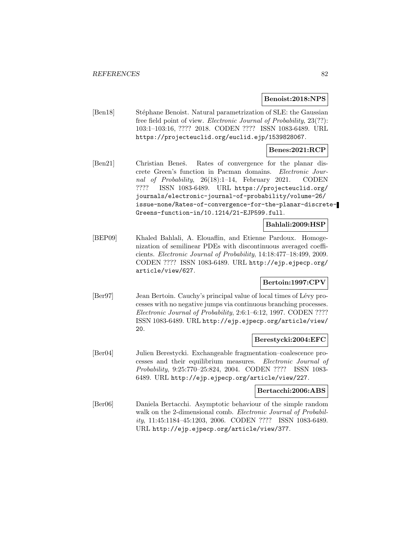#### **Benoist:2018:NPS**

[Ben18] Stéphane Benoist. Natural parametrization of SLE: the Gaussian free field point of view. Electronic Journal of Probability, 23(??): 103:1–103:16, ???? 2018. CODEN ???? ISSN 1083-6489. URL https://projecteuclid.org/euclid.ejp/1539828067.

## **Benes:2021:RCP**

[Ben21] Christian Beneš. Rates of convergence for the planar discrete Green's function in Pacman domains. Electronic Journal of Probability, 26(18):1–14, February 2021. CODEN ???? ISSN 1083-6489. URL https://projecteuclid.org/ journals/electronic-journal-of-probability/volume-26/ issue-none/Rates-of-convergence-for-the-planar-discrete-Greens-function-in/10.1214/21-EJP599.full.

# **Bahlali:2009:HSP**

[BEP09] Khaled Bahlali, A. Elouaflin, and Etienne Pardoux. Homogenization of semilinear PDEs with discontinuous averaged coefficients. Electronic Journal of Probability, 14:18:477–18:499, 2009. CODEN ???? ISSN 1083-6489. URL http://ejp.ejpecp.org/ article/view/627.

# **Bertoin:1997:CPV**

[Ber97] Jean Bertoin. Cauchy's principal value of local times of Lévy processes with no negative jumps via continuous branching processes. Electronic Journal of Probability, 2:6:1–6:12, 1997. CODEN ???? ISSN 1083-6489. URL http://ejp.ejpecp.org/article/view/ 20.

## **Berestycki:2004:EFC**

[Ber04] Julien Berestycki. Exchangeable fragmentation–coalescence processes and their equilibrium measures. Electronic Journal of Probability, 9:25:770–25:824, 2004. CODEN ???? ISSN 1083- 6489. URL http://ejp.ejpecp.org/article/view/227.

#### **Bertacchi:2006:ABS**

[Ber06] Daniela Bertacchi. Asymptotic behaviour of the simple random walk on the 2-dimensional comb. *Electronic Journal of Probabil*ity, 11:45:1184–45:1203, 2006. CODEN ???? ISSN 1083-6489. URL http://ejp.ejpecp.org/article/view/377.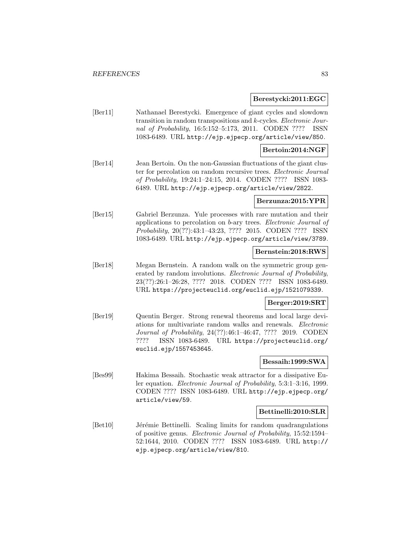#### **Berestycki:2011:EGC**

[Ber11] Nathanael Berestycki. Emergence of giant cycles and slowdown transition in random transpositions and k-cycles. Electronic Journal of Probability, 16:5:152–5:173, 2011. CODEN ???? ISSN 1083-6489. URL http://ejp.ejpecp.org/article/view/850.

### **Bertoin:2014:NGF**

[Ber14] Jean Bertoin. On the non-Gaussian fluctuations of the giant cluster for percolation on random recursive trees. Electronic Journal of Probability, 19:24:1–24:15, 2014. CODEN ???? ISSN 1083- 6489. URL http://ejp.ejpecp.org/article/view/2822.

### **Berzunza:2015:YPR**

[Ber15] Gabriel Berzunza. Yule processes with rare mutation and their applications to percolation on b-ary trees. Electronic Journal of Probability, 20(??):43:1–43:23, ???? 2015. CODEN ???? ISSN 1083-6489. URL http://ejp.ejpecp.org/article/view/3789.

#### **Bernstein:2018:RWS**

[Ber18] Megan Bernstein. A random walk on the symmetric group generated by random involutions. Electronic Journal of Probability, 23(??):26:1–26:28, ???? 2018. CODEN ???? ISSN 1083-6489. URL https://projecteuclid.org/euclid.ejp/1521079339.

## **Berger:2019:SRT**

[Ber19] Quentin Berger. Strong renewal theorems and local large deviations for multivariate random walks and renewals. Electronic Journal of Probability, 24(??):46:1–46:47, ???? 2019. CODEN ???? ISSN 1083-6489. URL https://projecteuclid.org/ euclid.ejp/1557453645.

## **Bessaih:1999:SWA**

[Bes99] Hakima Bessaih. Stochastic weak attractor for a dissipative Euler equation. Electronic Journal of Probability, 5:3:1–3:16, 1999. CODEN ???? ISSN 1083-6489. URL http://ejp.ejpecp.org/ article/view/59.

#### **Bettinelli:2010:SLR**

[Bet10] Jérémie Bettinelli. Scaling limits for random quadrangulations of positive genus. Electronic Journal of Probability, 15:52:1594– 52:1644, 2010. CODEN ???? ISSN 1083-6489. URL http:// ejp.ejpecp.org/article/view/810.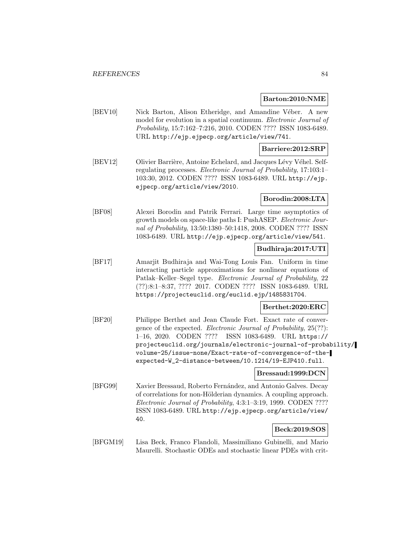### **Barton:2010:NME**

[BEV10] Nick Barton, Alison Etheridge, and Amandine Véber. A new model for evolution in a spatial continuum. Electronic Journal of Probability, 15:7:162–7:216, 2010. CODEN ???? ISSN 1083-6489. URL http://ejp.ejpecp.org/article/view/741.

### **Barriere:2012:SRP**

[BEV12] Olivier Barrière, Antoine Echelard, and Jacques Lévy Véhel. Selfregulating processes. Electronic Journal of Probability, 17:103:1– 103:30, 2012. CODEN ???? ISSN 1083-6489. URL http://ejp. ejpecp.org/article/view/2010.

## **Borodin:2008:LTA**

[BF08] Alexei Borodin and Patrik Ferrari. Large time asymptotics of growth models on space-like paths I: PushASEP. Electronic Journal of Probability, 13:50:1380–50:1418, 2008. CODEN ???? ISSN 1083-6489. URL http://ejp.ejpecp.org/article/view/541.

## **Budhiraja:2017:UTI**

[BF17] Amarjit Budhiraja and Wai-Tong Louis Fan. Uniform in time interacting particle approximations for nonlinear equations of Patlak–Keller–Segel type. Electronic Journal of Probability, 22 (??):8:1–8:37, ???? 2017. CODEN ???? ISSN 1083-6489. URL https://projecteuclid.org/euclid.ejp/1485831704.

## **Berthet:2020:ERC**

[BF20] Philippe Berthet and Jean Claude Fort. Exact rate of convergence of the expected. Electronic Journal of Probability, 25(??): 1–16, 2020. CODEN ???? ISSN 1083-6489. URL https:// projecteuclid.org/journals/electronic-journal-of-probability/ volume-25/issue-none/Exact-rate-of-convergence-of-theexpected-W\_2-distance-between/10.1214/19-EJP410.full.

#### **Bressaud:1999:DCN**

[BFG99] Xavier Bressaud, Roberto Fernández, and Antonio Galves. Decay of correlations for non-Hölderian dynamics. A coupling approach. Electronic Journal of Probability, 4:3:1–3:19, 1999. CODEN ???? ISSN 1083-6489. URL http://ejp.ejpecp.org/article/view/ 40.

# **Beck:2019:SOS**

[BFGM19] Lisa Beck, Franco Flandoli, Massimiliano Gubinelli, and Mario Maurelli. Stochastic ODEs and stochastic linear PDEs with crit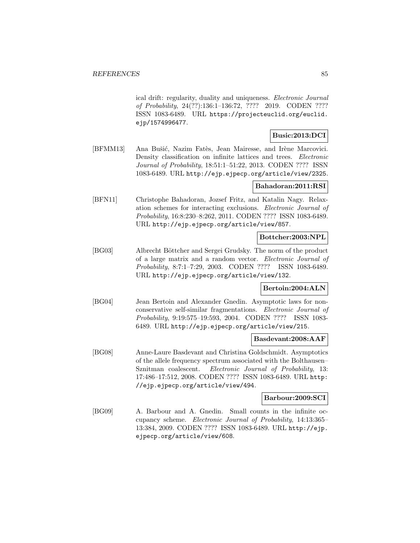ical drift: regularity, duality and uniqueness. Electronic Journal of Probability, 24(??):136:1–136:72, ???? 2019. CODEN ???? ISSN 1083-6489. URL https://projecteuclid.org/euclid. ejp/1574996477.

# **Busic:2013:DCI**

[BFMM13] Ana Bušić, Nazim Fatès, Jean Mairesse, and Irène Marcovici. Density classification on infinite lattices and trees. *Electronic* Journal of Probability, 18:51:1–51:22, 2013. CODEN ???? ISSN 1083-6489. URL http://ejp.ejpecp.org/article/view/2325.

## **Bahadoran:2011:RSI**

[BFN11] Christophe Bahadoran, Jozsef Fritz, and Katalin Nagy. Relaxation schemes for interacting exclusions. Electronic Journal of Probability, 16:8:230–8:262, 2011. CODEN ???? ISSN 1083-6489. URL http://ejp.ejpecp.org/article/view/857.

## **Bottcher:2003:NPL**

[BG03] Albrecht Böttcher and Sergei Grudsky. The norm of the product of a large matrix and a random vector. Electronic Journal of Probability, 8:7:1–7:29, 2003. CODEN ???? ISSN 1083-6489. URL http://ejp.ejpecp.org/article/view/132.

## **Bertoin:2004:ALN**

[BG04] Jean Bertoin and Alexander Gnedin. Asymptotic laws for nonconservative self-similar fragmentations. Electronic Journal of Probability, 9:19:575–19:593, 2004. CODEN ???? ISSN 1083- 6489. URL http://ejp.ejpecp.org/article/view/215.

## **Basdevant:2008:AAF**

[BG08] Anne-Laure Basdevant and Christina Goldschmidt. Asymptotics of the allele frequency spectrum associated with the Bolthausen– Sznitman coalescent. Electronic Journal of Probability, 13: 17:486–17:512, 2008. CODEN ???? ISSN 1083-6489. URL http: //ejp.ejpecp.org/article/view/494.

# **Barbour:2009:SCI**

[BG09] A. Barbour and A. Gnedin. Small counts in the infinite occupancy scheme. Electronic Journal of Probability, 14:13:365– 13:384, 2009. CODEN ???? ISSN 1083-6489. URL http://ejp. ejpecp.org/article/view/608.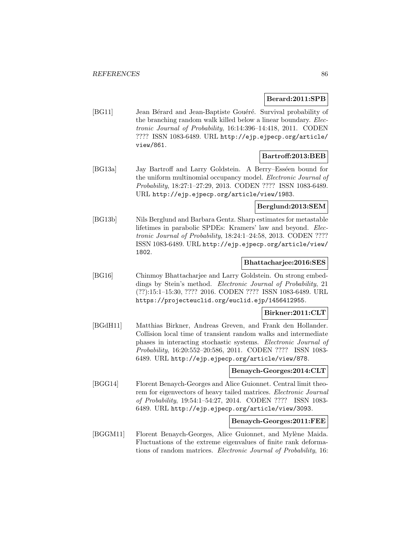### **Berard:2011:SPB**

[BG11] Jean Bérard and Jean-Baptiste Gouéré. Survival probability of the branching random walk killed below a linear boundary. Electronic Journal of Probability, 16:14:396–14:418, 2011. CODEN ???? ISSN 1083-6489. URL http://ejp.ejpecp.org/article/ view/861.

## **Bartroff:2013:BEB**

[BG13a] Jay Bartroff and Larry Goldstein. A Berry–Esséen bound for the uniform multinomial occupancy model. Electronic Journal of Probability, 18:27:1–27:29, 2013. CODEN ???? ISSN 1083-6489. URL http://ejp.ejpecp.org/article/view/1983.

## **Berglund:2013:SEM**

[BG13b] Nils Berglund and Barbara Gentz. Sharp estimates for metastable lifetimes in parabolic SPDEs: Kramers' law and beyond. Electronic Journal of Probability, 18:24:1–24:58, 2013. CODEN ???? ISSN 1083-6489. URL http://ejp.ejpecp.org/article/view/ 1802.

# **Bhattacharjee:2016:SES**

[BG16] Chinmoy Bhattacharjee and Larry Goldstein. On strong embeddings by Stein's method. *Electronic Journal of Probability*, 21 (??):15:1–15:30, ???? 2016. CODEN ???? ISSN 1083-6489. URL https://projecteuclid.org/euclid.ejp/1456412955.

#### **Birkner:2011:CLT**

[BGdH11] Matthias Birkner, Andreas Greven, and Frank den Hollander. Collision local time of transient random walks and intermediate phases in interacting stochastic systems. Electronic Journal of Probability, 16:20:552–20:586, 2011. CODEN ???? ISSN 1083- 6489. URL http://ejp.ejpecp.org/article/view/878.

### **Benaych-Georges:2014:CLT**

[BGG14] Florent Benaych-Georges and Alice Guionnet. Central limit theorem for eigenvectors of heavy tailed matrices. Electronic Journal of Probability, 19:54:1–54:27, 2014. CODEN ???? ISSN 1083- 6489. URL http://ejp.ejpecp.org/article/view/3093.

#### **Benaych-Georges:2011:FEE**

[BGGM11] Florent Benaych-Georges, Alice Guionnet, and Mylène Maida. Fluctuations of the extreme eigenvalues of finite rank deformations of random matrices. Electronic Journal of Probability, 16: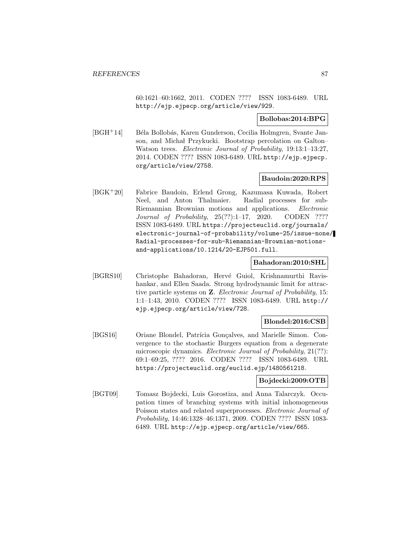60:1621–60:1662, 2011. CODEN ???? ISSN 1083-6489. URL http://ejp.ejpecp.org/article/view/929.

### **Bollobas:2014:BPG**

[BGH<sup>+</sup>14] Béla Bollobás, Karen Gunderson, Cecilia Holmgren, Svante Janson, and Michał Przykucki. Bootstrap percolation on Galton– Watson trees. Electronic Journal of Probability, 19:13:1–13:27, 2014. CODEN ???? ISSN 1083-6489. URL http://ejp.ejpecp. org/article/view/2758.

## **Baudoin:2020:RPS**

[BGK<sup>+</sup>20] Fabrice Baudoin, Erlend Grong, Kazumasa Kuwada, Robert Neel, and Anton Thalmaier. Radial processes for sub-Riemannian Brownian motions and applications. Electronic Journal of Probability, 25(??):1–17, 2020. CODEN ???? ISSN 1083-6489. URL https://projecteuclid.org/journals/ electronic-journal-of-probability/volume-25/issue-none/ Radial-processes-for-sub-Riemannian-Brownian-motionsand-applications/10.1214/20-EJP501.full.

#### **Bahadoran:2010:SHL**

[BGRS10] Christophe Bahadoran, Hervé Guiol, Krishnamurthi Ravishankar, and Ellen Saada. Strong hydrodynamic limit for attractive particle systems on **Z**. Electronic Journal of Probability, 15: 1:1–1:43, 2010. CODEN ???? ISSN 1083-6489. URL http:// ejp.ejpecp.org/article/view/728.

## **Blondel:2016:CSB**

[BGS16] Oriane Blondel, Patrícia Gonçalves, and Marielle Simon. Convergence to the stochastic Burgers equation from a degenerate microscopic dynamics. *Electronic Journal of Probability*, 21(??): 69:1–69:25, ???? 2016. CODEN ???? ISSN 1083-6489. URL https://projecteuclid.org/euclid.ejp/1480561218.

### **Bojdecki:2009:OTB**

[BGT09] Tomasz Bojdecki, Luis Gorostiza, and Anna Talarczyk. Occupation times of branching systems with initial inhomogeneous Poisson states and related superprocesses. Electronic Journal of Probability, 14:46:1328–46:1371, 2009. CODEN ???? ISSN 1083- 6489. URL http://ejp.ejpecp.org/article/view/665.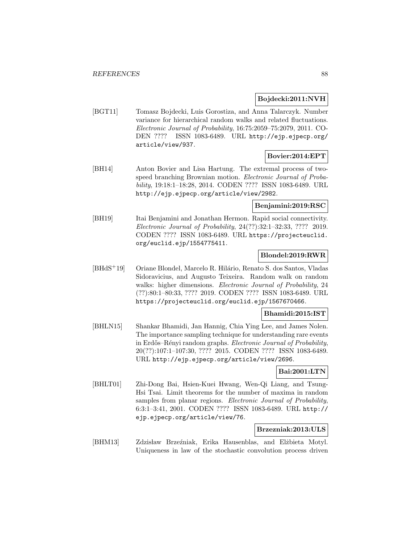## **Bojdecki:2011:NVH**

[BGT11] Tomasz Bojdecki, Luis Gorostiza, and Anna Talarczyk. Number variance for hierarchical random walks and related fluctuations. Electronic Journal of Probability, 16:75:2059–75:2079, 2011. CO-DEN ???? ISSN 1083-6489. URL http://ejp.ejpecp.org/ article/view/937.

## **Bovier:2014:EPT**

[BH14] Anton Bovier and Lisa Hartung. The extremal process of twospeed branching Brownian motion. Electronic Journal of Probability, 19:18:1–18:28, 2014. CODEN ???? ISSN 1083-6489. URL http://ejp.ejpecp.org/article/view/2982.

## **Benjamini:2019:RSC**

[BH19] Itai Benjamini and Jonathan Hermon. Rapid social connectivity. Electronic Journal of Probability, 24(??):32:1–32:33, ???? 2019. CODEN ???? ISSN 1083-6489. URL https://projecteuclid. org/euclid.ejp/1554775411.

# **Blondel:2019:RWR**

[BHdS<sup>+</sup>19] Oriane Blondel, Marcelo R. Hilário, Renato S. dos Santos, Vladas Sidoravicius, and Augusto Teixeira. Random walk on random walks: higher dimensions. Electronic Journal of Probability, 24 (??):80:1–80:33, ???? 2019. CODEN ???? ISSN 1083-6489. URL https://projecteuclid.org/euclid.ejp/1567670466.

# **Bhamidi:2015:IST**

[BHLN15] Shankar Bhamidi, Jan Hannig, Chia Ying Lee, and James Nolen. The importance sampling technique for understanding rare events in Erdős–Rényi random graphs. Electronic Journal of Probability, 20(??):107:1–107:30, ???? 2015. CODEN ???? ISSN 1083-6489. URL http://ejp.ejpecp.org/article/view/2696.

# **Bai:2001:LTN**

[BHLT01] Zhi-Dong Bai, Hsien-Kuei Hwang, Wen-Qi Liang, and Tsung-Hsi Tsai. Limit theorems for the number of maxima in random samples from planar regions. Electronic Journal of Probability, 6:3:1–3:41, 2001. CODEN ???? ISSN 1083-6489. URL http:// ejp.ejpecp.org/article/view/76.

### **Brzezniak:2013:ULS**

[BHM13] Zdzisław Brzeźniak, Erika Hausenblas, and Elżbieta Motyl. Uniqueness in law of the stochastic convolution process driven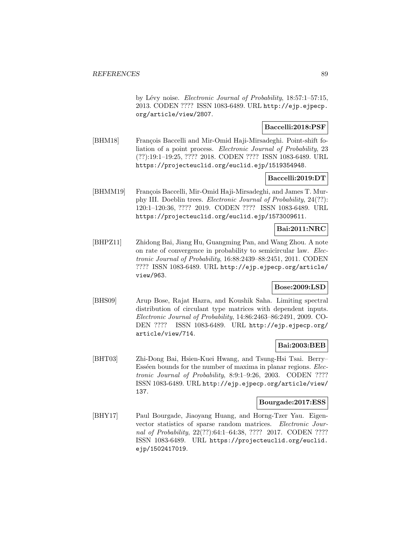by Lévy noise. Electronic Journal of Probability, 18:57:1–57:15, 2013. CODEN ???? ISSN 1083-6489. URL http://ejp.ejpecp. org/article/view/2807.

## **Baccelli:2018:PSF**

[BHM18] François Baccelli and Mir-Omid Haji-Mirsadeghi. Point-shift foliation of a point process. Electronic Journal of Probability, 23 (??):19:1–19:25, ???? 2018. CODEN ???? ISSN 1083-6489. URL https://projecteuclid.org/euclid.ejp/1519354948.

#### **Baccelli:2019:DT**

[BHMM19] François Baccelli, Mir-Omid Haji-Mirsadeghi, and James T. Murphy III. Doeblin trees. Electronic Journal of Probability, 24(??): 120:1–120:36, ???? 2019. CODEN ???? ISSN 1083-6489. URL https://projecteuclid.org/euclid.ejp/1573009611.

## **Bai:2011:NRC**

[BHPZ11] Zhidong Bai, Jiang Hu, Guangming Pan, and Wang Zhou. A note on rate of convergence in probability to semicircular law. Electronic Journal of Probability, 16:88:2439–88:2451, 2011. CODEN ???? ISSN 1083-6489. URL http://ejp.ejpecp.org/article/ view/963.

## **Bose:2009:LSD**

[BHS09] Arup Bose, Rajat Hazra, and Koushik Saha. Limiting spectral distribution of circulant type matrices with dependent inputs. Electronic Journal of Probability, 14:86:2463–86:2491, 2009. CO-DEN ???? ISSN 1083-6489. URL http://ejp.ejpecp.org/ article/view/714.

## **Bai:2003:BEB**

[BHT03] Zhi-Dong Bai, Hsien-Kuei Hwang, and Tsung-Hsi Tsai. Berry– Esséen bounds for the number of maxima in planar regions. Electronic Journal of Probability, 8:9:1–9:26, 2003. CODEN ???? ISSN 1083-6489. URL http://ejp.ejpecp.org/article/view/ 137.

#### **Bourgade:2017:ESS**

[BHY17] Paul Bourgade, Jiaoyang Huang, and Horng-Tzer Yau. Eigenvector statistics of sparse random matrices. Electronic Journal of Probability, 22(??):64:1–64:38, ???? 2017. CODEN ???? ISSN 1083-6489. URL https://projecteuclid.org/euclid. ejp/1502417019.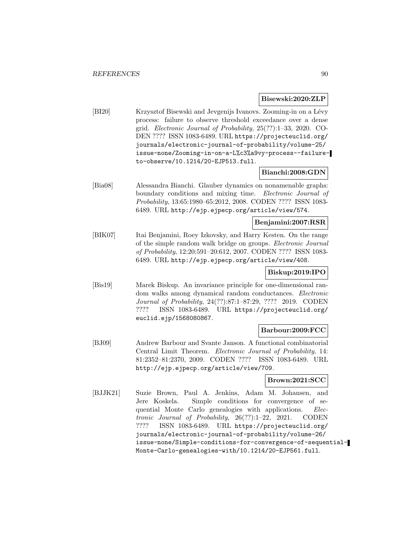#### **Bisewski:2020:ZLP**

[BI20] Krzysztof Bisewski and Jevgenijs Ivanovs. Zooming-in on a Lévy process: failure to observe threshold exceedance over a dense grid. Electronic Journal of Probability, 25(??):1–33, 2020. CO-DEN ???? ISSN 1083-6489. URL https://projecteuclid.org/ journals/electronic-journal-of-probability/volume-25/ issue-none/Zooming-in-on-a-L%c3%a9vy-process--failureto-observe/10.1214/20-EJP513.full.

## **Bianchi:2008:GDN**

[Bia08] Alessandra Bianchi. Glauber dynamics on nonamenable graphs: boundary conditions and mixing time. Electronic Journal of Probability, 13:65:1980–65:2012, 2008. CODEN ???? ISSN 1083- 6489. URL http://ejp.ejpecp.org/article/view/574.

## **Benjamini:2007:RSR**

[BIK07] Itai Benjamini, Roey Izkovsky, and Harry Kesten. On the range of the simple random walk bridge on groups. Electronic Journal of Probability, 12:20:591–20:612, 2007. CODEN ???? ISSN 1083- 6489. URL http://ejp.ejpecp.org/article/view/408.

## **Biskup:2019:IPO**

[Bis19] Marek Biskup. An invariance principle for one-dimensional random walks among dynamical random conductances. Electronic Journal of Probability, 24(??):87:1–87:29, ???? 2019. CODEN ???? ISSN 1083-6489. URL https://projecteuclid.org/ euclid.ejp/1568080867.

## **Barbour:2009:FCC**

[BJ09] Andrew Barbour and Svante Janson. A functional combinatorial Central Limit Theorem. Electronic Journal of Probability, 14: 81:2352–81:2370, 2009. CODEN ???? ISSN 1083-6489. URL http://ejp.ejpecp.org/article/view/709.

## **Brown:2021:SCC**

[BJJK21] Suzie Brown, Paul A. Jenkins, Adam M. Johansen, and Jere Koskela. Simple conditions for convergence of sequential Monte Carlo genealogies with applications. Electronic Journal of Probability, 26(??):1–22, 2021. CODEN ???? ISSN 1083-6489. URL https://projecteuclid.org/ journals/electronic-journal-of-probability/volume-26/ issue-none/Simple-conditions-for-convergence-of-sequential-Monte-Carlo-genealogies-with/10.1214/20-EJP561.full.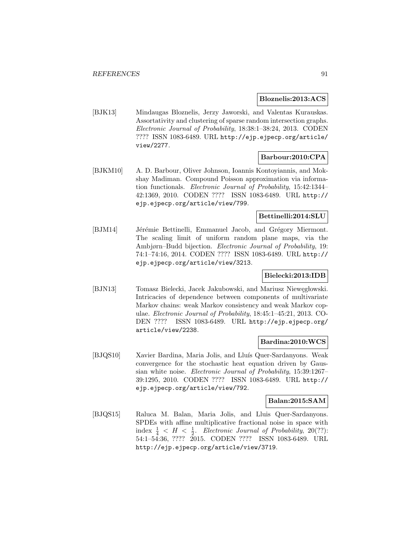#### **Bloznelis:2013:ACS**

[BJK13] Mindaugas Bloznelis, Jerzy Jaworski, and Valentas Kurauskas. Assortativity and clustering of sparse random intersection graphs. Electronic Journal of Probability, 18:38:1–38:24, 2013. CODEN ???? ISSN 1083-6489. URL http://ejp.ejpecp.org/article/ view/2277.

## **Barbour:2010:CPA**

[BJKM10] A. D. Barbour, Oliver Johnson, Ioannis Kontoyiannis, and Mokshay Madiman. Compound Poisson approximation via information functionals. Electronic Journal of Probability, 15:42:1344– 42:1369, 2010. CODEN ???? ISSN 1083-6489. URL http:// ejp.ejpecp.org/article/view/799.

### **Bettinelli:2014:SLU**

[BJM14] Jérémie Bettinelli, Emmanuel Jacob, and Grégory Miermont. The scaling limit of uniform random plane maps, via the Ambjørn–Budd bijection. Electronic Journal of Probability, 19: 74:1–74:16, 2014. CODEN ???? ISSN 1083-6489. URL http:// ejp.ejpecp.org/article/view/3213.

## **Bielecki:2013:IDB**

[BJN13] Tomasz Bielecki, Jacek Jakubowski, and Mariusz Niewęgłowski. Intricacies of dependence between components of multivariate Markov chains: weak Markov consistency and weak Markov copulae. Electronic Journal of Probability, 18:45:1–45:21, 2013. CO-DEN ???? ISSN 1083-6489. URL http://ejp.ejpecp.org/ article/view/2238.

## **Bardina:2010:WCS**

[BJQS10] Xavier Bardina, Maria Jolis, and Lluís Quer-Sardanyons. Weak convergence for the stochastic heat equation driven by Gaussian white noise. Electronic Journal of Probability, 15:39:1267– 39:1295, 2010. CODEN ???? ISSN 1083-6489. URL http:// ejp.ejpecp.org/article/view/792.

#### **Balan:2015:SAM**

[BJQS15] Raluca M. Balan, Maria Jolis, and Lluis Quer-Sardanyons. SPDEs with affine multiplicative fractional noise in space with index  $\frac{1}{4}$  < H <  $\frac{1}{2}$ . Electronic Journal of Probability, 20(??): 54:1–54:36, ???? 2015. CODEN ???? ISSN 1083-6489. URL http://ejp.ejpecp.org/article/view/3719.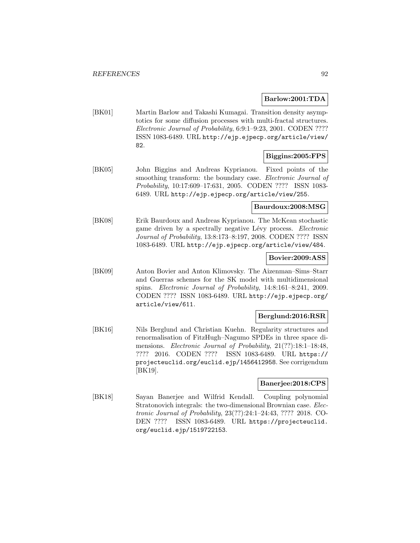### **Barlow:2001:TDA**

[BK01] Martin Barlow and Takashi Kumagai. Transition density asymptotics for some diffusion processes with multi-fractal structures. Electronic Journal of Probability, 6:9:1–9:23, 2001. CODEN ???? ISSN 1083-6489. URL http://ejp.ejpecp.org/article/view/ 82.

## **Biggins:2005:FPS**

[BK05] John Biggins and Andreas Kyprianou. Fixed points of the smoothing transform: the boundary case. Electronic Journal of Probability, 10:17:609–17:631, 2005. CODEN ???? ISSN 1083- 6489. URL http://ejp.ejpecp.org/article/view/255.

# **Baurdoux:2008:MSG**

[BK08] Erik Baurdoux and Andreas Kyprianou. The McKean stochastic game driven by a spectrally negative Lévy process. Electronic Journal of Probability, 13:8:173–8:197, 2008. CODEN ???? ISSN 1083-6489. URL http://ejp.ejpecp.org/article/view/484.

#### **Bovier:2009:ASS**

[BK09] Anton Bovier and Anton Klimovsky. The Aizenman–Sims–Starr and Guerras schemes for the SK model with multidimensional spins. Electronic Journal of Probability, 14:8:161–8:241, 2009. CODEN ???? ISSN 1083-6489. URL http://ejp.ejpecp.org/ article/view/611.

## **Berglund:2016:RSR**

[BK16] Nils Berglund and Christian Kuehn. Regularity structures and renormalisation of FitzHugh–Nagumo SPDEs in three space dimensions. Electronic Journal of Probability, 21(??):18:1-18:48, ???? 2016. CODEN ???? ISSN 1083-6489. URL https:// projecteuclid.org/euclid.ejp/1456412958. See corrigendum [BK19].

## **Banerjee:2018:CPS**

[BK18] Sayan Banerjee and Wilfrid Kendall. Coupling polynomial Stratonovich integrals: the two-dimensional Brownian case. Electronic Journal of Probability, 23(??):24:1–24:43, ???? 2018. CO-DEN ???? ISSN 1083-6489. URL https://projecteuclid. org/euclid.ejp/1519722153.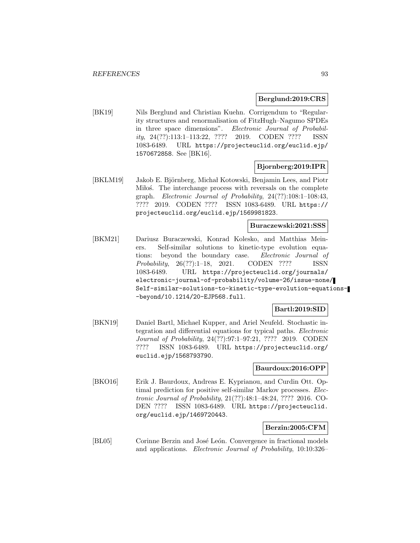#### **Berglund:2019:CRS**

[BK19] Nils Berglund and Christian Kuehn. Corrigendum to "Regularity structures and renormalisation of FitzHugh–Nagumo SPDEs in three space dimensions". Electronic Journal of Probability, 24(??):113:1–113:22, ???? 2019. CODEN ???? ISSN 1083-6489. URL https://projecteuclid.org/euclid.ejp/ 1570672858. See [BK16].

### **Bjornberg:2019:IPR**

[BKLM19] Jakob E. Björnberg, Michał Kotowski, Benjamin Lees, and Piotr Miloś. The interchange process with reversals on the complete graph. Electronic Journal of Probability, 24(??):108:1–108:43, ???? 2019. CODEN ???? ISSN 1083-6489. URL https:// projecteuclid.org/euclid.ejp/1569981823.

## **Buraczewski:2021:SSS**

[BKM21] Dariusz Buraczewski, Konrad Kolesko, and Matthias Meiners. Self-similar solutions to kinetic-type evolution equations: beyond the boundary case. Electronic Journal of Probability, 26(??):1–18, 2021. CODEN ???? ISSN 1083-6489. URL https://projecteuclid.org/journals/ electronic-journal-of-probability/volume-26/issue-none/ Self-similar-solutions-to-kinetic-type-evolution-equations- -beyond/10.1214/20-EJP568.full.

## **Bartl:2019:SID**

[BKN19] Daniel Bartl, Michael Kupper, and Ariel Neufeld. Stochastic integration and differential equations for typical paths. Electronic Journal of Probability, 24(??):97:1–97:21, ???? 2019. CODEN ???? ISSN 1083-6489. URL https://projecteuclid.org/ euclid.ejp/1568793790.

#### **Baurdoux:2016:OPP**

[BKO16] Erik J. Baurdoux, Andreas E. Kyprianou, and Curdin Ott. Optimal prediction for positive self-similar Markov processes. Electronic Journal of Probability, 21(??):48:1–48:24, ???? 2016. CO-DEN ???? ISSN 1083-6489. URL https://projecteuclid. org/euclid.ejp/1469720443.

#### **Berzin:2005:CFM**

[BL05] Corinne Berzin and José León. Convergence in fractional models and applications. Electronic Journal of Probability, 10:10:326–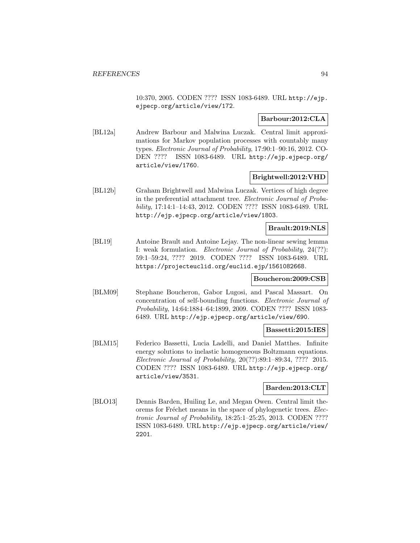10:370, 2005. CODEN ???? ISSN 1083-6489. URL http://ejp. ejpecp.org/article/view/172.

## **Barbour:2012:CLA**

[BL12a] Andrew Barbour and Malwina Luczak. Central limit approximations for Markov population processes with countably many types. Electronic Journal of Probability, 17:90:1–90:16, 2012. CO-DEN ???? ISSN 1083-6489. URL http://ejp.ejpecp.org/ article/view/1760.

### **Brightwell:2012:VHD**

[BL12b] Graham Brightwell and Malwina Luczak. Vertices of high degree in the preferential attachment tree. Electronic Journal of Probability, 17:14:1–14:43, 2012. CODEN ???? ISSN 1083-6489. URL http://ejp.ejpecp.org/article/view/1803.

## **Brault:2019:NLS**

[BL19] Antoine Brault and Antoine Lejay. The non-linear sewing lemma I: weak formulation. Electronic Journal of Probability, 24(??): 59:1–59:24, ???? 2019. CODEN ???? ISSN 1083-6489. URL https://projecteuclid.org/euclid.ejp/1561082668.

#### **Boucheron:2009:CSB**

[BLM09] Stephane Boucheron, Gabor Lugosi, and Pascal Massart. On concentration of self-bounding functions. Electronic Journal of Probability, 14:64:1884–64:1899, 2009. CODEN ???? ISSN 1083- 6489. URL http://ejp.ejpecp.org/article/view/690.

#### **Bassetti:2015:IES**

[BLM15] Federico Bassetti, Lucia Ladelli, and Daniel Matthes. Infinite energy solutions to inelastic homogeneous Boltzmann equations. Electronic Journal of Probability, 20(??):89:1–89:34, ???? 2015. CODEN ???? ISSN 1083-6489. URL http://ejp.ejpecp.org/ article/view/3531.

## **Barden:2013:CLT**

[BLO13] Dennis Barden, Huiling Le, and Megan Owen. Central limit theorems for Fréchet means in the space of phylogenetic trees. Electronic Journal of Probability, 18:25:1–25:25, 2013. CODEN ???? ISSN 1083-6489. URL http://ejp.ejpecp.org/article/view/ 2201.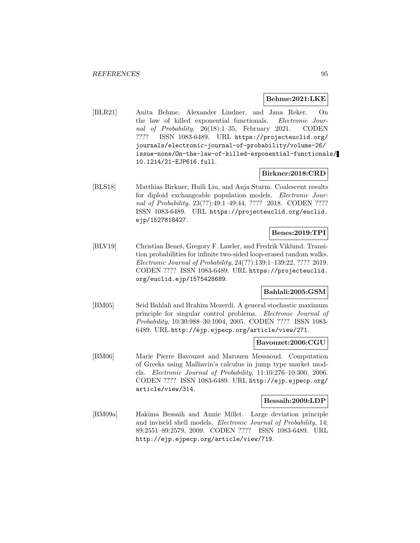#### **Behme:2021:LKE**

[BLR21] Anita Behme, Alexander Lindner, and Jana Reker. On the law of killed exponential functionals. *Electronic Jour*nal of Probability, 26(18):1–35, February 2021. CODEN ???? ISSN 1083-6489. URL https://projecteuclid.org/ journals/electronic-journal-of-probability/volume-26/ issue-none/On-the-law-of-killed-exponential-functionals/ 10.1214/21-EJP616.full.

## **Birkner:2018:CRD**

[BLS18] Matthias Birkner, Huili Liu, and Anja Sturm. Coalescent results for diploid exchangeable population models. Electronic Journal of Probability, 23(??):49:1-49:44, ???? 2018. CODEN ???? ISSN 1083-6489. URL https://projecteuclid.org/euclid. ejp/1527818427.

## **Benes:2019:TPI**

[BLV19] Christian Beneš, Gregory F. Lawler, and Fredrik Viklund. Transition probabilities for infinite two-sided loop-erased random walks. Electronic Journal of Probability, 24(??):139:1–139:22, ???? 2019. CODEN ???? ISSN 1083-6489. URL https://projecteuclid. org/euclid.ejp/1575428689.

#### **Bahlali:2005:GSM**

[BM05] Seid Bahlali and Brahim Mezerdi. A general stochastic maximum principle for singular control problems. Electronic Journal of Probability, 10:30:988–30:1004, 2005. CODEN ???? ISSN 1083- 6489. URL http://ejp.ejpecp.org/article/view/271.

#### **Bavouzet:2006:CGU**

[BM06] Marie Pierre Bavouzet and Marouen Messaoud. Computation of Greeks using Malliavin's calculus in jump type market models. Electronic Journal of Probability, 11:10:276–10:300, 2006. CODEN ???? ISSN 1083-6489. URL http://ejp.ejpecp.org/ article/view/314.

#### **Bessaih:2009:LDP**

[BM09a] Hakima Bessaih and Annie Millet. Large deviation principle and inviscid shell models. Electronic Journal of Probability, 14: 89:2551–89:2579, 2009. CODEN ???? ISSN 1083-6489. URL http://ejp.ejpecp.org/article/view/719.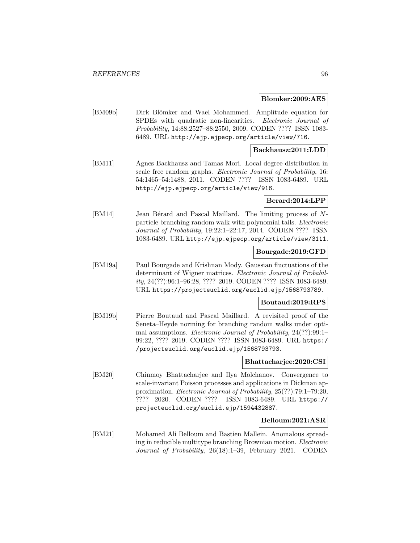#### **Blomker:2009:AES**

[BM09b] Dirk Blömker and Wael Mohammed. Amplitude equation for SPDEs with quadratic non-linearities. Electronic Journal of Probability, 14:88:2527–88:2550, 2009. CODEN ???? ISSN 1083- 6489. URL http://ejp.ejpecp.org/article/view/716.

### **Backhausz:2011:LDD**

[BM11] Agnes Backhausz and Tamas Mori. Local degree distribution in scale free random graphs. Electronic Journal of Probability, 16: 54:1465–54:1488, 2011. CODEN ???? ISSN 1083-6489. URL http://ejp.ejpecp.org/article/view/916.

### **Berard:2014:LPP**

[BM14] Jean Bérard and Pascal Maillard. The limiting process of Nparticle branching random walk with polynomial tails. Electronic Journal of Probability, 19:22:1–22:17, 2014. CODEN ???? ISSN 1083-6489. URL http://ejp.ejpecp.org/article/view/3111.

## **Bourgade:2019:GFD**

[BM19a] Paul Bourgade and Krishnan Mody. Gaussian fluctuations of the determinant of Wigner matrices. Electronic Journal of Probability, 24(??):96:1–96:28, ???? 2019. CODEN ???? ISSN 1083-6489. URL https://projecteuclid.org/euclid.ejp/1568793789.

## **Boutaud:2019:RPS**

[BM19b] Pierre Boutaud and Pascal Maillard. A revisited proof of the Seneta–Heyde norming for branching random walks under optimal assumptions. Electronic Journal of Probability, 24(??):99:1– 99:22, ???? 2019. CODEN ???? ISSN 1083-6489. URL https:/ /projecteuclid.org/euclid.ejp/1568793793.

## **Bhattacharjee:2020:CSI**

[BM20] Chinmoy Bhattacharjee and Ilya Molchanov. Convergence to scale-invariant Poisson processes and applications in Dickman approximation. Electronic Journal of Probability, 25(??):79:1–79:20, ???? 2020. CODEN ???? ISSN 1083-6489. URL https:// projecteuclid.org/euclid.ejp/1594432887.

## **Belloum:2021:ASR**

[BM21] Mohamed Ali Belloum and Bastien Mallein. Anomalous spreading in reducible multitype branching Brownian motion. Electronic Journal of Probability, 26(18):1–39, February 2021. CODEN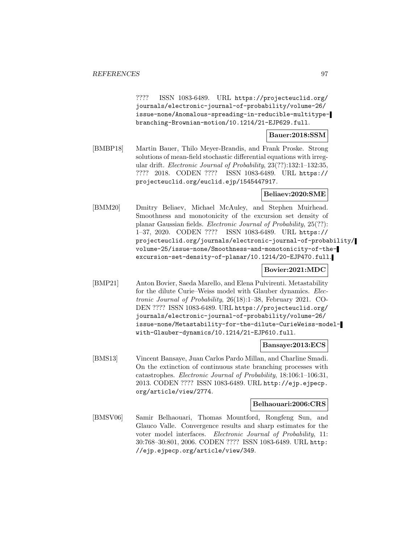???? ISSN 1083-6489. URL https://projecteuclid.org/ journals/electronic-journal-of-probability/volume-26/ issue-none/Anomalous-spreading-in-reducible-multitypebranching-Brownian-motion/10.1214/21-EJP629.full.

## **Bauer:2018:SSM**

[BMBP18] Martin Bauer, Thilo Meyer-Brandis, and Frank Proske. Strong solutions of mean-field stochastic differential equations with irregular drift. Electronic Journal of Probability, 23(??):132:1–132:35, ???? 2018. CODEN ???? ISSN 1083-6489. URL https:// projecteuclid.org/euclid.ejp/1545447917.

## **Beliaev:2020:SME**

[BMM20] Dmitry Beliaev, Michael McAuley, and Stephen Muirhead. Smoothness and monotonicity of the excursion set density of planar Gaussian fields. Electronic Journal of Probability, 25(??): 1–37, 2020. CODEN ???? ISSN 1083-6489. URL https:// projecteuclid.org/journals/electronic-journal-of-probability/ volume-25/issue-none/Smoothness-and-monotonicity-of-theexcursion-set-density-of-planar/10.1214/20-EJP470.full.

# **Bovier:2021:MDC**

[BMP21] Anton Bovier, Saeda Marello, and Elena Pulvirenti. Metastability for the dilute Curie–Weiss model with Glauber dynamics. Electronic Journal of Probability, 26(18):1–38, February 2021. CO-DEN ???? ISSN 1083-6489. URL https://projecteuclid.org/ journals/electronic-journal-of-probability/volume-26/ issue-none/Metastability-for-the-dilute-CurieWeiss-modelwith-Glauber-dynamics/10.1214/21-EJP610.full.

#### **Bansaye:2013:ECS**

[BMS13] Vincent Bansaye, Juan Carlos Pardo Millan, and Charline Smadi. On the extinction of continuous state branching processes with catastrophes. Electronic Journal of Probability, 18:106:1–106:31, 2013. CODEN ???? ISSN 1083-6489. URL http://ejp.ejpecp. org/article/view/2774.

### **Belhaouari:2006:CRS**

[BMSV06] Samir Belhaouari, Thomas Mountford, Rongfeng Sun, and Glauco Valle. Convergence results and sharp estimates for the voter model interfaces. Electronic Journal of Probability, 11: 30:768–30:801, 2006. CODEN ???? ISSN 1083-6489. URL http: //ejp.ejpecp.org/article/view/349.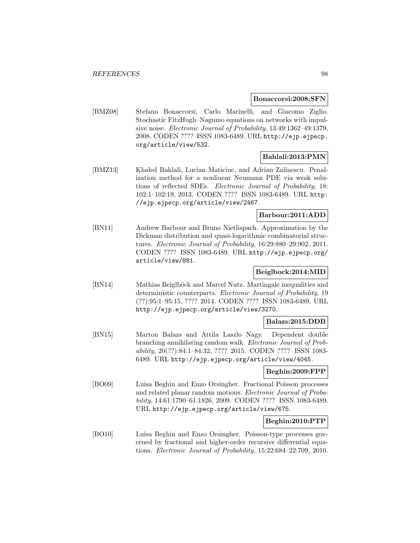#### **Bonaccorsi:2008:SFN**

[BMZ08] Stefano Bonaccorsi, Carlo Marinelli, and Giacomo Ziglio. Stochastic FitzHugh–Nagumo equations on networks with impulsive noise. Electronic Journal of Probability, 13:49:1362–49:1379, 2008. CODEN ???? ISSN 1083-6489. URL http://ejp.ejpecp. org/article/view/532.

#### **Bahlali:2013:PMN**

[BMZ13] Khaled Bahlali, Lucian Maticiuc, and Adrian Zalinescu. Penalization method for a nonlinear Neumann PDE via weak solutions of reflected SDEs. Electronic Journal of Probability, 18: 102:1–102:19, 2013. CODEN ???? ISSN 1083-6489. URL http: //ejp.ejpecp.org/article/view/2467.

## **Barbour:2011:ADD**

[BN11] Andrew Barbour and Bruno Nietlispach. Approximation by the Dickman distribution and quasi-logarithmic combinatorial structures. Electronic Journal of Probability, 16:29:880–29:902, 2011. CODEN ???? ISSN 1083-6489. URL http://ejp.ejpecp.org/ article/view/881.

## **Beiglbock:2014:MID**

[BN14] Mathias Beiglböck and Marcel Nutz. Martingale inequalities and deterministic counterparts. Electronic Journal of Probability, 19 (??):95:1–95:15, ???? 2014. CODEN ???? ISSN 1083-6489. URL http://ejp.ejpecp.org/article/view/3270.

## **Balazs:2015:DDB**

[BN15] Marton Balazs and Attila Laszlo Nagy. Dependent double branching annihilating random walk. Electronic Journal of Probability, 20(??):84:1–84:32, ???? 2015. CODEN ???? ISSN 1083- 6489. URL http://ejp.ejpecp.org/article/view/4045.

# **Beghin:2009:FPP**

[BO09] Luisa Beghin and Enzo Orsingher. Fractional Poisson processes and related planar random motions. Electronic Journal of Probability, 14:61:1790–61:1826, 2009. CODEN ???? ISSN 1083-6489. URL http://ejp.ejpecp.org/article/view/675.

## **Beghin:2010:PTP**

[BO10] Luisa Beghin and Enzo Orsingher. Poisson-type processes governed by fractional and higher-order recursive differential equations. Electronic Journal of Probability, 15:22:684–22:709, 2010.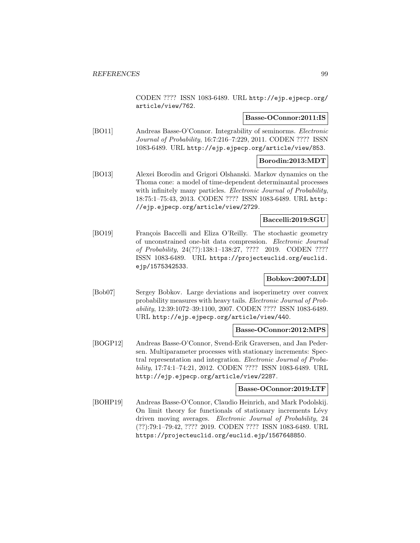CODEN ???? ISSN 1083-6489. URL http://ejp.ejpecp.org/ article/view/762.

## **Basse-OConnor:2011:IS**

[BO11] Andreas Basse-O'Connor. Integrability of seminorms. Electronic Journal of Probability, 16:7:216–7:229, 2011. CODEN ???? ISSN 1083-6489. URL http://ejp.ejpecp.org/article/view/853.

# **Borodin:2013:MDT**

[BO13] Alexei Borodin and Grigori Olshanski. Markov dynamics on the Thoma cone: a model of time-dependent determinantal processes with infinitely many particles. Electronic Journal of Probability, 18:75:1–75:43, 2013. CODEN ???? ISSN 1083-6489. URL http: //ejp.ejpecp.org/article/view/2729.

# **Baccelli:2019:SGU**

[BO19] François Baccelli and Eliza O'Reilly. The stochastic geometry of unconstrained one-bit data compression. Electronic Journal of Probability, 24(??):138:1–138:27, ???? 2019. CODEN ???? ISSN 1083-6489. URL https://projecteuclid.org/euclid. ejp/1575342533.

# **Bobkov:2007:LDI**

[Bob07] Sergey Bobkov. Large deviations and isoperimetry over convex probability measures with heavy tails. Electronic Journal of Probability, 12:39:1072–39:1100, 2007. CODEN ???? ISSN 1083-6489. URL http://ejp.ejpecp.org/article/view/440.

## **Basse-OConnor:2012:MPS**

[BOGP12] Andreas Basse-O'Connor, Svend-Erik Graversen, and Jan Pedersen. Multiparameter processes with stationary increments: Spectral representation and integration. Electronic Journal of Probability, 17:74:1–74:21, 2012. CODEN ???? ISSN 1083-6489. URL http://ejp.ejpecp.org/article/view/2287.

#### **Basse-OConnor:2019:LTF**

[BOHP19] Andreas Basse-O'Connor, Claudio Heinrich, and Mark Podolskij. On limit theory for functionals of stationary increments Lévy driven moving averages. Electronic Journal of Probability, 24 (??):79:1–79:42, ???? 2019. CODEN ???? ISSN 1083-6489. URL https://projecteuclid.org/euclid.ejp/1567648850.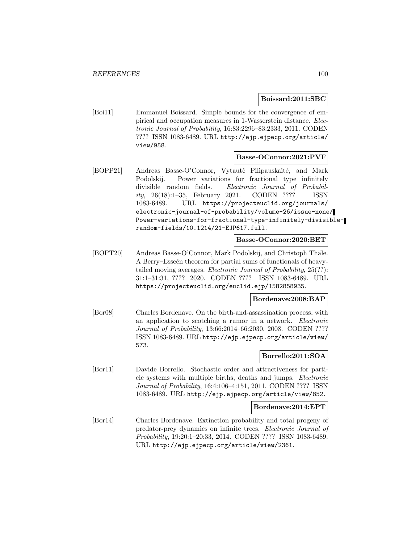#### **Boissard:2011:SBC**

[Boi11] Emmanuel Boissard. Simple bounds for the convergence of empirical and occupation measures in 1-Wasserstein distance. Electronic Journal of Probability, 16:83:2296–83:2333, 2011. CODEN ???? ISSN 1083-6489. URL http://ejp.ejpecp.org/article/ view/958.

#### **Basse-OConnor:2021:PVF**

[BOPP21] Andreas Basse-O'Connor, Vytautė Pilipauskaitė, and Mark Podolskij. Power variations for fractional type infinitely divisible random fields. Electronic Journal of Probability, 26(18):1–35, February 2021. CODEN ???? ISSN 1083-6489. URL https://projecteuclid.org/journals/ electronic-journal-of-probability/volume-26/issue-none/ Power-variations-for-fractional-type-infinitely-divisiblerandom-fields/10.1214/21-EJP617.full.

## **Basse-OConnor:2020:BET**

[BOPT20] Andreas Basse-O'Connor, Mark Podolskij, and Christoph Thäle. A Berry–Esseen theorem for partial sums of functionals of heavytailed moving averages. Electronic Journal of Probability, 25(??): 31:1–31:31, ???? 2020. CODEN ???? ISSN 1083-6489. URL https://projecteuclid.org/euclid.ejp/1582858935.

#### **Bordenave:2008:BAP**

[Bor08] Charles Bordenave. On the birth-and-assassination process, with an application to scotching a rumor in a network. Electronic Journal of Probability, 13:66:2014–66:2030, 2008. CODEN ???? ISSN 1083-6489. URL http://ejp.ejpecp.org/article/view/ 573.

## **Borrello:2011:SOA**

[Bor11] Davide Borrello. Stochastic order and attractiveness for particle systems with multiple births, deaths and jumps. Electronic Journal of Probability, 16:4:106–4:151, 2011. CODEN ???? ISSN 1083-6489. URL http://ejp.ejpecp.org/article/view/852.

## **Bordenave:2014:EPT**

[Bor14] Charles Bordenave. Extinction probability and total progeny of predator-prey dynamics on infinite trees. Electronic Journal of Probability, 19:20:1–20:33, 2014. CODEN ???? ISSN 1083-6489. URL http://ejp.ejpecp.org/article/view/2361.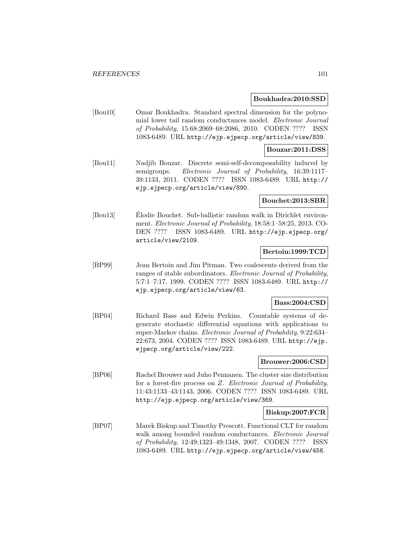#### **Boukhadra:2010:SSD**

[Bou10] Omar Boukhadra. Standard spectral dimension for the polynomial lower tail random conductances model. Electronic Journal of Probability, 15:68:2069–68:2086, 2010. CODEN ???? ISSN 1083-6489. URL http://ejp.ejpecp.org/article/view/839.

### **Bouzar:2011:DSS**

[Bou11] Nadjib Bouzar. Discrete semi-self-decomposability induced by semigroups. Electronic Journal of Probability, 16:39:1117– 39:1133, 2011. CODEN ???? ISSN 1083-6489. URL http:// ejp.ejpecp.org/article/view/890.

### **Bouchet:2013:SBR**

[Bou13] Elodie Bouchet. Sub-ballistic random walk in Dirichlet environment. Electronic Journal of Probability, 18:58:1–58:25, 2013. CO-DEN ???? ISSN 1083-6489. URL http://ejp.ejpecp.org/ article/view/2109.

## **Bertoin:1999:TCD**

[BP99] Jean Bertoin and Jim Pitman. Two coalescents derived from the ranges of stable subordinators. Electronic Journal of Probability, 5:7:1–7:17, 1999. CODEN ???? ISSN 1083-6489. URL http:// ejp.ejpecp.org/article/view/63.

### **Bass:2004:CSD**

[BP04] Richard Bass and Edwin Perkins. Countable systems of degenerate stochastic differential equations with applications to super-Markov chains. Electronic Journal of Probability, 9:22:634– 22:673, 2004. CODEN ???? ISSN 1083-6489. URL http://ejp. ejpecp.org/article/view/222.

## **Brouwer:2006:CSD**

[BP06] Rachel Brouwer and Juho Pennanen. The cluster size distribution for a forest-fire process on Z. Electronic Journal of Probability, 11:43:1133–43:1143, 2006. CODEN ???? ISSN 1083-6489. URL http://ejp.ejpecp.org/article/view/369.

## **Biskup:2007:FCR**

[BP07] Marek Biskup and Timothy Prescott. Functional CLT for random walk among bounded random conductances. Electronic Journal of Probability, 12:49:1323–49:1348, 2007. CODEN ???? ISSN 1083-6489. URL http://ejp.ejpecp.org/article/view/456.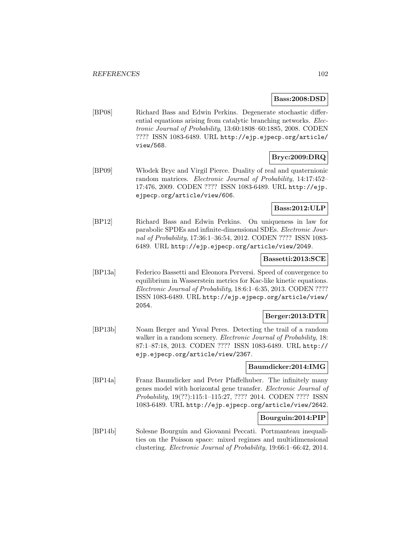## **Bass:2008:DSD**

[BP08] Richard Bass and Edwin Perkins. Degenerate stochastic differential equations arising from catalytic branching networks. Electronic Journal of Probability, 13:60:1808–60:1885, 2008. CODEN ???? ISSN 1083-6489. URL http://ejp.ejpecp.org/article/ view/568.

## **Bryc:2009:DRQ**

[BP09] W lodek Bryc and Virgil Pierce. Duality of real and quaternionic random matrices. Electronic Journal of Probability, 14:17:452– 17:476, 2009. CODEN ???? ISSN 1083-6489. URL http://ejp. ejpecp.org/article/view/606.

## **Bass:2012:ULP**

[BP12] Richard Bass and Edwin Perkins. On uniqueness in law for parabolic SPDEs and infinite-dimensional SDEs. Electronic Journal of Probability, 17:36:1–36:54, 2012. CODEN ???? ISSN 1083- 6489. URL http://ejp.ejpecp.org/article/view/2049.

## **Bassetti:2013:SCE**

[BP13a] Federico Bassetti and Eleonora Perversi. Speed of convergence to equilibrium in Wasserstein metrics for Kac-like kinetic equations. Electronic Journal of Probability, 18:6:1–6:35, 2013. CODEN ???? ISSN 1083-6489. URL http://ejp.ejpecp.org/article/view/ 2054.

## **Berger:2013:DTR**

[BP13b] Noam Berger and Yuval Peres. Detecting the trail of a random walker in a random scenery. *Electronic Journal of Probability*, 18: 87:1–87:18, 2013. CODEN ???? ISSN 1083-6489. URL http:// ejp.ejpecp.org/article/view/2367.

## **Baumdicker:2014:IMG**

[BP14a] Franz Baumdicker and Peter Pfaffelhuber. The infinitely many genes model with horizontal gene transfer. Electronic Journal of Probability, 19(??):115:1–115:27, ???? 2014. CODEN ???? ISSN 1083-6489. URL http://ejp.ejpecp.org/article/view/2642.

## **Bourguin:2014:PIP**

[BP14b] Solesne Bourguin and Giovanni Peccati. Portmanteau inequalities on the Poisson space: mixed regimes and multidimensional clustering. Electronic Journal of Probability, 19:66:1–66:42, 2014.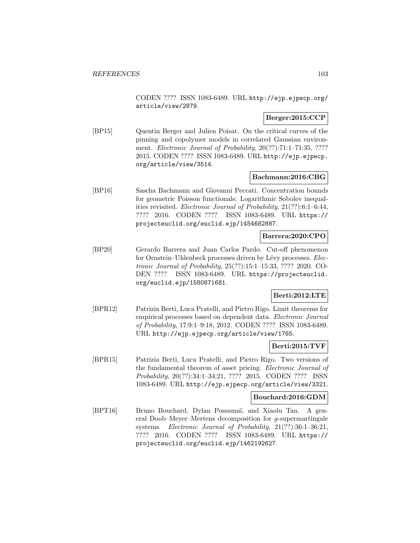CODEN ???? ISSN 1083-6489. URL http://ejp.ejpecp.org/ article/view/2879.

# **Berger:2015:CCP**

[BP15] Quentin Berger and Julien Poisat. On the critical curves of the pinning and copolymer models in correlated Gaussian environment. *Electronic Journal of Probability*, 20(??):71:1–71:35, ???? 2015. CODEN ???? ISSN 1083-6489. URL http://ejp.ejpecp. org/article/view/3514.

## **Bachmann:2016:CBG**

[BP16] Sascha Bachmann and Giovanni Peccati. Concentration bounds for geometric Poisson functionals: Logarithmic Sobolev inequalities revisited. Electronic Journal of Probability, 21(??):6:1–6:44, ???? 2016. CODEN ???? ISSN 1083-6489. URL https:// projecteuclid.org/euclid.ejp/1454682887.

## **Barrera:2020:CPO**

[BP20] Gerardo Barrera and Juan Carlos Pardo. Cut-off phenomenon for Ornstein–Uhlenbeck processes driven by Lévy processes. Electronic Journal of Probability, 25(??):15:1–15:33, ???? 2020. CO-DEN ???? ISSN 1083-6489. URL https://projecteuclid. org/euclid.ejp/1580871681.

## **Berti:2012:LTE**

[BPR12] Patrizia Berti, Luca Pratelli, and Pietro Rigo. Limit theorems for empirical processes based on dependent data. Electronic Journal of Probability, 17:9:1–9:18, 2012. CODEN ???? ISSN 1083-6489. URL http://ejp.ejpecp.org/article/view/1765.

## **Berti:2015:TVF**

[BPR15] Patrizia Berti, Luca Pratelli, and Pietro Rigo. Two versions of the fundamental theorem of asset pricing. Electronic Journal of Probability, 20(??):34:1–34:21, ???? 2015. CODEN ???? ISSN 1083-6489. URL http://ejp.ejpecp.org/article/view/3321.

## **Bouchard:2016:GDM**

[BPT16] Bruno Bouchard, Dylan Possamaï, and Xiaolu Tan. A general Doob–Meyer–Mertens decomposition for g-supermartingale systems. Electronic Journal of Probability, 21(??):36:1–36:21, ???? 2016. CODEN ???? ISSN 1083-6489. URL https:// projecteuclid.org/euclid.ejp/1462192627.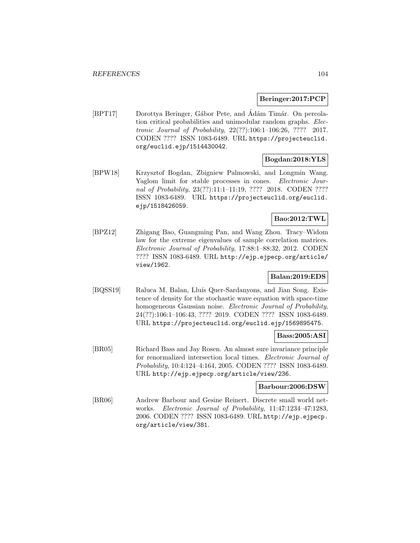### **Beringer:2017:PCP**

[BPT17] Dorottya Beringer, Gábor Pete, and Ádám Timár. On percolation critical probabilities and unimodular random graphs. Electronic Journal of Probability, 22(??):106:1–106:26, ???? 2017. CODEN ???? ISSN 1083-6489. URL https://projecteuclid. org/euclid.ejp/1514430042.

## **Bogdan:2018:YLS**

[BPW18] Krzysztof Bogdan, Zbigniew Palmowski, and Longmin Wang. Yaglom limit for stable processes in cones. Electronic Journal of Probability, 23(??):11:1-11:19, ???? 2018. CODEN ???? ISSN 1083-6489. URL https://projecteuclid.org/euclid. ejp/1518426059.

# **Bao:2012:TWL**

[BPZ12] Zhigang Bao, Guangming Pan, and Wang Zhou. Tracy–Widom law for the extreme eigenvalues of sample correlation matrices. Electronic Journal of Probability, 17:88:1–88:32, 2012. CODEN ???? ISSN 1083-6489. URL http://ejp.ejpecp.org/article/ view/1962.

## **Balan:2019:EDS**

[BQSS19] Raluca M. Balan, Lluís Quer-Sardanyons, and Jian Song. Existence of density for the stochastic wave equation with space-time homogeneous Gaussian noise. Electronic Journal of Probability, 24(??):106:1–106:43, ???? 2019. CODEN ???? ISSN 1083-6489. URL https://projecteuclid.org/euclid.ejp/1569895475.

## **Bass:2005:ASI**

[BR05] Richard Bass and Jay Rosen. An almost sure invariance principle for renormalized intersection local times. Electronic Journal of Probability, 10:4:124–4:164, 2005. CODEN ???? ISSN 1083-6489. URL http://ejp.ejpecp.org/article/view/236.

#### **Barbour:2006:DSW**

[BR06] Andrew Barbour and Gesine Reinert. Discrete small world networks. Electronic Journal of Probability, 11:47:1234–47:1283, 2006. CODEN ???? ISSN 1083-6489. URL http://ejp.ejpecp. org/article/view/381.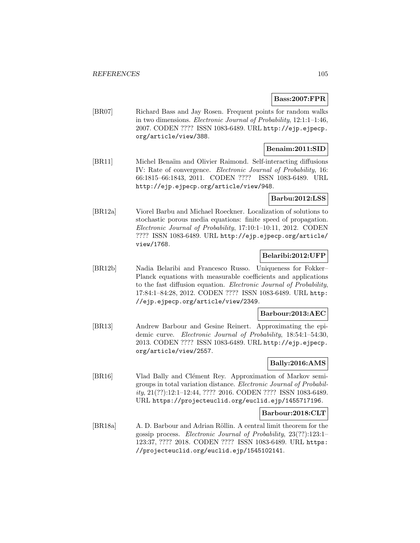## **Bass:2007:FPR**

[BR07] Richard Bass and Jay Rosen. Frequent points for random walks in two dimensions. Electronic Journal of Probability, 12:1:1–1:46, 2007. CODEN ???? ISSN 1083-6489. URL http://ejp.ejpecp. org/article/view/388.

## **Benaim:2011:SID**

[BR11] Michel Benaïm and Olivier Raimond. Self-interacting diffusions IV: Rate of convergence. Electronic Journal of Probability, 16: 66:1815–66:1843, 2011. CODEN ???? ISSN 1083-6489. URL http://ejp.ejpecp.org/article/view/948.

## **Barbu:2012:LSS**

[BR12a] Viorel Barbu and Michael Roeckner. Localization of solutions to stochastic porous media equations: finite speed of propagation. Electronic Journal of Probability, 17:10:1–10:11, 2012. CODEN ???? ISSN 1083-6489. URL http://ejp.ejpecp.org/article/ view/1768.

## **Belaribi:2012:UFP**

[BR12b] Nadia Belaribi and Francesco Russo. Uniqueness for Fokker– Planck equations with measurable coefficients and applications to the fast diffusion equation. Electronic Journal of Probability, 17:84:1–84:28, 2012. CODEN ???? ISSN 1083-6489. URL http: //ejp.ejpecp.org/article/view/2349.

## **Barbour:2013:AEC**

[BR13] Andrew Barbour and Gesine Reinert. Approximating the epidemic curve. Electronic Journal of Probability, 18:54:1–54:30, 2013. CODEN ???? ISSN 1083-6489. URL http://ejp.ejpecp. org/article/view/2557.

## **Bally:2016:AMS**

[BR16] Vlad Bally and Clément Rey. Approximation of Markov semigroups in total variation distance. Electronic Journal of Probability, 21(??):12:1–12:44, ???? 2016. CODEN ???? ISSN 1083-6489. URL https://projecteuclid.org/euclid.ejp/1455717196.

## **Barbour:2018:CLT**

[BR18a] A. D. Barbour and Adrian Röllin. A central limit theorem for the gossip process. Electronic Journal of Probability, 23(??):123:1– 123:37, ???? 2018. CODEN ???? ISSN 1083-6489. URL https: //projecteuclid.org/euclid.ejp/1545102141.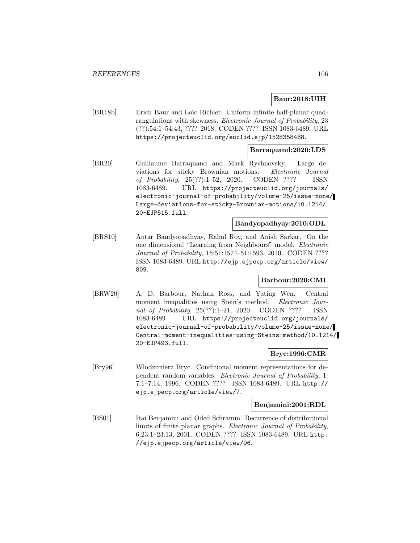## **Baur:2018:UIH**

[BR18b] Erich Baur and Loïc Richier. Uniform infinite half-planar quadrangulations with skewness. Electronic Journal of Probability, 23 (??):54:1–54:43, ???? 2018. CODEN ???? ISSN 1083-6489. URL https://projecteuclid.org/euclid.ejp/1528358488.

## **Barraquand:2020:LDS**

[BR20] Guillaume Barraquand and Mark Rychnovsky. Large deviations for sticky Brownian motions. Electronic Journal of Probability, 25(??):1–52, 2020. CODEN ???? ISSN 1083-6489. URL https://projecteuclid.org/journals/ electronic-journal-of-probability/volume-25/issue-none/ Large-deviations-for-sticky-Brownian-motions/10.1214/ 20-EJP515.full.

## **Bandyopadhyay:2010:ODL**

[BRS10] Antar Bandyopadhyay, Rahul Roy, and Anish Sarkar. On the one dimensional "Learning from Neighbours" model. Electronic Journal of Probability, 15:51:1574–51:1593, 2010. CODEN ???? ISSN 1083-6489. URL http://ejp.ejpecp.org/article/view/ 809.

### **Barbour:2020:CMI**

[BRW20] A. D. Barbour, Nathan Ross, and Yuting Wen. Central moment inequalities using Stein's method. Electronic Journal of Probability, 25(??):1–21, 2020. CODEN ???? ISSN 1083-6489. URL https://projecteuclid.org/journals/ electronic-journal-of-probability/volume-25/issue-none/ Central-moment-inequalities-using-Steins-method/10.1214/ 20-EJP493.full.

## **Bryc:1996:CMR**

[Bry96] W lodzimierz Bryc. Conditional moment representations for dependent random variables. Electronic Journal of Probability, 1: 7:1–7:14, 1996. CODEN ???? ISSN 1083-6489. URL http:// ejp.ejpecp.org/article/view/7.

#### **Benjamini:2001:RDL**

[BS01] Itai Benjamini and Oded Schramm. Recurrence of distributional limits of finite planar graphs. Electronic Journal of Probability, 6:23:1–23:13, 2001. CODEN ???? ISSN 1083-6489. URL http: //ejp.ejpecp.org/article/view/96.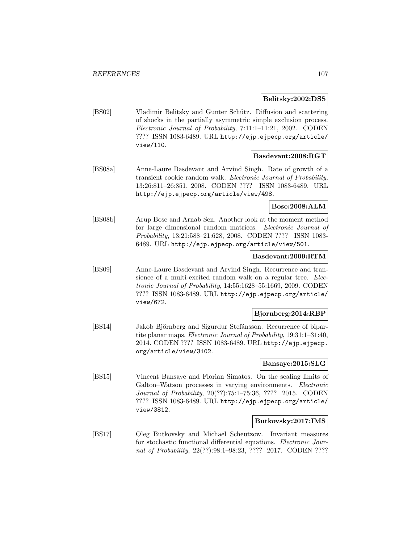**Belitsky:2002:DSS**

[BS02] Vladimir Belitsky and Gunter Schütz. Diffusion and scattering of shocks in the partially asymmetric simple exclusion process. Electronic Journal of Probability, 7:11:1–11:21, 2002. CODEN ???? ISSN 1083-6489. URL http://ejp.ejpecp.org/article/ view/110.

## **Basdevant:2008:RGT**

[BS08a] Anne-Laure Basdevant and Arvind Singh. Rate of growth of a transient cookie random walk. Electronic Journal of Probability, 13:26:811–26:851, 2008. CODEN ???? ISSN 1083-6489. URL http://ejp.ejpecp.org/article/view/498.

# **Bose:2008:ALM**

[BS08b] Arup Bose and Arnab Sen. Another look at the moment method for large dimensional random matrices. Electronic Journal of Probability, 13:21:588–21:628, 2008. CODEN ???? ISSN 1083- 6489. URL http://ejp.ejpecp.org/article/view/501.

#### **Basdevant:2009:RTM**

[BS09] Anne-Laure Basdevant and Arvind Singh. Recurrence and transience of a multi-excited random walk on a regular tree. Electronic Journal of Probability, 14:55:1628–55:1669, 2009. CODEN ???? ISSN 1083-6489. URL http://ejp.ejpecp.org/article/ view/672.

## **Bjornberg:2014:RBP**

[BS14] Jakob Björnberg and Sigurdur Stefánsson. Recurrence of bipartite planar maps. Electronic Journal of Probability, 19:31:1–31:40, 2014. CODEN ???? ISSN 1083-6489. URL http://ejp.ejpecp. org/article/view/3102.

## **Bansaye:2015:SLG**

[BS15] Vincent Bansaye and Florian Simatos. On the scaling limits of Galton–Watson processes in varying environments. Electronic Journal of Probability, 20(??):75:1–75:36, ???? 2015. CODEN ???? ISSN 1083-6489. URL http://ejp.ejpecp.org/article/ view/3812.

## **Butkovsky:2017:IMS**

[BS17] Oleg Butkovsky and Michael Scheutzow. Invariant measures for stochastic functional differential equations. Electronic Journal of Probability, 22(??):98:1–98:23, ???? 2017. CODEN ????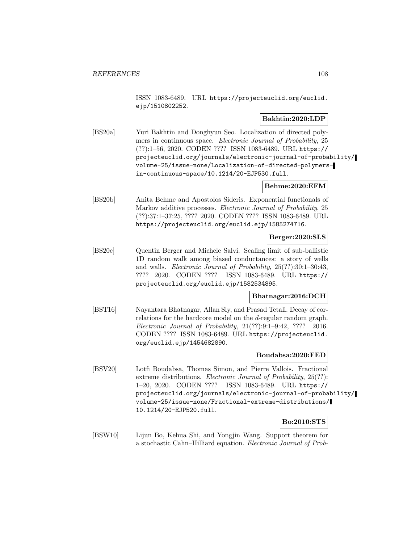ISSN 1083-6489. URL https://projecteuclid.org/euclid. ejp/1510802252.

## **Bakhtin:2020:LDP**

[BS20a] Yuri Bakhtin and Donghyun Seo. Localization of directed polymers in continuous space. *Electronic Journal of Probability*, 25 (??):1–56, 2020. CODEN ???? ISSN 1083-6489. URL https:// projecteuclid.org/journals/electronic-journal-of-probability/ volume-25/issue-none/Localization-of-directed-polymersin-continuous-space/10.1214/20-EJP530.full.

## **Behme:2020:EFM**

[BS20b] Anita Behme and Apostolos Sideris. Exponential functionals of Markov additive processes. Electronic Journal of Probability, 25 (??):37:1–37:25, ???? 2020. CODEN ???? ISSN 1083-6489. URL https://projecteuclid.org/euclid.ejp/1585274716.

# **Berger:2020:SLS**

[BS20c] Quentin Berger and Michele Salvi. Scaling limit of sub-ballistic 1D random walk among biased conductances: a story of wells and walls. Electronic Journal of Probability, 25(??):30:1–30:43, ???? 2020. CODEN ???? ISSN 1083-6489. URL https:// projecteuclid.org/euclid.ejp/1582534895.

## **Bhatnagar:2016:DCH**

[BST16] Nayantara Bhatnagar, Allan Sly, and Prasad Tetali. Decay of correlations for the hardcore model on the d-regular random graph. Electronic Journal of Probability,  $21(??):9:1-9:42$ ,  $???? 2016$ . CODEN ???? ISSN 1083-6489. URL https://projecteuclid. org/euclid.ejp/1454682890.

### **Boudabsa:2020:FED**

[BSV20] Lotfi Boudabsa, Thomas Simon, and Pierre Vallois. Fractional extreme distributions. Electronic Journal of Probability, 25(??): 1–20, 2020. CODEN ???? ISSN 1083-6489. URL https:// projecteuclid.org/journals/electronic-journal-of-probability/ volume-25/issue-none/Fractional-extreme-distributions/ 10.1214/20-EJP520.full.

## **Bo:2010:STS**

[BSW10] Lijun Bo, Kehua Shi, and Yongjin Wang. Support theorem for a stochastic Cahn–Hilliard equation. Electronic Journal of Prob-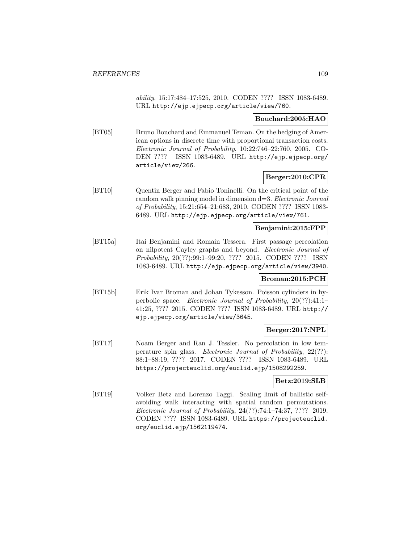ability, 15:17:484–17:525, 2010. CODEN ???? ISSN 1083-6489. URL http://ejp.ejpecp.org/article/view/760.

# **Bouchard:2005:HAO**

[BT05] Bruno Bouchard and Emmanuel Teman. On the hedging of American options in discrete time with proportional transaction costs. Electronic Journal of Probability, 10:22:746–22:760, 2005. CO-DEN ???? ISSN 1083-6489. URL http://ejp.ejpecp.org/ article/view/266.

# **Berger:2010:CPR**

[BT10] Quentin Berger and Fabio Toninelli. On the critical point of the random walk pinning model in dimension d=3. Electronic Journal of Probability, 15:21:654–21:683, 2010. CODEN ???? ISSN 1083- 6489. URL http://ejp.ejpecp.org/article/view/761.

# **Benjamini:2015:FPP**

[BT15a] Itai Benjamini and Romain Tessera. First passage percolation on nilpotent Cayley graphs and beyond. Electronic Journal of Probability, 20(??):99:1–99:20, ???? 2015. CODEN ???? ISSN 1083-6489. URL http://ejp.ejpecp.org/article/view/3940.

## **Broman:2015:PCH**

[BT15b] Erik Ivar Broman and Johan Tykesson. Poisson cylinders in hyperbolic space. Electronic Journal of Probability, 20(??):41:1– 41:25, ???? 2015. CODEN ???? ISSN 1083-6489. URL http:// ejp.ejpecp.org/article/view/3645.

# **Berger:2017:NPL**

[BT17] Noam Berger and Ran J. Tessler. No percolation in low temperature spin glass. Electronic Journal of Probability, 22(??): 88:1–88:19, ???? 2017. CODEN ???? ISSN 1083-6489. URL https://projecteuclid.org/euclid.ejp/1508292259.

# **Betz:2019:SLB**

[BT19] Volker Betz and Lorenzo Taggi. Scaling limit of ballistic selfavoiding walk interacting with spatial random permutations. Electronic Journal of Probability, 24(??):74:1–74:37, ???? 2019. CODEN ???? ISSN 1083-6489. URL https://projecteuclid. org/euclid.ejp/1562119474.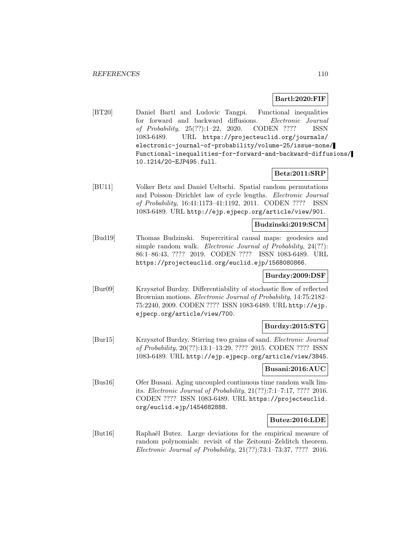## **Bartl:2020:FIF**

[BT20] Daniel Bartl and Ludovic Tangpi. Functional inequalities for forward and backward diffusions. Electronic Journal of Probability, 25(??):1–22, 2020. CODEN ???? ISSN 1083-6489. URL https://projecteuclid.org/journals/ electronic-journal-of-probability/volume-25/issue-none/ Functional-inequalities-for-forward-and-backward-diffusions/ 10.1214/20-EJP495.full.

## **Betz:2011:SRP**

[BU11] Volker Betz and Daniel Ueltschi. Spatial random permutations and Poisson–Dirichlet law of cycle lengths. Electronic Journal of Probability, 16:41:1173–41:1192, 2011. CODEN ???? ISSN 1083-6489. URL http://ejp.ejpecp.org/article/view/901.

# **Budzinski:2019:SCM**

[Bud19] Thomas Budzinski. Supercritical causal maps: geodesics and simple random walk. *Electronic Journal of Probability*, 24(??): 86:1–86:43, ???? 2019. CODEN ???? ISSN 1083-6489. URL https://projecteuclid.org/euclid.ejp/1568080866.

# **Burdzy:2009:DSF**

[Bur09] Krzysztof Burdzy. Differentiability of stochastic flow of reflected Brownian motions. Electronic Journal of Probability, 14:75:2182– 75:2240, 2009. CODEN ???? ISSN 1083-6489. URL http://ejp. ejpecp.org/article/view/700.

#### **Burdzy:2015:STG**

[Bur15] Krzysztof Burdzy. Stirring two grains of sand. Electronic Journal of Probability, 20(??):13:1–13:29, ???? 2015. CODEN ???? ISSN 1083-6489. URL http://ejp.ejpecp.org/article/view/3845.

#### **Busani:2016:AUC**

[Bus16] Ofer Busani. Aging uncoupled continuous time random walk limits. Electronic Journal of Probability, 21(??):7:1–7:17, ???? 2016. CODEN ???? ISSN 1083-6489. URL https://projecteuclid. org/euclid.ejp/1454682888.

## **Butez:2016:LDE**

[But16] Raphaël Butez. Large deviations for the empirical measure of random polynomials: revisit of the Zeitouni–Zelditch theorem. Electronic Journal of Probability, 21(??):73:1–73:37, ???? 2016.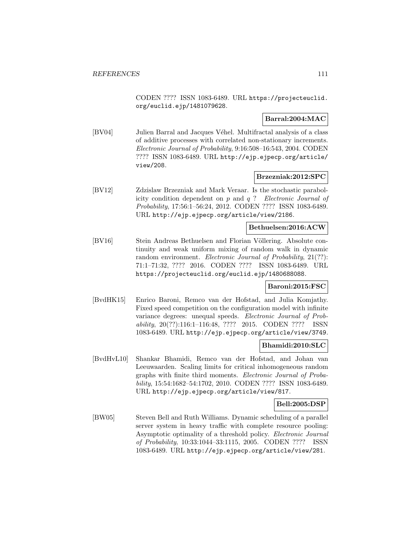CODEN ???? ISSN 1083-6489. URL https://projecteuclid. org/euclid.ejp/1481079628.

# **Barral:2004:MAC**

[BV04] Julien Barral and Jacques Véhel. Multifractal analysis of a class of additive processes with correlated non-stationary increments. Electronic Journal of Probability, 9:16:508–16:543, 2004. CODEN ???? ISSN 1083-6489. URL http://ejp.ejpecp.org/article/ view/208.

#### **Brzezniak:2012:SPC**

[BV12] Zdzislaw Brzezniak and Mark Veraar. Is the stochastic parabolicity condition dependent on  $p$  and  $q$ ? Electronic Journal of Probability, 17:56:1–56:24, 2012. CODEN ???? ISSN 1083-6489. URL http://ejp.ejpecp.org/article/view/2186.

# **Bethuelsen:2016:ACW**

[BV16] Stein Andreas Bethuelsen and Florian Völlering. Absolute continuity and weak uniform mixing of random walk in dynamic random environment. *Electronic Journal of Probability*, 21(??): 71:1–71:32, ???? 2016. CODEN ???? ISSN 1083-6489. URL https://projecteuclid.org/euclid.ejp/1480688088.

#### **Baroni:2015:FSC**

[BvdHK15] Enrico Baroni, Remco van der Hofstad, and Julia Komjathy. Fixed speed competition on the configuration model with infinite variance degrees: unequal speeds. Electronic Journal of Probability, 20(??):116:1–116:48, ???? 2015. CODEN ???? ISSN 1083-6489. URL http://ejp.ejpecp.org/article/view/3749.

## **Bhamidi:2010:SLC**

[BvdHvL10] Shankar Bhamidi, Remco van der Hofstad, and Johan van Leeuwaarden. Scaling limits for critical inhomogeneous random graphs with finite third moments. Electronic Journal of Probability, 15:54:1682–54:1702, 2010. CODEN ???? ISSN 1083-6489. URL http://ejp.ejpecp.org/article/view/817.

## **Bell:2005:DSP**

[BW05] Steven Bell and Ruth Williams. Dynamic scheduling of a parallel server system in heavy traffic with complete resource pooling: Asymptotic optimality of a threshold policy. Electronic Journal of Probability, 10:33:1044–33:1115, 2005. CODEN ???? ISSN 1083-6489. URL http://ejp.ejpecp.org/article/view/281.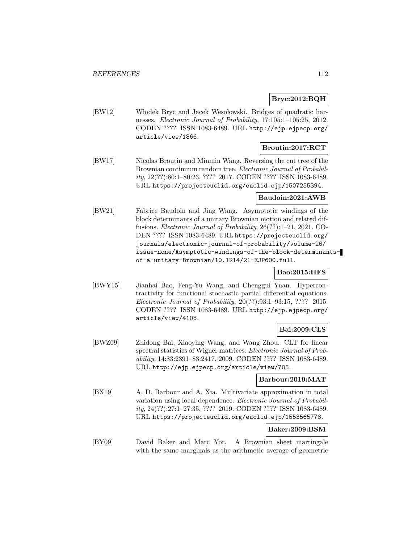# **Bryc:2012:BQH**

[BW12] Włodek Bryc and Jacek Wesołowski. Bridges of quadratic harnesses. Electronic Journal of Probability, 17:105:1–105:25, 2012. CODEN ???? ISSN 1083-6489. URL http://ejp.ejpecp.org/ article/view/1866.

# **Broutin:2017:RCT**

[BW17] Nicolas Broutin and Minmin Wang. Reversing the cut tree of the Brownian continuum random tree. Electronic Journal of Probability, 22(??):80:1–80:23, ???? 2017. CODEN ???? ISSN 1083-6489. URL https://projecteuclid.org/euclid.ejp/1507255394.

# **Baudoin:2021:AWB**

[BW21] Fabrice Baudoin and Jing Wang. Asymptotic windings of the block determinants of a unitary Brownian motion and related diffusions. Electronic Journal of Probability, 26(??):1–21, 2021. CO-DEN ???? ISSN 1083-6489. URL https://projecteuclid.org/ journals/electronic-journal-of-probability/volume-26/ issue-none/Asymptotic-windings-of-the-block-determinantsof-a-unitary-Brownian/10.1214/21-EJP600.full.

# **Bao:2015:HFS**

[BWY15] Jianhai Bao, Feng-Yu Wang, and Chenggui Yuan. Hypercontractivity for functional stochastic partial differential equations. Electronic Journal of Probability, 20(??):93:1–93:15, ???? 2015. CODEN ???? ISSN 1083-6489. URL http://ejp.ejpecp.org/ article/view/4108.

# **Bai:2009:CLS**

[BWZ09] Zhidong Bai, Xiaoying Wang, and Wang Zhou. CLT for linear spectral statistics of Wigner matrices. Electronic Journal of Probability, 14:83:2391–83:2417, 2009. CODEN ???? ISSN 1083-6489. URL http://ejp.ejpecp.org/article/view/705.

## **Barbour:2019:MAT**

[BX19] A. D. Barbour and A. Xia. Multivariate approximation in total variation using local dependence. Electronic Journal of Probability, 24(??):27:1–27:35, ???? 2019. CODEN ???? ISSN 1083-6489. URL https://projecteuclid.org/euclid.ejp/1553565778.

# **Baker:2009:BSM**

[BY09] David Baker and Marc Yor. A Brownian sheet martingale with the same marginals as the arithmetic average of geometric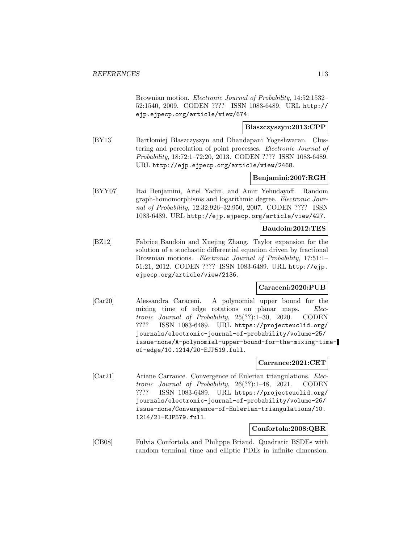Brownian motion. Electronic Journal of Probability, 14:52:1532– 52:1540, 2009. CODEN ???? ISSN 1083-6489. URL http:// ejp.ejpecp.org/article/view/674.

# **Blaszczyszyn:2013:CPP**

[BY13] Bartlomiej Blaszczyszyn and Dhandapani Yogeshwaran. Clustering and percolation of point processes. Electronic Journal of Probability, 18:72:1–72:20, 2013. CODEN ???? ISSN 1083-6489. URL http://ejp.ejpecp.org/article/view/2468.

## **Benjamini:2007:RGH**

[BYY07] Itai Benjamini, Ariel Yadin, and Amir Yehudayoff. Random graph-homomorphisms and logarithmic degree. Electronic Journal of Probability, 12:32:926–32:950, 2007. CODEN ???? ISSN 1083-6489. URL http://ejp.ejpecp.org/article/view/427.

## **Baudoin:2012:TES**

[BZ12] Fabrice Baudoin and Xuejing Zhang. Taylor expansion for the solution of a stochastic differential equation driven by fractional Brownian motions. *Electronic Journal of Probability*, 17:51:1– 51:21, 2012. CODEN ???? ISSN 1083-6489. URL http://ejp. ejpecp.org/article/view/2136.

## **Caraceni:2020:PUB**

[Car20] Alessandra Caraceni. A polynomial upper bound for the mixing time of edge rotations on planar maps. Electronic Journal of Probability, 25(??):1–30, 2020. CODEN ???? ISSN 1083-6489. URL https://projecteuclid.org/ journals/electronic-journal-of-probability/volume-25/ issue-none/A-polynomial-upper-bound-for-the-mixing-timeof-edge/10.1214/20-EJP519.full.

# **Carrance:2021:CET**

[Car21] Ariane Carrance. Convergence of Eulerian triangulations. Electronic Journal of Probability, 26(??):1–48, 2021. CODEN ???? ISSN 1083-6489. URL https://projecteuclid.org/ journals/electronic-journal-of-probability/volume-26/ issue-none/Convergence-of-Eulerian-triangulations/10. 1214/21-EJP579.full.

## **Confortola:2008:QBR**

[CB08] Fulvia Confortola and Philippe Briand. Quadratic BSDEs with random terminal time and elliptic PDEs in infinite dimension.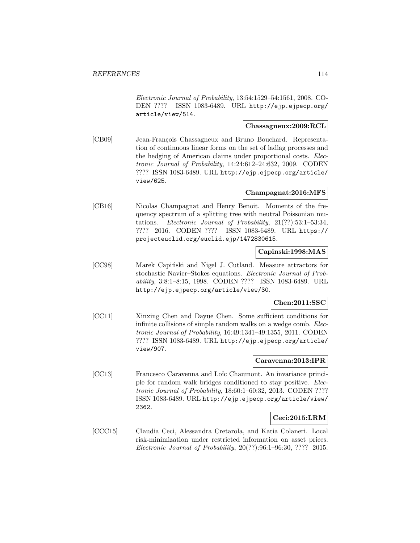Electronic Journal of Probability, 13:54:1529–54:1561, 2008. CO-DEN ???? ISSN 1083-6489. URL http://ejp.ejpecp.org/ article/view/514.

## **Chassagneux:2009:RCL**

[CB09] Jean-François Chassagneux and Bruno Bouchard. Representation of continuous linear forms on the set of ladlag processes and the hedging of American claims under proportional costs. Electronic Journal of Probability, 14:24:612–24:632, 2009. CODEN ???? ISSN 1083-6489. URL http://ejp.ejpecp.org/article/ view/625.

# **Champagnat:2016:MFS**

[CB16] Nicolas Champagnat and Henry Benoit. Moments of the frequency spectrum of a splitting tree with neutral Poissonian mutations. Electronic Journal of Probability, 21(??):53:1–53:34, ???? 2016. CODEN ???? ISSN 1083-6489. URL https:// projecteuclid.org/euclid.ejp/1472830615.

# **Capinski:1998:MAS**

[CC98] Marek Capiński and Nigel J. Cutland. Measure attractors for stochastic Navier–Stokes equations. Electronic Journal of Probability, 3:8:1–8:15, 1998. CODEN ???? ISSN 1083-6489. URL http://ejp.ejpecp.org/article/view/30.

## **Chen:2011:SSC**

[CC11] Xinxing Chen and Dayue Chen. Some sufficient conditions for infinite collisions of simple random walks on a wedge comb. Electronic Journal of Probability, 16:49:1341–49:1355, 2011. CODEN ???? ISSN 1083-6489. URL http://ejp.ejpecp.org/article/ view/907.

# **Caravenna:2013:IPR**

[CC13] Francesco Caravenna and Loïc Chaumont. An invariance principle for random walk bridges conditioned to stay positive. Electronic Journal of Probability, 18:60:1–60:32, 2013. CODEN ???? ISSN 1083-6489. URL http://ejp.ejpecp.org/article/view/ 2362.

# **Ceci:2015:LRM**

[CCC15] Claudia Ceci, Alessandra Cretarola, and Katia Colaneri. Local risk-minimization under restricted information on asset prices. Electronic Journal of Probability, 20(??):96:1–96:30, ???? 2015.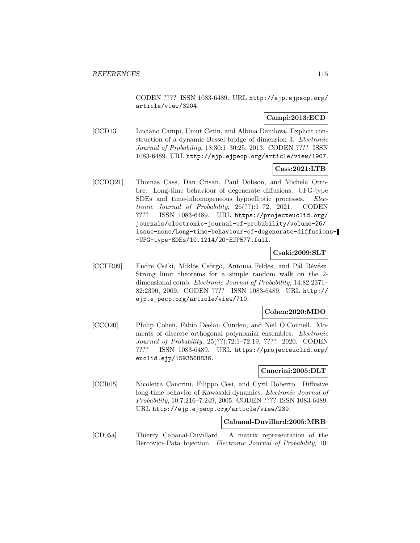CODEN ???? ISSN 1083-6489. URL http://ejp.ejpecp.org/ article/view/3204.

# **Campi:2013:ECD**

[CCD13] Luciano Campi, Umut Cetin, and Albina Danilova. Explicit construction of a dynamic Bessel bridge of dimension 3. Electronic Journal of Probability, 18:30:1–30:25, 2013. CODEN ???? ISSN 1083-6489. URL http://ejp.ejpecp.org/article/view/1907.

# **Cass:2021:LTB**

[CCDO21] Thomas Cass, Dan Crisan, Paul Dobson, and Michela Ottobre. Long-time behaviour of degenerate diffusions: UFG-type SDEs and time-inhomogeneous hypoelliptic processes. Electronic Journal of Probability, 26(??):1–72, 2021. CODEN ???? ISSN 1083-6489. URL https://projecteuclid.org/ journals/electronic-journal-of-probability/volume-26/ issue-none/Long-time-behaviour-of-degenerate-diffusions- -UFG-type-SDEs/10.1214/20-EJP577.full.

#### **Csaki:2009:SLT**

[CCFR09] Endre Csáki, Miklós Csörgö, Antonia Feldes, and Pál Révész. Strong limit theorems for a simple random walk on the 2 dimensional comb. Electronic Journal of Probability, 14:82:2371– 82:2390, 2009. CODEN ???? ISSN 1083-6489. URL http:// ejp.ejpecp.org/article/view/710.

## **Cohen:2020:MDO**

[CCO20] Philip Cohen, Fabio Deelan Cunden, and Neil O'Connell. Moments of discrete orthogonal polynomial ensembles. Electronic Journal of Probability, 25(??):72:1–72:19, ???? 2020. CODEN ???? ISSN 1083-6489. URL https://projecteuclid.org/ euclid.ejp/1593568836.

## **Cancrini:2005:DLT**

[CCR05] Nicoletta Cancrini, Filippo Cesi, and Cyril Roberto. Diffusive long-time behavior of Kawasaki dynamics. Electronic Journal of Probability, 10:7:216–7:249, 2005. CODEN ???? ISSN 1083-6489. URL http://ejp.ejpecp.org/article/view/239.

# **Cabanal-Duvillard:2005:MRB**

[CD05a] Thierry Cabanal-Duvillard. A matrix representation of the Bercovici–Pata bijection. *Electronic Journal of Probability*, 10: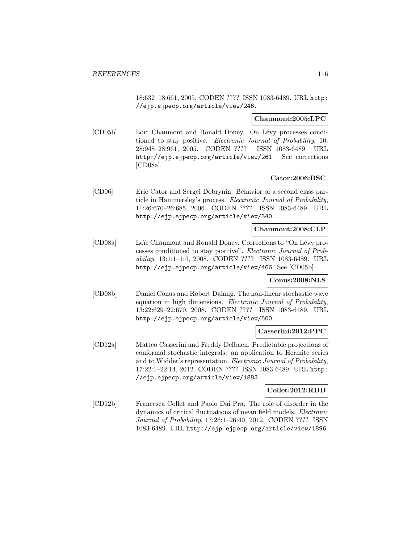18:632–18:661, 2005. CODEN ???? ISSN 1083-6489. URL http: //ejp.ejpecp.org/article/view/246.

#### **Chaumont:2005:LPC**

[CD05b] Loïc Chaumont and Ronald Doney. On Lévy processes conditioned to stay positive. Electronic Journal of Probability, 10: 28:948–28:961, 2005. CODEN ???? ISSN 1083-6489. URL http://ejp.ejpecp.org/article/view/261. See corrections [CD08a].

# **Cator:2006:BSC**

[CD06] Eric Cator and Sergei Dobrynin. Behavior of a second class particle in Hammersley's process. Electronic Journal of Probability, 11:26:670–26:685, 2006. CODEN ???? ISSN 1083-6489. URL http://ejp.ejpecp.org/article/view/340.

## **Chaumont:2008:CLP**

[CD08a] Loïc Chaumont and Ronald Doney. Corrections to "On Lévy processes conditioned to stay positive". Electronic Journal of Probability, 13:1:1–1:4, 2008. CODEN ???? ISSN 1083-6489. URL http://ejp.ejpecp.org/article/view/466. See [CD05b].

## **Conus:2008:NLS**

[CD08b] Daniel Conus and Robert Dalang. The non-linear stochastic wave equation in high dimensions. Electronic Journal of Probability, 13:22:629–22:670, 2008. CODEN ???? ISSN 1083-6489. URL http://ejp.ejpecp.org/article/view/500.

#### **Casserini:2012:PPC**

[CD12a] Matteo Casserini and Freddy Delbaen. Predictable projections of conformal stochastic integrals: an application to Hermite series and to Widder's representation. Electronic Journal of Probability, 17:22:1–22:14, 2012. CODEN ???? ISSN 1083-6489. URL http: //ejp.ejpecp.org/article/view/1883.

## **Collet:2012:RDD**

[CD12b] Francesca Collet and Paolo Dai Pra. The role of disorder in the dynamics of critical fluctuations of mean field models. Electronic Journal of Probability, 17:26:1–26:40, 2012. CODEN ???? ISSN 1083-6489. URL http://ejp.ejpecp.org/article/view/1896.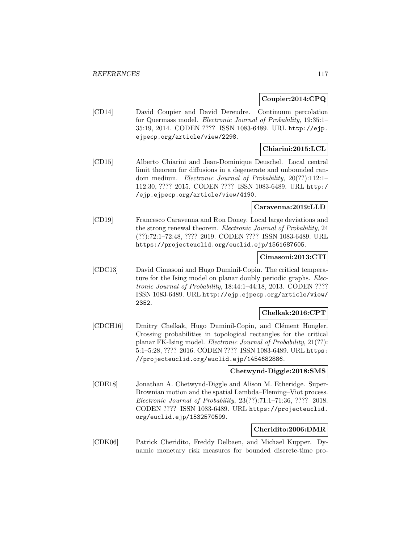## **Coupier:2014:CPQ**

[CD14] David Coupier and David Dereudre. Continuum percolation for Quermass model. Electronic Journal of Probability, 19:35:1– 35:19, 2014. CODEN ???? ISSN 1083-6489. URL http://ejp. ejpecp.org/article/view/2298.

# **Chiarini:2015:LCL**

[CD15] Alberto Chiarini and Jean-Dominique Deuschel. Local central limit theorem for diffusions in a degenerate and unbounded random medium. Electronic Journal of Probability, 20(??):112:1– 112:30, ???? 2015. CODEN ???? ISSN 1083-6489. URL http:/ /ejp.ejpecp.org/article/view/4190.

# **Caravenna:2019:LLD**

[CD19] Francesco Caravenna and Ron Doney. Local large deviations and the strong renewal theorem. Electronic Journal of Probability, 24 (??):72:1–72:48, ???? 2019. CODEN ???? ISSN 1083-6489. URL https://projecteuclid.org/euclid.ejp/1561687605.

## **Cimasoni:2013:CTI**

[CDC13] David Cimasoni and Hugo Duminil-Copin. The critical temperature for the Ising model on planar doubly periodic graphs. Electronic Journal of Probability, 18:44:1–44:18, 2013. CODEN ???? ISSN 1083-6489. URL http://ejp.ejpecp.org/article/view/ 2352.

# **Chelkak:2016:CPT**

[CDCH16] Dmitry Chelkak, Hugo Duminil-Copin, and Clément Hongler. Crossing probabilities in topological rectangles for the critical planar FK-Ising model. Electronic Journal of Probability, 21(??): 5:1–5:28, ???? 2016. CODEN ???? ISSN 1083-6489. URL https: //projecteuclid.org/euclid.ejp/1454682886.

## **Chetwynd-Diggle:2018:SMS**

[CDE18] Jonathan A. Chetwynd-Diggle and Alison M. Etheridge. Super-Brownian motion and the spatial Lambda–Fleming–Viot process. Electronic Journal of Probability, 23(??):71:1–71:36, ???? 2018. CODEN ???? ISSN 1083-6489. URL https://projecteuclid. org/euclid.ejp/1532570599.

# **Cheridito:2006:DMR**

[CDK06] Patrick Cheridito, Freddy Delbaen, and Michael Kupper. Dynamic monetary risk measures for bounded discrete-time pro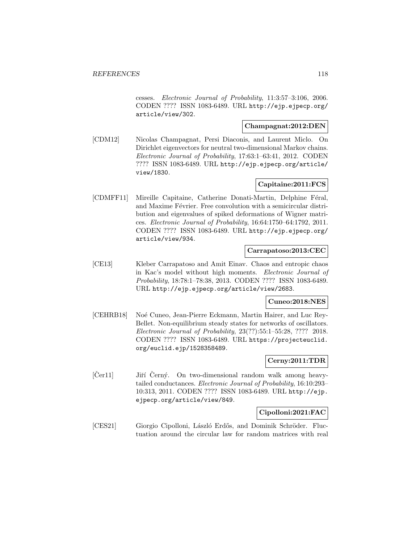cesses. Electronic Journal of Probability, 11:3:57–3:106, 2006. CODEN ???? ISSN 1083-6489. URL http://ejp.ejpecp.org/ article/view/302.

## **Champagnat:2012:DEN**

[CDM12] Nicolas Champagnat, Persi Diaconis, and Laurent Miclo. On Dirichlet eigenvectors for neutral two-dimensional Markov chains. Electronic Journal of Probability, 17:63:1–63:41, 2012. CODEN ???? ISSN 1083-6489. URL http://ejp.ejpecp.org/article/ view/1830.

# **Capitaine:2011:FCS**

[CDMFF11] Mireille Capitaine, Catherine Donati-Martin, Delphine Féral, and Maxime Février. Free convolution with a semicircular distribution and eigenvalues of spiked deformations of Wigner matrices. Electronic Journal of Probability, 16:64:1750–64:1792, 2011. CODEN ???? ISSN 1083-6489. URL http://ejp.ejpecp.org/ article/view/934.

# **Carrapatoso:2013:CEC**

[CE13] Kleber Carrapatoso and Amit Einav. Chaos and entropic chaos in Kac's model without high moments. Electronic Journal of Probability, 18:78:1–78:38, 2013. CODEN ???? ISSN 1083-6489. URL http://ejp.ejpecp.org/article/view/2683.

# **Cuneo:2018:NES**

[CEHRB18] Noé Cuneo, Jean-Pierre Eckmann, Martin Hairer, and Luc Rey-Bellet. Non-equilibrium steady states for networks of oscillators. Electronic Journal of Probability, 23(??):55:1–55:28, ???? 2018. CODEN ???? ISSN 1083-6489. URL https://projecteuclid. org/euclid.ejp/1528358489.

# **Cerny:2011:TDR**

 $[\text{Čer11}]$  Jiří  $\text{Černý.}$  On two-dimensional random walk among heavytailed conductances. Electronic Journal of Probability, 16:10:293– 10:313, 2011. CODEN ???? ISSN 1083-6489. URL http://ejp. ejpecp.org/article/view/849.

## **Cipolloni:2021:FAC**

[CES21] Giorgio Cipolloni, László Erdős, and Dominik Schröder. Fluctuation around the circular law for random matrices with real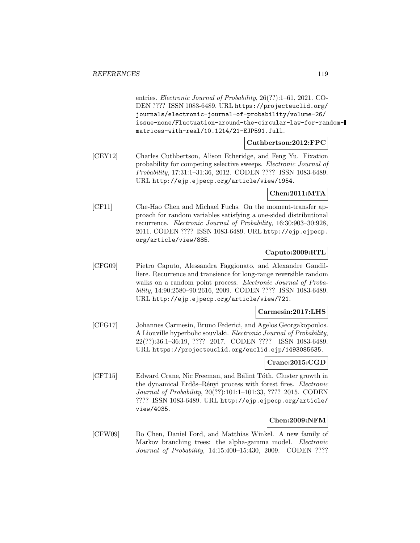entries. Electronic Journal of Probability, 26(??):1–61, 2021. CO-DEN ???? ISSN 1083-6489. URL https://projecteuclid.org/ journals/electronic-journal-of-probability/volume-26/ issue-none/Fluctuation-around-the-circular-law-for-randommatrices-with-real/10.1214/21-EJP591.full.

**Cuthbertson:2012:FPC**

[CEY12] Charles Cuthbertson, Alison Etheridge, and Feng Yu. Fixation probability for competing selective sweeps. Electronic Journal of Probability, 17:31:1–31:36, 2012. CODEN ???? ISSN 1083-6489. URL http://ejp.ejpecp.org/article/view/1954.

## **Chen:2011:MTA**

[CF11] Che-Hao Chen and Michael Fuchs. On the moment-transfer approach for random variables satisfying a one-sided distributional recurrence. Electronic Journal of Probability, 16:30:903–30:928, 2011. CODEN ???? ISSN 1083-6489. URL http://ejp.ejpecp. org/article/view/885.

## **Caputo:2009:RTL**

[CFG09] Pietro Caputo, Alessandra Faggionato, and Alexandre Gaudilliere. Recurrence and transience for long-range reversible random walks on a random point process. Electronic Journal of Probability, 14:90:2580–90:2616, 2009. CODEN ???? ISSN 1083-6489. URL http://ejp.ejpecp.org/article/view/721.

#### **Carmesin:2017:LHS**

[CFG17] Johannes Carmesin, Bruno Federici, and Agelos Georgakopoulos. A Liouville hyperbolic souvlaki. Electronic Journal of Probability, 22(??):36:1–36:19, ???? 2017. CODEN ???? ISSN 1083-6489. URL https://projecteuclid.org/euclid.ejp/1493085635.

# **Crane:2015:CGD**

[CFT15] Edward Crane, Nic Freeman, and Bálint Tóth. Cluster growth in the dynamical Erdős–Rényi process with forest fires. Electronic Journal of Probability, 20(??):101:1–101:33, ???? 2015. CODEN ???? ISSN 1083-6489. URL http://ejp.ejpecp.org/article/ view/4035.

# **Chen:2009:NFM**

[CFW09] Bo Chen, Daniel Ford, and Matthias Winkel. A new family of Markov branching trees: the alpha-gamma model. *Electronic* Journal of Probability, 14:15:400–15:430, 2009. CODEN ????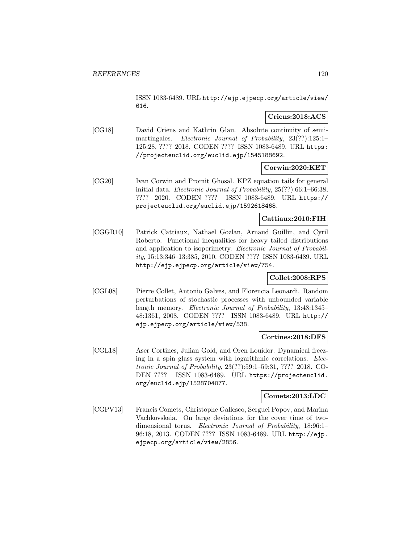ISSN 1083-6489. URL http://ejp.ejpecp.org/article/view/ 616.

# **Criens:2018:ACS**

[CG18] David Criens and Kathrin Glau. Absolute continuity of semimartingales. Electronic Journal of Probability, 23(??):125:1-125:28, ???? 2018. CODEN ???? ISSN 1083-6489. URL https: //projecteuclid.org/euclid.ejp/1545188692.

# **Corwin:2020:KET**

[CG20] Ivan Corwin and Promit Ghosal. KPZ equation tails for general initial data. Electronic Journal of Probability, 25(??):66:1–66:38, ???? 2020. CODEN ???? ISSN 1083-6489. URL https:// projecteuclid.org/euclid.ejp/1592618468.

# **Cattiaux:2010:FIH**

[CGGR10] Patrick Cattiaux, Nathael Gozlan, Arnaud Guillin, and Cyril Roberto. Functional inequalities for heavy tailed distributions and application to isoperimetry. Electronic Journal of Probability, 15:13:346–13:385, 2010. CODEN ???? ISSN 1083-6489. URL http://ejp.ejpecp.org/article/view/754.

# **Collet:2008:RPS**

[CGL08] Pierre Collet, Antonio Galves, and Florencia Leonardi. Random perturbations of stochastic processes with unbounded variable length memory. Electronic Journal of Probability, 13:48:1345– 48:1361, 2008. CODEN ???? ISSN 1083-6489. URL http:// ejp.ejpecp.org/article/view/538.

#### **Cortines:2018:DFS**

[CGL18] Aser Cortines, Julian Gold, and Oren Louidor. Dynamical freezing in a spin glass system with logarithmic correlations. Electronic Journal of Probability, 23(??):59:1–59:31, ???? 2018. CO-DEN ???? ISSN 1083-6489. URL https://projecteuclid. org/euclid.ejp/1528704077.

## **Comets:2013:LDC**

[CGPV13] Francis Comets, Christophe Gallesco, Serguei Popov, and Marina Vachkovskaia. On large deviations for the cover time of twodimensional torus. Electronic Journal of Probability, 18:96:1– 96:18, 2013. CODEN ???? ISSN 1083-6489. URL http://ejp. ejpecp.org/article/view/2856.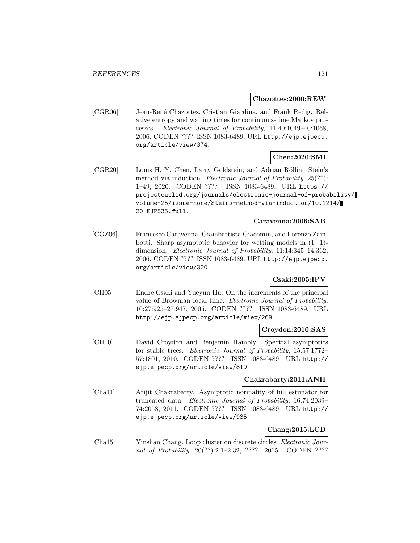#### **Chazottes:2006:REW**

[CGR06] Jean-René Chazottes, Cristian Giardina, and Frank Redig. Relative entropy and waiting times for continuous-time Markov processes. Electronic Journal of Probability, 11:40:1049–40:1068, 2006. CODEN ???? ISSN 1083-6489. URL http://ejp.ejpecp. org/article/view/374.

## **Chen:2020:SMI**

[CGR20] Louis H. Y. Chen, Larry Goldstein, and Adrian Röllin. Stein's method via induction. *Electronic Journal of Probability*, 25(??): 1–49, 2020. CODEN ???? ISSN 1083-6489. URL https:// projecteuclid.org/journals/electronic-journal-of-probability/ volume-25/issue-none/Steins-method-via-induction/10.1214/ 20-EJP535.full.

# **Caravenna:2006:SAB**

[CGZ06] Francesco Caravenna, Giambattista Giacomin, and Lorenzo Zambotti. Sharp asymptotic behavior for wetting models in  $(1+1)$ dimension. Electronic Journal of Probability, 11:14:345–14:362, 2006. CODEN ???? ISSN 1083-6489. URL http://ejp.ejpecp. org/article/view/320.

# **Csaki:2005:IPV**

[CH05] Endre Csaki and Yueyun Hu. On the increments of the principal value of Brownian local time. Electronic Journal of Probability, 10:27:925–27:947, 2005. CODEN ???? ISSN 1083-6489. URL http://ejp.ejpecp.org/article/view/269.

## **Croydon:2010:SAS**

[CH10] David Croydon and Benjamin Hambly. Spectral asymptotics for stable trees. Electronic Journal of Probability, 15:57:1772– 57:1801, 2010. CODEN ???? ISSN 1083-6489. URL http:// ejp.ejpecp.org/article/view/819.

## **Chakrabarty:2011:ANH**

[Cha11] Arijit Chakrabarty. Asymptotic normality of hill estimator for truncated data. Electronic Journal of Probability, 16:74:2039– 74:2058, 2011. CODEN ???? ISSN 1083-6489. URL http:// ejp.ejpecp.org/article/view/935.

# **Chang:2015:LCD**

[Cha15] Yinshan Chang. Loop cluster on discrete circles. *Electronic Jour*nal of Probability, 20(??):2:1-2:32, ???? 2015. CODEN ????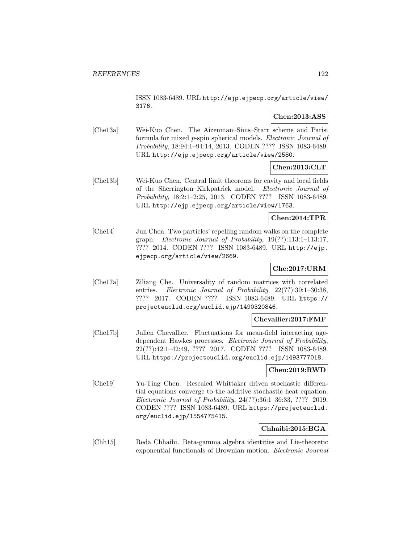ISSN 1083-6489. URL http://ejp.ejpecp.org/article/view/ 3176.

# **Chen:2013:ASS**

[Che13a] Wei-Kuo Chen. The Aizenman–Sims–Starr scheme and Parisi formula for mixed p-spin spherical models. Electronic Journal of Probability, 18:94:1–94:14, 2013. CODEN ???? ISSN 1083-6489. URL http://ejp.ejpecp.org/article/view/2580.

# **Chen:2013:CLT**

[Che13b] Wei-Kuo Chen. Central limit theorems for cavity and local fields of the Sherrington–Kirkpatrick model. Electronic Journal of Probability, 18:2:1–2:25, 2013. CODEN ???? ISSN 1083-6489. URL http://ejp.ejpecp.org/article/view/1763.

## **Chen:2014:TPR**

[Che14] Jun Chen. Two particles' repelling random walks on the complete graph. Electronic Journal of Probability, 19(??):113:1–113:17, ???? 2014. CODEN ???? ISSN 1083-6489. URL http://ejp. ejpecp.org/article/view/2669.

# **Che:2017:URM**

[Che17a] Ziliang Che. Universality of random matrices with correlated entries. Electronic Journal of Probability, 22(??):30:1-30:38, ???? 2017. CODEN ???? ISSN 1083-6489. URL https:// projecteuclid.org/euclid.ejp/1490320846.

## **Chevallier:2017:FMF**

[Che17b] Julien Chevallier. Fluctuations for mean-field interacting agedependent Hawkes processes. Electronic Journal of Probability, 22(??):42:1–42:49, ???? 2017. CODEN ???? ISSN 1083-6489. URL https://projecteuclid.org/euclid.ejp/1493777018.

## **Chen:2019:RWD**

[Che19] Yu-Ting Chen. Rescaled Whittaker driven stochastic differential equations converge to the additive stochastic heat equation. Electronic Journal of Probability, 24(??):36:1–36:33, ???? 2019. CODEN ???? ISSN 1083-6489. URL https://projecteuclid. org/euclid.ejp/1554775415.

## **Chhaibi:2015:BGA**

[Chh15] Reda Chhaibi. Beta-gamma algebra identities and Lie-theoretic exponential functionals of Brownian motion. Electronic Journal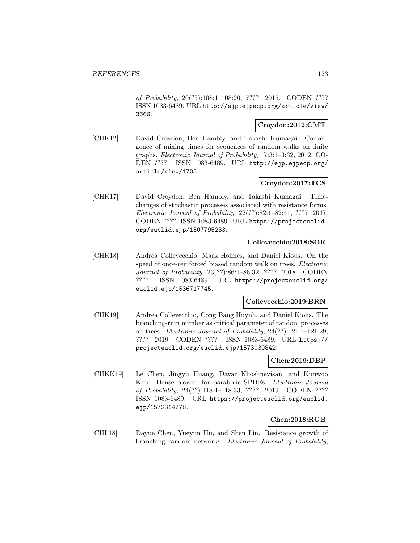of Probability, 20(??):108:1–108:20, ???? 2015. CODEN ???? ISSN 1083-6489. URL http://ejp.ejpecp.org/article/view/ 3666.

# **Croydon:2012:CMT**

[CHK12] David Croydon, Ben Hambly, and Takashi Kumagai. Convergence of mixing times for sequences of random walks on finite graphs. Electronic Journal of Probability, 17:3:1–3:32, 2012. CO-DEN ???? ISSN 1083-6489. URL http://ejp.ejpecp.org/ article/view/1705.

# **Croydon:2017:TCS**

[CHK17] David Croydon, Ben Hambly, and Takashi Kumagai. Timechanges of stochastic processes associated with resistance forms. Electronic Journal of Probability, 22(??):82:1–82:41, ???? 2017. CODEN ???? ISSN 1083-6489. URL https://projecteuclid. org/euclid.ejp/1507795233.

## **Collevecchio:2018:SOR**

[CHK18] Andrea Collevecchio, Mark Holmes, and Daniel Kious. On the speed of once-reinforced biased random walk on trees. Electronic Journal of Probability, 23(??):86:1–86:32, ???? 2018. CODEN ???? ISSN 1083-6489. URL https://projecteuclid.org/ euclid.ejp/1536717745.

## **Collevecchio:2019:BRN**

[CHK19] Andrea Collevecchio, Cong Bang Huynh, and Daniel Kious. The branching-ruin number as critical parameter of random processes on trees. Electronic Journal of Probability, 24(??):121:1–121:29, ???? 2019. CODEN ???? ISSN 1083-6489. URL https:// projecteuclid.org/euclid.ejp/1573030842.

## **Chen:2019:DBP**

[CHKK19] Le Chen, Jingyu Huang, Davar Khoshnevisan, and Kunwoo Kim. Dense blowup for parabolic SPDEs. Electronic Journal of Probability, 24(??):118:1–118:33, ???? 2019. CODEN ???? ISSN 1083-6489. URL https://projecteuclid.org/euclid. ejp/1572314778.

## **Chen:2018:RGB**

[CHL18] Dayue Chen, Yueyun Hu, and Shen Lin. Resistance growth of branching random networks. Electronic Journal of Probability,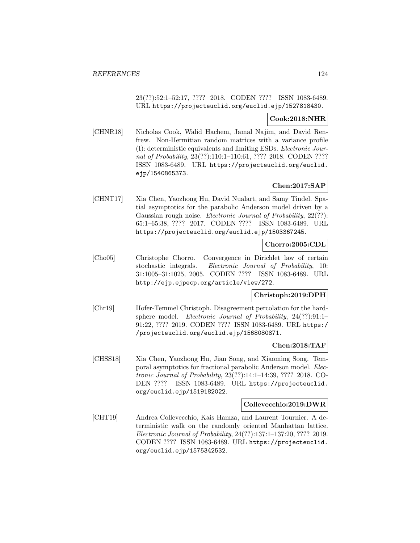23(??):52:1–52:17, ???? 2018. CODEN ???? ISSN 1083-6489. URL https://projecteuclid.org/euclid.ejp/1527818430.

# **Cook:2018:NHR**

[CHNR18] Nicholas Cook, Walid Hachem, Jamal Najim, and David Renfrew. Non-Hermitian random matrices with a variance profile (I): deterministic equivalents and limiting ESDs. Electronic Journal of Probability, 23(??):110:1–110:61, ???? 2018. CODEN ???? ISSN 1083-6489. URL https://projecteuclid.org/euclid. ejp/1540865373.

# **Chen:2017:SAP**

[CHNT17] Xia Chen, Yaozhong Hu, David Nualart, and Samy Tindel. Spatial asymptotics for the parabolic Anderson model driven by a Gaussian rough noise. Electronic Journal of Probability, 22(??): 65:1–65:38, ???? 2017. CODEN ???? ISSN 1083-6489. URL https://projecteuclid.org/euclid.ejp/1503367245.

# **Chorro:2005:CDL**

[Cho05] Christophe Chorro. Convergence in Dirichlet law of certain stochastic integrals. Electronic Journal of Probability, 10: 31:1005–31:1025, 2005. CODEN ???? ISSN 1083-6489. URL http://ejp.ejpecp.org/article/view/272.

## **Christoph:2019:DPH**

[Chr19] Hofer-Temmel Christoph. Disagreement percolation for the hardsphere model. Electronic Journal of Probability, 24(??):91:1– 91:22, ???? 2019. CODEN ???? ISSN 1083-6489. URL https:/ /projecteuclid.org/euclid.ejp/1568080871.

## **Chen:2018:TAF**

[CHSS18] Xia Chen, Yaozhong Hu, Jian Song, and Xiaoming Song. Temporal asymptotics for fractional parabolic Anderson model. Electronic Journal of Probability, 23(??):14:1–14:39, ???? 2018. CO-DEN ???? ISSN 1083-6489. URL https://projecteuclid. org/euclid.ejp/1519182022.

## **Collevecchio:2019:DWR**

[CHT19] Andrea Collevecchio, Kais Hamza, and Laurent Tournier. A deterministic walk on the randomly oriented Manhattan lattice. Electronic Journal of Probability, 24(??):137:1–137:20, ???? 2019. CODEN ???? ISSN 1083-6489. URL https://projecteuclid. org/euclid.ejp/1575342532.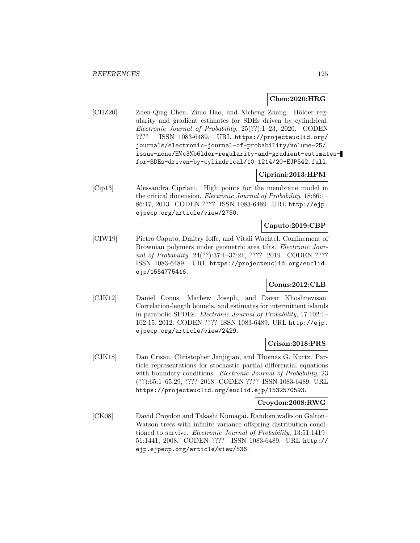## **Chen:2020:HRG**

[CHZ20] Zhen-Qing Chen, Zimo Hao, and Xicheng Zhang. Hölder regularity and gradient estimates for SDEs driven by cylindrical. Electronic Journal of Probability, 25(??):1–23, 2020. CODEN ???? ISSN 1083-6489. URL https://projecteuclid.org/ journals/electronic-journal-of-probability/volume-25/ issue-none/H%c3%b6lder-regularity-and-gradient-estimatesfor-SDEs-driven-by-cylindrical/10.1214/20-EJP542.full.

## **Cipriani:2013:HPM**

[Cip13] Alessandra Cipriani. High points for the membrane model in the critical dimension. Electronic Journal of Probability, 18:86:1– 86:17, 2013. CODEN ???? ISSN 1083-6489. URL http://ejp. ejpecp.org/article/view/2750.

# **Caputo:2019:CBP**

[CIW19] Pietro Caputo, Dmitry Ioffe, and Vitali Wachtel. Confinement of Brownian polymers under geometric area tilts. Electronic Journal of Probability, 24(??):37:1-37:21, ???? 2019. CODEN ???? ISSN 1083-6489. URL https://projecteuclid.org/euclid. ejp/1554775416.

# **Conus:2012:CLB**

[CJK12] Daniel Conus, Mathew Joseph, and Davar Khoshnevisan. Correlation-length bounds, and estimates for intermittent islands in parabolic SPDEs. Electronic Journal of Probability, 17:102:1– 102:15, 2012. CODEN ???? ISSN 1083-6489. URL http://ejp. ejpecp.org/article/view/2429.

#### **Crisan:2018:PRS**

[CJK18] Dan Crisan, Christopher Janjigian, and Thomas G. Kurtz. Particle representations for stochastic partial differential equations with boundary conditions. Electronic Journal of Probability, 23 (??):65:1–65:29, ???? 2018. CODEN ???? ISSN 1083-6489. URL https://projecteuclid.org/euclid.ejp/1532570593.

#### **Croydon:2008:RWG**

[CK08] David Croydon and Takashi Kumagai. Random walks on Galton– Watson trees with infinite variance offspring distribution conditioned to survive. Electronic Journal of Probability, 13:51:1419– 51:1441, 2008. CODEN ???? ISSN 1083-6489. URL http:// ejp.ejpecp.org/article/view/536.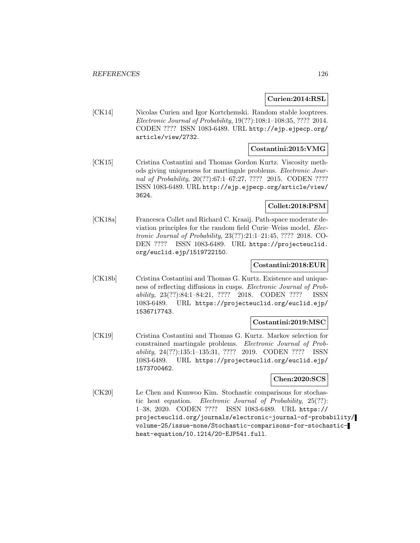## **Curien:2014:RSL**

[CK14] Nicolas Curien and Igor Kortchemski. Random stable looptrees. Electronic Journal of Probability, 19(??):108:1–108:35, ???? 2014. CODEN ???? ISSN 1083-6489. URL http://ejp.ejpecp.org/ article/view/2732.

# **Costantini:2015:VMG**

[CK15] Cristina Costantini and Thomas Gordon Kurtz. Viscosity methods giving uniqueness for martingale problems. Electronic Journal of Probability, 20(??):67:1–67:27, ???? 2015. CODEN ???? ISSN 1083-6489. URL http://ejp.ejpecp.org/article/view/ 3624.

# **Collet:2018:PSM**

[CK18a] Francesca Collet and Richard C. Kraaij. Path-space moderate deviation principles for the random field Curie–Weiss model. Electronic Journal of Probability, 23(??):21:1–21:45, ???? 2018. CO-DEN ???? ISSN 1083-6489. URL https://projecteuclid. org/euclid.ejp/1519722150.

## **Costantini:2018:EUR**

[CK18b] Cristina Costantini and Thomas G. Kurtz. Existence and uniqueness of reflecting diffusions in cusps. Electronic Journal of Probability, 23(??):84:1–84:21, ???? 2018. CODEN ???? ISSN 1083-6489. URL https://projecteuclid.org/euclid.ejp/ 1536717743.

## **Costantini:2019:MSC**

[CK19] Cristina Costantini and Thomas G. Kurtz. Markov selection for constrained martingale problems. Electronic Journal of Probability, 24(??):135:1–135:31, ???? 2019. CODEN ???? ISSN 1083-6489. URL https://projecteuclid.org/euclid.ejp/ 1573700462.

#### **Chen:2020:SCS**

[CK20] Le Chen and Kunwoo Kim. Stochastic comparisons for stochastic heat equation. Electronic Journal of Probability, 25(??): 1–38, 2020. CODEN ???? ISSN 1083-6489. URL https:// projecteuclid.org/journals/electronic-journal-of-probability/ volume-25/issue-none/Stochastic-comparisons-for-stochasticheat-equation/10.1214/20-EJP541.full.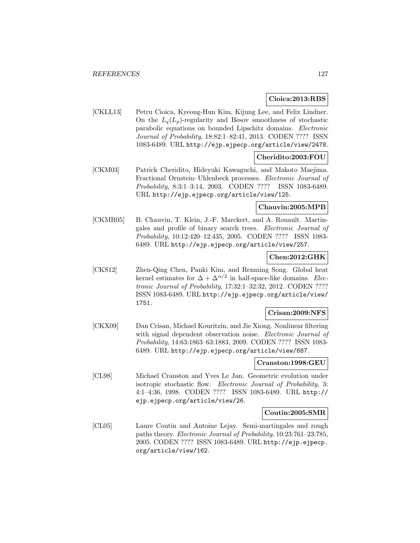#### **Cioica:2013:RBS**

[CKLL13] Petru Cioica, Kyeong-Hun Kim, Kijung Lee, and Felix Lindner. On the  $L_q(L_p)$ -regularity and Besov smoothness of stochastic parabolic equations on bounded Lipschitz domains. Electronic Journal of Probability, 18:82:1–82:41, 2013. CODEN ???? ISSN 1083-6489. URL http://ejp.ejpecp.org/article/view/2478.

# **Cheridito:2003:FOU**

[CKM03] Patrick Cheridito, Hideyuki Kawaguchi, and Makoto Maejima. Fractional Ornstein–Uhlenbeck processes. Electronic Journal of Probability, 8:3:1–3:14, 2003. CODEN ???? ISSN 1083-6489. URL http://ejp.ejpecp.org/article/view/125.

# **Chauvin:2005:MPB**

[CKMR05] B. Chauvin, T. Klein, J.-F. Marckert, and A. Rouault. Martingales and profile of binary search trees. Electronic Journal of Probability, 10:12:420–12:435, 2005. CODEN ???? ISSN 1083- 6489. URL http://ejp.ejpecp.org/article/view/257.

# **Chen:2012:GHK**

[CKS12] Zhen-Qing Chen, Panki Kim, and Renming Song. Global heat kernel estimates for  $\Delta + \Delta^{\alpha/2}$  in half-space-like domains. Electronic Journal of Probability, 17:32:1–32:32, 2012. CODEN ???? ISSN 1083-6489. URL http://ejp.ejpecp.org/article/view/ 1751.

## **Crisan:2009:NFS**

[CKX09] Dan Crisan, Michael Kouritzin, and Jie Xiong. Nonlinear filtering with signal dependent observation noise. Electronic Journal of Probability, 14:63:1863–63:1883, 2009. CODEN ???? ISSN 1083- 6489. URL http://ejp.ejpecp.org/article/view/687.

## **Cranston:1998:GEU**

[CL98] Michael Cranston and Yves Le Jan. Geometric evolution under isotropic stochastic flow. Electronic Journal of Probability, 3: 4:1–4:36, 1998. CODEN ???? ISSN 1083-6489. URL http:// ejp.ejpecp.org/article/view/26.

#### **Coutin:2005:SMR**

[CL05] Laure Coutin and Antoine Lejay. Semi-martingales and rough paths theory. Electronic Journal of Probability, 10:23:761–23:785, 2005. CODEN ???? ISSN 1083-6489. URL http://ejp.ejpecp. org/article/view/162.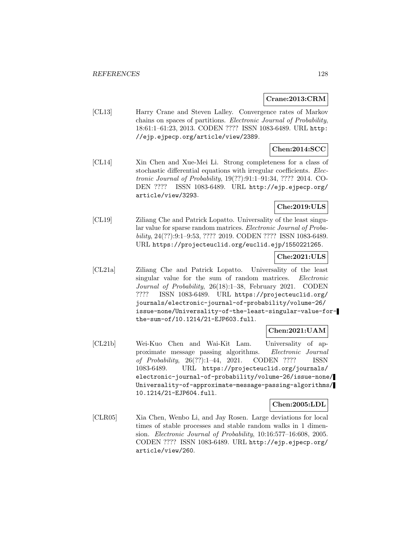## **Crane:2013:CRM**

[CL13] Harry Crane and Steven Lalley. Convergence rates of Markov chains on spaces of partitions. Electronic Journal of Probability, 18:61:1–61:23, 2013. CODEN ???? ISSN 1083-6489. URL http: //ejp.ejpecp.org/article/view/2389.

# **Chen:2014:SCC**

[CL14] Xin Chen and Xue-Mei Li. Strong completeness for a class of stochastic differential equations with irregular coefficients. Electronic Journal of Probability, 19(??):91:1–91:34, ???? 2014. CO-DEN ???? ISSN 1083-6489. URL http://ejp.ejpecp.org/ article/view/3293.

# **Che:2019:ULS**

[CL19] Ziliang Che and Patrick Lopatto. Universality of the least singular value for sparse random matrices. Electronic Journal of Probability, 24(??):9:1–9:53, ???? 2019. CODEN ???? ISSN 1083-6489. URL https://projecteuclid.org/euclid.ejp/1550221265.

## **Che:2021:ULS**

[CL21a] Ziliang Che and Patrick Lopatto. Universality of the least singular value for the sum of random matrices. Electronic Journal of Probability, 26(18):1–38, February 2021. CODEN ???? ISSN 1083-6489. URL https://projecteuclid.org/ journals/electronic-journal-of-probability/volume-26/ issue-none/Universality-of-the-least-singular-value-forthe-sum-of/10.1214/21-EJP603.full.

# **Chen:2021:UAM**

[CL21b] Wei-Kuo Chen and Wai-Kit Lam. Universality of approximate message passing algorithms. Electronic Journal of Probability, 26(??):1–44, 2021. CODEN ???? ISSN 1083-6489. URL https://projecteuclid.org/journals/ electronic-journal-of-probability/volume-26/issue-none/ Universality-of-approximate-message-passing-algorithms/ 10.1214/21-EJP604.full.

# **Chen:2005:LDL**

[CLR05] Xia Chen, Wenbo Li, and Jay Rosen. Large deviations for local times of stable processes and stable random walks in 1 dimension. Electronic Journal of Probability, 10:16:577–16:608, 2005. CODEN ???? ISSN 1083-6489. URL http://ejp.ejpecp.org/ article/view/260.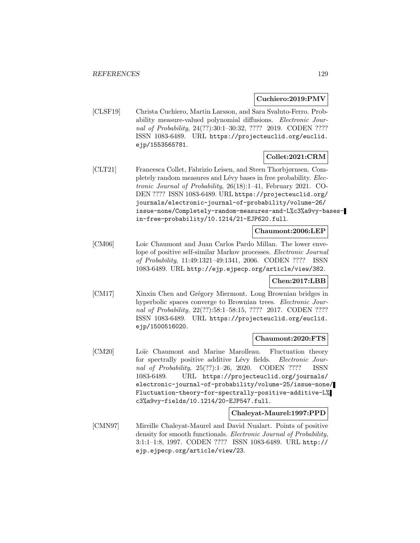# **Cuchiero:2019:PMV**

[CLSF19] Christa Cuchiero, Martin Larsson, and Sara Svaluto-Ferro. Probability measure-valued polynomial diffusions. Electronic Journal of Probability, 24(??):30:1-30:32, ???? 2019. CODEN ???? ISSN 1083-6489. URL https://projecteuclid.org/euclid. ejp/1553565781.

# **Collet:2021:CRM**

[CLT21] Francesca Collet, Fabrizio Leisen, and Steen Thorbjørnsen. Completely random measures and Lévy bases in free probability. Electronic Journal of Probability, 26(18):1–41, February 2021. CO-DEN ???? ISSN 1083-6489. URL https://projecteuclid.org/ journals/electronic-journal-of-probability/volume-26/ issue-none/Completely-random-measures-and-L%c3%a9vy-basesin-free-probability/10.1214/21-EJP620.full.

#### **Chaumont:2006:LEP**

[CM06] Loic Chaumont and Juan Carlos Pardo Millan. The lower envelope of positive self-similar Markov processes. Electronic Journal of Probability, 11:49:1321–49:1341, 2006. CODEN ???? ISSN 1083-6489. URL http://ejp.ejpecp.org/article/view/382.

# **Chen:2017:LBB**

[CM17] Xinxin Chen and Grégory Miermont. Long Brownian bridges in hyperbolic spaces converge to Brownian trees. Electronic Journal of Probability, 22(??):58:1-58:15, ???? 2017. CODEN ???? ISSN 1083-6489. URL https://projecteuclid.org/euclid. ejp/1500516020.

## **Chaumont:2020:FTS**

[CM20] Loïc Chaumont and Marine Marolleau. Fluctuation theory for spectrally positive additive Lévy fields. Electronic Journal of Probability, 25(??):1–26, 2020. CODEN ???? ISSN 1083-6489. URL https://projecteuclid.org/journals/ electronic-journal-of-probability/volume-25/issue-none/ Fluctuation-theory-for-spectrally-positive-additive-L% c3%a9vy-fields/10.1214/20-EJP547.full.

## **Chaleyat-Maurel:1997:PPD**

[CMN97] Mireille Chaleyat-Maurel and David Nualart. Points of positive density for smooth functionals. Electronic Journal of Probability, 3:1:1–1:8, 1997. CODEN ???? ISSN 1083-6489. URL http:// ejp.ejpecp.org/article/view/23.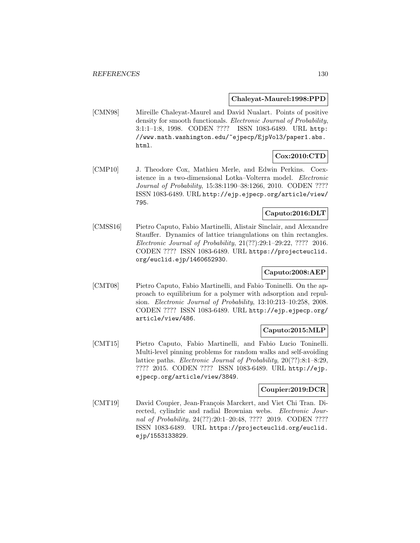#### **Chaleyat-Maurel:1998:PPD**

[CMN98] Mireille Chaleyat-Maurel and David Nualart. Points of positive density for smooth functionals. Electronic Journal of Probability, 3:1:1–1:8, 1998. CODEN ???? ISSN 1083-6489. URL http: //www.math.washington.edu/~ejpecp/EjpVol3/paper1.abs. html.

# **Cox:2010:CTD**

[CMP10] J. Theodore Cox, Mathieu Merle, and Edwin Perkins. Coexistence in a two-dimensional Lotka–Volterra model. Electronic Journal of Probability, 15:38:1190–38:1266, 2010. CODEN ???? ISSN 1083-6489. URL http://ejp.ejpecp.org/article/view/ 795.

# **Caputo:2016:DLT**

[CMSS16] Pietro Caputo, Fabio Martinelli, Alistair Sinclair, and Alexandre Stauffer. Dynamics of lattice triangulations on thin rectangles. Electronic Journal of Probability, 21(??):29:1–29:22, ???? 2016. CODEN ???? ISSN 1083-6489. URL https://projecteuclid. org/euclid.ejp/1460652930.

# **Caputo:2008:AEP**

[CMT08] Pietro Caputo, Fabio Martinelli, and Fabio Toninelli. On the approach to equilibrium for a polymer with adsorption and repulsion. Electronic Journal of Probability, 13:10:213–10:258, 2008. CODEN ???? ISSN 1083-6489. URL http://ejp.ejpecp.org/ article/view/486.

# **Caputo:2015:MLP**

[CMT15] Pietro Caputo, Fabio Martinelli, and Fabio Lucio Toninelli. Multi-level pinning problems for random walks and self-avoiding lattice paths. Electronic Journal of Probability, 20(??):8:1–8:29, ???? 2015. CODEN ???? ISSN 1083-6489. URL http://ejp. ejpecp.org/article/view/3849.

## **Coupier:2019:DCR**

[CMT19] David Coupier, Jean-François Marckert, and Viet Chi Tran. Directed, cylindric and radial Brownian webs. Electronic Journal of Probability, 24(??):20:1-20:48, ???? 2019. CODEN ???? ISSN 1083-6489. URL https://projecteuclid.org/euclid. ejp/1553133829.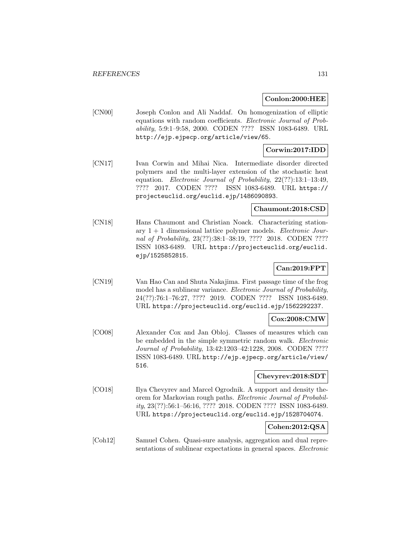#### **Conlon:2000:HEE**

[CN00] Joseph Conlon and Ali Naddaf. On homogenization of elliptic equations with random coefficients. Electronic Journal of Probability, 5:9:1–9:58, 2000. CODEN ???? ISSN 1083-6489. URL http://ejp.ejpecp.org/article/view/65.

# **Corwin:2017:IDD**

[CN17] Ivan Corwin and Mihai Nica. Intermediate disorder directed polymers and the multi-layer extension of the stochastic heat equation. Electronic Journal of Probability, 22(??):13:1–13:49, ???? 2017. CODEN ???? ISSN 1083-6489. URL https:// projecteuclid.org/euclid.ejp/1486090893.

## **Chaumont:2018:CSD**

[CN18] Hans Chaumont and Christian Noack. Characterizing stationary  $1 + 1$  dimensional lattice polymer models. *Electronic Jour*nal of Probability, 23(??):38:1-38:19, ???? 2018. CODEN ???? ISSN 1083-6489. URL https://projecteuclid.org/euclid. ejp/1525852815.

# **Can:2019:FPT**

[CN19] Van Hao Can and Shuta Nakajima. First passage time of the frog model has a sublinear variance. Electronic Journal of Probability, 24(??):76:1–76:27, ???? 2019. CODEN ???? ISSN 1083-6489. URL https://projecteuclid.org/euclid.ejp/1562292237.

## **Cox:2008:CMW**

[CO08] Alexander Cox and Jan Obloj. Classes of measures which can be embedded in the simple symmetric random walk. Electronic Journal of Probability, 13:42:1203–42:1228, 2008. CODEN ???? ISSN 1083-6489. URL http://ejp.ejpecp.org/article/view/ 516.

# **Chevyrev:2018:SDT**

[CO18] Ilya Chevyrev and Marcel Ogrodnik. A support and density theorem for Markovian rough paths. Electronic Journal of Probability, 23(??):56:1–56:16, ???? 2018. CODEN ???? ISSN 1083-6489. URL https://projecteuclid.org/euclid.ejp/1528704074.

## **Cohen:2012:QSA**

[Coh12] Samuel Cohen. Quasi-sure analysis, aggregation and dual representations of sublinear expectations in general spaces. Electronic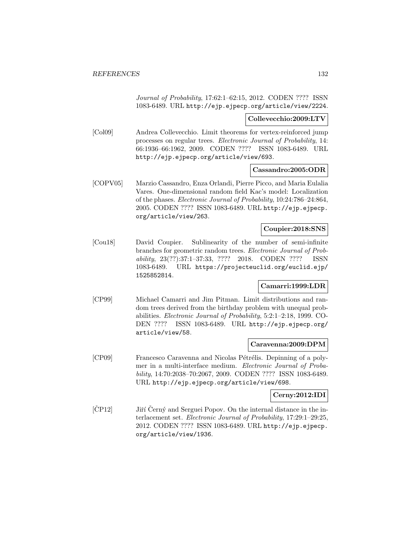Journal of Probability, 17:62:1–62:15, 2012. CODEN ???? ISSN 1083-6489. URL http://ejp.ejpecp.org/article/view/2224.

#### **Collevecchio:2009:LTV**

[Col09] Andrea Collevecchio. Limit theorems for vertex-reinforced jump processes on regular trees. Electronic Journal of Probability, 14: 66:1936–66:1962, 2009. CODEN ???? ISSN 1083-6489. URL http://ejp.ejpecp.org/article/view/693.

## **Cassandro:2005:ODR**

[COPV05] Marzio Cassandro, Enza Orlandi, Pierre Picco, and Maria Eulalia Vares. One-dimensional random field Kac's model: Localization of the phases. Electronic Journal of Probability, 10:24:786–24:864, 2005. CODEN ???? ISSN 1083-6489. URL http://ejp.ejpecp. org/article/view/263.

## **Coupier:2018:SNS**

[Cou18] David Coupier. Sublinearity of the number of semi-infinite branches for geometric random trees. Electronic Journal of Probability, 23(??):37:1–37:33, ???? 2018. CODEN ???? ISSN 1083-6489. URL https://projecteuclid.org/euclid.ejp/ 1525852814.

# **Camarri:1999:LDR**

[CP99] Michael Camarri and Jim Pitman. Limit distributions and random trees derived from the birthday problem with unequal probabilities. Electronic Journal of Probability, 5:2:1–2:18, 1999. CO-DEN ???? ISSN 1083-6489. URL http://ejp.ejpecp.org/ article/view/58.

## **Caravenna:2009:DPM**

[CP09] Francesco Caravenna and Nicolas Pétrélis. Depinning of a polymer in a multi-interface medium. Electronic Journal of Probability, 14:70:2038–70:2067, 2009. CODEN ???? ISSN 1083-6489. URL http://ejp.ejpecp.org/article/view/698.

# **Cerny:2012:IDI**

 $[\text{C}P12]$  Jiří  $\text{Cerny}$  and Serguei Popov. On the internal distance in the interlacement set. Electronic Journal of Probability, 17:29:1–29:25, 2012. CODEN ???? ISSN 1083-6489. URL http://ejp.ejpecp. org/article/view/1936.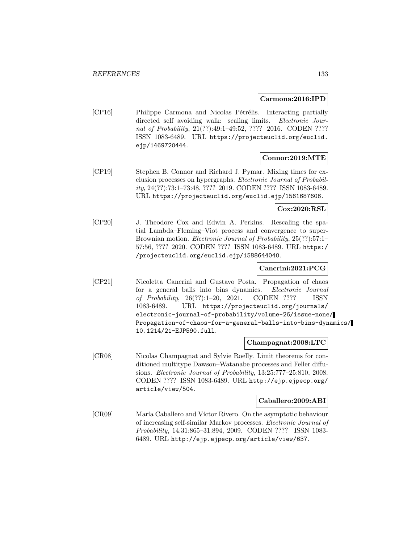## **Carmona:2016:IPD**

[CP16] Philippe Carmona and Nicolas Pétrélis. Interacting partially directed self avoiding walk: scaling limits. Electronic Journal of Probability, 21(??):49:1-49:52, ???? 2016. CODEN ???? ISSN 1083-6489. URL https://projecteuclid.org/euclid. ejp/1469720444.

# **Connor:2019:MTE**

[CP19] Stephen B. Connor and Richard J. Pymar. Mixing times for exclusion processes on hypergraphs. Electronic Journal of Probability, 24(??):73:1–73:48, ???? 2019. CODEN ???? ISSN 1083-6489. URL https://projecteuclid.org/euclid.ejp/1561687606.

## **Cox:2020:RSL**

[CP20] J. Theodore Cox and Edwin A. Perkins. Rescaling the spatial Lambda–Fleming–Viot process and convergence to super-Brownian motion. *Electronic Journal of Probability*, 25(??):57:1– 57:56, ???? 2020. CODEN ???? ISSN 1083-6489. URL https:/ /projecteuclid.org/euclid.ejp/1588644040.

# **Cancrini:2021:PCG**

[CP21] Nicoletta Cancrini and Gustavo Posta. Propagation of chaos for a general balls into bins dynamics. Electronic Journal of Probability, 26(??):1–20, 2021. CODEN ???? ISSN 1083-6489. URL https://projecteuclid.org/journals/ electronic-journal-of-probability/volume-26/issue-none/ Propagation-of-chaos-for-a-general-balls-into-bins-dynamics/ 10.1214/21-EJP590.full.

#### **Champagnat:2008:LTC**

[CR08] Nicolas Champagnat and Sylvie Roelly. Limit theorems for conditioned multitype Dawson–Watanabe processes and Feller diffusions. Electronic Journal of Probability, 13:25:777–25:810, 2008. CODEN ???? ISSN 1083-6489. URL http://ejp.ejpecp.org/ article/view/504.

#### **Caballero:2009:ABI**

[CR09] María Caballero and Víctor Rivero. On the asymptotic behaviour of increasing self-similar Markov processes. Electronic Journal of Probability, 14:31:865–31:894, 2009. CODEN ???? ISSN 1083- 6489. URL http://ejp.ejpecp.org/article/view/637.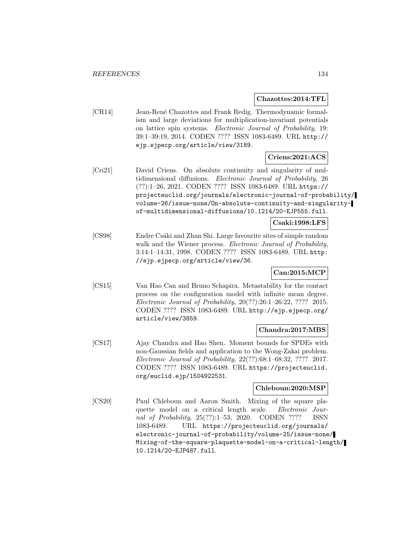#### **Chazottes:2014:TFL**

[CR14] Jean-René Chazottes and Frank Redig. Thermodynamic formalism and large deviations for multiplication-invariant potentials on lattice spin systems. Electronic Journal of Probability, 19: 39:1–39:19, 2014. CODEN ???? ISSN 1083-6489. URL http:// ejp.ejpecp.org/article/view/3189.

# **Criens:2021:ACS**

[Cri21] David Criens. On absolute continuity and singularity of multidimensional diffusions. Electronic Journal of Probability, 26 (??):1–26, 2021. CODEN ???? ISSN 1083-6489. URL https:// projecteuclid.org/journals/electronic-journal-of-probability/ volume-26/issue-none/On-absolute-continuity-and-singularityof-multidimensional-diffusions/10.1214/20-EJP555.full.

# **Csaki:1998:LFS**

[CS98] Endre Csáki and Zhan Shi. Large favourite sites of simple random walk and the Wiener process. Electronic Journal of Probability, 3:14:1–14:31, 1998. CODEN ???? ISSN 1083-6489. URL http: //ejp.ejpecp.org/article/view/36.

# **Can:2015:MCP**

[CS15] Van Hao Can and Bruno Schapira. Metastability for the contact process on the configuration model with infinite mean degree. Electronic Journal of Probability, 20(??):26:1–26:22, ???? 2015. CODEN ???? ISSN 1083-6489. URL http://ejp.ejpecp.org/ article/view/3859.

## **Chandra:2017:MBS**

[CS17] Ajay Chandra and Hao Shen. Moment bounds for SPDEs with non-Gaussian fields and application to the Wong-Zakai problem. Electronic Journal of Probability, 22(??):68:1–68:32, ???? 2017. CODEN ???? ISSN 1083-6489. URL https://projecteuclid. org/euclid.ejp/1504922531.

## **Chleboun:2020:MSP**

[CS20] Paul Chleboun and Aaron Smith. Mixing of the square plaquette model on a critical length scale. Electronic Journal of Probability, 25(??):1–53, 2020. CODEN ???? ISSN 1083-6489. URL https://projecteuclid.org/journals/ electronic-journal-of-probability/volume-25/issue-none/ Mixing-of-the-square-plaquette-model-on-a-critical-length/ 10.1214/20-EJP487.full.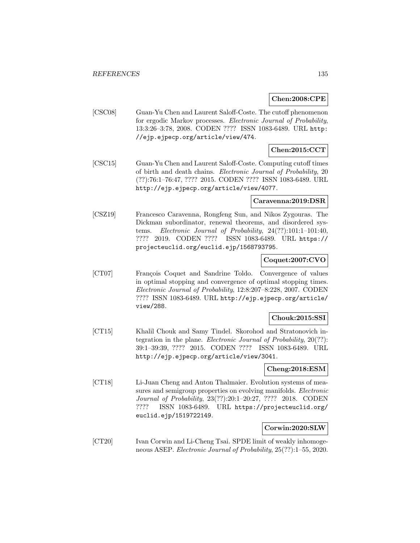## **Chen:2008:CPE**

[CSC08] Guan-Yu Chen and Laurent Saloff-Coste. The cutoff phenomenon for ergodic Markov processes. Electronic Journal of Probability, 13:3:26–3:78, 2008. CODEN ???? ISSN 1083-6489. URL http: //ejp.ejpecp.org/article/view/474.

# **Chen:2015:CCT**

[CSC15] Guan-Yu Chen and Laurent Saloff-Coste. Computing cutoff times of birth and death chains. Electronic Journal of Probability, 20 (??):76:1–76:47, ???? 2015. CODEN ???? ISSN 1083-6489. URL http://ejp.ejpecp.org/article/view/4077.

# **Caravenna:2019:DSR**

[CSZ19] Francesco Caravenna, Rongfeng Sun, and Nikos Zygouras. The Dickman subordinator, renewal theorems, and disordered systems. Electronic Journal of Probability, 24(??):101:1–101:40, ???? 2019. CODEN ???? ISSN 1083-6489. URL https:// projecteuclid.org/euclid.ejp/1568793795.

## **Coquet:2007:CVO**

[CT07] François Coquet and Sandrine Toldo. Convergence of values in optimal stopping and convergence of optimal stopping times. Electronic Journal of Probability, 12:8:207–8:228, 2007. CODEN ???? ISSN 1083-6489. URL http://ejp.ejpecp.org/article/ view/288.

## **Chouk:2015:SSI**

[CT15] Khalil Chouk and Samy Tindel. Skorohod and Stratonovich integration in the plane. Electronic Journal of Probability, 20(??): 39:1–39:39, ???? 2015. CODEN ???? ISSN 1083-6489. URL http://ejp.ejpecp.org/article/view/3041.

## **Cheng:2018:ESM**

[CT18] Li-Juan Cheng and Anton Thalmaier. Evolution systems of measures and semigroup properties on evolving manifolds. *Electronic* Journal of Probability, 23(??):20:1–20:27, ???? 2018. CODEN ???? ISSN 1083-6489. URL https://projecteuclid.org/ euclid.ejp/1519722149.

## **Corwin:2020:SLW**

[CT20] Ivan Corwin and Li-Cheng Tsai. SPDE limit of weakly inhomogeneous ASEP. Electronic Journal of Probability, 25(??):1–55, 2020.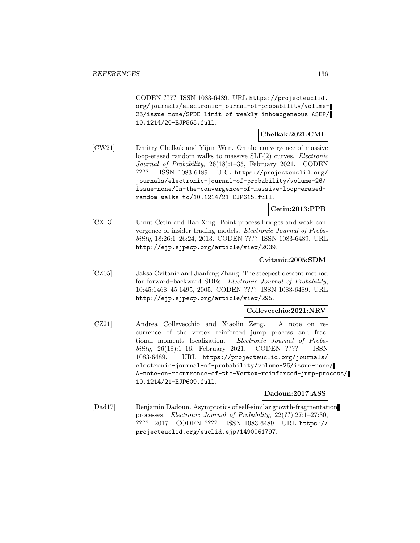CODEN ???? ISSN 1083-6489. URL https://projecteuclid. org/journals/electronic-journal-of-probability/volume-25/issue-none/SPDE-limit-of-weakly-inhomogeneous-ASEP/ 10.1214/20-EJP565.full.

#### **Chelkak:2021:CML**

[CW21] Dmitry Chelkak and Yijun Wan. On the convergence of massive loop-erased random walks to massive SLE(2) curves. Electronic Journal of Probability, 26(18):1–35, February 2021. CODEN ???? ISSN 1083-6489. URL https://projecteuclid.org/ journals/electronic-journal-of-probability/volume-26/ issue-none/On-the-convergence-of-massive-loop-erasedrandom-walks-to/10.1214/21-EJP615.full.

# **Cetin:2013:PPB**

[CX13] Umut Cetin and Hao Xing. Point process bridges and weak convergence of insider trading models. Electronic Journal of Probability, 18:26:1–26:24, 2013. CODEN ???? ISSN 1083-6489. URL http://ejp.ejpecp.org/article/view/2039.

# **Cvitanic:2005:SDM**

[CZ05] Jaksa Cvitanic and Jianfeng Zhang. The steepest descent method for forward–backward SDEs. Electronic Journal of Probability, 10:45:1468–45:1495, 2005. CODEN ???? ISSN 1083-6489. URL http://ejp.ejpecp.org/article/view/295.

## **Collevecchio:2021:NRV**

[CZ21] Andrea Collevecchio and Xiaolin Zeng. A note on recurrence of the vertex reinforced jump process and fractional moments localization. Electronic Journal of Probability, 26(18):1–16, February 2021. CODEN ???? ISSN 1083-6489. URL https://projecteuclid.org/journals/ electronic-journal-of-probability/volume-26/issue-none/ A-note-on-recurrence-of-the-Vertex-reinforced-jump-process/ 10.1214/21-EJP609.full.

#### **Dadoun:2017:ASS**

[Dad17] Benjamin Dadoun. Asymptotics of self-similar growth-fragmentation processes. Electronic Journal of Probability, 22(??):27:1–27:30, ???? 2017. CODEN ???? ISSN 1083-6489. URL https:// projecteuclid.org/euclid.ejp/1490061797.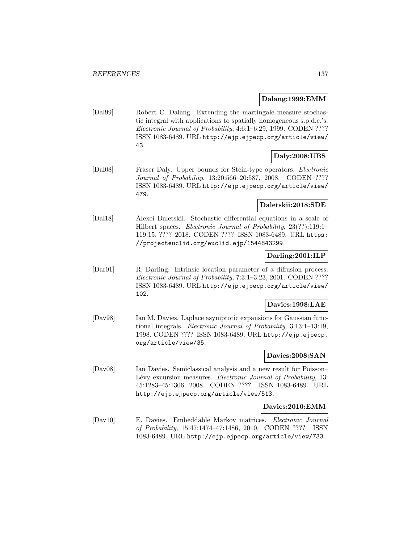# **Dalang:1999:EMM**

[Dal99] Robert C. Dalang. Extending the martingale measure stochastic integral with applications to spatially homogeneous s.p.d.e.'s. Electronic Journal of Probability, 4:6:1–6:29, 1999. CODEN ???? ISSN 1083-6489. URL http://ejp.ejpecp.org/article/view/ 43.

# **Daly:2008:UBS**

[Dal08] Fraser Daly. Upper bounds for Stein-type operators. Electronic Journal of Probability, 13:20:566–20:587, 2008. CODEN ???? ISSN 1083-6489. URL http://ejp.ejpecp.org/article/view/ 479.

# **Daletskii:2018:SDE**

[Dal18] Alexei Daletskii. Stochastic differential equations in a scale of Hilbert spaces. Electronic Journal of Probability, 23(??):119:1– 119:15, ???? 2018. CODEN ???? ISSN 1083-6489. URL https: //projecteuclid.org/euclid.ejp/1544843299.

# **Darling:2001:ILP**

[Dar01] R. Darling. Intrinsic location parameter of a diffusion process. Electronic Journal of Probability, 7:3:1–3:23, 2001. CODEN ???? ISSN 1083-6489. URL http://ejp.ejpecp.org/article/view/ 102.

# **Davies:1998:LAE**

[Dav98] Ian M. Davies. Laplace asymptotic expansions for Gaussian functional integrals. Electronic Journal of Probability, 3:13:1–13:19, 1998. CODEN ???? ISSN 1083-6489. URL http://ejp.ejpecp. org/article/view/35.

#### **Davies:2008:SAN**

[Dav08] Ian Davies. Semiclassical analysis and a new result for Poisson– Lévy excursion measures. Electronic Journal of Probability, 13: 45:1283–45:1306, 2008. CODEN ???? ISSN 1083-6489. URL http://ejp.ejpecp.org/article/view/513.

#### **Davies:2010:EMM**

[Dav10] E. Davies. Embeddable Markov matrices. Electronic Journal of Probability, 15:47:1474–47:1486, 2010. CODEN ???? ISSN 1083-6489. URL http://ejp.ejpecp.org/article/view/733.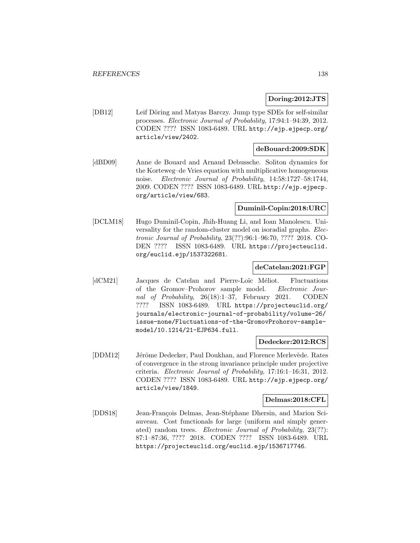# **Doring:2012:JTS**

[DB12] Leif Döring and Matyas Barczy. Jump type SDEs for self-similar processes. Electronic Journal of Probability, 17:94:1–94:39, 2012. CODEN ???? ISSN 1083-6489. URL http://ejp.ejpecp.org/ article/view/2402.

# **deBouard:2009:SDK**

[dBD09] Anne de Bouard and Arnaud Debussche. Soliton dynamics for the Korteweg–de Vries equation with multiplicative homogeneous noise. Electronic Journal of Probability, 14:58:1727–58:1744, 2009. CODEN ???? ISSN 1083-6489. URL http://ejp.ejpecp. org/article/view/683.

#### **Duminil-Copin:2018:URC**

[DCLM18] Hugo Duminil-Copin, Jhih-Huang Li, and Ioan Manolescu. Universality for the random-cluster model on isoradial graphs. Electronic Journal of Probability, 23(??):96:1–96:70, ???? 2018. CO-DEN ???? ISSN 1083-6489. URL https://projecteuclid. org/euclid.ejp/1537322681.

## **deCatelan:2021:FGP**

[dCM21] Jacques de Catelan and Pierre-Loïc Méliot. Fluctuations of the Gromov–Prohorov sample model. Electronic Journal of Probability, 26(18):1–37, February 2021. CODEN ???? ISSN 1083-6489. URL https://projecteuclid.org/ journals/electronic-journal-of-probability/volume-26/ issue-none/Fluctuations-of-the-GromovProhorov-samplemodel/10.1214/21-EJP634.full.

#### **Dedecker:2012:RCS**

[DDM12] Jérôme Dedecker, Paul Doukhan, and Florence Merlevède. Rates of convergence in the strong invariance principle under projective criteria. Electronic Journal of Probability, 17:16:1–16:31, 2012. CODEN ???? ISSN 1083-6489. URL http://ejp.ejpecp.org/ article/view/1849.

#### **Delmas:2018:CFL**

[DDS18] Jean-François Delmas, Jean-Stéphane Dhersin, and Marion Sciauveau. Cost functionals for large (uniform and simply generated) random trees. Electronic Journal of Probability, 23(??): 87:1–87:36, ???? 2018. CODEN ???? ISSN 1083-6489. URL https://projecteuclid.org/euclid.ejp/1536717746.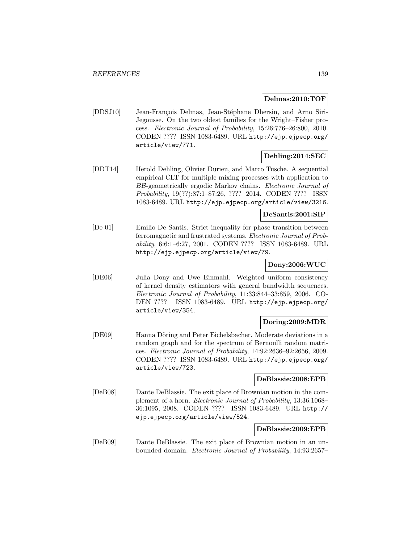#### **Delmas:2010:TOF**

[DDSJ10] Jean-François Delmas, Jean-Stéphane Dhersin, and Arno Siri-Jegousse. On the two oldest families for the Wright–Fisher process. Electronic Journal of Probability, 15:26:776–26:800, 2010. CODEN ???? ISSN 1083-6489. URL http://ejp.ejpecp.org/ article/view/771.

## **Dehling:2014:SEC**

[DDT14] Herold Dehling, Olivier Durieu, and Marco Tusche. A sequential empirical CLT for multiple mixing processes with application to BB-geometrically ergodic Markov chains. Electronic Journal of Probability, 19(??):87:1–87:26, ???? 2014. CODEN ???? ISSN 1083-6489. URL http://ejp.ejpecp.org/article/view/3216.

## **DeSantis:2001:SIP**

[De 01] Emilio De Santis. Strict inequality for phase transition between ferromagnetic and frustrated systems. Electronic Journal of Probability, 6:6:1–6:27, 2001. CODEN ???? ISSN 1083-6489. URL http://ejp.ejpecp.org/article/view/79.

# **Dony:2006:WUC**

[DE06] Julia Dony and Uwe Einmahl. Weighted uniform consistency of kernel density estimators with general bandwidth sequences. Electronic Journal of Probability, 11:33:844–33:859, 2006. CO-DEN ???? ISSN 1083-6489. URL http://ejp.ejpecp.org/ article/view/354.

## **Doring:2009:MDR**

[DE09] Hanna Döring and Peter Eichelsbacher. Moderate deviations in a random graph and for the spectrum of Bernoulli random matrices. Electronic Journal of Probability, 14:92:2636–92:2656, 2009. CODEN ???? ISSN 1083-6489. URL http://ejp.ejpecp.org/ article/view/723.

#### **DeBlassie:2008:EPB**

[DeB08] Dante DeBlassie. The exit place of Brownian motion in the complement of a horn. Electronic Journal of Probability, 13:36:1068– 36:1095, 2008. CODEN ???? ISSN 1083-6489. URL http:// ejp.ejpecp.org/article/view/524.

## **DeBlassie:2009:EPB**

[DeB09] Dante DeBlassie. The exit place of Brownian motion in an unbounded domain. Electronic Journal of Probability, 14:93:2657–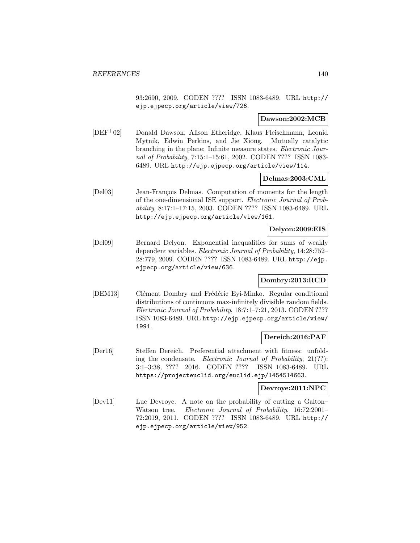93:2690, 2009. CODEN ???? ISSN 1083-6489. URL http:// ejp.ejpecp.org/article/view/726.

## **Dawson:2002:MCB**

[DEF<sup>+</sup>02] Donald Dawson, Alison Etheridge, Klaus Fleischmann, Leonid Mytnik, Edwin Perkins, and Jie Xiong. Mutually catalytic branching in the plane: Infinite measure states. Electronic Journal of Probability, 7:15:1–15:61, 2002. CODEN ???? ISSN 1083- 6489. URL http://ejp.ejpecp.org/article/view/114.

#### **Delmas:2003:CML**

[Del03] Jean-François Delmas. Computation of moments for the length of the one-dimensional ISE support. Electronic Journal of Probability, 8:17:1–17:15, 2003. CODEN ???? ISSN 1083-6489. URL http://ejp.ejpecp.org/article/view/161.

#### **Delyon:2009:EIS**

[Del09] Bernard Delyon. Exponential inequalities for sums of weakly dependent variables. Electronic Journal of Probability, 14:28:752– 28:779, 2009. CODEN ???? ISSN 1083-6489. URL http://ejp. ejpecp.org/article/view/636.

## **Dombry:2013:RCD**

[DEM13] Clément Dombry and Frédéric Eyi-Minko. Regular conditional distributions of continuous max-infinitely divisible random fields. Electronic Journal of Probability, 18:7:1–7:21, 2013. CODEN ???? ISSN 1083-6489. URL http://ejp.ejpecp.org/article/view/ 1991.

#### **Dereich:2016:PAF**

[Der16] Steffen Dereich. Preferential attachment with fitness: unfolding the condensate. Electronic Journal of Probability, 21(??): 3:1–3:38, ???? 2016. CODEN ???? ISSN 1083-6489. URL https://projecteuclid.org/euclid.ejp/1454514663.

## **Devroye:2011:NPC**

[Dev11] Luc Devroye. A note on the probability of cutting a Galton– Watson tree. Electronic Journal of Probability, 16:72:2001– 72:2019, 2011. CODEN ???? ISSN 1083-6489. URL http:// ejp.ejpecp.org/article/view/952.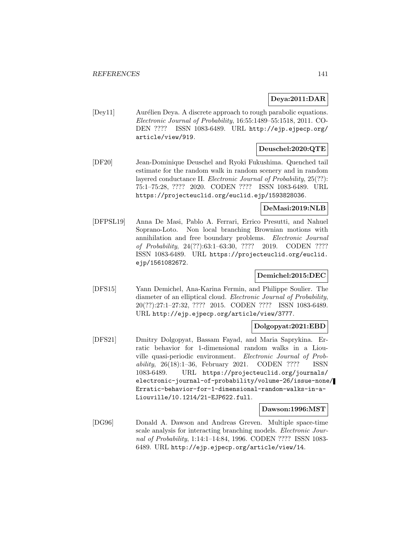# **Deya:2011:DAR**

[Dey11] Aurélien Deya. A discrete approach to rough parabolic equations. Electronic Journal of Probability, 16:55:1489–55:1518, 2011. CO-DEN ???? ISSN 1083-6489. URL http://ejp.ejpecp.org/ article/view/919.

# **Deuschel:2020:QTE**

[DF20] Jean-Dominique Deuschel and Ryoki Fukushima. Quenched tail estimate for the random walk in random scenery and in random layered conductance II. Electronic Journal of Probability, 25(??): 75:1–75:28, ???? 2020. CODEN ???? ISSN 1083-6489. URL https://projecteuclid.org/euclid.ejp/1593828036.

# **DeMasi:2019:NLB**

[DFPSL19] Anna De Masi, Pablo A. Ferrari, Errico Presutti, and Nahuel Soprano-Loto. Non local branching Brownian motions with annihilation and free boundary problems. Electronic Journal of Probability, 24(??):63:1–63:30, ???? 2019. CODEN ???? ISSN 1083-6489. URL https://projecteuclid.org/euclid. ejp/1561082672.

# **Demichel:2015:DEC**

[DFS15] Yann Demichel, Ana-Karina Fermin, and Philippe Soulier. The diameter of an elliptical cloud. Electronic Journal of Probability, 20(??):27:1–27:32, ???? 2015. CODEN ???? ISSN 1083-6489. URL http://ejp.ejpecp.org/article/view/3777.

# **Dolgopyat:2021:EBD**

[DFS21] Dmitry Dolgopyat, Bassam Fayad, and Maria Saprykina. Erratic behavior for 1-dimensional random walks in a Liouville quasi-periodic environment. Electronic Journal of Probability, 26(18):1–36, February 2021. CODEN ???? ISSN 1083-6489. URL https://projecteuclid.org/journals/ electronic-journal-of-probability/volume-26/issue-none/ Erratic-behavior-for-1-dimensional-random-walks-in-a-Liouville/10.1214/21-EJP622.full.

#### **Dawson:1996:MST**

[DG96] Donald A. Dawson and Andreas Greven. Multiple space-time scale analysis for interacting branching models. Electronic Journal of Probability, 1:14:1–14:84, 1996. CODEN ???? ISSN 1083- 6489. URL http://ejp.ejpecp.org/article/view/14.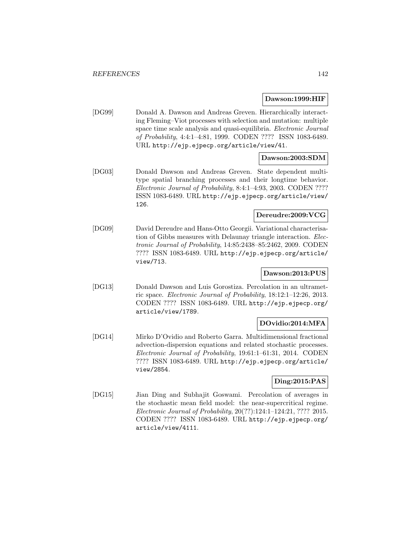#### **Dawson:1999:HIF**

[DG99] Donald A. Dawson and Andreas Greven. Hierarchically interacting Fleming–Viot processes with selection and mutation: multiple space time scale analysis and quasi-equilibria. Electronic Journal of Probability, 4:4:1–4:81, 1999. CODEN ???? ISSN 1083-6489. URL http://ejp.ejpecp.org/article/view/41.

# **Dawson:2003:SDM**

[DG03] Donald Dawson and Andreas Greven. State dependent multitype spatial branching processes and their longtime behavior. Electronic Journal of Probability, 8:4:1–4:93, 2003. CODEN ???? ISSN 1083-6489. URL http://ejp.ejpecp.org/article/view/ 126.

# **Dereudre:2009:VCG**

[DG09] David Dereudre and Hans-Otto Georgii. Variational characterisation of Gibbs measures with Delaunay triangle interaction. Electronic Journal of Probability, 14:85:2438–85:2462, 2009. CODEN ???? ISSN 1083-6489. URL http://ejp.ejpecp.org/article/ view/713.

# **Dawson:2013:PUS**

[DG13] Donald Dawson and Luis Gorostiza. Percolation in an ultrametric space. Electronic Journal of Probability, 18:12:1–12:26, 2013. CODEN ???? ISSN 1083-6489. URL http://ejp.ejpecp.org/ article/view/1789.

# **DOvidio:2014:MFA**

[DG14] Mirko D'Ovidio and Roberto Garra. Multidimensional fractional advection-dispersion equations and related stochastic processes. Electronic Journal of Probability, 19:61:1–61:31, 2014. CODEN ???? ISSN 1083-6489. URL http://ejp.ejpecp.org/article/ view/2854.

# **Ding:2015:PAS**

[DG15] Jian Ding and Subhajit Goswami. Percolation of averages in the stochastic mean field model: the near-supercritical regime. Electronic Journal of Probability, 20(??):124:1–124:21, ???? 2015. CODEN ???? ISSN 1083-6489. URL http://ejp.ejpecp.org/ article/view/4111.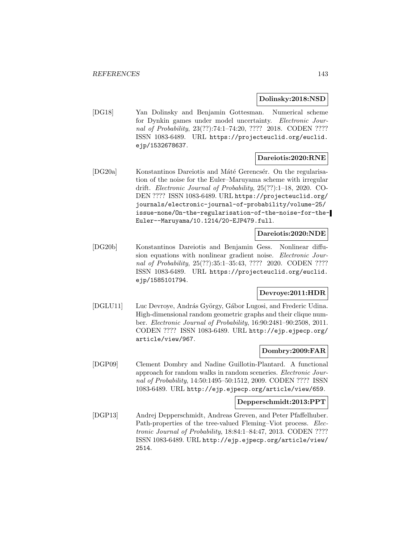## **Dolinsky:2018:NSD**

[DG18] Yan Dolinsky and Benjamin Gottesman. Numerical scheme for Dynkin games under model uncertainty. Electronic Journal of Probability, 23(??):74:1-74:20, ???? 2018. CODEN ???? ISSN 1083-6489. URL https://projecteuclid.org/euclid. ejp/1532678637.

# **Dareiotis:2020:RNE**

[DG20a] Konstantinos Dareiotis and Máté Gerencsér. On the regularisation of the noise for the Euler–Maruyama scheme with irregular drift. Electronic Journal of Probability, 25(??):1–18, 2020. CO-DEN ???? ISSN 1083-6489. URL https://projecteuclid.org/ journals/electronic-journal-of-probability/volume-25/ issue-none/On-the-regularisation-of-the-noise-for-the-Euler--Maruyama/10.1214/20-EJP479.full.

#### **Dareiotis:2020:NDE**

[DG20b] Konstantinos Dareiotis and Benjamin Gess. Nonlinear diffusion equations with nonlinear gradient noise. Electronic Journal of Probability, 25(??):35:1-35:43, ???? 2020. CODEN ???? ISSN 1083-6489. URL https://projecteuclid.org/euclid. ejp/1585101794.

# **Devroye:2011:HDR**

[DGLU11] Luc Devroye, András György, Gábor Lugosi, and Frederic Udina. High-dimensional random geometric graphs and their clique number. Electronic Journal of Probability, 16:90:2481–90:2508, 2011. CODEN ???? ISSN 1083-6489. URL http://ejp.ejpecp.org/ article/view/967.

# **Dombry:2009:FAR**

[DGP09] Clement Dombry and Nadine Guillotin-Plantard. A functional approach for random walks in random sceneries. Electronic Journal of Probability, 14:50:1495–50:1512, 2009. CODEN ???? ISSN 1083-6489. URL http://ejp.ejpecp.org/article/view/659.

#### **Depperschmidt:2013:PPT**

[DGP13] Andrej Depperschmidt, Andreas Greven, and Peter Pfaffelhuber. Path-properties of the tree-valued Fleming–Viot process. Electronic Journal of Probability, 18:84:1–84:47, 2013. CODEN ???? ISSN 1083-6489. URL http://ejp.ejpecp.org/article/view/ 2514.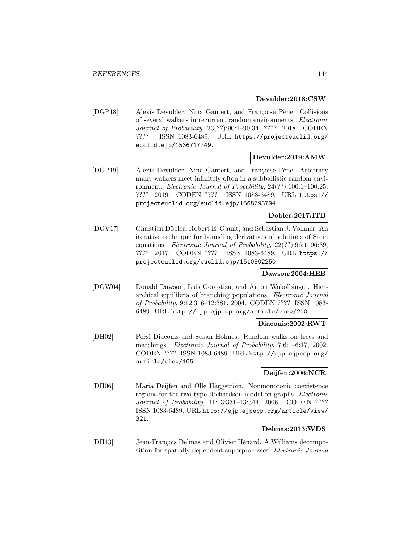#### **Devulder:2018:CSW**

[DGP18] Alexis Devulder, Nina Gantert, and Françoise Pène. Collisions of several walkers in recurrent random environments. Electronic Journal of Probability, 23(??):90:1–90:34, ???? 2018. CODEN ???? ISSN 1083-6489. URL https://projecteuclid.org/ euclid.ejp/1536717749.

## **Devulder:2019:AMW**

[DGP19] Alexis Devulder, Nina Gantert, and Françoise Pène. Arbitrary many walkers meet infinitely often in a subballistic random environment. Electronic Journal of Probability, 24(??):100:1–100:25, ???? 2019. CODEN ???? ISSN 1083-6489. URL https:// projecteuclid.org/euclid.ejp/1568793794.

# **Dobler:2017:ITB**

[DGV17] Christian Döbler, Robert E. Gaunt, and Sebastian J. Vollmer. An iterative technique for bounding derivatives of solutions of Stein equations. Electronic Journal of Probability, 22(??):96:1–96:39, ???? 2017. CODEN ???? ISSN 1083-6489. URL https:// projecteuclid.org/euclid.ejp/1510802250.

## **Dawson:2004:HEB**

[DGW04] Donald Dawson, Luis Gorostiza, and Anton Wakolbinger. Hierarchical equilibria of branching populations. Electronic Journal of Probability, 9:12:316–12:381, 2004. CODEN ???? ISSN 1083- 6489. URL http://ejp.ejpecp.org/article/view/200.

#### **Diaconis:2002:RWT**

[DH02] Persi Diaconis and Susan Holmes. Random walks on trees and matchings. Electronic Journal of Probability, 7:6:1–6:17, 2002. CODEN ???? ISSN 1083-6489. URL http://ejp.ejpecp.org/ article/view/105.

# **Deijfen:2006:NCR**

[DH06] Maria Deijfen and Olle Häggström. Nonmonotonic coexistence regions for the two-type Richardson model on graphs. Electronic Journal of Probability, 11:13:331–13:344, 2006. CODEN ???? ISSN 1083-6489. URL http://ejp.ejpecp.org/article/view/ 321.

# **Delmas:2013:WDS**

[DH13] Jean-François Delmas and Olivier Hénard. A Williams decomposition for spatially dependent superprocesses. Electronic Journal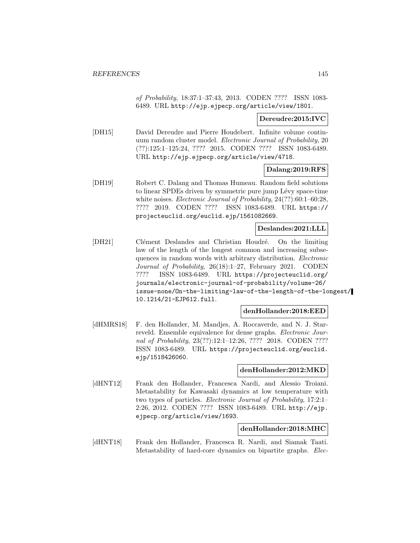of Probability, 18:37:1–37:43, 2013. CODEN ???? ISSN 1083- 6489. URL http://ejp.ejpecp.org/article/view/1801.

## **Dereudre:2015:IVC**

[DH15] David Dereudre and Pierre Houdebert. Infinite volume continuum random cluster model. Electronic Journal of Probability, 20 (??):125:1–125:24, ???? 2015. CODEN ???? ISSN 1083-6489. URL http://ejp.ejpecp.org/article/view/4718.

## **Dalang:2019:RFS**

[DH19] Robert C. Dalang and Thomas Humeau. Random field solutions to linear SPDEs driven by symmetric pure jump Lévy space-time white noises. *Electronic Journal of Probability*, 24(??):60:1-60:28, ???? 2019. CODEN ???? ISSN 1083-6489. URL https:// projecteuclid.org/euclid.ejp/1561082669.

## **Deslandes:2021:LLL**

[DH21] Clément Deslandes and Christian Houdré. On the limiting law of the length of the longest common and increasing subsequences in random words with arbitrary distribution. Electronic Journal of Probability, 26(18):1–27, February 2021. CODEN ???? ISSN 1083-6489. URL https://projecteuclid.org/ journals/electronic-journal-of-probability/volume-26/ issue-none/On-the-limiting-law-of-the-length-of-the-longest/ 10.1214/21-EJP612.full.

## **denHollander:2018:EED**

[dHMRS18] F. den Hollander, M. Mandjes, A. Roccaverde, and N. J. Starreveld. Ensemble equivalence for dense graphs. *Electronic Jour*nal of Probability, 23(??):12:1-12:26, ???? 2018. CODEN ???? ISSN 1083-6489. URL https://projecteuclid.org/euclid. ejp/1518426060.

#### **denHollander:2012:MKD**

[dHNT12] Frank den Hollander, Francesca Nardi, and Alessio Troiani. Metastability for Kawasaki dynamics at low temperature with two types of particles. Electronic Journal of Probability, 17:2:1– 2:26, 2012. CODEN ???? ISSN 1083-6489. URL http://ejp. ejpecp.org/article/view/1693.

#### **denHollander:2018:MHC**

[dHNT18] Frank den Hollander, Francesca R. Nardi, and Siamak Taati. Metastability of hard-core dynamics on bipartite graphs. Elec-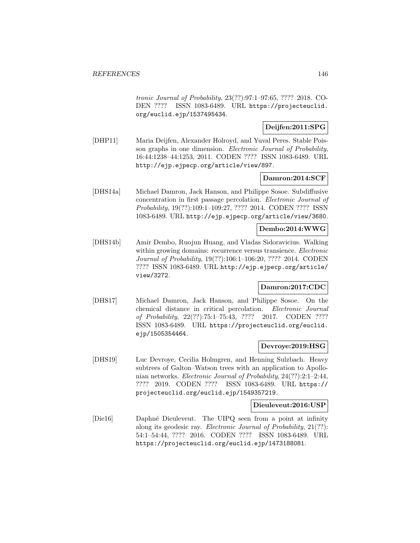tronic Journal of Probability, 23(??):97:1–97:65, ???? 2018. CO-DEN ???? ISSN 1083-6489. URL https://projecteuclid. org/euclid.ejp/1537495434.

## **Deijfen:2011:SPG**

[DHP11] Maria Deijfen, Alexander Holroyd, and Yuval Peres. Stable Poisson graphs in one dimension. Electronic Journal of Probability, 16:44:1238–44:1253, 2011. CODEN ???? ISSN 1083-6489. URL http://ejp.ejpecp.org/article/view/897.

## **Damron:2014:SCF**

[DHS14a] Michael Damron, Jack Hanson, and Philippe Sosoe. Subdiffusive concentration in first passage percolation. Electronic Journal of Probability, 19(??):109:1–109:27, ???? 2014. CODEN ???? ISSN 1083-6489. URL http://ejp.ejpecp.org/article/view/3680.

## **Dembo:2014:WWG**

[DHS14b] Amir Dembo, Ruojun Huang, and Vladas Sidoravicius. Walking within growing domains: recurrence versus transience. *Electronic* Journal of Probability, 19(??):106:1–106:20, ???? 2014. CODEN ???? ISSN 1083-6489. URL http://ejp.ejpecp.org/article/ view/3272.

## **Damron:2017:CDC**

[DHS17] Michael Damron, Jack Hanson, and Philippe Sosoe. On the chemical distance in critical percolation. Electronic Journal of Probability, 22(??):75:1–75:43, ???? 2017. CODEN ???? ISSN 1083-6489. URL https://projecteuclid.org/euclid. ejp/1505354464.

## **Devroye:2019:HSG**

[DHS19] Luc Devroye, Cecilia Holmgren, and Henning Sulzbach. Heavy subtrees of Galton–Watson trees with an application to Apollonian networks. Electronic Journal of Probability, 24(??):2:1–2:44, ???? 2019. CODEN ???? ISSN 1083-6489. URL https:// projecteuclid.org/euclid.ejp/1549357219.

#### **Dieuleveut:2016:USP**

[Die16] Daphn´e Dieuleveut. The UIPQ seen from a point at infinity along its geodesic ray. Electronic Journal of Probability, 21(??): 54:1–54:44, ???? 2016. CODEN ???? ISSN 1083-6489. URL https://projecteuclid.org/euclid.ejp/1473188081.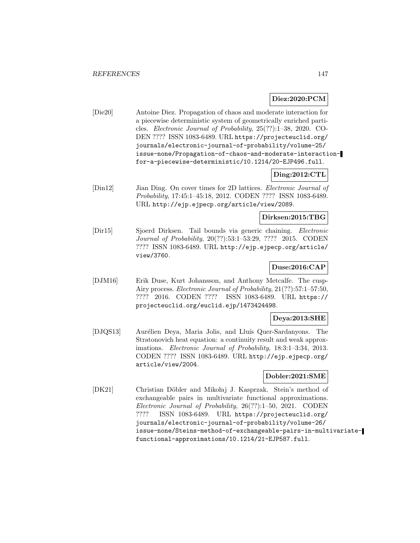### **Diez:2020:PCM**

[Die20] Antoine Diez. Propagation of chaos and moderate interaction for a piecewise deterministic system of geometrically enriched particles. Electronic Journal of Probability, 25(??):1–38, 2020. CO-DEN ???? ISSN 1083-6489. URL https://projecteuclid.org/ journals/electronic-journal-of-probability/volume-25/ issue-none/Propagation-of-chaos-and-moderate-interactionfor-a-piecewise-deterministic/10.1214/20-EJP496.full.

## **Ding:2012:CTL**

[Din12] Jian Ding. On cover times for 2D lattices. Electronic Journal of Probability, 17:45:1–45:18, 2012. CODEN ???? ISSN 1083-6489. URL http://ejp.ejpecp.org/article/view/2089.

## **Dirksen:2015:TBG**

[Dir15] Sjoerd Dirksen. Tail bounds via generic chaining. Electronic Journal of Probability, 20(??):53:1–53:29, ???? 2015. CODEN ???? ISSN 1083-6489. URL http://ejp.ejpecp.org/article/ view/3760.

## **Duse:2016:CAP**

[DJM16] Erik Duse, Kurt Johansson, and Anthony Metcalfe. The cusp-Airy process. Electronic Journal of Probability, 21(??):57:1–57:50, ???? 2016. CODEN ???? ISSN 1083-6489. URL https:// projecteuclid.org/euclid.ejp/1473424498.

## **Deya:2013:SHE**

[DJQS13] Aurélien Deya, Maria Jolis, and Lluís Quer-Sardanyons. The Stratonovich heat equation: a continuity result and weak approximations. Electronic Journal of Probability, 18:3:1–3:34, 2013. CODEN ???? ISSN 1083-6489. URL http://ejp.ejpecp.org/ article/view/2004.

# **Dobler:2021:SME**

[DK21] Christian Döbler and Mikołaj J. Kasprzak. Stein's method of exchangeable pairs in multivariate functional approximations. Electronic Journal of Probability, 26(??):1–50, 2021. CODEN ???? ISSN 1083-6489. URL https://projecteuclid.org/ journals/electronic-journal-of-probability/volume-26/ issue-none/Steins-method-of-exchangeable-pairs-in-multivariatefunctional-approximations/10.1214/21-EJP587.full.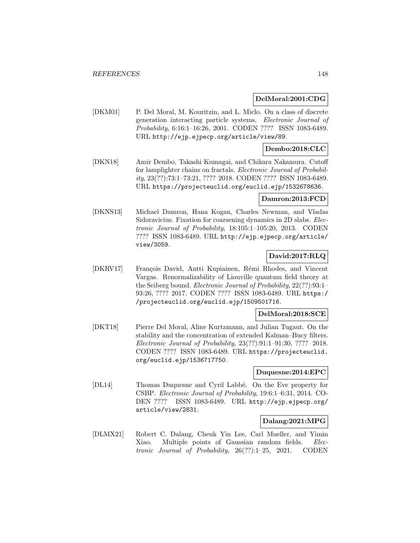## **DelMoral:2001:CDG**

[DKM01] P. Del Moral, M. Kouritzin, and L. Miclo. On a class of discrete generation interacting particle systems. Electronic Journal of Probability, 6:16:1–16:26, 2001. CODEN ???? ISSN 1083-6489. URL http://ejp.ejpecp.org/article/view/89.

## **Dembo:2018:CLC**

[DKN18] Amir Dembo, Takashi Kumagai, and Chikara Nakamura. Cutoff for lamplighter chains on fractals. Electronic Journal of Probability, 23(??):73:1–73:21, ???? 2018. CODEN ???? ISSN 1083-6489. URL https://projecteuclid.org/euclid.ejp/1532678636.

### **Damron:2013:FCD**

[DKNS13] Michael Damron, Hana Kogan, Charles Newman, and Vladas Sidoravicius. Fixation for coarsening dynamics in 2D slabs. Electronic Journal of Probability, 18:105:1–105:20, 2013. CODEN ???? ISSN 1083-6489. URL http://ejp.ejpecp.org/article/ view/3059.

# **David:2017:RLQ**

[DKRV17] François David, Antti Kupiainen, Rémi Rhodes, and Vincent Vargas. Renormalizability of Liouville quantum field theory at the Seiberg bound. Electronic Journal of Probability, 22(??):93:1– 93:26, ???? 2017. CODEN ???? ISSN 1083-6489. URL https:/ /projecteuclid.org/euclid.ejp/1509501716.

# **DelMoral:2018:SCE**

[DKT18] Pierre Del Moral, Aline Kurtzmann, and Julian Tugaut. On the stability and the concentration of extended Kalman–Bucy filters. Electronic Journal of Probability, 23(??):91:1–91:30, ???? 2018. CODEN ???? ISSN 1083-6489. URL https://projecteuclid. org/euclid.ejp/1536717750.

## **Duquesne:2014:EPC**

[DL14] Thomas Duquesne and Cyril Labb´e. On the Eve property for CSBP. Electronic Journal of Probability, 19:6:1–6:31, 2014. CO-DEN ???? ISSN 1083-6489. URL http://ejp.ejpecp.org/ article/view/2831.

## **Dalang:2021:MPG**

[DLMX21] Robert C. Dalang, Cheuk Yin Lee, Carl Mueller, and Yimin Xiao. Multiple points of Gaussian random fields. Electronic Journal of Probability, 26(??):1–25, 2021. CODEN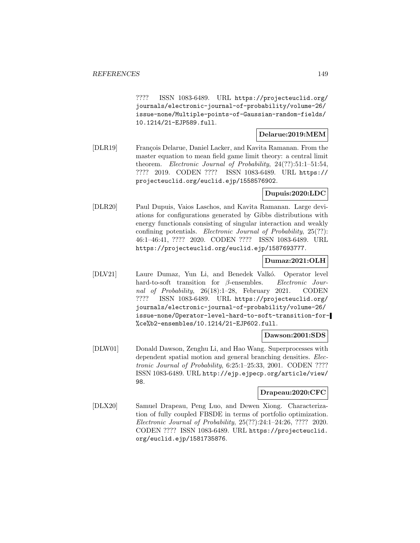???? ISSN 1083-6489. URL https://projecteuclid.org/ journals/electronic-journal-of-probability/volume-26/ issue-none/Multiple-points-of-Gaussian-random-fields/ 10.1214/21-EJP589.full.

### **Delarue:2019:MEM**

[DLR19] Fran¸cois Delarue, Daniel Lacker, and Kavita Ramanan. From the master equation to mean field game limit theory: a central limit theorem. Electronic Journal of Probability, 24(??):51:1–51:54, ???? 2019. CODEN ???? ISSN 1083-6489. URL https:// projecteuclid.org/euclid.ejp/1558576902.

## **Dupuis:2020:LDC**

[DLR20] Paul Dupuis, Vaios Laschos, and Kavita Ramanan. Large deviations for configurations generated by Gibbs distributions with energy functionals consisting of singular interaction and weakly confining potentials. Electronic Journal of Probability, 25(??): 46:1–46:41, ???? 2020. CODEN ???? ISSN 1083-6489. URL https://projecteuclid.org/euclid.ejp/1587693777.

## **Dumaz:2021:OLH**

[DLV21] Laure Dumaz, Yun Li, and Benedek Valkó. Operator level hard-to-soft transition for β-ensembles. Electronic Journal of Probability, 26(18):1–28, February 2021. CODEN ???? ISSN 1083-6489. URL https://projecteuclid.org/ journals/electronic-journal-of-probability/volume-26/ issue-none/Operator-level-hard-to-soft-transition-for- %ce%b2-ensembles/10.1214/21-EJP602.full.

#### **Dawson:2001:SDS**

[DLW01] Donald Dawson, Zenghu Li, and Hao Wang. Superprocesses with dependent spatial motion and general branching densities. Electronic Journal of Probability, 6:25:1–25:33, 2001. CODEN ???? ISSN 1083-6489. URL http://ejp.ejpecp.org/article/view/ 98.

## **Drapeau:2020:CFC**

[DLX20] Samuel Drapeau, Peng Luo, and Dewen Xiong. Characterization of fully coupled FBSDE in terms of portfolio optimization. Electronic Journal of Probability, 25(??):24:1–24:26, ???? 2020. CODEN ???? ISSN 1083-6489. URL https://projecteuclid. org/euclid.ejp/1581735876.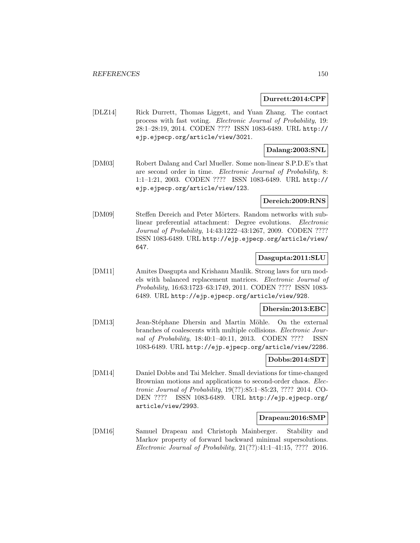### **Durrett:2014:CPF**

[DLZ14] Rick Durrett, Thomas Liggett, and Yuan Zhang. The contact process with fast voting. Electronic Journal of Probability, 19: 28:1–28:19, 2014. CODEN ???? ISSN 1083-6489. URL http:// ejp.ejpecp.org/article/view/3021.

## **Dalang:2003:SNL**

[DM03] Robert Dalang and Carl Mueller. Some non-linear S.P.D.E's that are second order in time. Electronic Journal of Probability, 8: 1:1–1:21, 2003. CODEN ???? ISSN 1083-6489. URL http:// ejp.ejpecp.org/article/view/123.

#### **Dereich:2009:RNS**

[DM09] Steffen Dereich and Peter Mörters. Random networks with sublinear preferential attachment: Degree evolutions. Electronic Journal of Probability, 14:43:1222–43:1267, 2009. CODEN ???? ISSN 1083-6489. URL http://ejp.ejpecp.org/article/view/ 647.

### **Dasgupta:2011:SLU**

[DM11] Amites Dasgupta and Krishanu Maulik. Strong laws for urn models with balanced replacement matrices. Electronic Journal of Probability, 16:63:1723–63:1749, 2011. CODEN ???? ISSN 1083- 6489. URL http://ejp.ejpecp.org/article/view/928.

### **Dhersin:2013:EBC**

[DM13] Jean-Stéphane Dhersin and Martin Möhle. On the external branches of coalescents with multiple collisions. Electronic Journal of Probability, 18:40:1–40:11, 2013. CODEN ???? ISSN 1083-6489. URL http://ejp.ejpecp.org/article/view/2286.

## **Dobbs:2014:SDT**

[DM14] Daniel Dobbs and Tai Melcher. Small deviations for time-changed Brownian motions and applications to second-order chaos. Electronic Journal of Probability, 19(??):85:1–85:23, ???? 2014. CO-DEN ???? ISSN 1083-6489. URL http://ejp.ejpecp.org/ article/view/2993.

## **Drapeau:2016:SMP**

[DM16] Samuel Drapeau and Christoph Mainberger. Stability and Markov property of forward backward minimal supersolutions. Electronic Journal of Probability, 21(??):41:1–41:15, ???? 2016.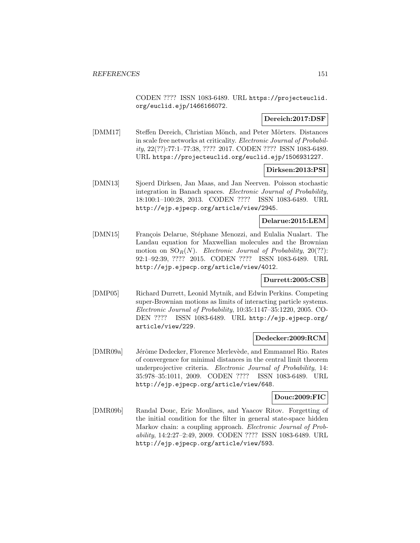CODEN ???? ISSN 1083-6489. URL https://projecteuclid. org/euclid.ejp/1466166072.

## **Dereich:2017:DSF**

[DMM17] Steffen Dereich, Christian Mönch, and Peter Mörters. Distances in scale free networks at criticality. Electronic Journal of Probability, 22(??):77:1–77:38, ???? 2017. CODEN ???? ISSN 1083-6489. URL https://projecteuclid.org/euclid.ejp/1506931227.

## **Dirksen:2013:PSI**

[DMN13] Sjoerd Dirksen, Jan Maas, and Jan Neerven. Poisson stochastic integration in Banach spaces. Electronic Journal of Probability, 18:100:1–100:28, 2013. CODEN ???? ISSN 1083-6489. URL http://ejp.ejpecp.org/article/view/2945.

# **Delarue:2015:LEM**

[DMN15] François Delarue, Stéphane Menozzi, and Eulalia Nualart. The Landau equation for Maxwellian molecules and the Brownian motion on  $\text{SO}_R(N)$ . Electronic Journal of Probability, 20(??): 92:1–92:39, ???? 2015. CODEN ???? ISSN 1083-6489. URL http://ejp.ejpecp.org/article/view/4012.

## **Durrett:2005:CSB**

[DMP05] Richard Durrett, Leonid Mytnik, and Edwin Perkins. Competing super-Brownian motions as limits of interacting particle systems. Electronic Journal of Probability, 10:35:1147–35:1220, 2005. CO-DEN ???? ISSN 1083-6489. URL http://ejp.ejpecp.org/ article/view/229.

## **Dedecker:2009:RCM**

[DMR09a] Jérôme Dedecker, Florence Merlevède, and Emmanuel Rio. Rates of convergence for minimal distances in the central limit theorem underprojective criteria. Electronic Journal of Probability, 14: 35:978–35:1011, 2009. CODEN ???? ISSN 1083-6489. URL http://ejp.ejpecp.org/article/view/648.

### **Douc:2009:FIC**

[DMR09b] Randal Douc, Eric Moulines, and Yaacov Ritov. Forgetting of the initial condition for the filter in general state-space hidden Markov chain: a coupling approach. *Electronic Journal of Prob*ability, 14:2:27–2:49, 2009. CODEN ???? ISSN 1083-6489. URL http://ejp.ejpecp.org/article/view/593.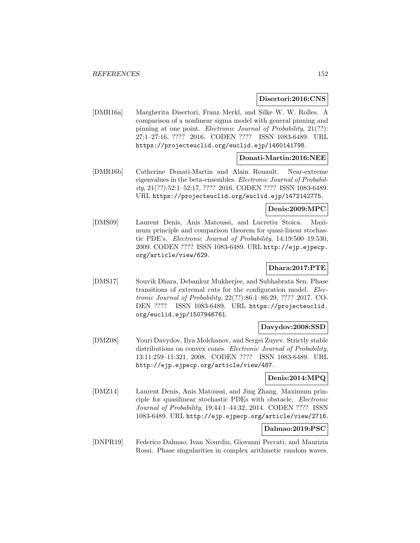### **Disertori:2016:CNS**

[DMR16a] Margherita Disertori, Franz Merkl, and Silke W. W. Rolles. A comparison of a nonlinear sigma model with general pinning and pinning at one point. Electronic Journal of Probability, 21(??): 27:1–27:16, ???? 2016. CODEN ???? ISSN 1083-6489. URL https://projecteuclid.org/euclid.ejp/1460141798.

## **Donati-Martin:2016:NEE**

[DMR16b] Catherine Donati-Martin and Alain Rouault. Near-extreme eigenvalues in the beta-ensembles. Electronic Journal of Probability, 21(??):52:1–52:17, ???? 2016. CODEN ???? ISSN 1083-6489. URL https://projecteuclid.org/euclid.ejp/1472142775.

## **Denis:2009:MPC**

[DMS09] Laurent Denis, Anis Matoussi, and Lucretiu Stoica. Maximum principle and comparison theorem for quasi-linear stochastic PDE's. Electronic Journal of Probability, 14:19:500–19:530, 2009. CODEN ???? ISSN 1083-6489. URL http://ejp.ejpecp. org/article/view/629.

# **Dhara:2017:PTE**

[DMS17] Souvik Dhara, Debankur Mukherjee, and Subhabrata Sen. Phase transitions of extremal cuts for the configuration model. Electronic Journal of Probability, 22(??):86:1–86:29, ???? 2017. CO-DEN ???? ISSN 1083-6489. URL https://projecteuclid. org/euclid.ejp/1507946761.

## **Davydov:2008:SSD**

[DMZ08] Youri Davydov, Ilya Molchanov, and Sergei Zuyev. Strictly stable distributions on convex cones. Electronic Journal of Probability, 13:11:259–11:321, 2008. CODEN ???? ISSN 1083-6489. URL http://ejp.ejpecp.org/article/view/487.

## **Denis:2014:MPQ**

[DMZ14] Laurent Denis, Anis Matoussi, and Jing Zhang. Maximum principle for quasilinear stochastic PDEs with obstacle. Electronic Journal of Probability, 19:44:1–44:32, 2014. CODEN ???? ISSN 1083-6489. URL http://ejp.ejpecp.org/article/view/2716.

## **Dalmao:2019:PSC**

[DNPR19] Federico Dalmao, Ivan Nourdin, Giovanni Peccati, and Maurizia Rossi. Phase singularities in complex arithmetic random waves.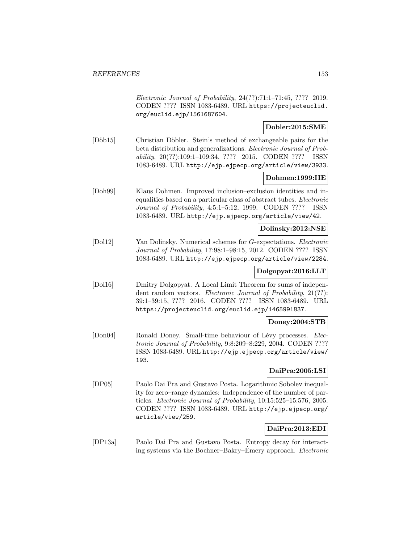Electronic Journal of Probability, 24(??):71:1–71:45, ???? 2019. CODEN ???? ISSN 1083-6489. URL https://projecteuclid. org/euclid.ejp/1561687604.

# **Dobler:2015:SME**

[Döb15] Christian Döbler. Stein's method of exchangeable pairs for the beta distribution and generalizations. Electronic Journal of Probability, 20(??):109:1–109:34, ???? 2015. CODEN ???? ISSN 1083-6489. URL http://ejp.ejpecp.org/article/view/3933.

## **Dohmen:1999:IIE**

[Doh99] Klaus Dohmen. Improved inclusion–exclusion identities and inequalities based on a particular class of abstract tubes. Electronic Journal of Probability, 4:5:1–5:12, 1999. CODEN ???? ISSN 1083-6489. URL http://ejp.ejpecp.org/article/view/42.

## **Dolinsky:2012:NSE**

[Dol12] Yan Dolinsky. Numerical schemes for G-expectations. Electronic Journal of Probability, 17:98:1–98:15, 2012. CODEN ???? ISSN 1083-6489. URL http://ejp.ejpecp.org/article/view/2284.

# **Dolgopyat:2016:LLT**

[Dol16] Dmitry Dolgopyat. A Local Limit Theorem for sums of independent random vectors. *Electronic Journal of Probability*, 21(??): 39:1–39:15, ???? 2016. CODEN ???? ISSN 1083-6489. URL https://projecteuclid.org/euclid.ejp/1465991837.

## **Doney:2004:STB**

[Don04] Ronald Doney. Small-time behaviour of Lévy processes. Electronic Journal of Probability, 9:8:209–8:229, 2004. CODEN ???? ISSN 1083-6489. URL http://ejp.ejpecp.org/article/view/ 193.

## **DaiPra:2005:LSI**

[DP05] Paolo Dai Pra and Gustavo Posta. Logarithmic Sobolev inequality for zero–range dynamics: Independence of the number of particles. Electronic Journal of Probability, 10:15:525–15:576, 2005. CODEN ???? ISSN 1083-6489. URL http://ejp.ejpecp.org/ article/view/259.

# **DaiPra:2013:EDI**

[DP13a] Paolo Dai Pra and Gustavo Posta. Entropy decay for interacting systems via the Bochner–Bakry–Emery approach. *Electronic*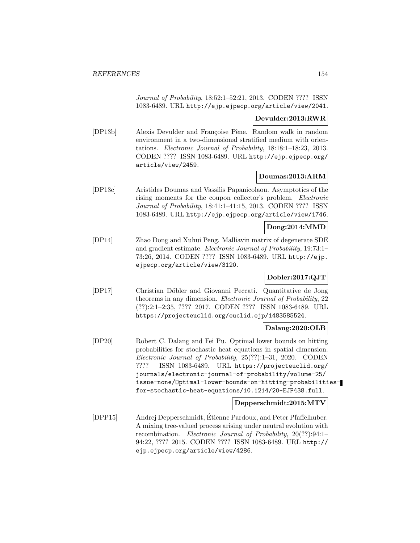Journal of Probability, 18:52:1–52:21, 2013. CODEN ???? ISSN 1083-6489. URL http://ejp.ejpecp.org/article/view/2041.

# **Devulder:2013:RWR**

[DP13b] Alexis Devulder and Françoise Pène. Random walk in random environment in a two-dimensional stratified medium with orientations. Electronic Journal of Probability, 18:18:1–18:23, 2013. CODEN ???? ISSN 1083-6489. URL http://ejp.ejpecp.org/ article/view/2459.

## **Doumas:2013:ARM**

[DP13c] Aristides Doumas and Vassilis Papanicolaou. Asymptotics of the rising moments for the coupon collector's problem. Electronic Journal of Probability, 18:41:1–41:15, 2013. CODEN ???? ISSN 1083-6489. URL http://ejp.ejpecp.org/article/view/1746.

# **Dong:2014:MMD**

[DP14] Zhao Dong and Xuhui Peng. Malliavin matrix of degenerate SDE and gradient estimate. Electronic Journal of Probability, 19:73:1– 73:26, 2014. CODEN ???? ISSN 1083-6489. URL http://ejp. ejpecp.org/article/view/3120.

# **Dobler:2017:QJT**

[DP17] Christian D¨obler and Giovanni Peccati. Quantitative de Jong theorems in any dimension. Electronic Journal of Probability, 22 (??):2:1–2:35, ???? 2017. CODEN ???? ISSN 1083-6489. URL https://projecteuclid.org/euclid.ejp/1483585524.

## **Dalang:2020:OLB**

[DP20] Robert C. Dalang and Fei Pu. Optimal lower bounds on hitting probabilities for stochastic heat equations in spatial dimension. Electronic Journal of Probability, 25(??):1–31, 2020. CODEN ???? ISSN 1083-6489. URL https://projecteuclid.org/ journals/electronic-journal-of-probability/volume-25/ issue-none/Optimal-lower-bounds-on-hitting-probabilitiesfor-stochastic-heat-equations/10.1214/20-EJP438.full.

## **Depperschmidt:2015:MTV**

[DPP15] Andrej Depperschmidt, Etienne Pardoux, and Peter Pfaffelhuber. ´ A mixing tree-valued process arising under neutral evolution with recombination. Electronic Journal of Probability, 20(??):94:1– 94:22, ???? 2015. CODEN ???? ISSN 1083-6489. URL http:// ejp.ejpecp.org/article/view/4286.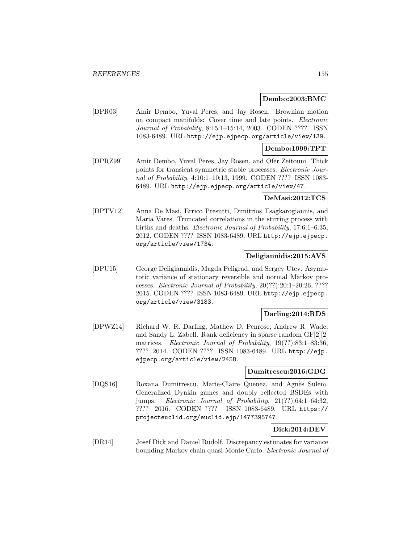## **Dembo:2003:BMC**

[DPR03] Amir Dembo, Yuval Peres, and Jay Rosen. Brownian motion on compact manifolds: Cover time and late points. Electronic Journal of Probability, 8:15:1–15:14, 2003. CODEN ???? ISSN 1083-6489. URL http://ejp.ejpecp.org/article/view/139.

## **Dembo:1999:TPT**

[DPRZ99] Amir Dembo, Yuval Peres, Jay Rosen, and Ofer Zeitouni. Thick points for transient symmetric stable processes. Electronic Journal of Probability, 4:10:1–10:13, 1999. CODEN ???? ISSN 1083- 6489. URL http://ejp.ejpecp.org/article/view/47.

### **DeMasi:2012:TCS**

[DPTV12] Anna De Masi, Errico Presutti, Dimitrios Tsagkarogiannis, and Maria Vares. Truncated correlations in the stirring process with births and deaths. Electronic Journal of Probability, 17:6:1–6:35, 2012. CODEN ???? ISSN 1083-6489. URL http://ejp.ejpecp. org/article/view/1734.

## **Deligiannidis:2015:AVS**

[DPU15] George Deligiannidis, Magda Peligrad, and Sergey Utev. Asymptotic variance of stationary reversible and normal Markov processes. Electronic Journal of Probability, 20(??):20:1–20:26, ???? 2015. CODEN ???? ISSN 1083-6489. URL http://ejp.ejpecp. org/article/view/3183.

## **Darling:2014:RDS**

[DPWZ14] Richard W. R. Darling, Mathew D. Penrose, Andrew R. Wade, and Sandy L. Zabell. Rank deficiency in sparse random GF[2][2] matrices. Electronic Journal of Probability, 19(??):83:1-83:36. ???? 2014. CODEN ???? ISSN 1083-6489. URL http://ejp. ejpecp.org/article/view/2458.

### **Dumitrescu:2016:GDG**

[DQS16] Roxana Dumitrescu, Marie-Claire Quenez, and Agnès Sulem. Generalized Dynkin games and doubly reflected BSDEs with jumps. Electronic Journal of Probability, 21(??):64:1–64:32, ???? 2016. CODEN ???? ISSN 1083-6489. URL https:// projecteuclid.org/euclid.ejp/1477395747.

## **Dick:2014:DEV**

[DR14] Josef Dick and Daniel Rudolf. Discrepancy estimates for variance bounding Markov chain quasi-Monte Carlo. Electronic Journal of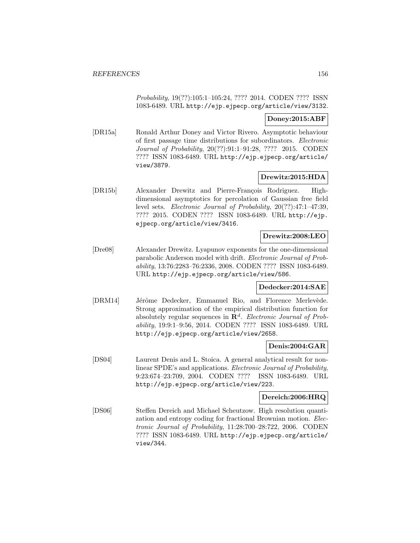Probability, 19(??):105:1–105:24, ???? 2014. CODEN ???? ISSN 1083-6489. URL http://ejp.ejpecp.org/article/view/3132.

## **Doney:2015:ABF**

[DR15a] Ronald Arthur Doney and Victor Rivero. Asymptotic behaviour of first passage time distributions for subordinators. Electronic Journal of Probability, 20(??):91:1–91:28, ???? 2015. CODEN ???? ISSN 1083-6489. URL http://ejp.ejpecp.org/article/ view/3879.

## **Drewitz:2015:HDA**

[DR15b] Alexander Drewitz and Pierre-François Rodriguez. Highdimensional asymptotics for percolation of Gaussian free field level sets. Electronic Journal of Probability, 20(??):47:1–47:39, ???? 2015. CODEN ???? ISSN 1083-6489. URL http://ejp. ejpecp.org/article/view/3416.

## **Drewitz:2008:LEO**

[Dre08] Alexander Drewitz. Lyapunov exponents for the one-dimensional parabolic Anderson model with drift. Electronic Journal of Probability, 13:76:2283–76:2336, 2008. CODEN ???? ISSN 1083-6489. URL http://ejp.ejpecp.org/article/view/586.

### **Dedecker:2014:SAE**

[DRM14] Jérôme Dedecker, Emmanuel Rio, and Florence Merlevède. Strong approximation of the empirical distribution function for absolutely regular sequences in  $\mathbb{R}^d$ . Electronic Journal of Probability, 19:9:1–9:56, 2014. CODEN ???? ISSN 1083-6489. URL http://ejp.ejpecp.org/article/view/2658.

# **Denis:2004:GAR**

[DS04] Laurent Denis and L. Stoica. A general analytical result for nonlinear SPDE's and applications. Electronic Journal of Probability, 9:23:674–23:709, 2004. CODEN ???? ISSN 1083-6489. URL http://ejp.ejpecp.org/article/view/223.

#### **Dereich:2006:HRQ**

[DS06] Steffen Dereich and Michael Scheutzow. High resolution quantization and entropy coding for fractional Brownian motion. Electronic Journal of Probability, 11:28:700–28:722, 2006. CODEN ???? ISSN 1083-6489. URL http://ejp.ejpecp.org/article/ view/344.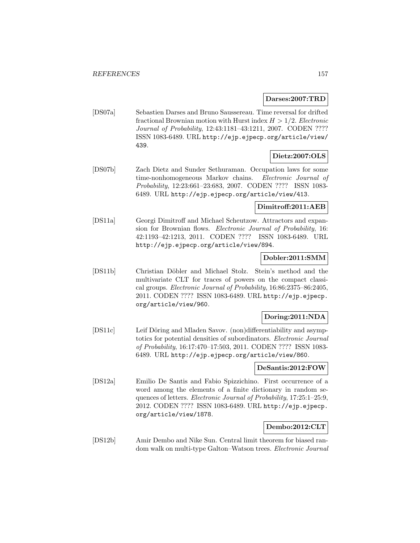**Darses:2007:TRD**

[DS07a] Sebastien Darses and Bruno Saussereau. Time reversal for drifted fractional Brownian motion with Hurst index  $H > 1/2$ . Electronic Journal of Probability, 12:43:1181–43:1211, 2007. CODEN ???? ISSN 1083-6489. URL http://ejp.ejpecp.org/article/view/ 439.

## **Dietz:2007:OLS**

[DS07b] Zach Dietz and Sunder Sethuraman. Occupation laws for some time-nonhomogeneous Markov chains. Electronic Journal of Probability, 12:23:661–23:683, 2007. CODEN ???? ISSN 1083- 6489. URL http://ejp.ejpecp.org/article/view/413.

# **Dimitroff:2011:AEB**

[DS11a] Georgi Dimitroff and Michael Scheutzow. Attractors and expansion for Brownian flows. Electronic Journal of Probability, 16: 42:1193–42:1213, 2011. CODEN ???? ISSN 1083-6489. URL http://ejp.ejpecp.org/article/view/894.

### **Dobler:2011:SMM**

[DS11b] Christian Döbler and Michael Stolz. Stein's method and the multivariate CLT for traces of powers on the compact classical groups. Electronic Journal of Probability, 16:86:2375–86:2405, 2011. CODEN ???? ISSN 1083-6489. URL http://ejp.ejpecp. org/article/view/960.

# **Doring:2011:NDA**

[DS11c] Leif Döring and Mladen Savov. (non)differentiability and asymptotics for potential densities of subordinators. Electronic Journal of Probability, 16:17:470–17:503, 2011. CODEN ???? ISSN 1083- 6489. URL http://ejp.ejpecp.org/article/view/860.

#### **DeSantis:2012:FOW**

[DS12a] Emilio De Santis and Fabio Spizzichino. First occurrence of a word among the elements of a finite dictionary in random sequences of letters. Electronic Journal of Probability, 17:25:1–25:9, 2012. CODEN ???? ISSN 1083-6489. URL http://ejp.ejpecp. org/article/view/1878.

## **Dembo:2012:CLT**

[DS12b] Amir Dembo and Nike Sun. Central limit theorem for biased random walk on multi-type Galton–Watson trees. Electronic Journal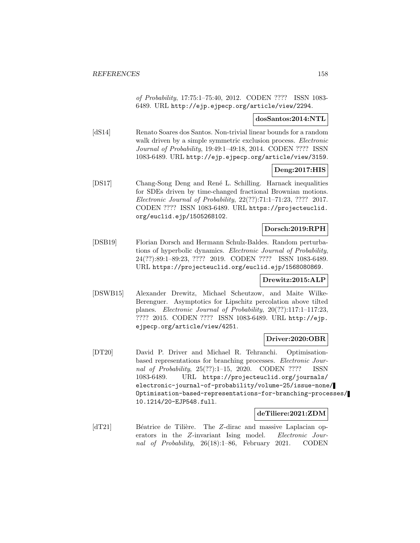of Probability, 17:75:1–75:40, 2012. CODEN ???? ISSN 1083- 6489. URL http://ejp.ejpecp.org/article/view/2294.

## **dosSantos:2014:NTL**

[dS14] Renato Soares dos Santos. Non-trivial linear bounds for a random walk driven by a simple symmetric exclusion process. *Electronic* Journal of Probability, 19:49:1–49:18, 2014. CODEN ???? ISSN 1083-6489. URL http://ejp.ejpecp.org/article/view/3159.

## **Deng:2017:HIS**

[DS17] Chang-Song Deng and René L. Schilling. Harnack inequalities for SDEs driven by time-changed fractional Brownian motions. Electronic Journal of Probability, 22(??):71:1–71:23, ???? 2017. CODEN ???? ISSN 1083-6489. URL https://projecteuclid. org/euclid.ejp/1505268102.

### **Dorsch:2019:RPH**

[DSB19] Florian Dorsch and Hermann Schulz-Baldes. Random perturbations of hyperbolic dynamics. Electronic Journal of Probability, 24(??):89:1–89:23, ???? 2019. CODEN ???? ISSN 1083-6489. URL https://projecteuclid.org/euclid.ejp/1568080869.

#### **Drewitz:2015:ALP**

[DSWB15] Alexander Drewitz, Michael Scheutzow, and Maite Wilke-Berenguer. Asymptotics for Lipschitz percolation above tilted planes. Electronic Journal of Probability, 20(??):117:1–117:23, ???? 2015. CODEN ???? ISSN 1083-6489. URL http://ejp. ejpecp.org/article/view/4251.

# **Driver:2020:OBR**

[DT20] David P. Driver and Michael R. Tehranchi. Optimisationbased representations for branching processes. Electronic Journal of Probability, 25(??):1–15, 2020. CODEN ???? ISSN 1083-6489. URL https://projecteuclid.org/journals/ electronic-journal-of-probability/volume-25/issue-none/ Optimisation-based-representations-for-branching-processes/ 10.1214/20-EJP548.full.

## **deTiliere:2021:ZDM**

[dT21] Béatrice de Tilière. The Z-dirac and massive Laplacian operators in the Z-invariant Ising model. Electronic Journal of Probability, 26(18):1–86, February 2021. CODEN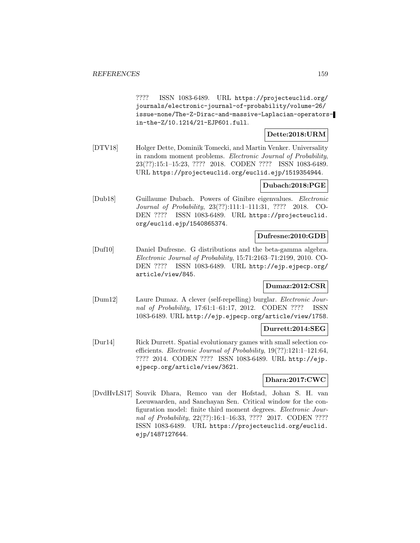???? ISSN 1083-6489. URL https://projecteuclid.org/ journals/electronic-journal-of-probability/volume-26/ issue-none/The-Z-Dirac-and-massive-Laplacian-operatorsin-the-Z/10.1214/21-EJP601.full.

# **Dette:2018:URM**

[DTV18] Holger Dette, Dominik Tomecki, and Martin Venker. Universality in random moment problems. Electronic Journal of Probability, 23(??):15:1–15:23, ???? 2018. CODEN ???? ISSN 1083-6489. URL https://projecteuclid.org/euclid.ejp/1519354944.

## **Dubach:2018:PGE**

[Dub18] Guillaume Dubach. Powers of Ginibre eigenvalues. Electronic Journal of Probability, 23(??):111:1–111:31, ???? 2018. CO-DEN ???? ISSN 1083-6489. URL https://projecteuclid. org/euclid.ejp/1540865374.

## **Dufresne:2010:GDB**

[Duf10] Daniel Dufresne. G distributions and the beta-gamma algebra. Electronic Journal of Probability, 15:71:2163–71:2199, 2010. CO-DEN ???? ISSN 1083-6489. URL http://ejp.ejpecp.org/ article/view/845.

# **Dumaz:2012:CSR**

[Dum12] Laure Dumaz. A clever (self-repelling) burglar. Electronic Journal of Probability, 17:61:1–61:17, 2012. CODEN ???? ISSN 1083-6489. URL http://ejp.ejpecp.org/article/view/1758.

## **Durrett:2014:SEG**

[Dur14] Rick Durrett. Spatial evolutionary games with small selection coefficients. Electronic Journal of Probability, 19(??):121:1–121:64, ???? 2014. CODEN ???? ISSN 1083-6489. URL http://ejp. ejpecp.org/article/view/3621.

# **Dhara:2017:CWC**

[DvdHvLS17] Souvik Dhara, Remco van der Hofstad, Johan S. H. van Leeuwaarden, and Sanchayan Sen. Critical window for the configuration model: finite third moment degrees. Electronic Journal of Probability, 22(??):16:1-16:33, ???? 2017. CODEN ???? ISSN 1083-6489. URL https://projecteuclid.org/euclid. ejp/1487127644.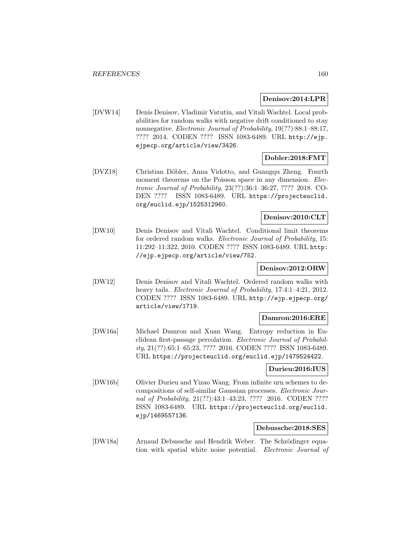### **Denisov:2014:LPR**

[DVW14] Denis Denisov, Vladimir Vatutin, and Vitali Wachtel. Local probabilities for random walks with negative drift conditioned to stay nonnegative. Electronic Journal of Probability, 19(??):88:1–88:17, ???? 2014. CODEN ???? ISSN 1083-6489. URL http://ejp. ejpecp.org/article/view/3426.

## **Dobler:2018:FMT**

[DVZ18] Christian D¨obler, Anna Vidotto, and Guangqu Zheng. Fourth moment theorems on the Poisson space in any dimension. Electronic Journal of Probability, 23(??):36:1–36:27, ???? 2018. CO-DEN ???? ISSN 1083-6489. URL https://projecteuclid. org/euclid.ejp/1525312960.

# **Denisov:2010:CLT**

[DW10] Denis Denisov and Vitali Wachtel. Conditional limit theorems for ordered random walks. *Electronic Journal of Probability*, 15: 11:292–11:322, 2010. CODEN ???? ISSN 1083-6489. URL http: //ejp.ejpecp.org/article/view/752.

### **Denisov:2012:ORW**

[DW12] Denis Denisov and Vitali Wachtel. Ordered random walks with heavy tails. Electronic Journal of Probability, 17:4:1-4:21, 2012. CODEN ???? ISSN 1083-6489. URL http://ejp.ejpecp.org/ article/view/1719.

#### **Damron:2016:ERE**

[DW16a] Michael Damron and Xuan Wang. Entropy reduction in Euclidean first-passage percolation. Electronic Journal of Probability, 21(??):65:1–65:23, ???? 2016. CODEN ???? ISSN 1083-6489. URL https://projecteuclid.org/euclid.ejp/1479524422.

#### **Durieu:2016:IUS**

[DW16b] Olivier Durieu and Yizao Wang. From infinite urn schemes to decompositions of self-similar Gaussian processes. Electronic Journal of Probability, 21(??):43:1-43:23, ???? 2016. CODEN ???? ISSN 1083-6489. URL https://projecteuclid.org/euclid. ejp/1469557136.

### **Debussche:2018:SES**

[DW18a] Arnaud Debussche and Hendrik Weber. The Schrödinger equation with spatial white noise potential. Electronic Journal of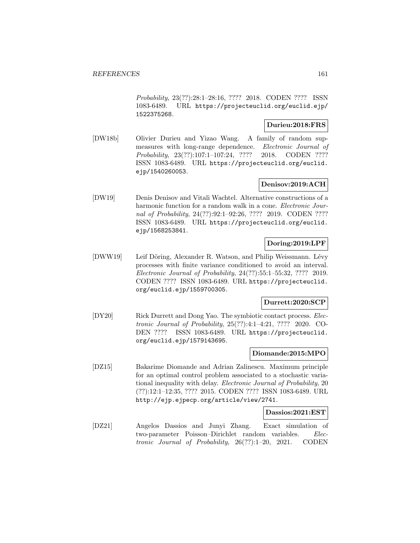Probability, 23(??):28:1–28:16, ???? 2018. CODEN ???? ISSN 1083-6489. URL https://projecteuclid.org/euclid.ejp/ 1522375268.

## **Durieu:2018:FRS**

[DW18b] Olivier Durieu and Yizao Wang. A family of random supmeasures with long-range dependence. Electronic Journal of Probability, 23(??):107:1–107:24, ???? 2018. CODEN ???? ISSN 1083-6489. URL https://projecteuclid.org/euclid. ejp/1540260053.

# **Denisov:2019:ACH**

[DW19] Denis Denisov and Vitali Wachtel. Alternative constructions of a harmonic function for a random walk in a cone. *Electronic Jour*nal of Probability, 24(??):92:1–92:26, ???? 2019. CODEN ???? ISSN 1083-6489. URL https://projecteuclid.org/euclid. ejp/1568253841.

# **Doring:2019:LPF**

[DWW19] Leif Döring, Alexander R. Watson, and Philip Weissmann. Lévy processes with finite variance conditioned to avoid an interval. Electronic Journal of Probability, 24(??):55:1–55:32, ???? 2019. CODEN ???? ISSN 1083-6489. URL https://projecteuclid. org/euclid.ejp/1559700305.

## **Durrett:2020:SCP**

[DY20] Rick Durrett and Dong Yao. The symbiotic contact process. *Elec*tronic Journal of Probability, 25(??):4:1–4:21, ???? 2020. CO-DEN ???? ISSN 1083-6489. URL https://projecteuclid. org/euclid.ejp/1579143695.

## **Diomande:2015:MPO**

[DZ15] Bakarime Diomande and Adrian Zalinescu. Maximum principle for an optimal control problem associated to a stochastic variational inequality with delay. Electronic Journal of Probability, 20 (??):12:1–12:35, ???? 2015. CODEN ???? ISSN 1083-6489. URL http://ejp.ejpecp.org/article/view/2741.

#### **Dassios:2021:EST**

[DZ21] Angelos Dassios and Junyi Zhang. Exact simulation of two-parameter Poisson–Dirichlet random variables. Electronic Journal of Probability, 26(??):1–20, 2021. CODEN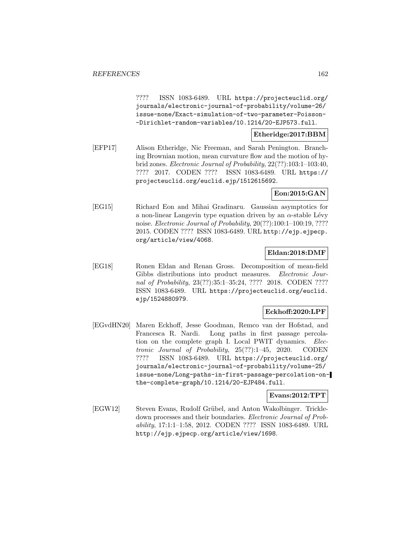???? ISSN 1083-6489. URL https://projecteuclid.org/ journals/electronic-journal-of-probability/volume-26/ issue-none/Exact-simulation-of-two-parameter-Poisson- -Dirichlet-random-variables/10.1214/20-EJP573.full.

## **Etheridge:2017:BBM**

[EFP17] Alison Etheridge, Nic Freeman, and Sarah Penington. Branching Brownian motion, mean curvature flow and the motion of hybrid zones. Electronic Journal of Probability, 22(??):103:1–103:40, ???? 2017. CODEN ???? ISSN 1083-6489. URL https:// projecteuclid.org/euclid.ejp/1512615692.

## **Eon:2015:GAN**

[EG15] Richard Eon and Mihai Gradinaru. Gaussian asymptotics for a non-linear Langevin type equation driven by an  $\alpha$ -stable Lévy noise. Electronic Journal of Probability, 20(??):100:1–100:19, ???? 2015. CODEN ???? ISSN 1083-6489. URL http://ejp.ejpecp. org/article/view/4068.

## **Eldan:2018:DMF**

[EG18] Ronen Eldan and Renan Gross. Decomposition of mean-field Gibbs distributions into product measures. Electronic Journal of Probability, 23(??):35:1-35:24, ???? 2018. CODEN ???? ISSN 1083-6489. URL https://projecteuclid.org/euclid. ejp/1524880979.

#### **Eckhoff:2020:LPF**

[EGvdHN20] Maren Eckhoff, Jesse Goodman, Remco van der Hofstad, and Francesca R. Nardi. Long paths in first passage percolation on the complete graph I. Local PWIT dynamics. Electronic Journal of Probability, 25(??):1–45, 2020. CODEN ???? ISSN 1083-6489. URL https://projecteuclid.org/ journals/electronic-journal-of-probability/volume-25/ issue-none/Long-paths-in-first-passage-percolation-onthe-complete-graph/10.1214/20-EJP484.full.

## **Evans:2012:TPT**

[EGW12] Steven Evans, Rudolf Grübel, and Anton Wakolbinger. Trickledown processes and their boundaries. Electronic Journal of Probability, 17:1:1–1:58, 2012. CODEN ???? ISSN 1083-6489. URL http://ejp.ejpecp.org/article/view/1698.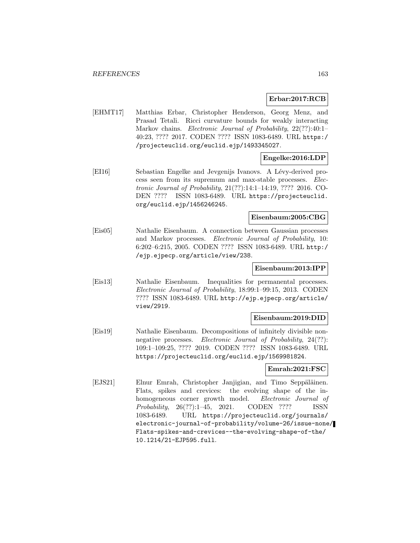## **Erbar:2017:RCB**

[EHMT17] Matthias Erbar, Christopher Henderson, Georg Menz, and Prasad Tetali. Ricci curvature bounds for weakly interacting Markov chains. *Electronic Journal of Probability*, 22(??):40:1-40:23, ???? 2017. CODEN ???? ISSN 1083-6489. URL https:/ /projecteuclid.org/euclid.ejp/1493345027.

## **Engelke:2016:LDP**

[EI16] Sebastian Engelke and Jevgenijs Ivanovs. A Lévy-derived process seen from its supremum and max-stable processes. Electronic Journal of Probability, 21(??):14:1–14:19, ???? 2016. CO-DEN ???? ISSN 1083-6489. URL https://projecteuclid. org/euclid.ejp/1456246245.

### **Eisenbaum:2005:CBG**

[Eis05] Nathalie Eisenbaum. A connection between Gaussian processes and Markov processes. Electronic Journal of Probability, 10: 6:202–6:215, 2005. CODEN ???? ISSN 1083-6489. URL http:/ /ejp.ejpecp.org/article/view/238.

### **Eisenbaum:2013:IPP**

[Eis13] Nathalie Eisenbaum. Inequalities for permanental processes. Electronic Journal of Probability, 18:99:1–99:15, 2013. CODEN ???? ISSN 1083-6489. URL http://ejp.ejpecp.org/article/ view/2919.

#### **Eisenbaum:2019:DID**

[Eis19] Nathalie Eisenbaum. Decompositions of infinitely divisible nonnegative processes. Electronic Journal of Probability, 24(??): 109:1–109:25, ???? 2019. CODEN ???? ISSN 1083-6489. URL https://projecteuclid.org/euclid.ejp/1569981824.

#### **Emrah:2021:FSC**

[EJS21] Elnur Emrah, Christopher Janjigian, and Timo Seppäläinen. Flats, spikes and crevices: the evolving shape of the inhomogeneous corner growth model. Electronic Journal of Probability, 26(??):1–45, 2021. CODEN ???? ISSN 1083-6489. URL https://projecteuclid.org/journals/ electronic-journal-of-probability/volume-26/issue-none/ Flats-spikes-and-crevices--the-evolving-shape-of-the/ 10.1214/21-EJP595.full.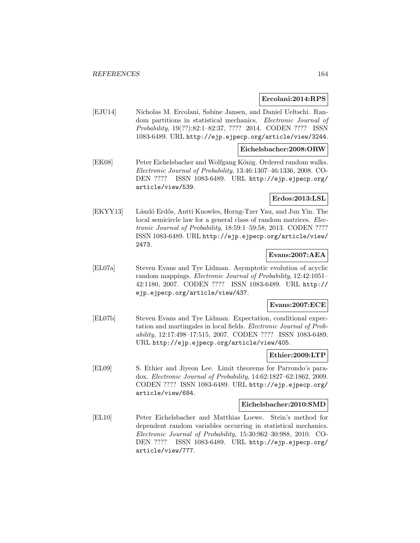### **Ercolani:2014:RPS**

[EJU14] Nicholas M. Ercolani, Sabine Jansen, and Daniel Ueltschi. Random partitions in statistical mechanics. Electronic Journal of Probability, 19(??):82:1–82:37, ???? 2014. CODEN ???? ISSN 1083-6489. URL http://ejp.ejpecp.org/article/view/3244.

#### **Eichelsbacher:2008:ORW**

[EK08] Peter Eichelsbacher and Wolfgang König. Ordered random walks. Electronic Journal of Probability, 13:46:1307–46:1336, 2008. CO-DEN ???? ISSN 1083-6489. URL http://ejp.ejpecp.org/ article/view/539.

## **Erdos:2013:LSL**

[EKYY13] László Erdős, Antti Knowles, Horng-Tzer Yau, and Jun Yin. The local semicircle law for a general class of random matrices. Electronic Journal of Probability, 18:59:1–59:58, 2013. CODEN ???? ISSN 1083-6489. URL http://ejp.ejpecp.org/article/view/ 2473.

## **Evans:2007:AEA**

[EL07a] Steven Evans and Tye Lidman. Asymptotic evolution of acyclic random mappings. Electronic Journal of Probability, 12:42:1051– 42:1180, 2007. CODEN ???? ISSN 1083-6489. URL http:// ejp.ejpecp.org/article/view/437.

# **Evans:2007:ECE**

[EL07b] Steven Evans and Tye Lidman. Expectation, conditional expectation and martingales in local fields. Electronic Journal of Probability, 12:17:498–17:515, 2007. CODEN ???? ISSN 1083-6489. URL http://ejp.ejpecp.org/article/view/405.

### **Ethier:2009:LTP**

[EL09] S. Ethier and Jiyeon Lee. Limit theorems for Parrondo's paradox. Electronic Journal of Probability, 14:62:1827–62:1862, 2009. CODEN ???? ISSN 1083-6489. URL http://ejp.ejpecp.org/ article/view/684.

#### **Eichelsbacher:2010:SMD**

[EL10] Peter Eichelsbacher and Matthias Loewe. Stein's method for dependent random variables occurring in statistical mechanics. Electronic Journal of Probability, 15:30:962–30:988, 2010. CO-DEN ???? ISSN 1083-6489. URL http://ejp.ejpecp.org/ article/view/777.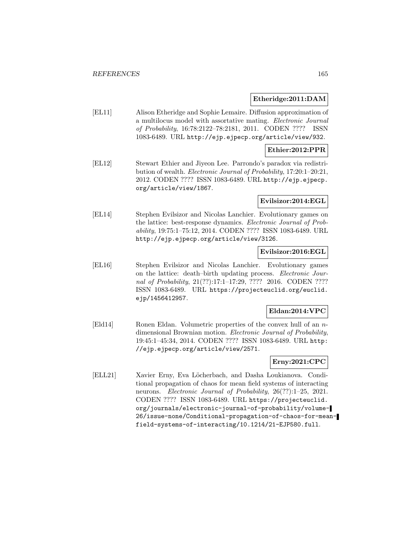### **Etheridge:2011:DAM**

[EL11] Alison Etheridge and Sophie Lemaire. Diffusion approximation of a multilocus model with assortative mating. Electronic Journal of Probability, 16:78:2122–78:2181, 2011. CODEN ???? ISSN 1083-6489. URL http://ejp.ejpecp.org/article/view/932.

## **Ethier:2012:PPR**

[EL12] Stewart Ethier and Jiyeon Lee. Parrondo's paradox via redistribution of wealth. Electronic Journal of Probability, 17:20:1–20:21, 2012. CODEN ???? ISSN 1083-6489. URL http://ejp.ejpecp. org/article/view/1867.

## **Evilsizor:2014:EGL**

[EL14] Stephen Evilsizor and Nicolas Lanchier. Evolutionary games on the lattice: best-response dynamics. Electronic Journal of Probability, 19:75:1–75:12, 2014. CODEN ???? ISSN 1083-6489. URL http://ejp.ejpecp.org/article/view/3126.

## **Evilsizor:2016:EGL**

[EL16] Stephen Evilsizor and Nicolas Lanchier. Evolutionary games on the lattice: death–birth updating process. Electronic Journal of Probability, 21(??):17:1-17:29, ???? 2016. CODEN ???? ISSN 1083-6489. URL https://projecteuclid.org/euclid. ejp/1456412957.

# **Eldan:2014:VPC**

[Eld14] Ronen Eldan. Volumetric properties of the convex hull of an ndimensional Brownian motion. Electronic Journal of Probability, 19:45:1–45:34, 2014. CODEN ???? ISSN 1083-6489. URL http: //ejp.ejpecp.org/article/view/2571.

# **Erny:2021:CPC**

[ELL21] Xavier Erny, Eva Löcherbach, and Dasha Loukianova. Conditional propagation of chaos for mean field systems of interacting neurons. Electronic Journal of Probability, 26(??):1-25, 2021. CODEN ???? ISSN 1083-6489. URL https://projecteuclid. org/journals/electronic-journal-of-probability/volume-26/issue-none/Conditional-propagation-of-chaos-for-meanfield-systems-of-interacting/10.1214/21-EJP580.full.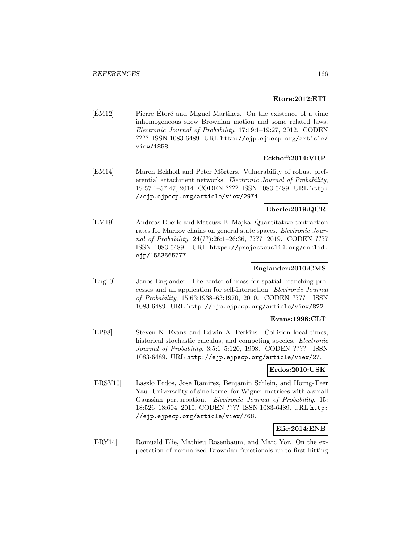### **Etore:2012:ETI**

 $[\text{EM12}]$  Pierre Étoré and Miguel Martinez. On the existence of a time inhomogeneous skew Brownian motion and some related laws. Electronic Journal of Probability, 17:19:1–19:27, 2012. CODEN ???? ISSN 1083-6489. URL http://ejp.ejpecp.org/article/ view/1858.

## **Eckhoff:2014:VRP**

[EM14] Maren Eckhoff and Peter Mörters. Vulnerability of robust preferential attachment networks. Electronic Journal of Probability, 19:57:1–57:47, 2014. CODEN ???? ISSN 1083-6489. URL http: //ejp.ejpecp.org/article/view/2974.

# **Eberle:2019:QCR**

[EM19] Andreas Eberle and Mateusz B. Majka. Quantitative contraction rates for Markov chains on general state spaces. Electronic Journal of Probability, 24(??):26:1-26:36, ???? 2019. CODEN ???? ISSN 1083-6489. URL https://projecteuclid.org/euclid. ejp/1553565777.

## **Englander:2010:CMS**

[Eng10] Janos Englander. The center of mass for spatial branching processes and an application for self-interaction. Electronic Journal of Probability, 15:63:1938–63:1970, 2010. CODEN ???? ISSN 1083-6489. URL http://ejp.ejpecp.org/article/view/822.

# **Evans:1998:CLT**

[EP98] Steven N. Evans and Edwin A. Perkins. Collision local times, historical stochastic calculus, and competing species. Electronic Journal of Probability, 3:5:1–5:120, 1998. CODEN ???? ISSN 1083-6489. URL http://ejp.ejpecp.org/article/view/27.

## **Erdos:2010:USK**

[ERSY10] Laszlo Erdos, Jose Ramirez, Benjamin Schlein, and Horng-Tzer Yau. Universality of sine-kernel for Wigner matrices with a small Gaussian perturbation. Electronic Journal of Probability, 15: 18:526–18:604, 2010. CODEN ???? ISSN 1083-6489. URL http: //ejp.ejpecp.org/article/view/768.

## **Elie:2014:ENB**

[ERY14] Romuald Elie, Mathieu Rosenbaum, and Marc Yor. On the expectation of normalized Brownian functionals up to first hitting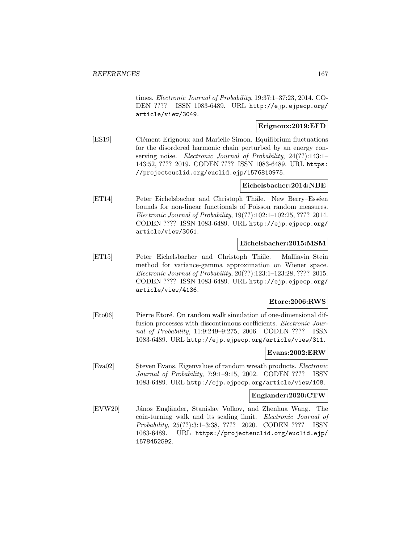times. Electronic Journal of Probability, 19:37:1–37:23, 2014. CO-DEN ???? ISSN 1083-6489. URL http://ejp.ejpecp.org/ article/view/3049.

## **Erignoux:2019:EFD**

[ES19] Clément Erignoux and Marielle Simon. Equilibrium fluctuations for the disordered harmonic chain perturbed by an energy conserving noise. Electronic Journal of Probability, 24(??):143:1-143:52, ???? 2019. CODEN ???? ISSN 1083-6489. URL https: //projecteuclid.org/euclid.ejp/1576810975.

## **Eichelsbacher:2014:NBE**

[ET14] Peter Eichelsbacher and Christoph Thäle. New Berry–Esséen bounds for non-linear functionals of Poisson random measures. Electronic Journal of Probability, 19(??):102:1–102:25, ???? 2014. CODEN ???? ISSN 1083-6489. URL http://ejp.ejpecp.org/ article/view/3061.

## **Eichelsbacher:2015:MSM**

[ET15] Peter Eichelsbacher and Christoph Thäle. Malliavin–Stein method for variance-gamma approximation on Wiener space. Electronic Journal of Probability, 20(??):123:1–123:28, ???? 2015. CODEN ???? ISSN 1083-6489. URL http://ejp.ejpecp.org/ article/view/4136.

# **Etore:2006:RWS**

[Eto06] Pierre Etoré. On random walk simulation of one-dimensional diffusion processes with discontinuous coefficients. Electronic Journal of Probability, 11:9:249–9:275, 2006. CODEN ???? ISSN 1083-6489. URL http://ejp.ejpecp.org/article/view/311.

## **Evans:2002:ERW**

[Eva02] Steven Evans. Eigenvalues of random wreath products. Electronic Journal of Probability, 7:9:1–9:15, 2002. CODEN ???? ISSN 1083-6489. URL http://ejp.ejpecp.org/article/view/108.

# **Englander:2020:CTW**

[EVW20] János Engländer, Stanislav Volkov, and Zhenhua Wang. The coin-turning walk and its scaling limit. Electronic Journal of Probability, 25(??):3:1–3:38, ???? 2020. CODEN ???? ISSN 1083-6489. URL https://projecteuclid.org/euclid.ejp/ 1578452592.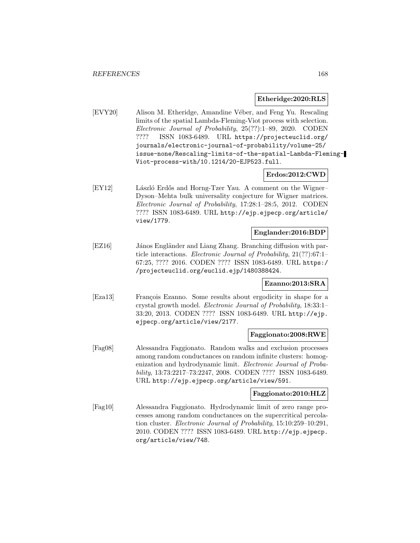#### **Etheridge:2020:RLS**

[EVY20] Alison M. Etheridge, Amandine Véber, and Feng Yu. Rescaling limits of the spatial Lambda-Fleming-Viot process with selection. Electronic Journal of Probability, 25(??):1–89, 2020. CODEN ???? ISSN 1083-6489. URL https://projecteuclid.org/ journals/electronic-journal-of-probability/volume-25/ issue-none/Rescaling-limits-of-the-spatial-Lambda-Fleming-Viot-process-with/10.1214/20-EJP523.full.

### **Erdos:2012:CWD**

[EY12] László Erdős and Horng-Tzer Yau. A comment on the Wigner– Dyson–Mehta bulk universality conjecture for Wigner matrices. Electronic Journal of Probability, 17:28:1–28:5, 2012. CODEN ???? ISSN 1083-6489. URL http://ejp.ejpecp.org/article/ view/1779.

### **Englander:2016:BDP**

[EZ16] János Engländer and Liang Zhang. Branching diffusion with particle interactions. Electronic Journal of Probability, 21(??):67:1– 67:25, ???? 2016. CODEN ???? ISSN 1083-6489. URL https:/ /projecteuclid.org/euclid.ejp/1480388424.

## **Ezanno:2013:SRA**

[Eza13] François Ezanno. Some results about ergodicity in shape for a crystal growth model. Electronic Journal of Probability, 18:33:1– 33:20, 2013. CODEN ???? ISSN 1083-6489. URL http://ejp. ejpecp.org/article/view/2177.

#### **Faggionato:2008:RWE**

[Fag08] Alessandra Faggionato. Random walks and exclusion processes among random conductances on random infinite clusters: homogenization and hydrodynamic limit. Electronic Journal of Probability, 13:73:2217–73:2247, 2008. CODEN ???? ISSN 1083-6489. URL http://ejp.ejpecp.org/article/view/591.

### **Faggionato:2010:HLZ**

[Fag10] Alessandra Faggionato. Hydrodynamic limit of zero range processes among random conductances on the supercritical percolation cluster. Electronic Journal of Probability, 15:10:259–10:291, 2010. CODEN ???? ISSN 1083-6489. URL http://ejp.ejpecp. org/article/view/748.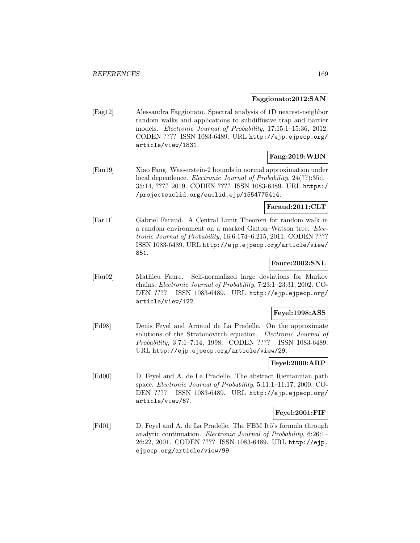## **Faggionato:2012:SAN**

[Fag12] Alessandra Faggionato. Spectral analysis of 1D nearest-neighbor random walks and applications to subdiffusive trap and barrier models. Electronic Journal of Probability, 17:15:1–15:36, 2012. CODEN ???? ISSN 1083-6489. URL http://ejp.ejpecp.org/ article/view/1831.

# **Fang:2019:WBN**

[Fan19] Xiao Fang. Wasserstein-2 bounds in normal approximation under local dependence. Electronic Journal of Probability, 24(??):35:1– 35:14, ???? 2019. CODEN ???? ISSN 1083-6489. URL https:/ /projecteuclid.org/euclid.ejp/1554775414.

## **Faraud:2011:CLT**

[Far11] Gabriel Faraud. A Central Limit Theorem for random walk in a random environment on a marked Galton–Watson tree. Electronic Journal of Probability, 16:6:174–6:215, 2011. CODEN ???? ISSN 1083-6489. URL http://ejp.ejpecp.org/article/view/ 851.

## **Faure:2002:SNL**

[Fau02] Mathieu Faure. Self-normalized large deviations for Markov chains. Electronic Journal of Probability, 7:23:1–23:31, 2002. CO-DEN ???? ISSN 1083-6489. URL http://ejp.ejpecp.org/ article/view/122.

## **Feyel:1998:ASS**

[Fd98] Denis Feyel and Arnaud de La Pradelle. On the approximate solutions of the Stratonovitch equation. Electronic Journal of Probability, 3:7:1–7:14, 1998. CODEN ???? ISSN 1083-6489. URL http://ejp.ejpecp.org/article/view/29.

## **Feyel:2000:ARP**

[Fd00] D. Feyel and A. de La Pradelle. The abstract Riemannian path space. Electronic Journal of Probability, 5:11:1–11:17, 2000. CO-DEN ???? ISSN 1083-6489. URL http://ejp.ejpecp.org/ article/view/67.

#### **Feyel:2001:FIF**

[Fd01] D. Feyel and A. de La Pradelle. The FBM Itô's formula through analytic continuation. Electronic Journal of Probability, 6:26:1– 26:22, 2001. CODEN ???? ISSN 1083-6489. URL http://ejp. ejpecp.org/article/view/99.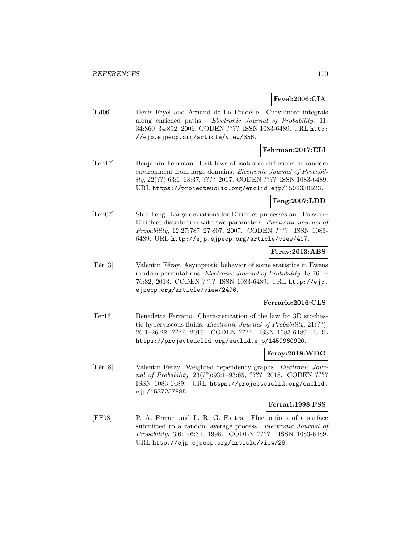## **Feyel:2006:CIA**

[Fd06] Denis Feyel and Arnaud de La Pradelle. Curvilinear integrals along enriched paths. Electronic Journal of Probability, 11: 34:860–34:892, 2006. CODEN ???? ISSN 1083-6489. URL http: //ejp.ejpecp.org/article/view/356.

## **Fehrman:2017:ELI**

[Feh17] Benjamin Fehrman. Exit laws of isotropic diffusions in random environment from large domains. Electronic Journal of Probability, 22(??):63:1–63:37, ???? 2017. CODEN ???? ISSN 1083-6489. URL https://projecteuclid.org/euclid.ejp/1502330523.

### **Feng:2007:LDD**

[Fen07] Shui Feng. Large deviations for Dirichlet processes and Poisson– Dirichlet distribution with two parameters. Electronic Journal of Probability, 12:27:787–27:807, 2007. CODEN ???? ISSN 1083- 6489. URL http://ejp.ejpecp.org/article/view/417.

### **Feray:2013:ABS**

[Fér13] Valentin Féray. Asymptotic behavior of some statistics in Ewens random permutations. Electronic Journal of Probability, 18:76:1– 76:32, 2013. CODEN ???? ISSN 1083-6489. URL http://ejp. ejpecp.org/article/view/2496.

## **Ferrario:2016:CLS**

[Fer16] Benedetta Ferrario. Characterization of the law for 3D stochastic hyperviscous fluids. Electronic Journal of Probability, 21(??): 26:1–26:22, ???? 2016. CODEN ???? ISSN 1083-6489. URL https://projecteuclid.org/euclid.ejp/1459960920.

### **Feray:2018:WDG**

[Fermulated] Valentin Feray. Weighted dependency graphs. *Electronic Jour*nal of Probability, 23(??):93:1-93:65, ???? 2018. CODEN ???? ISSN 1083-6489. URL https://projecteuclid.org/euclid. ejp/1537257885.

## **Ferrari:1998:FSS**

[FF98] P. A. Ferrari and L. R. G. Fontes. Fluctuations of a surface submitted to a random average process. Electronic Journal of Probability, 3:6:1–6:34, 1998. CODEN ???? ISSN 1083-6489. URL http://ejp.ejpecp.org/article/view/28.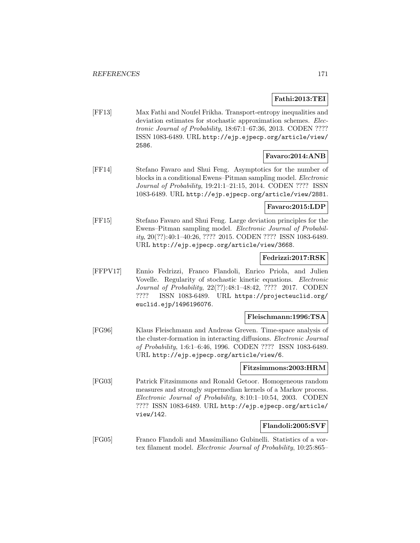# **Fathi:2013:TEI**

[FF13] Max Fathi and Noufel Frikha. Transport-entropy inequalities and deviation estimates for stochastic approximation schemes. *Elec*tronic Journal of Probability, 18:67:1–67:36, 2013. CODEN ???? ISSN 1083-6489. URL http://ejp.ejpecp.org/article/view/ 2586.

## **Favaro:2014:ANB**

[FF14] Stefano Favaro and Shui Feng. Asymptotics for the number of blocks in a conditional Ewens–Pitman sampling model. Electronic Journal of Probability, 19:21:1–21:15, 2014. CODEN ???? ISSN 1083-6489. URL http://ejp.ejpecp.org/article/view/2881.

## **Favaro:2015:LDP**

[FF15] Stefano Favaro and Shui Feng. Large deviation principles for the Ewens–Pitman sampling model. Electronic Journal of Probability, 20(??):40:1–40:26, ???? 2015. CODEN ???? ISSN 1083-6489. URL http://ejp.ejpecp.org/article/view/3668.

## **Fedrizzi:2017:RSK**

[FFPV17] Ennio Fedrizzi, Franco Flandoli, Enrico Priola, and Julien Vovelle. Regularity of stochastic kinetic equations. Electronic Journal of Probability, 22(??):48:1–48:42, ???? 2017. CODEN ???? ISSN 1083-6489. URL https://projecteuclid.org/ euclid.ejp/1496196076.

## **Fleischmann:1996:TSA**

[FG96] Klaus Fleischmann and Andreas Greven. Time-space analysis of the cluster-formation in interacting diffusions. Electronic Journal of Probability, 1:6:1–6:46, 1996. CODEN ???? ISSN 1083-6489. URL http://ejp.ejpecp.org/article/view/6.

## **Fitzsimmons:2003:HRM**

[FG03] Patrick Fitzsimmons and Ronald Getoor. Homogeneous random measures and strongly supermedian kernels of a Markov process. Electronic Journal of Probability, 8:10:1–10:54, 2003. CODEN ???? ISSN 1083-6489. URL http://ejp.ejpecp.org/article/ view/142.

# **Flandoli:2005:SVF**

[FG05] Franco Flandoli and Massimiliano Gubinelli. Statistics of a vortex filament model. Electronic Journal of Probability, 10:25:865–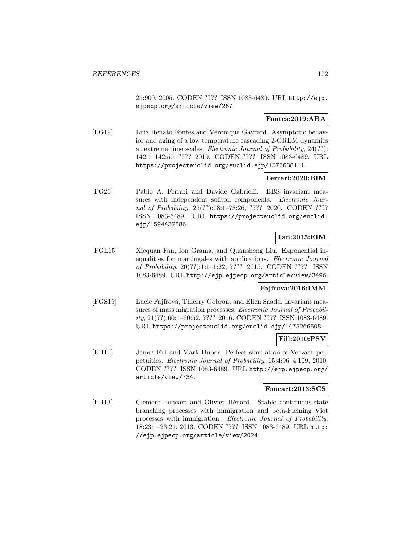25:900, 2005. CODEN ???? ISSN 1083-6489. URL http://ejp. ejpecp.org/article/view/267.

## **Fontes:2019:ABA**

[FG19] Luiz Renato Fontes and Véronique Gayrard. Asymptotic behavior and aging of a low temperature cascading 2-GREM dynamics at extreme time scales. Electronic Journal of Probability, 24(??): 142:1–142:50, ???? 2019. CODEN ???? ISSN 1083-6489. URL https://projecteuclid.org/euclid.ejp/1576638111.

## **Ferrari:2020:BIM**

[FG20] Pablo A. Ferrari and Davide Gabrielli. BBS invariant measures with independent soliton components. Electronic Journal of Probability, 25(??):78:1–78:26, ???? 2020. CODEN ???? ISSN 1083-6489. URL https://projecteuclid.org/euclid. ejp/1594432886.

# **Fan:2015:EIM**

[FGL15] Xiequan Fan, Ion Grama, and Quansheng Liu. Exponential inequalities for martingales with applications. Electronic Journal of Probability, 20(??):1:1–1:22, ???? 2015. CODEN ???? ISSN 1083-6489. URL http://ejp.ejpecp.org/article/view/3496.

# **Fajfrova:2016:IMM**

[FGS16] Lucie Fajfrová, Thierry Gobron, and Ellen Saada. Invariant measures of mass migration processes. Electronic Journal of Probability, 21(??):60:1–60:52, ???? 2016. CODEN ???? ISSN 1083-6489. URL https://projecteuclid.org/euclid.ejp/1475266508.

# **Fill:2010:PSV**

[FH10] James Fill and Mark Huber. Perfect simulation of Vervaat perpetuities. Electronic Journal of Probability, 15:4:96–4:109, 2010. CODEN ???? ISSN 1083-6489. URL http://ejp.ejpecp.org/ article/view/734.

## **Foucart:2013:SCS**

[FH13] Clément Foucart and Olivier Hénard. Stable continuous-state branching processes with immigration and beta-Fleming–Viot processes with immigration. Electronic Journal of Probability, 18:23:1–23:21, 2013. CODEN ???? ISSN 1083-6489. URL http: //ejp.ejpecp.org/article/view/2024.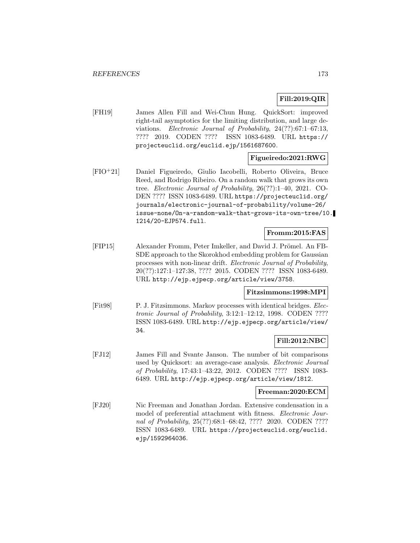# **Fill:2019:QIR**

[FH19] James Allen Fill and Wei-Chun Hung. QuickSort: improved right-tail asymptotics for the limiting distribution, and large deviations. Electronic Journal of Probability, 24(??):67:1–67:13, ???? 2019. CODEN ???? ISSN 1083-6489. URL https:// projecteuclid.org/euclid.ejp/1561687600.

# **Figueiredo:2021:RWG**

[FIO<sup>+</sup>21] Daniel Figueiredo, Giulio Iacobelli, Roberto Oliveira, Bruce Reed, and Rodrigo Ribeiro. On a random walk that grows its own tree. Electronic Journal of Probability, 26(??):1–40, 2021. CO-DEN ???? ISSN 1083-6489. URL https://projecteuclid.org/ journals/electronic-journal-of-probability/volume-26/ issue-none/On-a-random-walk-that-grows-its-own-tree/10. 1214/20-EJP574.full.

## **Fromm:2015:FAS**

[FIP15] Alexander Fromm, Peter Imkeller, and David J. Prömel. An FB-SDE approach to the Skorokhod embedding problem for Gaussian processes with non-linear drift. Electronic Journal of Probability, 20(??):127:1–127:38, ???? 2015. CODEN ???? ISSN 1083-6489. URL http://ejp.ejpecp.org/article/view/3758.

## **Fitzsimmons:1998:MPI**

[Fit98] P. J. Fitzsimmons. Markov processes with identical bridges. Electronic Journal of Probability, 3:12:1–12:12, 1998. CODEN ???? ISSN 1083-6489. URL http://ejp.ejpecp.org/article/view/ 34.

## **Fill:2012:NBC**

[FJ12] James Fill and Svante Janson. The number of bit comparisons used by Quicksort: an average-case analysis. Electronic Journal of Probability, 17:43:1–43:22, 2012. CODEN ???? ISSN 1083- 6489. URL http://ejp.ejpecp.org/article/view/1812.

#### **Freeman:2020:ECM**

[FJ20] Nic Freeman and Jonathan Jordan. Extensive condensation in a model of preferential attachment with fitness. Electronic Journal of Probability, 25(??):68:1–68:42, ???? 2020. CODEN ???? ISSN 1083-6489. URL https://projecteuclid.org/euclid. ejp/1592964036.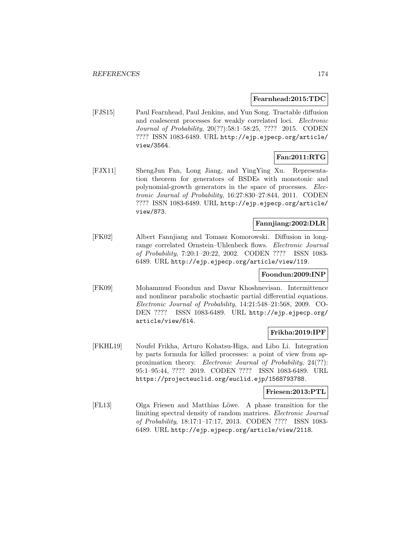### **Fearnhead:2015:TDC**

[FJS15] Paul Fearnhead, Paul Jenkins, and Yun Song. Tractable diffusion and coalescent processes for weakly correlated loci. Electronic Journal of Probability, 20(??):58:1–58:25, ???? 2015. CODEN ???? ISSN 1083-6489. URL http://ejp.ejpecp.org/article/ view/3564.

# **Fan:2011:RTG**

[FJX11] ShengJun Fan, Long Jiang, and YingYing Xu. Representation theorem for generators of BSDEs with monotonic and polynomial-growth generators in the space of processes. Electronic Journal of Probability, 16:27:830–27:844, 2011. CODEN ???? ISSN 1083-6489. URL http://ejp.ejpecp.org/article/ view/873.

# **Fannjiang:2002:DLR**

[FK02] Albert Fannjiang and Tomasz Komorowski. Diffusion in longrange correlated Ornstein–Uhlenbeck flows. Electronic Journal of Probability, 7:20:1–20:22, 2002. CODEN ???? ISSN 1083- 6489. URL http://ejp.ejpecp.org/article/view/119.

## **Foondun:2009:INP**

[FK09] Mohammud Foondun and Davar Khoshnevisan. Intermittence and nonlinear parabolic stochastic partial differential equations. Electronic Journal of Probability, 14:21:548–21:568, 2009. CO-DEN ???? ISSN 1083-6489. URL http://ejp.ejpecp.org/ article/view/614.

# **Frikha:2019:IPF**

[FKHL19] Noufel Frikha, Arturo Kohatsu-Higa, and Libo Li. Integration by parts formula for killed processes: a point of view from approximation theory. Electronic Journal of Probability, 24(??): 95:1–95:44, ???? 2019. CODEN ???? ISSN 1083-6489. URL https://projecteuclid.org/euclid.ejp/1568793788.

### **Friesen:2013:PTL**

[FL13] Olga Friesen and Matthias L¨owe. A phase transition for the limiting spectral density of random matrices. Electronic Journal of Probability, 18:17:1–17:17, 2013. CODEN ???? ISSN 1083- 6489. URL http://ejp.ejpecp.org/article/view/2118.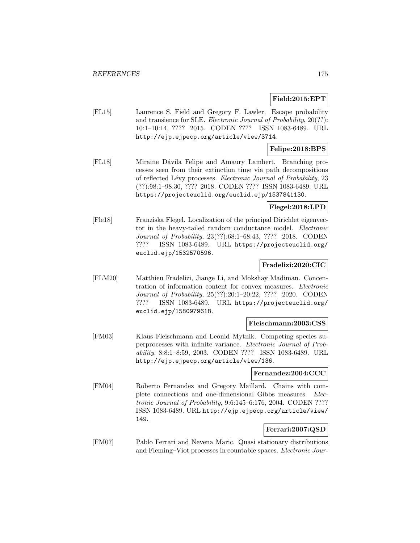## **Field:2015:EPT**

[FL15] Laurence S. Field and Gregory F. Lawler. Escape probability and transience for SLE. Electronic Journal of Probability, 20(??): 10:1–10:14, ???? 2015. CODEN ???? ISSN 1083-6489. URL http://ejp.ejpecp.org/article/view/3714.

# **Felipe:2018:BPS**

[FL18] Miraine Dávila Felipe and Amaury Lambert. Branching processes seen from their extinction time via path decompositions of reflected Lévy processes. Electronic Journal of Probability, 23 (??):98:1–98:30, ???? 2018. CODEN ???? ISSN 1083-6489. URL https://projecteuclid.org/euclid.ejp/1537841130.

## **Flegel:2018:LPD**

[Fle18] Franziska Flegel. Localization of the principal Dirichlet eigenvector in the heavy-tailed random conductance model. Electronic Journal of Probability, 23(??):68:1–68:43, ???? 2018. CODEN ???? ISSN 1083-6489. URL https://projecteuclid.org/ euclid.ejp/1532570596.

## **Fradelizi:2020:CIC**

[FLM20] Matthieu Fradelizi, Jiange Li, and Mokshay Madiman. Concentration of information content for convex measures. Electronic Journal of Probability, 25(??):20:1–20:22, ???? 2020. CODEN ???? ISSN 1083-6489. URL https://projecteuclid.org/ euclid.ejp/1580979618.

#### **Fleischmann:2003:CSS**

[FM03] Klaus Fleischmann and Leonid Mytnik. Competing species superprocesses with infinite variance. Electronic Journal of Probability, 8:8:1–8:59, 2003. CODEN ???? ISSN 1083-6489. URL http://ejp.ejpecp.org/article/view/136.

## **Fernandez:2004:CCC**

[FM04] Roberto Fernandez and Gregory Maillard. Chains with complete connections and one-dimensional Gibbs measures. Electronic Journal of Probability, 9:6:145–6:176, 2004. CODEN ???? ISSN 1083-6489. URL http://ejp.ejpecp.org/article/view/ 149.

# **Ferrari:2007:QSD**

[FM07] Pablo Ferrari and Nevena Maric. Quasi stationary distributions and Fleming–Viot processes in countable spaces. Electronic Jour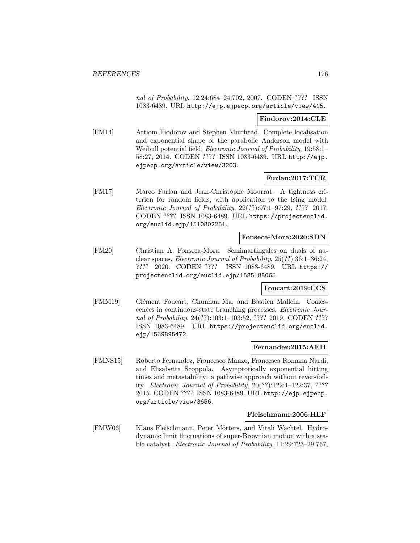nal of Probability, 12:24:684–24:702, 2007. CODEN ???? ISSN 1083-6489. URL http://ejp.ejpecp.org/article/view/415.

## **Fiodorov:2014:CLE**

[FM14] Artiom Fiodorov and Stephen Muirhead. Complete localisation and exponential shape of the parabolic Anderson model with Weibull potential field. Electronic Journal of Probability, 19:58:1– 58:27, 2014. CODEN ???? ISSN 1083-6489. URL http://ejp. ejpecp.org/article/view/3203.

## **Furlan:2017:TCR**

[FM17] Marco Furlan and Jean-Christophe Mourrat. A tightness criterion for random fields, with application to the Ising model. Electronic Journal of Probability, 22(??):97:1–97:29, ???? 2017. CODEN ???? ISSN 1083-6489. URL https://projecteuclid. org/euclid.ejp/1510802251.

# **Fonseca-Mora:2020:SDN**

[FM20] Christian A. Fonseca-Mora. Semimartingales on duals of nuclear spaces. Electronic Journal of Probability, 25(??):36:1–36:24, ???? 2020. CODEN ???? ISSN 1083-6489. URL https:// projecteuclid.org/euclid.ejp/1585188065.

## **Foucart:2019:CCS**

[FMM19] Clément Foucart, Chunhua Ma, and Bastien Mallein. Coalescences in continuous-state branching processes. Electronic Journal of Probability, 24(??):103:1–103:52, ???? 2019. CODEN ???? ISSN 1083-6489. URL https://projecteuclid.org/euclid. ejp/1569895472.

## **Fernandez:2015:AEH**

[FMNS15] Roberto Fernandez, Francesco Manzo, Francesca Romana Nardi, and Elisabetta Scoppola. Asymptotically exponential hitting times and metastability: a pathwise approach without reversibility. Electronic Journal of Probability, 20(??):122:1–122:37, ???? 2015. CODEN ???? ISSN 1083-6489. URL http://ejp.ejpecp. org/article/view/3656.

#### **Fleischmann:2006:HLF**

[FMW06] Klaus Fleischmann, Peter Mörters, and Vitali Wachtel. Hydrodynamic limit fluctuations of super-Brownian motion with a stable catalyst. Electronic Journal of Probability, 11:29:723–29:767,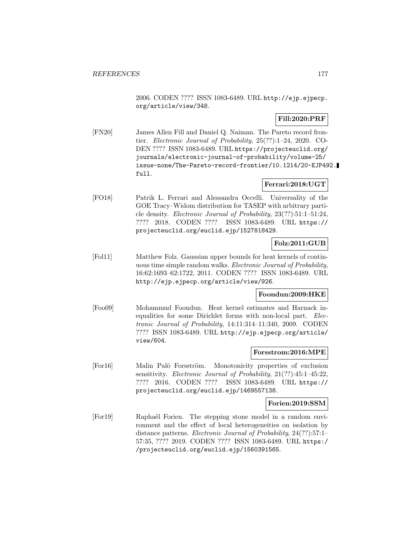2006. CODEN ???? ISSN 1083-6489. URL http://ejp.ejpecp. org/article/view/348.

# **Fill:2020:PRF**

[FN20] James Allen Fill and Daniel Q. Naiman. The Pareto record frontier. Electronic Journal of Probability, 25(??):1–24, 2020. CO-DEN ???? ISSN 1083-6489. URL https://projecteuclid.org/ journals/electronic-journal-of-probability/volume-25/ issue-none/The-Pareto-record-frontier/10.1214/20-EJP492. full.

## **Ferrari:2018:UGT**

[FO18] Patrik L. Ferrari and Alessandra Occelli. Universality of the GOE Tracy–Widom distribution for TASEP with arbitrary particle density. Electronic Journal of Probability, 23(??):51:1–51:24, ???? 2018. CODEN ???? ISSN 1083-6489. URL https:// projecteuclid.org/euclid.ejp/1527818429.

# **Folz:2011:GUB**

[Fol11] Matthew Folz. Gaussian upper bounds for heat kernels of continuous time simple random walks. Electronic Journal of Probability, 16:62:1693–62:1722, 2011. CODEN ???? ISSN 1083-6489. URL http://ejp.ejpecp.org/article/view/926.

## **Foondun:2009:HKE**

[Foo09] Mohammud Foondun. Heat kernel estimates and Harnack inequalities for some Dirichlet forms with non-local part. Electronic Journal of Probability, 14:11:314–11:340, 2009. CODEN ???? ISSN 1083-6489. URL http://ejp.ejpecp.org/article/ view/604.

## **Forsstrom:2016:MPE**

[For16] Malin Palö Forsström. Monotonicity properties of exclusion sensitivity. Electronic Journal of Probability, 21(??):45:1–45:22, ???? 2016. CODEN ???? ISSN 1083-6489. URL https:// projecteuclid.org/euclid.ejp/1469557138.

## **Forien:2019:SSM**

[For19] Rapha¨el Forien. The stepping stone model in a random environment and the effect of local heterogeneities on isolation by distance patterns. Electronic Journal of Probability, 24(??):57:1– 57:35, ???? 2019. CODEN ???? ISSN 1083-6489. URL https:/ /projecteuclid.org/euclid.ejp/1560391565.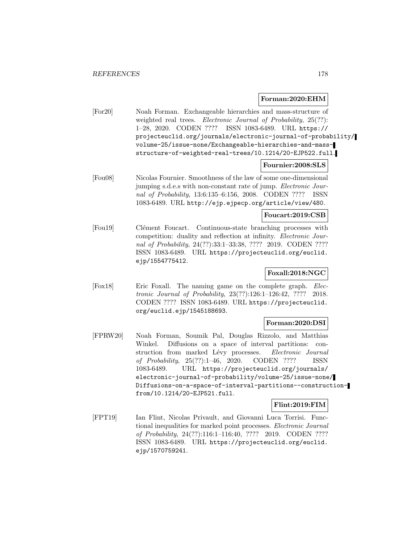### **Forman:2020:EHM**

[For20] Noah Forman. Exchangeable hierarchies and mass-structure of weighted real trees. Electronic Journal of Probability, 25(??): 1–28, 2020. CODEN ???? ISSN 1083-6489. URL https:// projecteuclid.org/journals/electronic-journal-of-probability/ volume-25/issue-none/Exchangeable-hierarchies-and-massstructure-of-weighted-real-trees/10.1214/20-EJP522.full.

## **Fournier:2008:SLS**

[Fou08] Nicolas Fournier. Smoothness of the law of some one-dimensional jumping s.d.e.s with non-constant rate of jump. Electronic Journal of Probability, 13:6:135–6:156, 2008. CODEN ???? ISSN 1083-6489. URL http://ejp.ejpecp.org/article/view/480.

## **Foucart:2019:CSB**

[Fou19] Clément Foucart. Continuous-state branching processes with competition: duality and reflection at infinity. Electronic Journal of Probability, 24(??):33:1-33:38, ???? 2019. CODEN ???? ISSN 1083-6489. URL https://projecteuclid.org/euclid. ejp/1554775412.

# **Foxall:2018:NGC**

[Fox18] Eric Foxall. The naming game on the complete graph. Electronic Journal of Probability, 23(??):126:1–126:42, ???? 2018. CODEN ???? ISSN 1083-6489. URL https://projecteuclid. org/euclid.ejp/1545188693.

## **Forman:2020:DSI**

[FPRW20] Noah Forman, Soumik Pal, Douglas Rizzolo, and Matthias Winkel. Diffusions on a space of interval partitions: construction from marked Lévy processes. Electronic Journal of Probability, 25(??):1–46, 2020. CODEN ???? ISSN 1083-6489. URL https://projecteuclid.org/journals/ electronic-journal-of-probability/volume-25/issue-none/ Diffusions-on-a-space-of-interval-partitions--constructionfrom/10.1214/20-EJP521.full.

## **Flint:2019:FIM**

[FPT19] Ian Flint, Nicolas Privault, and Giovanni Luca Torrisi. Functional inequalities for marked point processes. Electronic Journal of Probability, 24(??):116:1–116:40, ???? 2019. CODEN ???? ISSN 1083-6489. URL https://projecteuclid.org/euclid. ejp/1570759241.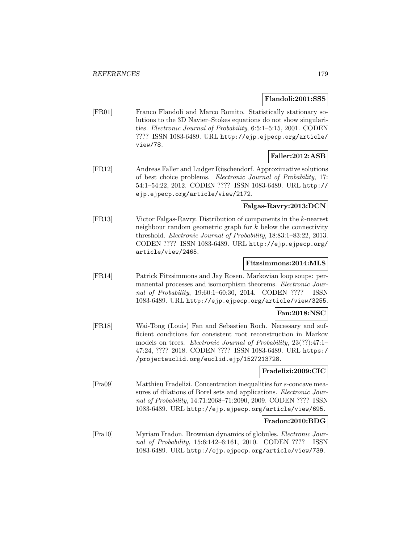### **Flandoli:2001:SSS**

[FR01] Franco Flandoli and Marco Romito. Statistically stationary solutions to the 3D Navier–Stokes equations do not show singularities. Electronic Journal of Probability, 6:5:1–5:15, 2001. CODEN ???? ISSN 1083-6489. URL http://ejp.ejpecp.org/article/ view/78.

# **Faller:2012:ASB**

[FR12] Andreas Faller and Ludger Rüschendorf. Approximative solutions of best choice problems. Electronic Journal of Probability, 17: 54:1–54:22, 2012. CODEN ???? ISSN 1083-6489. URL http:// ejp.ejpecp.org/article/view/2172.

## **Falgas-Ravry:2013:DCN**

[FR13] Victor Falgas-Ravry. Distribution of components in the k-nearest neighbour random geometric graph for k below the connectivity threshold. Electronic Journal of Probability, 18:83:1–83:22, 2013. CODEN ???? ISSN 1083-6489. URL http://ejp.ejpecp.org/ article/view/2465.

# **Fitzsimmons:2014:MLS**

[FR14] Patrick Fitzsimmons and Jay Rosen. Markovian loop soups: permanental processes and isomorphism theorems. Electronic Journal of Probability, 19:60:1–60:30, 2014. CODEN ???? ISSN 1083-6489. URL http://ejp.ejpecp.org/article/view/3255.

## **Fan:2018:NSC**

[FR18] Wai-Tong (Louis) Fan and Sebastien Roch. Necessary and sufficient conditions for consistent root reconstruction in Markov models on trees. Electronic Journal of Probability, 23(??):47:1– 47:24, ???? 2018. CODEN ???? ISSN 1083-6489. URL https:/ /projecteuclid.org/euclid.ejp/1527213728.

#### **Fradelizi:2009:CIC**

[Fra09] Matthieu Fradelizi. Concentration inequalities for s-concave measures of dilations of Borel sets and applications. *Electronic Jour*nal of Probability, 14:71:2068–71:2090, 2009. CODEN ???? ISSN 1083-6489. URL http://ejp.ejpecp.org/article/view/695.

## **Fradon:2010:BDG**

[Fra10] Myriam Fradon. Brownian dynamics of globules. Electronic Journal of Probability, 15:6:142–6:161, 2010. CODEN ???? ISSN 1083-6489. URL http://ejp.ejpecp.org/article/view/739.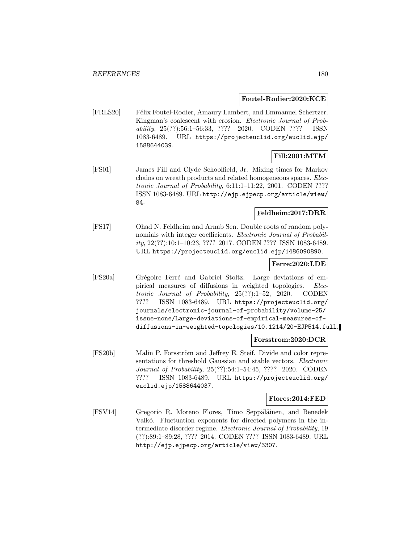## **Foutel-Rodier:2020:KCE**

[FRLS20] Félix Foutel-Rodier, Amaury Lambert, and Emmanuel Schertzer. Kingman's coalescent with erosion. Electronic Journal of Probability, 25(??):56:1–56:33, ???? 2020. CODEN ???? ISSN 1083-6489. URL https://projecteuclid.org/euclid.ejp/ 1588644039.

## **Fill:2001:MTM**

[FS01] James Fill and Clyde Schoolfield, Jr. Mixing times for Markov chains on wreath products and related homogeneous spaces. Electronic Journal of Probability, 6:11:1–11:22, 2001. CODEN ???? ISSN 1083-6489. URL http://ejp.ejpecp.org/article/view/ 84.

### **Feldheim:2017:DRR**

[FS17] Ohad N. Feldheim and Arnab Sen. Double roots of random polynomials with integer coefficients. *Electronic Journal of Probabil*ity, 22(??):10:1–10:23, ???? 2017. CODEN ???? ISSN 1083-6489. URL https://projecteuclid.org/euclid.ejp/1486090890.

## **Ferre:2020:LDE**

[FS20a] Grégoire Ferré and Gabriel Stoltz. Large deviations of empirical measures of diffusions in weighted topologies. Electronic Journal of Probability, 25(??):1–52, 2020. CODEN ???? ISSN 1083-6489. URL https://projecteuclid.org/ journals/electronic-journal-of-probability/volume-25/ issue-none/Large-deviations-of-empirical-measures-ofdiffusions-in-weighted-topologies/10.1214/20-EJP514.full.

#### **Forsstrom:2020:DCR**

[FS20b] Malin P. Forsström and Jeffrey E. Steif. Divide and color representations for threshold Gaussian and stable vectors. Electronic Journal of Probability, 25(??):54:1–54:45, ???? 2020. CODEN ???? ISSN 1083-6489. URL https://projecteuclid.org/ euclid.ejp/1588644037.

## **Flores:2014:FED**

[FSV14] Gregorio R. Moreno Flores, Timo Seppäläinen, and Benedek Valkó. Fluctuation exponents for directed polymers in the intermediate disorder regime. Electronic Journal of Probability, 19 (??):89:1–89:28, ???? 2014. CODEN ???? ISSN 1083-6489. URL http://ejp.ejpecp.org/article/view/3307.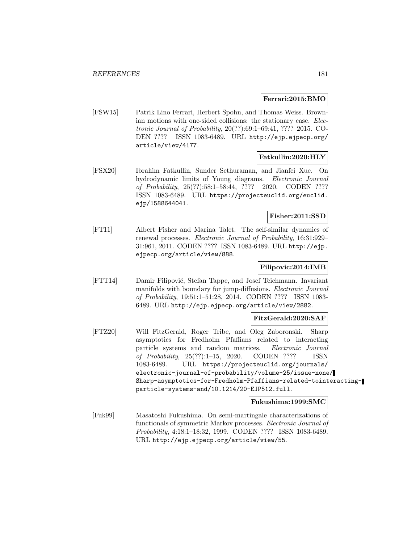## **Ferrari:2015:BMO**

[FSW15] Patrik Lino Ferrari, Herbert Spohn, and Thomas Weiss. Brownian motions with one-sided collisions: the stationary case. Electronic Journal of Probability, 20(??):69:1–69:41, ???? 2015. CO-DEN ???? ISSN 1083-6489. URL http://ejp.ejpecp.org/ article/view/4177.

## **Fatkullin:2020:HLY**

[FSX20] Ibrahim Fatkullin, Sunder Sethuraman, and Jianfei Xue. On hydrodynamic limits of Young diagrams. Electronic Journal of Probability, 25(??):58:1–58:44, ???? 2020. CODEN ???? ISSN 1083-6489. URL https://projecteuclid.org/euclid. ejp/1588644041.

## **Fisher:2011:SSD**

[FT11] Albert Fisher and Marina Talet. The self-similar dynamics of renewal processes. Electronic Journal of Probability, 16:31:929– 31:961, 2011. CODEN ???? ISSN 1083-6489. URL http://ejp. ejpecp.org/article/view/888.

## **Filipovic:2014:IMB**

[FTT14] Damir Filipović, Stefan Tappe, and Josef Teichmann. Invariant manifolds with boundary for jump-diffusions. *Electronic Journal* of Probability, 19:51:1–51:28, 2014. CODEN ???? ISSN 1083- 6489. URL http://ejp.ejpecp.org/article/view/2882.

## **FitzGerald:2020:SAF**

[FTZ20] Will FitzGerald, Roger Tribe, and Oleg Zaboronski. Sharp asymptotics for Fredholm Pfaffians related to interacting particle systems and random matrices. Electronic Journal of Probability, 25(??):1–15, 2020. CODEN ???? ISSN 1083-6489. URL https://projecteuclid.org/journals/ electronic-journal-of-probability/volume-25/issue-none/ Sharp-asymptotics-for-Fredholm-Pfaffians-related-tointeractingparticle-systems-and/10.1214/20-EJP512.full.

#### **Fukushima:1999:SMC**

[Fuk99] Masatoshi Fukushima. On semi-martingale characterizations of functionals of symmetric Markov processes. Electronic Journal of Probability, 4:18:1–18:32, 1999. CODEN ???? ISSN 1083-6489. URL http://ejp.ejpecp.org/article/view/55.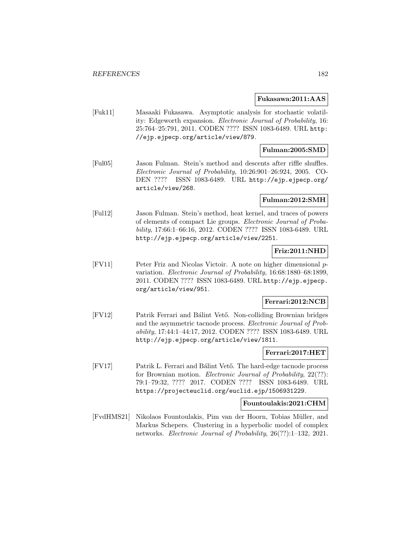#### **Fukasawa:2011:AAS**

[Fuk11] Masaaki Fukasawa. Asymptotic analysis for stochastic volatility: Edgeworth expansion. Electronic Journal of Probability, 16: 25:764–25:791, 2011. CODEN ???? ISSN 1083-6489. URL http: //ejp.ejpecp.org/article/view/879.

## **Fulman:2005:SMD**

[Ful05] Jason Fulman. Stein's method and descents after riffle shuffles. Electronic Journal of Probability, 10:26:901–26:924, 2005. CO-DEN ???? ISSN 1083-6489. URL http://ejp.ejpecp.org/ article/view/268.

#### **Fulman:2012:SMH**

[Ful12] Jason Fulman. Stein's method, heat kernel, and traces of powers of elements of compact Lie groups. Electronic Journal of Probability, 17:66:1–66:16, 2012. CODEN ???? ISSN 1083-6489. URL http://ejp.ejpecp.org/article/view/2251.

## **Friz:2011:NHD**

[FV11] Peter Friz and Nicolas Victoir. A note on higher dimensional pvariation. Electronic Journal of Probability, 16:68:1880–68:1899, 2011. CODEN ???? ISSN 1083-6489. URL http://ejp.ejpecp. org/article/view/951.

## **Ferrari:2012:NCB**

[FV12] Patrik Ferrari and Bálint Vető. Non-colliding Brownian bridges and the asymmetric tacnode process. Electronic Journal of Probability, 17:44:1–44:17, 2012. CODEN ???? ISSN 1083-6489. URL http://ejp.ejpecp.org/article/view/1811.

#### **Ferrari:2017:HET**

[FV17] Patrik L. Ferrari and Bálint Vető. The hard-edge tacnode process for Brownian motion. Electronic Journal of Probability, 22(??): 79:1–79:32, ???? 2017. CODEN ???? ISSN 1083-6489. URL https://projecteuclid.org/euclid.ejp/1506931229.

#### **Fountoulakis:2021:CHM**

[FvdHMS21] Nikolaos Fountoulakis, Pim van der Hoorn, Tobias M¨uller, and Markus Schepers. Clustering in a hyperbolic model of complex networks. Electronic Journal of Probability, 26(??):1–132, 2021.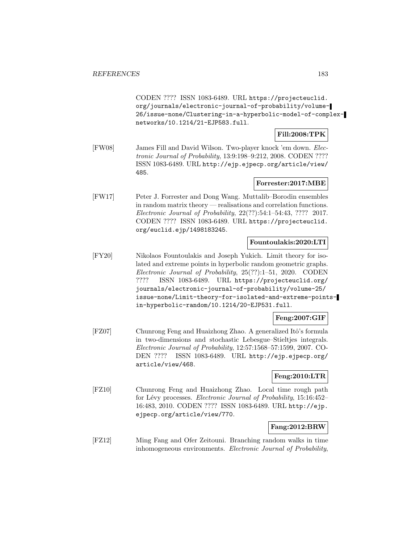CODEN ???? ISSN 1083-6489. URL https://projecteuclid. org/journals/electronic-journal-of-probability/volume-26/issue-none/Clustering-in-a-hyperbolic-model-of-complexnetworks/10.1214/21-EJP583.full.

## **Fill:2008:TPK**

[FW08] James Fill and David Wilson. Two-player knock 'em down. Electronic Journal of Probability, 13:9:198–9:212, 2008. CODEN ???? ISSN 1083-6489. URL http://ejp.ejpecp.org/article/view/ 485.

## **Forrester:2017:MBE**

[FW17] Peter J. Forrester and Dong Wang. Muttalib–Borodin ensembles in random matrix theory — realisations and correlation functions. Electronic Journal of Probability, 22(??):54:1–54:43, ???? 2017. CODEN ???? ISSN 1083-6489. URL https://projecteuclid. org/euclid.ejp/1498183245.

## **Fountoulakis:2020:LTI**

[FY20] Nikolaos Fountoulakis and Joseph Yukich. Limit theory for isolated and extreme points in hyperbolic random geometric graphs. Electronic Journal of Probability, 25(??):1–51, 2020. CODEN ???? ISSN 1083-6489. URL https://projecteuclid.org/ journals/electronic-journal-of-probability/volume-25/ issue-none/Limit-theory-for-isolated-and-extreme-pointsin-hyperbolic-random/10.1214/20-EJP531.full.

## **Feng:2007:GIF**

[FZ07] Chunrong Feng and Huaizhong Zhao. A generalized Itô's formula in two-dimensions and stochastic Lebesgue–Stieltjes integrals. Electronic Journal of Probability, 12:57:1568–57:1599, 2007. CO-DEN ???? ISSN 1083-6489. URL http://ejp.ejpecp.org/ article/view/468.

## **Feng:2010:LTR**

[FZ10] Chunrong Feng and Huaizhong Zhao. Local time rough path for Lévy processes. *Electronic Journal of Probability*, 15:16:452– 16:483, 2010. CODEN ???? ISSN 1083-6489. URL http://ejp. ejpecp.org/article/view/770.

## **Fang:2012:BRW**

[FZ12] Ming Fang and Ofer Zeitouni. Branching random walks in time inhomogeneous environments. Electronic Journal of Probability,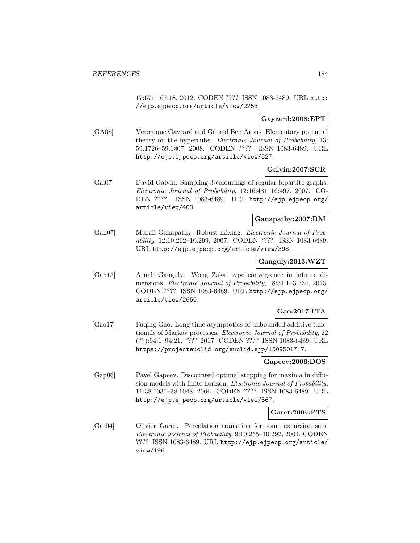17:67:1–67:18, 2012. CODEN ???? ISSN 1083-6489. URL http: //ejp.ejpecp.org/article/view/2253.

## **Gayrard:2008:EPT**

[GA08] Véronique Gayrard and Gérard Ben Arous. Elementary potential theory on the hypercube. Electronic Journal of Probability, 13: 59:1726–59:1807, 2008. CODEN ???? ISSN 1083-6489. URL http://ejp.ejpecp.org/article/view/527.

## **Galvin:2007:SCR**

[Gal07] David Galvin. Sampling 3-colourings of regular bipartite graphs. Electronic Journal of Probability, 12:16:481–16:497, 2007. CO-DEN ???? ISSN 1083-6489. URL http://ejp.ejpecp.org/ article/view/403.

## **Ganapathy:2007:RM**

[Gan07] Murali Ganapathy. Robust mixing. Electronic Journal of Probability, 12:10:262–10:299, 2007. CODEN ???? ISSN 1083-6489. URL http://ejp.ejpecp.org/article/view/398.

### **Ganguly:2013:WZT**

[Gan13] Arnab Ganguly. Wong–Zakai type convergence in infinite dimensions. Electronic Journal of Probability, 18:31:1–31:34, 2013. CODEN ???? ISSN 1083-6489. URL http://ejp.ejpecp.org/ article/view/2650.

## **Gao:2017:LTA**

[Gao17] Fuqing Gao. Long time asymptotics of unbounded additive functionals of Markov processes. Electronic Journal of Probability, 22 (??):94:1–94:21, ???? 2017. CODEN ???? ISSN 1083-6489. URL https://projecteuclid.org/euclid.ejp/1509501717.

## **Gapeev:2006:DOS**

[Gap06] Pavel Gapeev. Discounted optimal stopping for maxima in diffusion models with finite horizon. Electronic Journal of Probability, 11:38:1031–38:1048, 2006. CODEN ???? ISSN 1083-6489. URL http://ejp.ejpecp.org/article/view/367.

## **Garet:2004:PTS**

[Gar04] Olivier Garet. Percolation transition for some excursion sets. Electronic Journal of Probability, 9:10:255–10:292, 2004. CODEN ???? ISSN 1083-6489. URL http://ejp.ejpecp.org/article/ view/196.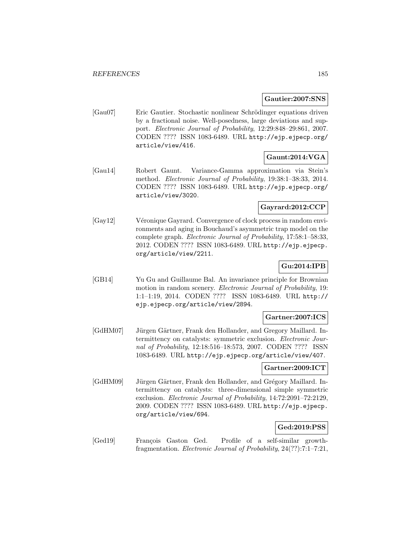#### **Gautier:2007:SNS**

[Gau07] Eric Gautier. Stochastic nonlinear Schrödinger equations driven by a fractional noise. Well-posedness, large deviations and support. Electronic Journal of Probability, 12:29:848–29:861, 2007. CODEN ???? ISSN 1083-6489. URL http://ejp.ejpecp.org/ article/view/416.

## **Gaunt:2014:VGA**

[Gau14] Robert Gaunt. Variance-Gamma approximation via Stein's method. Electronic Journal of Probability, 19:38:1–38:33, 2014. CODEN ???? ISSN 1083-6489. URL http://ejp.ejpecp.org/ article/view/3020.

## **Gayrard:2012:CCP**

[Gay12] Véronique Gayrard. Convergence of clock process in random environments and aging in Bouchaud's asymmetric trap model on the complete graph. Electronic Journal of Probability, 17:58:1–58:33, 2012. CODEN ???? ISSN 1083-6489. URL http://ejp.ejpecp. org/article/view/2211.

## **Gu:2014:IPB**

[GB14] Yu Gu and Guillaume Bal. An invariance principle for Brownian motion in random scenery. Electronic Journal of Probability, 19: 1:1–1:19, 2014. CODEN ???? ISSN 1083-6489. URL http:// ejp.ejpecp.org/article/view/2894.

## **Gartner:2007:ICS**

[GdHM07] Jürgen Gärtner, Frank den Hollander, and Gregory Maillard. Intermittency on catalysts: symmetric exclusion. Electronic Journal of Probability, 12:18:516–18:573, 2007. CODEN ???? ISSN 1083-6489. URL http://ejp.ejpecp.org/article/view/407.

## **Gartner:2009:ICT**

[GdHM09] Jürgen Gärtner, Frank den Hollander, and Grégory Maillard. Intermittency on catalysts: three-dimensional simple symmetric exclusion. Electronic Journal of Probability, 14:72:2091–72:2129, 2009. CODEN ???? ISSN 1083-6489. URL http://ejp.ejpecp. org/article/view/694.

## **Ged:2019:PSS**

[Ged19] François Gaston Ged. Profile of a self-similar growthfragmentation. Electronic Journal of Probability, 24(??):7:1–7:21,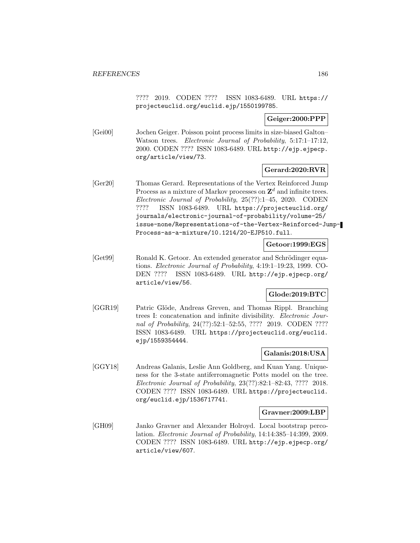???? 2019. CODEN ???? ISSN 1083-6489. URL https:// projecteuclid.org/euclid.ejp/1550199785.

## **Geiger:2000:PPP**

[Gei00] Jochen Geiger. Poisson point process limits in size-biased Galton– Watson trees. Electronic Journal of Probability, 5:17:1-17:12, 2000. CODEN ???? ISSN 1083-6489. URL http://ejp.ejpecp. org/article/view/73.

## **Gerard:2020:RVR**

[Ger20] Thomas Gerard. Representations of the Vertex Reinforced Jump Process as a mixture of Markov processes on  $\mathbb{Z}^d$  and infinite trees. Electronic Journal of Probability, 25(??):1–45, 2020. CODEN ???? ISSN 1083-6489. URL https://projecteuclid.org/ journals/electronic-journal-of-probability/volume-25/ issue-none/Representations-of-the-Vertex-Reinforced-Jump-Process-as-a-mixture/10.1214/20-EJP510.full.

## **Getoor:1999:EGS**

[Get99] Ronald K. Getoor. An extended generator and Schrödinger equations. Electronic Journal of Probability, 4:19:1–19:23, 1999. CO-DEN ???? ISSN 1083-6489. URL http://ejp.ejpecp.org/ article/view/56.

## **Glode:2019:BTC**

[GGR19] Patric Glöde, Andreas Greven, and Thomas Rippl. Branching trees I: concatenation and infinite divisibility. Electronic Journal of Probability, 24(??):52:1-52:55, ???? 2019. CODEN ???? ISSN 1083-6489. URL https://projecteuclid.org/euclid. ejp/1559354444.

## **Galanis:2018:USA**

[GGY18] Andreas Galanis, Leslie Ann Goldberg, and Kuan Yang. Uniqueness for the 3-state antiferromagnetic Potts model on the tree. Electronic Journal of Probability, 23(??):82:1–82:43, ???? 2018. CODEN ???? ISSN 1083-6489. URL https://projecteuclid. org/euclid.ejp/1536717741.

## **Gravner:2009:LBP**

[GH09] Janko Gravner and Alexander Holroyd. Local bootstrap percolation. Electronic Journal of Probability, 14:14:385–14:399, 2009. CODEN ???? ISSN 1083-6489. URL http://ejp.ejpecp.org/ article/view/607.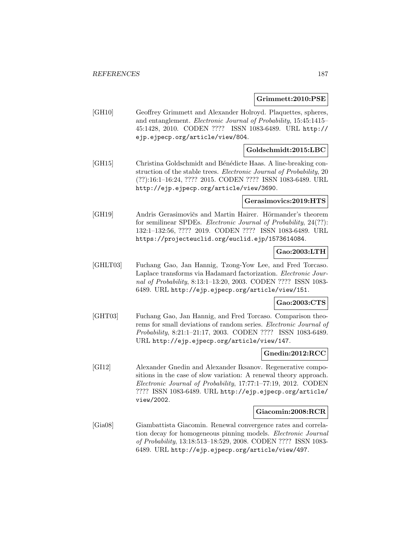#### **Grimmett:2010:PSE**

[GH10] Geoffrey Grimmett and Alexander Holroyd. Plaquettes, spheres, and entanglement. Electronic Journal of Probability, 15:45:1415– 45:1428, 2010. CODEN ???? ISSN 1083-6489. URL http:// ejp.ejpecp.org/article/view/804.

## **Goldschmidt:2015:LBC**

[GH15] Christina Goldschmidt and Bénédicte Haas. A line-breaking construction of the stable trees. Electronic Journal of Probability, 20 (??):16:1–16:24, ???? 2015. CODEN ???? ISSN 1083-6489. URL http://ejp.ejpecp.org/article/view/3690.

#### **Gerasimovics:2019:HTS**

[GH19] Andris Gerasimovičs and Martin Hairer. Hörmander's theorem for semilinear SPDEs. Electronic Journal of Probability, 24(??): 132:1–132:56, ???? 2019. CODEN ???? ISSN 1083-6489. URL https://projecteuclid.org/euclid.ejp/1573614084.

## **Gao:2003:LTH**

[GHLT03] Fuchang Gao, Jan Hannig, Tzong-Yow Lee, and Fred Torcaso. Laplace transforms via Hadamard factorization. Electronic Journal of Probability, 8:13:1–13:20, 2003. CODEN ???? ISSN 1083- 6489. URL http://ejp.ejpecp.org/article/view/151.

## **Gao:2003:CTS**

[GHT03] Fuchang Gao, Jan Hannig, and Fred Torcaso. Comparison theorems for small deviations of random series. Electronic Journal of Probability, 8:21:1–21:17, 2003. CODEN ???? ISSN 1083-6489. URL http://ejp.ejpecp.org/article/view/147.

#### **Gnedin:2012:RCC**

[GI12] Alexander Gnedin and Alexander Iksanov. Regenerative compositions in the case of slow variation: A renewal theory approach. Electronic Journal of Probability, 17:77:1–77:19, 2012. CODEN ???? ISSN 1083-6489. URL http://ejp.ejpecp.org/article/ view/2002.

#### **Giacomin:2008:RCR**

[Gia08] Giambattista Giacomin. Renewal convergence rates and correlation decay for homogeneous pinning models. Electronic Journal of Probability, 13:18:513–18:529, 2008. CODEN ???? ISSN 1083- 6489. URL http://ejp.ejpecp.org/article/view/497.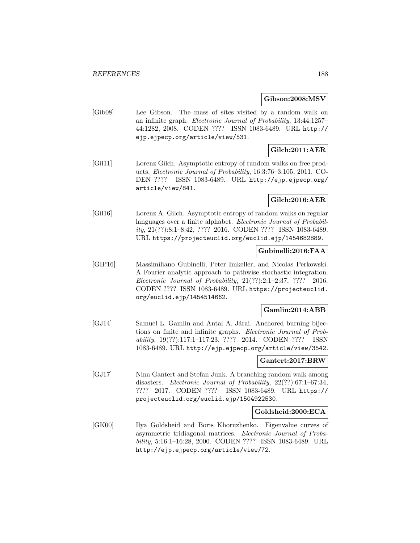### **Gibson:2008:MSV**

[Gib08] Lee Gibson. The mass of sites visited by a random walk on an infinite graph. Electronic Journal of Probability, 13:44:1257– 44:1282, 2008. CODEN ???? ISSN 1083-6489. URL http:// ejp.ejpecp.org/article/view/531.

## **Gilch:2011:AER**

[Gil11] Lorenz Gilch. Asymptotic entropy of random walks on free products. Electronic Journal of Probability, 16:3:76–3:105, 2011. CO-DEN ???? ISSN 1083-6489. URL http://ejp.ejpecp.org/ article/view/841.

## **Gilch:2016:AER**

[Gil16] Lorenz A. Gilch. Asymptotic entropy of random walks on regular languages over a finite alphabet. Electronic Journal of Probability, 21(??):8:1–8:42, ???? 2016. CODEN ???? ISSN 1083-6489. URL https://projecteuclid.org/euclid.ejp/1454682889.

## **Gubinelli:2016:FAA**

[GIP16] Massimiliano Gubinelli, Peter Imkeller, and Nicolas Perkowski. A Fourier analytic approach to pathwise stochastic integration. Electronic Journal of Probability, 21(??):2:1–2:37, ???? 2016. CODEN ???? ISSN 1083-6489. URL https://projecteuclid. org/euclid.ejp/1454514662.

## **Gamlin:2014:ABB**

[GJ14] Samuel L. Gamlin and Antal A. Járai. Anchored burning bijections on finite and infinite graphs. Electronic Journal of Probability, 19(??):117:1–117:23, ???? 2014. CODEN ???? ISSN 1083-6489. URL http://ejp.ejpecp.org/article/view/3542.

## **Gantert:2017:BRW**

[GJ17] Nina Gantert and Stefan Junk. A branching random walk among disasters. Electronic Journal of Probability, 22(??):67:1–67:34, ???? 2017. CODEN ???? ISSN 1083-6489. URL https:// projecteuclid.org/euclid.ejp/1504922530.

## **Goldsheid:2000:ECA**

[GK00] Ilya Goldsheid and Boris Khoruzhenko. Eigenvalue curves of asymmetric tridiagonal matrices. Electronic Journal of Probability, 5:16:1–16:28, 2000. CODEN ???? ISSN 1083-6489. URL http://ejp.ejpecp.org/article/view/72.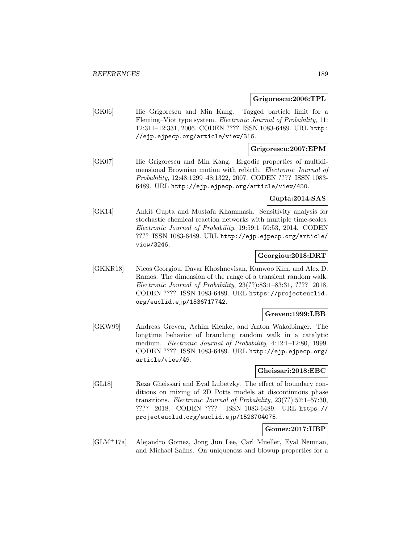#### **Grigorescu:2006:TPL**

[GK06] Ilie Grigorescu and Min Kang. Tagged particle limit for a Fleming–Viot type system. Electronic Journal of Probability, 11: 12:311–12:331, 2006. CODEN ???? ISSN 1083-6489. URL http: //ejp.ejpecp.org/article/view/316.

## **Grigorescu:2007:EPM**

[GK07] Ilie Grigorescu and Min Kang. Ergodic properties of multidimensional Brownian motion with rebirth. Electronic Journal of Probability, 12:48:1299–48:1322, 2007. CODEN ???? ISSN 1083- 6489. URL http://ejp.ejpecp.org/article/view/450.

## **Gupta:2014:SAS**

[GK14] Ankit Gupta and Mustafa Khammash. Sensitivity analysis for stochastic chemical reaction networks with multiple time-scales. Electronic Journal of Probability, 19:59:1–59:53, 2014. CODEN ???? ISSN 1083-6489. URL http://ejp.ejpecp.org/article/ view/3246.

## **Georgiou:2018:DRT**

[GKKR18] Nicos Georgiou, Davar Khoshnevisan, Kunwoo Kim, and Alex D. Ramos. The dimension of the range of a transient random walk. Electronic Journal of Probability, 23(??):83:1–83:31, ???? 2018. CODEN ???? ISSN 1083-6489. URL https://projecteuclid. org/euclid.ejp/1536717742.

## **Greven:1999:LBB**

[GKW99] Andreas Greven, Achim Klenke, and Anton Wakolbinger. The longtime behavior of branching random walk in a catalytic medium. *Electronic Journal of Probability*, 4:12:1-12:80, 1999. CODEN ???? ISSN 1083-6489. URL http://ejp.ejpecp.org/ article/view/49.

#### **Gheissari:2018:EBC**

[GL18] Reza Gheissari and Eyal Lubetzky. The effect of boundary conditions on mixing of 2D Potts models at discontinuous phase transitions. Electronic Journal of Probability, 23(??):57:1–57:30, ???? 2018. CODEN ???? ISSN 1083-6489. URL https:// projecteuclid.org/euclid.ejp/1528704075.

## **Gomez:2017:UBP**

[GLM<sup>+</sup>17a] Alejandro Gomez, Jong Jun Lee, Carl Mueller, Eyal Neuman, and Michael Salins. On uniqueness and blowup properties for a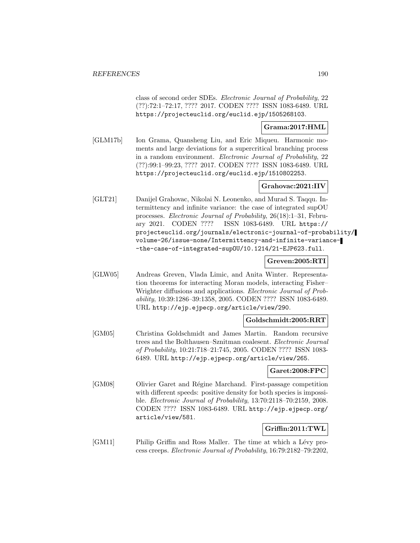class of second order SDEs. Electronic Journal of Probability, 22 (??):72:1–72:17, ???? 2017. CODEN ???? ISSN 1083-6489. URL https://projecteuclid.org/euclid.ejp/1505268103.

## **Grama:2017:HML**

[GLM17b] Ion Grama, Quansheng Liu, and Eric Miqueu. Harmonic moments and large deviations for a supercritical branching process in a random environment. Electronic Journal of Probability, 22 (??):99:1–99:23, ???? 2017. CODEN ???? ISSN 1083-6489. URL https://projecteuclid.org/euclid.ejp/1510802253.

## **Grahovac:2021:IIV**

[GLT21] Danijel Grahovac, Nikolai N. Leonenko, and Murad S. Taqqu. Intermittency and infinite variance: the case of integrated supOU processes. Electronic Journal of Probability, 26(18):1–31, February 2021. CODEN ???? ISSN 1083-6489. URL https:// projecteuclid.org/journals/electronic-journal-of-probability/ volume-26/issue-none/Intermittency-and-infinite-variance- -the-case-of-integrated-supOU/10.1214/21-EJP623.full.

## **Greven:2005:RTI**

[GLW05] Andreas Greven, Vlada Limic, and Anita Winter. Representation theorems for interacting Moran models, interacting Fisher– Wrighter diffusions and applications. Electronic Journal of Probability, 10:39:1286–39:1358, 2005. CODEN ???? ISSN 1083-6489. URL http://ejp.ejpecp.org/article/view/290.

## **Goldschmidt:2005:RRT**

[GM05] Christina Goldschmidt and James Martin. Random recursive trees and the Bolthausen–Sznitman coalesent. Electronic Journal of Probability, 10:21:718–21:745, 2005. CODEN ???? ISSN 1083- 6489. URL http://ejp.ejpecp.org/article/view/265.

## **Garet:2008:FPC**

[GM08] Olivier Garet and Régine Marchand. First-passage competition with different speeds: positive density for both species is impossible. Electronic Journal of Probability, 13:70:2118–70:2159, 2008. CODEN ???? ISSN 1083-6489. URL http://ejp.ejpecp.org/ article/view/581.

## **Griffin:2011:TWL**

[GM11] Philip Griffin and Ross Maller. The time at which a Lévy process creeps. Electronic Journal of Probability, 16:79:2182–79:2202,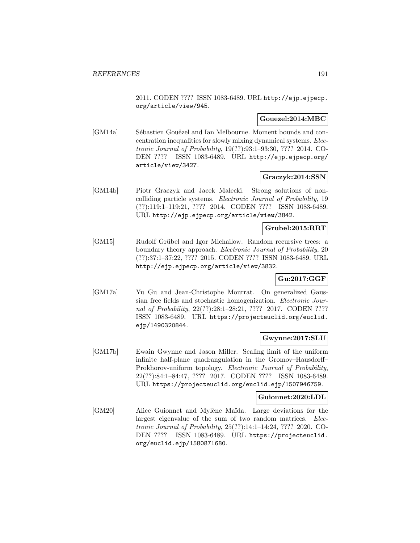2011. CODEN ???? ISSN 1083-6489. URL http://ejp.ejpecp. org/article/view/945.

## **Gouezel:2014:MBC**

[GM14a] Sébastien Gouëzel and Ian Melbourne. Moment bounds and concentration inequalities for slowly mixing dynamical systems. Electronic Journal of Probability, 19(??):93:1–93:30, ???? 2014. CO-DEN ???? ISSN 1083-6489. URL http://ejp.ejpecp.org/ article/view/3427.

## **Graczyk:2014:SSN**

[GM14b] Piotr Graczyk and Jacek Małecki. Strong solutions of noncolliding particle systems. Electronic Journal of Probability, 19 (??):119:1–119:21, ???? 2014. CODEN ???? ISSN 1083-6489. URL http://ejp.ejpecp.org/article/view/3842.

## **Grubel:2015:RRT**

[GM15] Rudolf Grübel and Igor Michailow. Random recursive trees: a boundary theory approach. *Electronic Journal of Probability*, 20 (??):37:1–37:22, ???? 2015. CODEN ???? ISSN 1083-6489. URL http://ejp.ejpecp.org/article/view/3832.

# **Gu:2017:GGF**

[GM17a] Yu Gu and Jean-Christophe Mourrat. On generalized Gaussian free fields and stochastic homogenization. Electronic Journal of Probability, 22(??):28:1-28:21, ???? 2017. CODEN ???? ISSN 1083-6489. URL https://projecteuclid.org/euclid. ejp/1490320844.

## **Gwynne:2017:SLU**

[GM17b] Ewain Gwynne and Jason Miller. Scaling limit of the uniform infinite half-plane quadrangulation in the Gromov–Hausdorff– Prokhorov-uniform topology. Electronic Journal of Probability, 22(??):84:1–84:47, ???? 2017. CODEN ???? ISSN 1083-6489. URL https://projecteuclid.org/euclid.ejp/1507946759.

### **Guionnet:2020:LDL**

[GM20] Alice Guionnet and Mylène Maïda. Large deviations for the largest eigenvalue of the sum of two random matrices. Electronic Journal of Probability, 25(??):14:1–14:24, ???? 2020. CO-DEN ???? ISSN 1083-6489. URL https://projecteuclid. org/euclid.ejp/1580871680.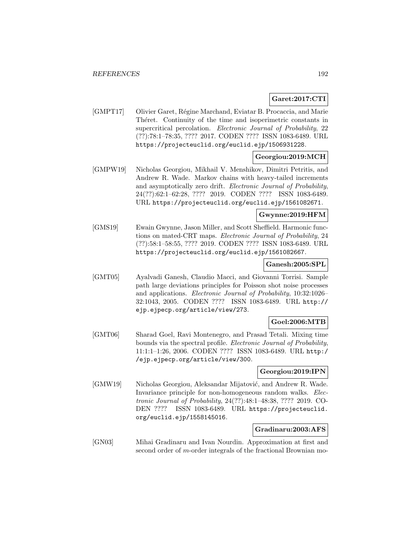## **Garet:2017:CTI**

[GMPT17] Olivier Garet, Régine Marchand, Eviatar B. Procaccia, and Marie Théret. Continuity of the time and isoperimetric constants in supercritical percolation. Electronic Journal of Probability, 22 (??):78:1–78:35, ???? 2017. CODEN ???? ISSN 1083-6489. URL https://projecteuclid.org/euclid.ejp/1506931228.

## **Georgiou:2019:MCH**

[GMPW19] Nicholas Georgiou, Mikhail V. Menshikov, Dimitri Petritis, and Andrew R. Wade. Markov chains with heavy-tailed increments and asymptotically zero drift. Electronic Journal of Probability, 24(??):62:1–62:28, ???? 2019. CODEN ???? ISSN 1083-6489. URL https://projecteuclid.org/euclid.ejp/1561082671.

## **Gwynne:2019:HFM**

[GMS19] Ewain Gwynne, Jason Miller, and Scott Sheffield. Harmonic functions on mated-CRT maps. Electronic Journal of Probability, 24 (??):58:1–58:55, ???? 2019. CODEN ???? ISSN 1083-6489. URL https://projecteuclid.org/euclid.ejp/1561082667.

## **Ganesh:2005:SPL**

[GMT05] Ayalvadi Ganesh, Claudio Macci, and Giovanni Torrisi. Sample path large deviations principles for Poisson shot noise processes and applications. Electronic Journal of Probability, 10:32:1026– 32:1043, 2005. CODEN ???? ISSN 1083-6489. URL http:// ejp.ejpecp.org/article/view/273.

## **Goel:2006:MTB**

[GMT06] Sharad Goel, Ravi Montenegro, and Prasad Tetali. Mixing time bounds via the spectral profile. Electronic Journal of Probability, 11:1:1–1:26, 2006. CODEN ???? ISSN 1083-6489. URL http:/ /ejp.ejpecp.org/article/view/300.

## **Georgiou:2019:IPN**

[GMW19] Nicholas Georgiou, Aleksandar Mijatović, and Andrew R. Wade. Invariance principle for non-homogeneous random walks. Electronic Journal of Probability, 24(??):48:1–48:38, ???? 2019. CO-DEN ???? ISSN 1083-6489. URL https://projecteuclid. org/euclid.ejp/1558145016.

## **Gradinaru:2003:AFS**

[GN03] Mihai Gradinaru and Ivan Nourdin. Approximation at first and second order of m-order integrals of the fractional Brownian mo-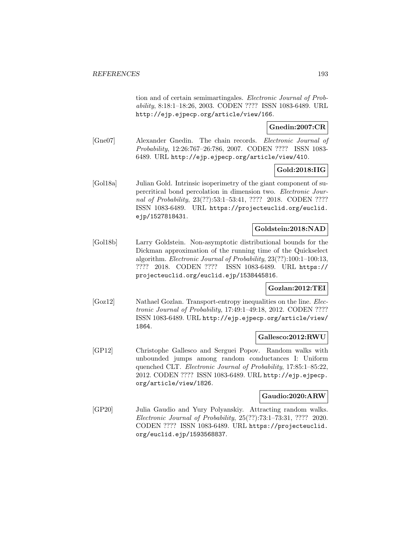tion and of certain semimartingales. Electronic Journal of Probability, 8:18:1–18:26, 2003. CODEN ???? ISSN 1083-6489. URL http://ejp.ejpecp.org/article/view/166.

## **Gnedin:2007:CR**

[Gne07] Alexander Gnedin. The chain records. Electronic Journal of Probability, 12:26:767–26:786, 2007. CODEN ???? ISSN 1083- 6489. URL http://ejp.ejpecp.org/article/view/410.

## **Gold:2018:IIG**

[Gol18a] Julian Gold. Intrinsic isoperimetry of the giant component of supercritical bond percolation in dimension two. Electronic Journal of Probability, 23(??):53:1–53:41, ???? 2018. CODEN ???? ISSN 1083-6489. URL https://projecteuclid.org/euclid. ejp/1527818431.

## **Goldstein:2018:NAD**

[Gol18b] Larry Goldstein. Non-asymptotic distributional bounds for the Dickman approximation of the running time of the Quickselect algorithm. Electronic Journal of Probability, 23(??):100:1–100:13, ???? 2018. CODEN ???? ISSN 1083-6489. URL https:// projecteuclid.org/euclid.ejp/1538445816.

## **Gozlan:2012:TEI**

[Goz12] Nathael Gozlan. Transport-entropy inequalities on the line. Electronic Journal of Probability, 17:49:1–49:18, 2012. CODEN ???? ISSN 1083-6489. URL http://ejp.ejpecp.org/article/view/ 1864.

#### **Gallesco:2012:RWU**

[GP12] Christophe Gallesco and Serguei Popov. Random walks with unbounded jumps among random conductances I: Uniform quenched CLT. Electronic Journal of Probability, 17:85:1–85:22, 2012. CODEN ???? ISSN 1083-6489. URL http://ejp.ejpecp. org/article/view/1826.

## **Gaudio:2020:ARW**

[GP20] Julia Gaudio and Yury Polyanskiy. Attracting random walks. Electronic Journal of Probability, 25(??):73:1–73:31, ???? 2020. CODEN ???? ISSN 1083-6489. URL https://projecteuclid. org/euclid.ejp/1593568837.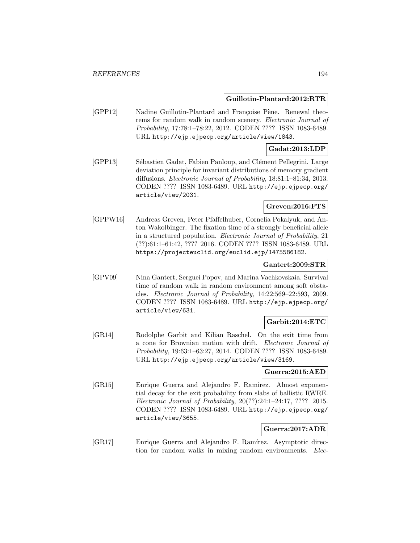### **Guillotin-Plantard:2012:RTR**

[GPP12] Nadine Guillotin-Plantard and Françoise Pène. Renewal theorems for random walk in random scenery. Electronic Journal of Probability, 17:78:1–78:22, 2012. CODEN ???? ISSN 1083-6489. URL http://ejp.ejpecp.org/article/view/1843.

## **Gadat:2013:LDP**

[GPP13] Sébastien Gadat, Fabien Panloup, and Clément Pellegrini. Large deviation principle for invariant distributions of memory gradient diffusions. Electronic Journal of Probability, 18:81:1–81:34, 2013. CODEN ???? ISSN 1083-6489. URL http://ejp.ejpecp.org/ article/view/2031.

## **Greven:2016:FTS**

[GPPW16] Andreas Greven, Peter Pfaffelhuber, Cornelia Pokalyuk, and Anton Wakolbinger. The fixation time of a strongly beneficial allele in a structured population. Electronic Journal of Probability, 21 (??):61:1–61:42, ???? 2016. CODEN ???? ISSN 1083-6489. URL https://projecteuclid.org/euclid.ejp/1475586182.

#### **Gantert:2009:STR**

[GPV09] Nina Gantert, Serguei Popov, and Marina Vachkovskaia. Survival time of random walk in random environment among soft obstacles. Electronic Journal of Probability, 14:22:569–22:593, 2009. CODEN ???? ISSN 1083-6489. URL http://ejp.ejpecp.org/ article/view/631.

## **Garbit:2014:ETC**

[GR14] Rodolphe Garbit and Kilian Raschel. On the exit time from a cone for Brownian motion with drift. *Electronic Journal of* Probability, 19:63:1–63:27, 2014. CODEN ???? ISSN 1083-6489. URL http://ejp.ejpecp.org/article/view/3169.

### **Guerra:2015:AED**

[GR15] Enrique Guerra and Alejandro F. Ramirez. Almost exponential decay for the exit probability from slabs of ballistic RWRE. Electronic Journal of Probability, 20(??):24:1–24:17, ???? 2015. CODEN ???? ISSN 1083-6489. URL http://ejp.ejpecp.org/ article/view/3655.

## **Guerra:2017:ADR**

[GR17] Enrique Guerra and Alejandro F. Ramírez. Asymptotic direction for random walks in mixing random environments. Elec-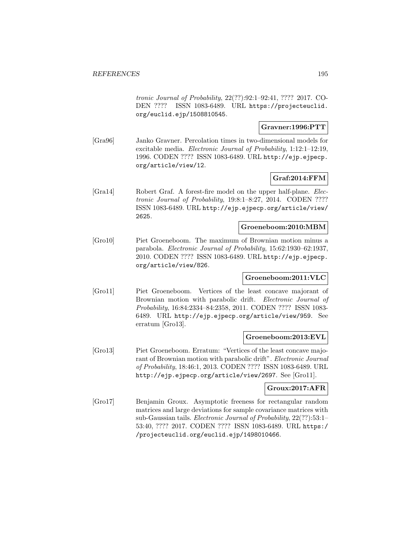tronic Journal of Probability, 22(??):92:1–92:41, ???? 2017. CO-DEN ???? ISSN 1083-6489. URL https://projecteuclid. org/euclid.ejp/1508810545.

## **Gravner:1996:PTT**

[Gra96] Janko Gravner. Percolation times in two-dimensional models for excitable media. Electronic Journal of Probability, 1:12:1–12:19, 1996. CODEN ???? ISSN 1083-6489. URL http://ejp.ejpecp. org/article/view/12.

## **Graf:2014:FFM**

[Gra14] Robert Graf. A forest-fire model on the upper half-plane. Electronic Journal of Probability, 19:8:1–8:27, 2014. CODEN ???? ISSN 1083-6489. URL http://ejp.ejpecp.org/article/view/ 2625.

## **Groeneboom:2010:MBM**

[Gro10] Piet Groeneboom. The maximum of Brownian motion minus a parabola. Electronic Journal of Probability, 15:62:1930–62:1937, 2010. CODEN ???? ISSN 1083-6489. URL http://ejp.ejpecp. org/article/view/826.

## **Groeneboom:2011:VLC**

[Gro11] Piet Groeneboom. Vertices of the least concave majorant of Brownian motion with parabolic drift. *Electronic Journal of* Probability, 16:84:2334–84:2358, 2011. CODEN ???? ISSN 1083- 6489. URL http://ejp.ejpecp.org/article/view/959. See erratum [Gro13].

#### **Groeneboom:2013:EVL**

[Gro13] Piet Groeneboom. Erratum: "Vertices of the least concave majorant of Brownian motion with parabolic drift". Electronic Journal of Probability, 18:46:1, 2013. CODEN ???? ISSN 1083-6489. URL http://ejp.ejpecp.org/article/view/2697. See [Gro11].

## **Groux:2017:AFR**

[Gro17] Benjamin Groux. Asymptotic freeness for rectangular random matrices and large deviations for sample covariance matrices with sub-Gaussian tails. Electronic Journal of Probability, 22(??):53:1– 53:40, ???? 2017. CODEN ???? ISSN 1083-6489. URL https:/ /projecteuclid.org/euclid.ejp/1498010466.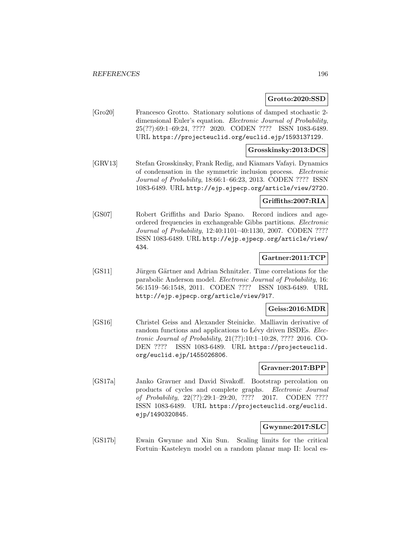### **Grotto:2020:SSD**

[Gro20] Francesco Grotto. Stationary solutions of damped stochastic 2 dimensional Euler's equation. Electronic Journal of Probability, 25(??):69:1–69:24, ???? 2020. CODEN ???? ISSN 1083-6489. URL https://projecteuclid.org/euclid.ejp/1593137129.

## **Grosskinsky:2013:DCS**

[GRV13] Stefan Grosskinsky, Frank Redig, and Kiamars Vafayi. Dynamics of condensation in the symmetric inclusion process. Electronic Journal of Probability, 18:66:1–66:23, 2013. CODEN ???? ISSN 1083-6489. URL http://ejp.ejpecp.org/article/view/2720.

## **Griffiths:2007:RIA**

[GS07] Robert Griffiths and Dario Spano. Record indices and ageordered frequencies in exchangeable Gibbs partitions. Electronic Journal of Probability, 12:40:1101–40:1130, 2007. CODEN ???? ISSN 1083-6489. URL http://ejp.ejpecp.org/article/view/ 434.

## **Gartner:2011:TCP**

[GS11] Jürgen Gärtner and Adrian Schnitzler. Time correlations for the parabolic Anderson model. Electronic Journal of Probability, 16: 56:1519–56:1548, 2011. CODEN ???? ISSN 1083-6489. URL http://ejp.ejpecp.org/article/view/917.

## **Geiss:2016:MDR**

[GS16] Christel Geiss and Alexander Steinicke. Malliavin derivative of random functions and applications to Lévy driven BSDEs. Electronic Journal of Probability, 21(??):10:1–10:28, ???? 2016. CO-DEN ???? ISSN 1083-6489. URL https://projecteuclid. org/euclid.ejp/1455026806.

#### **Gravner:2017:BPP**

[GS17a] Janko Gravner and David Sivakoff. Bootstrap percolation on products of cycles and complete graphs. Electronic Journal of Probability, 22(??):29:1–29:20, ???? 2017. CODEN ???? ISSN 1083-6489. URL https://projecteuclid.org/euclid. ejp/1490320845.

#### **Gwynne:2017:SLC**

[GS17b] Ewain Gwynne and Xin Sun. Scaling limits for the critical Fortuin–Kasteleyn model on a random planar map II: local es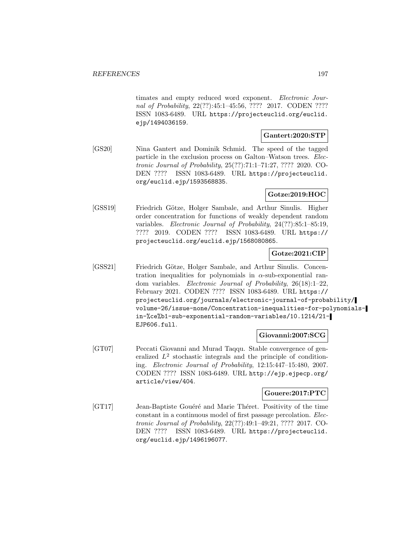timates and empty reduced word exponent. Electronic Journal of Probability, 22(??):45:1–45:56, ???? 2017. CODEN ???? ISSN 1083-6489. URL https://projecteuclid.org/euclid. ejp/1494036159.

## **Gantert:2020:STP**

[GS20] Nina Gantert and Dominik Schmid. The speed of the tagged particle in the exclusion process on Galton–Watson trees. Electronic Journal of Probability, 25(??):71:1–71:27, ???? 2020. CO-DEN ???? ISSN 1083-6489. URL https://projecteuclid. org/euclid.ejp/1593568835.

## **Gotze:2019:HOC**

[GSS19] Friedrich Götze, Holger Sambale, and Arthur Sinulis. Higher order concentration for functions of weakly dependent random variables. Electronic Journal of Probability, 24(??):85:1–85:19, ???? 2019. CODEN ???? ISSN 1083-6489. URL https:// projecteuclid.org/euclid.ejp/1568080865.

## **Gotze:2021:CIP**

[GSS21] Friedrich Götze, Holger Sambale, and Arthur Sinulis. Concentration inequalities for polynomials in  $\alpha$ -sub-exponential random variables. Electronic Journal of Probability, 26(18):1–22, February 2021. CODEN ???? ISSN 1083-6489. URL https:// projecteuclid.org/journals/electronic-journal-of-probability/ volume-26/issue-none/Concentration-inequalities-for-polynomialsin-%ce%b1-sub-exponential-random-variables/10.1214/21- EJP606.full.

## **Giovanni:2007:SCG**

[GT07] Peccati Giovanni and Murad Taqqu. Stable convergence of generalized  $L^2$  stochastic integrals and the principle of conditioning. Electronic Journal of Probability, 12:15:447–15:480, 2007. CODEN ???? ISSN 1083-6489. URL http://ejp.ejpecp.org/ article/view/404.

#### **Gouere:2017:PTC**

[GT17] Jean-Baptiste Gouéré and Marie Théret. Positivity of the time constant in a continuous model of first passage percolation. Electronic Journal of Probability, 22(??):49:1–49:21, ???? 2017. CO-DEN ???? ISSN 1083-6489. URL https://projecteuclid. org/euclid.ejp/1496196077.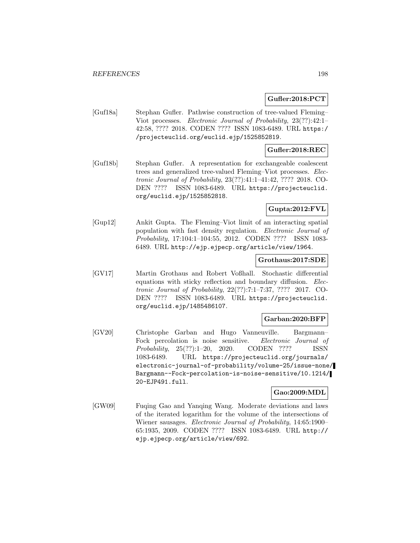## **Gufler:2018:PCT**

[Guf18a] Stephan Gufler. Pathwise construction of tree-valued Fleming– Viot processes. Electronic Journal of Probability, 23(??):42:1– 42:58, ???? 2018. CODEN ???? ISSN 1083-6489. URL https:/ /projecteuclid.org/euclid.ejp/1525852819.

# **Gufler:2018:REC**

[Guf18b] Stephan Gufler. A representation for exchangeable coalescent trees and generalized tree-valued Fleming–Viot processes. Electronic Journal of Probability, 23(??):41:1–41:42, ???? 2018. CO-DEN ???? ISSN 1083-6489. URL https://projecteuclid. org/euclid.ejp/1525852818.

## **Gupta:2012:FVL**

[Gup12] Ankit Gupta. The Fleming–Viot limit of an interacting spatial population with fast density regulation. Electronic Journal of Probability, 17:104:1–104:55, 2012. CODEN ???? ISSN 1083- 6489. URL http://ejp.ejpecp.org/article/view/1964.

## **Grothaus:2017:SDE**

[GV17] Martin Grothaus and Robert Voßhall. Stochastic differential equations with sticky reflection and boundary diffusion. Electronic Journal of Probability, 22(??):7:1–7:37, ???? 2017. CO-DEN ???? ISSN 1083-6489. URL https://projecteuclid. org/euclid.ejp/1485486107.

## **Garban:2020:BFP**

[GV20] Christophe Garban and Hugo Vanneuville. Bargmann– Fock percolation is noise sensitive. Electronic Journal of Probability, 25(??):1–20, 2020. CODEN ???? ISSN 1083-6489. URL https://projecteuclid.org/journals/ electronic-journal-of-probability/volume-25/issue-none/ Bargmann--Fock-percolation-is-noise-sensitive/10.1214/ 20-EJP491.full.

## **Gao:2009:MDL**

[GW09] Fuqing Gao and Yanqing Wang. Moderate deviations and laws of the iterated logarithm for the volume of the intersections of Wiener sausages. Electronic Journal of Probability, 14:65:1900– 65:1935, 2009. CODEN ???? ISSN 1083-6489. URL http:// ejp.ejpecp.org/article/view/692.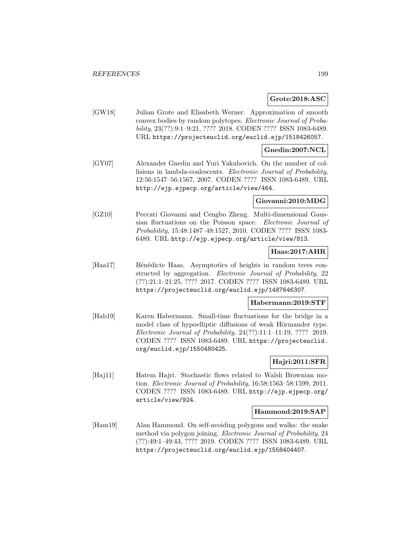## **Grote:2018:ASC**

[GW18] Julian Grote and Elisabeth Werner. Approximation of smooth convex bodies by random polytopes. Electronic Journal of Probability, 23(??):9:1–9:21, ???? 2018. CODEN ???? ISSN 1083-6489. URL https://projecteuclid.org/euclid.ejp/1518426057.

#### **Gnedin:2007:NCL**

[GY07] Alexander Gnedin and Yuri Yakubovich. On the number of collisions in lambda-coalescents. Electronic Journal of Probability, 12:56:1547–56:1567, 2007. CODEN ???? ISSN 1083-6489. URL http://ejp.ejpecp.org/article/view/464.

#### **Giovanni:2010:MDG**

[GZ10] Peccati Giovanni and Cengbo Zheng. Multi-dimensional Gaussian fluctuations on the Poisson space. Electronic Journal of Probability, 15:48:1487–48:1527, 2010. CODEN ???? ISSN 1083- 6489. URL http://ejp.ejpecp.org/article/view/813.

#### **Haas:2017:AHR**

[Haa17] Bénédicte Haas. Asymptotics of heights in random trees constructed by aggregation. Electronic Journal of Probability, 22 (??):21:1–21:25, ???? 2017. CODEN ???? ISSN 1083-6489. URL https://projecteuclid.org/euclid.ejp/1487646307.

## **Habermann:2019:STF**

[Hab19] Karen Habermann. Small-time fluctuations for the bridge in a model class of hypoelliptic diffusions of weak Hörmander type. Electronic Journal of Probability, 24(??):11:1–11:19, ???? 2019. CODEN ???? ISSN 1083-6489. URL https://projecteuclid. org/euclid.ejp/1550480425.

## **Hajri:2011:SFR**

[Haj11] Hatem Hajri. Stochastic flows related to Walsh Brownian motion. Electronic Journal of Probability, 16:58:1563–58:1599, 2011. CODEN ???? ISSN 1083-6489. URL http://ejp.ejpecp.org/ article/view/924.

#### **Hammond:2019:SAP**

[Ham19] Alan Hammond. On self-avoiding polygons and walks: the snake method via polygon joining. Electronic Journal of Probability, 24 (??):49:1–49:43, ???? 2019. CODEN ???? ISSN 1083-6489. URL https://projecteuclid.org/euclid.ejp/1558404407.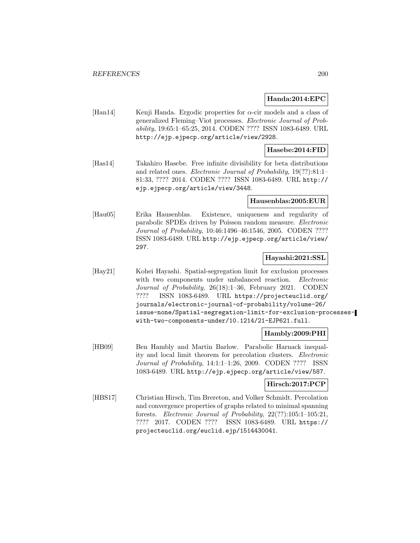### **Handa:2014:EPC**

[Han14] Kenji Handa. Ergodic properties for  $\alpha$ -cir models and a class of generalized Fleming–Viot processes. Electronic Journal of Probability, 19:65:1–65:25, 2014. CODEN ???? ISSN 1083-6489. URL http://ejp.ejpecp.org/article/view/2928.

## **Hasebe:2014:FID**

[Has14] Takahiro Hasebe. Free infinite divisibility for beta distributions and related ones. Electronic Journal of Probability, 19(??):81:1– 81:33, ???? 2014. CODEN ???? ISSN 1083-6489. URL http:// ejp.ejpecp.org/article/view/3448.

#### **Hausenblas:2005:EUR**

[Hau05] Erika Hausenblas. Existence, uniqueness and regularity of parabolic SPDEs driven by Poisson random measure. Electronic Journal of Probability, 10:46:1496–46:1546, 2005. CODEN ???? ISSN 1083-6489. URL http://ejp.ejpecp.org/article/view/ 297.

#### **Hayashi:2021:SSL**

[Hay21] Kohei Hayashi. Spatial-segregation limit for exclusion processes with two components under unbalanced reaction. Electronic Journal of Probability, 26(18):1–36, February 2021. CODEN ???? ISSN 1083-6489. URL https://projecteuclid.org/ journals/electronic-journal-of-probability/volume-26/ issue-none/Spatial-segregation-limit-for-exclusion-processeswith-two-components-under/10.1214/21-EJP621.full.

## **Hambly:2009:PHI**

[HB09] Ben Hambly and Martin Barlow. Parabolic Harnack inequality and local limit theorem for percolation clusters. Electronic Journal of Probability, 14:1:1–1:26, 2009. CODEN ???? ISSN 1083-6489. URL http://ejp.ejpecp.org/article/view/587.

## **Hirsch:2017:PCP**

[HBS17] Christian Hirsch, Tim Brereton, and Volker Schmidt. Percolation and convergence properties of graphs related to minimal spanning forests. Electronic Journal of Probability, 22(??):105:1–105:21, ???? 2017. CODEN ???? ISSN 1083-6489. URL https:// projecteuclid.org/euclid.ejp/1514430041.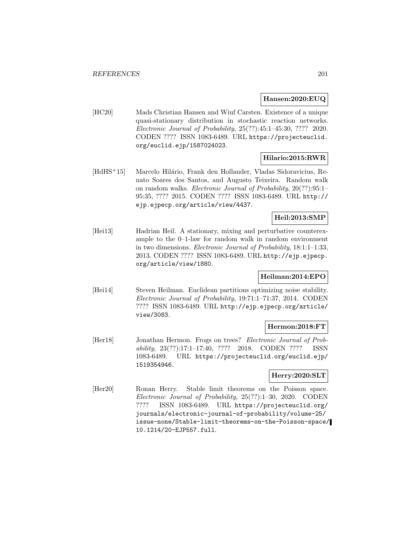### **Hansen:2020:EUQ**

[HC20] Mads Christian Hansen and Wiuf Carsten. Existence of a unique quasi-stationary distribution in stochastic reaction networks. Electronic Journal of Probability, 25(??):45:1–45:30, ???? 2020. CODEN ???? ISSN 1083-6489. URL https://projecteuclid. org/euclid.ejp/1587024023.

## **Hilario:2015:RWR**

[HdHS<sup>+</sup>15] Marcelo Hilário, Frank den Hollander, Vladas Sidoravicius, Renato Soares dos Santos, and Augusto Teixeira. Random walk on random walks. Electronic Journal of Probability, 20(??):95:1– 95:35, ???? 2015. CODEN ???? ISSN 1083-6489. URL http:// ejp.ejpecp.org/article/view/4437.

## **Heil:2013:SMP**

[Hei13] Hadrian Heil. A stationary, mixing and perturbative counterexample to the 0–1-law for random walk in random environment in two dimensions. Electronic Journal of Probability, 18:1:1–1:33, 2013. CODEN ???? ISSN 1083-6489. URL http://ejp.ejpecp. org/article/view/1880.

## **Heilman:2014:EPO**

[Hei14] Steven Heilman. Euclidean partitions optimizing noise stability. Electronic Journal of Probability, 19:71:1–71:37, 2014. CODEN ???? ISSN 1083-6489. URL http://ejp.ejpecp.org/article/ view/3083.

## **Hermon:2018:FT**

[Her18] Jonathan Hermon. Frogs on trees? Electronic Journal of Probability, 23(??):17:1–17:40, ???? 2018. CODEN ???? ISSN 1083-6489. URL https://projecteuclid.org/euclid.ejp/ 1519354946.

## **Herry:2020:SLT**

[Her20] Ronan Herry. Stable limit theorems on the Poisson space. Electronic Journal of Probability, 25(??):1–30, 2020. CODEN ???? ISSN 1083-6489. URL https://projecteuclid.org/ journals/electronic-journal-of-probability/volume-25/ issue-none/Stable-limit-theorems-on-the-Poisson-space/ 10.1214/20-EJP557.full.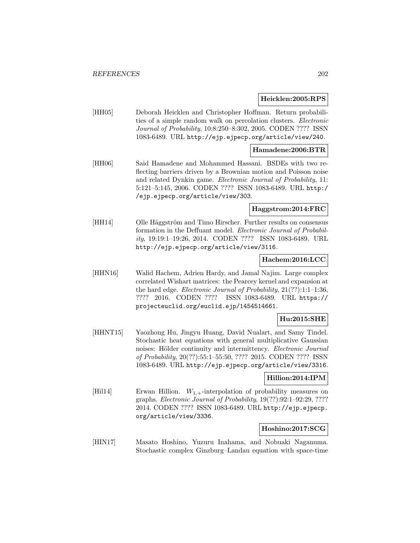#### **Heicklen:2005:RPS**

[HH05] Deborah Heicklen and Christopher Hoffman. Return probabilities of a simple random walk on percolation clusters. Electronic Journal of Probability, 10:8:250–8:302, 2005. CODEN ???? ISSN 1083-6489. URL http://ejp.ejpecp.org/article/view/240.

#### **Hamadene:2006:BTR**

[HH06] Said Hamadene and Mohammed Hassani. BSDEs with two reflecting barriers driven by a Brownian motion and Poisson noise and related Dynkin game. Electronic Journal of Probability, 11: 5:121–5:145, 2006. CODEN ???? ISSN 1083-6489. URL http:/ /ejp.ejpecp.org/article/view/303.

## **Haggstrom:2014:FRC**

[HH14] Olle Häggström and Timo Hirscher. Further results on consensus formation in the Deffuant model. Electronic Journal of Probability, 19:19:1–19:26, 2014. CODEN ???? ISSN 1083-6489. URL http://ejp.ejpecp.org/article/view/3116.

## **Hachem:2016:LCC**

[HHN16] Walid Hachem, Adrien Hardy, and Jamal Najim. Large complex correlated Wishart matrices: the Pearcey kernel and expansion at the hard edge. Electronic Journal of Probability, 21(??):1:1–1:36, ???? 2016. CODEN ???? ISSN 1083-6489. URL https:// projecteuclid.org/euclid.ejp/1454514661.

## **Hu:2015:SHE**

[HHNT15] Yaozhong Hu, Jingyu Huang, David Nualart, and Samy Tindel. Stochastic heat equations with general multiplicative Gaussian noises: Hölder continuity and intermittency. Electronic Journal of Probability, 20(??):55:1–55:50, ???? 2015. CODEN ???? ISSN 1083-6489. URL http://ejp.ejpecp.org/article/view/3316.

## **Hillion:2014:IPM**

[Hil14] Erwan Hillion.  $W_{1,+}$ -interpolation of probability measures on graphs. Electronic Journal of Probability, 19(??):92:1–92:29, ???? 2014. CODEN ???? ISSN 1083-6489. URL http://ejp.ejpecp. org/article/view/3336.

## **Hoshino:2017:SCG**

[HIN17] Masato Hoshino, Yuzuru Inahama, and Nobuaki Naganuma. Stochastic complex Ginzburg–Landau equation with space-time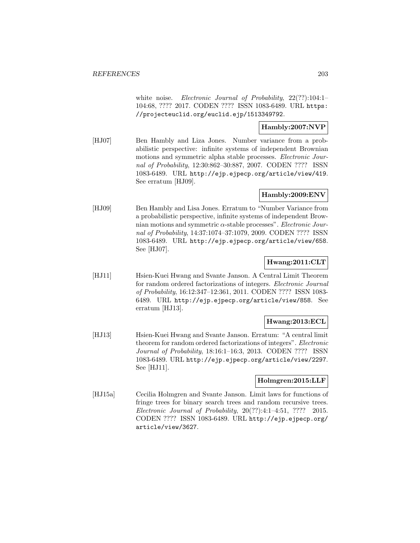white noise. Electronic Journal of Probability, 22(??):104:1-104:68, ???? 2017. CODEN ???? ISSN 1083-6489. URL https: //projecteuclid.org/euclid.ejp/1513349792.

## **Hambly:2007:NVP**

[HJ07] Ben Hambly and Liza Jones. Number variance from a probabilistic perspective: infinite systems of independent Brownian motions and symmetric alpha stable processes. Electronic Journal of Probability, 12:30:862–30:887, 2007. CODEN ???? ISSN 1083-6489. URL http://ejp.ejpecp.org/article/view/419. See erratum [HJ09].

## **Hambly:2009:ENV**

[HJ09] Ben Hambly and Lisa Jones. Erratum to "Number Variance from a probabilistic perspective, infinite systems of independent Brownian motions and symmetric  $\alpha$ -stable processes". Electronic Journal of Probability, 14:37:1074–37:1079, 2009. CODEN ???? ISSN 1083-6489. URL http://ejp.ejpecp.org/article/view/658. See [HJ07].

## **Hwang:2011:CLT**

[HJ11] Hsien-Kuei Hwang and Svante Janson. A Central Limit Theorem for random ordered factorizations of integers. Electronic Journal of Probability, 16:12:347–12:361, 2011. CODEN ???? ISSN 1083- 6489. URL http://ejp.ejpecp.org/article/view/858. See erratum [HJ13].

## **Hwang:2013:ECL**

[HJ13] Hsien-Kuei Hwang and Svante Janson. Erratum: "A central limit theorem for random ordered factorizations of integers". Electronic Journal of Probability, 18:16:1–16:3, 2013. CODEN ???? ISSN 1083-6489. URL http://ejp.ejpecp.org/article/view/2297. See [HJ11].

## **Holmgren:2015:LLF**

[HJ15a] Cecilia Holmgren and Svante Janson. Limit laws for functions of fringe trees for binary search trees and random recursive trees. Electronic Journal of Probability,  $20(??):4:1-4:51$ ,  $???" 2015$ . CODEN ???? ISSN 1083-6489. URL http://ejp.ejpecp.org/ article/view/3627.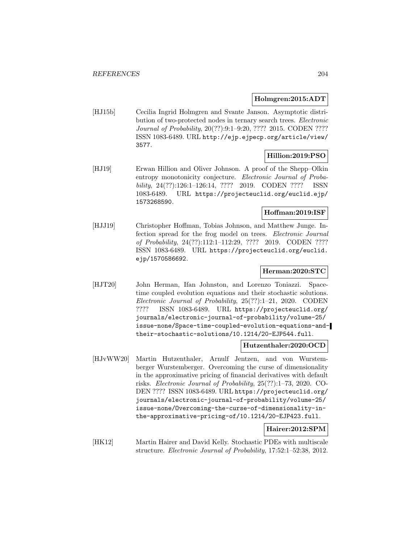### **Holmgren:2015:ADT**

[HJ15b] Cecilia Ingrid Holmgren and Svante Janson. Asymptotic distribution of two-protected nodes in ternary search trees. Electronic Journal of Probability, 20(??):9:1–9:20, ???? 2015. CODEN ???? ISSN 1083-6489. URL http://ejp.ejpecp.org/article/view/ 3577.

## **Hillion:2019:PSO**

[HJ19] Erwan Hillion and Oliver Johnson. A proof of the Shepp–Olkin entropy monotonicity conjecture. Electronic Journal of Probability, 24(??):126:1–126:14, ???? 2019. CODEN ???? ISSN 1083-6489. URL https://projecteuclid.org/euclid.ejp/ 1573268590.

## **Hoffman:2019:ISF**

[HJJ19] Christopher Hoffman, Tobias Johnson, and Matthew Junge. Infection spread for the frog model on trees. Electronic Journal of Probability, 24(??):112:1–112:29, ???? 2019. CODEN ???? ISSN 1083-6489. URL https://projecteuclid.org/euclid. ejp/1570586692.

## **Herman:2020:STC**

[HJT20] John Herman, Ifan Johnston, and Lorenzo Toniazzi. Spacetime coupled evolution equations and their stochastic solutions. Electronic Journal of Probability, 25(??):1–21, 2020. CODEN ???? ISSN 1083-6489. URL https://projecteuclid.org/ journals/electronic-journal-of-probability/volume-25/ issue-none/Space-time-coupled-evolution-equations-andtheir-stochastic-solutions/10.1214/20-EJP544.full.

## **Hutzenthaler:2020:OCD**

[HJvWW20] Martin Hutzenthaler, Arnulf Jentzen, and von Wurstemberger Wurstemberger. Overcoming the curse of dimensionality in the approximative pricing of financial derivatives with default risks. Electronic Journal of Probability, 25(??):1–73, 2020. CO-DEN ???? ISSN 1083-6489. URL https://projecteuclid.org/ journals/electronic-journal-of-probability/volume-25/ issue-none/Overcoming-the-curse-of-dimensionality-inthe-approximative-pricing-of/10.1214/20-EJP423.full.

## **Hairer:2012:SPM**

[HK12] Martin Hairer and David Kelly. Stochastic PDEs with multiscale structure. Electronic Journal of Probability, 17:52:1–52:38, 2012.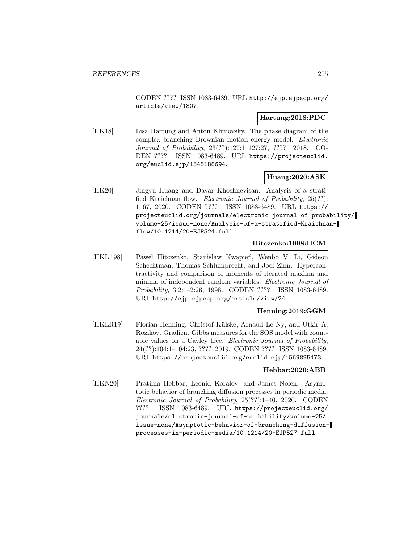CODEN ???? ISSN 1083-6489. URL http://ejp.ejpecp.org/ article/view/1807.

## **Hartung:2018:PDC**

[HK18] Lisa Hartung and Anton Klimovsky. The phase diagram of the complex branching Brownian motion energy model. Electronic Journal of Probability, 23(??):127:1–127:27, ???? 2018. CO-DEN ???? ISSN 1083-6489. URL https://projecteuclid. org/euclid.ejp/1545188694.

## **Huang:2020:ASK**

[HK20] Jingyu Huang and Davar Khoshnevisan. Analysis of a stratified Kraichnan flow. Electronic Journal of Probability, 25(??): 1–67, 2020. CODEN ???? ISSN 1083-6489. URL https:// projecteuclid.org/journals/electronic-journal-of-probability/ volume-25/issue-none/Analysis-of-a-stratified-Kraichnanflow/10.1214/20-EJP524.full.

## **Hitczenko:1998:HCM**

[HKL<sup>+</sup>98] Paweł Hitczenko, Stanisław Kwapień, Wenbo V. Li, Gideon Schechtman, Thomas Schlumprecht, and Joel Zinn. Hypercontractivity and comparison of moments of iterated maxima and minima of independent random variables. Electronic Journal of Probability, 3:2:1–2:26, 1998. CODEN ???? ISSN 1083-6489. URL http://ejp.ejpecp.org/article/view/24.

#### **Henning:2019:GGM**

[HKLR19] Florian Henning, Christof Külske, Arnaud Le Ny, and Utkir A. Rozikov. Gradient Gibbs measures for the SOS model with countable values on a Cayley tree. Electronic Journal of Probability, 24(??):104:1–104:23, ???? 2019. CODEN ???? ISSN 1083-6489. URL https://projecteuclid.org/euclid.ejp/1569895473.

#### **Hebbar:2020:ABB**

[HKN20] Pratima Hebbar, Leonid Koralov, and James Nolen. Asymptotic behavior of branching diffusion processes in periodic media. Electronic Journal of Probability, 25(??):1–40, 2020. CODEN ???? ISSN 1083-6489. URL https://projecteuclid.org/ journals/electronic-journal-of-probability/volume-25/ issue-none/Asymptotic-behavior-of-branching-diffusionprocesses-in-periodic-media/10.1214/20-EJP527.full.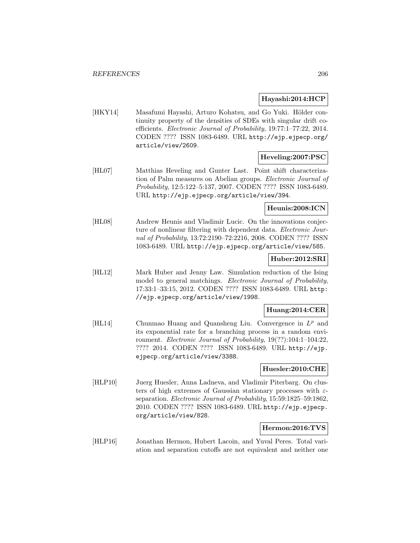## **Hayashi:2014:HCP**

[HKY14] Masafumi Hayashi, Arturo Kohatsu, and Go Yuki. Hölder continuity property of the densities of SDEs with singular drift coefficients. Electronic Journal of Probability, 19:77:1–77:22, 2014. CODEN ???? ISSN 1083-6489. URL http://ejp.ejpecp.org/ article/view/2609.

## **Heveling:2007:PSC**

[HL07] Matthias Heveling and Gunter Last. Point shift characterization of Palm measures on Abelian groups. Electronic Journal of Probability, 12:5:122–5:137, 2007. CODEN ???? ISSN 1083-6489. URL http://ejp.ejpecp.org/article/view/394.

## **Heunis:2008:ICN**

[HL08] Andrew Heunis and Vladimir Lucic. On the innovations conjecture of nonlinear filtering with dependent data. Electronic Journal of Probability, 13:72:2190–72:2216, 2008. CODEN ???? ISSN 1083-6489. URL http://ejp.ejpecp.org/article/view/585.

## **Huber:2012:SRI**

[HL12] Mark Huber and Jenny Law. Simulation reduction of the Ising model to general matchings. Electronic Journal of Probability, 17:33:1–33:15, 2012. CODEN ???? ISSN 1083-6489. URL http: //ejp.ejpecp.org/article/view/1998.

## **Huang:2014:CER**

[HL14] Chunmao Huang and Quansheng Liu. Convergence in  $L^p$  and its exponential rate for a branching process in a random environment. Electronic Journal of Probability, 19(??):104:1–104:22, ???? 2014. CODEN ???? ISSN 1083-6489. URL http://ejp. ejpecp.org/article/view/3388.

#### **Huesler:2010:CHE**

[HLP10] Juerg Huesler, Anna Ladneva, and Vladimir Piterbarg. On clusters of high extremes of Gaussian stationary processes with  $\varepsilon$ separation. Electronic Journal of Probability, 15:59:1825–59:1862, 2010. CODEN ???? ISSN 1083-6489. URL http://ejp.ejpecp. org/article/view/828.

## **Hermon:2016:TVS**

[HLP16] Jonathan Hermon, Hubert Lacoin, and Yuval Peres. Total variation and separation cutoffs are not equivalent and neither one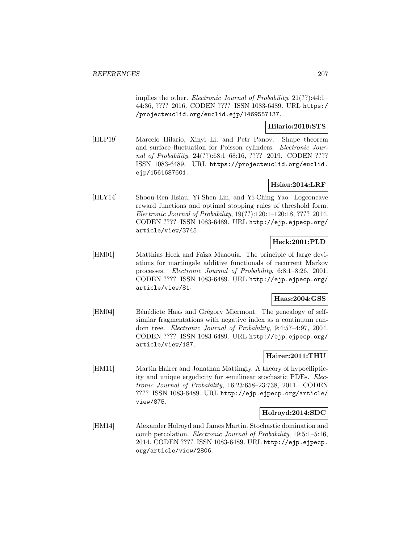implies the other. Electronic Journal of Probability, 21(??):44:1-44:36, ???? 2016. CODEN ???? ISSN 1083-6489. URL https:/ /projecteuclid.org/euclid.ejp/1469557137.

**Hilario:2019:STS**

[HLP19] Marcelo Hilario, Xinyi Li, and Petr Panov. Shape theorem and surface fluctuation for Poisson cylinders. Electronic Journal of Probability, 24(??):68:1-68:16, ???? 2019. CODEN ???? ISSN 1083-6489. URL https://projecteuclid.org/euclid. ejp/1561687601.

## **Hsiau:2014:LRF**

[HLY14] Shoou-Ren Hsiau, Yi-Shen Lin, and Yi-Ching Yao. Logconcave reward functions and optimal stopping rules of threshold form. Electronic Journal of Probability, 19(??):120:1–120:18, ???? 2014. CODEN ???? ISSN 1083-6489. URL http://ejp.ejpecp.org/ article/view/3745.

## **Heck:2001:PLD**

[HM01] Matthias Heck and Fa¨ıza Maaouia. The principle of large deviations for martingale additive functionals of recurrent Markov processes. Electronic Journal of Probability, 6:8:1–8:26, 2001. CODEN ???? ISSN 1083-6489. URL http://ejp.ejpecp.org/ article/view/81.

## **Haas:2004:GSS**

[HM04] Bénédicte Haas and Grégory Miermont. The genealogy of selfsimilar fragmentations with negative index as a continuum random tree. Electronic Journal of Probability, 9:4:57–4:97, 2004. CODEN ???? ISSN 1083-6489. URL http://ejp.ejpecp.org/ article/view/187.

## **Hairer:2011:THU**

[HM11] Martin Hairer and Jonathan Mattingly. A theory of hypoellipticity and unique ergodicity for semilinear stochastic PDEs. Electronic Journal of Probability, 16:23:658–23:738, 2011. CODEN ???? ISSN 1083-6489. URL http://ejp.ejpecp.org/article/ view/875.

## **Holroyd:2014:SDC**

[HM14] Alexander Holroyd and James Martin. Stochastic domination and comb percolation. Electronic Journal of Probability, 19:5:1–5:16, 2014. CODEN ???? ISSN 1083-6489. URL http://ejp.ejpecp. org/article/view/2806.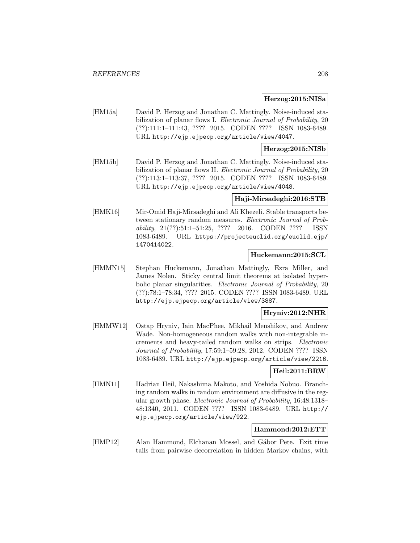#### **Herzog:2015:NISa**

[HM15a] David P. Herzog and Jonathan C. Mattingly. Noise-induced stabilization of planar flows I. Electronic Journal of Probability, 20 (??):111:1–111:43, ???? 2015. CODEN ???? ISSN 1083-6489. URL http://ejp.ejpecp.org/article/view/4047.

#### **Herzog:2015:NISb**

[HM15b] David P. Herzog and Jonathan C. Mattingly. Noise-induced stabilization of planar flows II. Electronic Journal of Probability, 20 (??):113:1–113:37, ???? 2015. CODEN ???? ISSN 1083-6489. URL http://ejp.ejpecp.org/article/view/4048.

## **Haji-Mirsadeghi:2016:STB**

[HMK16] Mir-Omid Haji-Mirsadeghi and Ali Khezeli. Stable transports between stationary random measures. Electronic Journal of Probability, 21(??):51:1–51:25, ???? 2016. CODEN ???? ISSN 1083-6489. URL https://projecteuclid.org/euclid.ejp/ 1470414022.

## **Huckemann:2015:SCL**

[HMMN15] Stephan Huckemann, Jonathan Mattingly, Ezra Miller, and James Nolen. Sticky central limit theorems at isolated hyperbolic planar singularities. Electronic Journal of Probability, 20 (??):78:1–78:34, ???? 2015. CODEN ???? ISSN 1083-6489. URL http://ejp.ejpecp.org/article/view/3887.

## **Hryniv:2012:NHR**

[HMMW12] Ostap Hryniv, Iain MacPhee, Mikhail Menshikov, and Andrew Wade. Non-homogeneous random walks with non-integrable increments and heavy-tailed random walks on strips. Electronic Journal of Probability, 17:59:1–59:28, 2012. CODEN ???? ISSN 1083-6489. URL http://ejp.ejpecp.org/article/view/2216.

#### **Heil:2011:BRW**

[HMN11] Hadrian Heil, Nakashima Makoto, and Yoshida Nobuo. Branching random walks in random environment are diffusive in the regular growth phase. Electronic Journal of Probability, 16:48:1318– 48:1340, 2011. CODEN ???? ISSN 1083-6489. URL http:// ejp.ejpecp.org/article/view/922.

## **Hammond:2012:ETT**

[HMP12] Alan Hammond, Elchanan Mossel, and Gábor Pete. Exit time tails from pairwise decorrelation in hidden Markov chains, with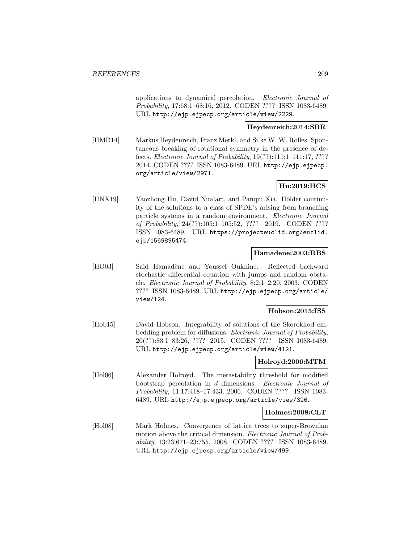applications to dynamical percolation. Electronic Journal of Probability, 17:68:1–68:16, 2012. CODEN ???? ISSN 1083-6489. URL http://ejp.ejpecp.org/article/view/2229.

## **Heydenreich:2014:SBR**

[HMR14] Markus Heydenreich, Franz Merkl, and Silke W. W. Rolles. Spontaneous breaking of rotational symmetry in the presence of defects. Electronic Journal of Probability, 19(??):111:1–111:17, ???? 2014. CODEN ???? ISSN 1083-6489. URL http://ejp.ejpecp. org/article/view/2971.

## **Hu:2019:HCS**

[HNX19] Yaozhong Hu, David Nualart, and Panqiu Xia. Hölder continuity of the solutions to a class of SPDE's arising from branching particle systems in a random environment. Electronic Journal of Probability, 24(??):105:1–105:52, ???? 2019. CODEN ???? ISSN 1083-6489. URL https://projecteuclid.org/euclid. ejp/1569895474.

## **Hamadene:2003:RBS**

[HO03] Said Hamadène and Youssef Ouknine. Reflected backward stochastic differential equation with jumps and random obstacle. Electronic Journal of Probability, 8:2:1–2:20, 2003. CODEN ???? ISSN 1083-6489. URL http://ejp.ejpecp.org/article/ view/124.

## **Hobson:2015:ISS**

[Hob15] David Hobson. Integrability of solutions of the Skorokhod embedding problem for diffusions. Electronic Journal of Probability, 20(??):83:1–83:26, ???? 2015. CODEN ???? ISSN 1083-6489. URL http://ejp.ejpecp.org/article/view/4121.

## **Holroyd:2006:MTM**

[Hol06] Alexander Holroyd. The metastability threshold for modified bootstrap percolation in d dimensions. Electronic Journal of Probability, 11:17:418–17:433, 2006. CODEN ???? ISSN 1083- 6489. URL http://ejp.ejpecp.org/article/view/326.

## **Holmes:2008:CLT**

[Hol08] Mark Holmes. Convergence of lattice trees to super-Brownian motion above the critical dimension. *Electronic Journal of Prob*ability, 13:23:671–23:755, 2008. CODEN ???? ISSN 1083-6489. URL http://ejp.ejpecp.org/article/view/499.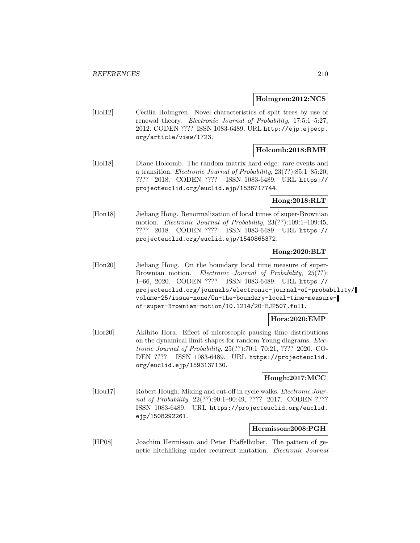### **Holmgren:2012:NCS**

[Hol12] Cecilia Holmgren. Novel characteristics of split trees by use of renewal theory. Electronic Journal of Probability, 17:5:1–5:27, 2012. CODEN ???? ISSN 1083-6489. URL http://ejp.ejpecp. org/article/view/1723.

## **Holcomb:2018:RMH**

[Hol18] Diane Holcomb. The random matrix hard edge: rare events and a transition. Electronic Journal of Probability, 23(??):85:1–85:20, ???? 2018. CODEN ???? ISSN 1083-6489. URL https:// projecteuclid.org/euclid.ejp/1536717744.

## **Hong:2018:RLT**

[Hon18] Jieliang Hong. Renormalization of local times of super-Brownian motion. Electronic Journal of Probability, 23(??):109:1–109:45, ???? 2018. CODEN ???? ISSN 1083-6489. URL https:// projecteuclid.org/euclid.ejp/1540865372.

## **Hong:2020:BLT**

[Hon20] Jieliang Hong. On the boundary local time measure of super-Brownian motion. Electronic Journal of Probability, 25(??): 1–66, 2020. CODEN ???? ISSN 1083-6489. URL https:// projecteuclid.org/journals/electronic-journal-of-probability/ volume-25/issue-none/On-the-boundary-local-time-measureof-super-Brownian-motion/10.1214/20-EJP507.full.

## **Hora:2020:EMP**

[Hor20] Akihito Hora. Effect of microscopic pausing time distributions on the dynamical limit shapes for random Young diagrams. Electronic Journal of Probability, 25(??):70:1–70:21, ???? 2020. CO-DEN ???? ISSN 1083-6489. URL https://projecteuclid. org/euclid.ejp/1593137130.

## **Hough:2017:MCC**

[Hou17] Robert Hough. Mixing and cut-off in cycle walks. Electronic Journal of Probability, 22(??):90:1-90:49, ???? 2017. CODEN ???? ISSN 1083-6489. URL https://projecteuclid.org/euclid. ejp/1508292261.

#### **Hermisson:2008:PGH**

[HP08] Joachim Hermisson and Peter Pfaffelhuber. The pattern of genetic hitchhiking under recurrent mutation. Electronic Journal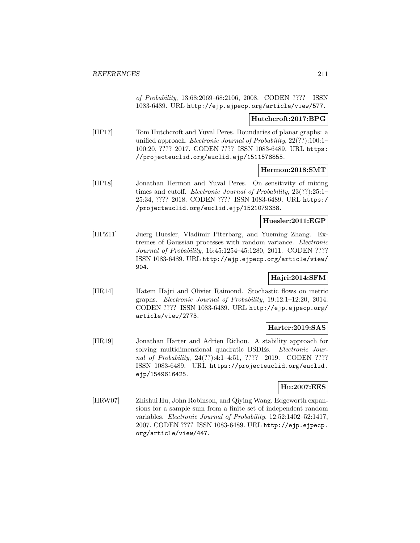of Probability, 13:68:2069–68:2106, 2008. CODEN ???? ISSN 1083-6489. URL http://ejp.ejpecp.org/article/view/577.

## **Hutchcroft:2017:BPG**

[HP17] Tom Hutchcroft and Yuval Peres. Boundaries of planar graphs: a unified approach. Electronic Journal of Probability, 22(??):100:1– 100:20, ???? 2017. CODEN ???? ISSN 1083-6489. URL https: //projecteuclid.org/euclid.ejp/1511578855.

### **Hermon:2018:SMT**

[HP18] Jonathan Hermon and Yuval Peres. On sensitivity of mixing times and cutoff. *Electronic Journal of Probability*, 23(??):25:1-25:34, ???? 2018. CODEN ???? ISSN 1083-6489. URL https:/ /projecteuclid.org/euclid.ejp/1521079338.

#### **Huesler:2011:EGP**

[HPZ11] Juerg Huesler, Vladimir Piterbarg, and Yueming Zhang. Extremes of Gaussian processes with random variance. Electronic Journal of Probability, 16:45:1254–45:1280, 2011. CODEN ???? ISSN 1083-6489. URL http://ejp.ejpecp.org/article/view/ 904.

## **Hajri:2014:SFM**

[HR14] Hatem Hajri and Olivier Raimond. Stochastic flows on metric graphs. Electronic Journal of Probability, 19:12:1–12:20, 2014. CODEN ???? ISSN 1083-6489. URL http://ejp.ejpecp.org/ article/view/2773.

# **Harter:2019:SAS**

[HR19] Jonathan Harter and Adrien Richou. A stability approach for solving multidimensional quadratic BSDEs. Electronic Journal of Probability, 24(??):4:1–4:51, ???? 2019. CODEN ???? ISSN 1083-6489. URL https://projecteuclid.org/euclid. ejp/1549616425.

## **Hu:2007:EES**

[HRW07] Zhishui Hu, John Robinson, and Qiying Wang. Edgeworth expansions for a sample sum from a finite set of independent random variables. Electronic Journal of Probability, 12:52:1402–52:1417, 2007. CODEN ???? ISSN 1083-6489. URL http://ejp.ejpecp. org/article/view/447.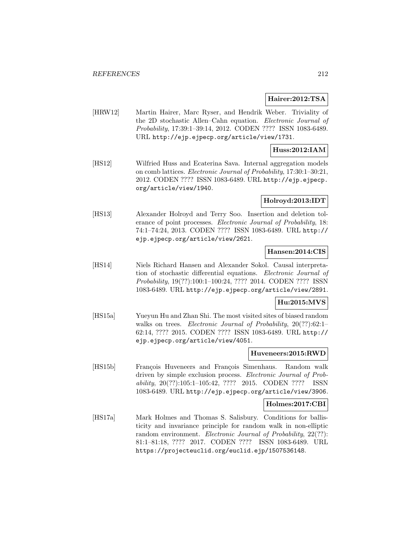#### **Hairer:2012:TSA**

[HRW12] Martin Hairer, Marc Ryser, and Hendrik Weber. Triviality of the 2D stochastic Allen–Cahn equation. Electronic Journal of Probability, 17:39:1–39:14, 2012. CODEN ???? ISSN 1083-6489. URL http://ejp.ejpecp.org/article/view/1731.

## **Huss:2012:IAM**

[HS12] Wilfried Huss and Ecaterina Sava. Internal aggregation models on comb lattices. Electronic Journal of Probability, 17:30:1–30:21, 2012. CODEN ???? ISSN 1083-6489. URL http://ejp.ejpecp. org/article/view/1940.

#### **Holroyd:2013:IDT**

[HS13] Alexander Holroyd and Terry Soo. Insertion and deletion tolerance of point processes. Electronic Journal of Probability, 18: 74:1–74:24, 2013. CODEN ???? ISSN 1083-6489. URL http:// ejp.ejpecp.org/article/view/2621.

## **Hansen:2014:CIS**

[HS14] Niels Richard Hansen and Alexander Sokol. Causal interpretation of stochastic differential equations. Electronic Journal of Probability, 19(??):100:1–100:24, ???? 2014. CODEN ???? ISSN 1083-6489. URL http://ejp.ejpecp.org/article/view/2891.

## **Hu:2015:MVS**

[HS15a] Yueyun Hu and Zhan Shi. The most visited sites of biased random walks on trees. Electronic Journal of Probability, 20(??):62:1-62:14, ???? 2015. CODEN ???? ISSN 1083-6489. URL http:// ejp.ejpecp.org/article/view/4051.

#### **Huveneers:2015:RWD**

[HS15b] François Huveneers and François Simenhaus. Random walk driven by simple exclusion process. Electronic Journal of Probability, 20(??):105:1–105:42, ???? 2015. CODEN ???? ISSN 1083-6489. URL http://ejp.ejpecp.org/article/view/3906.

#### **Holmes:2017:CBI**

[HS17a] Mark Holmes and Thomas S. Salisbury. Conditions for ballisticity and invariance principle for random walk in non-elliptic random environment. Electronic Journal of Probability, 22(??): 81:1–81:18, ???? 2017. CODEN ???? ISSN 1083-6489. URL https://projecteuclid.org/euclid.ejp/1507536148.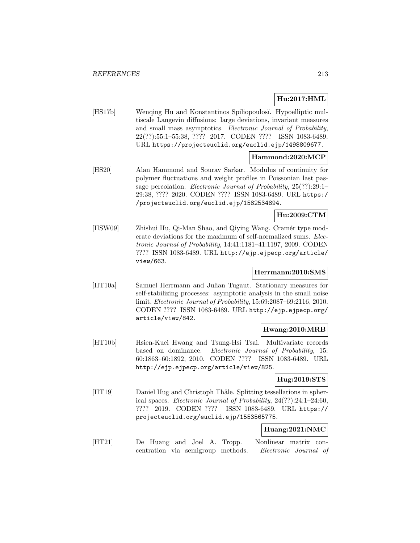# **Hu:2017:HML**

[HS17b] Wenqing Hu and Konstantinos Spiliopoulosi. Hypoelliptic multiscale Langevin diffusions: large deviations, invariant measures and small mass asymptotics. Electronic Journal of Probability, 22(??):55:1–55:38, ???? 2017. CODEN ???? ISSN 1083-6489. URL https://projecteuclid.org/euclid.ejp/1498809677.

## **Hammond:2020:MCP**

[HS20] Alan Hammond and Sourav Sarkar. Modulus of continuity for polymer fluctuations and weight profiles in Poissonian last passage percolation. Electronic Journal of Probability, 25(??):29:1– 29:38, ???? 2020. CODEN ???? ISSN 1083-6489. URL https:/ /projecteuclid.org/euclid.ejp/1582534894.

# **Hu:2009:CTM**

[HSW09] Zhishui Hu, Qi-Man Shao, and Qiying Wang. Cramér type moderate deviations for the maximum of self-normalized sums. Electronic Journal of Probability, 14:41:1181–41:1197, 2009. CODEN ???? ISSN 1083-6489. URL http://ejp.ejpecp.org/article/ view/663.

## **Herrmann:2010:SMS**

[HT10a] Samuel Herrmann and Julian Tugaut. Stationary measures for self-stabilizing processes: asymptotic analysis in the small noise limit. Electronic Journal of Probability, 15:69:2087–69:2116, 2010. CODEN ???? ISSN 1083-6489. URL http://ejp.ejpecp.org/ article/view/842.

## **Hwang:2010:MRB**

[HT10b] Hsien-Kuei Hwang and Tsung-Hsi Tsai. Multivariate records based on dominance. Electronic Journal of Probability, 15: 60:1863–60:1892, 2010. CODEN ???? ISSN 1083-6489. URL http://ejp.ejpecp.org/article/view/825.

## **Hug:2019:STS**

[HT19] Daniel Hug and Christoph Thäle. Splitting tessellations in spherical spaces. Electronic Journal of Probability, 24(??):24:1–24:60, ???? 2019. CODEN ???? ISSN 1083-6489. URL https:// projecteuclid.org/euclid.ejp/1553565775.

## **Huang:2021:NMC**

[HT21] De Huang and Joel A. Tropp. Nonlinear matrix concentration via semigroup methods. Electronic Journal of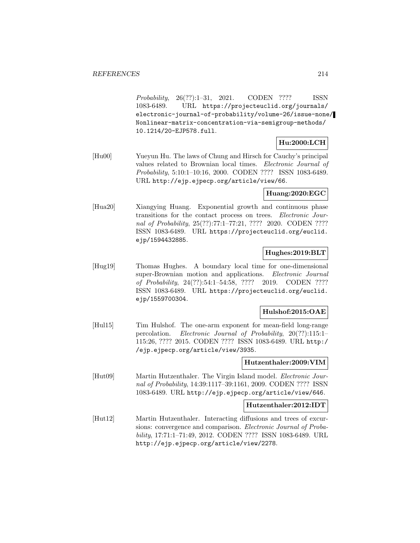Probability, 26(??):1–31, 2021. CODEN ???? ISSN 1083-6489. URL https://projecteuclid.org/journals/ electronic-journal-of-probability/volume-26/issue-none/ Nonlinear-matrix-concentration-via-semigroup-methods/ 10.1214/20-EJP578.full.

# **Hu:2000:LCH**

[Hu00] Yueyun Hu. The laws of Chung and Hirsch for Cauchy's principal values related to Brownian local times. Electronic Journal of Probability, 5:10:1–10:16, 2000. CODEN ???? ISSN 1083-6489. URL http://ejp.ejpecp.org/article/view/66.

## **Huang:2020:EGC**

[Hua20] Xiangying Huang. Exponential growth and continuous phase transitions for the contact process on trees. Electronic Journal of Probability, 25(??):77:1–77:21, ???? 2020. CODEN ???? ISSN 1083-6489. URL https://projecteuclid.org/euclid. ejp/1594432885.

## **Hughes:2019:BLT**

[Hug19] Thomas Hughes. A boundary local time for one-dimensional super-Brownian motion and applications. Electronic Journal of Probability, 24(??):54:1–54:58, ???? 2019. CODEN ???? ISSN 1083-6489. URL https://projecteuclid.org/euclid. ejp/1559700304.

## **Hulshof:2015:OAE**

[Hul15] Tim Hulshof. The one-arm exponent for mean-field long-range percolation. Electronic Journal of Probability, 20(??):115:1– 115:26, ???? 2015. CODEN ???? ISSN 1083-6489. URL http:/ /ejp.ejpecp.org/article/view/3935.

## **Hutzenthaler:2009:VIM**

[Hut09] Martin Hutzenthaler. The Virgin Island model. Electronic Journal of Probability, 14:39:1117–39:1161, 2009. CODEN ???? ISSN 1083-6489. URL http://ejp.ejpecp.org/article/view/646.

## **Hutzenthaler:2012:IDT**

[Hut12] Martin Hutzenthaler. Interacting diffusions and trees of excursions: convergence and comparison. Electronic Journal of Probability, 17:71:1–71:49, 2012. CODEN ???? ISSN 1083-6489. URL http://ejp.ejpecp.org/article/view/2278.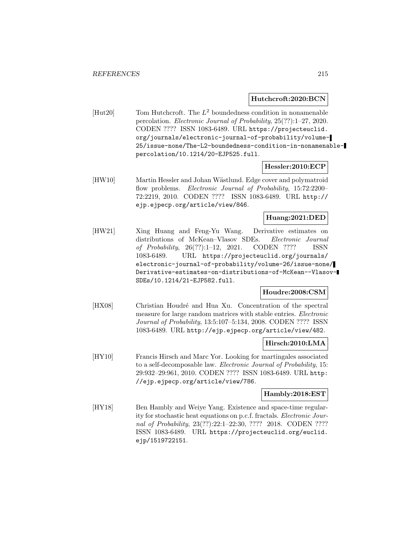### **Hutchcroft:2020:BCN**

[Hut20] Tom Hutchcroft. The  $L^2$  boundedness condition in nonamenable percolation. Electronic Journal of Probability, 25(??):1–27, 2020. CODEN ???? ISSN 1083-6489. URL https://projecteuclid. org/journals/electronic-journal-of-probability/volume-25/issue-none/The-L2-boundedness-condition-in-nonamenablepercolation/10.1214/20-EJP525.full.

#### **Hessler:2010:ECP**

[HW10] Martin Hessler and Johan Wästlund. Edge cover and polymatroid flow problems. Electronic Journal of Probability, 15:72:2200-72:2219, 2010. CODEN ???? ISSN 1083-6489. URL http:// ejp.ejpecp.org/article/view/846.

## **Huang:2021:DED**

[HW21] Xing Huang and Feng-Yu Wang. Derivative estimates on distributions of McKean–Vlasov SDEs. Electronic Journal of Probability, 26(??):1–12, 2021. CODEN ???? ISSN 1083-6489. URL https://projecteuclid.org/journals/ electronic-journal-of-probability/volume-26/issue-none/ Derivative-estimates-on-distributions-of-McKean--Vlasov-SDEs/10.1214/21-EJP582.full.

## **Houdre:2008:CSM**

[HX08] Christian Houdré and Hua Xu. Concentration of the spectral measure for large random matrices with stable entries. Electronic Journal of Probability, 13:5:107–5:134, 2008. CODEN ???? ISSN 1083-6489. URL http://ejp.ejpecp.org/article/view/482.

## **Hirsch:2010:LMA**

[HY10] Francis Hirsch and Marc Yor. Looking for martingales associated to a self-decomposable law. Electronic Journal of Probability, 15: 29:932–29:961, 2010. CODEN ???? ISSN 1083-6489. URL http: //ejp.ejpecp.org/article/view/786.

## **Hambly:2018:EST**

[HY18] Ben Hambly and Weiye Yang. Existence and space-time regularity for stochastic heat equations on p.c.f. fractals. Electronic Journal of Probability, 23(??):22:1-22:30, ???? 2018. CODEN ???? ISSN 1083-6489. URL https://projecteuclid.org/euclid. ejp/1519722151.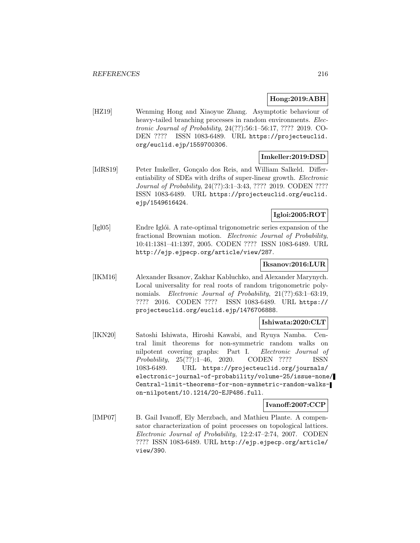## **Hong:2019:ABH**

[HZ19] Wenming Hong and Xiaoyue Zhang. Asymptotic behaviour of heavy-tailed branching processes in random environments. Electronic Journal of Probability, 24(??):56:1–56:17, ???? 2019. CO-DEN ???? ISSN 1083-6489. URL https://projecteuclid. org/euclid.ejp/1559700306.

## **Imkeller:2019:DSD**

[IdRS19] Peter Imkeller, Gonçalo dos Reis, and William Salkeld. Differentiability of SDEs with drifts of super-linear growth. Electronic Journal of Probability, 24(??):3:1–3:43, ???? 2019. CODEN ???? ISSN 1083-6489. URL https://projecteuclid.org/euclid. ejp/1549616424.

## **Igloi:2005:ROT**

[Igl05] Endre Iglói. A rate-optimal trigonometric series expansion of the fractional Brownian motion. Electronic Journal of Probability, 10:41:1381–41:1397, 2005. CODEN ???? ISSN 1083-6489. URL http://ejp.ejpecp.org/article/view/287.

## **Iksanov:2016:LUR**

[IKM16] Alexander Iksanov, Zakhar Kabluchko, and Alexander Marynych. Local universality for real roots of random trigonometric polynomials. Electronic Journal of Probability, 21(??):63:1-63:19, ???? 2016. CODEN ???? ISSN 1083-6489. URL https:// projecteuclid.org/euclid.ejp/1476706888.

## **Ishiwata:2020:CLT**

[IKN20] Satoshi Ishiwata, Hiroshi Kawabi, and Ryuya Namba. Central limit theorems for non-symmetric random walks on nilpotent covering graphs: Part I. Electronic Journal of Probability, 25(??):1–46, 2020. CODEN ???? ISSN 1083-6489. URL https://projecteuclid.org/journals/ electronic-journal-of-probability/volume-25/issue-none/ Central-limit-theorems-for-non-symmetric-random-walkson-nilpotent/10.1214/20-EJP486.full.

## **Ivanoff:2007:CCP**

[IMP07] B. Gail Ivanoff, Ely Merzbach, and Mathieu Plante. A compensator characterization of point processes on topological lattices. Electronic Journal of Probability, 12:2:47–2:74, 2007. CODEN ???? ISSN 1083-6489. URL http://ejp.ejpecp.org/article/ view/390.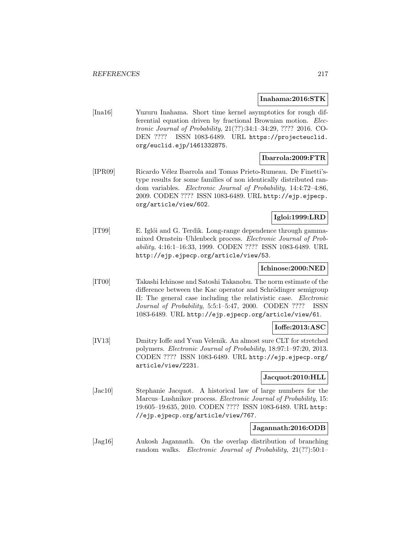#### **Inahama:2016:STK**

[Ina16] Yuzuru Inahama. Short time kernel asymptotics for rough differential equation driven by fractional Brownian motion. Electronic Journal of Probability, 21(??):34:1–34:29, ???? 2016. CO-DEN ???? ISSN 1083-6489. URL https://projecteuclid. org/euclid.ejp/1461332875.

### **Ibarrola:2009:FTR**

[IPR09] Ricardo V´elez Ibarrola and Tomas Prieto-Rumeau. De Finetti'stype results for some families of non identically distributed random variables. Electronic Journal of Probability, 14:4:72–4:86, 2009. CODEN ???? ISSN 1083-6489. URL http://ejp.ejpecp. org/article/view/602.

## **Igloi:1999:LRD**

[IT99] E. Iglói and G. Terdik. Long-range dependence through gammamixed Ornstein–Uhlenbeck process. Electronic Journal of Probability, 4:16:1–16:33, 1999. CODEN ???? ISSN 1083-6489. URL http://ejp.ejpecp.org/article/view/53.

### **Ichinose:2000:NED**

[IT00] Takashi Ichinose and Satoshi Takanobu. The norm estimate of the difference between the Kac operator and Schrödinger semigroup II: The general case including the relativistic case. Electronic Journal of Probability, 5:5:1–5:47, 2000. CODEN ???? ISSN 1083-6489. URL http://ejp.ejpecp.org/article/view/61.

# **Ioffe:2013:ASC**

[IV13] Dmitry Ioffe and Yvan Velenik. An almost sure CLT for stretched polymers. Electronic Journal of Probability, 18:97:1–97:20, 2013. CODEN ???? ISSN 1083-6489. URL http://ejp.ejpecp.org/ article/view/2231.

### **Jacquot:2010:HLL**

[Jac10] Stephanie Jacquot. A historical law of large numbers for the Marcus–Lushnikov process. Electronic Journal of Probability, 15: 19:605–19:635, 2010. CODEN ???? ISSN 1083-6489. URL http: //ejp.ejpecp.org/article/view/767.

#### **Jagannath:2016:ODB**

[Jag16] Aukosh Jagannath. On the overlap distribution of branching random walks. Electronic Journal of Probability, 21(??):50:1-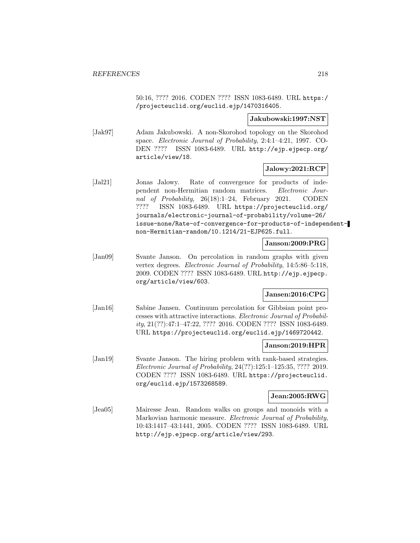50:16, ???? 2016. CODEN ???? ISSN 1083-6489. URL https:/ /projecteuclid.org/euclid.ejp/1470316405.

#### **Jakubowski:1997:NST**

[Jak97] Adam Jakubowski. A non-Skorohod topology on the Skorohod space. Electronic Journal of Probability, 2:4:1–4:21, 1997. CO-DEN ???? ISSN 1083-6489. URL http://ejp.ejpecp.org/ article/view/18.

# **Jalowy:2021:RCP**

[Jal21] Jonas Jalowy. Rate of convergence for products of independent non-Hermitian random matrices. Electronic Journal of Probability, 26(18):1–24, February 2021. CODEN ???? ISSN 1083-6489. URL https://projecteuclid.org/ journals/electronic-journal-of-probability/volume-26/ issue-none/Rate-of-convergence-for-products-of-independentnon-Hermitian-random/10.1214/21-EJP625.full.

### **Janson:2009:PRG**

[Jan09] Svante Janson. On percolation in random graphs with given vertex degrees. Electronic Journal of Probability, 14:5:86–5:118, 2009. CODEN ???? ISSN 1083-6489. URL http://ejp.ejpecp. org/article/view/603.

# **Jansen:2016:CPG**

[Jan16] Sabine Jansen. Continuum percolation for Gibbsian point processes with attractive interactions. Electronic Journal of Probability, 21(??):47:1–47:22, ???? 2016. CODEN ???? ISSN 1083-6489. URL https://projecteuclid.org/euclid.ejp/1469720442.

### **Janson:2019:HPR**

[Jan19] Svante Janson. The hiring problem with rank-based strategies. Electronic Journal of Probability, 24(??):125:1–125:35, ???? 2019. CODEN ???? ISSN 1083-6489. URL https://projecteuclid. org/euclid.ejp/1573268589.

### **Jean:2005:RWG**

[Jea05] Mairesse Jean. Random walks on groups and monoids with a Markovian harmonic measure. Electronic Journal of Probability, 10:43:1417–43:1441, 2005. CODEN ???? ISSN 1083-6489. URL http://ejp.ejpecp.org/article/view/293.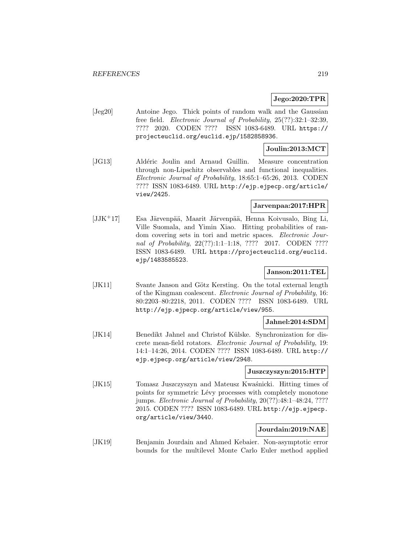## **Jego:2020:TPR**

[Jeg20] Antoine Jego. Thick points of random walk and the Gaussian free field. Electronic Journal of Probability, 25(??):32:1–32:39, ???? 2020. CODEN ???? ISSN 1083-6489. URL https:// projecteuclid.org/euclid.ejp/1582858936.

### **Joulin:2013:MCT**

[JG13] Aldéric Joulin and Arnaud Guillin. Measure concentration through non-Lipschitz observables and functional inequalities. Electronic Journal of Probability, 18:65:1–65:26, 2013. CODEN ???? ISSN 1083-6489. URL http://ejp.ejpecp.org/article/ view/2425.

# **Jarvenpaa:2017:HPR**

 $[JJK^+17]$  Esa Järvenpää, Maarit Järvenpää, Henna Koivusalo, Bing Li, Ville Suomala, and Yimin Xiao. Hitting probabilities of random covering sets in tori and metric spaces. Electronic Journal of Probability, 22(??):1:1-1:18, ???? 2017. CODEN ???? ISSN 1083-6489. URL https://projecteuclid.org/euclid. ejp/1483585523.

## **Janson:2011:TEL**

[JK11] Svante Janson and Götz Kersting. On the total external length of the Kingman coalescent. Electronic Journal of Probability, 16: 80:2203–80:2218, 2011. CODEN ???? ISSN 1083-6489. URL http://ejp.ejpecp.org/article/view/955.

### **Jahnel:2014:SDM**

[JK14] Benedikt Jahnel and Christof Külske. Synchronization for discrete mean-field rotators. Electronic Journal of Probability, 19: 14:1–14:26, 2014. CODEN ???? ISSN 1083-6489. URL http:// ejp.ejpecp.org/article/view/2948.

#### **Juszczyszyn:2015:HTP**

[JK15] Tomasz Juszczyszyn and Mateusz Kwaśnicki. Hitting times of points for symmetric Lévy processes with completely monotone jumps. Electronic Journal of Probability, 20(??):48:1–48:24, ???? 2015. CODEN ???? ISSN 1083-6489. URL http://ejp.ejpecp. org/article/view/3440.

# **Jourdain:2019:NAE**

[JK19] Benjamin Jourdain and Ahmed Kebaier. Non-asymptotic error bounds for the multilevel Monte Carlo Euler method applied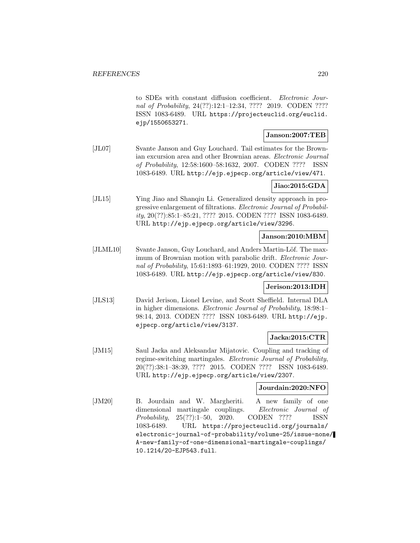to SDEs with constant diffusion coefficient. Electronic Journal of Probability, 24(??):12:1–12:34, ???? 2019. CODEN ???? ISSN 1083-6489. URL https://projecteuclid.org/euclid. ejp/1550653271.

### **Janson:2007:TEB**

[JL07] Svante Janson and Guy Louchard. Tail estimates for the Brownian excursion area and other Brownian areas. Electronic Journal of Probability, 12:58:1600–58:1632, 2007. CODEN ???? ISSN 1083-6489. URL http://ejp.ejpecp.org/article/view/471.

### **Jiao:2015:GDA**

[JL15] Ying Jiao and Shanqiu Li. Generalized density approach in progressive enlargement of filtrations. Electronic Journal of Probability, 20(??):85:1–85:21, ???? 2015. CODEN ???? ISSN 1083-6489. URL http://ejp.ejpecp.org/article/view/3296.

### **Janson:2010:MBM**

[JLML10] Svante Janson, Guy Louchard, and Anders Martin-Löf. The maximum of Brownian motion with parabolic drift. *Electronic Jour*nal of Probability, 15:61:1893–61:1929, 2010. CODEN ???? ISSN 1083-6489. URL http://ejp.ejpecp.org/article/view/830.

### **Jerison:2013:IDH**

[JLS13] David Jerison, Lionel Levine, and Scott Sheffield. Internal DLA in higher dimensions. Electronic Journal of Probability, 18:98:1– 98:14, 2013. CODEN ???? ISSN 1083-6489. URL http://ejp. ejpecp.org/article/view/3137.

### **Jacka:2015:CTR**

[JM15] Saul Jacka and Aleksandar Mijatovic. Coupling and tracking of regime-switching martingales. Electronic Journal of Probability, 20(??):38:1–38:39, ???? 2015. CODEN ???? ISSN 1083-6489. URL http://ejp.ejpecp.org/article/view/2307.

### **Jourdain:2020:NFO**

[JM20] B. Jourdain and W. Margheriti. A new family of one dimensional martingale couplings. Electronic Journal of Probability, 25(??):1–50, 2020. CODEN ???? ISSN 1083-6489. URL https://projecteuclid.org/journals/ electronic-journal-of-probability/volume-25/issue-none/ A-new-family-of-one-dimensional-martingale-couplings/ 10.1214/20-EJP543.full.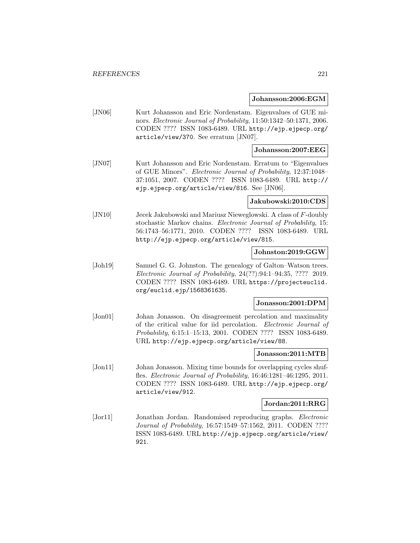#### **Johansson:2006:EGM**

[JN06] Kurt Johansson and Eric Nordenstam. Eigenvalues of GUE minors. Electronic Journal of Probability, 11:50:1342–50:1371, 2006. CODEN ???? ISSN 1083-6489. URL http://ejp.ejpecp.org/ article/view/370. See erratum [JN07].

### **Johansson:2007:EEG**

[JN07] Kurt Johansson and Eric Nordenstam. Erratum to "Eigenvalues of GUE Minors". Electronic Journal of Probability, 12:37:1048– 37:1051, 2007. CODEN ???? ISSN 1083-6489. URL http:// ejp.ejpecp.org/article/view/816. See [JN06].

#### **Jakubowski:2010:CDS**

[JN10] Jecek Jakubowski and Mariusz Nieweglowski. A class of F-doubly stochastic Markov chains. Electronic Journal of Probability, 15: 56:1743–56:1771, 2010. CODEN ???? ISSN 1083-6489. URL http://ejp.ejpecp.org/article/view/815.

#### **Johnston:2019:GGW**

[Joh19] Samuel G. G. Johnston. The genealogy of Galton–Watson trees. Electronic Journal of Probability, 24(??):94:1–94:35, ???? 2019. CODEN ???? ISSN 1083-6489. URL https://projecteuclid. org/euclid.ejp/1568361635.

#### **Jonasson:2001:DPM**

[Jon01] Johan Jonasson. On disagreement percolation and maximality of the critical value for iid percolation. Electronic Journal of Probability, 6:15:1–15:13, 2001. CODEN ???? ISSN 1083-6489. URL http://ejp.ejpecp.org/article/view/88.

#### **Jonasson:2011:MTB**

[Jon11] Johan Jonasson. Mixing time bounds for overlapping cycles shuffles. Electronic Journal of Probability, 16:46:1281–46:1295, 2011. CODEN ???? ISSN 1083-6489. URL http://ejp.ejpecp.org/ article/view/912.

#### **Jordan:2011:RRG**

[Jor11] Jonathan Jordan. Randomised reproducing graphs. Electronic Journal of Probability, 16:57:1549–57:1562, 2011. CODEN ???? ISSN 1083-6489. URL http://ejp.ejpecp.org/article/view/ 921.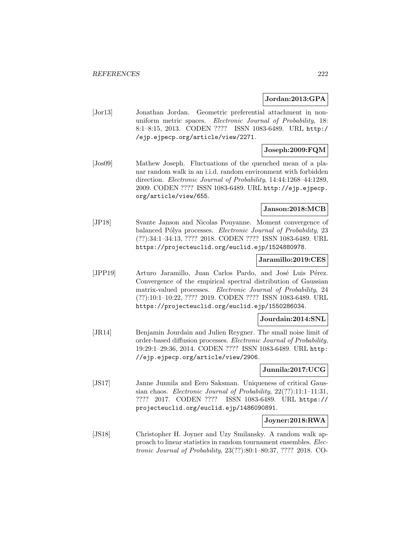#### **Jordan:2013:GPA**

[Jor13] Jonathan Jordan. Geometric preferential attachment in nonuniform metric spaces. Electronic Journal of Probability, 18: 8:1–8:15, 2013. CODEN ???? ISSN 1083-6489. URL http:/ /ejp.ejpecp.org/article/view/2271.

### **Joseph:2009:FQM**

[Jos09] Mathew Joseph. Fluctuations of the quenched mean of a planar random walk in an i.i.d. random environment with forbidden direction. Electronic Journal of Probability, 14:44:1268–44:1289, 2009. CODEN ???? ISSN 1083-6489. URL http://ejp.ejpecp. org/article/view/655.

### **Janson:2018:MCB**

[JP18] Svante Janson and Nicolas Pouyanne. Moment convergence of balanced Pólya processes. Electronic Journal of Probability, 23 (??):34:1–34:13, ???? 2018. CODEN ???? ISSN 1083-6489. URL https://projecteuclid.org/euclid.ejp/1524880978.

#### **Jaramillo:2019:CES**

[JPP19] Arturo Jaramillo, Juan Carlos Pardo, and José Luis Pérez. Convergence of the empirical spectral distribution of Gaussian matrix-valued processes. Electronic Journal of Probability, 24 (??):10:1–10:22, ???? 2019. CODEN ???? ISSN 1083-6489. URL https://projecteuclid.org/euclid.ejp/1550286034.

### **Jourdain:2014:SNL**

[JR14] Benjamin Jourdain and Julien Reygner. The small noise limit of order-based diffusion processes. Electronic Journal of Probability, 19:29:1–29:36, 2014. CODEN ???? ISSN 1083-6489. URL http: //ejp.ejpecp.org/article/view/2906.

### **Junnila:2017:UCG**

[JS17] Janne Junnila and Eero Saksman. Uniqueness of critical Gaussian chaos. Electronic Journal of Probability, 22(??):11:1–11:31, ???? 2017. CODEN ???? ISSN 1083-6489. URL https:// projecteuclid.org/euclid.ejp/1486090891.

### **Joyner:2018:RWA**

[JS18] Christopher H. Joyner and Uzy Smilansky. A random walk approach to linear statistics in random tournament ensembles. Electronic Journal of Probability, 23(??):80:1–80:37, ???? 2018. CO-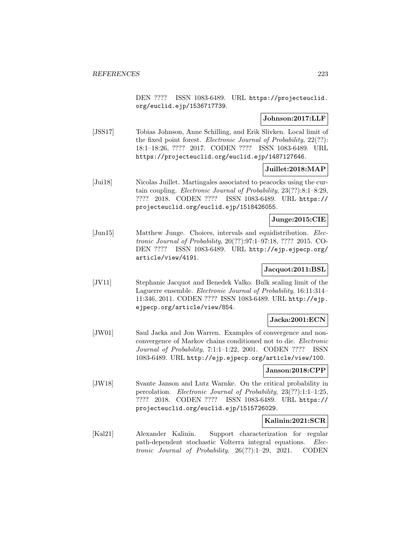DEN ???? ISSN 1083-6489. URL https://projecteuclid. org/euclid.ejp/1536717739.

### **Johnson:2017:LLF**

[JSS17] Tobias Johnson, Anne Schilling, and Erik Slivken. Local limit of the fixed point forest. Electronic Journal of Probability, 22(??): 18:1–18:26, ???? 2017. CODEN ???? ISSN 1083-6489. URL https://projecteuclid.org/euclid.ejp/1487127646.

# **Juillet:2018:MAP**

[Jui18] Nicolas Juillet. Martingales associated to peacocks using the curtain coupling. Electronic Journal of Probability, 23(??):8:1–8:29, ???? 2018. CODEN ???? ISSN 1083-6489. URL https:// projecteuclid.org/euclid.ejp/1518426055.

#### **Junge:2015:CIE**

[Jun15] Matthew Junge. Choices, intervals and equidistribution. Electronic Journal of Probability, 20(??):97:1–97:18, ???? 2015. CO-DEN ???? ISSN 1083-6489. URL http://ejp.ejpecp.org/ article/view/4191.

#### **Jacquot:2011:BSL**

[JV11] Stephanie Jacquot and Benedek Valko. Bulk scaling limit of the Laguerre ensemble. Electronic Journal of Probability, 16:11:314– 11:346, 2011. CODEN ???? ISSN 1083-6489. URL http://ejp. ejpecp.org/article/view/854.

### **Jacka:2001:ECN**

[JW01] Saul Jacka and Jon Warren. Examples of convergence and nonconvergence of Markov chains conditioned not to die. Electronic Journal of Probability, 7:1:1–1:22, 2001. CODEN ???? ISSN 1083-6489. URL http://ejp.ejpecp.org/article/view/100.

#### **Janson:2018:CPP**

[JW18] Svante Janson and Lutz Warnke. On the critical probability in percolation. Electronic Journal of Probability, 23(??):1:1–1:25, ???? 2018. CODEN ???? ISSN 1083-6489. URL https:// projecteuclid.org/euclid.ejp/1515726029.

### **Kalinin:2021:SCR**

[Kal21] Alexander Kalinin. Support characterization for regular path-dependent stochastic Volterra integral equations. Electronic Journal of Probability, 26(??):1–29, 2021. CODEN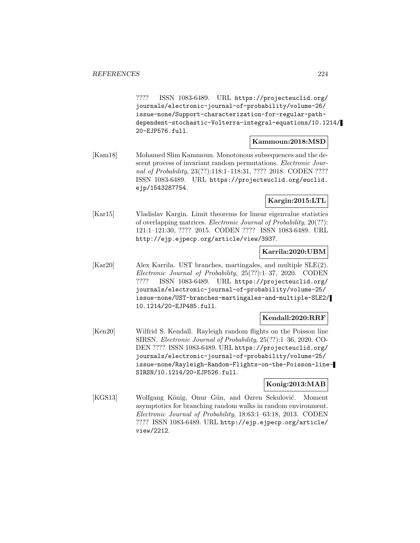???? ISSN 1083-6489. URL https://projecteuclid.org/ journals/electronic-journal-of-probability/volume-26/ issue-none/Support-characterization-for-regular-pathdependent-stochastic-Volterra-integral-equations/10.1214/ 20-EJP576.full.

### **Kammoun:2018:MSD**

[Kam18] Mohamed Slim Kammoun. Monotonous subsequences and the descent process of invariant random permutations. Electronic Journal of Probability, 23(??):118:1–118:31, ???? 2018. CODEN ???? ISSN 1083-6489. URL https://projecteuclid.org/euclid. ejp/1543287754.

### **Kargin:2015:LTL**

[Kar15] Vladislav Kargin. Limit theorems for linear eigenvalue statistics of overlapping matrices. Electronic Journal of Probability, 20(??): 121:1–121:30, ???? 2015. CODEN ???? ISSN 1083-6489. URL http://ejp.ejpecp.org/article/view/3937.

### **Karrila:2020:UBM**

[Kar20] Alex Karrila. UST branches, martingales, and multiple SLE(2). Electronic Journal of Probability, 25(??):1–37, 2020. CODEN ???? ISSN 1083-6489. URL https://projecteuclid.org/ journals/electronic-journal-of-probability/volume-25/ issue-none/UST-branches-martingales-and-multiple-SLE2/ 10.1214/20-EJP485.full.

### **Kendall:2020:RRF**

[Ken20] Wilfrid S. Kendall. Rayleigh random flights on the Poisson line SIRSN. Electronic Journal of Probability, 25(??):1–36, 2020. CO-DEN ???? ISSN 1083-6489. URL https://projecteuclid.org/ journals/electronic-journal-of-probability/volume-25/ issue-none/Rayleigh-Random-Flights-on-the-Poisson-line-SIRSN/10.1214/20-EJP526.full.

### **Konig:2013:MAB**

[KGS13] Wolfgang König, Onur Gün, and Ozren Sekulović. Moment asymptotics for branching random walks in random environment. Electronic Journal of Probability, 18:63:1–63:18, 2013. CODEN ???? ISSN 1083-6489. URL http://ejp.ejpecp.org/article/ view/2212.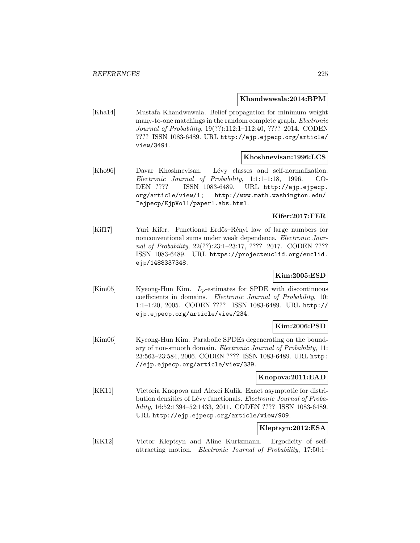#### **Khandwawala:2014:BPM**

[Kha14] Mustafa Khandwawala. Belief propagation for minimum weight many-to-one matchings in the random complete graph. Electronic Journal of Probability, 19(??):112:1–112:40, ???? 2014. CODEN ???? ISSN 1083-6489. URL http://ejp.ejpecp.org/article/ view/3491.

#### **Khoshnevisan:1996:LCS**

[Kho96] Davar Khoshnevisan. Lévy classes and self-normalization. Electronic Journal of Probability, 1:1:1–1:18, 1996. CO-DEN ???? ISSN 1083-6489. URL http://ejp.ejpecp. org/article/view/1; http://www.math.washington.edu/ ~ejpecp/EjpVol1/paper1.abs.html.

#### **Kifer:2017:FER**

[Kif17] Yuri Kifer. Functional Erdős–Rényi law of large numbers for nonconventional sums under weak dependence. Electronic Journal of Probability, 22(??):23:1-23:17, ???? 2017. CODEN ???? ISSN 1083-6489. URL https://projecteuclid.org/euclid. ejp/1488337348.

# **Kim:2005:ESD**

 $[Kim05]$  Kyeong-Hun Kim.  $L_p$ -estimates for SPDE with discontinuous coefficients in domains. Electronic Journal of Probability, 10: 1:1–1:20, 2005. CODEN ???? ISSN 1083-6489. URL http:// ejp.ejpecp.org/article/view/234.

### **Kim:2006:PSD**

[Kim06] Kyeong-Hun Kim. Parabolic SPDEs degenerating on the boundary of non-smooth domain. Electronic Journal of Probability, 11: 23:563–23:584, 2006. CODEN ???? ISSN 1083-6489. URL http: //ejp.ejpecp.org/article/view/339.

### **Knopova:2011:EAD**

[KK11] Victoria Knopova and Alexei Kulik. Exact asymptotic for distribution densities of Lévy functionals. Electronic Journal of Probability, 16:52:1394–52:1433, 2011. CODEN ???? ISSN 1083-6489. URL http://ejp.ejpecp.org/article/view/909.

#### **Kleptsyn:2012:ESA**

[KK12] Victor Kleptsyn and Aline Kurtzmann. Ergodicity of selfattracting motion. Electronic Journal of Probability, 17:50:1–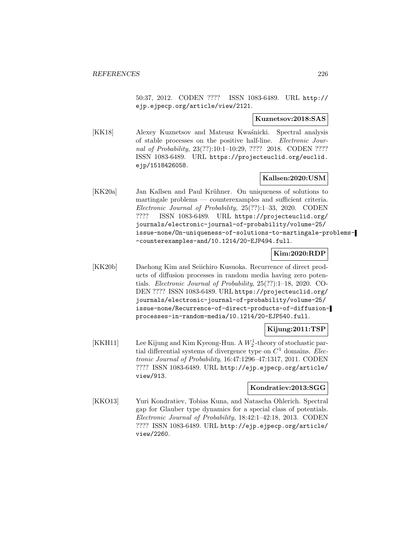50:37, 2012. CODEN ???? ISSN 1083-6489. URL http:// ejp.ejpecp.org/article/view/2121.

#### **Kuznetsov:2018:SAS**

[KK18] Alexey Kuznetsov and Mateusz Kwaśnicki. Spectral analysis of stable processes on the positive half-line. Electronic Journal of Probability, 23(??):10:1-10:29, ???? 2018. CODEN ???? ISSN 1083-6489. URL https://projecteuclid.org/euclid. ejp/1518426058.

### **Kallsen:2020:USM**

[KK20a] Jan Kallsen and Paul Krühner. On uniqueness of solutions to martingale problems — counterexamples and sufficient criteria. Electronic Journal of Probability, 25(??):1–33, 2020. CODEN ???? ISSN 1083-6489. URL https://projecteuclid.org/ journals/electronic-journal-of-probability/volume-25/ issue-none/On-uniqueness-of-solutions-to-martingale-problems- -counterexamples-and/10.1214/20-EJP494.full.

### **Kim:2020:RDP**

[KK20b] Daehong Kim and Seiichiro Kusuoka. Recurrence of direct products of diffusion processes in random media having zero potentials. Electronic Journal of Probability, 25(??):1–18, 2020. CO-DEN ???? ISSN 1083-6489. URL https://projecteuclid.org/ journals/electronic-journal-of-probability/volume-25/ issue-none/Recurrence-of-direct-products-of-diffusionprocesses-in-random-media/10.1214/20-EJP540.full.

### **Kijung:2011:TSP**

[KKH11] Lee Kijung and Kim Kyeong-Hun. A  $W_2^1$ -theory of stochastic partial differential systems of divergence type on  $C<sup>1</sup>$  domains. Electronic Journal of Probability, 16:47:1296–47:1317, 2011. CODEN ???? ISSN 1083-6489. URL http://ejp.ejpecp.org/article/ view/913.

### **Kondratiev:2013:SGG**

[KKO13] Yuri Kondratiev, Tobias Kuna, and Natascha Ohlerich. Spectral gap for Glauber type dynamics for a special class of potentials. Electronic Journal of Probability, 18:42:1–42:18, 2013. CODEN ???? ISSN 1083-6489. URL http://ejp.ejpecp.org/article/ view/2260.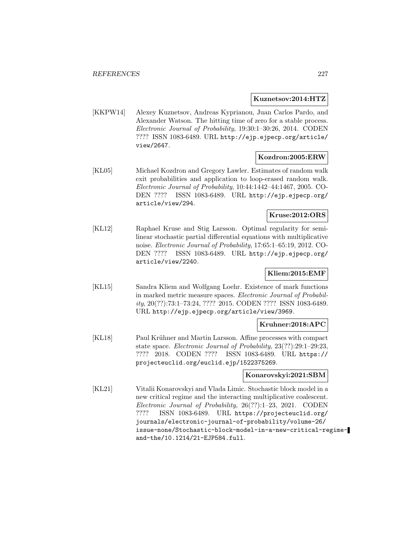#### **Kuznetsov:2014:HTZ**

[KKPW14] Alexey Kuznetsov, Andreas Kyprianou, Juan Carlos Pardo, and Alexander Watson. The hitting time of zero for a stable process. Electronic Journal of Probability, 19:30:1–30:26, 2014. CODEN ???? ISSN 1083-6489. URL http://ejp.ejpecp.org/article/ view/2647.

### **Kozdron:2005:ERW**

[KL05] Michael Kozdron and Gregory Lawler. Estimates of random walk exit probabilities and application to loop-erased random walk. Electronic Journal of Probability, 10:44:1442–44:1467, 2005. CO-DEN ???? ISSN 1083-6489. URL http://ejp.ejpecp.org/ article/view/294.

# **Kruse:2012:ORS**

[KL12] Raphael Kruse and Stig Larsson. Optimal regularity for semilinear stochastic partial differential equations with multiplicative noise. Electronic Journal of Probability, 17:65:1–65:19, 2012. CO-DEN ???? ISSN 1083-6489. URL http://ejp.ejpecp.org/ article/view/2240.

# **Kliem:2015:EMF**

[KL15] Sandra Kliem and Wolfgang Loehr. Existence of mark functions in marked metric measure spaces. Electronic Journal of Probability, 20(??):73:1–73:24, ???? 2015. CODEN ???? ISSN 1083-6489. URL http://ejp.ejpecp.org/article/view/3969.

### **Kruhner:2018:APC**

[KL18] Paul Krühner and Martin Larsson. Affine processes with compact state space. Electronic Journal of Probability, 23(??):29:1–29:23, ???? 2018. CODEN ???? ISSN 1083-6489. URL https:// projecteuclid.org/euclid.ejp/1522375269.

### **Konarovskyi:2021:SBM**

[KL21] Vitalii Konarovskyi and Vlada Limic. Stochastic block model in a new critical regime and the interacting multiplicative coalescent. Electronic Journal of Probability, 26(??):1–23, 2021. CODEN ???? ISSN 1083-6489. URL https://projecteuclid.org/ journals/electronic-journal-of-probability/volume-26/ issue-none/Stochastic-block-model-in-a-new-critical-regimeand-the/10.1214/21-EJP584.full.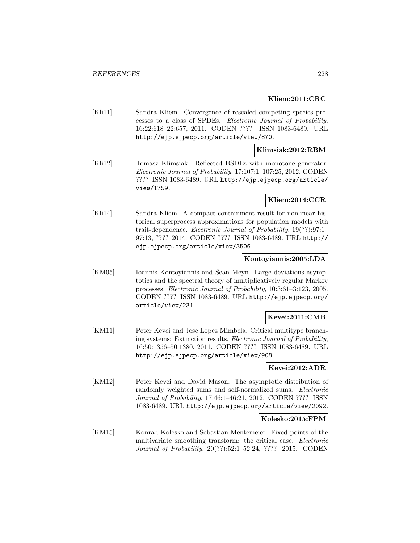### **Kliem:2011:CRC**

[Kli11] Sandra Kliem. Convergence of rescaled competing species processes to a class of SPDEs. Electronic Journal of Probability, 16:22:618–22:657, 2011. CODEN ???? ISSN 1083-6489. URL http://ejp.ejpecp.org/article/view/870.

### **Klimsiak:2012:RBM**

[Kli12] Tomasz Klimsiak. Reflected BSDEs with monotone generator. Electronic Journal of Probability, 17:107:1–107:25, 2012. CODEN ???? ISSN 1083-6489. URL http://ejp.ejpecp.org/article/ view/1759.

### **Kliem:2014:CCR**

[Kli14] Sandra Kliem. A compact containment result for nonlinear historical superprocess approximations for population models with trait-dependence. Electronic Journal of Probability, 19(??):97:1– 97:13, ???? 2014. CODEN ???? ISSN 1083-6489. URL http:// ejp.ejpecp.org/article/view/3506.

### **Kontoyiannis:2005:LDA**

[KM05] Ioannis Kontoyiannis and Sean Meyn. Large deviations asymptotics and the spectral theory of multiplicatively regular Markov processes. Electronic Journal of Probability, 10:3:61–3:123, 2005. CODEN ???? ISSN 1083-6489. URL http://ejp.ejpecp.org/ article/view/231.

# **Kevei:2011:CMB**

[KM11] Peter Kevei and Jose Lopez Mimbela. Critical multitype branching systems: Extinction results. Electronic Journal of Probability, 16:50:1356–50:1380, 2011. CODEN ???? ISSN 1083-6489. URL http://ejp.ejpecp.org/article/view/908.

### **Kevei:2012:ADR**

[KM12] Peter Kevei and David Mason. The asymptotic distribution of randomly weighted sums and self-normalized sums. Electronic Journal of Probability, 17:46:1–46:21, 2012. CODEN ???? ISSN 1083-6489. URL http://ejp.ejpecp.org/article/view/2092.

### **Kolesko:2015:FPM**

[KM15] Konrad Kolesko and Sebastian Mentemeier. Fixed points of the multivariate smoothing transform: the critical case. Electronic Journal of Probability, 20(??):52:1–52:24, ???? 2015. CODEN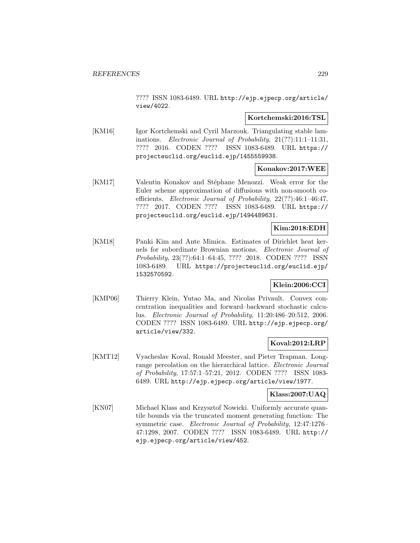???? ISSN 1083-6489. URL http://ejp.ejpecp.org/article/ view/4022.

#### **Kortchemski:2016:TSL**

[KM16] Igor Kortchemski and Cyril Marzouk. Triangulating stable laminations. Electronic Journal of Probability, 21(??):11:1–11:31, ???? 2016. CODEN ???? ISSN 1083-6489. URL https:// projecteuclid.org/euclid.ejp/1455559938.

### **Konakov:2017:WEE**

[KM17] Valentin Konakov and Stéphane Menozzi. Weak error for the Euler scheme approximation of diffusions with non-smooth coefficients. Electronic Journal of Probability, 22(??):46:1–46:47, ???? 2017. CODEN ???? ISSN 1083-6489. URL https:// projecteuclid.org/euclid.ejp/1494489631.

### **Kim:2018:EDH**

[KM18] Panki Kim and Ante Mimica. Estimates of Dirichlet heat kernels for subordinate Brownian motions. Electronic Journal of Probability, 23(??):64:1–64:45, ???? 2018. CODEN ???? ISSN 1083-6489. URL https://projecteuclid.org/euclid.ejp/ 1532570592.

### **Klein:2006:CCI**

[KMP06] Thierry Klein, Yutao Ma, and Nicolas Privault. Convex concentration inequalities and forward–backward stochastic calculus. Electronic Journal of Probability, 11:20:486–20:512, 2006. CODEN ???? ISSN 1083-6489. URL http://ejp.ejpecp.org/ article/view/332.

# **Koval:2012:LRP**

[KMT12] Vyacheslav Koval, Ronald Meester, and Pieter Trapman. Longrange percolation on the hierarchical lattice. Electronic Journal of Probability, 17:57:1–57:21, 2012. CODEN ???? ISSN 1083- 6489. URL http://ejp.ejpecp.org/article/view/1977.

# **Klass:2007:UAQ**

[KN07] Michael Klass and Krzysztof Nowicki. Uniformly accurate quantile bounds via the truncated moment generating function: The symmetric case. Electronic Journal of Probability, 12:47:1276– 47:1298, 2007. CODEN ???? ISSN 1083-6489. URL http:// ejp.ejpecp.org/article/view/452.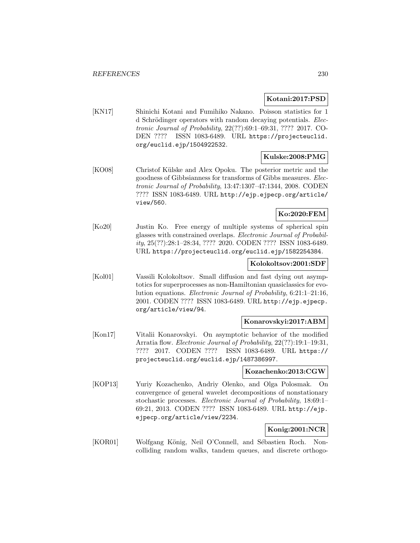#### **Kotani:2017:PSD**

[KN17] Shinichi Kotani and Fumihiko Nakano. Poisson statistics for 1 d Schrödinger operators with random decaying potentials. Electronic Journal of Probability, 22(??):69:1–69:31, ???? 2017. CO-DEN ???? ISSN 1083-6489. URL https://projecteuclid. org/euclid.ejp/1504922532.

### **Kulske:2008:PMG**

[KO08] Christof Külske and Alex Opoku. The posterior metric and the goodness of Gibbsianness for transforms of Gibbs measures. Electronic Journal of Probability, 13:47:1307–47:1344, 2008. CODEN ???? ISSN 1083-6489. URL http://ejp.ejpecp.org/article/ view/560.

# **Ko:2020:FEM**

[Ko20] Justin Ko. Free energy of multiple systems of spherical spin glasses with constrained overlaps. Electronic Journal of Probability, 25(??):28:1–28:34, ???? 2020. CODEN ???? ISSN 1083-6489. URL https://projecteuclid.org/euclid.ejp/1582254384.

#### **Kolokoltsov:2001:SDF**

[Kol01] Vassili Kolokoltsov. Small diffusion and fast dying out asymptotics for superprocesses as non-Hamiltonian quasiclassics for evolution equations. Electronic Journal of Probability, 6:21:1–21:16, 2001. CODEN ???? ISSN 1083-6489. URL http://ejp.ejpecp. org/article/view/94.

### **Konarovskyi:2017:ABM**

[Kon17] Vitalii Konarovskyi. On asymptotic behavior of the modified Arratia flow. Electronic Journal of Probability, 22(??):19:1–19:31, ???? 2017. CODEN ???? ISSN 1083-6489. URL https:// projecteuclid.org/euclid.ejp/1487386997.

### **Kozachenko:2013:CGW**

[KOP13] Yuriy Kozachenko, Andriy Olenko, and Olga Polosmak. On convergence of general wavelet decompositions of nonstationary stochastic processes. Electronic Journal of Probability, 18:69:1– 69:21, 2013. CODEN ???? ISSN 1083-6489. URL http://ejp. ejpecp.org/article/view/2234.

### **Konig:2001:NCR**

[KOR01] Wolfgang König, Neil O'Connell, and Sébastien Roch. Noncolliding random walks, tandem queues, and discrete orthogo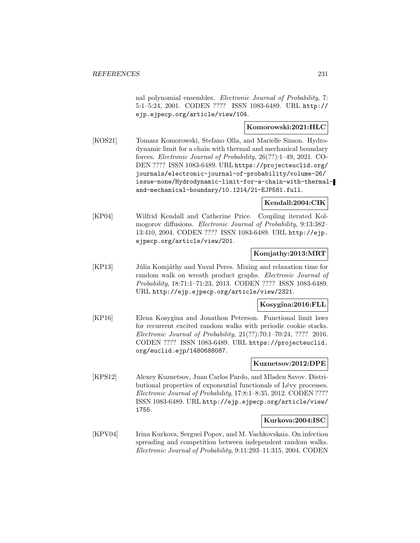nal polynomial ensembles. Electronic Journal of Probability, 7: 5:1–5:24, 2001. CODEN ???? ISSN 1083-6489. URL http:// ejp.ejpecp.org/article/view/104.

### **Komorowski:2021:HLC**

[KOS21] Tomasz Komorowski, Stefano Olla, and Marielle Simon. Hydrodynamic limit for a chain with thermal and mechanical boundary forces. Electronic Journal of Probability, 26(??):1–49, 2021. CO-DEN ???? ISSN 1083-6489. URL https://projecteuclid.org/ journals/electronic-journal-of-probability/volume-26/ issue-none/Hydrodynamic-limit-for-a-chain-with-thermaland-mechanical-boundary/10.1214/21-EJP581.full.

# **Kendall:2004:CIK**

[KP04] Wilfrid Kendall and Catherine Price. Coupling iterated Kolmogorov diffusions. Electronic Journal of Probability, 9:13:382– 13:410, 2004. CODEN ???? ISSN 1083-6489. URL http://ejp. ejpecp.org/article/view/201.

### **Komjathy:2013:MRT**

[KP13] Júlia Komjáthy and Yuval Peres. Mixing and relaxation time for random walk on wreath product graphs. Electronic Journal of Probability, 18:71:1–71:23, 2013. CODEN ???? ISSN 1083-6489. URL http://ejp.ejpecp.org/article/view/2321.

# **Kosygina:2016:FLL**

[KP16] Elena Kosygina and Jonathon Peterson. Functional limit laws for recurrent excited random walks with periodic cookie stacks. Electronic Journal of Probability, 21(??):70:1–70:24, ???? 2016. CODEN ???? ISSN 1083-6489. URL https://projecteuclid. org/euclid.ejp/1480688087.

### **Kuznetsov:2012:DPE**

[KPS12] Alexey Kuznetsov, Juan Carlos Pardo, and Mladen Savov. Distributional properties of exponential functionals of Lévy processes. Electronic Journal of Probability, 17:8:1–8:35, 2012. CODEN ???? ISSN 1083-6489. URL http://ejp.ejpecp.org/article/view/ 1755.

### **Kurkova:2004:ISC**

[KPV04] Irina Kurkova, Serguei Popov, and M. Vachkovskaia. On infection spreading and competition between independent random walks. Electronic Journal of Probability, 9:11:293–11:315, 2004. CODEN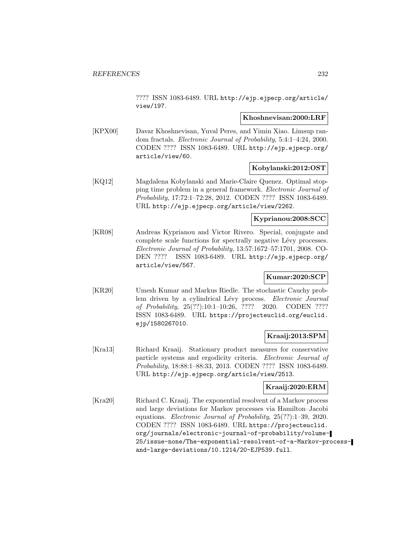???? ISSN 1083-6489. URL http://ejp.ejpecp.org/article/ view/197.

#### **Khoshnevisan:2000:LRF**

[KPX00] Davar Khoshnevisan, Yuval Peres, and Yimin Xiao. Limsup random fractals. Electronic Journal of Probability, 5:4:1–4:24, 2000. CODEN ???? ISSN 1083-6489. URL http://ejp.ejpecp.org/ article/view/60.

### **Kobylanski:2012:OST**

[KQ12] Magdalena Kobylanski and Marie-Claire Quenez. Optimal stopping time problem in a general framework. Electronic Journal of Probability, 17:72:1–72:28, 2012. CODEN ???? ISSN 1083-6489. URL http://ejp.ejpecp.org/article/view/2262.

# **Kyprianou:2008:SCC**

[KR08] Andreas Kyprianou and Victor Rivero. Special, conjugate and complete scale functions for spectrally negative Lévy processes. Electronic Journal of Probability, 13:57:1672–57:1701, 2008. CO-DEN ???? ISSN 1083-6489. URL http://ejp.ejpecp.org/ article/view/567.

# **Kumar:2020:SCP**

[KR20] Umesh Kumar and Markus Riedle. The stochastic Cauchy problem driven by a cylindrical Lévy process. Electronic Journal of Probability, 25(??):10:1–10:26, ???? 2020. CODEN ???? ISSN 1083-6489. URL https://projecteuclid.org/euclid. ejp/1580267010.

### **Kraaij:2013:SPM**

[Kra13] Richard Kraaij. Stationary product measures for conservative particle systems and ergodicity criteria. Electronic Journal of Probability, 18:88:1–88:33, 2013. CODEN ???? ISSN 1083-6489. URL http://ejp.ejpecp.org/article/view/2513.

# **Kraaij:2020:ERM**

[Kra20] Richard C. Kraaij. The exponential resolvent of a Markov process and large deviations for Markov processes via Hamilton–Jacobi equations. Electronic Journal of Probability, 25(??):1–39, 2020. CODEN ???? ISSN 1083-6489. URL https://projecteuclid. org/journals/electronic-journal-of-probability/volume-25/issue-none/The-exponential-resolvent-of-a-Markov-processand-large-deviations/10.1214/20-EJP539.full.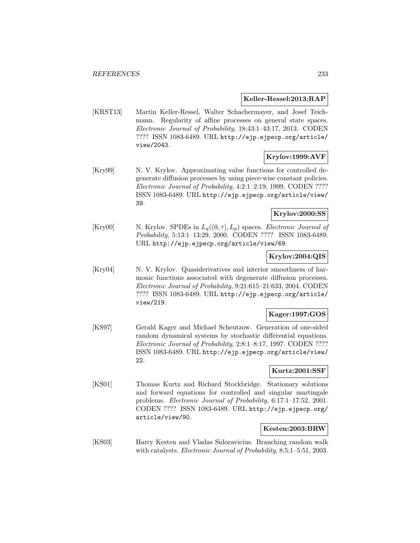#### **Keller-Ressel:2013:RAP**

[KRST13] Martin Keller-Ressel, Walter Schachermayer, and Josef Teichmann. Regularity of affine processes on general state spaces. Electronic Journal of Probability, 18:43:1–43:17, 2013. CODEN ???? ISSN 1083-6489. URL http://ejp.ejpecp.org/article/ view/2043.

### **Krylov:1999:AVF**

[Kry99] N. V. Krylov. Approximating value functions for controlled degenerate diffusion processes by using piece-wise constant policies. Electronic Journal of Probability, 4:2:1–2:19, 1999. CODEN ???? ISSN 1083-6489. URL http://ejp.ejpecp.org/article/view/ 39.

### **Krylov:2000:SS**

[Kry00] N. Krylov. SPDEs in  $L_q((0, \tau], L_p)$  spaces. *Electronic Journal of* Probability, 5:13:1–13:29, 2000. CODEN ???? ISSN 1083-6489. URL http://ejp.ejpecp.org/article/view/69.

### **Krylov:2004:QIS**

[Kry04] N. V. Krylov. Quasiderivatives and interior smoothness of harmonic functions associated with degenerate diffusion processes. Electronic Journal of Probability, 9:21:615–21:633, 2004. CODEN ???? ISSN 1083-6489. URL http://ejp.ejpecp.org/article/ view/219.

# **Kager:1997:GOS**

[KS97] Gerald Kager and Michael Scheutzow. Generation of one-sided random dynamical systems by stochastic differential equations. Electronic Journal of Probability, 2:8:1–8:17, 1997. CODEN ???? ISSN 1083-6489. URL http://ejp.ejpecp.org/article/view/ 22.

#### **Kurtz:2001:SSF**

[KS01] Thomas Kurtz and Richard Stockbridge. Stationary solutions and forward equations for controlled and singular martingale problems. Electronic Journal of Probability, 6:17:1–17:52, 2001. CODEN ???? ISSN 1083-6489. URL http://ejp.ejpecp.org/ article/view/90.

#### **Kesten:2003:BRW**

[KS03] Harry Kesten and Vladas Sidoravicius. Branching random walk with catalysts. *Electronic Journal of Probability*, 8:5:1–5:51, 2003.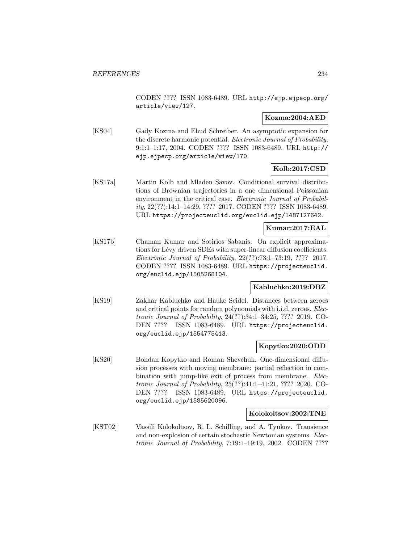CODEN ???? ISSN 1083-6489. URL http://ejp.ejpecp.org/ article/view/127.

### **Kozma:2004:AED**

[KS04] Gady Kozma and Ehud Schreiber. An asymptotic expansion for the discrete harmonic potential. Electronic Journal of Probability, 9:1:1–1:17, 2004. CODEN ???? ISSN 1083-6489. URL http:// ejp.ejpecp.org/article/view/170.

# **Kolb:2017:CSD**

[KS17a] Martin Kolb and Mladen Savov. Conditional survival distributions of Brownian trajectories in a one dimensional Poissonian environment in the critical case. Electronic Journal of Probability, 22(??):14:1–14:29, ???? 2017. CODEN ???? ISSN 1083-6489. URL https://projecteuclid.org/euclid.ejp/1487127642.

### **Kumar:2017:EAL**

[KS17b] Chaman Kumar and Sotirios Sabanis. On explicit approximations for Lévy driven SDEs with super-linear diffusion coefficients. Electronic Journal of Probability, 22(??):73:1–73:19, ???? 2017. CODEN ???? ISSN 1083-6489. URL https://projecteuclid. org/euclid.ejp/1505268104.

### **Kabluchko:2019:DBZ**

[KS19] Zakhar Kabluchko and Hauke Seidel. Distances between zeroes and critical points for random polynomials with i.i.d. zeroes. Electronic Journal of Probability, 24(??):34:1–34:25, ???? 2019. CO-DEN ???? ISSN 1083-6489. URL https://projecteuclid. org/euclid.ejp/1554775413.

### **Kopytko:2020:ODD**

[KS20] Bohdan Kopytko and Roman Shevchuk. One-dimensional diffusion processes with moving membrane: partial reflection in combination with jump-like exit of process from membrane. Electronic Journal of Probability, 25(??):41:1–41:21, ???? 2020. CO-DEN ???? ISSN 1083-6489. URL https://projecteuclid. org/euclid.ejp/1585620096.

### **Kolokoltsov:2002:TNE**

[KST02] Vassili Kolokoltsov, R. L. Schilling, and A. Tyukov. Transience and non-explosion of certain stochastic Newtonian systems. Electronic Journal of Probability, 7:19:1–19:19, 2002. CODEN ????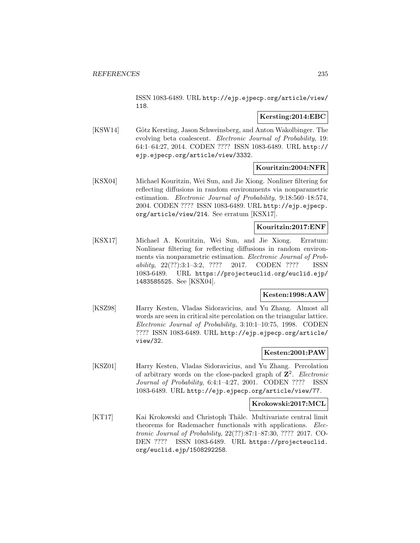ISSN 1083-6489. URL http://ejp.ejpecp.org/article/view/ 118.

### **Kersting:2014:EBC**

[KSW14] Götz Kersting, Jason Schweinsberg, and Anton Wakolbinger. The evolving beta coalescent. Electronic Journal of Probability, 19: 64:1–64:27, 2014. CODEN ???? ISSN 1083-6489. URL http:// ejp.ejpecp.org/article/view/3332.

### **Kouritzin:2004:NFR**

[KSX04] Michael Kouritzin, Wei Sun, and Jie Xiong. Nonliner filtering for reflecting diffusions in random environments via nonparametric estimation. Electronic Journal of Probability, 9:18:560–18:574, 2004. CODEN ???? ISSN 1083-6489. URL http://ejp.ejpecp. org/article/view/214. See erratum [KSX17].

# **Kouritzin:2017:ENF**

[KSX17] Michael A. Kouritzin, Wei Sun, and Jie Xiong. Erratum: Nonlinear filtering for reflecting diffusions in random environments via nonparametric estimation. Electronic Journal of Probability, 22(??):3:1–3:2, ???? 2017. CODEN ???? ISSN 1083-6489. URL https://projecteuclid.org/euclid.ejp/ 1483585525. See [KSX04].

# **Kesten:1998:AAW**

[KSZ98] Harry Kesten, Vladas Sidoravicius, and Yu Zhang. Almost all words are seen in critical site percolation on the triangular lattice. Electronic Journal of Probability, 3:10:1–10:75, 1998. CODEN ???? ISSN 1083-6489. URL http://ejp.ejpecp.org/article/ view/32.

### **Kesten:2001:PAW**

[KSZ01] Harry Kesten, Vladas Sidoravicius, and Yu Zhang. Percolation of arbitrary words on the close-packed graph of  $\mathbb{Z}^2$ . Electronic Journal of Probability, 6:4:1–4:27, 2001. CODEN ???? ISSN 1083-6489. URL http://ejp.ejpecp.org/article/view/77.

### **Krokowski:2017:MCL**

[KT17] Kai Krokowski and Christoph Thäle. Multivariate central limit theorems for Rademacher functionals with applications. Electronic Journal of Probability, 22(??):87:1–87:30, ???? 2017. CO-DEN ???? ISSN 1083-6489. URL https://projecteuclid. org/euclid.ejp/1508292258.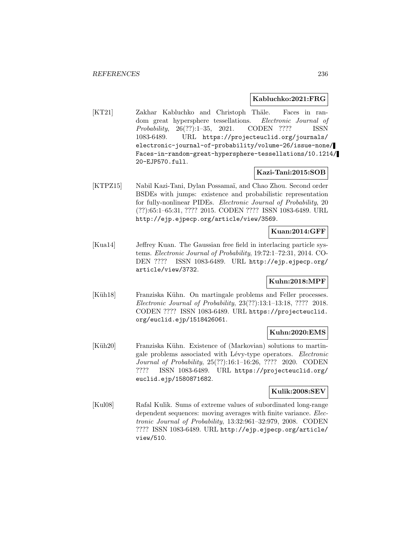### **Kabluchko:2021:FRG**

[KT21] Zakhar Kabluchko and Christoph Thäle. Faces in random great hypersphere tessellations. Electronic Journal of Probability, 26(??):1–35, 2021. CODEN ???? ISSN 1083-6489. URL https://projecteuclid.org/journals/ electronic-journal-of-probability/volume-26/issue-none/ Faces-in-random-great-hypersphere-tessellations/10.1214/ 20-EJP570.full.

### **Kazi-Tani:2015:SOB**

[KTPZ15] Nabil Kazi-Tani, Dylan Possamaï, and Chao Zhou. Second order BSDEs with jumps: existence and probabilistic representation for fully-nonlinear PIDEs. Electronic Journal of Probability, 20 (??):65:1–65:31, ???? 2015. CODEN ???? ISSN 1083-6489. URL http://ejp.ejpecp.org/article/view/3569.

### **Kuan:2014:GFF**

[Kua14] Jeffrey Kuan. The Gaussian free field in interlacing particle systems. Electronic Journal of Probability, 19:72:1–72:31, 2014. CO-DEN ???? ISSN 1083-6489. URL http://ejp.ejpecp.org/ article/view/3732.

### **Kuhn:2018:MPF**

[Küh18] Franziska Kühn. On martingale problems and Feller processes. Electronic Journal of Probability, 23(??):13:1–13:18, ???? 2018. CODEN ???? ISSN 1083-6489. URL https://projecteuclid. org/euclid.ejp/1518426061.

### **Kuhn:2020:EMS**

[Küh20] Franziska Kühn. Existence of (Markovian) solutions to martingale problems associated with Lévy-type operators. Electronic Journal of Probability, 25(??):16:1–16:26, ???? 2020. CODEN ???? ISSN 1083-6489. URL https://projecteuclid.org/ euclid.ejp/1580871682.

## **Kulik:2008:SEV**

[Kul08] Rafal Kulik. Sums of extreme values of subordinated long-range dependent sequences: moving averages with finite variance. *Elec*tronic Journal of Probability, 13:32:961–32:979, 2008. CODEN ???? ISSN 1083-6489. URL http://ejp.ejpecp.org/article/ view/510.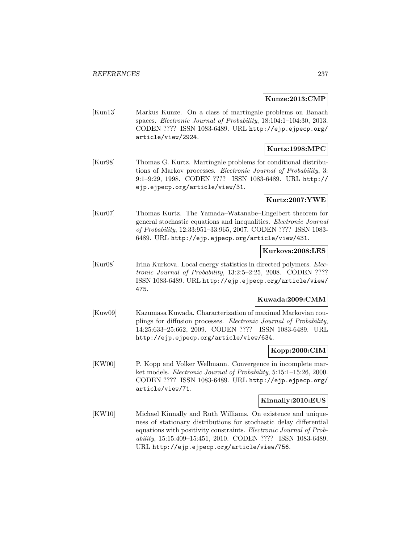### **Kunze:2013:CMP**

[Kun13] Markus Kunze. On a class of martingale problems on Banach spaces. Electronic Journal of Probability, 18:104:1–104:30, 2013. CODEN ???? ISSN 1083-6489. URL http://ejp.ejpecp.org/ article/view/2924.

# **Kurtz:1998:MPC**

[Kur98] Thomas G. Kurtz. Martingale problems for conditional distributions of Markov processes. Electronic Journal of Probability, 3: 9:1–9:29, 1998. CODEN ???? ISSN 1083-6489. URL http:// ejp.ejpecp.org/article/view/31.

# **Kurtz:2007:YWE**

[Kur07] Thomas Kurtz. The Yamada–Watanabe–Engelbert theorem for general stochastic equations and inequalities. Electronic Journal of Probability, 12:33:951–33:965, 2007. CODEN ???? ISSN 1083- 6489. URL http://ejp.ejpecp.org/article/view/431.

# **Kurkova:2008:LES**

[Kur08] Irina Kurkova. Local energy statistics in directed polymers. Electronic Journal of Probability, 13:2:5–2:25, 2008. CODEN ???? ISSN 1083-6489. URL http://ejp.ejpecp.org/article/view/ 475.

# **Kuwada:2009:CMM**

[Kuw09] Kazumasa Kuwada. Characterization of maximal Markovian couplings for diffusion processes. Electronic Journal of Probability, 14:25:633–25:662, 2009. CODEN ???? ISSN 1083-6489. URL http://ejp.ejpecp.org/article/view/634.

# **Kopp:2000:CIM**

[KW00] P. Kopp and Volker Wellmann. Convergence in incomplete market models. Electronic Journal of Probability, 5:15:1–15:26, 2000. CODEN ???? ISSN 1083-6489. URL http://ejp.ejpecp.org/ article/view/71.

# **Kinnally:2010:EUS**

[KW10] Michael Kinnally and Ruth Williams. On existence and uniqueness of stationary distributions for stochastic delay differential equations with positivity constraints. Electronic Journal of Probability, 15:15:409–15:451, 2010. CODEN ???? ISSN 1083-6489. URL http://ejp.ejpecp.org/article/view/756.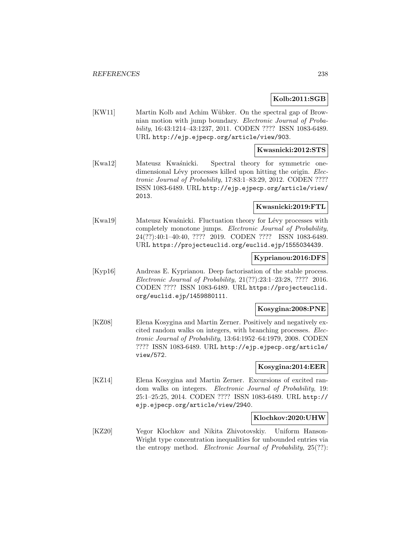### **Kolb:2011:SGB**

[KW11] Martin Kolb and Achim Wübker. On the spectral gap of Brownian motion with jump boundary. Electronic Journal of Probability, 16:43:1214–43:1237, 2011. CODEN ???? ISSN 1083-6489. URL http://ejp.ejpecp.org/article/view/903.

#### **Kwasnicki:2012:STS**

[Kwa12] Mateusz Kwaśnicki. Spectral theory for symmetric onedimensional Lévy processes killed upon hitting the origin. Electronic Journal of Probability, 17:83:1–83:29, 2012. CODEN ???? ISSN 1083-6489. URL http://ejp.ejpecp.org/article/view/ 2013.

### **Kwasnicki:2019:FTL**

[Kwa19] Mateusz Kwaśnicki. Fluctuation theory for Lévy processes with completely monotone jumps. Electronic Journal of Probability, 24(??):40:1–40:40, ???? 2019. CODEN ???? ISSN 1083-6489. URL https://projecteuclid.org/euclid.ejp/1555034439.

#### **Kyprianou:2016:DFS**

[Kyp16] Andreas E. Kyprianou. Deep factorisation of the stable process. Electronic Journal of Probability, 21(??):23:1–23:28, ???? 2016. CODEN ???? ISSN 1083-6489. URL https://projecteuclid. org/euclid.ejp/1459880111.

### **Kosygina:2008:PNE**

[KZ08] Elena Kosygina and Martin Zerner. Positively and negatively excited random walks on integers, with branching processes. Electronic Journal of Probability, 13:64:1952–64:1979, 2008. CODEN ???? ISSN 1083-6489. URL http://ejp.ejpecp.org/article/ view/572.

### **Kosygina:2014:EER**

[KZ14] Elena Kosygina and Martin Zerner. Excursions of excited random walks on integers. Electronic Journal of Probability, 19: 25:1–25:25, 2014. CODEN ???? ISSN 1083-6489. URL http:// ejp.ejpecp.org/article/view/2940.

### **Klochkov:2020:UHW**

[KZ20] Yegor Klochkov and Nikita Zhivotovskiy. Uniform Hanson-Wright type concentration inequalities for unbounded entries via the entropy method. Electronic Journal of Probability, 25(??):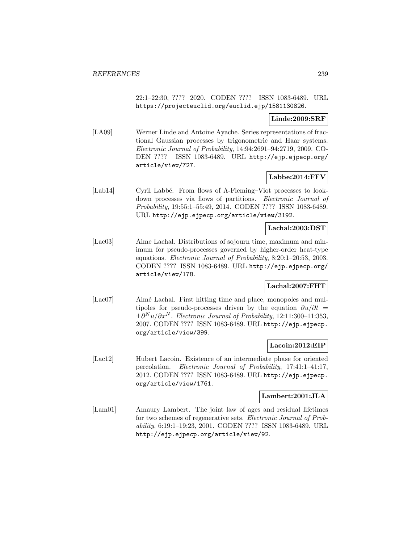22:1–22:30, ???? 2020. CODEN ???? ISSN 1083-6489. URL https://projecteuclid.org/euclid.ejp/1581130826.

### **Linde:2009:SRF**

[LA09] Werner Linde and Antoine Ayache. Series representations of fractional Gaussian processes by trigonometric and Haar systems. Electronic Journal of Probability, 14:94:2691–94:2719, 2009. CO-DEN ???? ISSN 1083-6489. URL http://ejp.ejpecp.org/ article/view/727.

# **Labbe:2014:FFV**

[Lab14] Cyril Labbé. From flows of Λ-Fleming–Viot processes to lookdown processes via flows of partitions. Electronic Journal of Probability, 19:55:1–55:49, 2014. CODEN ???? ISSN 1083-6489. URL http://ejp.ejpecp.org/article/view/3192.

### **Lachal:2003:DST**

[Lac03] Aime Lachal. Distributions of sojourn time, maximum and minimum for pseudo-processes governed by higher-order heat-type equations. Electronic Journal of Probability, 8:20:1–20:53, 2003. CODEN ???? ISSN 1083-6489. URL http://ejp.ejpecp.org/ article/view/178.

# **Lachal:2007:FHT**

[Lac07] Aimé Lachal. First hitting time and place, monopoles and multipoles for pseudo-processes driven by the equation  $\partial u/\partial t =$  $\pm \partial^N u/\partial x^N$ . Electronic Journal of Probability, 12:11:300-11:353, 2007. CODEN ???? ISSN 1083-6489. URL http://ejp.ejpecp. org/article/view/399.

### **Lacoin:2012:EIP**

[Lac12] Hubert Lacoin. Existence of an intermediate phase for oriented percolation. Electronic Journal of Probability, 17:41:1–41:17, 2012. CODEN ???? ISSN 1083-6489. URL http://ejp.ejpecp. org/article/view/1761.

### **Lambert:2001:JLA**

[Lam01] Amaury Lambert. The joint law of ages and residual lifetimes for two schemes of regenerative sets. Electronic Journal of Probability, 6:19:1–19:23, 2001. CODEN ???? ISSN 1083-6489. URL http://ejp.ejpecp.org/article/view/92.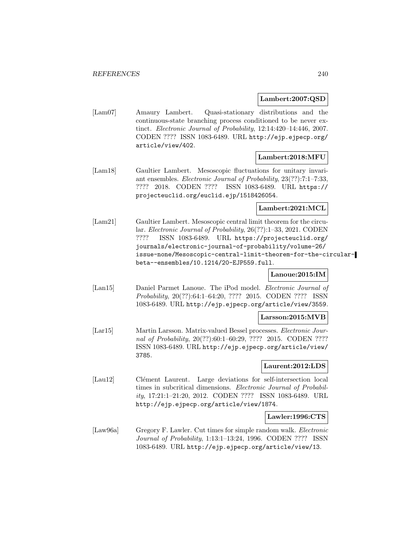### **Lambert:2007:QSD**

[Lam07] Amaury Lambert. Quasi-stationary distributions and the continuous-state branching process conditioned to be never extinct. Electronic Journal of Probability, 12:14:420–14:446, 2007. CODEN ???? ISSN 1083-6489. URL http://ejp.ejpecp.org/ article/view/402.

### **Lambert:2018:MFU**

[Lam18] Gaultier Lambert. Mesoscopic fluctuations for unitary invariant ensembles. Electronic Journal of Probability, 23(??):7:1–7:33, ???? 2018. CODEN ???? ISSN 1083-6489. URL https:// projecteuclid.org/euclid.ejp/1518426054.

### **Lambert:2021:MCL**

[Lam21] Gaultier Lambert. Mesoscopic central limit theorem for the circular. Electronic Journal of Probability, 26(??):1–33, 2021. CODEN ???? ISSN 1083-6489. URL https://projecteuclid.org/ journals/electronic-journal-of-probability/volume-26/ issue-none/Mesoscopic-central-limit-theorem-for-the-circularbeta--ensembles/10.1214/20-EJP559.full.

# **Lanoue:2015:IM**

[Lan15] Daniel Parmet Lanoue. The iPod model. Electronic Journal of Probability, 20(??):64:1–64:20, ???? 2015. CODEN ???? ISSN 1083-6489. URL http://ejp.ejpecp.org/article/view/3559.

#### **Larsson:2015:MVB**

[Lar15] Martin Larsson. Matrix-valued Bessel processes. Electronic Journal of Probability, 20(??):60:1–60:29, ???? 2015. CODEN ???? ISSN 1083-6489. URL http://ejp.ejpecp.org/article/view/ 3785.

### **Laurent:2012:LDS**

[Lau12] Clément Laurent. Large deviations for self-intersection local times in subcritical dimensions. Electronic Journal of Probability, 17:21:1–21:20, 2012. CODEN ???? ISSN 1083-6489. URL http://ejp.ejpecp.org/article/view/1874.

### **Lawler:1996:CTS**

[Law96a] Gregory F. Lawler. Cut times for simple random walk. *Electronic* Journal of Probability, 1:13:1–13:24, 1996. CODEN ???? ISSN 1083-6489. URL http://ejp.ejpecp.org/article/view/13.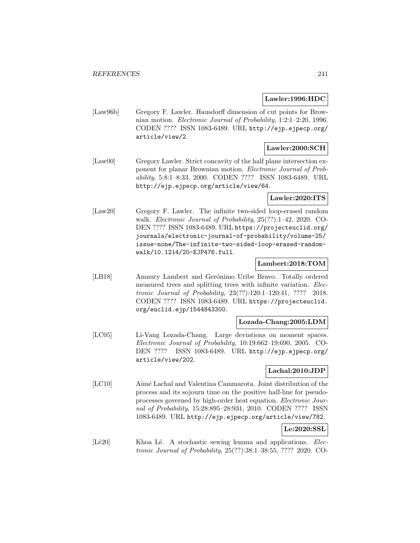#### **Lawler:1996:HDC**

[Law96b] Gregory F. Lawler. Hausdorff dimension of cut points for Brownian motion. Electronic Journal of Probability, 1:2:1–2:20, 1996. CODEN ???? ISSN 1083-6489. URL http://ejp.ejpecp.org/ article/view/2.

# **Lawler:2000:SCH**

[Law00] Gregory Lawler. Strict concavity of the half plane intersection exponent for planar Brownian motion. Electronic Journal of Probability, 5:8:1–8:33, 2000. CODEN ???? ISSN 1083-6489. URL http://ejp.ejpecp.org/article/view/64.

### **Lawler:2020:ITS**

[Law20] Gregory F. Lawler. The infinite two-sided loop-erased random walk. Electronic Journal of Probability, 25(??):1–42, 2020. CO-DEN ???? ISSN 1083-6489. URL https://projecteuclid.org/ journals/electronic-journal-of-probability/volume-25/ issue-none/The-infinite-two-sided-loop-erased-randomwalk/10.1214/20-EJP476.full.

### **Lambert:2018:TOM**

[LB18] Amaury Lambert and Gerónimo Uribe Bravo. Totally ordered measured trees and splitting trees with infinite variation. Electronic Journal of Probability, 23(??):120:1–120:41, ???? 2018. CODEN ???? ISSN 1083-6489. URL https://projecteuclid. org/euclid.ejp/1544843300.

#### **Lozada-Chang:2005:LDM**

[LC05] Li-Vang Lozada-Chang. Large deviations on moment spaces. Electronic Journal of Probability, 10:19:662–19:690, 2005. CO-DEN ???? ISSN 1083-6489. URL http://ejp.ejpecp.org/ article/view/202.

### **Lachal:2010:JDP**

[LC10] Aimé Lachal and Valentina Cammarota. Joint distribution of the process and its sojourn time on the positive half-line for pseudoprocesses governed by high-order heat equation. Electronic Journal of Probability, 15:28:895–28:931, 2010. CODEN ???? ISSN 1083-6489. URL http://ejp.ejpecp.org/article/view/782.

# **Le:2020:SSL**

[Lê20] Khoa Lê. A stochastic sewing lemma and applications. Electronic Journal of Probability, 25(??):38:1–38:55, ???? 2020. CO-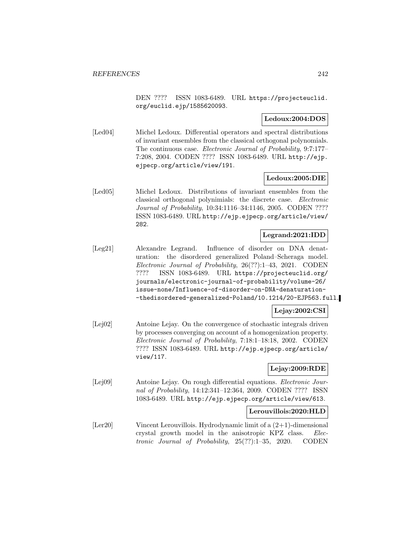DEN ???? ISSN 1083-6489. URL https://projecteuclid. org/euclid.ejp/1585620093.

### **Ledoux:2004:DOS**

[Led04] Michel Ledoux. Differential operators and spectral distributions of invariant ensembles from the classical orthogonal polynomials. The continuous case. Electronic Journal of Probability, 9:7:177– 7:208, 2004. CODEN ???? ISSN 1083-6489. URL http://ejp. ejpecp.org/article/view/191.

### **Ledoux:2005:DIE**

[Led05] Michel Ledoux. Distributions of invariant ensembles from the classical orthogonal polynimials: the discrete case. Electronic Journal of Probability, 10:34:1116–34:1146, 2005. CODEN ???? ISSN 1083-6489. URL http://ejp.ejpecp.org/article/view/ 282.

#### **Legrand:2021:IDD**

[Leg21] Alexandre Legrand. Influence of disorder on DNA denaturation: the disordered generalized Poland–Scheraga model. Electronic Journal of Probability, 26(??):1–43, 2021. CODEN ???? ISSN 1083-6489. URL https://projecteuclid.org/ journals/electronic-journal-of-probability/volume-26/ issue-none/Influence-of-disorder-on-DNA-denaturation- -thedisordered-generalized-Poland/10.1214/20-EJP563.full.

#### **Lejay:2002:CSI**

[Lej02] Antoine Lejay. On the convergence of stochastic integrals driven by processes converging on account of a homogenization property. Electronic Journal of Probability, 7:18:1–18:18, 2002. CODEN ???? ISSN 1083-6489. URL http://ejp.ejpecp.org/article/ view/117.

### **Lejay:2009:RDE**

[Lej09] Antoine Lejay. On rough differential equations. Electronic Journal of Probability, 14:12:341–12:364, 2009. CODEN ???? ISSN 1083-6489. URL http://ejp.ejpecp.org/article/view/613.

#### **Lerouvillois:2020:HLD**

[Ler20] Vincent Lerouvillois. Hydrodynamic limit of a (2+1)-dimensional crystal growth model in the anisotropic KPZ class. Electronic Journal of Probability, 25(??):1–35, 2020. CODEN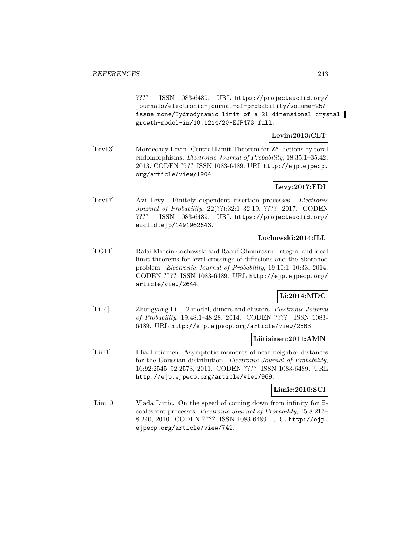???? ISSN 1083-6489. URL https://projecteuclid.org/ journals/electronic-journal-of-probability/volume-25/ issue-none/Hydrodynamic-limit-of-a-21-dimensional-crystalgrowth-model-in/10.1214/20-EJP473.full.

## **Levin:2013:CLT**

[Lev13] Mordechay Levin. Central Limit Theorem for  $\mathbb{Z}_+^d$ -actions by toral endomorphisms. Electronic Journal of Probability, 18:35:1–35:42, 2013. CODEN ???? ISSN 1083-6489. URL http://ejp.ejpecp. org/article/view/1904.

# **Levy:2017:FDI**

[Lev17] Avi Levy. Finitely dependent insertion processes. Electronic Journal of Probability, 22(??):32:1–32:19, ???? 2017. CODEN ???? ISSN 1083-6489. URL https://projecteuclid.org/ euclid.ejp/1491962643.

### **Lochowski:2014:ILL**

[LG14] Rafał Marcin Lochowski and Raouf Ghomrasni. Integral and local limit theorems for level crossings of diffusions and the Skorohod problem. Electronic Journal of Probability, 19:10:1–10:33, 2014. CODEN ???? ISSN 1083-6489. URL http://ejp.ejpecp.org/ article/view/2644.

# **Li:2014:MDC**

[Li14] Zhongyang Li. 1-2 model, dimers and clusters. Electronic Journal of Probability, 19:48:1–48:28, 2014. CODEN ???? ISSN 1083- 6489. URL http://ejp.ejpecp.org/article/view/2563.

### **Liitiainen:2011:AMN**

[Lii11] Elia Liitiäinen. Asymptotic moments of near neighbor distances for the Gaussian distribution. Electronic Journal of Probability, 16:92:2545–92:2573, 2011. CODEN ???? ISSN 1083-6489. URL http://ejp.ejpecp.org/article/view/969.

### **Limic:2010:SCI**

[Lim10] Vlada Limic. On the speed of coming down from infinity for Ξcoalescent processes. Electronic Journal of Probability, 15:8:217– 8:240, 2010. CODEN ???? ISSN 1083-6489. URL http://ejp. ejpecp.org/article/view/742.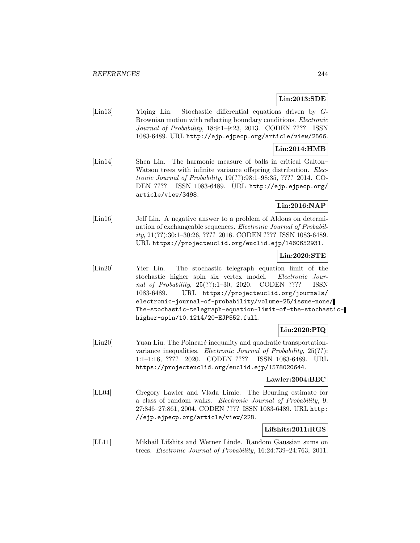# **Lin:2013:SDE**

[Lin13] Yiqing Lin. Stochastic differential equations driven by G-Brownian motion with reflecting boundary conditions. Electronic Journal of Probability, 18:9:1–9:23, 2013. CODEN ???? ISSN 1083-6489. URL http://ejp.ejpecp.org/article/view/2566.

# **Lin:2014:HMB**

[Lin14] Shen Lin. The harmonic measure of balls in critical Galton– Watson trees with infinite variance offspring distribution. Electronic Journal of Probability, 19(??):98:1–98:35, ???? 2014. CO-DEN ???? ISSN 1083-6489. URL http://ejp.ejpecp.org/ article/view/3498.

# **Lin:2016:NAP**

[Lin16] Jeff Lin. A negative answer to a problem of Aldous on determination of exchangeable sequences. Electronic Journal of Probability, 21(??):30:1–30:26, ???? 2016. CODEN ???? ISSN 1083-6489. URL https://projecteuclid.org/euclid.ejp/1460652931.

# **Lin:2020:STE**

[Lin20] Yier Lin. The stochastic telegraph equation limit of the stochastic higher spin six vertex model. Electronic Journal of Probability, 25(??):1–30, 2020. CODEN ???? ISSN 1083-6489. URL https://projecteuclid.org/journals/ electronic-journal-of-probability/volume-25/issue-none/ The-stochastic-telegraph-equation-limit-of-the-stochastichigher-spin/10.1214/20-EJP552.full.

# **Liu:2020:PIQ**

[Liu20] Yuan Liu. The Poincaré inequality and quadratic transportationvariance inequalities. Electronic Journal of Probability, 25(??): 1:1–1:16, ???? 2020. CODEN ???? ISSN 1083-6489. URL https://projecteuclid.org/euclid.ejp/1578020644.

#### **Lawler:2004:BEC**

[LL04] Gregory Lawler and Vlada Limic. The Beurling estimate for a class of random walks. Electronic Journal of Probability, 9: 27:846–27:861, 2004. CODEN ???? ISSN 1083-6489. URL http: //ejp.ejpecp.org/article/view/228.

#### **Lifshits:2011:RGS**

[LL11] Mikhail Lifshits and Werner Linde. Random Gaussian sums on trees. Electronic Journal of Probability, 16:24:739–24:763, 2011.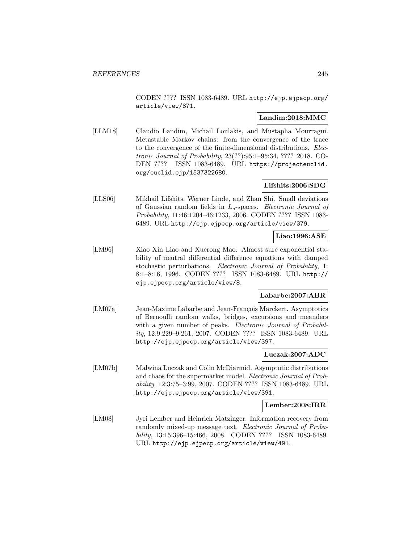CODEN ???? ISSN 1083-6489. URL http://ejp.ejpecp.org/ article/view/871.

### **Landim:2018:MMC**

[LLM18] Claudio Landim, Michail Loulakis, and Mustapha Mourragui. Metastable Markov chains: from the convergence of the trace to the convergence of the finite-dimensional distributions. Electronic Journal of Probability, 23(??):95:1–95:34, ???? 2018. CO-DEN ???? ISSN 1083-6489. URL https://projecteuclid. org/euclid.ejp/1537322680.

### **Lifshits:2006:SDG**

[LLS06] Mikhail Lifshits, Werner Linde, and Zhan Shi. Small deviations of Gaussian random fields in  $L_q$ -spaces. Electronic Journal of Probability, 11:46:1204–46:1233, 2006. CODEN ???? ISSN 1083- 6489. URL http://ejp.ejpecp.org/article/view/379.

# **Liao:1996:ASE**

[LM96] Xiao Xin Liao and Xuerong Mao. Almost sure exponential stability of neutral differential difference equations with damped stochastic perturbations. Electronic Journal of Probability, 1: 8:1–8:16, 1996. CODEN ???? ISSN 1083-6489. URL http:// ejp.ejpecp.org/article/view/8.

### **Labarbe:2007:ABR**

[LM07a] Jean-Maxime Labarbe and Jean-François Marckert. Asymptotics of Bernoulli random walks, bridges, excursions and meanders with a given number of peaks. *Electronic Journal of Probabil*ity, 12:9:229–9:261, 2007. CODEN ???? ISSN 1083-6489. URL http://ejp.ejpecp.org/article/view/397.

### **Luczak:2007:ADC**

[LM07b] Malwina Luczak and Colin McDiarmid. Asymptotic distributions and chaos for the supermarket model. Electronic Journal of Probability, 12:3:75–3:99, 2007. CODEN ???? ISSN 1083-6489. URL http://ejp.ejpecp.org/article/view/391.

### **Lember:2008:IRR**

[LM08] Jyri Lember and Heinrich Matzinger. Information recovery from randomly mixed-up message text. Electronic Journal of Probability, 13:15:396–15:466, 2008. CODEN ???? ISSN 1083-6489. URL http://ejp.ejpecp.org/article/view/491.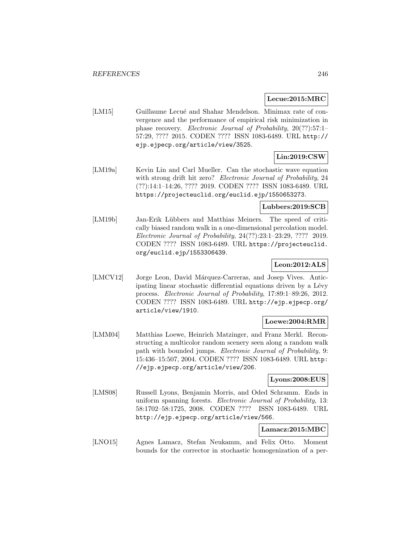#### **Lecue:2015:MRC**

[LM15] Guillaume Lecué and Shahar Mendelson. Minimax rate of convergence and the performance of empirical risk minimization in phase recovery. Electronic Journal of Probability, 20(??):57:1– 57:29, ???? 2015. CODEN ???? ISSN 1083-6489. URL http:// ejp.ejpecp.org/article/view/3525.

# **Lin:2019:CSW**

[LM19a] Kevin Lin and Carl Mueller. Can the stochastic wave equation with strong drift hit zero? Electronic Journal of Probability, 24 (??):14:1–14:26, ???? 2019. CODEN ???? ISSN 1083-6489. URL https://projecteuclid.org/euclid.ejp/1550653273.

# **Lubbers:2019:SCB**

[LM19b] Jan-Erik Lübbers and Matthias Meiners. The speed of critically biased random walk in a one-dimensional percolation model. Electronic Journal of Probability, 24(??):23:1–23:29, ???? 2019. CODEN ???? ISSN 1083-6489. URL https://projecteuclid. org/euclid.ejp/1553306439.

### **Leon:2012:ALS**

[LMCV12] Jorge Leon, David Márquez-Carreras, and Josep Vives. Anticipating linear stochastic differential equations driven by a Lévy process. Electronic Journal of Probability, 17:89:1–89:26, 2012. CODEN ???? ISSN 1083-6489. URL http://ejp.ejpecp.org/ article/view/1910.

### **Loewe:2004:RMR**

[LMM04] Matthias Loewe, Heinrich Matzinger, and Franz Merkl. Reconstructing a multicolor random scenery seen along a random walk path with bounded jumps. Electronic Journal of Probability, 9: 15:436–15:507, 2004. CODEN ???? ISSN 1083-6489. URL http: //ejp.ejpecp.org/article/view/206.

### **Lyons:2008:EUS**

[LMS08] Russell Lyons, Benjamin Morris, and Oded Schramm. Ends in uniform spanning forests. Electronic Journal of Probability, 13: 58:1702–58:1725, 2008. CODEN ???? ISSN 1083-6489. URL http://ejp.ejpecp.org/article/view/566.

### **Lamacz:2015:MBC**

[LNO15] Agnes Lamacz, Stefan Neukamm, and Felix Otto. Moment bounds for the corrector in stochastic homogenization of a per-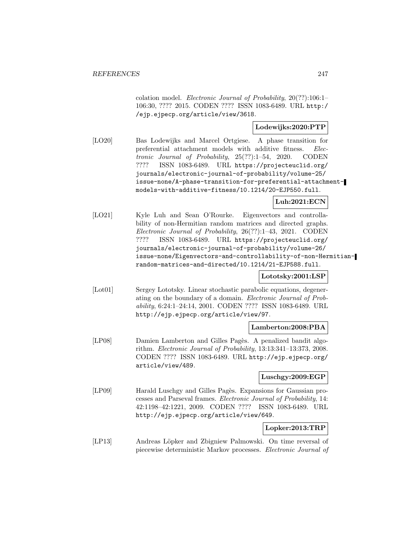colation model. Electronic Journal of Probability, 20(??):106:1– 106:30, ???? 2015. CODEN ???? ISSN 1083-6489. URL http:/ /ejp.ejpecp.org/article/view/3618.

### **Lodewijks:2020:PTP**

[LO20] Bas Lodewijks and Marcel Ortgiese. A phase transition for preferential attachment models with additive fitness. Electronic Journal of Probability, 25(??):1–54, 2020. CODEN ???? ISSN 1083-6489. URL https://projecteuclid.org/ journals/electronic-journal-of-probability/volume-25/ issue-none/A-phase-transition-for-preferential-attachmentmodels-with-additive-fitness/10.1214/20-EJP550.full.

### **Luh:2021:ECN**

[LO21] Kyle Luh and Sean O'Rourke. Eigenvectors and controllability of non-Hermitian random matrices and directed graphs. Electronic Journal of Probability, 26(??):1–43, 2021. CODEN ???? ISSN 1083-6489. URL https://projecteuclid.org/ journals/electronic-journal-of-probability/volume-26/ issue-none/Eigenvectors-and-controllability-of-non-Hermitianrandom-matrices-and-directed/10.1214/21-EJP588.full.

# **Lototsky:2001:LSP**

[Lot01] Sergey Lototsky. Linear stochastic parabolic equations, degenerating on the boundary of a domain. Electronic Journal of Probability, 6:24:1–24:14, 2001. CODEN ???? ISSN 1083-6489. URL http://ejp.ejpecp.org/article/view/97.

#### **Lamberton:2008:PBA**

[LP08] Damien Lamberton and Gilles Pagès. A penalized bandit algorithm. Electronic Journal of Probability, 13:13:341–13:373, 2008. CODEN ???? ISSN 1083-6489. URL http://ejp.ejpecp.org/ article/view/489.

# **Luschgy:2009:EGP**

[LP09] Harald Luschgy and Gilles Pagès. Expansions for Gaussian processes and Parseval frames. Electronic Journal of Probability, 14: 42:1198–42:1221, 2009. CODEN ???? ISSN 1083-6489. URL http://ejp.ejpecp.org/article/view/649.

### **Lopker:2013:TRP**

[LP13] Andreas Löpker and Zbigniew Palmowski. On time reversal of piecewise deterministic Markov processes. Electronic Journal of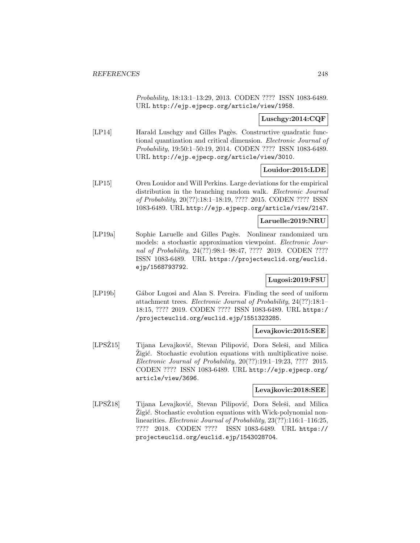Probability, 18:13:1–13:29, 2013. CODEN ???? ISSN 1083-6489. URL http://ejp.ejpecp.org/article/view/1958.

### **Luschgy:2014:CQF**

[LP14] Harald Luschgy and Gilles Pagès. Constructive quadratic functional quantization and critical dimension. Electronic Journal of Probability, 19:50:1–50:19, 2014. CODEN ???? ISSN 1083-6489. URL http://ejp.ejpecp.org/article/view/3010.

### **Louidor:2015:LDE**

[LP15] Oren Louidor and Will Perkins. Large deviations for the empirical distribution in the branching random walk. *Electronic Journal* of Probability, 20(??):18:1–18:19, ???? 2015. CODEN ???? ISSN 1083-6489. URL http://ejp.ejpecp.org/article/view/2147.

#### **Laruelle:2019:NRU**

[LP19a] Sophie Laruelle and Gilles Pagès. Nonlinear randomized urn models: a stochastic approximation viewpoint. Electronic Journal of Probability, 24(??):98:1–98:47, ???? 2019. CODEN ???? ISSN 1083-6489. URL https://projecteuclid.org/euclid. ejp/1568793792.

### **Lugosi:2019:FSU**

[LP19b] Gábor Lugosi and Alan S. Pereira. Finding the seed of uniform attachment trees. Electronic Journal of Probability, 24(??):18:1– 18:15, ???? 2019. CODEN ???? ISSN 1083-6489. URL https:/ /projecteuclid.org/euclid.ejp/1551323285.

#### **Levajkovic:2015:SEE**

[LPSZ15] Tijana Levajković, Stevan Pilipović, Dora Seleši, and Milica Zigić. Stochastic evolution equations with multiplicative noise. Electronic Journal of Probability, 20(??):19:1–19:23, ???? 2015. CODEN ???? ISSN 1083-6489. URL http://ejp.ejpecp.org/ article/view/3696.

#### **Levajkovic:2018:SEE**

[LPSŽ18] Tijana Levajković, Stevan Pilipović, Dora Seleši, and Milica Zigić. Stochastic evolution equations with Wick-polynomial nonlinearities. *Electronic Journal of Probability*,  $23(??)$ :116:1-116:25, ???? 2018. CODEN ???? ISSN 1083-6489. URL https:// projecteuclid.org/euclid.ejp/1543028704.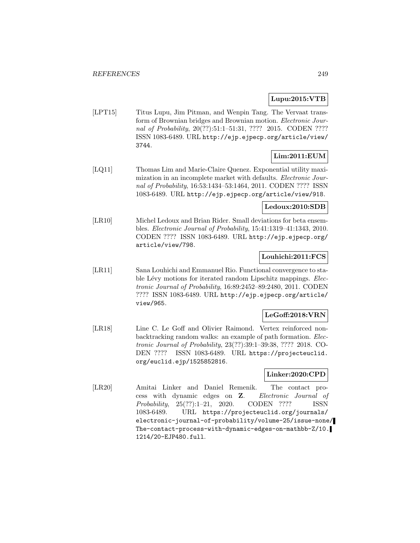# **Lupu:2015:VTB**

[LPT15] Titus Lupu, Jim Pitman, and Wenpin Tang. The Vervaat transform of Brownian bridges and Brownian motion. Electronic Journal of Probability, 20(??):51:1-51:31, ???? 2015. CODEN ???? ISSN 1083-6489. URL http://ejp.ejpecp.org/article/view/ 3744.

# **Lim:2011:EUM**

[LQ11] Thomas Lim and Marie-Claire Quenez. Exponential utility maximization in an incomplete market with defaults. Electronic Journal of Probability, 16:53:1434–53:1464, 2011. CODEN ???? ISSN 1083-6489. URL http://ejp.ejpecp.org/article/view/918.

### **Ledoux:2010:SDB**

[LR10] Michel Ledoux and Brian Rider. Small deviations for beta ensembles. Electronic Journal of Probability, 15:41:1319–41:1343, 2010. CODEN ???? ISSN 1083-6489. URL http://ejp.ejpecp.org/ article/view/798.

### **Louhichi:2011:FCS**

[LR11] Sana Louhichi and Emmanuel Rio. Functional convergence to stable Lévy motions for iterated random Lipschitz mappings. Electronic Journal of Probability, 16:89:2452–89:2480, 2011. CODEN ???? ISSN 1083-6489. URL http://ejp.ejpecp.org/article/ view/965.

# **LeGoff:2018:VRN**

[LR18] Line C. Le Goff and Olivier Raimond. Vertex reinforced nonbacktracking random walks: an example of path formation. Electronic Journal of Probability, 23(??):39:1–39:38, ???? 2018. CO-DEN ???? ISSN 1083-6489. URL https://projecteuclid. org/euclid.ejp/1525852816.

### **Linker:2020:CPD**

[LR20] Amitai Linker and Daniel Remenik. The contact process with dynamic edges on **Z**. Electronic Journal of Probability, 25(??):1–21, 2020. CODEN ???? ISSN 1083-6489. URL https://projecteuclid.org/journals/ electronic-journal-of-probability/volume-25/issue-none/ The-contact-process-with-dynamic-edges-on-mathbb-Z/10. 1214/20-EJP480.full.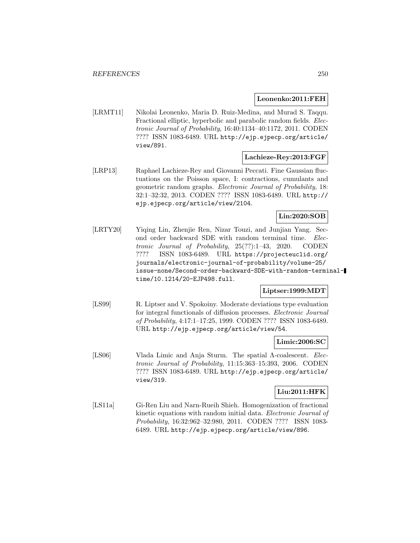### **Leonenko:2011:FEH**

[LRMT11] Nikolai Leonenko, Maria D. Ruiz-Medina, and Murad S. Taqqu. Fractional elliptic, hyperbolic and parabolic random fields. Electronic Journal of Probability, 16:40:1134–40:1172, 2011. CODEN ???? ISSN 1083-6489. URL http://ejp.ejpecp.org/article/ view/891.

### **Lachieze-Rey:2013:FGF**

[LRP13] Raphael Lachieze-Rey and Giovanni Peccati. Fine Gaussian fluctuations on the Poisson space, I: contractions, cumulants and geometric random graphs. Electronic Journal of Probability, 18: 32:1–32:32, 2013. CODEN ???? ISSN 1083-6489. URL http:// ejp.ejpecp.org/article/view/2104.

# **Lin:2020:SOB**

[LRTY20] Yiqing Lin, Zhenjie Ren, Nizar Touzi, and Junjian Yang. Second order backward SDE with random terminal time. Electronic Journal of Probability, 25(??):1–43, 2020. CODEN ???? ISSN 1083-6489. URL https://projecteuclid.org/ journals/electronic-journal-of-probability/volume-25/ issue-none/Second-order-backward-SDE-with-random-terminaltime/10.1214/20-EJP498.full.

# **Liptser:1999:MDT**

[LS99] R. Liptser and V. Spokoiny. Moderate deviations type evaluation for integral functionals of diffusion processes. Electronic Journal of Probability, 4:17:1–17:25, 1999. CODEN ???? ISSN 1083-6489. URL http://ejp.ejpecp.org/article/view/54.

### **Limic:2006:SC**

[LS06] Vlada Limic and Anja Sturm. The spatial Λ-coalescent. Electronic Journal of Probability, 11:15:363–15:393, 2006. CODEN ???? ISSN 1083-6489. URL http://ejp.ejpecp.org/article/ view/319.

## **Liu:2011:HFK**

[LS11a] Gi-Ren Liu and Narn-Rueih Shieh. Homogenization of fractional kinetic equations with random initial data. Electronic Journal of Probability, 16:32:962–32:980, 2011. CODEN ???? ISSN 1083- 6489. URL http://ejp.ejpecp.org/article/view/896.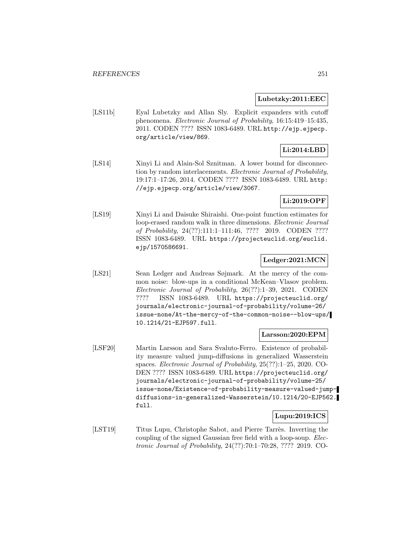#### **Lubetzky:2011:EEC**

[LS11b] Eyal Lubetzky and Allan Sly. Explicit expanders with cutoff phenomena. Electronic Journal of Probability, 16:15:419–15:435, 2011. CODEN ???? ISSN 1083-6489. URL http://ejp.ejpecp. org/article/view/869.

# **Li:2014:LBD**

[LS14] Xinyi Li and Alain-Sol Sznitman. A lower bound for disconnection by random interlacements. Electronic Journal of Probability, 19:17:1–17:26, 2014. CODEN ???? ISSN 1083-6489. URL http: //ejp.ejpecp.org/article/view/3067.

# **Li:2019:OPF**

[LS19] Xinyi Li and Daisuke Shiraishi. One-point function estimates for loop-erased random walk in three dimensions. Electronic Journal of Probability, 24(??):111:1–111:46, ???? 2019. CODEN ???? ISSN 1083-6489. URL https://projecteuclid.org/euclid. ejp/1570586691.

### **Ledger:2021:MCN**

[LS21] Sean Ledger and Andreas Søjmark. At the mercy of the common noise: blow-ups in a conditional McKean–Vlasov problem. Electronic Journal of Probability, 26(??):1–39, 2021. CODEN ???? ISSN 1083-6489. URL https://projecteuclid.org/ journals/electronic-journal-of-probability/volume-26/ issue-none/At-the-mercy-of-the-common-noise--blow-ups/ 10.1214/21-EJP597.full.

#### **Larsson:2020:EPM**

[LSF20] Martin Larsson and Sara Svaluto-Ferro. Existence of probability measure valued jump-diffusions in generalized Wasserstein spaces. Electronic Journal of Probability, 25(??):1–25, 2020. CO-DEN ???? ISSN 1083-6489. URL https://projecteuclid.org/ journals/electronic-journal-of-probability/volume-25/ issue-none/Existence-of-probability-measure-valued-jumpdiffusions-in-generalized-Wasserstein/10.1214/20-EJP562. full.

### **Lupu:2019:ICS**

[LST19] Titus Lupu, Christophe Sabot, and Pierre Tarrès. Inverting the coupling of the signed Gaussian free field with a loop-soup. Electronic Journal of Probability, 24(??):70:1–70:28, ???? 2019. CO-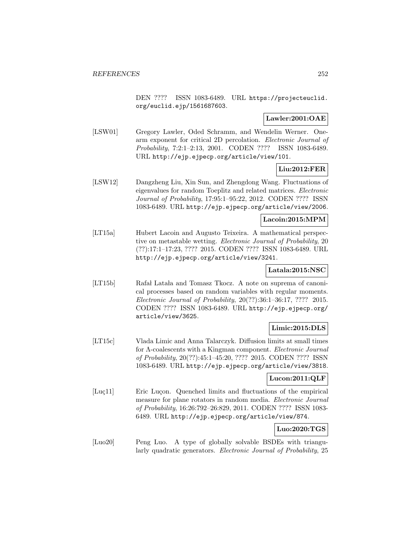DEN ???? ISSN 1083-6489. URL https://projecteuclid. org/euclid.ejp/1561687603.

# **Lawler:2001:OAE**

[LSW01] Gregory Lawler, Oded Schramm, and Wendelin Werner. Onearm exponent for critical 2D percolation. Electronic Journal of Probability, 7:2:1–2:13, 2001. CODEN ???? ISSN 1083-6489. URL http://ejp.ejpecp.org/article/view/101.

# **Liu:2012:FER**

[LSW12] Dangzheng Liu, Xin Sun, and Zhengdong Wang. Fluctuations of eigenvalues for random Toeplitz and related matrices. Electronic Journal of Probability, 17:95:1–95:22, 2012. CODEN ???? ISSN 1083-6489. URL http://ejp.ejpecp.org/article/view/2006.

### **Lacoin:2015:MPM**

[LT15a] Hubert Lacoin and Augusto Teixeira. A mathematical perspective on metastable wetting. Electronic Journal of Probability, 20 (??):17:1–17:23, ???? 2015. CODEN ???? ISSN 1083-6489. URL http://ejp.ejpecp.org/article/view/3241.

# **Latala:2015:NSC**

[LT15b] Rafał Latała and Tomasz Tkocz. A note on suprema of canonical processes based on random variables with regular moments. Electronic Journal of Probability, 20(??):36:1–36:17, ???? 2015. CODEN ???? ISSN 1083-6489. URL http://ejp.ejpecp.org/ article/view/3625.

# **Limic:2015:DLS**

[LT15c] Vlada Limic and Anna Talarczyk. Diffusion limits at small times for Λ-coalescents with a Kingman component. Electronic Journal of Probability, 20(??):45:1–45:20, ???? 2015. CODEN ???? ISSN 1083-6489. URL http://ejp.ejpecp.org/article/view/3818.

# **Lucon:2011:QLF**

[Luç11] Eric Luçon. Quenched limits and fluctuations of the empirical measure for plane rotators in random media. Electronic Journal of Probability, 16:26:792–26:829, 2011. CODEN ???? ISSN 1083- 6489. URL http://ejp.ejpecp.org/article/view/874.

# **Luo:2020:TGS**

[Luo20] Peng Luo. A type of globally solvable BSDEs with triangularly quadratic generators. Electronic Journal of Probability, 25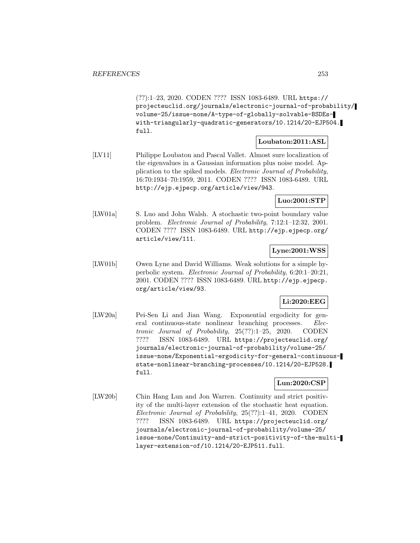(??):1–23, 2020. CODEN ???? ISSN 1083-6489. URL https:// projecteuclid.org/journals/electronic-journal-of-probability/ volume-25/issue-none/A-type-of-globally-solvable-BSDEswith-triangularly-quadratic-generators/10.1214/20-EJP504. full.

# **Loubaton:2011:ASL**

[LV11] Philippe Loubaton and Pascal Vallet. Almost sure localization of the eigenvalues in a Gaussian information plus noise model. Application to the spiked models. Electronic Journal of Probability, 16:70:1934–70:1959, 2011. CODEN ???? ISSN 1083-6489. URL http://ejp.ejpecp.org/article/view/943.

**Luo:2001:STP**

[LW01a] S. Luo and John Walsh. A stochastic two-point boundary value problem. Electronic Journal of Probability, 7:12:1–12:32, 2001. CODEN ???? ISSN 1083-6489. URL http://ejp.ejpecp.org/ article/view/111.

**Lyne:2001:WSS**

[LW01b] Owen Lyne and David Williams. Weak solutions for a simple hyperbolic system. Electronic Journal of Probability, 6:20:1–20:21, 2001. CODEN ???? ISSN 1083-6489. URL http://ejp.ejpecp. org/article/view/93.

# **Li:2020:EEG**

[LW20a] Pei-Sen Li and Jian Wang. Exponential ergodicity for general continuous-state nonlinear branching processes. Electronic Journal of Probability, 25(??):1–25, 2020. CODEN ???? ISSN 1083-6489. URL https://projecteuclid.org/ journals/electronic-journal-of-probability/volume-25/ issue-none/Exponential-ergodicity-for-general-continuousstate-nonlinear-branching-processes/10.1214/20-EJP528. full.

**Lun:2020:CSP**

[LW20b] Chin Hang Lun and Jon Warren. Continuity and strict positivity of the multi-layer extension of the stochastic heat equation. Electronic Journal of Probability, 25(??):1–41, 2020. CODEN ???? ISSN 1083-6489. URL https://projecteuclid.org/ journals/electronic-journal-of-probability/volume-25/ issue-none/Continuity-and-strict-positivity-of-the-multilayer-extension-of/10.1214/20-EJP511.full.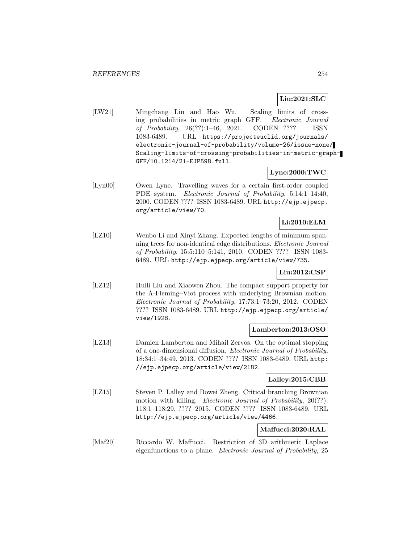# **Liu:2021:SLC**

[LW21] Mingchang Liu and Hao Wu. Scaling limits of crossing probabilities in metric graph GFF. Electronic Journal of Probability, 26(??):1–46, 2021. CODEN ???? ISSN 1083-6489. URL https://projecteuclid.org/journals/ electronic-journal-of-probability/volume-26/issue-none/ Scaling-limits-of-crossing-probabilities-in-metric-graph-GFF/10.1214/21-EJP598.full.

# **Lyne:2000:TWC**

[Lyn00] Owen Lyne. Travelling waves for a certain first-order coupled PDE system. Electronic Journal of Probability, 5:14:1-14:40, 2000. CODEN ???? ISSN 1083-6489. URL http://ejp.ejpecp. org/article/view/70.

# **Li:2010:ELM**

[LZ10] Wenbo Li and Xinyi Zhang. Expected lengths of minimum spanning trees for non-identical edge distributions. Electronic Journal of Probability, 15:5:110–5:141, 2010. CODEN ???? ISSN 1083- 6489. URL http://ejp.ejpecp.org/article/view/735.

# **Liu:2012:CSP**

[LZ12] Huili Liu and Xiaowen Zhou. The compact support property for the Λ-Fleming–Viot process with underlying Brownian motion. Electronic Journal of Probability, 17:73:1–73:20, 2012. CODEN ???? ISSN 1083-6489. URL http://ejp.ejpecp.org/article/ view/1928.

# **Lamberton:2013:OSO**

[LZ13] Damien Lamberton and Mihail Zervos. On the optimal stopping of a one-dimensional diffusion. Electronic Journal of Probability, 18:34:1–34:49, 2013. CODEN ???? ISSN 1083-6489. URL http: //ejp.ejpecp.org/article/view/2182.

# **Lalley:2015:CBB**

[LZ15] Steven P. Lalley and Bowei Zheng. Critical branching Brownian motion with killing. Electronic Journal of Probability, 20(??): 118:1–118:29, ???? 2015. CODEN ???? ISSN 1083-6489. URL http://ejp.ejpecp.org/article/view/4466.

# **Maffucci:2020:RAL**

[Maf20] Riccardo W. Maffucci. Restriction of 3D arithmetic Laplace eigenfunctions to a plane. Electronic Journal of Probability, 25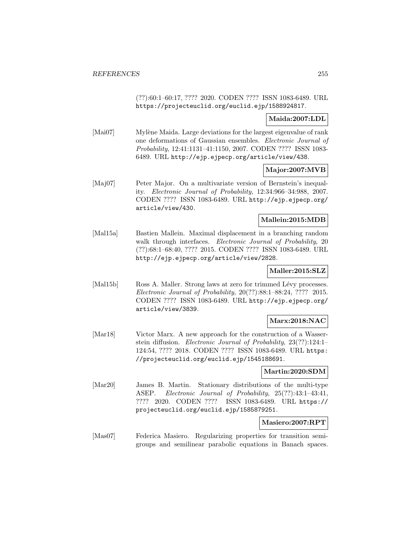(??):60:1–60:17, ???? 2020. CODEN ???? ISSN 1083-6489. URL https://projecteuclid.org/euclid.ejp/1588924817.

# **Maida:2007:LDL**

[Mai07] Mylène Maida. Large deviations for the largest eigenvalue of rank one deformations of Gaussian ensembles. Electronic Journal of Probability, 12:41:1131–41:1150, 2007. CODEN ???? ISSN 1083- 6489. URL http://ejp.ejpecp.org/article/view/438.

# **Major:2007:MVB**

[Maj07] Peter Major. On a multivariate version of Bernstein's inequality. Electronic Journal of Probability, 12:34:966–34:988, 2007. CODEN ???? ISSN 1083-6489. URL http://ejp.ejpecp.org/ article/view/430.

# **Mallein:2015:MDB**

[Mal15a] Bastien Mallein. Maximal displacement in a branching random walk through interfaces. Electronic Journal of Probability, 20 (??):68:1–68:40, ???? 2015. CODEN ???? ISSN 1083-6489. URL http://ejp.ejpecp.org/article/view/2828.

# **Maller:2015:SLZ**

[Mal15b] Ross A. Maller. Strong laws at zero for trimmed Lévy processes. Electronic Journal of Probability, 20(??):88:1–88:24, ???? 2015. CODEN ???? ISSN 1083-6489. URL http://ejp.ejpecp.org/ article/view/3839.

# **Marx:2018:NAC**

[Mar18] Victor Marx. A new approach for the construction of a Wasserstein diffusion. Electronic Journal of Probability, 23(??):124:1– 124:54, ???? 2018. CODEN ???? ISSN 1083-6489. URL https: //projecteuclid.org/euclid.ejp/1545188691.

# **Martin:2020:SDM**

[Mar20] James B. Martin. Stationary distributions of the multi-type ASEP. Electronic Journal of Probability, 25(??):43:1–43:41, ???? 2020. CODEN ???? ISSN 1083-6489. URL https:// projecteuclid.org/euclid.ejp/1585879251.

# **Masiero:2007:RPT**

[Mas07] Federica Masiero. Regularizing properties for transition semigroups and semilinear parabolic equations in Banach spaces.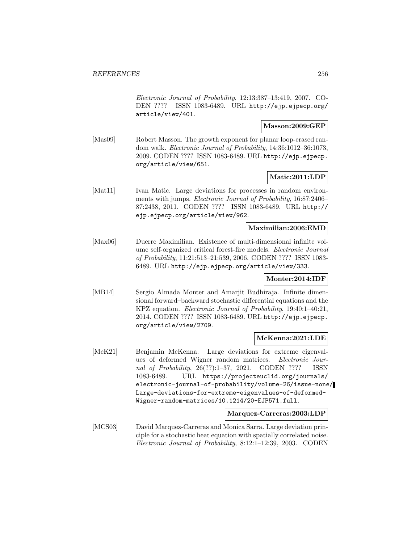Electronic Journal of Probability, 12:13:387–13:419, 2007. CO-DEN ???? ISSN 1083-6489. URL http://ejp.ejpecp.org/ article/view/401.

### **Masson:2009:GEP**

[Mas09] Robert Masson. The growth exponent for planar loop-erased random walk. Electronic Journal of Probability, 14:36:1012–36:1073, 2009. CODEN ???? ISSN 1083-6489. URL http://ejp.ejpecp. org/article/view/651.

# **Matic:2011:LDP**

[Mat11] Ivan Matic. Large deviations for processes in random environments with jumps. Electronic Journal of Probability, 16:87:2406– 87:2438, 2011. CODEN ???? ISSN 1083-6489. URL http:// ejp.ejpecp.org/article/view/962.

# **Maximilian:2006:EMD**

[Max06] Duerre Maximilian. Existence of multi-dimensional infinite volume self-organized critical forest-fire models. Electronic Journal of Probability, 11:21:513–21:539, 2006. CODEN ???? ISSN 1083- 6489. URL http://ejp.ejpecp.org/article/view/333.

# **Monter:2014:IDF**

[MB14] Sergio Almada Monter and Amarjit Budhiraja. Infinite dimensional forward–backward stochastic differential equations and the KPZ equation. Electronic Journal of Probability, 19:40:1–40:21, 2014. CODEN ???? ISSN 1083-6489. URL http://ejp.ejpecp. org/article/view/2709.

# **McKenna:2021:LDE**

[McK21] Benjamin McKenna. Large deviations for extreme eigenvalues of deformed Wigner random matrices. Electronic Journal of Probability, 26(??):1–37, 2021. CODEN ???? ISSN 1083-6489. URL https://projecteuclid.org/journals/ electronic-journal-of-probability/volume-26/issue-none/ Large-deviations-for-extreme-eigenvalues-of-deformed-Wigner-random-matrices/10.1214/20-EJP571.full.

### **Marquez-Carreras:2003:LDP**

[MCS03] David Marquez-Carreras and Monica Sarra. Large deviation principle for a stochastic heat equation with spatially correlated noise. Electronic Journal of Probability, 8:12:1–12:39, 2003. CODEN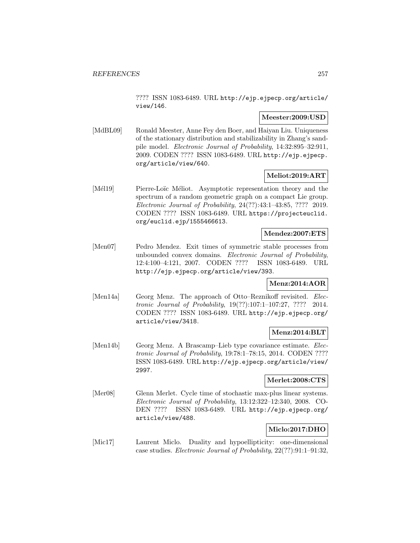???? ISSN 1083-6489. URL http://ejp.ejpecp.org/article/ view/146.

# **Meester:2009:USD**

[MdBL09] Ronald Meester, Anne Fey den Boer, and Haiyan Liu. Uniqueness of the stationary distribution and stabilizability in Zhang's sandpile model. Electronic Journal of Probability, 14:32:895–32:911, 2009. CODEN ???? ISSN 1083-6489. URL http://ejp.ejpecp. org/article/view/640.

# **Meliot:2019:ART**

[Mél19] Pierre-Loïc Méliot. Asymptotic representation theory and the spectrum of a random geometric graph on a compact Lie group. Electronic Journal of Probability, 24(??):43:1–43:85, ???? 2019. CODEN ???? ISSN 1083-6489. URL https://projecteuclid. org/euclid.ejp/1555466613.

# **Mendez:2007:ETS**

[Men07] Pedro Mendez. Exit times of symmetric stable processes from unbounded convex domains. Electronic Journal of Probability, 12:4:100–4:121, 2007. CODEN ???? ISSN 1083-6489. URL http://ejp.ejpecp.org/article/view/393.

# **Menz:2014:AOR**

[Men14a] Georg Menz. The approach of Otto–Reznikoff revisited. Electronic Journal of Probability, 19(??):107:1–107:27, ???? 2014. CODEN ???? ISSN 1083-6489. URL http://ejp.ejpecp.org/ article/view/3418.

# **Menz:2014:BLT**

[Men14b] Georg Menz. A Brascamp–Lieb type covariance estimate. Electronic Journal of Probability, 19:78:1–78:15, 2014. CODEN ???? ISSN 1083-6489. URL http://ejp.ejpecp.org/article/view/ 2997.

# **Merlet:2008:CTS**

[Mer08] Glenn Merlet. Cycle time of stochastic max-plus linear systems. Electronic Journal of Probability, 13:12:322–12:340, 2008. CO-DEN ???? ISSN 1083-6489. URL http://ejp.ejpecp.org/ article/view/488.

# **Miclo:2017:DHO**

[Mic17] Laurent Miclo. Duality and hypoellipticity: one-dimensional case studies. Electronic Journal of Probability, 22(??):91:1–91:32,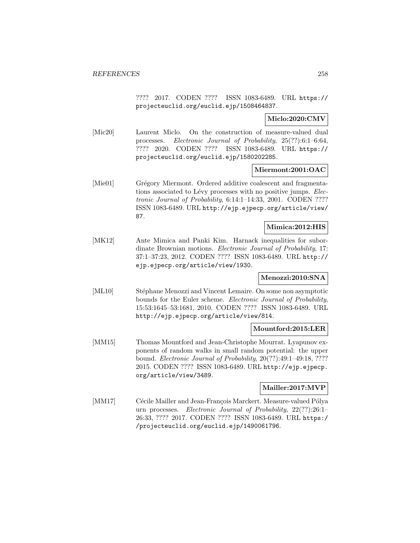???? 2017. CODEN ???? ISSN 1083-6489. URL https:// projecteuclid.org/euclid.ejp/1508464837.

**Miclo:2020:CMV**

[Mic20] Laurent Miclo. On the construction of measure-valued dual processes. Electronic Journal of Probability, 25(??):6:1–6:64, ???? 2020. CODEN ???? ISSN 1083-6489. URL https:// projecteuclid.org/euclid.ejp/1580202285.

# **Miermont:2001:OAC**

[Mie01] Grégory Miermont. Ordered additive coalescent and fragmentations associated to Lévy processes with no positive jumps. Electronic Journal of Probability, 6:14:1–14:33, 2001. CODEN ???? ISSN 1083-6489. URL http://ejp.ejpecp.org/article/view/ 87.

# **Mimica:2012:HIS**

[MK12] Ante Mimica and Panki Kim. Harnack inequalities for subordinate Brownian motions. Electronic Journal of Probability, 17: 37:1–37:23, 2012. CODEN ???? ISSN 1083-6489. URL http:// ejp.ejpecp.org/article/view/1930.

# **Menozzi:2010:SNA**

[ML10] Stéphane Menozzi and Vincent Lemaire. On some non asymptotic bounds for the Euler scheme. Electronic Journal of Probability, 15:53:1645–53:1681, 2010. CODEN ???? ISSN 1083-6489. URL http://ejp.ejpecp.org/article/view/814.

# **Mountford:2015:LER**

[MM15] Thomas Mountford and Jean-Christophe Mourrat. Lyapunov exponents of random walks in small random potential: the upper bound. Electronic Journal of Probability, 20(??):49:1–49:18, ???? 2015. CODEN ???? ISSN 1083-6489. URL http://ejp.ejpecp. org/article/view/3489.

# **Mailler:2017:MVP**

[MM17] Cécile Mailler and Jean-François Marckert. Measure-valued Pólya urn processes. Electronic Journal of Probability, 22(??):26:1– 26:33, ???? 2017. CODEN ???? ISSN 1083-6489. URL https:/ /projecteuclid.org/euclid.ejp/1490061796.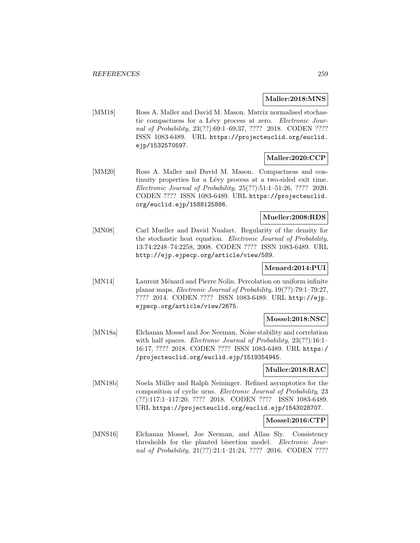# **Maller:2018:MNS**

[MM18] Ross A. Maller and David M. Mason. Matrix normalised stochastic compactness for a Lévy process at zero. Electronic Journal of Probability, 23(??):69:1–69:37, ???? 2018. CODEN ???? ISSN 1083-6489. URL https://projecteuclid.org/euclid. ejp/1532570597.

# **Maller:2020:CCP**

[MM20] Ross A. Maller and David M. Mason. Compactness and continuity properties for a Lévy process at a two-sided exit time. Electronic Journal of Probability, 25(??):51:1–51:26, ???? 2020. CODEN ???? ISSN 1083-6489. URL https://projecteuclid. org/euclid.ejp/1588125886.

### **Mueller:2008:RDS**

[MN08] Carl Mueller and David Nualart. Regularity of the density for the stochastic heat equation. Electronic Journal of Probability, 13:74:2248–74:2258, 2008. CODEN ???? ISSN 1083-6489. URL http://ejp.ejpecp.org/article/view/589.

# **Menard:2014:PUI**

[MN14] Laurent Ménard and Pierre Nolin. Percolation on uniform infinite planar maps. Electronic Journal of Probability, 19(??):79:1–79:27, ???? 2014. CODEN ???? ISSN 1083-6489. URL http://ejp. ejpecp.org/article/view/2675.

# **Mossel:2018:NSC**

[MN18a] Elchanan Mossel and Joe Neeman. Noise stability and correlation with half spaces. Electronic Journal of Probability, 23(??):16:1-16:17, ???? 2018. CODEN ???? ISSN 1083-6489. URL https:/ /projecteuclid.org/euclid.ejp/1519354945.

#### **Muller:2018:RAC**

[MN18b] Noela Müller and Ralph Neininger. Refined asymptotics for the composition of cyclic urns. Electronic Journal of Probability, 23 (??):117:1–117:20, ???? 2018. CODEN ???? ISSN 1083-6489. URL https://projecteuclid.org/euclid.ejp/1543028707.

# **Mossel:2016:CTP**

[MNS16] Elchanan Mossel, Joe Neeman, and Allan Sly. Consistency thresholds for the planted bisection model. Electronic Journal of Probability, 21(??):21:1-21:24, ???? 2016. CODEN ????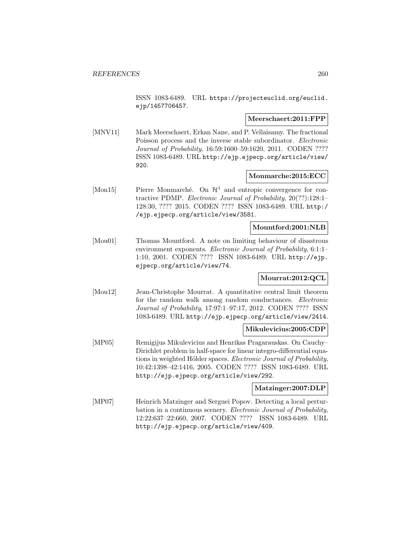ISSN 1083-6489. URL https://projecteuclid.org/euclid. ejp/1457706457.

### **Meerschaert:2011:FPP**

[MNV11] Mark Meerschaert, Erkan Nane, and P. Vellaisamy. The fractional Poisson process and the inverse stable subordinator. *Electronic* Journal of Probability, 16:59:1600–59:1620, 2011. CODEN ???? ISSN 1083-6489. URL http://ejp.ejpecp.org/article/view/ 920.

# **Monmarche:2015:ECC**

[Mon15] Pierre Monmarché. On  $\mathcal{H}^1$  and entropic convergence for contractive PDMP. Electronic Journal of Probability, 20(??):128:1– 128:30, ???? 2015. CODEN ???? ISSN 1083-6489. URL http:/ /ejp.ejpecp.org/article/view/3581.

# **Mountford:2001:NLB**

[Mou01] Thomas Mountford. A note on limiting behaviour of disastrous environment exponents. Electronic Journal of Probability, 6:1:1– 1:10, 2001. CODEN ???? ISSN 1083-6489. URL http://ejp. ejpecp.org/article/view/74.

# **Mourrat:2012:QCL**

[Mou12] Jean-Christophe Mourrat. A quantitative central limit theorem for the random walk among random conductances. *Electronic* Journal of Probability, 17:97:1–97:17, 2012. CODEN ???? ISSN 1083-6489. URL http://ejp.ejpecp.org/article/view/2414.

# **Mikulevicius:2005:CDP**

[MP05] Remigijus Mikulevicius and Henrikas Pragarauskas. On Cauchy– Dirichlet problem in half-space for linear integro-differential equations in weighted Hölder spaces. Electronic Journal of Probability, 10:42:1398–42:1416, 2005. CODEN ???? ISSN 1083-6489. URL http://ejp.ejpecp.org/article/view/292.

#### **Matzinger:2007:DLP**

[MP07] Heinrich Matzinger and Serguei Popov. Detecting a local perturbation in a continuous scenery. Electronic Journal of Probability, 12:22:637–22:660, 2007. CODEN ???? ISSN 1083-6489. URL http://ejp.ejpecp.org/article/view/409.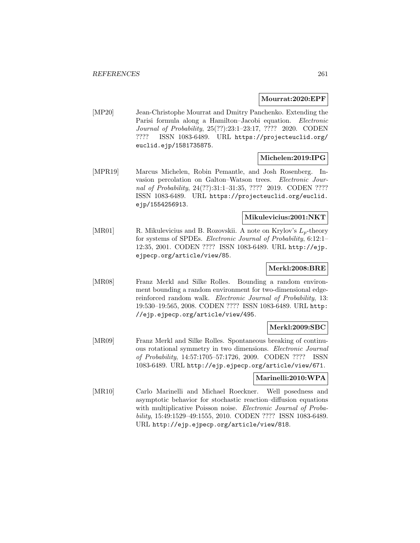### **Mourrat:2020:EPF**

[MP20] Jean-Christophe Mourrat and Dmitry Panchenko. Extending the Parisi formula along a Hamilton–Jacobi equation. Electronic Journal of Probability, 25(??):23:1–23:17, ???? 2020. CODEN ???? ISSN 1083-6489. URL https://projecteuclid.org/ euclid.ejp/1581735875.

# **Michelen:2019:IPG**

[MPR19] Marcus Michelen, Robin Pemantle, and Josh Rosenberg. Invasion percolation on Galton–Watson trees. Electronic Journal of Probability, 24(??):31:1-31:35, ???? 2019. CODEN ???? ISSN 1083-6489. URL https://projecteuclid.org/euclid. ejp/1554256913.

# **Mikulevicius:2001:NKT**

[MR01] R. Mikulevicius and B. Rozovskii. A note on Krylov's  $L_p$ -theory for systems of SPDEs. Electronic Journal of Probability, 6:12:1– 12:35, 2001. CODEN ???? ISSN 1083-6489. URL http://ejp. ejpecp.org/article/view/85.

# **Merkl:2008:BRE**

[MR08] Franz Merkl and Silke Rolles. Bounding a random environment bounding a random environment for two-dimensional edgereinforced random walk. *Electronic Journal of Probability*, 13: 19:530–19:565, 2008. CODEN ???? ISSN 1083-6489. URL http: //ejp.ejpecp.org/article/view/495.

# **Merkl:2009:SBC**

[MR09] Franz Merkl and Silke Rolles. Spontaneous breaking of continuous rotational symmetry in two dimensions. Electronic Journal of Probability, 14:57:1705–57:1726, 2009. CODEN ???? ISSN 1083-6489. URL http://ejp.ejpecp.org/article/view/671.

# **Marinelli:2010:WPA**

[MR10] Carlo Marinelli and Michael Roeckner. Well posedness and asymptotic behavior for stochastic reaction–diffusion equations with multiplicative Poisson noise. Electronic Journal of Probability, 15:49:1529–49:1555, 2010. CODEN ???? ISSN 1083-6489. URL http://ejp.ejpecp.org/article/view/818.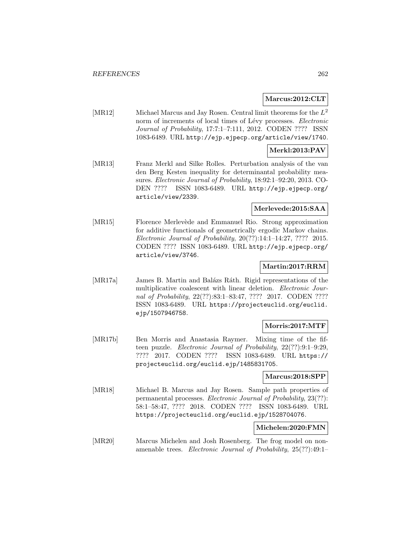# **Marcus:2012:CLT**

[MR12] Michael Marcus and Jay Rosen. Central limit theorems for the  $L^2$ norm of increments of local times of Lévy processes. Electronic Journal of Probability, 17:7:1–7:111, 2012. CODEN ???? ISSN 1083-6489. URL http://ejp.ejpecp.org/article/view/1740.

# **Merkl:2013:PAV**

[MR13] Franz Merkl and Silke Rolles. Perturbation analysis of the van den Berg Kesten inequality for determinantal probability measures. Electronic Journal of Probability, 18:92:1–92:20, 2013. CO-DEN ???? ISSN 1083-6489. URL http://ejp.ejpecp.org/ article/view/2339.

# **Merlevede:2015:SAA**

[MR15] Florence Merlevède and Emmanuel Rio. Strong approximation for additive functionals of geometrically ergodic Markov chains. Electronic Journal of Probability, 20(??):14:1–14:27, ???? 2015. CODEN ???? ISSN 1083-6489. URL http://ejp.ejpecp.org/ article/view/3746.

#### **Martin:2017:RRM**

[MR17a] James B. Martin and Balázs Ráth. Rigid representations of the multiplicative coalescent with linear deletion. Electronic Journal of Probability, 22(??):83:1-83:47, ???? 2017. CODEN ???? ISSN 1083-6489. URL https://projecteuclid.org/euclid. ejp/1507946758.

# **Morris:2017:MTF**

[MR17b] Ben Morris and Anastasia Raymer. Mixing time of the fifteen puzzle. Electronic Journal of Probability, 22(??):9:1–9:29, ???? 2017. CODEN ???? ISSN 1083-6489. URL https:// projecteuclid.org/euclid.ejp/1485831705.

#### **Marcus:2018:SPP**

[MR18] Michael B. Marcus and Jay Rosen. Sample path properties of permanental processes. Electronic Journal of Probability, 23(??): 58:1–58:47, ???? 2018. CODEN ???? ISSN 1083-6489. URL https://projecteuclid.org/euclid.ejp/1528704076.

#### **Michelen:2020:FMN**

[MR20] Marcus Michelen and Josh Rosenberg. The frog model on nonamenable trees. Electronic Journal of Probability, 25(??):49:1–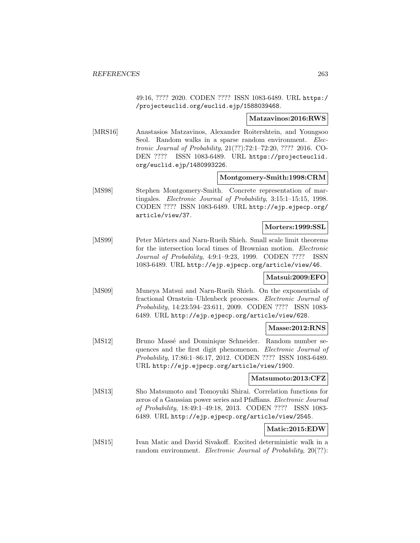49:16, ???? 2020. CODEN ???? ISSN 1083-6489. URL https:/ /projecteuclid.org/euclid.ejp/1588039468.

#### **Matzavinos:2016:RWS**

[MRS16] Anastasios Matzavinos, Alexander Roitershtein, and Youngsoo Seol. Random walks in a sparse random environment. Electronic Journal of Probability, 21(??):72:1–72:20, ???? 2016. CO-DEN ???? ISSN 1083-6489. URL https://projecteuclid. org/euclid.ejp/1480993226.

### **Montgomery-Smith:1998:CRM**

[MS98] Stephen Montgomery-Smith. Concrete representation of martingales. Electronic Journal of Probability, 3:15:1–15:15, 1998. CODEN ???? ISSN 1083-6489. URL http://ejp.ejpecp.org/ article/view/37.

# **Morters:1999:SSL**

[MS99] Peter Mörters and Narn-Rueih Shieh. Small scale limit theorems for the intersection local times of Brownian motion. Electronic Journal of Probability, 4:9:1–9:23, 1999. CODEN ???? ISSN 1083-6489. URL http://ejp.ejpecp.org/article/view/46.

# **Matsui:2009:EFO**

[MS09] Muneya Matsui and Narn-Rueih Shieh. On the exponentials of fractional Ornstein–Uhlenbeck processes. Electronic Journal of Probability, 14:23:594–23:611, 2009. CODEN ???? ISSN 1083- 6489. URL http://ejp.ejpecp.org/article/view/628.

# **Masse:2012:RNS**

[MS12] Bruno Massé and Dominique Schneider. Random number sequences and the first digit phenomenon. Electronic Journal of Probability, 17:86:1–86:17, 2012. CODEN ???? ISSN 1083-6489. URL http://ejp.ejpecp.org/article/view/1900.

#### **Matsumoto:2013:CFZ**

[MS13] Sho Matsumoto and Tomoyuki Shirai. Correlation functions for zeros of a Gaussian power series and Pfaffians. Electronic Journal of Probability, 18:49:1–49:18, 2013. CODEN ???? ISSN 1083- 6489. URL http://ejp.ejpecp.org/article/view/2545.

# **Matic:2015:EDW**

[MS15] Ivan Matic and David Sivakoff. Excited deterministic walk in a random environment. *Electronic Journal of Probability*, 20(??):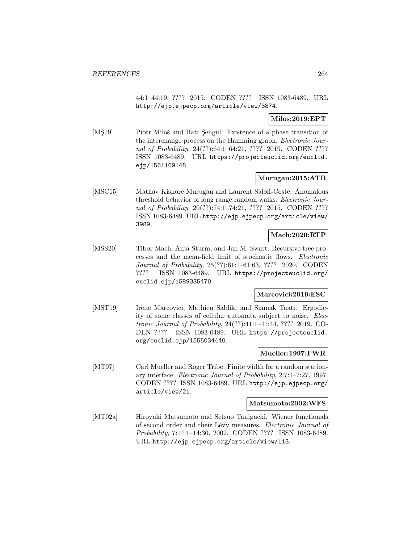44:1–44:19, ???? 2015. CODEN ???? ISSN 1083-6489. URL http://ejp.ejpecp.org/article/view/3874.

# **Milos:2019:EPT**

[MŞ19] Piotr Miloś and Batı Şengül. Existence of a phase transition of the interchange process on the Hamming graph. *Electronic Jour*nal of Probability, 24(??):64:1-64:21, ???? 2019. CODEN ???? ISSN 1083-6489. URL https://projecteuclid.org/euclid. ejp/1561169148.

# **Murugan:2015:ATB**

[MSC15] Mathav Kishore Murugan and Laurent Saloff-Coste. Anomalous threshold behavior of long range random walks. Electronic Journal of Probability, 20(??):74:1-74:21, ???? 2015. CODEN ???? ISSN 1083-6489. URL http://ejp.ejpecp.org/article/view/ 3989.

# **Mach:2020:RTP**

[MSS20] Tibor Mach, Anja Sturm, and Jan M. Swart. Recursive tree processes and the mean-field limit of stochastic flows. Electronic Journal of Probability, 25(??):61:1–61:63, ???? 2020. CODEN ???? ISSN 1083-6489. URL https://projecteuclid.org/ euclid.ejp/1589335470.

# **Marcovici:2019:ESC**

[MST19] Irène Marcovici, Mathieu Sablik, and Siamak Taati. Ergodicity of some classes of cellular automata subject to noise. Electronic Journal of Probability, 24(??):41:1–41:44, ???? 2019. CO-DEN ???? ISSN 1083-6489. URL https://projecteuclid. org/euclid.ejp/1555034440.

# **Mueller:1997:FWR**

[MT97] Carl Mueller and Roger Tribe. Finite width for a random stationary interface. Electronic Journal of Probability, 2:7:1–7:27, 1997. CODEN ???? ISSN 1083-6489. URL http://ejp.ejpecp.org/ article/view/21.

#### **Matsumoto:2002:WFS**

[MT02a] Hiroyuki Matsumoto and Setsuo Taniguchi. Wiener functionals of second order and their Lévy measures. Electronic Journal of Probability, 7:14:1–14:30, 2002. CODEN ???? ISSN 1083-6489. URL http://ejp.ejpecp.org/article/view/113.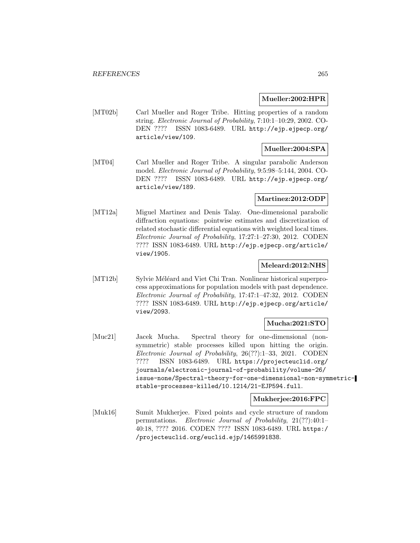# **Mueller:2002:HPR**

[MT02b] Carl Mueller and Roger Tribe. Hitting properties of a random string. Electronic Journal of Probability, 7:10:1–10:29, 2002. CO-DEN ???? ISSN 1083-6489. URL http://ejp.ejpecp.org/ article/view/109.

# **Mueller:2004:SPA**

[MT04] Carl Mueller and Roger Tribe. A singular parabolic Anderson model. Electronic Journal of Probability, 9:5:98–5:144, 2004. CO-DEN ???? ISSN 1083-6489. URL http://ejp.ejpecp.org/ article/view/189.

# **Martinez:2012:ODP**

[MT12a] Miguel Martinez and Denis Talay. One-dimensional parabolic diffraction equations: pointwise estimates and discretization of related stochastic differential equations with weighted local times. Electronic Journal of Probability, 17:27:1–27:30, 2012. CODEN ???? ISSN 1083-6489. URL http://ejp.ejpecp.org/article/ view/1905.

# **Meleard:2012:NHS**

[MT12b] Sylvie Méléard and Viet Chi Tran. Nonlinear historical superprocess approximations for population models with past dependence. Electronic Journal of Probability, 17:47:1–47:32, 2012. CODEN ???? ISSN 1083-6489. URL http://ejp.ejpecp.org/article/ view/2093.

# **Mucha:2021:STO**

[Muc21] Jacek Mucha. Spectral theory for one-dimensional (nonsymmetric) stable processes killed upon hitting the origin. Electronic Journal of Probability, 26(??):1–33, 2021. CODEN ???? ISSN 1083-6489. URL https://projecteuclid.org/ journals/electronic-journal-of-probability/volume-26/ issue-none/Spectral-theory-for-one-dimensional-non-symmetricstable-processes-killed/10.1214/21-EJP594.full.

#### **Mukherjee:2016:FPC**

[Muk16] Sumit Mukherjee. Fixed points and cycle structure of random permutations. Electronic Journal of Probability, 21(??):40:1– 40:18, ???? 2016. CODEN ???? ISSN 1083-6489. URL https:/ /projecteuclid.org/euclid.ejp/1465991838.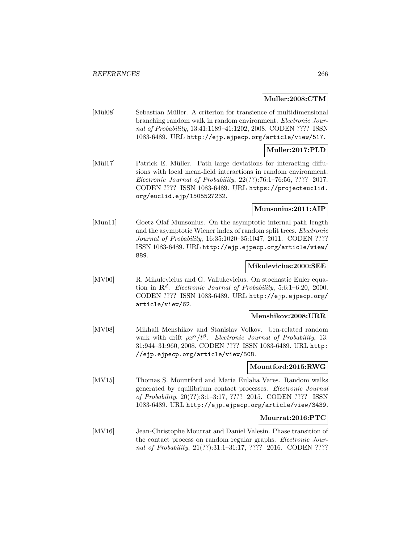### **Muller:2008:CTM**

[Mül08] Sebastian Müller. A criterion for transience of multidimensional branching random walk in random environment. Electronic Journal of Probability, 13:41:1189–41:1202, 2008. CODEN ???? ISSN 1083-6489. URL http://ejp.ejpecp.org/article/view/517.

# **Muller:2017:PLD**

[Mül17] Patrick E. Müller. Path large deviations for interacting diffusions with local mean-field interactions in random environment. Electronic Journal of Probability, 22(??):76:1–76:56, ???? 2017. CODEN ???? ISSN 1083-6489. URL https://projecteuclid. org/euclid.ejp/1505527232.

# **Munsonius:2011:AIP**

[Mun11] Goetz Olaf Munsonius. On the asymptotic internal path length and the asymptotic Wiener index of random split trees. Electronic Journal of Probability, 16:35:1020–35:1047, 2011. CODEN ???? ISSN 1083-6489. URL http://ejp.ejpecp.org/article/view/ 889.

#### **Mikulevicius:2000:SEE**

[MV00] R. Mikulevicius and G. Valiukevicius. On stochastic Euler equation in  $\mathbb{R}^d$ . Electronic Journal of Probability, 5:6:1–6:20, 2000. CODEN ???? ISSN 1083-6489. URL http://ejp.ejpecp.org/ article/view/62.

# **Menshikov:2008:URR**

[MV08] Mikhail Menshikov and Stanislav Volkov. Urn-related random walk with drift  $\rho x^{\alpha}/t^{\beta}$ . Electronic Journal of Probability, 13: 31:944–31:960, 2008. CODEN ???? ISSN 1083-6489. URL http: //ejp.ejpecp.org/article/view/508.

# **Mountford:2015:RWG**

[MV15] Thomas S. Mountford and Maria Eulalia Vares. Random walks generated by equilibrium contact processes. Electronic Journal of Probability, 20(??):3:1–3:17, ???? 2015. CODEN ???? ISSN 1083-6489. URL http://ejp.ejpecp.org/article/view/3439.

# **Mourrat:2016:PTC**

[MV16] Jean-Christophe Mourrat and Daniel Valesin. Phase transition of the contact process on random regular graphs. Electronic Journal of Probability, 21(??):31:1-31:17, ???? 2016. CODEN ????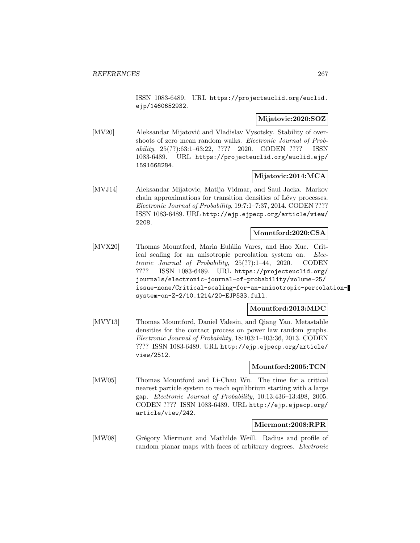ISSN 1083-6489. URL https://projecteuclid.org/euclid. ejp/1460652932.

# **Mijatovic:2020:SOZ**

[MV20] Aleksandar Mijatović and Vladislav Vysotsky. Stability of overshoots of zero mean random walks. Electronic Journal of Probability, 25(??):63:1–63:22, ???? 2020. CODEN ???? ISSN 1083-6489. URL https://projecteuclid.org/euclid.ejp/ 1591668284.

# **Mijatovic:2014:MCA**

[MVJ14] Aleksandar Mijatovic, Matija Vidmar, and Saul Jacka. Markov chain approximations for transition densities of Lévy processes. Electronic Journal of Probability, 19:7:1–7:37, 2014. CODEN ???? ISSN 1083-6489. URL http://ejp.ejpecp.org/article/view/ 2208.

# **Mountford:2020:CSA**

[MVX20] Thomas Mountford, Maria Eulália Vares, and Hao Xue. Critical scaling for an anisotropic percolation system on. Electronic Journal of Probability, 25(??):1–44, 2020. CODEN ???? ISSN 1083-6489. URL https://projecteuclid.org/ journals/electronic-journal-of-probability/volume-25/ issue-none/Critical-scaling-for-an-anisotropic-percolationsystem-on-Z-2/10.1214/20-EJP533.full.

#### **Mountford:2013:MDC**

[MVY13] Thomas Mountford, Daniel Valesin, and Qiang Yao. Metastable densities for the contact process on power law random graphs. Electronic Journal of Probability, 18:103:1–103:36, 2013. CODEN ???? ISSN 1083-6489. URL http://ejp.ejpecp.org/article/ view/2512.

# **Mountford:2005:TCN**

[MW05] Thomas Mountford and Li-Chau Wu. The time for a critical nearest particle system to reach equilibrium starting with a large gap. Electronic Journal of Probability, 10:13:436–13:498, 2005. CODEN ???? ISSN 1083-6489. URL http://ejp.ejpecp.org/ article/view/242.

# **Miermont:2008:RPR**

[MW08] Grégory Miermont and Mathilde Weill. Radius and profile of random planar maps with faces of arbitrary degrees. *Electronic*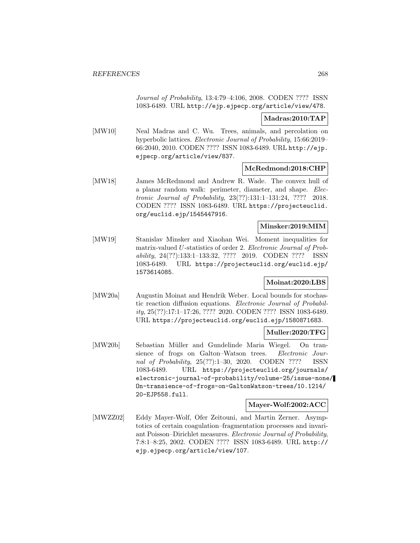Journal of Probability, 13:4:79–4:106, 2008. CODEN ???? ISSN 1083-6489. URL http://ejp.ejpecp.org/article/view/478.

**Madras:2010:TAP**

[MW10] Neal Madras and C. Wu. Trees, animals, and percolation on hyperbolic lattices. Electronic Journal of Probability, 15:66:2019– 66:2040, 2010. CODEN ???? ISSN 1083-6489. URL http://ejp. ejpecp.org/article/view/837.

# **McRedmond:2018:CHP**

[MW18] James McRedmond and Andrew R. Wade. The convex hull of a planar random walk: perimeter, diameter, and shape. Electronic Journal of Probability, 23(??):131:1–131:24, ???? 2018. CODEN ???? ISSN 1083-6489. URL https://projecteuclid. org/euclid.ejp/1545447916.

# **Minsker:2019:MIM**

[MW19] Stanislav Minsker and Xiaohan Wei. Moment inequalities for matrix-valued U-statistics of order 2. Electronic Journal of Probability, 24(??):133:1–133:32, ???? 2019. CODEN ???? ISSN 1083-6489. URL https://projecteuclid.org/euclid.ejp/ 1573614085.

# **Moinat:2020:LBS**

[MW20a] Augustin Moinat and Hendrik Weber. Local bounds for stochastic reaction diffusion equations. Electronic Journal of Probability, 25(??):17:1–17:26, ???? 2020. CODEN ???? ISSN 1083-6489. URL https://projecteuclid.org/euclid.ejp/1580871683.

# **Muller:2020:TFG**

[MW20b] Sebastian M¨uller and Gundelinde Maria Wiegel. On transience of frogs on Galton–Watson trees. Electronic Journal of Probability, 25(??):1–30, 2020. CODEN ???? ISSN 1083-6489. URL https://projecteuclid.org/journals/ electronic-journal-of-probability/volume-25/issue-none/ On-transience-of-frogs-on-GaltonWatson-trees/10.1214/ 20-EJP558.full.

#### **Mayer-Wolf:2002:ACC**

[MWZZ02] Eddy Mayer-Wolf, Ofer Zeitouni, and Martin Zerner. Asymptotics of certain coagulation–fragmentation processes and invariant Poisson–Dirichlet measures. Electronic Journal of Probability, 7:8:1–8:25, 2002. CODEN ???? ISSN 1083-6489. URL http:// ejp.ejpecp.org/article/view/107.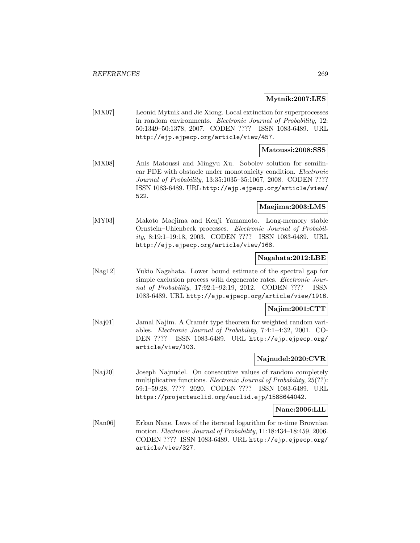# **Mytnik:2007:LES**

[MX07] Leonid Mytnik and Jie Xiong. Local extinction for superprocesses in random environments. Electronic Journal of Probability, 12: 50:1349–50:1378, 2007. CODEN ???? ISSN 1083-6489. URL http://ejp.ejpecp.org/article/view/457.

### **Matoussi:2008:SSS**

[MX08] Anis Matoussi and Mingyu Xu. Sobolev solution for semilinear PDE with obstacle under monotonicity condition. Electronic Journal of Probability, 13:35:1035–35:1067, 2008. CODEN ???? ISSN 1083-6489. URL http://ejp.ejpecp.org/article/view/ 522.

# **Maejima:2003:LMS**

[MY03] Makoto Maejima and Kenji Yamamoto. Long-memory stable Ornstein–Uhlenbeck processes. Electronic Journal of Probability, 8:19:1–19:18, 2003. CODEN ???? ISSN 1083-6489. URL http://ejp.ejpecp.org/article/view/168.

#### **Nagahata:2012:LBE**

[Nag12] Yukio Nagahata. Lower bound estimate of the spectral gap for simple exclusion process with degenerate rates. *Electronic Jour*nal of Probability, 17:92:1–92:19, 2012. CODEN ???? ISSN 1083-6489. URL http://ejp.ejpecp.org/article/view/1916.

# **Najim:2001:CTT**

[Naj01] Jamal Najim. A Cramér type theorem for weighted random variables. Electronic Journal of Probability, 7:4:1–4:32, 2001. CO-DEN ???? ISSN 1083-6489. URL http://ejp.ejpecp.org/ article/view/103.

# **Najnudel:2020:CVR**

[Naj20] Joseph Najnudel. On consecutive values of random completely multiplicative functions. *Electronic Journal of Probability*, 25(??): 59:1–59:28, ???? 2020. CODEN ???? ISSN 1083-6489. URL https://projecteuclid.org/euclid.ejp/1588644042.

# **Nane:2006:LIL**

[Nan06] Erkan Nane. Laws of the iterated logarithm for  $\alpha$ -time Brownian motion. Electronic Journal of Probability, 11:18:434–18:459, 2006. CODEN ???? ISSN 1083-6489. URL http://ejp.ejpecp.org/ article/view/327.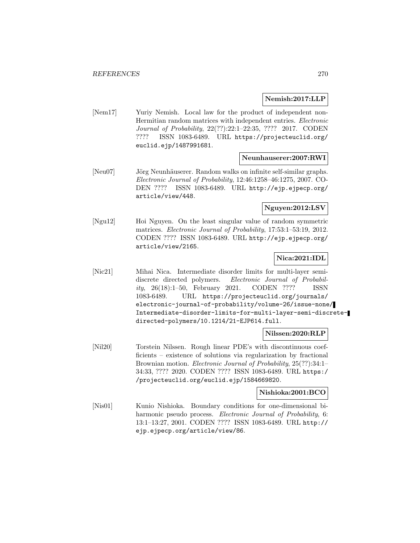# **Nemish:2017:LLP**

[Nem17] Yuriy Nemish. Local law for the product of independent non-Hermitian random matrices with independent entries. Electronic Journal of Probability, 22(??):22:1–22:35, ???? 2017. CODEN ???? ISSN 1083-6489. URL https://projecteuclid.org/ euclid.ejp/1487991681.

# **Neunhauserer:2007:RWI**

[Neu07] Jörg Neunhäuserer. Random walks on infinite self-similar graphs. Electronic Journal of Probability, 12:46:1258–46:1275, 2007. CO-DEN ???? ISSN 1083-6489. URL http://ejp.ejpecp.org/ article/view/448.

# **Nguyen:2012:LSV**

[Ngu12] Hoi Nguyen. On the least singular value of random symmetric matrices. Electronic Journal of Probability, 17:53:1–53:19, 2012. CODEN ???? ISSN 1083-6489. URL http://ejp.ejpecp.org/ article/view/2165.

# **Nica:2021:IDL**

[Nic21] Mihai Nica. Intermediate disorder limits for multi-layer semidiscrete directed polymers. Electronic Journal of Probability, 26(18):1–50, February 2021. CODEN ???? ISSN 1083-6489. URL https://projecteuclid.org/journals/ electronic-journal-of-probability/volume-26/issue-none/ Intermediate-disorder-limits-for-multi-layer-semi-discretedirected-polymers/10.1214/21-EJP614.full.

# **Nilssen:2020:RLP**

[Nil20] Torstein Nilssen. Rough linear PDE's with discontinuous coefficients – existence of solutions via regularization by fractional Brownian motion. *Electronic Journal of Probability*, 25(??):34:1– 34:33, ???? 2020. CODEN ???? ISSN 1083-6489. URL https:/ /projecteuclid.org/euclid.ejp/1584669820.

#### **Nishioka:2001:BCO**

[Nis01] Kunio Nishioka. Boundary conditions for one-dimensional biharmonic pseudo process. Electronic Journal of Probability, 6: 13:1–13:27, 2001. CODEN ???? ISSN 1083-6489. URL http:// ejp.ejpecp.org/article/view/86.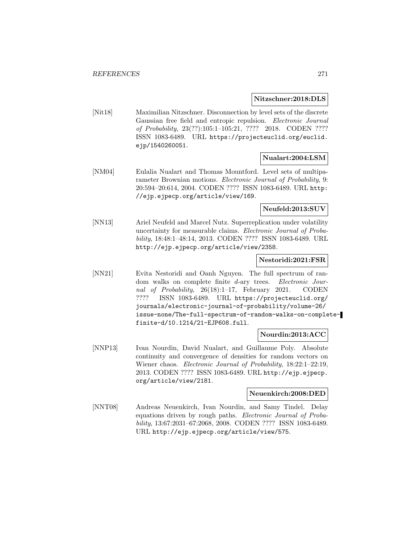#### **Nitzschner:2018:DLS**

[Nit18] Maximilian Nitzschner. Disconnection by level sets of the discrete Gaussian free field and entropic repulsion. Electronic Journal of Probability, 23(??):105:1–105:21, ???? 2018. CODEN ???? ISSN 1083-6489. URL https://projecteuclid.org/euclid. ejp/1540260051.

# **Nualart:2004:LSM**

[NM04] Eulalia Nualart and Thomas Mountford. Level sets of multiparameter Brownian motions. Electronic Journal of Probability, 9: 20:594–20:614, 2004. CODEN ???? ISSN 1083-6489. URL http: //ejp.ejpecp.org/article/view/169.

# **Neufeld:2013:SUV**

[NN13] Ariel Neufeld and Marcel Nutz. Superreplication under volatility uncertainty for measurable claims. Electronic Journal of Probability, 18:48:1–48:14, 2013. CODEN ???? ISSN 1083-6489. URL http://ejp.ejpecp.org/article/view/2358.

# **Nestoridi:2021:FSR**

[NN21] Evita Nestoridi and Oanh Nguyen. The full spectrum of random walks on complete finite d-ary trees. Electronic Journal of Probability, 26(18):1–17, February 2021. CODEN ???? ISSN 1083-6489. URL https://projecteuclid.org/ journals/electronic-journal-of-probability/volume-26/ issue-none/The-full-spectrum-of-random-walks-on-completefinite-d/10.1214/21-EJP608.full.

# **Nourdin:2013:ACC**

[NNP13] Ivan Nourdin, David Nualart, and Guillaume Poly. Absolute continuity and convergence of densities for random vectors on Wiener chaos. Electronic Journal of Probability, 18:22:1–22:19, 2013. CODEN ???? ISSN 1083-6489. URL http://ejp.ejpecp. org/article/view/2181.

#### **Neuenkirch:2008:DED**

[NNT08] Andreas Neuenkirch, Ivan Nourdin, and Samy Tindel. Delay equations driven by rough paths. Electronic Journal of Probability, 13:67:2031–67:2068, 2008. CODEN ???? ISSN 1083-6489. URL http://ejp.ejpecp.org/article/view/575.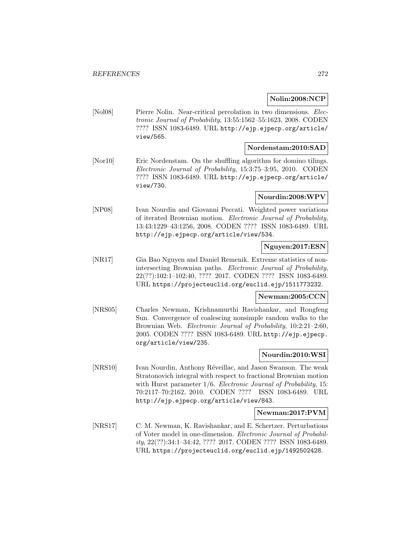# **Nolin:2008:NCP**

[Nol08] Pierre Nolin. Near-critical percolation in two dimensions. Electronic Journal of Probability, 13:55:1562–55:1623, 2008. CODEN ???? ISSN 1083-6489. URL http://ejp.ejpecp.org/article/ view/565.

# **Nordenstam:2010:SAD**

[Nor10] Eric Nordenstam. On the shuffling algorithm for domino tilings. Electronic Journal of Probability, 15:3:75–3:95, 2010. CODEN ???? ISSN 1083-6489. URL http://ejp.ejpecp.org/article/ view/730.

# **Nourdin:2008:WPV**

[NP08] Ivan Nourdin and Giovanni Peccati. Weighted power variations of iterated Brownian motion. Electronic Journal of Probability, 13:43:1229–43:1256, 2008. CODEN ???? ISSN 1083-6489. URL http://ejp.ejpecp.org/article/view/534.

# **Nguyen:2017:ESN**

[NR17] Gia Bao Nguyen and Daniel Remenik. Extreme statistics of nonintersecting Brownian paths. Electronic Journal of Probability, 22(??):102:1–102:40, ???? 2017. CODEN ???? ISSN 1083-6489. URL https://projecteuclid.org/euclid.ejp/1511773232.

# **Newman:2005:CCN**

[NRS05] Charles Newman, Krishnamurthi Ravishankar, and Rongfeng Sun. Convergence of coalescing nonsimple random walks to the Brownian Web. Electronic Journal of Probability, 10:2:21–2:60, 2005. CODEN ???? ISSN 1083-6489. URL http://ejp.ejpecp. org/article/view/235.

# **Nourdin:2010:WSI**

[NRS10] Ivan Nourdin, Anthony Réveillac, and Jason Swanson. The weak Stratonovich integral with respect to fractional Brownian motion with Hurst parameter  $1/6$ . *Electronic Journal of Probability*, 15: 70:2117–70:2162, 2010. CODEN ???? ISSN 1083-6489. URL http://ejp.ejpecp.org/article/view/843.

# **Newman:2017:PVM**

[NRS17] C. M. Newman, K. Ravishankar, and E. Schertzer. Perturbations of Voter model in one-dimension. Electronic Journal of Probability, 22(??):34:1–34:42, ???? 2017. CODEN ???? ISSN 1083-6489. URL https://projecteuclid.org/euclid.ejp/1492502428.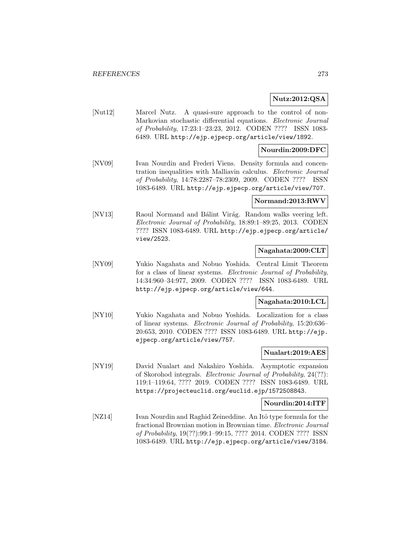# **Nutz:2012:QSA**

[Nut12] Marcel Nutz. A quasi-sure approach to the control of non-Markovian stochastic differential equations. Electronic Journal of Probability, 17:23:1–23:23, 2012. CODEN ???? ISSN 1083- 6489. URL http://ejp.ejpecp.org/article/view/1892.

### **Nourdin:2009:DFC**

[NV09] Ivan Nourdin and Frederi Viens. Density formula and concentration inequalities with Malliavin calculus. Electronic Journal of Probability, 14:78:2287–78:2309, 2009. CODEN ???? ISSN 1083-6489. URL http://ejp.ejpecp.org/article/view/707.

#### **Normand:2013:RWV**

[NV13] Raoul Normand and Bálint Virág. Random walks veering left. Electronic Journal of Probability, 18:89:1–89:25, 2013. CODEN ???? ISSN 1083-6489. URL http://ejp.ejpecp.org/article/ view/2523.

# **Nagahata:2009:CLT**

[NY09] Yukio Nagahata and Nobuo Yoshida. Central Limit Theorem for a class of linear systems. Electronic Journal of Probability, 14:34:960–34:977, 2009. CODEN ???? ISSN 1083-6489. URL http://ejp.ejpecp.org/article/view/644.

# **Nagahata:2010:LCL**

[NY10] Yukio Nagahata and Nobuo Yoshida. Localization for a class of linear systems. Electronic Journal of Probability, 15:20:636– 20:653, 2010. CODEN ???? ISSN 1083-6489. URL http://ejp. ejpecp.org/article/view/757.

# **Nualart:2019:AES**

[NY19] David Nualart and Nakahiro Yoshida. Asymptotic expansion of Skorohod integrals. Electronic Journal of Probability, 24(??): 119:1–119:64, ???? 2019. CODEN ???? ISSN 1083-6489. URL https://projecteuclid.org/euclid.ejp/1572508843.

#### **Nourdin:2014:ITF**

[NZ14] Ivan Nourdin and Raghid Zeineddine. An Itô type formula for the fractional Brownian motion in Brownian time. Electronic Journal of Probability, 19(??):99:1–99:15, ???? 2014. CODEN ???? ISSN 1083-6489. URL http://ejp.ejpecp.org/article/view/3184.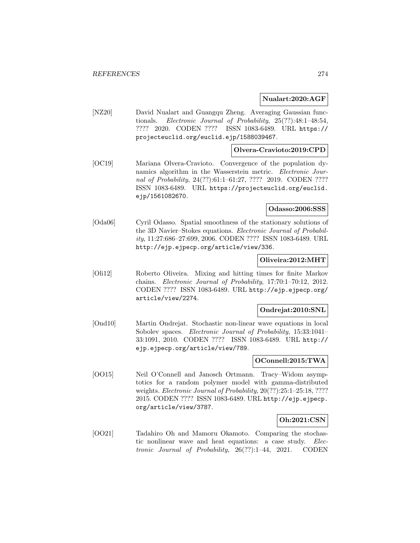### **Nualart:2020:AGF**

[NZ20] David Nualart and Guangqu Zheng. Averaging Gaussian functionals. Electronic Journal of Probability, 25(??):48:1–48:54, ???? 2020. CODEN ???? ISSN 1083-6489. URL https:// projecteuclid.org/euclid.ejp/1588039467.

# **Olvera-Cravioto:2019:CPD**

[OC19] Mariana Olvera-Cravioto. Convergence of the population dynamics algorithm in the Wasserstein metric. Electronic Journal of Probability, 24(??):61:1-61:27, ???? 2019. CODEN ???? ISSN 1083-6489. URL https://projecteuclid.org/euclid. ejp/1561082670.

### **Odasso:2006:SSS**

[Oda06] Cyril Odasso. Spatial smoothness of the stationary solutions of the 3D Navier–Stokes equations. Electronic Journal of Probability, 11:27:686–27:699, 2006. CODEN ???? ISSN 1083-6489. URL http://ejp.ejpecp.org/article/view/336.

### **Oliveira:2012:MHT**

[Oli12] Roberto Oliveira. Mixing and hitting times for finite Markov chains. Electronic Journal of Probability, 17:70:1–70:12, 2012. CODEN ???? ISSN 1083-6489. URL http://ejp.ejpecp.org/ article/view/2274.

#### **Ondrejat:2010:SNL**

[Ond10] Martin Ondrejat. Stochastic non-linear wave equations in local Sobolev spaces. Electronic Journal of Probability, 15:33:1041-33:1091, 2010. CODEN ???? ISSN 1083-6489. URL http:// ejp.ejpecp.org/article/view/789.

# **OConnell:2015:TWA**

[OO15] Neil O'Connell and Janosch Ortmann. Tracy–Widom asymptotics for a random polymer model with gamma-distributed weights. *Electronic Journal of Probability*,  $20(??):25:1-25:18, ????$ 2015. CODEN ???? ISSN 1083-6489. URL http://ejp.ejpecp. org/article/view/3787.

# **Oh:2021:CSN**

[OO21] Tadahiro Oh and Mamoru Okamoto. Comparing the stochastic nonlinear wave and heat equations: a case study. Electronic Journal of Probability, 26(??):1–44, 2021. CODEN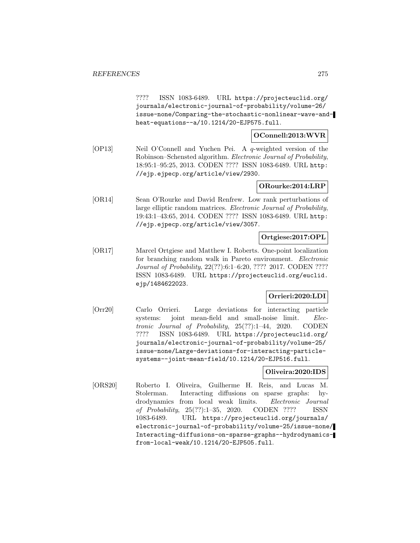???? ISSN 1083-6489. URL https://projecteuclid.org/ journals/electronic-journal-of-probability/volume-26/ issue-none/Comparing-the-stochastic-nonlinear-wave-andheat-equations--a/10.1214/20-EJP575.full.

# **OConnell:2013:WVR**

[OP13] Neil O'Connell and Yuchen Pei. A q-weighted version of the Robinson–Schensted algorithm. Electronic Journal of Probability, 18:95:1–95:25, 2013. CODEN ???? ISSN 1083-6489. URL http: //ejp.ejpecp.org/article/view/2930.

# **ORourke:2014:LRP**

[OR14] Sean O'Rourke and David Renfrew. Low rank perturbations of large elliptic random matrices. Electronic Journal of Probability, 19:43:1–43:65, 2014. CODEN ???? ISSN 1083-6489. URL http: //ejp.ejpecp.org/article/view/3057.

# **Ortgiese:2017:OPL**

[OR17] Marcel Ortgiese and Matthew I. Roberts. One-point localization for branching random walk in Pareto environment. Electronic Journal of Probability, 22(??):6:1–6:20, ???? 2017. CODEN ???? ISSN 1083-6489. URL https://projecteuclid.org/euclid. ejp/1484622023.

# **Orrieri:2020:LDI**

[Orr20] Carlo Orrieri. Large deviations for interacting particle systems: joint mean-field and small-noise limit. Electronic Journal of Probability, 25(??):1–44, 2020. CODEN ???? ISSN 1083-6489. URL https://projecteuclid.org/ journals/electronic-journal-of-probability/volume-25/ issue-none/Large-deviations-for-interacting-particlesystems--joint-mean-field/10.1214/20-EJP516.full.

# **Oliveira:2020:IDS**

[ORS20] Roberto I. Oliveira, Guilherme H. Reis, and Lucas M. Stolerman. Interacting diffusions on sparse graphs: hydrodynamics from local weak limits. Electronic Journal of Probability, 25(??):1–35, 2020. CODEN ???? ISSN 1083-6489. URL https://projecteuclid.org/journals/ electronic-journal-of-probability/volume-25/issue-none/ Interacting-diffusions-on-sparse-graphs--hydrodynamicsfrom-local-weak/10.1214/20-EJP505.full.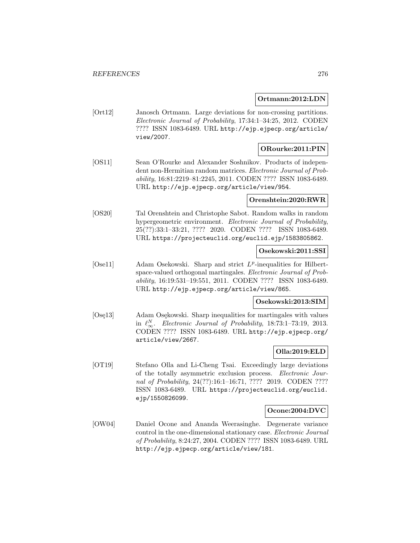### **Ortmann:2012:LDN**

[Ort12] Janosch Ortmann. Large deviations for non-crossing partitions. Electronic Journal of Probability, 17:34:1–34:25, 2012. CODEN ???? ISSN 1083-6489. URL http://ejp.ejpecp.org/article/ view/2007.

# **ORourke:2011:PIN**

[OS11] Sean O'Rourke and Alexander Soshnikov. Products of independent non-Hermitian random matrices. Electronic Journal of Probability, 16:81:2219–81:2245, 2011. CODEN ???? ISSN 1083-6489. URL http://ejp.ejpecp.org/article/view/954.

# **Orenshtein:2020:RWR**

[OS20] Tal Orenshtein and Christophe Sabot. Random walks in random hypergeometric environment. Electronic Journal of Probability, 25(??):33:1–33:21, ???? 2020. CODEN ???? ISSN 1083-6489. URL https://projecteuclid.org/euclid.ejp/1583805862.

# **Osekowski:2011:SSI**

[Ose11] Adam Osekowski. Sharp and strict  $L^p$ -inequalities for Hilbertspace-valued orthogonal martingales. Electronic Journal of Probability, 16:19:531–19:551, 2011. CODEN ???? ISSN 1083-6489. URL http://ejp.ejpecp.org/article/view/865.

# **Osekowski:2013:SIM**

[Osę13] Adam Osękowski. Sharp inequalities for martingales with values in  $\ell_{\infty}^N$ . Electronic Journal of Probability, 18:73:1–73:19, 2013. CODEN ???? ISSN 1083-6489. URL http://ejp.ejpecp.org/ article/view/2667.

# **Olla:2019:ELD**

[OT19] Stefano Olla and Li-Cheng Tsai. Exceedingly large deviations of the totally asymmetric exclusion process. Electronic Journal of Probability, 24(??):16:1-16:71, ???? 2019. CODEN ???? ISSN 1083-6489. URL https://projecteuclid.org/euclid. ejp/1550826099.

# **Ocone:2004:DVC**

[OW04] Daniel Ocone and Ananda Weerasinghe. Degenerate variance control in the one-dimensional stationary case. Electronic Journal of Probability, 8:24:27, 2004. CODEN ???? ISSN 1083-6489. URL http://ejp.ejpecp.org/article/view/181.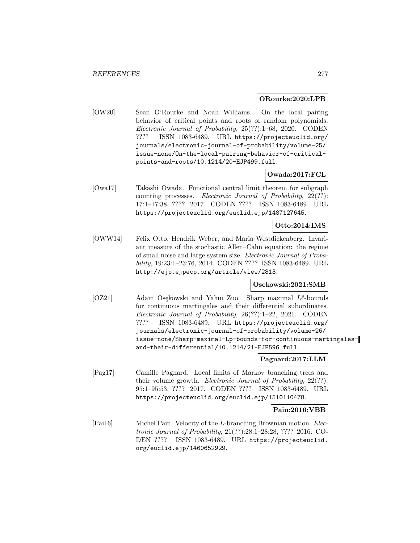#### **ORourke:2020:LPB**

[OW20] Sean O'Rourke and Noah Williams. On the local pairing behavior of critical points and roots of random polynomials. Electronic Journal of Probability, 25(??):1–68, 2020. CODEN ???? ISSN 1083-6489. URL https://projecteuclid.org/ journals/electronic-journal-of-probability/volume-25/ issue-none/On-the-local-pairing-behavior-of-criticalpoints-and-roots/10.1214/20-EJP499.full.

# **Owada:2017:FCL**

[Owa17] Takashi Owada. Functional central limit theorem for subgraph counting processes. Electronic Journal of Probability, 22(??): 17:1–17:38, ???? 2017. CODEN ???? ISSN 1083-6489. URL https://projecteuclid.org/euclid.ejp/1487127645.

# **Otto:2014:IMS**

[OWW14] Felix Otto, Hendrik Weber, and Maria Westdickenberg. Invariant measure of the stochastic Allen–Cahn equation: the regime of small noise and large system size. Electronic Journal of Probability, 19:23:1–23:76, 2014. CODEN ???? ISSN 1083-6489. URL http://ejp.ejpecp.org/article/view/2813.

#### **Osekowski:2021:SMB**

[OZ21] Adam Osękowski and Yahui Zuo. Sharp maximal  $L^p$ -bounds for continuous martingales and their differential subordinates. Electronic Journal of Probability, 26(??):1–22, 2021. CODEN ???? ISSN 1083-6489. URL https://projecteuclid.org/ journals/electronic-journal-of-probability/volume-26/ issue-none/Sharp-maximal-Lp-bounds-for-continuous-martingalesand-their-differential/10.1214/21-EJP596.full.

# **Pagnard:2017:LLM**

[Pag17] Camille Pagnard. Local limits of Markov branching trees and their volume growth. Electronic Journal of Probability, 22(??): 95:1–95:53, ???? 2017. CODEN ???? ISSN 1083-6489. URL https://projecteuclid.org/euclid.ejp/1510110478.

#### **Pain:2016:VBB**

[Pai16] Michel Pain. Velocity of the L-branching Brownian motion. Electronic Journal of Probability, 21(??):28:1–28:28, ???? 2016. CO-DEN ???? ISSN 1083-6489. URL https://projecteuclid. org/euclid.ejp/1460652929.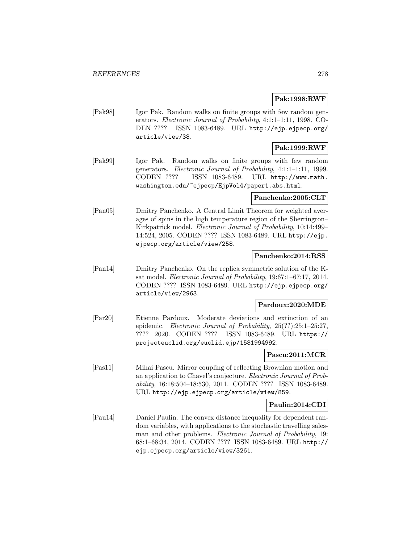# **Pak:1998:RWF**

[Pak98] Igor Pak. Random walks on finite groups with few random generators. Electronic Journal of Probability, 4:1:1–1:11, 1998. CO-DEN ???? ISSN 1083-6489. URL http://ejp.ejpecp.org/ article/view/38.

# **Pak:1999:RWF**

[Pak99] Igor Pak. Random walks on finite groups with few random generators. Electronic Journal of Probability, 4:1:1–1:11, 1999. CODEN ???? ISSN 1083-6489. URL http://www.math. washington.edu/~ejpecp/EjpVol4/paper1.abs.html.

# **Panchenko:2005:CLT**

[Pan05] Dmitry Panchenko. A Central Limit Theorem for weighted averages of spins in the high temperature region of the Sherrington– Kirkpatrick model. Electronic Journal of Probability, 10:14:499– 14:524, 2005. CODEN ???? ISSN 1083-6489. URL http://ejp. ejpecp.org/article/view/258.

# **Panchenko:2014:RSS**

[Pan14] Dmitry Panchenko. On the replica symmetric solution of the Ksat model. Electronic Journal of Probability, 19:67:1–67:17, 2014. CODEN ???? ISSN 1083-6489. URL http://ejp.ejpecp.org/ article/view/2963.

# **Pardoux:2020:MDE**

[Par20] Etienne Pardoux. Moderate deviations and extinction of an epidemic. Electronic Journal of Probability, 25(??):25:1–25:27, ???? 2020. CODEN ???? ISSN 1083-6489. URL https:// projecteuclid.org/euclid.ejp/1581994992.

# **Pascu:2011:MCR**

[Pas11] Mihai Pascu. Mirror coupling of reflecting Brownian motion and an application to Chavel's conjecture. Electronic Journal of Probability, 16:18:504–18:530, 2011. CODEN ???? ISSN 1083-6489. URL http://ejp.ejpecp.org/article/view/859.

# **Paulin:2014:CDI**

[Pau14] Daniel Paulin. The convex distance inequality for dependent random variables, with applications to the stochastic travelling salesman and other problems. Electronic Journal of Probability, 19: 68:1–68:34, 2014. CODEN ???? ISSN 1083-6489. URL http:// ejp.ejpecp.org/article/view/3261.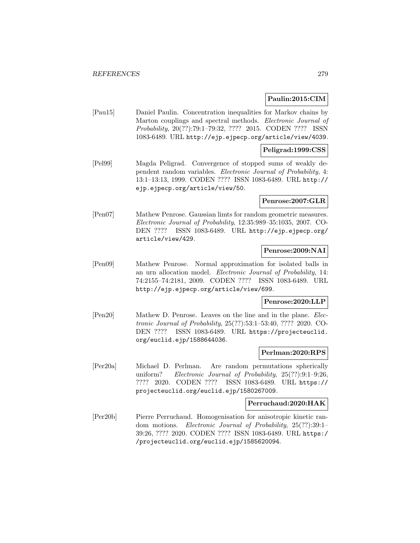# **Paulin:2015:CIM**

[Pau15] Daniel Paulin. Concentration inequalities for Markov chains by Marton couplings and spectral methods. Electronic Journal of Probability, 20(??):79:1–79:32, ???? 2015. CODEN ???? ISSN 1083-6489. URL http://ejp.ejpecp.org/article/view/4039.

# **Peligrad:1999:CSS**

[Pel99] Magda Peligrad. Convergence of stopped sums of weakly dependent random variables. Electronic Journal of Probability, 4: 13:1–13:13, 1999. CODEN ???? ISSN 1083-6489. URL http:// ejp.ejpecp.org/article/view/50.

#### **Penrose:2007:GLR**

[Pen07] Mathew Penrose. Gaussian limts for random geometric measures. Electronic Journal of Probability, 12:35:989–35:1035, 2007. CO-DEN ???? ISSN 1083-6489. URL http://ejp.ejpecp.org/ article/view/429.

# **Penrose:2009:NAI**

[Pen09] Mathew Penrose. Normal approximation for isolated balls in an urn allocation model. Electronic Journal of Probability, 14: 74:2155–74:2181, 2009. CODEN ???? ISSN 1083-6489. URL http://ejp.ejpecp.org/article/view/699.

# **Penrose:2020:LLP**

[Pen20] Mathew D. Penrose. Leaves on the line and in the plane. Electronic Journal of Probability, 25(??):53:1–53:40, ???? 2020. CO-DEN ???? ISSN 1083-6489. URL https://projecteuclid. org/euclid.ejp/1588644036.

# **Perlman:2020:RPS**

[Per20a] Michael D. Perlman. Are random permutations spherically uniform? Electronic Journal of Probability, 25(??):9:1–9:26, ???? 2020. CODEN ???? ISSN 1083-6489. URL https:// projecteuclid.org/euclid.ejp/1580267009.

#### **Perruchaud:2020:HAK**

[Per20b] Pierre Perruchaud. Homogenisation for anisotropic kinetic random motions. Electronic Journal of Probability, 25(??):39:1– 39:26, ???? 2020. CODEN ???? ISSN 1083-6489. URL https:/ /projecteuclid.org/euclid.ejp/1585620094.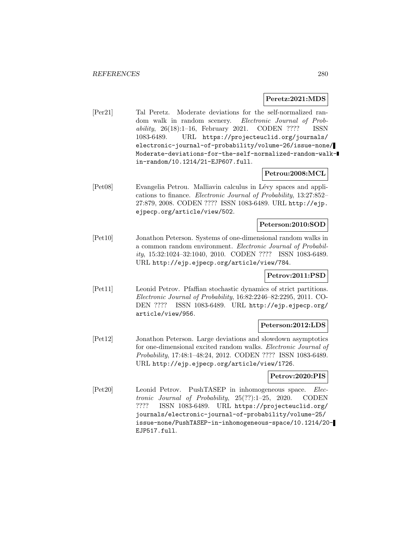#### **Peretz:2021:MDS**

[Per21] Tal Peretz. Moderate deviations for the self-normalized random walk in random scenery. Electronic Journal of Probability, 26(18):1–16, February 2021. CODEN ???? ISSN 1083-6489. URL https://projecteuclid.org/journals/ electronic-journal-of-probability/volume-26/issue-none/ Moderate-deviations-for-the-self-normalized-random-walkin-random/10.1214/21-EJP607.full.

### **Petrou:2008:MCL**

[Pet08] Evangelia Petrou. Malliavin calculus in Lévy spaces and applications to finance. Electronic Journal of Probability, 13:27:852– 27:879, 2008. CODEN ???? ISSN 1083-6489. URL http://ejp. ejpecp.org/article/view/502.

# **Peterson:2010:SOD**

[Pet10] Jonathon Peterson. Systems of one-dimensional random walks in a common random environment. Electronic Journal of Probability, 15:32:1024–32:1040, 2010. CODEN ???? ISSN 1083-6489. URL http://ejp.ejpecp.org/article/view/784.

# **Petrov:2011:PSD**

[Pet11] Leonid Petrov. Pfaffian stochastic dynamics of strict partitions. Electronic Journal of Probability, 16:82:2246–82:2295, 2011. CO-DEN ???? ISSN 1083-6489. URL http://ejp.ejpecp.org/ article/view/956.

#### **Peterson:2012:LDS**

[Pet12] Jonathon Peterson. Large deviations and slowdown asymptotics for one-dimensional excited random walks. Electronic Journal of Probability, 17:48:1–48:24, 2012. CODEN ???? ISSN 1083-6489. URL http://ejp.ejpecp.org/article/view/1726.

#### **Petrov:2020:PIS**

[Pet20] Leonid Petrov. PushTASEP in inhomogeneous space. Electronic Journal of Probability, 25(??):1–25, 2020. CODEN ???? ISSN 1083-6489. URL https://projecteuclid.org/ journals/electronic-journal-of-probability/volume-25/ issue-none/PushTASEP-in-inhomogeneous-space/10.1214/20- EJP517.full.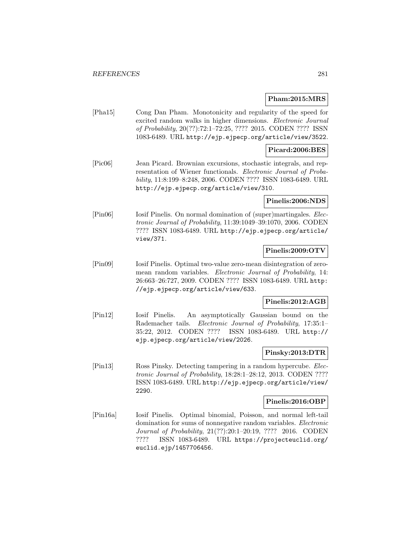### **Pham:2015:MRS**

[Pha15] Cong Dan Pham. Monotonicity and regularity of the speed for excited random walks in higher dimensions. Electronic Journal of Probability, 20(??):72:1–72:25, ???? 2015. CODEN ???? ISSN 1083-6489. URL http://ejp.ejpecp.org/article/view/3522.

# **Picard:2006:BES**

[Pic06] Jean Picard. Brownian excursions, stochastic integrals, and representation of Wiener functionals. Electronic Journal of Probability, 11:8:199–8:248, 2006. CODEN ???? ISSN 1083-6489. URL http://ejp.ejpecp.org/article/view/310.

# **Pinelis:2006:NDS**

[Pin06] Iosif Pinelis. On normal domination of (super)martingales. Electronic Journal of Probability, 11:39:1049–39:1070, 2006. CODEN ???? ISSN 1083-6489. URL http://ejp.ejpecp.org/article/ view/371.

# **Pinelis:2009:OTV**

[Pin09] Iosif Pinelis. Optimal two-value zero-mean disintegration of zeromean random variables. Electronic Journal of Probability, 14: 26:663–26:727, 2009. CODEN ???? ISSN 1083-6489. URL http: //ejp.ejpecp.org/article/view/633.

# **Pinelis:2012:AGB**

[Pin12] Iosif Pinelis. An asymptotically Gaussian bound on the Rademacher tails. Electronic Journal of Probability, 17:35:1– 35:22, 2012. CODEN ???? ISSN 1083-6489. URL http:// ejp.ejpecp.org/article/view/2026.

# **Pinsky:2013:DTR**

[Pin13] Ross Pinsky. Detecting tampering in a random hypercube. Electronic Journal of Probability, 18:28:1–28:12, 2013. CODEN ???? ISSN 1083-6489. URL http://ejp.ejpecp.org/article/view/ 2290.

# **Pinelis:2016:OBP**

[Pin16a] Iosif Pinelis. Optimal binomial, Poisson, and normal left-tail domination for sums of nonnegative random variables. Electronic Journal of Probability, 21(??):20:1–20:19, ???? 2016. CODEN ???? ISSN 1083-6489. URL https://projecteuclid.org/ euclid.ejp/1457706456.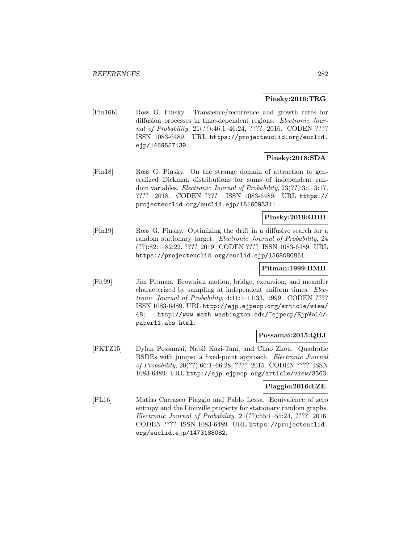# **Pinsky:2016:TRG**

[Pin16b] Ross G. Pinsky. Transience/recurrence and growth rates for diffusion processes in time-dependent regions. Electronic Journal of Probability, 21(??):46:1-46:24, ???? 2016. CODEN ???? ISSN 1083-6489. URL https://projecteuclid.org/euclid. ejp/1469557139.

# **Pinsky:2018:SDA**

[Pin18] Ross G. Pinsky. On the strange domain of attraction to generalized Dickman distributions for sums of independent random variables. Electronic Journal of Probability, 23(??):3:1–3:17, ???? 2018. CODEN ???? ISSN 1083-6489. URL https:// projecteuclid.org/euclid.ejp/1516093311.

# **Pinsky:2019:ODD**

[Pin19] Ross G. Pinsky. Optimizing the drift in a diffusive search for a random stationary target. Electronic Journal of Probability, 24 (??):82:1–82:22, ???? 2019. CODEN ???? ISSN 1083-6489. URL https://projecteuclid.org/euclid.ejp/1568080861.

# **Pitman:1999:BMB**

[Pit99] Jim Pitman. Brownian motion, bridge, excursion, and meander characterized by sampling at independent uniform times. Electronic Journal of Probability, 4:11:1–11:33, 1999. CODEN ???? ISSN 1083-6489. URL http://ejp.ejpecp.org/article/view/ 48; http://www.math.washington.edu/~ejpecp/EjpVol4/ paper11.abs.html.

# **Possamai:2015:QBJ**

[PKTZ15] Dylan Possamai, Nabil Kazi-Tani, and Chao Zhou. Quadratic BSDEs with jumps: a fixed-point approach. Electronic Journal of Probability, 20(??):66:1–66:28, ???? 2015. CODEN ???? ISSN 1083-6489. URL http://ejp.ejpecp.org/article/view/3363.

# **Piaggio:2016:EZE**

[PL16] Matías Carrasco Piaggio and Pablo Lessa. Equivalence of zero entropy and the Liouville property for stationary random graphs. Electronic Journal of Probability, 21(??):55:1–55:24, ???? 2016. CODEN ???? ISSN 1083-6489. URL https://projecteuclid. org/euclid.ejp/1473188082.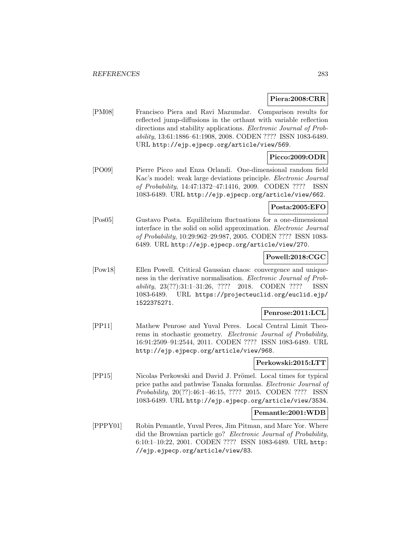# **Piera:2008:CRR**

[PM08] Francisco Piera and Ravi Mazumdar. Comparison results for reflected jump-diffusions in the orthant with variable reflection directions and stability applications. Electronic Journal of Probability, 13:61:1886–61:1908, 2008. CODEN ???? ISSN 1083-6489. URL http://ejp.ejpecp.org/article/view/569.

# **Picco:2009:ODR**

[PO09] Pierre Picco and Enza Orlandi. One-dimensional random field Kac's model: weak large deviations principle. Electronic Journal of Probability, 14:47:1372–47:1416, 2009. CODEN ???? ISSN 1083-6489. URL http://ejp.ejpecp.org/article/view/662.

# **Posta:2005:EFO**

[Pos05] Gustavo Posta. Equilibrium fluctuations for a one-dimensional interface in the solid on solid approximation. Electronic Journal of Probability, 10:29:962–29:987, 2005. CODEN ???? ISSN 1083- 6489. URL http://ejp.ejpecp.org/article/view/270.

# **Powell:2018:CGC**

[Pow18] Ellen Powell. Critical Gaussian chaos: convergence and uniqueness in the derivative normalisation. Electronic Journal of Probability, 23(??):31:1–31:26, ???? 2018. CODEN ???? ISSN 1083-6489. URL https://projecteuclid.org/euclid.ejp/ 1522375271.

# **Penrose:2011:LCL**

[PP11] Mathew Penrose and Yuval Peres. Local Central Limit Theorems in stochastic geometry. Electronic Journal of Probability, 16:91:2509–91:2544, 2011. CODEN ???? ISSN 1083-6489. URL http://ejp.ejpecp.org/article/view/968.

# **Perkowski:2015:LTT**

[PP15] Nicolas Perkowski and David J. Prömel. Local times for typical price paths and pathwise Tanaka formulas. Electronic Journal of Probability, 20(??):46:1–46:15, ???? 2015. CODEN ???? ISSN 1083-6489. URL http://ejp.ejpecp.org/article/view/3534.

# **Pemantle:2001:WDB**

[PPPY01] Robin Pemantle, Yuval Peres, Jim Pitman, and Marc Yor. Where did the Brownian particle go? Electronic Journal of Probability, 6:10:1–10:22, 2001. CODEN ???? ISSN 1083-6489. URL http: //ejp.ejpecp.org/article/view/83.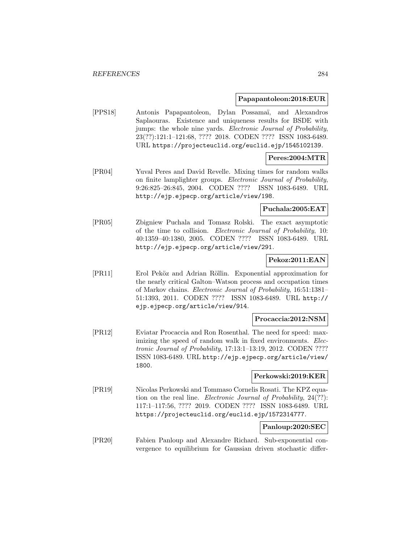#### **Papapantoleon:2018:EUR**

[PPS18] Antonis Papapantoleon, Dylan Possama¨ı, and Alexandros Saplaouras. Existence and uniqueness results for BSDE with jumps: the whole nine yards. Electronic Journal of Probability, 23(??):121:1–121:68, ???? 2018. CODEN ???? ISSN 1083-6489. URL https://projecteuclid.org/euclid.ejp/1545102139.

# **Peres:2004:MTR**

[PR04] Yuval Peres and David Revelle. Mixing times for random walks on finite lamplighter groups. Electronic Journal of Probability, 9:26:825–26:845, 2004. CODEN ???? ISSN 1083-6489. URL http://ejp.ejpecp.org/article/view/198.

#### **Puchala:2005:EAT**

[PR05] Zbigniew Puchala and Tomasz Rolski. The exact asymptotic of the time to collision. Electronic Journal of Probability, 10: 40:1359–40:1380, 2005. CODEN ???? ISSN 1083-6489. URL http://ejp.ejpecp.org/article/view/291.

# **Pekoz:2011:EAN**

[PR11] Erol Peköz and Adrian Röllin. Exponential approximation for the nearly critical Galton–Watson process and occupation times of Markov chains. Electronic Journal of Probability, 16:51:1381– 51:1393, 2011. CODEN ???? ISSN 1083-6489. URL http:// ejp.ejpecp.org/article/view/914.

# **Procaccia:2012:NSM**

[PR12] Eviatar Procaccia and Ron Rosenthal. The need for speed: maximizing the speed of random walk in fixed environments. Electronic Journal of Probability, 17:13:1–13:19, 2012. CODEN ???? ISSN 1083-6489. URL http://ejp.ejpecp.org/article/view/ 1800.

# **Perkowski:2019:KER**

[PR19] Nicolas Perkowski and Tommaso Cornelis Rosati. The KPZ equation on the real line. Electronic Journal of Probability, 24(??): 117:1–117:56, ???? 2019. CODEN ???? ISSN 1083-6489. URL https://projecteuclid.org/euclid.ejp/1572314777.

#### **Panloup:2020:SEC**

[PR20] Fabien Panloup and Alexandre Richard. Sub-exponential convergence to equilibrium for Gaussian driven stochastic differ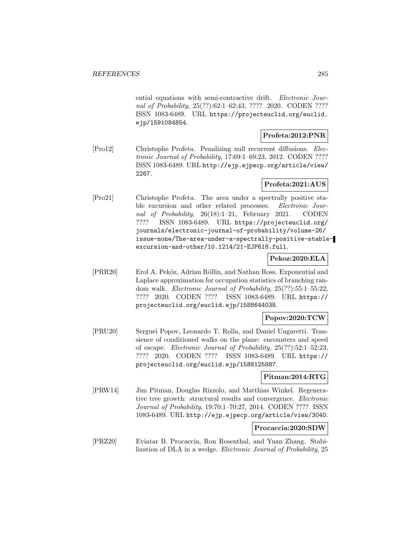ential equations with semi-contractive drift. Electronic Journal of Probability, 25(??):62:1–62:43, ???? 2020. CODEN ???? ISSN 1083-6489. URL https://projecteuclid.org/euclid. ejp/1591084854.

# **Profeta:2012:PNR**

[Pro12] Christophe Profeta. Penalizing null recurrent diffusions. Electronic Journal of Probability, 17:69:1–69:23, 2012. CODEN ???? ISSN 1083-6489. URL http://ejp.ejpecp.org/article/view/ 2267.

# **Profeta:2021:AUS**

[Pro21] Christophe Profeta. The area under a spectrally positive stable excursion and other related processes. *Electronic Jour*nal of Probability, 26(18):1–21, February 2021. CODEN ???? ISSN 1083-6489. URL https://projecteuclid.org/ journals/electronic-journal-of-probability/volume-26/ issue-none/The-area-under-a-spectrally-positive-stableexcursion-and-other/10.1214/21-EJP618.full.

# **Pekoz:2020:ELA**

[PRR20] Erol A. Peköz, Adrian Röllin, and Nathan Ross. Exponential and Laplace approximation for occupation statistics of branching random walk. Electronic Journal of Probability, 25(??):55:1–55:22, ???? 2020. CODEN ???? ISSN 1083-6489. URL https:// projecteuclid.org/euclid.ejp/1588644038.

# **Popov:2020:TCW**

[PRU20] Serguei Popov, Leonardo T. Rolla, and Daniel Ungaretti. Transience of conditioned walks on the plane: encounters and speed of escape. Electronic Journal of Probability, 25(??):52:1–52:23, ???? 2020. CODEN ???? ISSN 1083-6489. URL https:// projecteuclid.org/euclid.ejp/1588125887.

# **Pitman:2014:RTG**

[PRW14] Jim Pitman, Douglas Rizzolo, and Matthias Winkel. Regenerative tree growth: structural results and convergence. Electronic Journal of Probability, 19:70:1–70:27, 2014. CODEN ???? ISSN 1083-6489. URL http://ejp.ejpecp.org/article/view/3040.

#### **Procaccia:2020:SDW**

[PRZ20] Eviatar B. Procaccia, Ron Rosenthal, and Yuan Zhang. Stabilization of DLA in a wedge. Electronic Journal of Probability, 25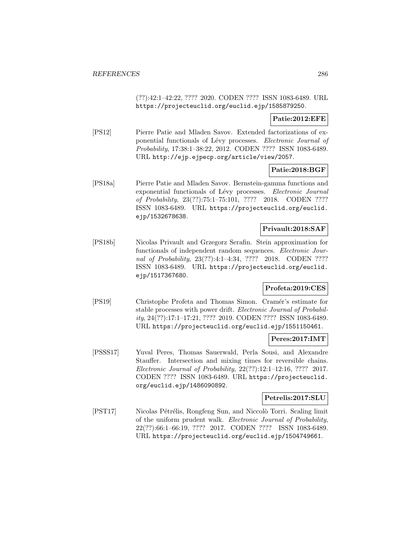(??):42:1–42:22, ???? 2020. CODEN ???? ISSN 1083-6489. URL https://projecteuclid.org/euclid.ejp/1585879250.

# **Patie:2012:EFE**

[PS12] Pierre Patie and Mladen Savov. Extended factorizations of exponential functionals of Lévy processes. Electronic Journal of Probability, 17:38:1–38:22, 2012. CODEN ???? ISSN 1083-6489. URL http://ejp.ejpecp.org/article/view/2057.

# **Patie:2018:BGF**

[PS18a] Pierre Patie and Mladen Savov. Bernstein-gamma functions and exponential functionals of Lévy processes. Electronic Journal of Probability, 23(??):75:1–75:101, ???? 2018. CODEN ???? ISSN 1083-6489. URL https://projecteuclid.org/euclid. ejp/1532678638.

# **Privault:2018:SAF**

[PS18b] Nicolas Privault and Grzegorz Serafin. Stein approximation for functionals of independent random sequences. *Electronic Jour*nal of Probability, 23(??):4:1–4:34, ???? 2018. CODEN ???? ISSN 1083-6489. URL https://projecteuclid.org/euclid. ejp/1517367680.

# **Profeta:2019:CES**

[PS19] Christophe Profeta and Thomas Simon. Cram´er's estimate for stable processes with power drift. Electronic Journal of Probability, 24(??):17:1–17:21, ???? 2019. CODEN ???? ISSN 1083-6489. URL https://projecteuclid.org/euclid.ejp/1551150461.

# **Peres:2017:IMT**

[PSSS17] Yuval Peres, Thomas Sauerwald, Perla Sousi, and Alexandre Stauffer. Intersection and mixing times for reversible chains. Electronic Journal of Probability, 22(??):12:1–12:16, ???? 2017. CODEN ???? ISSN 1083-6489. URL https://projecteuclid. org/euclid.ejp/1486090892.

# **Petrelis:2017:SLU**

[PST17] Nicolas Pétrélis, Rongfeng Sun, and Niccolò Torri. Scaling limit of the uniform prudent walk. Electronic Journal of Probability, 22(??):66:1–66:19, ???? 2017. CODEN ???? ISSN 1083-6489. URL https://projecteuclid.org/euclid.ejp/1504749661.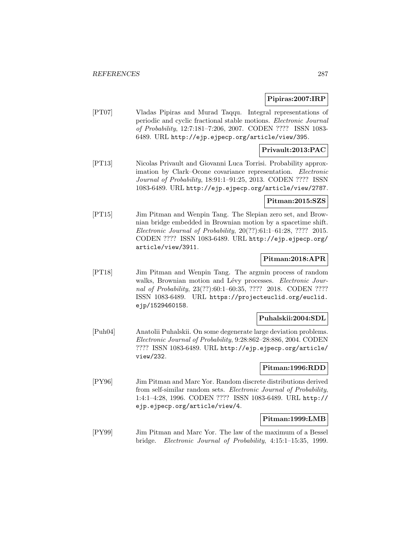# **Pipiras:2007:IRP**

[PT07] Vladas Pipiras and Murad Taqqu. Integral representations of periodic and cyclic fractional stable motions. Electronic Journal of Probability, 12:7:181–7:206, 2007. CODEN ???? ISSN 1083- 6489. URL http://ejp.ejpecp.org/article/view/395.

# **Privault:2013:PAC**

[PT13] Nicolas Privault and Giovanni Luca Torrisi. Probability approximation by Clark–Ocone covariance representation. Electronic Journal of Probability, 18:91:1–91:25, 2013. CODEN ???? ISSN 1083-6489. URL http://ejp.ejpecp.org/article/view/2787.

# **Pitman:2015:SZS**

[PT15] Jim Pitman and Wenpin Tang. The Slepian zero set, and Brownian bridge embedded in Brownian motion by a spacetime shift. Electronic Journal of Probability, 20(??):61:1–61:28, ???? 2015. CODEN ???? ISSN 1083-6489. URL http://ejp.ejpecp.org/ article/view/3911.

# **Pitman:2018:APR**

[PT18] Jim Pitman and Wenpin Tang. The argmin process of random walks, Brownian motion and Lévy processes. Electronic Journal of Probability, 23(??):60:1-60:35, ???? 2018. CODEN ???? ISSN 1083-6489. URL https://projecteuclid.org/euclid. ejp/1529460158.

# **Puhalskii:2004:SDL**

[Puh04] Anatolii Puhalskii. On some degenerate large deviation problems. Electronic Journal of Probability, 9:28:862–28:886, 2004. CODEN ???? ISSN 1083-6489. URL http://ejp.ejpecp.org/article/ view/232.

# **Pitman:1996:RDD**

[PY96] Jim Pitman and Marc Yor. Random discrete distributions derived from self-similar random sets. Electronic Journal of Probability, 1:4:1–4:28, 1996. CODEN ???? ISSN 1083-6489. URL http:// ejp.ejpecp.org/article/view/4.

#### **Pitman:1999:LMB**

[PY99] Jim Pitman and Marc Yor. The law of the maximum of a Bessel bridge. Electronic Journal of Probability, 4:15:1–15:35, 1999.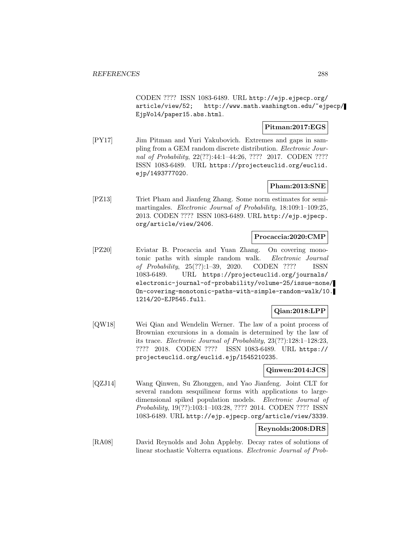CODEN ???? ISSN 1083-6489. URL http://ejp.ejpecp.org/ article/view/52; http://www.math.washington.edu/~ejpecp/ EjpVol4/paper15.abs.html.

# **Pitman:2017:EGS**

[PY17] Jim Pitman and Yuri Yakubovich. Extremes and gaps in sampling from a GEM random discrete distribution. Electronic Journal of Probability, 22(??):44:1-44:26, ???? 2017. CODEN ???? ISSN 1083-6489. URL https://projecteuclid.org/euclid. ejp/1493777020.

# **Pham:2013:SNE**

[PZ13] Triet Pham and Jianfeng Zhang. Some norm estimates for semimartingales. Electronic Journal of Probability, 18:109:1-109:25, 2013. CODEN ???? ISSN 1083-6489. URL http://ejp.ejpecp. org/article/view/2406.

### **Procaccia:2020:CMP**

[PZ20] Eviatar B. Procaccia and Yuan Zhang. On covering monotonic paths with simple random walk. Electronic Journal of Probability, 25(??):1–39, 2020. CODEN ???? ISSN 1083-6489. URL https://projecteuclid.org/journals/ electronic-journal-of-probability/volume-25/issue-none/ On-covering-monotonic-paths-with-simple-random-walk/10. 1214/20-EJP545.full.

# **Qian:2018:LPP**

[QW18] Wei Qian and Wendelin Werner. The law of a point process of Brownian excursions in a domain is determined by the law of its trace. Electronic Journal of Probability, 23(??):128:1–128:23, ???? 2018. CODEN ???? ISSN 1083-6489. URL https:// projecteuclid.org/euclid.ejp/1545210235.

# **Qinwen:2014:JCS**

[QZJ14] Wang Qinwen, Su Zhonggen, and Yao Jianfeng. Joint CLT for several random sesquilinear forms with applications to largedimensional spiked population models. Electronic Journal of Probability, 19(??):103:1–103:28, ???? 2014. CODEN ???? ISSN 1083-6489. URL http://ejp.ejpecp.org/article/view/3339.

# **Reynolds:2008:DRS**

[RA08] David Reynolds and John Appleby. Decay rates of solutions of linear stochastic Volterra equations. Electronic Journal of Prob-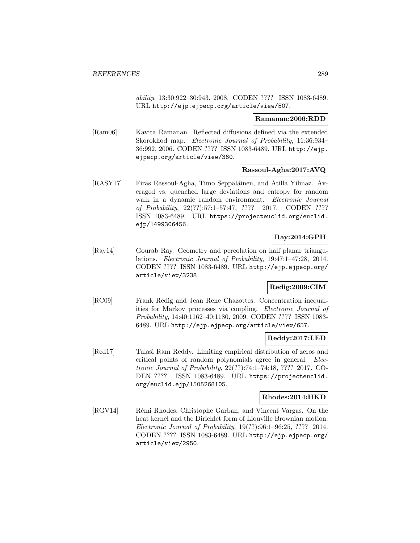ability, 13:30:922–30:943, 2008. CODEN ???? ISSN 1083-6489. URL http://ejp.ejpecp.org/article/view/507.

## **Ramanan:2006:RDD**

[Ram06] Kavita Ramanan. Reflected diffusions defined via the extended Skorokhod map. Electronic Journal of Probability, 11:36:934– 36:992, 2006. CODEN ???? ISSN 1083-6489. URL http://ejp. ejpecp.org/article/view/360.

## **Rassoul-Agha:2017:AVQ**

[RASY17] Firas Rassoul-Agha, Timo Seppäläinen, and Atilla Yilmaz. Averaged vs. quenched large deviations and entropy for random walk in a dynamic random environment. Electronic Journal of Probability, 22(??):57:1–57:47, ???? 2017. CODEN ???? ISSN 1083-6489. URL https://projecteuclid.org/euclid. ejp/1499306456.

# **Ray:2014:GPH**

[Ray14] Gourab Ray. Geometry and percolation on half planar triangulations. Electronic Journal of Probability, 19:47:1–47:28, 2014. CODEN ???? ISSN 1083-6489. URL http://ejp.ejpecp.org/ article/view/3238.

## **Redig:2009:CIM**

[RC09] Frank Redig and Jean Rene Chazottes. Concentration inequalities for Markov processes via coupling. Electronic Journal of Probability, 14:40:1162–40:1180, 2009. CODEN ???? ISSN 1083- 6489. URL http://ejp.ejpecp.org/article/view/657.

## **Reddy:2017:LED**

[Red17] Tulasi Ram Reddy. Limiting empirical distribution of zeros and critical points of random polynomials agree in general. Electronic Journal of Probability, 22(??):74:1–74:18, ???? 2017. CO-DEN ???? ISSN 1083-6489. URL https://projecteuclid. org/euclid.ejp/1505268105.

## **Rhodes:2014:HKD**

[RGV14] Rémi Rhodes, Christophe Garban, and Vincent Vargas. On the heat kernel and the Dirichlet form of Liouville Brownian motion. Electronic Journal of Probability, 19(??):96:1–96:25, ???? 2014. CODEN ???? ISSN 1083-6489. URL http://ejp.ejpecp.org/ article/view/2950.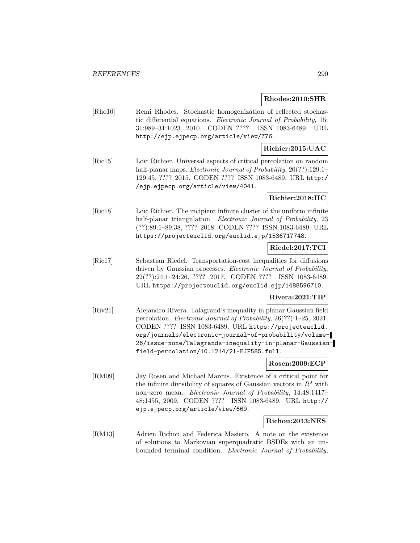#### **Rhodes:2010:SHR**

[Rho10] Remi Rhodes. Stochastic homogenization of reflected stochastic differential equations. Electronic Journal of Probability, 15: 31:989–31:1023, 2010. CODEN ???? ISSN 1083-6489. URL http://ejp.ejpecp.org/article/view/776.

## **Richier:2015:UAC**

[Ric15] Loïc Richier. Universal aspects of critical percolation on random half-planar maps. *Electronic Journal of Probability*, 20(??):129:1-129:45, ???? 2015. CODEN ???? ISSN 1083-6489. URL http:/ /ejp.ejpecp.org/article/view/4041.

## **Richier:2018:IIC**

[Ric18] Loïc Richier. The incipient infinite cluster of the uniform infinite half-planar triangulation. *Electronic Journal of Probability*, 23 (??):89:1–89:38, ???? 2018. CODEN ???? ISSN 1083-6489. URL https://projecteuclid.org/euclid.ejp/1536717748.

# **Riedel:2017:TCI**

[Rie17] Sebastian Riedel. Transportation-cost inequalities for diffusions driven by Gaussian processes. Electronic Journal of Probability, 22(??):24:1–24:26, ???? 2017. CODEN ???? ISSN 1083-6489. URL https://projecteuclid.org/euclid.ejp/1488596710.

## **Rivera:2021:TIP**

[Riv21] Alejandro Rivera. Talagrand's inequality in planar Gaussian field percolation. Electronic Journal of Probability, 26(??):1–25, 2021. CODEN ???? ISSN 1083-6489. URL https://projecteuclid. org/journals/electronic-journal-of-probability/volume-26/issue-none/Talagrands-inequality-in-planar-Gaussianfield-percolation/10.1214/21-EJP585.full.

## **Rosen:2009:ECP**

[RM09] Jay Rosen and Michael Marcus. Existence of a critical point for the infinite divisibility of squares of Gaussian vectors in  $R^2$  with non–zero mean. Electronic Journal of Probability, 14:48:1417– 48:1455, 2009. CODEN ???? ISSN 1083-6489. URL http:// ejp.ejpecp.org/article/view/669.

## **Richou:2013:NES**

[RM13] Adrien Richou and Federica Masiero. A note on the existence of solutions to Markovian superquadratic BSDEs with an unbounded terminal condition. Electronic Journal of Probability,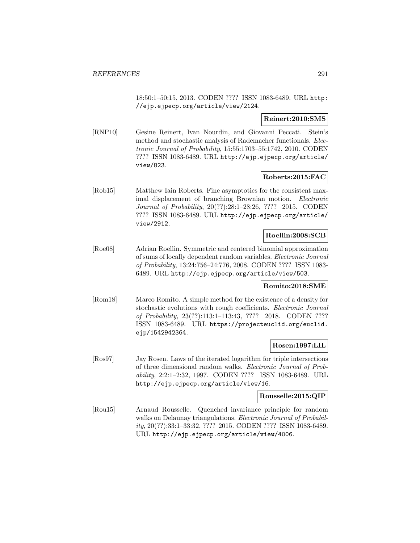18:50:1–50:15, 2013. CODEN ???? ISSN 1083-6489. URL http: //ejp.ejpecp.org/article/view/2124.

**Reinert:2010:SMS**

[RNP10] Gesine Reinert, Ivan Nourdin, and Giovanni Peccati. Stein's method and stochastic analysis of Rademacher functionals. *Elec*tronic Journal of Probability, 15:55:1703–55:1742, 2010. CODEN ???? ISSN 1083-6489. URL http://ejp.ejpecp.org/article/ view/823.

## **Roberts:2015:FAC**

[Rob15] Matthew Iain Roberts. Fine asymptotics for the consistent maximal displacement of branching Brownian motion. Electronic Journal of Probability, 20(??):28:1–28:26, ???? 2015. CODEN ???? ISSN 1083-6489. URL http://ejp.ejpecp.org/article/ view/2912.

## **Roellin:2008:SCB**

[Roe08] Adrian Roellin. Symmetric and centered binomial approximation of sums of locally dependent random variables. Electronic Journal of Probability, 13:24:756–24:776, 2008. CODEN ???? ISSN 1083- 6489. URL http://ejp.ejpecp.org/article/view/503.

#### **Romito:2018:SME**

[Rom18] Marco Romito. A simple method for the existence of a density for stochastic evolutions with rough coefficients. Electronic Journal of Probability, 23(??):113:1–113:43, ???? 2018. CODEN ???? ISSN 1083-6489. URL https://projecteuclid.org/euclid. ejp/1542942364.

## **Rosen:1997:LIL**

[Ros97] Jay Rosen. Laws of the iterated logarithm for triple intersections of three dimensional random walks. Electronic Journal of Probability, 2:2:1–2:32, 1997. CODEN ???? ISSN 1083-6489. URL http://ejp.ejpecp.org/article/view/16.

## **Rousselle:2015:QIP**

[Rou15] Arnaud Rousselle. Quenched invariance principle for random walks on Delaunay triangulations. *Electronic Journal of Probabil*ity, 20(??):33:1–33:32, ???? 2015. CODEN ???? ISSN 1083-6489. URL http://ejp.ejpecp.org/article/view/4006.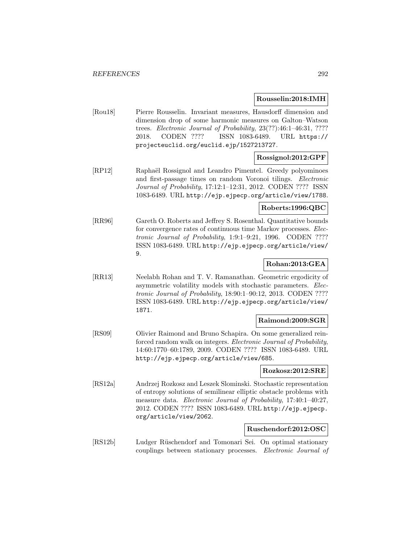### **Rousselin:2018:IMH**

[Rou18] Pierre Rousselin. Invariant measures, Hausdorff dimension and dimension drop of some harmonic measures on Galton–Watson trees. Electronic Journal of Probability, 23(??):46:1–46:31, ???? 2018. CODEN ???? ISSN 1083-6489. URL https:// projecteuclid.org/euclid.ejp/1527213727.

## **Rossignol:2012:GPF**

[RP12] Raphaël Rossignol and Leandro Pimentel. Greedy polyominoes and first-passage times on random Voronoi tilings. Electronic Journal of Probability, 17:12:1–12:31, 2012. CODEN ???? ISSN 1083-6489. URL http://ejp.ejpecp.org/article/view/1788.

## **Roberts:1996:QBC**

[RR96] Gareth O. Roberts and Jeffrey S. Rosenthal. Quantitative bounds for convergence rates of continuous time Markov processes. Electronic Journal of Probability, 1:9:1–9:21, 1996. CODEN ???? ISSN 1083-6489. URL http://ejp.ejpecp.org/article/view/ 9.

# **Rohan:2013:GEA**

[RR13] Neelabh Rohan and T. V. Ramanathan. Geometric ergodicity of asymmetric volatility models with stochastic parameters. Electronic Journal of Probability, 18:90:1–90:12, 2013. CODEN ???? ISSN 1083-6489. URL http://ejp.ejpecp.org/article/view/ 1871.

## **Raimond:2009:SGR**

[RS09] Olivier Raimond and Bruno Schapira. On some generalized reinforced random walk on integers. Electronic Journal of Probability, 14:60:1770–60:1789, 2009. CODEN ???? ISSN 1083-6489. URL http://ejp.ejpecp.org/article/view/685.

#### **Rozkosz:2012:SRE**

[RS12a] Andrzej Rozkosz and Leszek Slominski. Stochastic representation of entropy solutions of semilinear elliptic obstacle problems with measure data. *Electronic Journal of Probability*, 17:40:1-40:27, 2012. CODEN ???? ISSN 1083-6489. URL http://ejp.ejpecp. org/article/view/2062.

#### **Ruschendorf:2012:OSC**

[RS12b] Ludger Rüschendorf and Tomonari Sei. On optimal stationary couplings between stationary processes. Electronic Journal of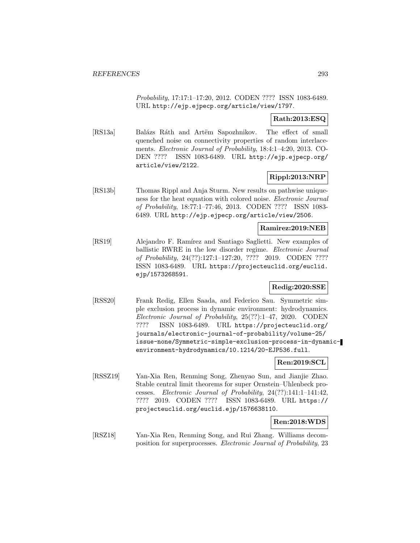Probability, 17:17:1–17:20, 2012. CODEN ???? ISSN 1083-6489. URL http://ejp.ejpecp.org/article/view/1797.

## **Rath:2013:ESQ**

[RS13a] Balázs Ráth and Artëm Sapozhnikov. The effect of small quenched noise on connectivity properties of random interlacements. Electronic Journal of Probability, 18:4:1–4:20, 2013. CO-DEN ???? ISSN 1083-6489. URL http://ejp.ejpecp.org/ article/view/2122.

## **Rippl:2013:NRP**

[RS13b] Thomas Rippl and Anja Sturm. New results on pathwise uniqueness for the heat equation with colored noise. Electronic Journal of Probability, 18:77:1–77:46, 2013. CODEN ???? ISSN 1083- 6489. URL http://ejp.ejpecp.org/article/view/2506.

## **Ramirez:2019:NEB**

[RS19] Alejandro F. Ramírez and Santiago Saglietti. New examples of ballistic RWRE in the low disorder regime. Electronic Journal of Probability, 24(??):127:1–127:20, ???? 2019. CODEN ???? ISSN 1083-6489. URL https://projecteuclid.org/euclid. ejp/1573268591.

#### **Redig:2020:SSE**

[RSS20] Frank Redig, Ellen Saada, and Federico Sau. Symmetric simple exclusion process in dynamic environment: hydrodynamics. Electronic Journal of Probability, 25(??):1–47, 2020. CODEN ???? ISSN 1083-6489. URL https://projecteuclid.org/ journals/electronic-journal-of-probability/volume-25/ issue-none/Symmetric-simple-exclusion-process-in-dynamicenvironment-hydrodynamics/10.1214/20-EJP536.full.

## **Ren:2019:SCL**

[RSSZ19] Yan-Xia Ren, Renming Song, Zhenyao Sun, and Jianjie Zhao. Stable central limit theorems for super Ornstein–Uhlenbeck processes. Electronic Journal of Probability, 24(??):141:1–141:42, ???? 2019. CODEN ???? ISSN 1083-6489. URL https:// projecteuclid.org/euclid.ejp/1576638110.

## **Ren:2018:WDS**

[RSZ18] Yan-Xia Ren, Renming Song, and Rui Zhang. Williams decomposition for superprocesses. Electronic Journal of Probability, 23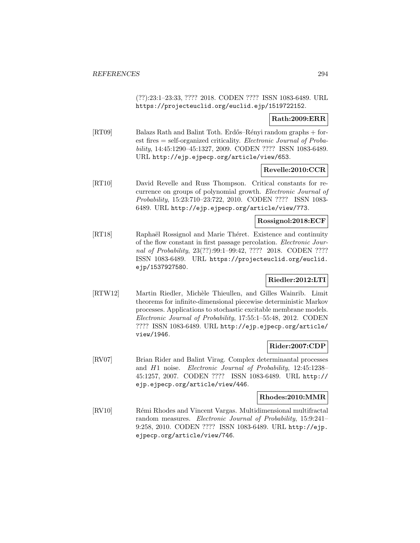(??):23:1–23:33, ???? 2018. CODEN ???? ISSN 1083-6489. URL https://projecteuclid.org/euclid.ejp/1519722152.

## **Rath:2009:ERR**

[RT09] Balazs Rath and Balint Toth. Erdős–Rényi random graphs + forest fires = self-organized criticality. Electronic Journal of Probability, 14:45:1290–45:1327, 2009. CODEN ???? ISSN 1083-6489. URL http://ejp.ejpecp.org/article/view/653.

## **Revelle:2010:CCR**

[RT10] David Revelle and Russ Thompson. Critical constants for recurrence on groups of polynomial growth. Electronic Journal of Probability, 15:23:710–23:722, 2010. CODEN ???? ISSN 1083- 6489. URL http://ejp.ejpecp.org/article/view/773.

### **Rossignol:2018:ECF**

[RT18] Raphaël Rossignol and Marie Théret. Existence and continuity of the flow constant in first passage percolation. Electronic Journal of Probability, 23(??):99:1–99:42, ???? 2018. CODEN ???? ISSN 1083-6489. URL https://projecteuclid.org/euclid. ejp/1537927580.

## **Riedler:2012:LTI**

[RTW12] Martin Riedler, Michèle Thieullen, and Gilles Wainrib. Limit theorems for infinite-dimensional piecewise deterministic Markov processes. Applications to stochastic excitable membrane models. Electronic Journal of Probability, 17:55:1–55:48, 2012. CODEN ???? ISSN 1083-6489. URL http://ejp.ejpecp.org/article/ view/1946.

## **Rider:2007:CDP**

[RV07] Brian Rider and Balint Virag. Complex determinantal processes and H1 noise. Electronic Journal of Probability, 12:45:1238– 45:1257, 2007. CODEN ???? ISSN 1083-6489. URL http:// ejp.ejpecp.org/article/view/446.

## **Rhodes:2010:MMR**

[RV10] Rémi Rhodes and Vincent Vargas. Multidimensional multifractal random measures. Electronic Journal of Probability, 15:9:241– 9:258, 2010. CODEN ???? ISSN 1083-6489. URL http://ejp. ejpecp.org/article/view/746.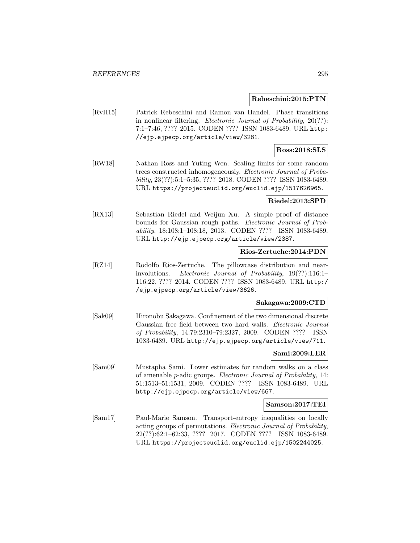#### **Rebeschini:2015:PTN**

[RvH15] Patrick Rebeschini and Ramon van Handel. Phase transitions in nonlinear filtering. Electronic Journal of Probability, 20(??): 7:1–7:46, ???? 2015. CODEN ???? ISSN 1083-6489. URL http: //ejp.ejpecp.org/article/view/3281.

## **Ross:2018:SLS**

[RW18] Nathan Ross and Yuting Wen. Scaling limits for some random trees constructed inhomogeneously. Electronic Journal of Probability, 23(??):5:1–5:35, ???? 2018. CODEN ???? ISSN 1083-6489. URL https://projecteuclid.org/euclid.ejp/1517626965.

#### **Riedel:2013:SPD**

[RX13] Sebastian Riedel and Weijun Xu. A simple proof of distance bounds for Gaussian rough paths. Electronic Journal of Probability, 18:108:1–108:18, 2013. CODEN ???? ISSN 1083-6489. URL http://ejp.ejpecp.org/article/view/2387.

## **Rios-Zertuche:2014:PDN**

[RZ14] Rodolfo Rios-Zertuche. The pillowcase distribution and nearinvolutions. Electronic Journal of Probability, 19(??):116:1– 116:22, ???? 2014. CODEN ???? ISSN 1083-6489. URL http:/ /ejp.ejpecp.org/article/view/3626.

#### **Sakagawa:2009:CTD**

[Sak09] Hironobu Sakagawa. Confinement of the two dimensional discrete Gaussian free field between two hard walls. Electronic Journal of Probability, 14:79:2310–79:2327, 2009. CODEN ???? ISSN 1083-6489. URL http://ejp.ejpecp.org/article/view/711.

#### **Sami:2009:LER**

[Sam09] Mustapha Sami. Lower estimates for random walks on a class of amenable p-adic groups. Electronic Journal of Probability, 14: 51:1513–51:1531, 2009. CODEN ???? ISSN 1083-6489. URL http://ejp.ejpecp.org/article/view/667.

#### **Samson:2017:TEI**

[Sam17] Paul-Marie Samson. Transport-entropy inequalities on locally acting groups of permutations. Electronic Journal of Probability, 22(??):62:1–62:33, ???? 2017. CODEN ???? ISSN 1083-6489. URL https://projecteuclid.org/euclid.ejp/1502244025.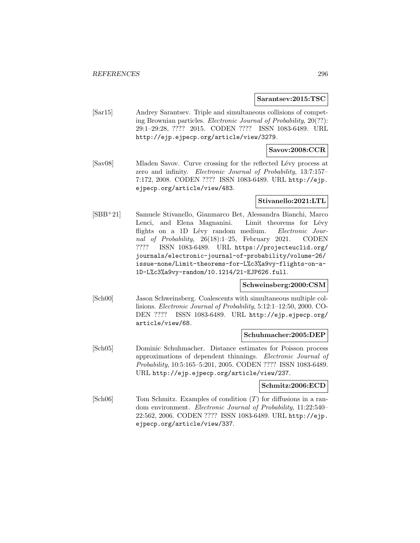#### **Sarantsev:2015:TSC**

[Sar15] Andrey Sarantsev. Triple and simultaneous collisions of competing Brownian particles. Electronic Journal of Probability, 20(??): 29:1–29:28, ???? 2015. CODEN ???? ISSN 1083-6489. URL http://ejp.ejpecp.org/article/view/3279.

## **Savov:2008:CCR**

[Sav08] Mladen Savov. Curve crossing for the reflected Lévy process at zero and infinity. Electronic Journal of Probability, 13:7:157– 7:172, 2008. CODEN ???? ISSN 1083-6489. URL http://ejp. ejpecp.org/article/view/483.

#### **Stivanello:2021:LTL**

[SBB<sup>+</sup>21] Samuele Stivanello, Gianmarco Bet, Alessandra Bianchi, Marco Lenci, and Elena Magnanini. Limit theorems for Lévy flights on a 1D Lévy random medium. Electronic Journal of Probability, 26(18):1–25, February 2021. CODEN ???? ISSN 1083-6489. URL https://projecteuclid.org/ journals/electronic-journal-of-probability/volume-26/ issue-none/Limit-theorems-for-L%c3%a9vy-flights-on-a-1D-L%c3%a9vy-random/10.1214/21-EJP626.full.

#### **Schweinsberg:2000:CSM**

[Sch00] Jason Schweinsberg. Coalescents with simultaneous multiple collisions. Electronic Journal of Probability, 5:12:1–12:50, 2000. CO-DEN ???? ISSN 1083-6489. URL http://ejp.ejpecp.org/ article/view/68.

#### **Schuhmacher:2005:DEP**

[Sch05] Dominic Schuhmacher. Distance estimates for Poisson process approximations of dependent thinnings. Electronic Journal of Probability, 10:5:165–5:201, 2005. CODEN ???? ISSN 1083-6489. URL http://ejp.ejpecp.org/article/view/237.

## **Schmitz:2006:ECD**

[Sch06] Tom Schmitz. Examples of condition (T) for diffusions in a random environment. Electronic Journal of Probability, 11:22:540– 22:562, 2006. CODEN ???? ISSN 1083-6489. URL http://ejp. ejpecp.org/article/view/337.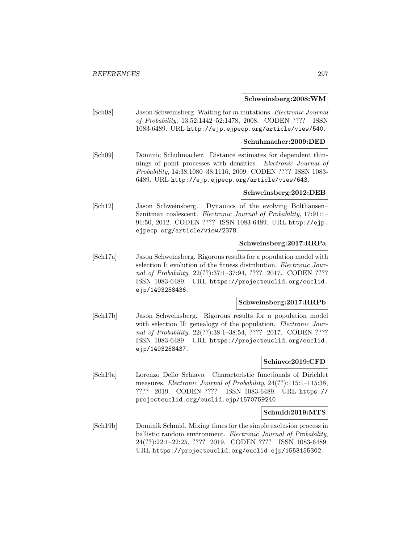#### **Schweinsberg:2008:WM**

[Sch08] Jason Schweinsberg. Waiting for m mutations. Electronic Journal of Probability, 13:52:1442–52:1478, 2008. CODEN ???? ISSN 1083-6489. URL http://ejp.ejpecp.org/article/view/540.

#### **Schuhmacher:2009:DED**

[Sch09] Dominic Schuhmacher. Distance estimates for dependent thinnings of point processes with densities. Electronic Journal of Probability, 14:38:1080–38:1116, 2009. CODEN ???? ISSN 1083- 6489. URL http://ejp.ejpecp.org/article/view/643.

## **Schweinsberg:2012:DEB**

[Sch12] Jason Schweinsberg. Dynamics of the evolving Bolthausen– Sznitman coalescent. Electronic Journal of Probability, 17:91:1– 91:50, 2012. CODEN ???? ISSN 1083-6489. URL http://ejp. ejpecp.org/article/view/2378.

#### **Schweinsberg:2017:RRPa**

[Sch17a] Jason Schweinsberg. Rigorous results for a population model with selection I: evolution of the fitness distribution. Electronic Journal of Probability, 22(??):37:1–37:94, ???? 2017. CODEN ???? ISSN 1083-6489. URL https://projecteuclid.org/euclid. ejp/1493258436.

## **Schweinsberg:2017:RRPb**

[Sch17b] Jason Schweinsberg. Rigorous results for a population model with selection II: genealogy of the population. *Electronic Jour*nal of Probability, 22(??):38:1-38:54, ???? 2017. CODEN ???? ISSN 1083-6489. URL https://projecteuclid.org/euclid. ejp/1493258437.

## **Schiavo:2019:CFD**

[Sch19a] Lorenzo Dello Schiavo. Characteristic functionals of Dirichlet measures. *Electronic Journal of Probability*,  $24(??)$ :115:1-115:38. ???? 2019. CODEN ???? ISSN 1083-6489. URL https:// projecteuclid.org/euclid.ejp/1570759240.

#### **Schmid:2019:MTS**

[Sch19b] Dominik Schmid. Mixing times for the simple exclusion process in ballistic random environment. Electronic Journal of Probability, 24(??):22:1–22:25, ???? 2019. CODEN ???? ISSN 1083-6489. URL https://projecteuclid.org/euclid.ejp/1553155302.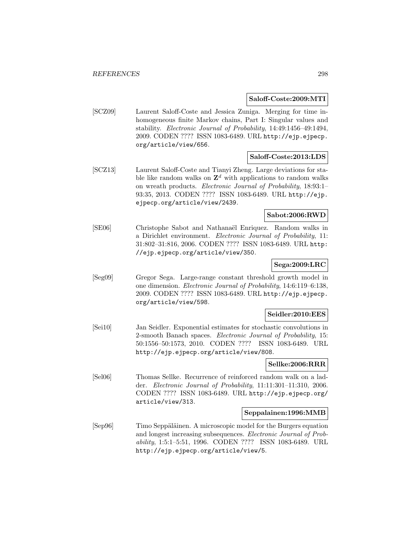#### **Saloff-Coste:2009:MTI**

[SCZ09] Laurent Saloff-Coste and Jessica Zuniga. Merging for time inhomogeneous finite Markov chains, Part I: Singular values and stability. Electronic Journal of Probability, 14:49:1456–49:1494, 2009. CODEN ???? ISSN 1083-6489. URL http://ejp.ejpecp. org/article/view/656.

#### **Saloff-Coste:2013:LDS**

[SCZ13] Laurent Saloff-Coste and Tianyi Zheng. Large deviations for stable like random walks on  $\mathbf{Z}^d$  with applications to random walks on wreath products. Electronic Journal of Probability, 18:93:1– 93:35, 2013. CODEN ???? ISSN 1083-6489. URL http://ejp. ejpecp.org/article/view/2439.

## **Sabot:2006:RWD**

[SE06] Christophe Sabot and Nathanaël Enriquez. Random walks in a Dirichlet environment. Electronic Journal of Probability, 11: 31:802–31:816, 2006. CODEN ???? ISSN 1083-6489. URL http: //ejp.ejpecp.org/article/view/350.

## **Sega:2009:LRC**

[Seg09] Gregor Sega. Large-range constant threshold growth model in one dimension. Electronic Journal of Probability, 14:6:119–6:138, 2009. CODEN ???? ISSN 1083-6489. URL http://ejp.ejpecp. org/article/view/598.

#### **Seidler:2010:EES**

[Sei10] Jan Seidler. Exponential estimates for stochastic convolutions in 2-smooth Banach spaces. Electronic Journal of Probability, 15: 50:1556–50:1573, 2010. CODEN ???? ISSN 1083-6489. URL http://ejp.ejpecp.org/article/view/808.

### **Sellke:2006:RRR**

[Sel06] Thomas Sellke. Recurrence of reinforced random walk on a ladder. Electronic Journal of Probability, 11:11:301–11:310, 2006. CODEN ???? ISSN 1083-6489. URL http://ejp.ejpecp.org/ article/view/313.

#### **Seppalainen:1996:MMB**

[Sep96] Timo Seppäläinen. A microscopic model for the Burgers equation and longest increasing subsequences. Electronic Journal of Probability, 1:5:1–5:51, 1996. CODEN ???? ISSN 1083-6489. URL http://ejp.ejpecp.org/article/view/5.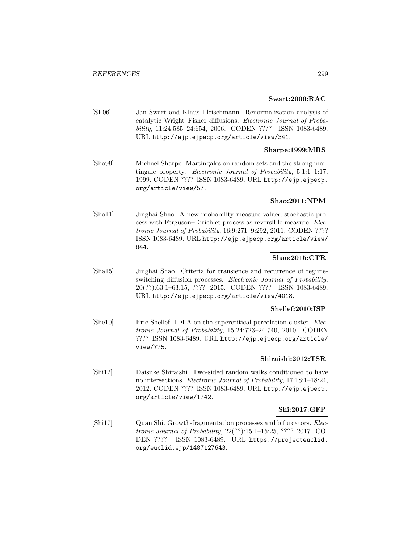### **Swart:2006:RAC**

[SF06] Jan Swart and Klaus Fleischmann. Renormalization analysis of catalytic Wright–Fisher diffusions. Electronic Journal of Probability, 11:24:585–24:654, 2006. CODEN ???? ISSN 1083-6489. URL http://ejp.ejpecp.org/article/view/341.

### **Sharpe:1999:MRS**

[Sha99] Michael Sharpe. Martingales on random sets and the strong martingale property. Electronic Journal of Probability, 5:1:1–1:17, 1999. CODEN ???? ISSN 1083-6489. URL http://ejp.ejpecp. org/article/view/57.

## **Shao:2011:NPM**

[Sha11] Jinghai Shao. A new probability measure-valued stochastic process with Ferguson–Dirichlet process as reversible measure. Electronic Journal of Probability, 16:9:271–9:292, 2011. CODEN ???? ISSN 1083-6489. URL http://ejp.ejpecp.org/article/view/ 844.

## **Shao:2015:CTR**

[Sha15] Jinghai Shao. Criteria for transience and recurrence of regimeswitching diffusion processes. Electronic Journal of Probability, 20(??):63:1–63:15, ???? 2015. CODEN ???? ISSN 1083-6489. URL http://ejp.ejpecp.org/article/view/4018.

### **Shellef:2010:ISP**

[She10] Eric Shellef. IDLA on the supercritical percolation cluster. Electronic Journal of Probability, 15:24:723–24:740, 2010. CODEN ???? ISSN 1083-6489. URL http://ejp.ejpecp.org/article/ view/775.

#### **Shiraishi:2012:TSR**

[Shi12] Daisuke Shiraishi. Two-sided random walks conditioned to have no intersections. Electronic Journal of Probability, 17:18:1–18:24, 2012. CODEN ???? ISSN 1083-6489. URL http://ejp.ejpecp. org/article/view/1742.

## **Shi:2017:GFP**

[Shi17] Quan Shi. Growth-fragmentation processes and bifurcators. Electronic Journal of Probability, 22(??):15:1–15:25, ???? 2017. CO-DEN ???? ISSN 1083-6489. URL https://projecteuclid. org/euclid.ejp/1487127643.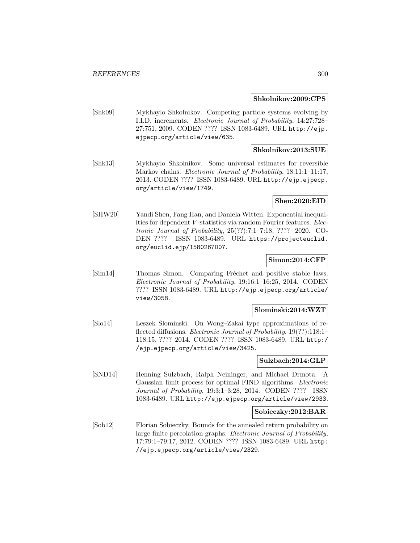#### **Shkolnikov:2009:CPS**

[Shk09] Mykhaylo Shkolnikov. Competing particle systems evolving by I.I.D. increments. Electronic Journal of Probability, 14:27:728– 27:751, 2009. CODEN ???? ISSN 1083-6489. URL http://ejp. ejpecp.org/article/view/635.

### **Shkolnikov:2013:SUE**

[Shk13] Mykhaylo Shkolnikov. Some universal estimates for reversible Markov chains. *Electronic Journal of Probability*, 18:11:1-11:17, 2013. CODEN ???? ISSN 1083-6489. URL http://ejp.ejpecp. org/article/view/1749.

## **Shen:2020:EID**

[SHW20] Yandi Shen, Fang Han, and Daniela Witten. Exponential inequalities for dependent V -statistics via random Fourier features. Electronic Journal of Probability, 25(??):7:1–7:18, ???? 2020. CO-DEN ???? ISSN 1083-6489. URL https://projecteuclid. org/euclid.ejp/1580267007.

## **Simon:2014:CFP**

[Sim14] Thomas Simon. Comparing Fréchet and positive stable laws. Electronic Journal of Probability, 19:16:1–16:25, 2014. CODEN ???? ISSN 1083-6489. URL http://ejp.ejpecp.org/article/ view/3058.

#### **Slominski:2014:WZT**

[Slo14] Leszek Slominski. On Wong–Zakai type approximations of reflected diffusions. Electronic Journal of Probability, 19(??):118:1– 118:15, ???? 2014. CODEN ???? ISSN 1083-6489. URL http:/ /ejp.ejpecp.org/article/view/3425.

## **Sulzbach:2014:GLP**

[SND14] Henning Sulzbach, Ralph Neininger, and Michael Drmota. A Gaussian limit process for optimal FIND algorithms. Electronic Journal of Probability, 19:3:1–3:28, 2014. CODEN ???? ISSN 1083-6489. URL http://ejp.ejpecp.org/article/view/2933.

#### **Sobieczky:2012:BAR**

[Sob12] Florian Sobieczky. Bounds for the annealed return probability on large finite percolation graphs. Electronic Journal of Probability, 17:79:1–79:17, 2012. CODEN ???? ISSN 1083-6489. URL http: //ejp.ejpecp.org/article/view/2329.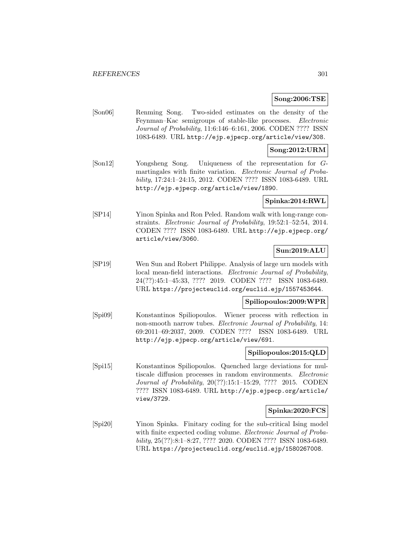## **Song:2006:TSE**

[Son06] Renming Song. Two-sided estimates on the density of the Feynman–Kac semigroups of stable-like processes. Electronic Journal of Probability, 11:6:146–6:161, 2006. CODEN ???? ISSN 1083-6489. URL http://ejp.ejpecp.org/article/view/308.

## **Song:2012:URM**

[Son12] Yongsheng Song. Uniqueness of the representation for Gmartingales with finite variation. Electronic Journal of Probability, 17:24:1–24:15, 2012. CODEN ???? ISSN 1083-6489. URL http://ejp.ejpecp.org/article/view/1890.

## **Spinka:2014:RWL**

[SP14] Yinon Spinka and Ron Peled. Random walk with long-range constraints. Electronic Journal of Probability, 19:52:1–52:54, 2014. CODEN ???? ISSN 1083-6489. URL http://ejp.ejpecp.org/ article/view/3060.

## **Sun:2019:ALU**

[SP19] Wen Sun and Robert Philippe. Analysis of large urn models with local mean-field interactions. Electronic Journal of Probability, 24(??):45:1–45:33, ???? 2019. CODEN ???? ISSN 1083-6489. URL https://projecteuclid.org/euclid.ejp/1557453644.

## **Spiliopoulos:2009:WPR**

[Spi09] Konstantinos Spiliopoulos. Wiener process with reflection in non-smooth narrow tubes. Electronic Journal of Probability, 14: 69:2011–69:2037, 2009. CODEN ???? ISSN 1083-6489. URL http://ejp.ejpecp.org/article/view/691.

#### **Spiliopoulos:2015:QLD**

[Spi15] Konstantinos Spiliopoulos. Quenched large deviations for multiscale diffusion processes in random environments. Electronic Journal of Probability, 20(??):15:1–15:29, ???? 2015. CODEN ???? ISSN 1083-6489. URL http://ejp.ejpecp.org/article/ view/3729.

## **Spinka:2020:FCS**

[Spi20] Yinon Spinka. Finitary coding for the sub-critical Ising model with finite expected coding volume. Electronic Journal of Probability, 25(??):8:1–8:27, ???? 2020. CODEN ???? ISSN 1083-6489. URL https://projecteuclid.org/euclid.ejp/1580267008.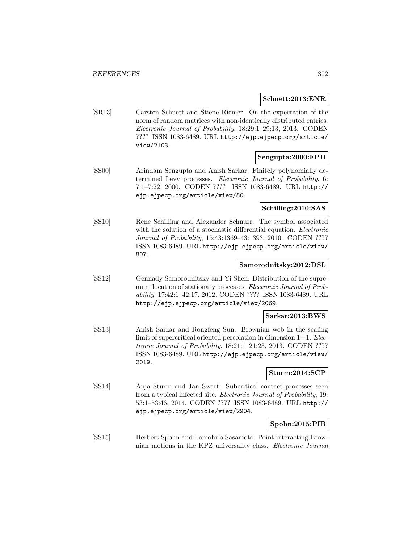#### **Schuett:2013:ENR**

[SR13] Carsten Schuett and Stiene Riemer. On the expectation of the norm of random matrices with non-identically distributed entries. Electronic Journal of Probability, 18:29:1–29:13, 2013. CODEN ???? ISSN 1083-6489. URL http://ejp.ejpecp.org/article/ view/2103.

## **Sengupta:2000:FPD**

[SS00] Arindam Sengupta and Anish Sarkar. Finitely polynomially determined Lévy processes. Electronic Journal of Probability, 6: 7:1–7:22, 2000. CODEN ???? ISSN 1083-6489. URL http:// ejp.ejpecp.org/article/view/80.

## **Schilling:2010:SAS**

[SS10] Rene Schilling and Alexander Schnurr. The symbol associated with the solution of a stochastic differential equation. *Electronic* Journal of Probability, 15:43:1369–43:1393, 2010. CODEN ???? ISSN 1083-6489. URL http://ejp.ejpecp.org/article/view/ 807.

## **Samorodnitsky:2012:DSL**

[SS12] Gennady Samorodnitsky and Yi Shen. Distribution of the supremum location of stationary processes. Electronic Journal of Probability, 17:42:1–42:17, 2012. CODEN ???? ISSN 1083-6489. URL http://ejp.ejpecp.org/article/view/2069.

## **Sarkar:2013:BWS**

[SS13] Anish Sarkar and Rongfeng Sun. Brownian web in the scaling limit of supercritical oriented percolation in dimension  $1+1$ . *Elec*tronic Journal of Probability, 18:21:1–21:23, 2013. CODEN ???? ISSN 1083-6489. URL http://ejp.ejpecp.org/article/view/ 2019.

## **Sturm:2014:SCP**

[SS14] Anja Sturm and Jan Swart. Subcritical contact processes seen from a typical infected site. Electronic Journal of Probability, 19: 53:1–53:46, 2014. CODEN ???? ISSN 1083-6489. URL http:// ejp.ejpecp.org/article/view/2904.

## **Spohn:2015:PIB**

[SS15] Herbert Spohn and Tomohiro Sasamoto. Point-interacting Brownian motions in the KPZ universality class. Electronic Journal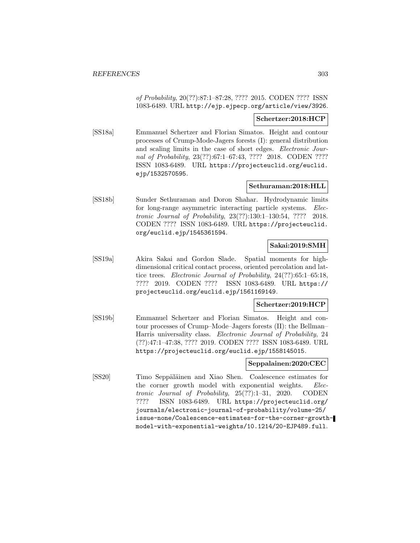of Probability, 20(??):87:1–87:28, ???? 2015. CODEN ???? ISSN 1083-6489. URL http://ejp.ejpecp.org/article/view/3926.

## **Schertzer:2018:HCP**

[SS18a] Emmanuel Schertzer and Florian Simatos. Height and contour processes of Crump-Mode-Jagers forests (I): general distribution and scaling limits in the case of short edges. Electronic Journal of Probability, 23(??):67:1–67:43, ???? 2018. CODEN ???? ISSN 1083-6489. URL https://projecteuclid.org/euclid. ejp/1532570595.

## **Sethuraman:2018:HLL**

[SS18b] Sunder Sethuraman and Doron Shahar. Hydrodynamic limits for long-range asymmetric interacting particle systems. Electronic Journal of Probability, 23(??):130:1–130:54, ???? 2018. CODEN ???? ISSN 1083-6489. URL https://projecteuclid. org/euclid.ejp/1545361594.

## **Sakai:2019:SMH**

[SS19a] Akira Sakai and Gordon Slade. Spatial moments for highdimensional critical contact process, oriented percolation and lattice trees. Electronic Journal of Probability, 24(??):65:1–65:18, ???? 2019. CODEN ???? ISSN 1083-6489. URL https:// projecteuclid.org/euclid.ejp/1561169149.

### **Schertzer:2019:HCP**

[SS19b] Emmanuel Schertzer and Florian Simatos. Height and contour processes of Crump–Mode–Jagers forests (II): the Bellman– Harris universality class. Electronic Journal of Probability, 24 (??):47:1–47:38, ???? 2019. CODEN ???? ISSN 1083-6489. URL https://projecteuclid.org/euclid.ejp/1558145015.

## **Seppalainen:2020:CEC**

[SS20] Timo Seppäläinen and Xiao Shen. Coalescence estimates for the corner growth model with exponential weights. Electronic Journal of Probability, 25(??):1–31, 2020. CODEN ???? ISSN 1083-6489. URL https://projecteuclid.org/ journals/electronic-journal-of-probability/volume-25/ issue-none/Coalescence-estimates-for-the-corner-growthmodel-with-exponential-weights/10.1214/20-EJP489.full.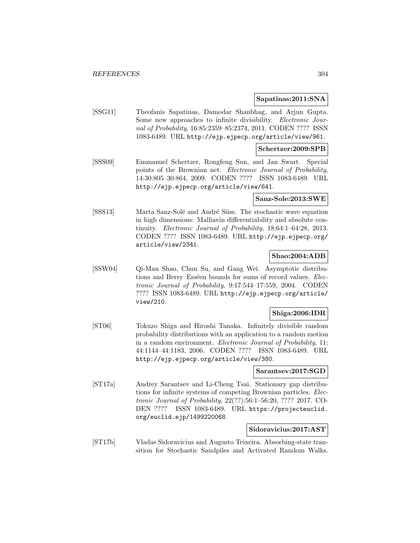#### **Sapatinas:2011:SNA**

[SSG11] Theofanis Sapatinas, Damodar Shanbhag, and Arjun Gupta. Some new approaches to infinite divisibility. Electronic Journal of Probability, 16:85:2359–85:2374, 2011. CODEN ???? ISSN 1083-6489. URL http://ejp.ejpecp.org/article/view/961.

#### **Schertzer:2009:SPB**

[SSS09] Emmanuel Schertzer, Rongfeng Sun, and Jan Swart. Special points of the Brownian net. Electronic Journal of Probability, 14:30:805–30:864, 2009. CODEN ???? ISSN 1083-6489. URL http://ejp.ejpecp.org/article/view/641.

### **Sanz-Sole:2013:SWE**

[SSS13] Marta Sanz-Solé and André Süss. The stochastic wave equation in high dimensions: Malliavin differentiability and absolute continuity. Electronic Journal of Probability, 18:64:1–64:28, 2013. CODEN ???? ISSN 1083-6489. URL http://ejp.ejpecp.org/ article/view/2341.

## **Shao:2004:ADB**

[SSW04] Qi-Man Shao, Chun Su, and Gang Wei. Asymptotic distributions and Berry–Esséen bounds for sums of record values. Electronic Journal of Probability, 9:17:544–17:559, 2004. CODEN ???? ISSN 1083-6489. URL http://ejp.ejpecp.org/article/ view/210.

## **Shiga:2006:IDR**

[ST06] Tokuzo Shiga and Hiroshi Tanaka. Infinitely divisible random probability distributions with an application to a random motion in a random environment. Electronic Journal of Probability, 11: 44:1144–44:1183, 2006. CODEN ???? ISSN 1083-6489. URL http://ejp.ejpecp.org/article/view/380.

#### **Sarantsev:2017:SGD**

[ST17a] Andrey Sarantsev and Li-Cheng Tsai. Stationary gap distributions for infinite systems of competing Brownian particles. Electronic Journal of Probability, 22(??):56:1–56:20, ???? 2017. CO-DEN ???? ISSN 1083-6489. URL https://projecteuclid. org/euclid.ejp/1499220068.

## **Sidoravicius:2017:AST**

[ST17b] Vladas Sidoravicius and Augusto Teixeira. Absorbing-state transition for Stochastic Sandpiles and Activated Random Walks.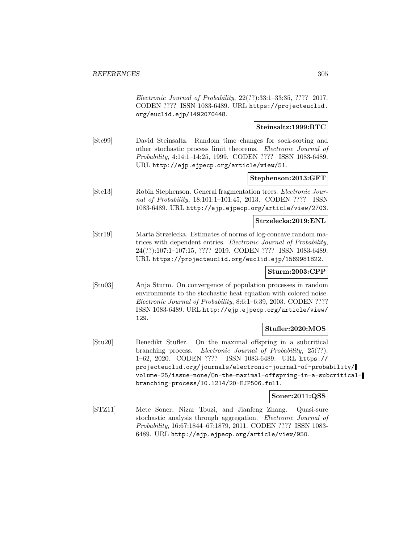Electronic Journal of Probability, 22(??):33:1–33:35, ???? 2017. CODEN ???? ISSN 1083-6489. URL https://projecteuclid. org/euclid.ejp/1492070448.

## **Steinsaltz:1999:RTC**

[Ste99] David Steinsaltz. Random time changes for sock-sorting and other stochastic process limit theorems. Electronic Journal of Probability, 4:14:1–14:25, 1999. CODEN ???? ISSN 1083-6489. URL http://ejp.ejpecp.org/article/view/51.

## **Stephenson:2013:GFT**

[Ste13] Robin Stephenson. General fragmentation trees. Electronic Journal of Probability, 18:101:1–101:45, 2013. CODEN ???? ISSN 1083-6489. URL http://ejp.ejpecp.org/article/view/2703.

#### **Strzelecka:2019:ENL**

[Str19] Marta Strzelecka. Estimates of norms of log-concave random matrices with dependent entries. Electronic Journal of Probability, 24(??):107:1–107:15, ???? 2019. CODEN ???? ISSN 1083-6489. URL https://projecteuclid.org/euclid.ejp/1569981822.

## **Sturm:2003:CPP**

[Stu03] Anja Sturm. On convergence of population processes in random environments to the stochastic heat equation with colored noise. Electronic Journal of Probability, 8:6:1–6:39, 2003. CODEN ???? ISSN 1083-6489. URL http://ejp.ejpecp.org/article/view/ 129.

## **Stufler:2020:MOS**

[Stu20] Benedikt Stufler. On the maximal offspring in a subcritical branching process. Electronic Journal of Probability, 25(??): 1–62, 2020. CODEN ???? ISSN 1083-6489. URL https:// projecteuclid.org/journals/electronic-journal-of-probability/ volume-25/issue-none/On-the-maximal-offspring-in-a-subcriticalbranching-process/10.1214/20-EJP506.full.

## **Soner:2011:QSS**

[STZ11] Mete Soner, Nizar Touzi, and Jianfeng Zhang. Quasi-sure stochastic analysis through aggregation. Electronic Journal of Probability, 16:67:1844–67:1879, 2011. CODEN ???? ISSN 1083- 6489. URL http://ejp.ejpecp.org/article/view/950.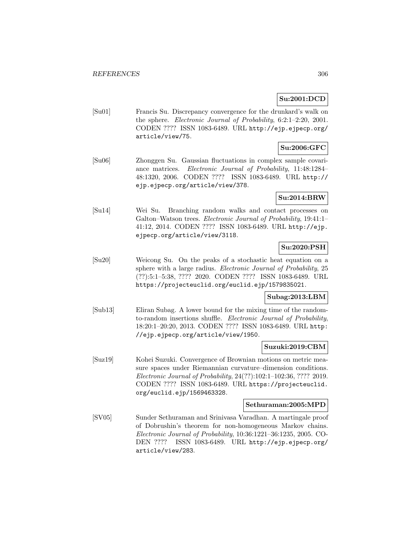## **Su:2001:DCD**

[Su01] Francis Su. Discrepancy convergence for the drunkard's walk on the sphere. Electronic Journal of Probability, 6:2:1–2:20, 2001. CODEN ???? ISSN 1083-6489. URL http://ejp.ejpecp.org/ article/view/75.

# **Su:2006:GFC**

[Su06] Zhonggen Su. Gaussian fluctuations in complex sample covariance matrices. Electronic Journal of Probability, 11:48:1284– 48:1320, 2006. CODEN ???? ISSN 1083-6489. URL http:// ejp.ejpecp.org/article/view/378.

# **Su:2014:BRW**

[Su14] Wei Su. Branching random walks and contact processes on Galton–Watson trees. Electronic Journal of Probability, 19:41:1– 41:12, 2014. CODEN ???? ISSN 1083-6489. URL http://ejp. ejpecp.org/article/view/3118.

## **Su:2020:PSH**

[Su20] Weicong Su. On the peaks of a stochastic heat equation on a sphere with a large radius. Electronic Journal of Probability, 25 (??):5:1–5:38, ???? 2020. CODEN ???? ISSN 1083-6489. URL https://projecteuclid.org/euclid.ejp/1579835021.

## **Subag:2013:LBM**

[Sub13] Eliran Subag. A lower bound for the mixing time of the randomto-random insertions shuffle. Electronic Journal of Probability, 18:20:1–20:20, 2013. CODEN ???? ISSN 1083-6489. URL http: //ejp.ejpecp.org/article/view/1950.

#### **Suzuki:2019:CBM**

[Suz19] Kohei Suzuki. Convergence of Brownian motions on metric measure spaces under Riemannian curvature–dimension conditions. Electronic Journal of Probability, 24(??):102:1–102:36, ???? 2019. CODEN ???? ISSN 1083-6489. URL https://projecteuclid. org/euclid.ejp/1569463328.

#### **Sethuraman:2005:MPD**

[SV05] Sunder Sethuraman and Srinivasa Varadhan. A martingale proof of Dobrushin's theorem for non-homogeneous Markov chains. Electronic Journal of Probability, 10:36:1221–36:1235, 2005. CO-DEN ???? ISSN 1083-6489. URL http://ejp.ejpecp.org/ article/view/283.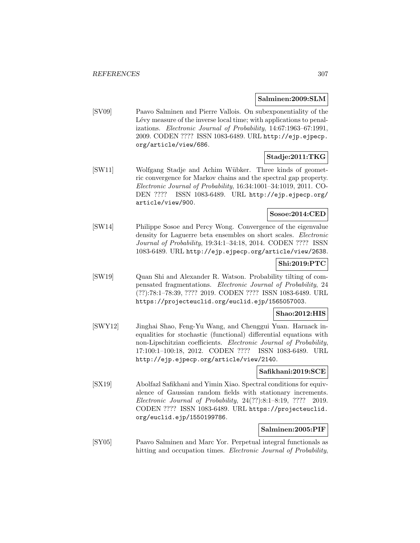### **Salminen:2009:SLM**

[SV09] Paavo Salminen and Pierre Vallois. On subexponentiality of the Lévy measure of the inverse local time; with applications to penalizations. Electronic Journal of Probability, 14:67:1963–67:1991, 2009. CODEN ???? ISSN 1083-6489. URL http://ejp.ejpecp. org/article/view/686.

## **Stadje:2011:TKG**

[SW11] Wolfgang Stadje and Achim Wübker. Three kinds of geometric convergence for Markov chains and the spectral gap property. Electronic Journal of Probability, 16:34:1001–34:1019, 2011. CO-DEN ???? ISSN 1083-6489. URL http://ejp.ejpecp.org/ article/view/900.

## **Sosoe:2014:CED**

[SW14] Philippe Sosoe and Percy Wong. Convergence of the eigenvalue density for Laguerre beta ensembles on short scales. Electronic Journal of Probability, 19:34:1–34:18, 2014. CODEN ???? ISSN 1083-6489. URL http://ejp.ejpecp.org/article/view/2638.

## **Shi:2019:PTC**

[SW19] Quan Shi and Alexander R. Watson. Probability tilting of compensated fragmentations. Electronic Journal of Probability, 24 (??):78:1–78:39, ???? 2019. CODEN ???? ISSN 1083-6489. URL https://projecteuclid.org/euclid.ejp/1565057003.

## **Shao:2012:HIS**

[SWY12] Jinghai Shao, Feng-Yu Wang, and Chenggui Yuan. Harnack inequalities for stochastic (functional) differential equations with non-Lipschitzian coefficients. Electronic Journal of Probability, 17:100:1–100:18, 2012. CODEN ???? ISSN 1083-6489. URL http://ejp.ejpecp.org/article/view/2140.

## **Safikhani:2019:SCE**

[SX19] Abolfazl Safikhani and Yimin Xiao. Spectral conditions for equivalence of Gaussian random fields with stationary increments. Electronic Journal of Probability, 24(??):8:1–8:19, ???? 2019. CODEN ???? ISSN 1083-6489. URL https://projecteuclid. org/euclid.ejp/1550199786.

## **Salminen:2005:PIF**

[SY05] Paavo Salminen and Marc Yor. Perpetual integral functionals as hitting and occupation times. *Electronic Journal of Probability*,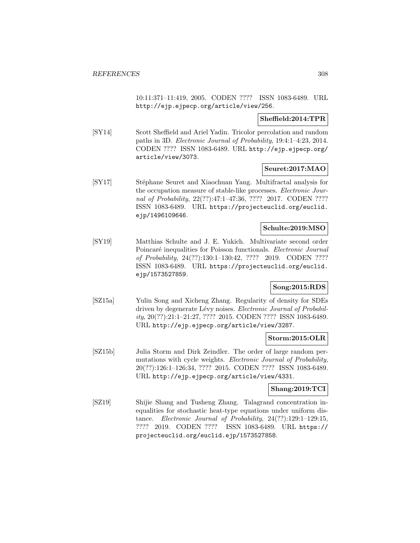10:11:371–11:419, 2005. CODEN ???? ISSN 1083-6489. URL http://ejp.ejpecp.org/article/view/256.

## **Sheffield:2014:TPR**

[SY14] Scott Sheffield and Ariel Yadin. Tricolor percolation and random paths in 3D. Electronic Journal of Probability, 19:4:1–4:23, 2014. CODEN ???? ISSN 1083-6489. URL http://ejp.ejpecp.org/ article/view/3073.

## **Seuret:2017:MAO**

[SY17] Stéphane Seuret and Xiaochuan Yang. Multifractal analysis for the occupation measure of stable-like processes. Electronic Journal of Probability, 22(??):47:1–47:36, ???? 2017. CODEN ???? ISSN 1083-6489. URL https://projecteuclid.org/euclid. ejp/1496109646.

## **Schulte:2019:MSO**

[SY19] Matthias Schulte and J. E. Yukich. Multivariate second order Poincaré inequalities for Poisson functionals. Electronic Journal of Probability, 24(??):130:1–130:42, ???? 2019. CODEN ???? ISSN 1083-6489. URL https://projecteuclid.org/euclid. ejp/1573527859.

## **Song:2015:RDS**

[SZ15a] Yulin Song and Xicheng Zhang. Regularity of density for SDEs driven by degenerate Lévy noises. Electronic Journal of Probability, 20(??):21:1–21:27, ???? 2015. CODEN ???? ISSN 1083-6489. URL http://ejp.ejpecp.org/article/view/3287.

## **Storm:2015:OLR**

[SZ15b] Julia Storm and Dirk Zeindler. The order of large random permutations with cycle weights. *Electronic Journal of Probability*, 20(??):126:1–126:34, ???? 2015. CODEN ???? ISSN 1083-6489. URL http://ejp.ejpecp.org/article/view/4331.

## **Shang:2019:TCI**

[SZ19] Shijie Shang and Tusheng Zhang. Talagrand concentration inequalities for stochastic heat-type equations under uniform distance. Electronic Journal of Probability, 24(??):129:1-129:15, ???? 2019. CODEN ???? ISSN 1083-6489. URL https:// projecteuclid.org/euclid.ejp/1573527858.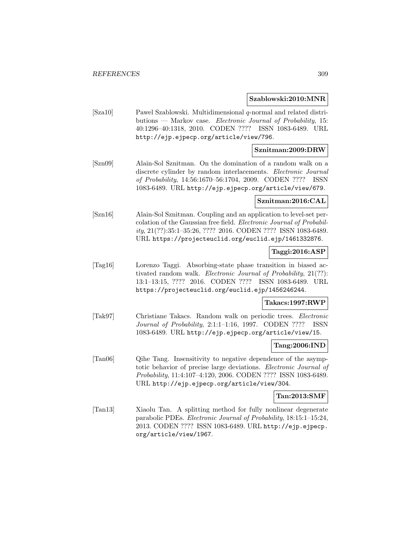#### **Szablowski:2010:MNR**

[Sza10] Pawel Szablowski. Multidimensional q-normal and related distributions — Markov case. Electronic Journal of Probability, 15: 40:1296–40:1318, 2010. CODEN ???? ISSN 1083-6489. URL http://ejp.ejpecp.org/article/view/796.

### **Sznitman:2009:DRW**

[Szn09] Alain-Sol Sznitman. On the domination of a random walk on a discrete cylinder by random interlacements. *Electronic Journal* of Probability, 14:56:1670–56:1704, 2009. CODEN ???? ISSN 1083-6489. URL http://ejp.ejpecp.org/article/view/679.

### **Sznitman:2016:CAL**

[Szn16] Alain-Sol Sznitman. Coupling and an application to level-set percolation of the Gaussian free field. Electronic Journal of Probability, 21(??):35:1–35:26, ???? 2016. CODEN ???? ISSN 1083-6489. URL https://projecteuclid.org/euclid.ejp/1461332876.

## **Taggi:2016:ASP**

[Tag16] Lorenzo Taggi. Absorbing-state phase transition in biased activated random walk. Electronic Journal of Probability, 21(??): 13:1–13:15, ???? 2016. CODEN ???? ISSN 1083-6489. URL https://projecteuclid.org/euclid.ejp/1456246244.

## **Takacs:1997:RWP**

[Tak97] Christiane Takacs. Random walk on periodic trees. Electronic Journal of Probability, 2:1:1–1:16, 1997. CODEN ???? ISSN 1083-6489. URL http://ejp.ejpecp.org/article/view/15.

## **Tang:2006:IND**

[Tan06] Qihe Tang. Insensitivity to negative dependence of the asymptotic behavior of precise large deviations. Electronic Journal of Probability, 11:4:107–4:120, 2006. CODEN ???? ISSN 1083-6489. URL http://ejp.ejpecp.org/article/view/304.

#### **Tan:2013:SMF**

[Tan13] Xiaolu Tan. A splitting method for fully nonlinear degenerate parabolic PDEs. Electronic Journal of Probability, 18:15:1–15:24, 2013. CODEN ???? ISSN 1083-6489. URL http://ejp.ejpecp. org/article/view/1967.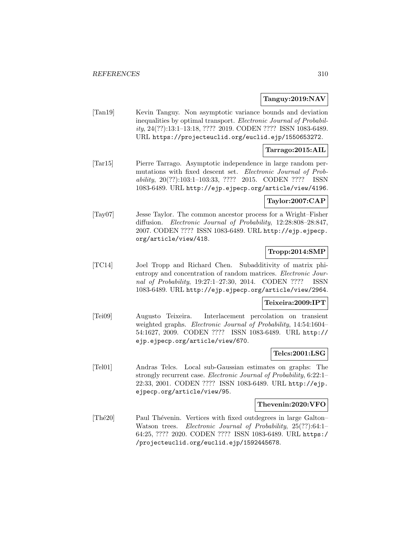## **Tanguy:2019:NAV**

[Tan19] Kevin Tanguy. Non asymptotic variance bounds and deviation inequalities by optimal transport. Electronic Journal of Probability, 24(??):13:1–13:18, ???? 2019. CODEN ???? ISSN 1083-6489. URL https://projecteuclid.org/euclid.ejp/1550653272.

## **Tarrago:2015:AIL**

[Tar15] Pierre Tarrago. Asymptotic independence in large random permutations with fixed descent set. Electronic Journal of Probability, 20(??):103:1–103:33, ???? 2015. CODEN ???? ISSN 1083-6489. URL http://ejp.ejpecp.org/article/view/4196.

## **Taylor:2007:CAP**

[Tay07] Jesse Taylor. The common ancestor process for a Wright–Fisher diffusion. Electronic Journal of Probability, 12:28:808–28:847, 2007. CODEN ???? ISSN 1083-6489. URL http://ejp.ejpecp. org/article/view/418.

## **Tropp:2014:SMP**

[TC14] Joel Tropp and Richard Chen. Subadditivity of matrix phientropy and concentration of random matrices. Electronic Journal of Probability, 19:27:1–27:30, 2014. CODEN ???? ISSN 1083-6489. URL http://ejp.ejpecp.org/article/view/2964.

#### **Teixeira:2009:IPT**

[Tei09] Augusto Teixeira. Interlacement percolation on transient weighted graphs. Electronic Journal of Probability, 14:54:1604– 54:1627, 2009. CODEN ???? ISSN 1083-6489. URL http:// ejp.ejpecp.org/article/view/670.

## **Telcs:2001:LSG**

[Tel01] Andras Telcs. Local sub-Gaussian estimates on graphs: The strongly recurrent case. Electronic Journal of Probability, 6:22:1– 22:33, 2001. CODEN ???? ISSN 1083-6489. URL http://ejp. ejpecp.org/article/view/95.

#### **Thevenin:2020:VFO**

[Thé20] Paul Thévenin. Vertices with fixed outdegrees in large Galton– Watson trees. Electronic Journal of Probability, 25(??):64:1– 64:25, ???? 2020. CODEN ???? ISSN 1083-6489. URL https:/ /projecteuclid.org/euclid.ejp/1592445678.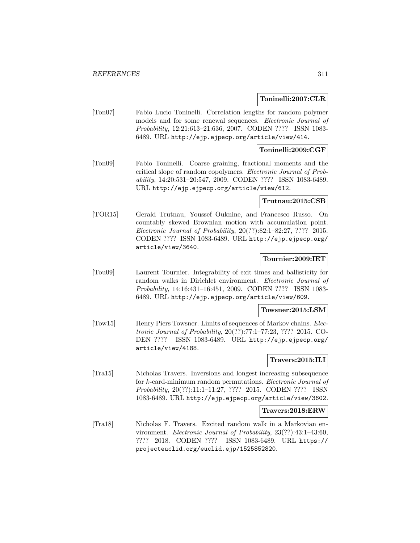### **Toninelli:2007:CLR**

[Ton07] Fabio Lucio Toninelli. Correlation lengths for random polymer models and for some renewal sequences. *Electronic Journal of* Probability, 12:21:613–21:636, 2007. CODEN ???? ISSN 1083- 6489. URL http://ejp.ejpecp.org/article/view/414.

#### **Toninelli:2009:CGF**

[Ton09] Fabio Toninelli. Coarse graining, fractional moments and the critical slope of random copolymers. Electronic Journal of Probability, 14:20:531–20:547, 2009. CODEN ???? ISSN 1083-6489. URL http://ejp.ejpecp.org/article/view/612.

#### **Trutnau:2015:CSB**

[TOR15] Gerald Trutnau, Youssef Ouknine, and Francesco Russo. On countably skewed Brownian motion with accumulation point. Electronic Journal of Probability, 20(??):82:1–82:27, ???? 2015. CODEN ???? ISSN 1083-6489. URL http://ejp.ejpecp.org/ article/view/3640.

## **Tournier:2009:IET**

[Tou09] Laurent Tournier. Integrability of exit times and ballisticity for random walks in Dirichlet environment. Electronic Journal of Probability, 14:16:431–16:451, 2009. CODEN ???? ISSN 1083- 6489. URL http://ejp.ejpecp.org/article/view/609.

#### **Towsner:2015:LSM**

[Tow15] Henry Piers Towsner. Limits of sequences of Markov chains. Electronic Journal of Probability, 20(??):77:1–77:23, ???? 2015. CO-DEN ???? ISSN 1083-6489. URL http://ejp.ejpecp.org/ article/view/4188.

## **Travers:2015:ILI**

[Tra15] Nicholas Travers. Inversions and longest increasing subsequence for k-card-minimum random permutations. Electronic Journal of Probability, 20(??):11:1–11:27, ???? 2015. CODEN ???? ISSN 1083-6489. URL http://ejp.ejpecp.org/article/view/3602.

#### **Travers:2018:ERW**

[Tra18] Nicholas F. Travers. Excited random walk in a Markovian environment. Electronic Journal of Probability, 23(??):43:1–43:60, ???? 2018. CODEN ???? ISSN 1083-6489. URL https:// projecteuclid.org/euclid.ejp/1525852820.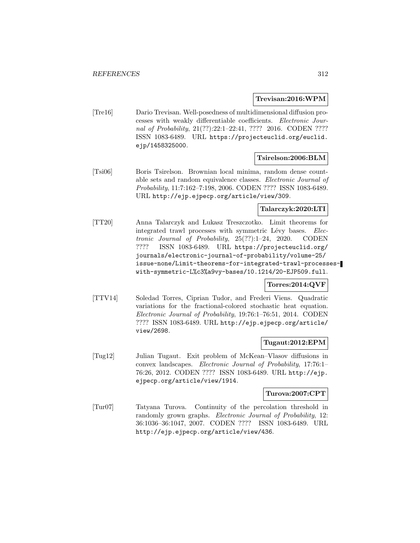#### **Trevisan:2016:WPM**

[Tre16] Dario Trevisan. Well-posedness of multidimensional diffusion processes with weakly differentiable coefficients. Electronic Journal of Probability, 21(??):22:1-22:41, ???? 2016. CODEN ???? ISSN 1083-6489. URL https://projecteuclid.org/euclid. ejp/1458325000.

## **Tsirelson:2006:BLM**

[Tsi06] Boris Tsirelson. Brownian local minima, random dense countable sets and random equivalence classes. Electronic Journal of Probability, 11:7:162–7:198, 2006. CODEN ???? ISSN 1083-6489. URL http://ejp.ejpecp.org/article/view/309.

## **Talarczyk:2020:LTI**

[TT20] Anna Talarczyk and Lukasz Treszczotko. Limit theorems for integrated trawl processes with symmetric Lévy bases. Electronic Journal of Probability, 25(??):1–24, 2020. CODEN ???? ISSN 1083-6489. URL https://projecteuclid.org/ journals/electronic-journal-of-probability/volume-25/ issue-none/Limit-theorems-for-integrated-trawl-processeswith-symmetric-L%c3%a9vy-bases/10.1214/20-EJP509.full.

## **Torres:2014:QVF**

[TTV14] Soledad Torres, Ciprian Tudor, and Frederi Viens. Quadratic variations for the fractional-colored stochastic heat equation. Electronic Journal of Probability, 19:76:1–76:51, 2014. CODEN ???? ISSN 1083-6489. URL http://ejp.ejpecp.org/article/ view/2698.

# **Tugaut:2012:EPM**

[Tug12] Julian Tugaut. Exit problem of McKean–Vlasov diffusions in convex landscapes. Electronic Journal of Probability, 17:76:1– 76:26, 2012. CODEN ???? ISSN 1083-6489. URL http://ejp. ejpecp.org/article/view/1914.

## **Turova:2007:CPT**

[Tur07] Tatyana Turova. Continuity of the percolation threshold in randomly grown graphs. Electronic Journal of Probability, 12: 36:1036–36:1047, 2007. CODEN ???? ISSN 1083-6489. URL http://ejp.ejpecp.org/article/view/436.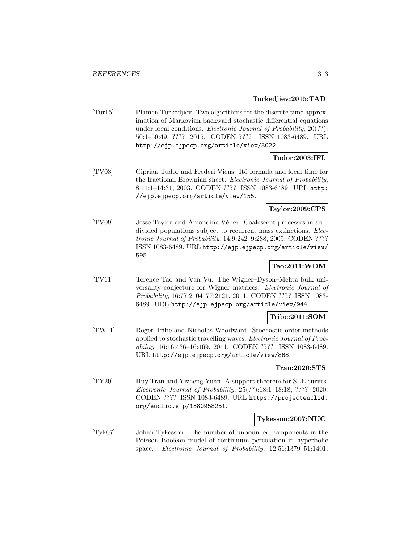### **Turkedjiev:2015:TAD**

[Tur15] Plamen Turkedjiev. Two algorithms for the discrete time approximation of Markovian backward stochastic differential equations under local conditions. Electronic Journal of Probability, 20(??): 50:1–50:49, ???? 2015. CODEN ???? ISSN 1083-6489. URL http://ejp.ejpecp.org/article/view/3022.

## **Tudor:2003:IFL**

[TV03] Ciprian Tudor and Frederi Viens. Itˆo formula and local time for the fractional Brownian sheet. Electronic Journal of Probability, 8:14:1–14:31, 2003. CODEN ???? ISSN 1083-6489. URL http: //ejp.ejpecp.org/article/view/155.

## **Taylor:2009:CPS**

[TV09] Jesse Taylor and Amandine Véber. Coalescent processes in subdivided populations subject to recurrent mass extinctions. Electronic Journal of Probability, 14:9:242–9:288, 2009. CODEN ???? ISSN 1083-6489. URL http://ejp.ejpecp.org/article/view/ 595.

## **Tao:2011:WDM**

[TV11] Terence Tao and Van Vu. The Wigner–Dyson–Mehta bulk universality conjecture for Wigner matrices. Electronic Journal of Probability, 16:77:2104–77:2121, 2011. CODEN ???? ISSN 1083- 6489. URL http://ejp.ejpecp.org/article/view/944.

## **Tribe:2011:SOM**

[TW11] Roger Tribe and Nicholas Woodward. Stochastic order methods applied to stochastic travelling waves. Electronic Journal of Probability, 16:16:436–16:469, 2011. CODEN ???? ISSN 1083-6489. URL http://ejp.ejpecp.org/article/view/868.

## **Tran:2020:STS**

[TY20] Huy Tran and Yizheng Yuan. A support theorem for SLE curves. Electronic Journal of Probability, 25(??):18:1–18:18, ???? 2020. CODEN ???? ISSN 1083-6489. URL https://projecteuclid. org/euclid.ejp/1580958251.

#### **Tykesson:2007:NUC**

[Tyk07] Johan Tykesson. The number of unbounded components in the Poisson Boolean model of continuum percolation in hyperbolic space. Electronic Journal of Probability, 12:51:1379–51:1401,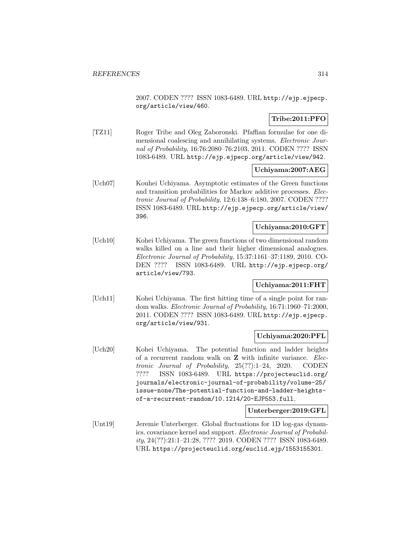2007. CODEN ???? ISSN 1083-6489. URL http://ejp.ejpecp. org/article/view/460.

# **Tribe:2011:PFO**

[TZ11] Roger Tribe and Oleg Zaboronski. Pfaffian formulae for one dimensional coalescing and annihilating systems. Electronic Journal of Probability, 16:76:2080–76:2103, 2011. CODEN ???? ISSN 1083-6489. URL http://ejp.ejpecp.org/article/view/942.

## **Uchiyama:2007:AEG**

[Uch07] Kouhei Uchiyama. Asymptotic estimates of the Green functions and transition probabilities for Markov additive processes. Electronic Journal of Probability, 12:6:138–6:180, 2007. CODEN ???? ISSN 1083-6489. URL http://ejp.ejpecp.org/article/view/ 396.

## **Uchiyama:2010:GFT**

[Uch10] Kohei Uchiyama. The green functions of two dimensional random walks killed on a line and their higher dimensional analogues. Electronic Journal of Probability, 15:37:1161–37:1189, 2010. CO-DEN ???? ISSN 1083-6489. URL http://ejp.ejpecp.org/ article/view/793.

## **Uchiyama:2011:FHT**

[Uch11] Kohei Uchiyama. The first hitting time of a single point for random walks. Electronic Journal of Probability, 16:71:1960–71:2000, 2011. CODEN ???? ISSN 1083-6489. URL http://ejp.ejpecp. org/article/view/931.

## **Uchiyama:2020:PFL**

[Uch20] Kohei Uchiyama. The potential function and ladder heights of a recurrent random walk on **Z** with infinite variance. Electronic Journal of Probability, 25(??):1–24, 2020. CODEN ???? ISSN 1083-6489. URL https://projecteuclid.org/ journals/electronic-journal-of-probability/volume-25/ issue-none/The-potential-function-and-ladder-heightsof-a-recurrent-random/10.1214/20-EJP553.full.

## **Unterberger:2019:GFL**

[Unt19] Jeremie Unterberger. Global fluctuations for 1D log-gas dynamics. covariance kernel and support. Electronic Journal of Probability, 24(??):21:1–21:28, ???? 2019. CODEN ???? ISSN 1083-6489. URL https://projecteuclid.org/euclid.ejp/1553155301.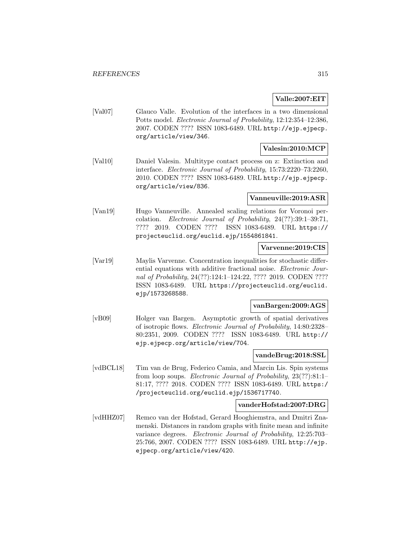## **Valle:2007:EIT**

[Val07] Glauco Valle. Evolution of the interfaces in a two dimensional Potts model. Electronic Journal of Probability, 12:12:354–12:386, 2007. CODEN ???? ISSN 1083-6489. URL http://ejp.ejpecp. org/article/view/346.

# **Valesin:2010:MCP**

[Val10] Daniel Valesin. Multitype contact process on z: Extinction and interface. Electronic Journal of Probability, 15:73:2220–73:2260, 2010. CODEN ???? ISSN 1083-6489. URL http://ejp.ejpecp. org/article/view/836.

## **Vanneuville:2019:ASR**

[Van19] Hugo Vanneuville. Annealed scaling relations for Voronoi percolation. Electronic Journal of Probability, 24(??):39:1–39:71, ???? 2019. CODEN ???? ISSN 1083-6489. URL https:// projecteuclid.org/euclid.ejp/1554861841.

# **Varvenne:2019:CIS**

[Var19] Maylis Varvenne. Concentration inequalities for stochastic differential equations with additive fractional noise. Electronic Journal of Probability, 24(??):124:1–124:22, ???? 2019. CODEN ???? ISSN 1083-6489. URL https://projecteuclid.org/euclid. ejp/1573268588.

## **vanBargen:2009:AGS**

[vB09] Holger van Bargen. Asymptotic growth of spatial derivatives of isotropic flows. Electronic Journal of Probability, 14:80:2328– 80:2351, 2009. CODEN ???? ISSN 1083-6489. URL http:// ejp.ejpecp.org/article/view/704.

## **vandeBrug:2018:SSL**

[vdBCL18] Tim van de Brug, Federico Camia, and Marcin Lis. Spin systems from loop soups. Electronic Journal of Probability, 23(??):81:1– 81:17, ???? 2018. CODEN ???? ISSN 1083-6489. URL https:/ /projecteuclid.org/euclid.ejp/1536717740.

## **vanderHofstad:2007:DRG**

[vdHHZ07] Remco van der Hofstad, Gerard Hooghiemstra, and Dmitri Znamenski. Distances in random graphs with finite mean and infinite variance degrees. Electronic Journal of Probability, 12:25:703– 25:766, 2007. CODEN ???? ISSN 1083-6489. URL http://ejp. ejpecp.org/article/view/420.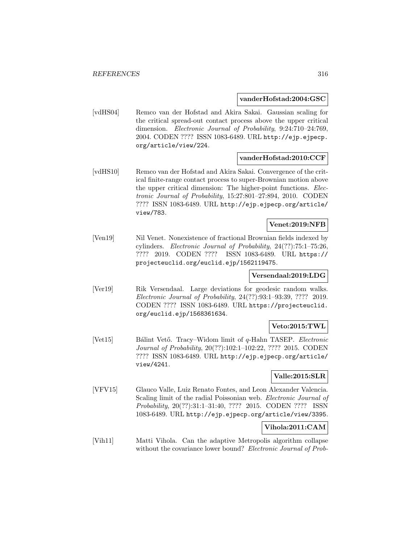#### **vanderHofstad:2004:GSC**

[vdHS04] Remco van der Hofstad and Akira Sakai. Gaussian scaling for the critical spread-out contact process above the upper critical dimension. Electronic Journal of Probability, 9:24:710–24:769, 2004. CODEN ???? ISSN 1083-6489. URL http://ejp.ejpecp. org/article/view/224.

## **vanderHofstad:2010:CCF**

[vdHS10] Remco van der Hofstad and Akira Sakai. Convergence of the critical finite-range contact process to super-Brownian motion above the upper critical dimension: The higher-point functions. Electronic Journal of Probability, 15:27:801–27:894, 2010. CODEN ???? ISSN 1083-6489. URL http://ejp.ejpecp.org/article/ view/783.

## **Venet:2019:NFB**

[Ven19] Nil Venet. Nonexistence of fractional Brownian fields indexed by cylinders. Electronic Journal of Probability, 24(??):75:1–75:26, ???? 2019. CODEN ???? ISSN 1083-6489. URL https:// projecteuclid.org/euclid.ejp/1562119475.

## **Versendaal:2019:LDG**

[Ver19] Rik Versendaal. Large deviations for geodesic random walks. Electronic Journal of Probability, 24(??):93:1–93:39, ???? 2019. CODEN ???? ISSN 1083-6489. URL https://projecteuclid. org/euclid.ejp/1568361634.

## **Veto:2015:TWL**

[Vet15] Bálint Vető. Tracy–Widom limit of q-Hahn TASEP. Electronic Journal of Probability, 20(??):102:1–102:22, ???? 2015. CODEN ???? ISSN 1083-6489. URL http://ejp.ejpecp.org/article/ view/4241.

## **Valle:2015:SLR**

[VFV15] Glauco Valle, Luiz Renato Fontes, and Leon Alexander Valencia. Scaling limit of the radial Poissonian web. *Electronic Journal of* Probability, 20(??):31:1–31:40, ???? 2015. CODEN ???? ISSN 1083-6489. URL http://ejp.ejpecp.org/article/view/3395.

## **Vihola:2011:CAM**

[Vih11] Matti Vihola. Can the adaptive Metropolis algorithm collapse without the covariance lower bound? Electronic Journal of Prob-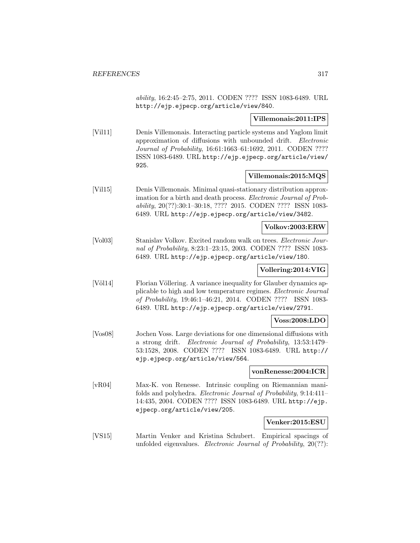ability, 16:2:45–2:75, 2011. CODEN ???? ISSN 1083-6489. URL http://ejp.ejpecp.org/article/view/840.

## **Villemonais:2011:IPS**

[Vil11] Denis Villemonais. Interacting particle systems and Yaglom limit approximation of diffusions with unbounded drift. Electronic Journal of Probability, 16:61:1663–61:1692, 2011. CODEN ???? ISSN 1083-6489. URL http://ejp.ejpecp.org/article/view/ 925.

## **Villemonais:2015:MQS**

[Vil15] Denis Villemonais. Minimal quasi-stationary distribution approximation for a birth and death process. Electronic Journal of Probability, 20(??):30:1–30:18, ???? 2015. CODEN ???? ISSN 1083- 6489. URL http://ejp.ejpecp.org/article/view/3482.

## **Volkov:2003:ERW**

[Vol03] Stanislav Volkov. Excited random walk on trees. Electronic Journal of Probability, 8:23:1–23:15, 2003. CODEN ???? ISSN 1083- 6489. URL http://ejp.ejpecp.org/article/view/180.

## **Vollering:2014:VIG**

[Völ14] Florian Völlering. A variance inequality for Glauber dynamics applicable to high and low temperature regimes. Electronic Journal of Probability, 19:46:1–46:21, 2014. CODEN ???? ISSN 1083- 6489. URL http://ejp.ejpecp.org/article/view/2791.

## **Voss:2008:LDO**

[Vos08] Jochen Voss. Large deviations for one dimensional diffusions with a strong drift. Electronic Journal of Probability, 13:53:1479– 53:1528, 2008. CODEN ???? ISSN 1083-6489. URL http:// ejp.ejpecp.org/article/view/564.

#### **vonRenesse:2004:ICR**

[vR04] Max-K. von Renesse. Intrinsic coupling on Riemannian manifolds and polyhedra. Electronic Journal of Probability, 9:14:411– 14:435, 2004. CODEN ???? ISSN 1083-6489. URL http://ejp. ejpecp.org/article/view/205.

## **Venker:2015:ESU**

[VS15] Martin Venker and Kristina Schubert. Empirical spacings of unfolded eigenvalues. Electronic Journal of Probability, 20(??):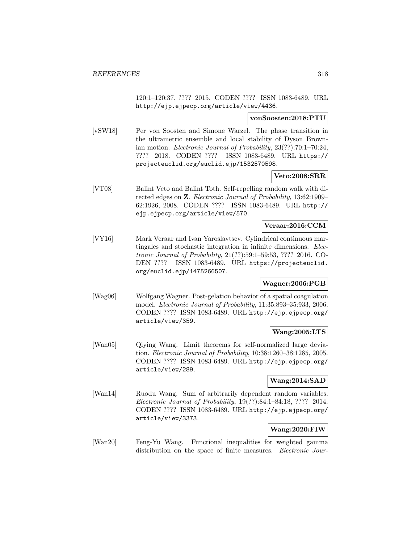120:1–120:37, ???? 2015. CODEN ???? ISSN 1083-6489. URL http://ejp.ejpecp.org/article/view/4436.

#### **vonSoosten:2018:PTU**

[vSW18] Per von Soosten and Simone Warzel. The phase transition in the ultrametric ensemble and local stability of Dyson Brownian motion. Electronic Journal of Probability, 23(??):70:1–70:24, ???? 2018. CODEN ???? ISSN 1083-6489. URL https:// projecteuclid.org/euclid.ejp/1532570598.

## **Veto:2008:SRR**

[VT08] Balint Veto and Balint Toth. Self-repelling random walk with directed edges on **Z**. Electronic Journal of Probability, 13:62:1909– 62:1926, 2008. CODEN ???? ISSN 1083-6489. URL http:// ejp.ejpecp.org/article/view/570.

# **Veraar:2016:CCM**

[VY16] Mark Veraar and Ivan Yaroslavtsev. Cylindrical continuous martingales and stochastic integration in infinite dimensions. Electronic Journal of Probability, 21(??):59:1–59:53, ???? 2016. CO-DEN ???? ISSN 1083-6489. URL https://projecteuclid. org/euclid.ejp/1475266507.

## **Wagner:2006:PGB**

[Wag06] Wolfgang Wagner. Post-gelation behavior of a spatial coagulation model. Electronic Journal of Probability, 11:35:893–35:933, 2006. CODEN ???? ISSN 1083-6489. URL http://ejp.ejpecp.org/ article/view/359.

## **Wang:2005:LTS**

[Wan05] Qiying Wang. Limit theorems for self-normalized large deviation. Electronic Journal of Probability, 10:38:1260–38:1285, 2005. CODEN ???? ISSN 1083-6489. URL http://ejp.ejpecp.org/ article/view/289.

## **Wang:2014:SAD**

[Wan14] Ruodu Wang. Sum of arbitrarily dependent random variables. Electronic Journal of Probability, 19(??):84:1–84:18, ???? 2014. CODEN ???? ISSN 1083-6489. URL http://ejp.ejpecp.org/ article/view/3373.

# **Wang:2020:FIW**

[Wan20] Feng-Yu Wang. Functional inequalities for weighted gamma distribution on the space of finite measures. *Electronic Jour-*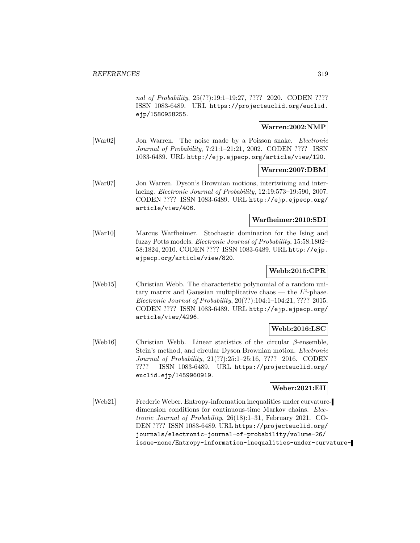nal of Probability, 25(??):19:1-19:27, ???? 2020. CODEN ???? ISSN 1083-6489. URL https://projecteuclid.org/euclid. ejp/1580958255.

# **Warren:2002:NMP**

[War02] Jon Warren. The noise made by a Poisson snake. Electronic Journal of Probability, 7:21:1–21:21, 2002. CODEN ???? ISSN 1083-6489. URL http://ejp.ejpecp.org/article/view/120.

## **Warren:2007:DBM**

[War07] Jon Warren. Dyson's Brownian motions, intertwining and interlacing. Electronic Journal of Probability, 12:19:573–19:590, 2007. CODEN ???? ISSN 1083-6489. URL http://ejp.ejpecp.org/ article/view/406.

## **Warfheimer:2010:SDI**

[War10] Marcus Warfheimer. Stochastic domination for the Ising and fuzzy Potts models. Electronic Journal of Probability, 15:58:1802– 58:1824, 2010. CODEN ???? ISSN 1083-6489. URL http://ejp. ejpecp.org/article/view/820.

# **Webb:2015:CPR**

[Web15] Christian Webb. The characteristic polynomial of a random unitary matrix and Gaussian multiplicative chaos — the  $L^2$ -phase. Electronic Journal of Probability, 20(??):104:1–104:21, ???? 2015. CODEN ???? ISSN 1083-6489. URL http://ejp.ejpecp.org/ article/view/4296.

## **Webb:2016:LSC**

[Web16] Christian Webb. Linear statistics of the circular  $\beta$ -ensemble, Stein's method, and circular Dyson Brownian motion. Electronic Journal of Probability, 21(??):25:1–25:16, ???? 2016. CODEN ???? ISSN 1083-6489. URL https://projecteuclid.org/ euclid.ejp/1459960919.

## **Weber:2021:EII**

[Web21] Frederic Weber. Entropy-information inequalities under curvaturedimension conditions for continuous-time Markov chains. Electronic Journal of Probability, 26(18):1–31, February 2021. CO-DEN ???? ISSN 1083-6489. URL https://projecteuclid.org/ journals/electronic-journal-of-probability/volume-26/ issue-none/Entropy-information-inequalities-under-curvature-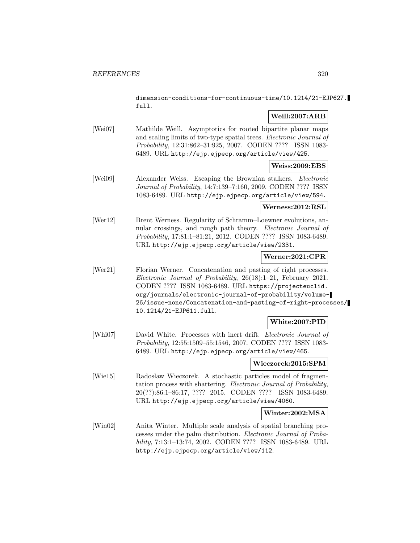dimension-conditions-for-continuous-time/10.1214/21-EJP627. full.

# **Weill:2007:ARB**

[Wei07] Mathilde Weill. Asymptotics for rooted bipartite planar maps and scaling limits of two-type spatial trees. Electronic Journal of Probability, 12:31:862–31:925, 2007. CODEN ???? ISSN 1083- 6489. URL http://ejp.ejpecp.org/article/view/425.

## **Weiss:2009:EBS**

[Wei09] Alexander Weiss. Escaping the Brownian stalkers. Electronic Journal of Probability, 14:7:139–7:160, 2009. CODEN ???? ISSN 1083-6489. URL http://ejp.ejpecp.org/article/view/594.

## **Werness:2012:RSL**

[Wer12] Brent Werness. Regularity of Schramm–Loewner evolutions, annular crossings, and rough path theory. Electronic Journal of Probability, 17:81:1–81:21, 2012. CODEN ???? ISSN 1083-6489. URL http://ejp.ejpecp.org/article/view/2331.

## **Werner:2021:CPR**

[Wer21] Florian Werner. Concatenation and pasting of right processes. Electronic Journal of Probability, 26(18):1–21, February 2021. CODEN ???? ISSN 1083-6489. URL https://projecteuclid. org/journals/electronic-journal-of-probability/volume-26/issue-none/Concatenation-and-pasting-of-right-processes/ 10.1214/21-EJP611.full.

# **White:2007:PID**

[Whi07] David White. Processes with inert drift. *Electronic Journal of* Probability, 12:55:1509–55:1546, 2007. CODEN ???? ISSN 1083- 6489. URL http://ejp.ejpecp.org/article/view/465.

# **Wieczorek:2015:SPM**

[Wie15] Radosław Wieczorek. A stochastic particles model of fragmentation process with shattering. Electronic Journal of Probability, 20(??):86:1–86:17, ???? 2015. CODEN ???? ISSN 1083-6489. URL http://ejp.ejpecp.org/article/view/4060.

# **Winter:2002:MSA**

[Win02] Anita Winter. Multiple scale analysis of spatial branching processes under the palm distribution. Electronic Journal of Probability, 7:13:1–13:74, 2002. CODEN ???? ISSN 1083-6489. URL http://ejp.ejpecp.org/article/view/112.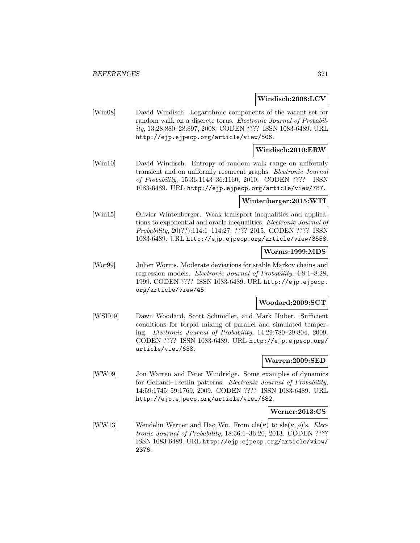### **Windisch:2008:LCV**

[Win08] David Windisch. Logarithmic components of the vacant set for random walk on a discrete torus. Electronic Journal of Probability, 13:28:880–28:897, 2008. CODEN ???? ISSN 1083-6489. URL http://ejp.ejpecp.org/article/view/506.

## **Windisch:2010:ERW**

[Win10] David Windisch. Entropy of random walk range on uniformly transient and on uniformly recurrent graphs. Electronic Journal of Probability, 15:36:1143–36:1160, 2010. CODEN ???? ISSN 1083-6489. URL http://ejp.ejpecp.org/article/view/787.

#### **Wintenberger:2015:WTI**

[Win15] Olivier Wintenberger. Weak transport inequalities and applications to exponential and oracle inequalities. Electronic Journal of Probability, 20(??):114:1–114:27, ???? 2015. CODEN ???? ISSN 1083-6489. URL http://ejp.ejpecp.org/article/view/3558.

#### **Worms:1999:MDS**

[Wor99] Julien Worms. Moderate deviations for stable Markov chains and regression models. Electronic Journal of Probability, 4:8:1–8:28, 1999. CODEN ???? ISSN 1083-6489. URL http://ejp.ejpecp. org/article/view/45.

#### **Woodard:2009:SCT**

[WSH09] Dawn Woodard, Scott Schmidler, and Mark Huber. Sufficient conditions for torpid mixing of parallel and simulated tempering. Electronic Journal of Probability, 14:29:780–29:804, 2009. CODEN ???? ISSN 1083-6489. URL http://ejp.ejpecp.org/ article/view/638.

#### **Warren:2009:SED**

[WW09] Jon Warren and Peter Windridge. Some examples of dynamics for Gelfand–Tsetlin patterns. Electronic Journal of Probability, 14:59:1745–59:1769, 2009. CODEN ???? ISSN 1083-6489. URL http://ejp.ejpecp.org/article/view/682.

#### **Werner:2013:CS**

[WW13] Wendelin Werner and Hao Wu. From  $cle(\kappa)$  to  $sle(\kappa, \rho)$ 's. *Elec*tronic Journal of Probability, 18:36:1–36:20, 2013. CODEN ???? ISSN 1083-6489. URL http://ejp.ejpecp.org/article/view/ 2376.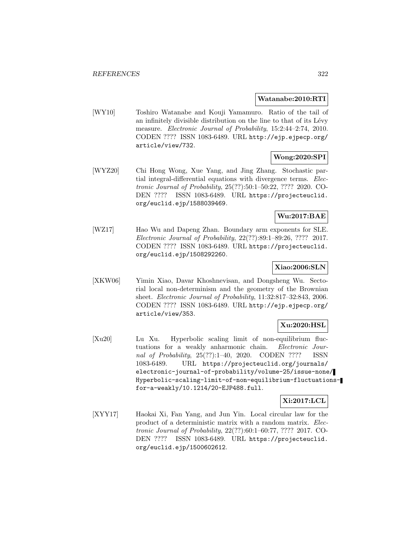#### **Watanabe:2010:RTI**

[WY10] Toshiro Watanabe and Kouji Yamamuro. Ratio of the tail of an infinitely divisible distribution on the line to that of its Lévy measure. Electronic Journal of Probability, 15:2:44–2:74, 2010. CODEN ???? ISSN 1083-6489. URL http://ejp.ejpecp.org/ article/view/732.

# **Wong:2020:SPI**

[WYZ20] Chi Hong Wong, Xue Yang, and Jing Zhang. Stochastic partial integral-differential equations with divergence terms. Electronic Journal of Probability, 25(??):50:1–50:22, ???? 2020. CO-DEN ???? ISSN 1083-6489. URL https://projecteuclid. org/euclid.ejp/1588039469.

## **Wu:2017:BAE**

[WZ17] Hao Wu and Dapeng Zhan. Boundary arm exponents for SLE. Electronic Journal of Probability, 22(??):89:1–89:26, ???? 2017. CODEN ???? ISSN 1083-6489. URL https://projecteuclid. org/euclid.ejp/1508292260.

## **Xiao:2006:SLN**

[XKW06] Yimin Xiao, Davar Khoshnevisan, and Dongsheng Wu. Sectorial local non-determinism and the geometry of the Brownian sheet. Electronic Journal of Probability, 11:32:817–32:843, 2006. CODEN ???? ISSN 1083-6489. URL http://ejp.ejpecp.org/ article/view/353.

## **Xu:2020:HSL**

[Xu20] Lu Xu. Hyperbolic scaling limit of non-equilibrium fluctuations for a weakly anharmonic chain. Electronic Journal of Probability, 25(??):1–40, 2020. CODEN ???? ISSN 1083-6489. URL https://projecteuclid.org/journals/ electronic-journal-of-probability/volume-25/issue-none/ Hyperbolic-scaling-limit-of-non-equilibrium-fluctuationsfor-a-weakly/10.1214/20-EJP488.full.

# **Xi:2017:LCL**

[XYY17] Haokai Xi, Fan Yang, and Jun Yin. Local circular law for the product of a deterministic matrix with a random matrix. Electronic Journal of Probability, 22(??):60:1–60:77, ???? 2017. CO-DEN ???? ISSN 1083-6489. URL https://projecteuclid. org/euclid.ejp/1500602612.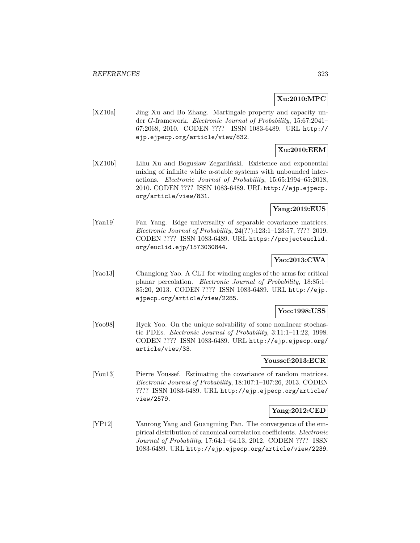## **Xu:2010:MPC**

[XZ10a] Jing Xu and Bo Zhang. Martingale property and capacity under G-framework. Electronic Journal of Probability, 15:67:2041– 67:2068, 2010. CODEN ???? ISSN 1083-6489. URL http:// ejp.ejpecp.org/article/view/832.

# **Xu:2010:EEM**

[XZ10b] Lihu Xu and Bogusław Zegarliński. Existence and exponential mixing of infinite white  $\alpha$ -stable systems with unbounded interactions. Electronic Journal of Probability, 15:65:1994–65:2018, 2010. CODEN ???? ISSN 1083-6489. URL http://ejp.ejpecp. org/article/view/831.

## **Yang:2019:EUS**

[Yan19] Fan Yang. Edge universality of separable covariance matrices. Electronic Journal of Probability, 24(??):123:1–123:57, ???? 2019. CODEN ???? ISSN 1083-6489. URL https://projecteuclid. org/euclid.ejp/1573030844.

## **Yao:2013:CWA**

[Yao13] Changlong Yao. A CLT for winding angles of the arms for critical planar percolation. Electronic Journal of Probability, 18:85:1– 85:20, 2013. CODEN ???? ISSN 1083-6489. URL http://ejp. ejpecp.org/article/view/2285.

## **Yoo:1998:USS**

[Yoo98] Hyek Yoo. On the unique solvability of some nonlinear stochastic PDEs. Electronic Journal of Probability, 3:11:1–11:22, 1998. CODEN ???? ISSN 1083-6489. URL http://ejp.ejpecp.org/ article/view/33.

## **Youssef:2013:ECR**

[You13] Pierre Youssef. Estimating the covariance of random matrices. Electronic Journal of Probability, 18:107:1–107:26, 2013. CODEN ???? ISSN 1083-6489. URL http://ejp.ejpecp.org/article/ view/2579.

## **Yang:2012:CED**

[YP12] Yanrong Yang and Guangming Pan. The convergence of the empirical distribution of canonical correlation coefficients. Electronic Journal of Probability, 17:64:1–64:13, 2012. CODEN ???? ISSN 1083-6489. URL http://ejp.ejpecp.org/article/view/2239.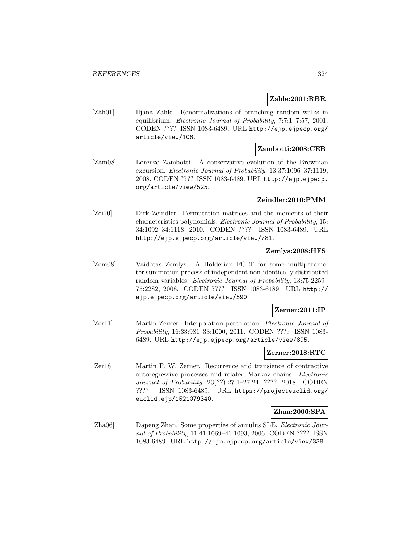## **Zahle:2001:RBR**

[Zäh01] Iljana Zähle. Renormalizations of branching random walks in equilibrium. Electronic Journal of Probability, 7:7:1–7:57, 2001. CODEN ???? ISSN 1083-6489. URL http://ejp.ejpecp.org/ article/view/106.

## **Zambotti:2008:CEB**

[Zam08] Lorenzo Zambotti. A conservative evolution of the Brownian excursion. Electronic Journal of Probability, 13:37:1096–37:1119, 2008. CODEN ???? ISSN 1083-6489. URL http://ejp.ejpecp. org/article/view/525.

## **Zeindler:2010:PMM**

[Zei10] Dirk Zeindler. Permutation matrices and the moments of their characteristics polynomials. Electronic Journal of Probability, 15: 34:1092–34:1118, 2010. CODEN ???? ISSN 1083-6489. URL http://ejp.ejpecp.org/article/view/781.

## **Zemlys:2008:HFS**

[Zem08] Vaidotas Zemlys. A Hölderian FCLT for some multiparameter summation process of independent non-identically distributed random variables. Electronic Journal of Probability, 13:75:2259– 75:2282, 2008. CODEN ???? ISSN 1083-6489. URL http:// ejp.ejpecp.org/article/view/590.

## **Zerner:2011:IP**

[Zer11] Martin Zerner. Interpolation percolation. Electronic Journal of Probability, 16:33:981–33:1000, 2011. CODEN ???? ISSN 1083- 6489. URL http://ejp.ejpecp.org/article/view/895.

#### **Zerner:2018:RTC**

[Zer18] Martin P. W. Zerner. Recurrence and transience of contractive autoregressive processes and related Markov chains. Electronic Journal of Probability, 23(??):27:1–27:24, ???? 2018. CODEN ???? ISSN 1083-6489. URL https://projecteuclid.org/ euclid.ejp/1521079340.

## **Zhan:2006:SPA**

[Zha06] Dapeng Zhan. Some properties of annulus SLE. Electronic Journal of Probability, 11:41:1069–41:1093, 2006. CODEN ???? ISSN 1083-6489. URL http://ejp.ejpecp.org/article/view/338.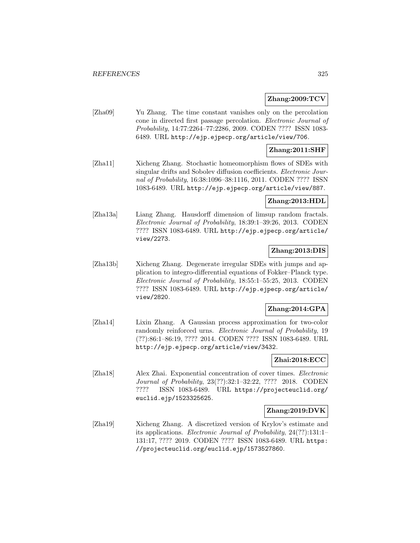## **Zhang:2009:TCV**

[Zha09] Yu Zhang. The time constant vanishes only on the percolation cone in directed first passage percolation. Electronic Journal of Probability, 14:77:2264–77:2286, 2009. CODEN ???? ISSN 1083- 6489. URL http://ejp.ejpecp.org/article/view/706.

# **Zhang:2011:SHF**

[Zha11] Xicheng Zhang. Stochastic homeomorphism flows of SDEs with singular drifts and Sobolev diffusion coefficients. Electronic Journal of Probability, 16:38:1096–38:1116, 2011. CODEN ???? ISSN 1083-6489. URL http://ejp.ejpecp.org/article/view/887.

## **Zhang:2013:HDL**

[Zha13a] Liang Zhang. Hausdorff dimension of limsup random fractals. Electronic Journal of Probability, 18:39:1–39:26, 2013. CODEN ???? ISSN 1083-6489. URL http://ejp.ejpecp.org/article/ view/2273.

# **Zhang:2013:DIS**

[Zha13b] Xicheng Zhang. Degenerate irregular SDEs with jumps and application to integro-differential equations of Fokker–Planck type. Electronic Journal of Probability, 18:55:1–55:25, 2013. CODEN ???? ISSN 1083-6489. URL http://ejp.ejpecp.org/article/ view/2820.

# **Zhang:2014:GPA**

[Zha14] Lixin Zhang. A Gaussian process approximation for two-color randomly reinforced urns. *Electronic Journal of Probability*, 19 (??):86:1–86:19, ???? 2014. CODEN ???? ISSN 1083-6489. URL http://ejp.ejpecp.org/article/view/3432.

## **Zhai:2018:ECC**

[Zha18] Alex Zhai. Exponential concentration of cover times. Electronic Journal of Probability, 23(??):32:1–32:22, ???? 2018. CODEN ???? ISSN 1083-6489. URL https://projecteuclid.org/ euclid.ejp/1523325625.

# **Zhang:2019:DVK**

[Zha19] Xicheng Zhang. A discretized version of Krylov's estimate and its applications. Electronic Journal of Probability, 24(??):131:1– 131:17, ???? 2019. CODEN ???? ISSN 1083-6489. URL https: //projecteuclid.org/euclid.ejp/1573527860.